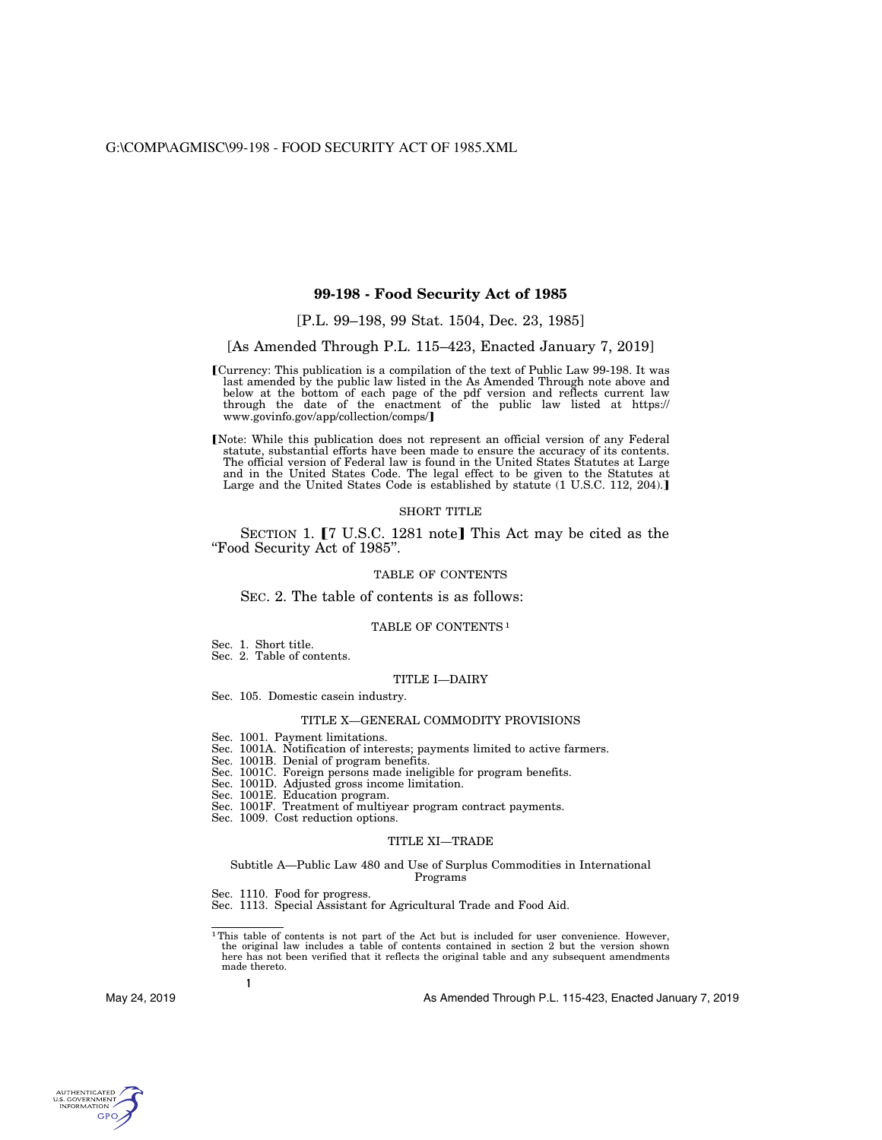## **99-198 - Food Security Act of 1985**

# [P.L. 99–198, 99 Stat. 1504, Dec. 23, 1985]

## [As Amended Through P.L. 115–423, Enacted January 7, 2019]

- øCurrency: This publication is a compilation of the text of Public Law 99-198. It was last amended by the public law listed in the As Amended Through note above and below at the bottom of each page of the pdf version and reflects current law through the date of the enactment of the public law listed at https:// www.govinfo.gov/app/collection/comps/
- Note: While this publication does not represent an official version of any Federal statute, substantial efforts have been made to ensure the accuracy of its contents. The official version of Federal law is found in the United States Statutes at Large and in the United States Code. The legal effect to be given to the Statutes at Large and the United States Code is established by statute (1 U.S.C. 112, 204).]

#### SHORT TITLE

SECTION 1. **[7 U.S.C. 1281 note]** This Act may be cited as the ''Food Security Act of 1985''.

## TABLE OF CONTENTS

### SEC. 2. The table of contents is as follows:

## TABLE OF CONTENTS 1

Sec. 1. Short title.

Sec. 2. Table of contents.

#### TITLE I—DAIRY

Sec. 105. Domestic casein industry.

# TITLE X—GENERAL COMMODITY PROVISIONS

- Sec. 1001. Payment limitations.
- Sec. 1001A. Notification of interests; payments limited to active farmers.
- Sec. 1001B. Denial of program benefits.
- Sec. 1001C. Foreign persons made ineligible for program benefits.
- Sec. 1001D. Adjusted gross income limitation.
- Sec. 1001E. Education program.
- Sec. 1001F. Treatment of multiyear program contract payments.
- Sec. 1009. Cost reduction options.

## TITLE XI—TRADE

#### Subtitle A—Public Law 480 and Use of Surplus Commodities in International Programs

Sec. 1110. Food for progress.

Sec. 1113. Special Assistant for Agricultural Trade and Food Aid.

1This table of contents is not part of the Act but is included for user convenience. However, the original law includes a table of contents contained in section 2 but the version shown here has not been verified that it reflects the original table and any subsequent amendments made thereto.

**1**

May 24, 2019

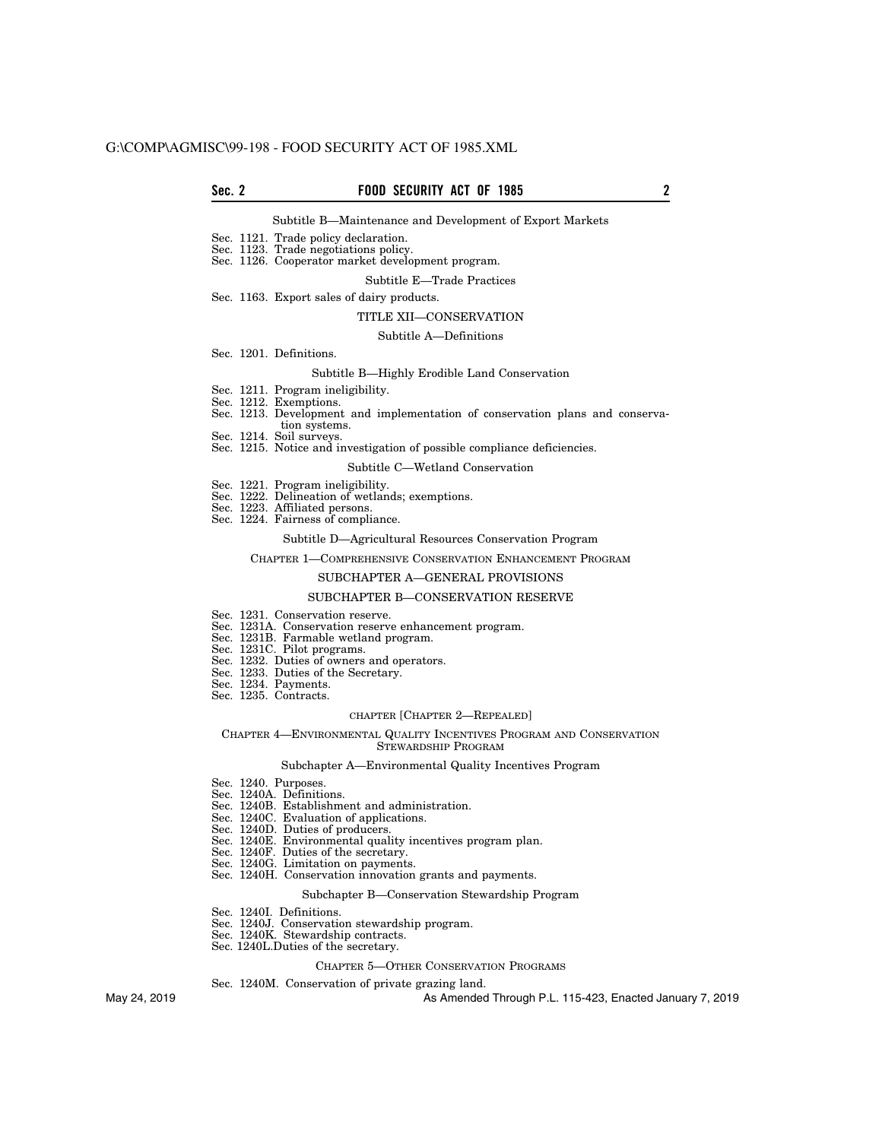## **Sec. 2 FOOD SECURITY ACT OF 1985 2**

## Subtitle B—Maintenance and Development of Export Markets

- Sec. 1121. Trade policy declaration.
- Sec. 1123. Trade negotiations policy.

## Sec. 1126. Cooperator market development program.

#### Subtitle E—Trade Practices

Sec. 1163. Export sales of dairy products.

#### TITLE XII—CONSERVATION

## Subtitle A—Definitions

Sec. 1201. Definitions.

## Subtitle B—Highly Erodible Land Conservation

- Sec. 1211. Program ineligibility.
- Sec. 1212. Exemptions.
- Sec. 1213. Development and implementation of conservation plans and conserva-
- tion systems. Sec. 1214. Soil surveys.
- Sec. 1215. Notice and investigation of possible compliance deficiencies.

#### Subtitle C—Wetland Conservation

- Sec. 1221. Program ineligibility.
- Sec. 1222. Delineation of wetlands; exemptions.
- Sec. 1223. Affiliated persons.
- Sec. 1224. Fairness of compliance.

### Subtitle D—Agricultural Resources Conservation Program

#### CHAPTER 1—COMPREHENSIVE CONSERVATION ENHANCEMENT PROGRAM

## SUBCHAPTER A—GENERAL PROVISIONS

#### SUBCHAPTER B—CONSERVATION RESERVE

- Sec. 1231. Conservation reserve.
- Sec. 1231A. Conservation reserve enhancement program.
- Sec. 1231B. Farmable wetland program.
- Sec. 1231C. Pilot programs.
- Sec. 1232. Duties of owners and operators.
- Sec. 1233. Duties of the Secretary. Sec. 1234. Payments.
- Sec. 1235. Contracts.

## CHAPTER [CHAPTER 2—REPEALED]

#### CHAPTER 4—ENVIRONMENTAL QUALITY INCENTIVES PROGRAM AND CONSERVATION STEWARDSHIP PROGRAM

#### Subchapter A—Environmental Quality Incentives Program

- Sec. 1240. Purposes.
- Sec. 1240A. Definitions.
- Sec. 1240B. Establishment and administration.
- Sec. 1240C. Evaluation of applications.
- Sec. 1240D. Duties of producers.
- Sec. 1240E. Environmental quality incentives program plan.
- Sec. 1240F. Duties of the secretary.
- Sec. 1240G. Limitation on payments.
- Sec. 1240H. Conservation innovation grants and payments.

# Subchapter B—Conservation Stewardship Program

- Sec. 1240I. Definitions.
- Sec. 1240J. Conservation stewardship program.
- Sec. 1240K. Stewardship contracts.
- Sec. 1240L.Duties of the secretary.

#### CHAPTER 5—OTHER CONSERVATION PROGRAMS

Sec. 1240M. Conservation of private grazing land.

May 24, 2019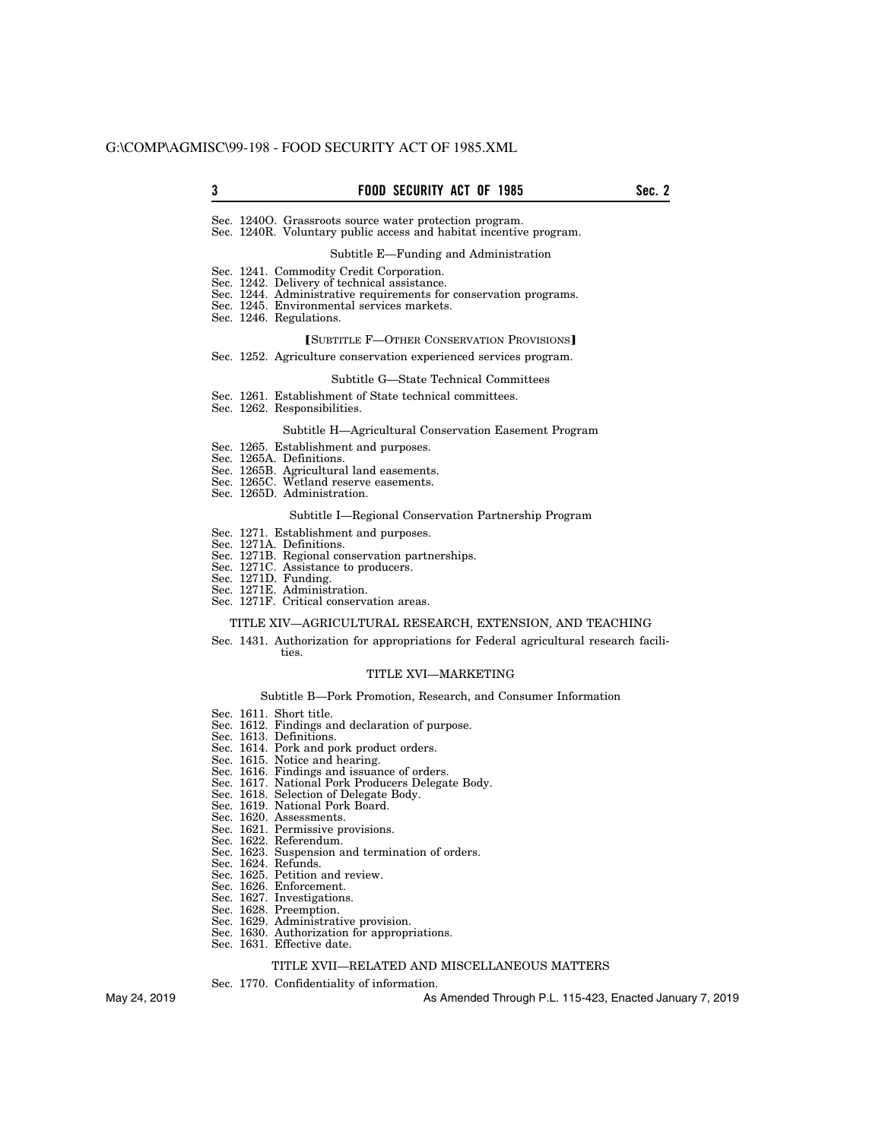## **3** Sec. 2 FOOD SECURITY ACT OF 1985

Sec. 1240O. Grassroots source water protection program. Sec. 1240R. Voluntary public access and habitat incentive program.

#### Subtitle E—Funding and Administration

- Sec. 1241. Commodity Credit Corporation.
- Sec. 1242. Delivery of technical assistance.
- Sec. 1244. Administrative requirements for conservation programs.
- Sec. 1245. Environmental services markets.
- Sec. 1246. Regulations.

# **[SUBTITLE F-OTHER CONSERVATION PROVISIONS]**

Sec. 1252. Agriculture conservation experienced services program.

#### Subtitle G—State Technical Committees

Sec. 1261. Establishment of State technical committees.

Sec. 1262. Responsibilities.

### Subtitle H—Agricultural Conservation Easement Program

- Sec. 1265. Establishment and purposes.
- Sec. 1265A. Definitions.
- Sec. 1265B. Agricultural land easements.
- Sec. 1265C. Wetland reserve easements.
- Sec. 1265D. Administration.

#### Subtitle I—Regional Conservation Partnership Program

- Sec. 1271. Establishment and purposes.
- Sec. 1271A. Definitions.
- Sec. 1271B. Regional conservation partnerships.
- Sec. 1271C. Assistance to producers.
- Sec. 1271D. Funding.
- Sec. 1271E. Administration. Sec. 1271F. Critical conservation areas.

#### TITLE XIV—AGRICULTURAL RESEARCH, EXTENSION, AND TEACHING

Sec. 1431. Authorization for appropriations for Federal agricultural research facilities.

# TITLE XVI—MARKETING

## Subtitle B—Pork Promotion, Research, and Consumer Information

- Sec. 1611. Short title.
- Sec. 1612. Findings and declaration of purpose.
- Sec. 1613. Definitions.
- Sec. 1614. Pork and pork product orders.
- Sec. 1615. Notice and hearing.
- Sec. 1616. Findings and issuance of orders.
- Sec. 1617. National Pork Producers Delegate Body.
- Sec. 1618. Selection of Delegate Body.
- Sec. 1619. National Pork Board.
- Sec. 1620. Assessments.
- Sec. 1621. Permissive provisions.
- Sec. 1622. Referendum.
- Sec. 1623. Suspension and termination of orders.
- Sec. 1624. Refunds.
- Sec. 1625. Petition and review.
- Sec. 1626. Enforcement.
- Sec. 1627. Investigations.
- Sec. 1628. Preemption.
- Sec. 1629. Administrative provision.
- Sec. 1630. Authorization for appropriations.
- Sec. 1631. Effective date.

## TITLE XVII—RELATED AND MISCELLANEOUS MATTERS

Sec. 1770. Confidentiality of information.

May 24, 2019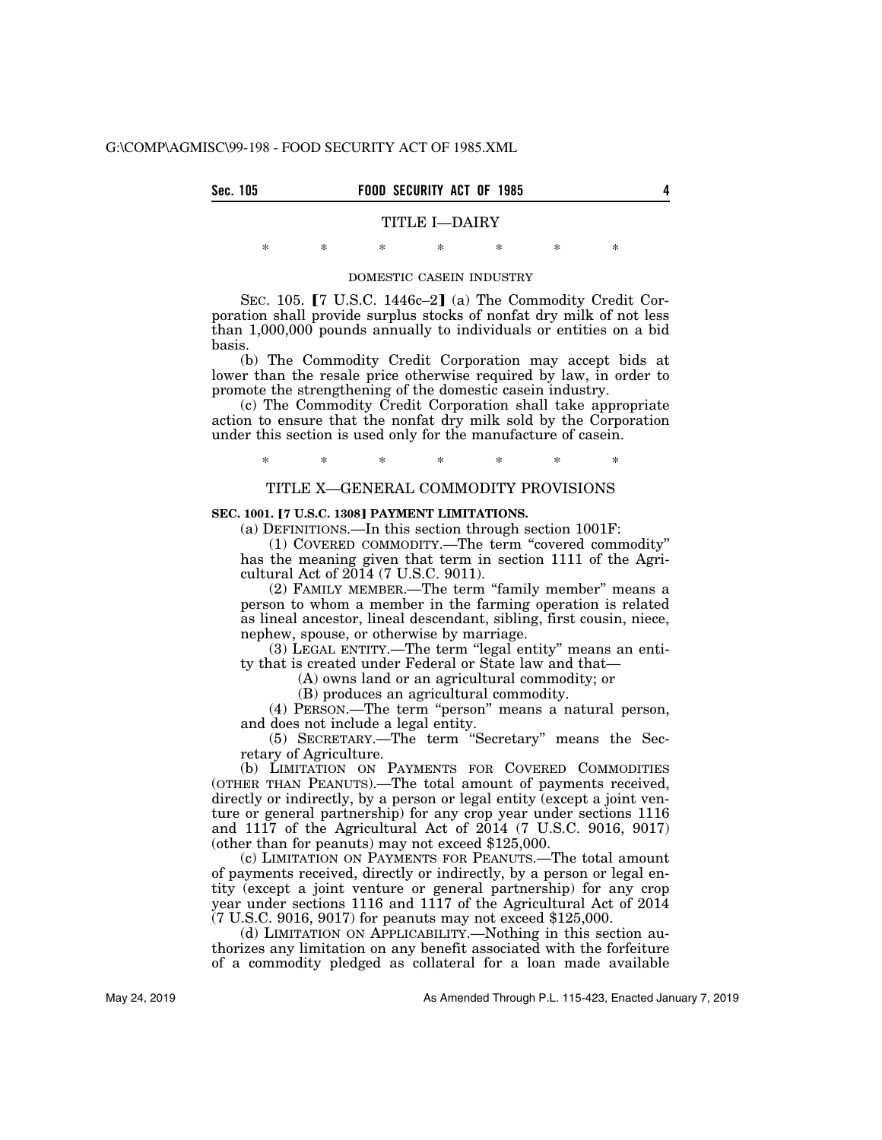| Sec. 105 | <b>FOOD SECURITY ACT OF 1985</b> |  |
|----------|----------------------------------|--|
|          | TITLE I-DAIRY                    |  |

# \* \* \* \* \* \* \* DOMESTIC CASEIN INDUSTRY

SEC. 105.  $[7 \text{ U.S.C. } 1446c-2]$  (a) The Commodity Credit Corporation shall provide surplus stocks of nonfat dry milk of not less than 1,000,000 pounds annually to individuals or entities on a bid basis.

(b) The Commodity Credit Corporation may accept bids at lower than the resale price otherwise required by law, in order to promote the strengthening of the domestic casein industry.

(c) The Commodity Credit Corporation shall take appropriate action to ensure that the nonfat dry milk sold by the Corporation under this section is used only for the manufacture of casein.

\* \* \* \* \* \* \*

## TITLE X—GENERAL COMMODITY PROVISIONS

## **SEC. 1001. [7 U.S.C. 1308] PAYMENT LIMITATIONS.**

(a) DEFINITIONS.—In this section through section 1001F:

(1) COVERED COMMODITY.—The term ''covered commodity'' has the meaning given that term in section 1111 of the Agricultural Act of 2014 (7 U.S.C. 9011).

(2) FAMILY MEMBER.—The term ''family member'' means a person to whom a member in the farming operation is related as lineal ancestor, lineal descendant, sibling, first cousin, niece, nephew, spouse, or otherwise by marriage.

(3) LEGAL ENTITY.—The term ''legal entity'' means an entity that is created under Federal or State law and that—

(A) owns land or an agricultural commodity; or

(B) produces an agricultural commodity.

(4) PERSON.—The term ''person'' means a natural person, and does not include a legal entity.

(5) SECRETARY.—The term ''Secretary'' means the Secretary of Agriculture.

(b) LIMITATION ON PAYMENTS FOR COVERED COMMODITIES (OTHER THAN PEANUTS).—The total amount of payments received, directly or indirectly, by a person or legal entity (except a joint venture or general partnership) for any crop year under sections 1116 and 1117 of the Agricultural Act of 2014 (7 U.S.C. 9016, 9017) (other than for peanuts) may not exceed \$125,000.

(c) LIMITATION ON PAYMENTS FOR PEANUTS.—The total amount of payments received, directly or indirectly, by a person or legal entity (except a joint venture or general partnership) for any crop year under sections 1116 and 1117 of the Agricultural Act of 2014 (7 U.S.C. 9016, 9017) for peanuts may not exceed \$125,000.

(d) LIMITATION ON APPLICABILITY.—Nothing in this section authorizes any limitation on any benefit associated with the forfeiture of a commodity pledged as collateral for a loan made available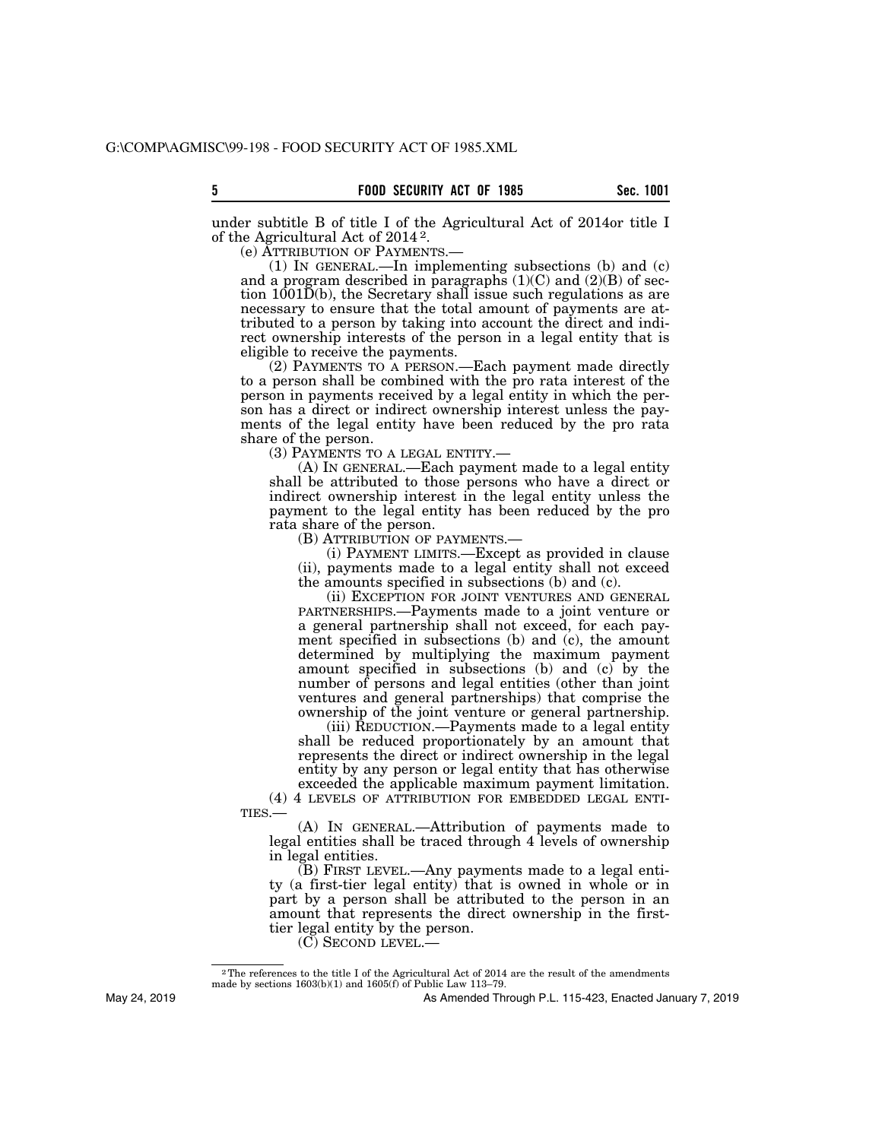under subtitle B of title I of the Agricultural Act of 2014or title I of the Agricultural Act of 2014 2.

(e) ATTRIBUTION OF PAYMENTS.—

(1) IN GENERAL.—In implementing subsections (b) and (c) and a program described in paragraphs  $(1)(C)$  and  $(2)(B)$  of section  $1001\bar{D}(b)$ , the Secretary shall issue such regulations as are necessary to ensure that the total amount of payments are attributed to a person by taking into account the direct and indirect ownership interests of the person in a legal entity that is eligible to receive the payments.

(2) PAYMENTS TO A PERSON.—Each payment made directly to a person shall be combined with the pro rata interest of the person in payments received by a legal entity in which the person has a direct or indirect ownership interest unless the payments of the legal entity have been reduced by the pro rata share of the person.

(3) PAYMENTS TO A LEGAL ENTITY.—

(A) IN GENERAL.—Each payment made to a legal entity shall be attributed to those persons who have a direct or indirect ownership interest in the legal entity unless the payment to the legal entity has been reduced by the pro rata share of the person.

(B) ATTRIBUTION OF PAYMENTS.—

(i) PAYMENT LIMITS.—Except as provided in clause (ii), payments made to a legal entity shall not exceed the amounts specified in subsections (b) and (c).

(ii) EXCEPTION FOR JOINT VENTURES AND GENERAL PARTNERSHIPS.—Payments made to a joint venture or a general partnership shall not exceed, for each payment specified in subsections (b) and (c), the amount determined by multiplying the maximum payment amount specified in subsections (b) and (c) by the number of persons and legal entities (other than joint ventures and general partnerships) that comprise the ownership of the joint venture or general partnership.

(iii) REDUCTION.—Payments made to a legal entity shall be reduced proportionately by an amount that represents the direct or indirect ownership in the legal entity by any person or legal entity that has otherwise exceeded the applicable maximum payment limitation.

(4) 4 LEVELS OF ATTRIBUTION FOR EMBEDDED LEGAL ENTI-TIES.—

(A) IN GENERAL.—Attribution of payments made to legal entities shall be traced through 4 levels of ownership in legal entities.

(B) FIRST LEVEL.—Any payments made to a legal entity (a first-tier legal entity) that is owned in whole or in part by a person shall be attributed to the person in an amount that represents the direct ownership in the firsttier legal entity by the person.

(C) SECOND LEVEL.—

May 24, 2019

<sup>&</sup>lt;sup>2</sup>The references to the title I of the Agricultural Act of 2014 are the result of the amendments made by sections 1603(b)(1) and 1605(f) of Public Law 113–79.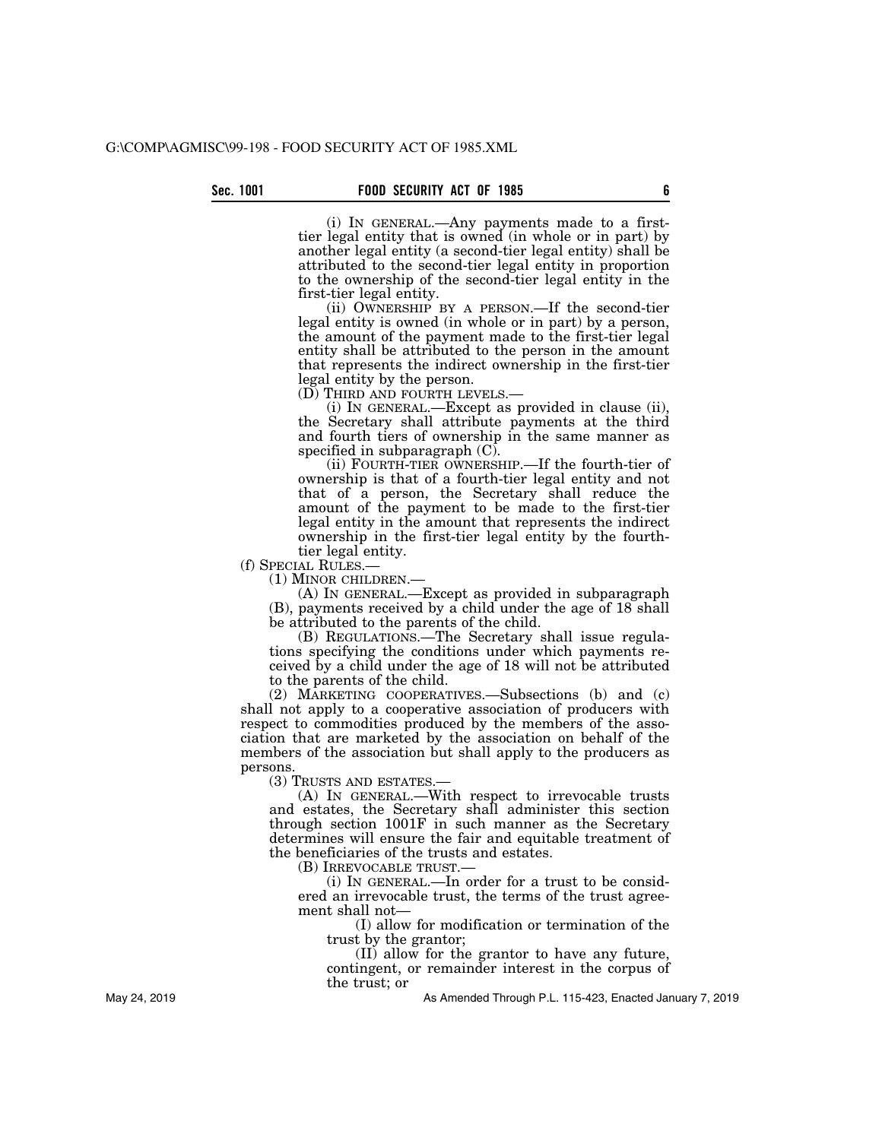(i) IN GENERAL.—Any payments made to a firsttier legal entity that is owned (in whole or in part) by another legal entity (a second-tier legal entity) shall be attributed to the second-tier legal entity in proportion to the ownership of the second-tier legal entity in the first-tier legal entity.

(ii) OWNERSHIP BY A PERSON.—If the second-tier legal entity is owned (in whole or in part) by a person, the amount of the payment made to the first-tier legal entity shall be attributed to the person in the amount that represents the indirect ownership in the first-tier legal entity by the person.

(D) THIRD AND FOURTH LEVELS.— (i) IN GENERAL.—Except as provided in clause (ii), the Secretary shall attribute payments at the third and fourth tiers of ownership in the same manner as specified in subparagraph  $(C)$ .

(ii) FOURTH-TIER OWNERSHIP.—If the fourth-tier of ownership is that of a fourth-tier legal entity and not that of a person, the Secretary shall reduce the amount of the payment to be made to the first-tier legal entity in the amount that represents the indirect ownership in the first-tier legal entity by the fourthtier legal entity.

(f) SPECIAL RULES.— (1) MINOR CHILDREN.—

(A) IN GENERAL.—Except as provided in subparagraph (B), payments received by a child under the age of 18 shall be attributed to the parents of the child.

(B) REGULATIONS.—The Secretary shall issue regulations specifying the conditions under which payments received by a child under the age of 18 will not be attributed to the parents of the child.

(2) MARKETING COOPERATIVES.—Subsections (b) and (c) shall not apply to a cooperative association of producers with respect to commodities produced by the members of the association that are marketed by the association on behalf of the members of the association but shall apply to the producers as persons.

(3) TRUSTS AND ESTATES.—

(A) IN GENERAL.—With respect to irrevocable trusts and estates, the Secretary shall administer this section through section 1001F in such manner as the Secretary determines will ensure the fair and equitable treatment of the beneficiaries of the trusts and estates.

(B) IRREVOCABLE TRUST.—

(i) IN GENERAL.—In order for a trust to be considered an irrevocable trust, the terms of the trust agreement shall not—

(I) allow for modification or termination of the trust by the grantor;

(II) allow for the grantor to have any future, contingent, or remainder interest in the corpus of the trust; or

As Amended Through P.L. 115-423, Enacted January 7, 2019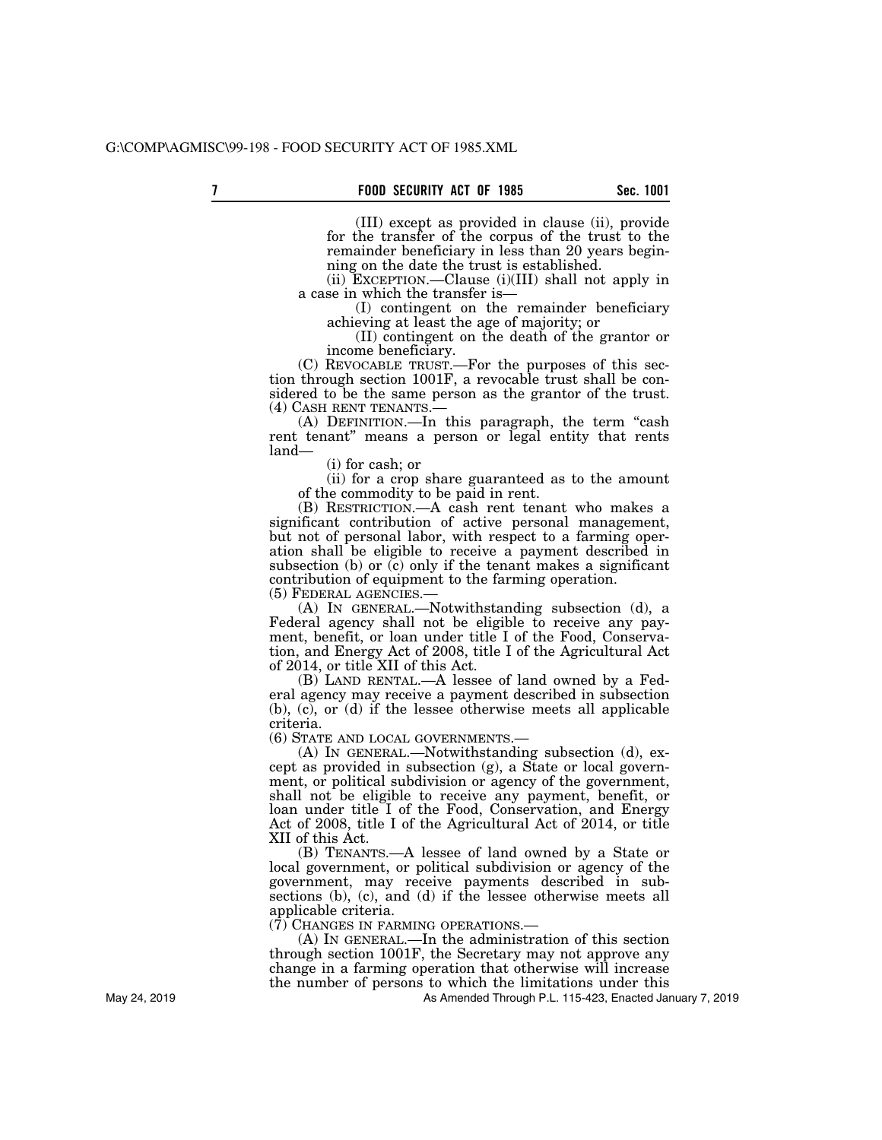(III) except as provided in clause (ii), provide for the transfer of the corpus of the trust to the remainder beneficiary in less than 20 years beginning on the date the trust is established.

(ii) EXCEPTION.—Clause (i)(III) shall not apply in a case in which the transfer is—

(I) contingent on the remainder beneficiary achieving at least the age of majority; or

(II) contingent on the death of the grantor or income beneficiary.

(C) REVOCABLE TRUST.—For the purposes of this section through section 1001F, a revocable trust shall be considered to be the same person as the grantor of the trust. (4) CASH RENT TENANTS.— (A) DEFINITION.—In this paragraph, the term ''cash

rent tenant'' means a person or legal entity that rents land—

(i) for cash; or

(ii) for a crop share guaranteed as to the amount of the commodity to be paid in rent.

(B) RESTRICTION.—A cash rent tenant who makes a significant contribution of active personal management, but not of personal labor, with respect to a farming operation shall be eligible to receive a payment described in subsection (b) or (c) only if the tenant makes a significant contribution of equipment to the farming operation. (5) FEDERAL AGENCIES.—

(A) IN GENERAL.—Notwithstanding subsection (d), a

Federal agency shall not be eligible to receive any payment, benefit, or loan under title I of the Food, Conservation, and Energy Act of 2008, title I of the Agricultural Act of 2014, or title XII of this Act.

(B) LAND RENTAL.—A lessee of land owned by a Federal agency may receive a payment described in subsection (b), (c), or (d) if the lessee otherwise meets all applicable criteria.

(6) STATE AND LOCAL GOVERNMENTS.—

(A) IN GENERAL.—Notwithstanding subsection (d), except as provided in subsection (g), a State or local government, or political subdivision or agency of the government, shall not be eligible to receive any payment, benefit, or loan under title I of the Food, Conservation, and Energy Act of 2008, title I of the Agricultural Act of 2014, or title XII of this Act.

(B) TENANTS.—A lessee of land owned by a State or local government, or political subdivision or agency of the government, may receive payments described in subsections (b), (c), and (d) if the lessee otherwise meets all applicable criteria.

 $(7)$  CHANGES IN FARMING OPERATIONS.—

(A) IN GENERAL.—In the administration of this section through section 1001F, the Secretary may not approve any change in a farming operation that otherwise will increase the number of persons to which the limitations under this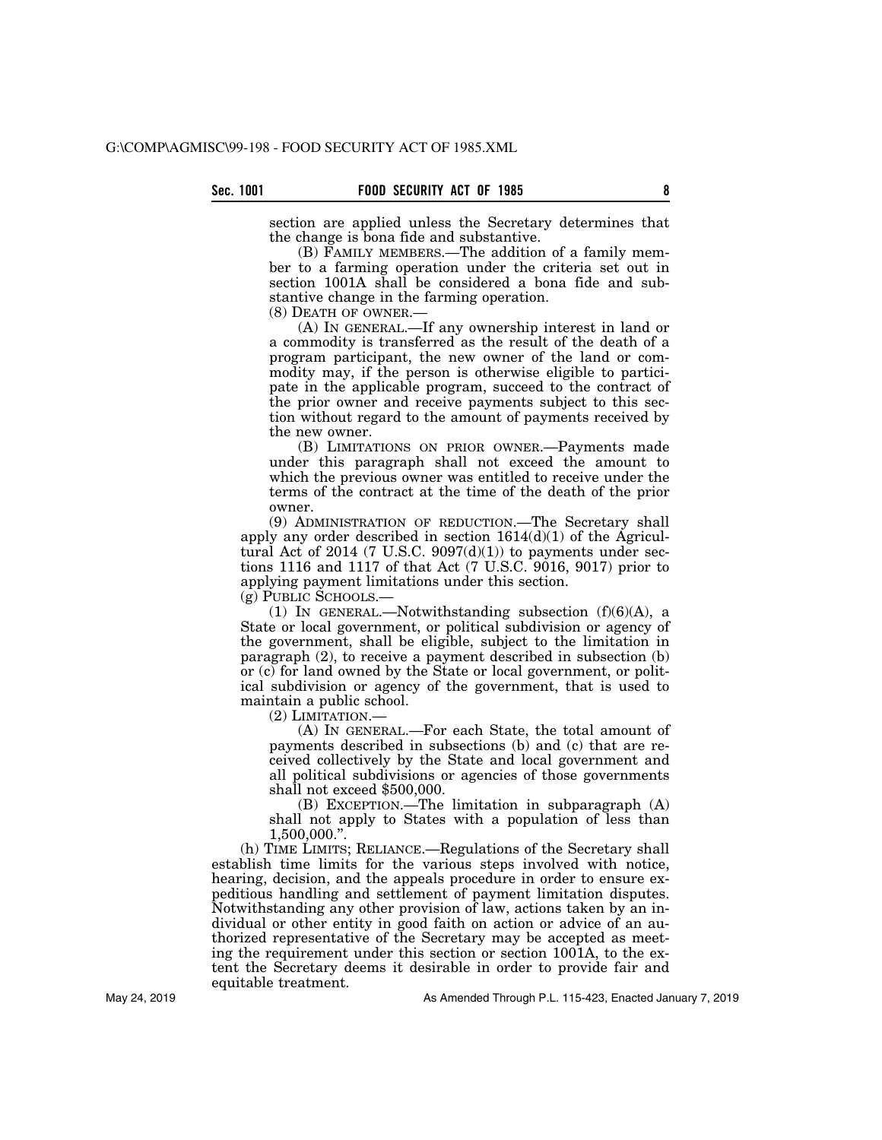section are applied unless the Secretary determines that the change is bona fide and substantive.

(B) FAMILY MEMBERS.—The addition of a family member to a farming operation under the criteria set out in section 1001A shall be considered a bona fide and substantive change in the farming operation.

(8) DEATH OF OWNER.—

(A) IN GENERAL.—If any ownership interest in land or a commodity is transferred as the result of the death of a program participant, the new owner of the land or commodity may, if the person is otherwise eligible to participate in the applicable program, succeed to the contract of the prior owner and receive payments subject to this section without regard to the amount of payments received by the new owner.

(B) LIMITATIONS ON PRIOR OWNER.—Payments made under this paragraph shall not exceed the amount to which the previous owner was entitled to receive under the terms of the contract at the time of the death of the prior owner.

(9) ADMINISTRATION OF REDUCTION.—The Secretary shall apply any order described in section  $1614(d)(1)$  of the Agricultural Act of 2014 (7 U.S.C.  $9097(d)(1)$ ) to payments under sections 1116 and 1117 of that Act (7 U.S.C. 9016, 9017) prior to applying payment limitations under this section.

(g) PUBLIC SCHOOLS.—

(1) IN GENERAL.—Notwithstanding subsection  $(f)(6)(A)$ , a State or local government, or political subdivision or agency of the government, shall be eligible, subject to the limitation in paragraph (2), to receive a payment described in subsection (b) or (c) for land owned by the State or local government, or political subdivision or agency of the government, that is used to maintain a public school.

(2) LIMITATION.—

(A) IN GENERAL.—For each State, the total amount of payments described in subsections (b) and (c) that are received collectively by the State and local government and all political subdivisions or agencies of those governments shall not exceed \$500,000.

(B) EXCEPTION.—The limitation in subparagraph (A) shall not apply to States with a population of less than 1,500,000.''.

(h) TIME LIMITS; RELIANCE.—Regulations of the Secretary shall establish time limits for the various steps involved with notice, hearing, decision, and the appeals procedure in order to ensure expeditious handling and settlement of payment limitation disputes. Notwithstanding any other provision of law, actions taken by an individual or other entity in good faith on action or advice of an authorized representative of the Secretary may be accepted as meeting the requirement under this section or section 1001A, to the extent the Secretary deems it desirable in order to provide fair and equitable treatment.

As Amended Through P.L. 115-423, Enacted January 7, 2019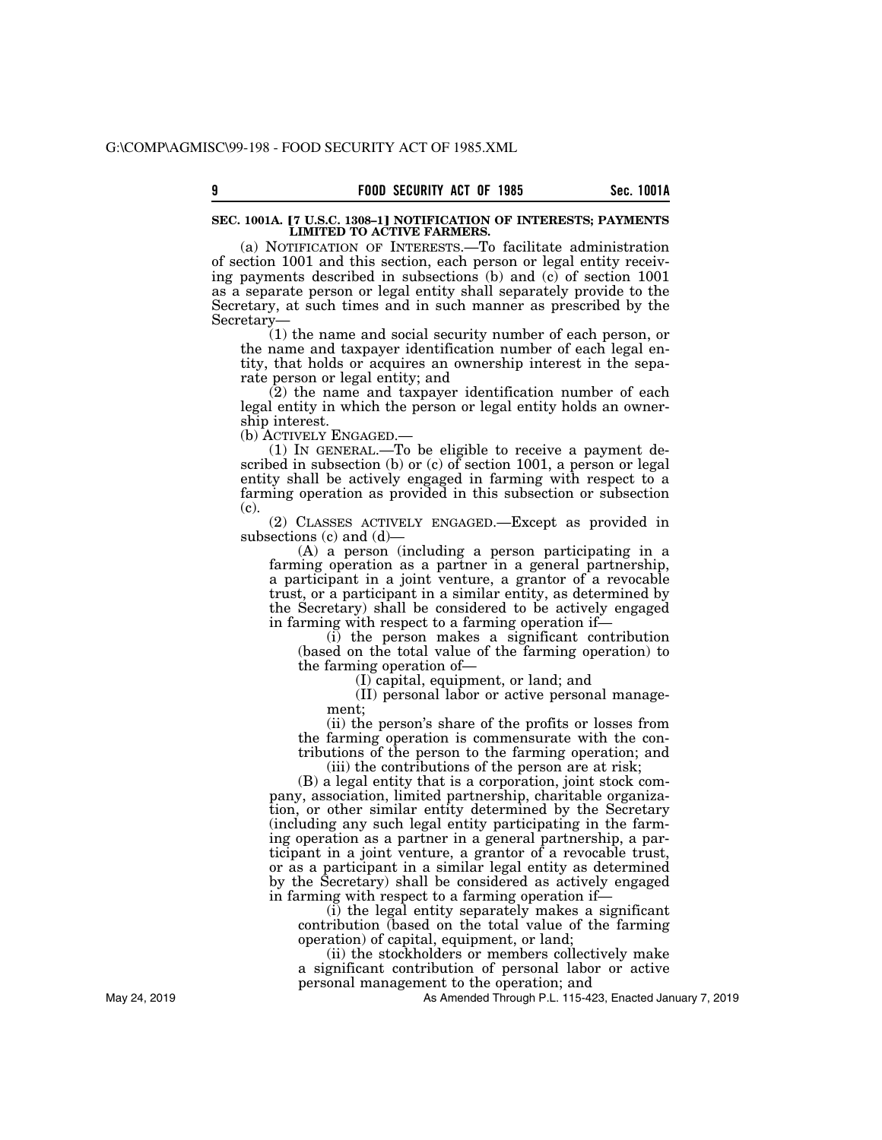## **SEC. 1001A. [7 U.S.C. 1308-1] NOTIFICATION OF INTERESTS; PAYMENTS LIMITED TO ACTIVE FARMERS.**

(a) NOTIFICATION OF INTERESTS.—To facilitate administration of section 1001 and this section, each person or legal entity receiving payments described in subsections (b) and (c) of section 1001 as a separate person or legal entity shall separately provide to the Secretary, at such times and in such manner as prescribed by the Secretary—

(1) the name and social security number of each person, or the name and taxpayer identification number of each legal entity, that holds or acquires an ownership interest in the separate person or legal entity; and

(2) the name and taxpayer identification number of each legal entity in which the person or legal entity holds an ownership interest.

(b) ACTIVELY ENGAGED.—

(1) IN GENERAL.—To be eligible to receive a payment described in subsection (b) or (c) of section 1001, a person or legal entity shall be actively engaged in farming with respect to a farming operation as provided in this subsection or subsection (c).

(2) CLASSES ACTIVELY ENGAGED.—Except as provided in subsections (c) and (d)—

(A) a person (including a person participating in a farming operation as a partner in a general partnership, a participant in a joint venture, a grantor of a revocable trust, or a participant in a similar entity, as determined by the Secretary) shall be considered to be actively engaged in farming with respect to a farming operation if—

(i) the person makes a significant contribution (based on the total value of the farming operation) to the farming operation of—

(I) capital, equipment, or land; and

(II) personal labor or active personal management;

(ii) the person's share of the profits or losses from the farming operation is commensurate with the contributions of the person to the farming operation; and

(iii) the contributions of the person are at risk;

(B) a legal entity that is a corporation, joint stock company, association, limited partnership, charitable organization, or other similar entity determined by the Secretary (including any such legal entity participating in the farming operation as a partner in a general partnership, a participant in a joint venture, a grantor of a revocable trust, or as a participant in a similar legal entity as determined by the Secretary) shall be considered as actively engaged in farming with respect to a farming operation if—

(i) the legal entity separately makes a significant contribution (based on the total value of the farming operation) of capital, equipment, or land;

(ii) the stockholders or members collectively make a significant contribution of personal labor or active personal management to the operation; and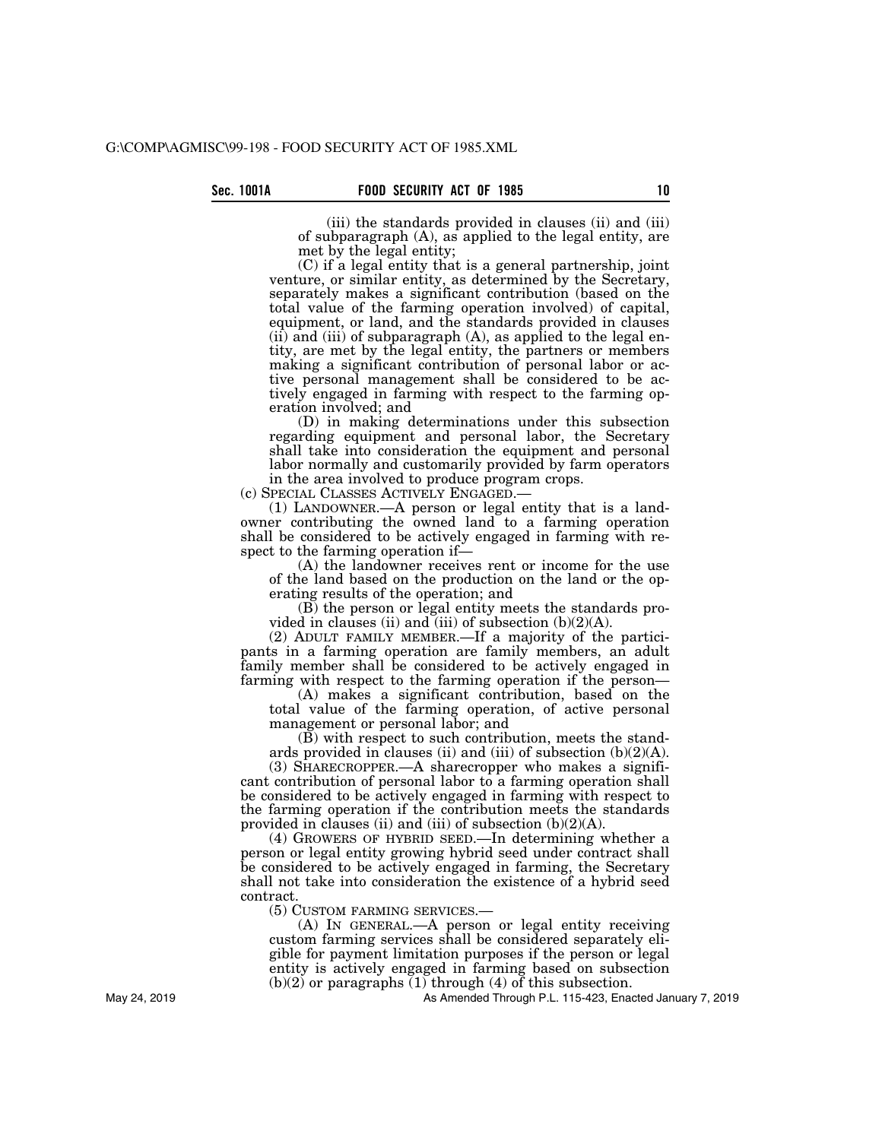(iii) the standards provided in clauses (ii) and (iii) of subparagraph (A), as applied to the legal entity, are met by the legal entity;

(C) if a legal entity that is a general partnership, joint venture, or similar entity, as determined by the Secretary, separately makes a significant contribution (based on the total value of the farming operation involved) of capital, equipment, or land, and the standards provided in clauses (ii) and (iii) of subparagraph  $(A)$ , as applied to the legal entity, are met by the legal entity, the partners or members making a significant contribution of personal labor or active personal management shall be considered to be actively engaged in farming with respect to the farming operation involved; and

(D) in making determinations under this subsection regarding equipment and personal labor, the Secretary shall take into consideration the equipment and personal labor normally and customarily provided by farm operators

in the area involved to produce program crops.<br>(c) SPECIAL CLASSES ACTIVELY ENGAGED.—

 $(1)$  LANDOWNER.—A person or legal entity that is a landowner contributing the owned land to a farming operation shall be considered to be actively engaged in farming with respect to the farming operation if—

(A) the landowner receives rent or income for the use of the land based on the production on the land or the operating results of the operation; and

(B) the person or legal entity meets the standards provided in clauses (ii) and (iii) of subsection  $(b)(2)(A)$ .

(2) ADULT FAMILY MEMBER.—If a majority of the participants in a farming operation are family members, an adult family member shall be considered to be actively engaged in farming with respect to the farming operation if the person—

(A) makes a significant contribution, based on the total value of the farming operation, of active personal management or personal labor; and

(B) with respect to such contribution, meets the standards provided in clauses (ii) and (iii) of subsection  $(b)(2)(A)$ .

(3) SHARECROPPER.—A sharecropper who makes a significant contribution of personal labor to a farming operation shall be considered to be actively engaged in farming with respect to the farming operation if the contribution meets the standards provided in clauses (ii) and (iii) of subsection  $(b)(2)(A)$ .

(4) GROWERS OF HYBRID SEED.—In determining whether a person or legal entity growing hybrid seed under contract shall be considered to be actively engaged in farming, the Secretary shall not take into consideration the existence of a hybrid seed contract.

(5) CUSTOM FARMING SERVICES.—

(A) IN GENERAL.—A person or legal entity receiving custom farming services shall be considered separately eligible for payment limitation purposes if the person or legal entity is actively engaged in farming based on subsection  $(b)(2)$  or paragraphs  $(1)$  through  $(4)$  of this subsection.

As Amended Through P.L. 115-423, Enacted January 7, 2019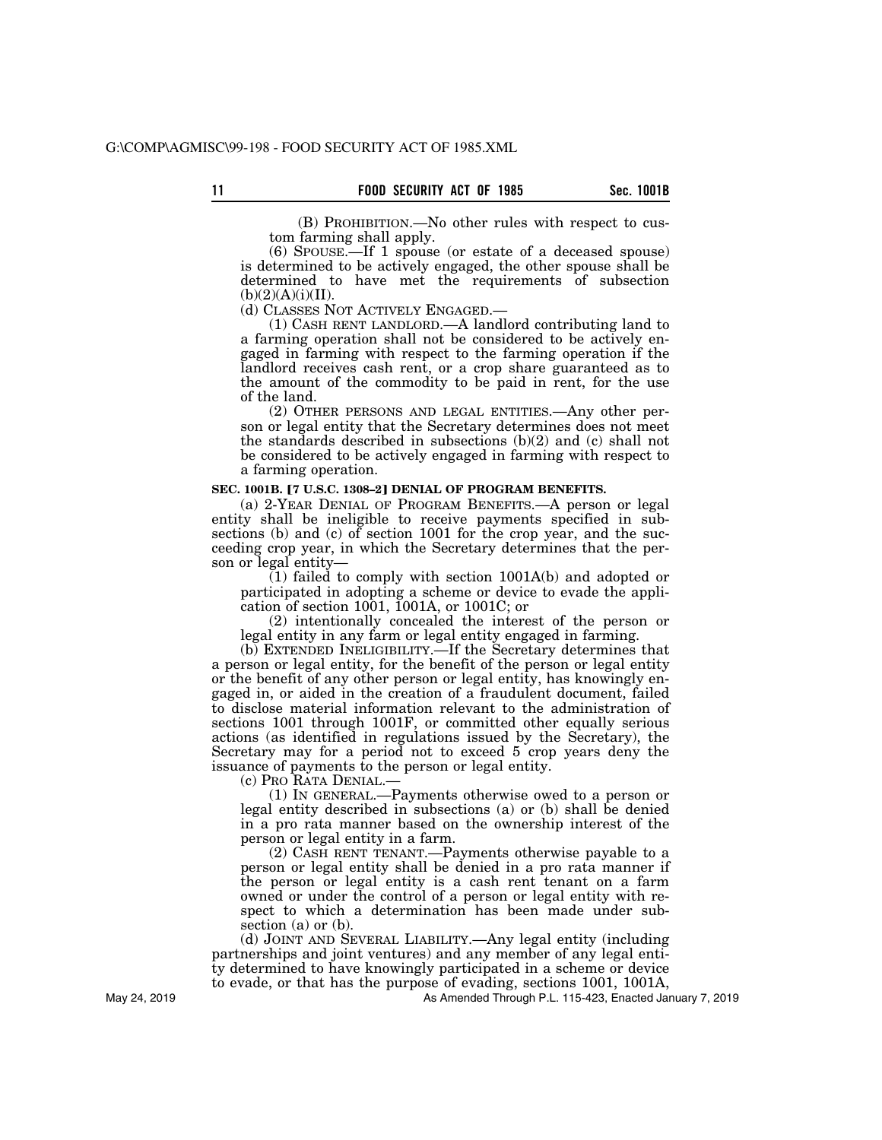(B) PROHIBITION.—No other rules with respect to custom farming shall apply.

(6) SPOUSE.—If 1 spouse (or estate of a deceased spouse) is determined to be actively engaged, the other spouse shall be determined to have met the requirements of subsection  $(b)(2)(A)(i)(II).$ 

# (d) CLASSES NOT ACTIVELY ENGAGED.—

(1) CASH RENT LANDLORD.—A landlord contributing land to a farming operation shall not be considered to be actively engaged in farming with respect to the farming operation if the landlord receives cash rent, or a crop share guaranteed as to the amount of the commodity to be paid in rent, for the use of the land.

(2) OTHER PERSONS AND LEGAL ENTITIES.—Any other person or legal entity that the Secretary determines does not meet the standards described in subsections (b)(2) and (c) shall not be considered to be actively engaged in farming with respect to a farming operation.

## **SEC. 1001B. [7 U.S.C. 1308-2] DENIAL OF PROGRAM BENEFITS.**

(a) 2-YEAR DENIAL OF PROGRAM BENEFITS.—A person or legal entity shall be ineligible to receive payments specified in subsections (b) and (c) of section 1001 for the crop year, and the succeeding crop year, in which the Secretary determines that the person or legal entity—

 $(1)$  failed to comply with section 1001A(b) and adopted or participated in adopting a scheme or device to evade the application of section 1001, 1001A, or 1001C; or

(2) intentionally concealed the interest of the person or legal entity in any farm or legal entity engaged in farming.

(b) EXTENDED INELIGIBILITY.—If the Secretary determines that a person or legal entity, for the benefit of the person or legal entity or the benefit of any other person or legal entity, has knowingly engaged in, or aided in the creation of a fraudulent document, failed to disclose material information relevant to the administration of sections 1001 through 1001F, or committed other equally serious actions (as identified in regulations issued by the Secretary), the Secretary may for a period not to exceed 5 crop years deny the issuance of payments to the person or legal entity.

(c) PRO RATA DENIAL.—

(1) IN GENERAL.—Payments otherwise owed to a person or legal entity described in subsections (a) or (b) shall be denied in a pro rata manner based on the ownership interest of the person or legal entity in a farm.

(2) CASH RENT TENANT.—Payments otherwise payable to a person or legal entity shall be denied in a pro rata manner if the person or legal entity is a cash rent tenant on a farm owned or under the control of a person or legal entity with respect to which a determination has been made under subsection (a) or (b).

(d) JOINT AND SEVERAL LIABILITY.—Any legal entity (including partnerships and joint ventures) and any member of any legal entity determined to have knowingly participated in a scheme or device to evade, or that has the purpose of evading, sections 1001, 1001A,

As Amended Through P.L. 115-423, Enacted January 7, 2019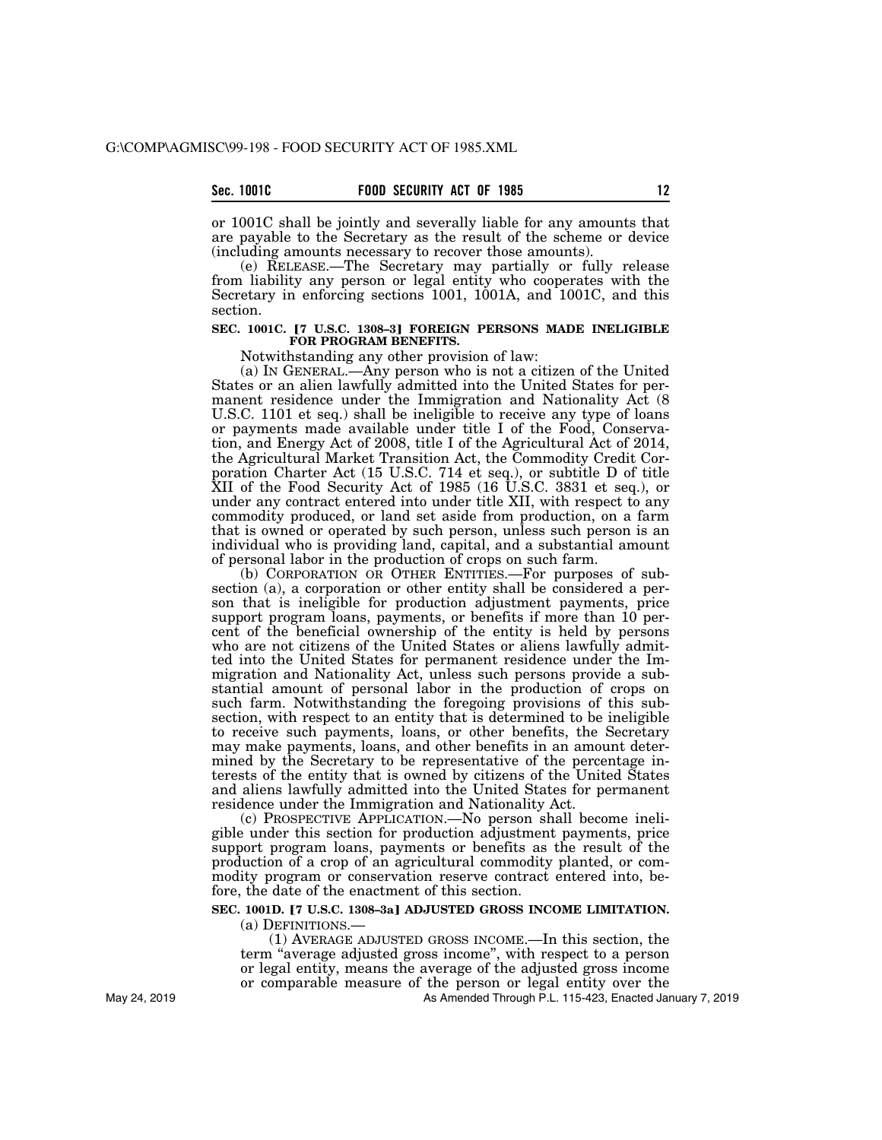## **Sec. 1001C FOOD SECURITY ACT OF 1985 12**

or 1001C shall be jointly and severally liable for any amounts that are payable to the Secretary as the result of the scheme or device (including amounts necessary to recover those amounts).

(e) RELEASE.—The Secretary may partially or fully release from liability any person or legal entity who cooperates with the Secretary in enforcing sections 1001, 1001A, and 1001C, and this section.

### SEC. 1001C. [7 U.S.C. 1308-3] FOREIGN PERSONS MADE INELIGIBLE **FOR PROGRAM BENEFITS.**

Notwithstanding any other provision of law:

(a) IN GENERAL.—Any person who is not a citizen of the United States or an alien lawfully admitted into the United States for permanent residence under the Immigration and Nationality Act (8 U.S.C. 1101 et seq.) shall be ineligible to receive any type of loans or payments made available under title I of the Food, Conservation, and Energy Act of 2008, title I of the Agricultural Act of 2014, the Agricultural Market Transition Act, the Commodity Credit Corporation Charter Act (15 U.S.C. 714 et seq.), or subtitle D of title XII of the Food Security Act of 1985 (16 U.S.C. 3831 et seq.), or under any contract entered into under title XII, with respect to any commodity produced, or land set aside from production, on a farm that is owned or operated by such person, unless such person is an individual who is providing land, capital, and a substantial amount of personal labor in the production of crops on such farm.

(b) CORPORATION OR OTHER ENTITIES.—For purposes of subsection (a), a corporation or other entity shall be considered a person that is ineligible for production adjustment payments, price support program loans, payments, or benefits if more than 10 percent of the beneficial ownership of the entity is held by persons who are not citizens of the United States or aliens lawfully admitted into the United States for permanent residence under the Immigration and Nationality Act, unless such persons provide a substantial amount of personal labor in the production of crops on such farm. Notwithstanding the foregoing provisions of this subsection, with respect to an entity that is determined to be ineligible to receive such payments, loans, or other benefits, the Secretary may make payments, loans, and other benefits in an amount determined by the Secretary to be representative of the percentage interests of the entity that is owned by citizens of the United States and aliens lawfully admitted into the United States for permanent residence under the Immigration and Nationality Act.

(c) PROSPECTIVE APPLICATION.—No person shall become ineligible under this section for production adjustment payments, price support program loans, payments or benefits as the result of the production of a crop of an agricultural commodity planted, or commodity program or conservation reserve contract entered into, before, the date of the enactment of this section.

## SEC. 1001D. <sup>[7 U.S.C. 1308-3a] ADJUSTED GROSS INCOME LIMITATION.</sup> (a) DEFINITIONS.—

(1) AVERAGE ADJUSTED GROSS INCOME.—In this section, the term ''average adjusted gross income'', with respect to a person or legal entity, means the average of the adjusted gross income or comparable measure of the person or legal entity over the

As Amended Through P.L. 115-423, Enacted January 7, 2019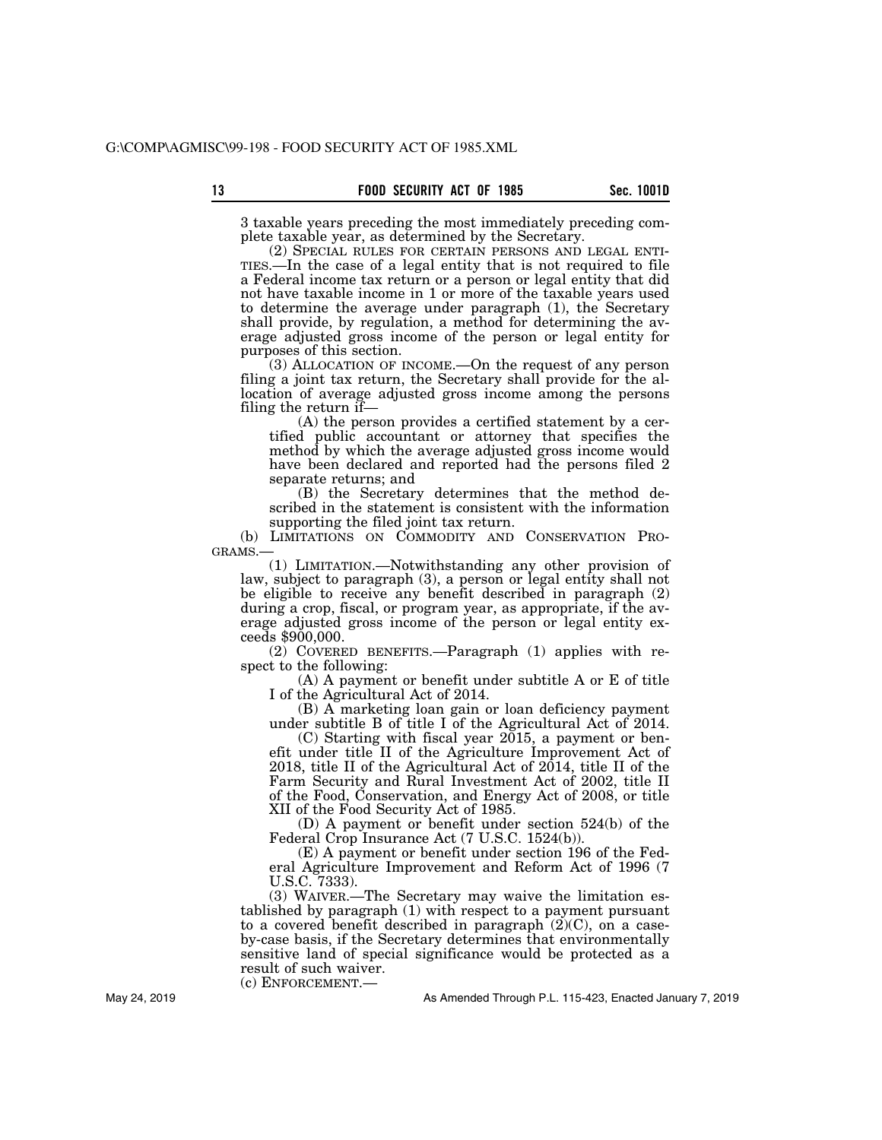3 taxable years preceding the most immediately preceding complete taxable year, as determined by the Secretary.

(2) SPECIAL RULES FOR CERTAIN PERSONS AND LEGAL ENTI- TIES.—In the case of a legal entity that is not required to file a Federal income tax return or a person or legal entity that did not have taxable income in 1 or more of the taxable years used to determine the average under paragraph (1), the Secretary shall provide, by regulation, a method for determining the average adjusted gross income of the person or legal entity for purposes of this section.

(3) ALLOCATION OF INCOME.—On the request of any person filing a joint tax return, the Secretary shall provide for the allocation of average adjusted gross income among the persons filing the return if—

(A) the person provides a certified statement by a certified public accountant or attorney that specifies the method by which the average adjusted gross income would have been declared and reported had the persons filed 2 separate returns; and

(B) the Secretary determines that the method described in the statement is consistent with the information supporting the filed joint tax return.

(b) LIMITATIONS ON COMMODITY AND CONSERVATION PROGRAMS.—

(1) LIMITATION.—Notwithstanding any other provision of law, subject to paragraph (3), a person or legal entity shall not be eligible to receive any benefit described in paragraph (2) during a crop, fiscal, or program year, as appropriate, if the average adjusted gross income of the person or legal entity exceeds \$900,000.

(2) COVERED BENEFITS.—Paragraph (1) applies with respect to the following:

(A) A payment or benefit under subtitle A or E of title I of the Agricultural Act of 2014.

(B) A marketing loan gain or loan deficiency payment under subtitle B of title I of the Agricultural Act of 2014.

(C) Starting with fiscal year 2015, a payment or benefit under title II of the Agriculture Improvement Act of 2018, title II of the Agricultural Act of 2014, title II of the Farm Security and Rural Investment Act of 2002, title II of the Food, Conservation, and Energy Act of 2008, or title XII of the Food Security Act of 1985.

(D) A payment or benefit under section 524(b) of the Federal Crop Insurance Act (7 U.S.C. 1524(b)).

(E) A payment or benefit under section 196 of the Federal Agriculture Improvement and Reform Act of 1996 (7 U.S.C. 7333).

(3) WAIVER.—The Secretary may waive the limitation established by paragraph (1) with respect to a payment pursuant to a covered benefit described in paragraph  $(2)(C)$ , on a caseby-case basis, if the Secretary determines that environmentally sensitive land of special significance would be protected as a result of such waiver.

(c) ENFORCEMENT.—

As Amended Through P.L. 115-423, Enacted January 7, 2019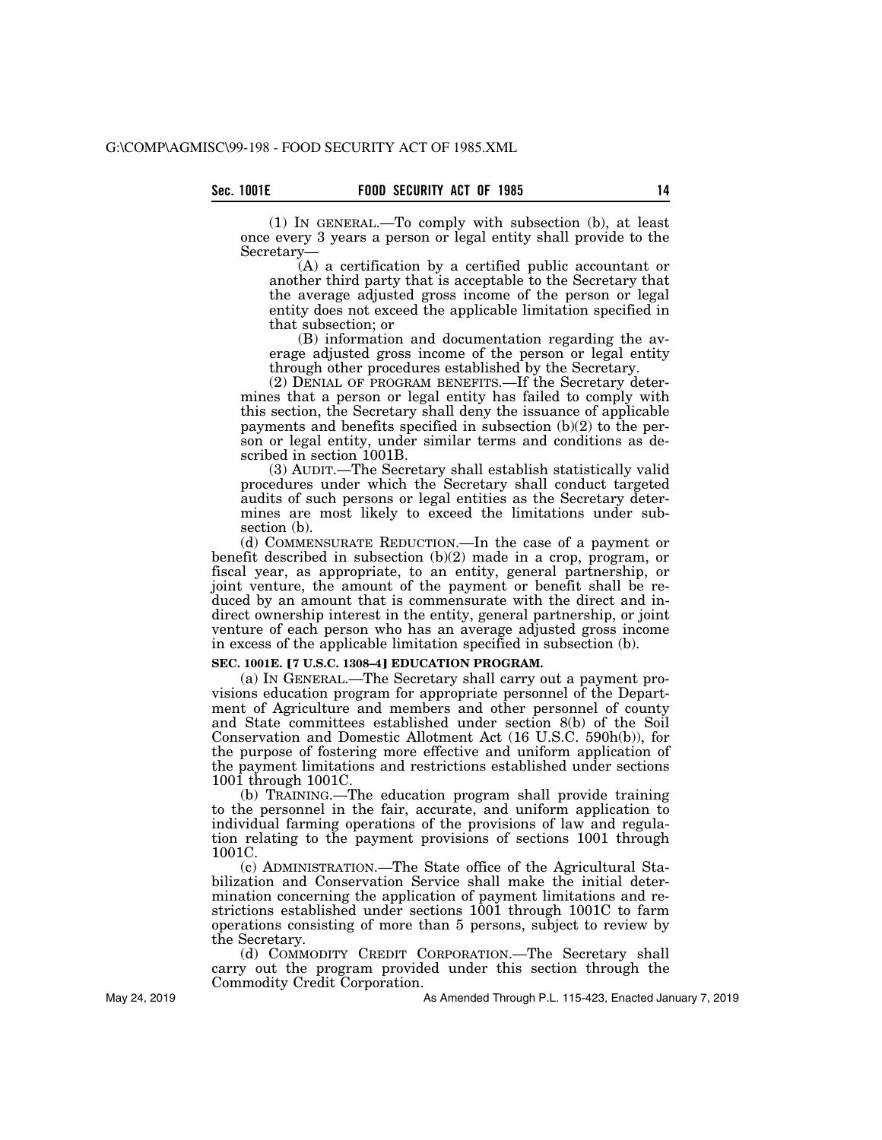(1) IN GENERAL.—To comply with subsection (b), at least once every 3 years a person or legal entity shall provide to the Secretary—

(A) a certification by a certified public accountant or another third party that is acceptable to the Secretary that the average adjusted gross income of the person or legal entity does not exceed the applicable limitation specified in that subsection; or

(B) information and documentation regarding the average adjusted gross income of the person or legal entity through other procedures established by the Secretary.

(2) DENIAL OF PROGRAM BENEFITS.—If the Secretary determines that a person or legal entity has failed to comply with this section, the Secretary shall deny the issuance of applicable payments and benefits specified in subsection  $(b)(2)$  to the person or legal entity, under similar terms and conditions as described in section 1001B.

(3) AUDIT.—The Secretary shall establish statistically valid procedures under which the Secretary shall conduct targeted audits of such persons or legal entities as the Secretary determines are most likely to exceed the limitations under subsection (b).

(d) COMMENSURATE REDUCTION.—In the case of a payment or benefit described in subsection (b)(2) made in a crop, program, or fiscal year, as appropriate, to an entity, general partnership, or joint venture, the amount of the payment or benefit shall be reduced by an amount that is commensurate with the direct and indirect ownership interest in the entity, general partnership, or joint venture of each person who has an average adjusted gross income in excess of the applicable limitation specified in subsection (b).

SEC. 1001E. [7 U.S.C. 1308-4] EDUCATION PROGRAM.

(a) IN GENERAL.—The Secretary shall carry out a payment provisions education program for appropriate personnel of the Department of Agriculture and members and other personnel of county and State committees established under section 8(b) of the Soil Conservation and Domestic Allotment Act (16 U.S.C. 590h(b)), for the purpose of fostering more effective and uniform application of the payment limitations and restrictions established under sections 1001 through 1001C.

(b) TRAINING.—The education program shall provide training to the personnel in the fair, accurate, and uniform application to individual farming operations of the provisions of law and regulation relating to the payment provisions of sections 1001 through 1001C.

(c) ADMINISTRATION.—The State office of the Agricultural Stabilization and Conservation Service shall make the initial determination concerning the application of payment limitations and restrictions established under sections 1001 through 1001C to farm operations consisting of more than 5 persons, subject to review by the Secretary.

(d) COMMODITY CREDIT CORPORATION.—The Secretary shall carry out the program provided under this section through the Commodity Credit Corporation.

As Amended Through P.L. 115-423, Enacted January 7, 2019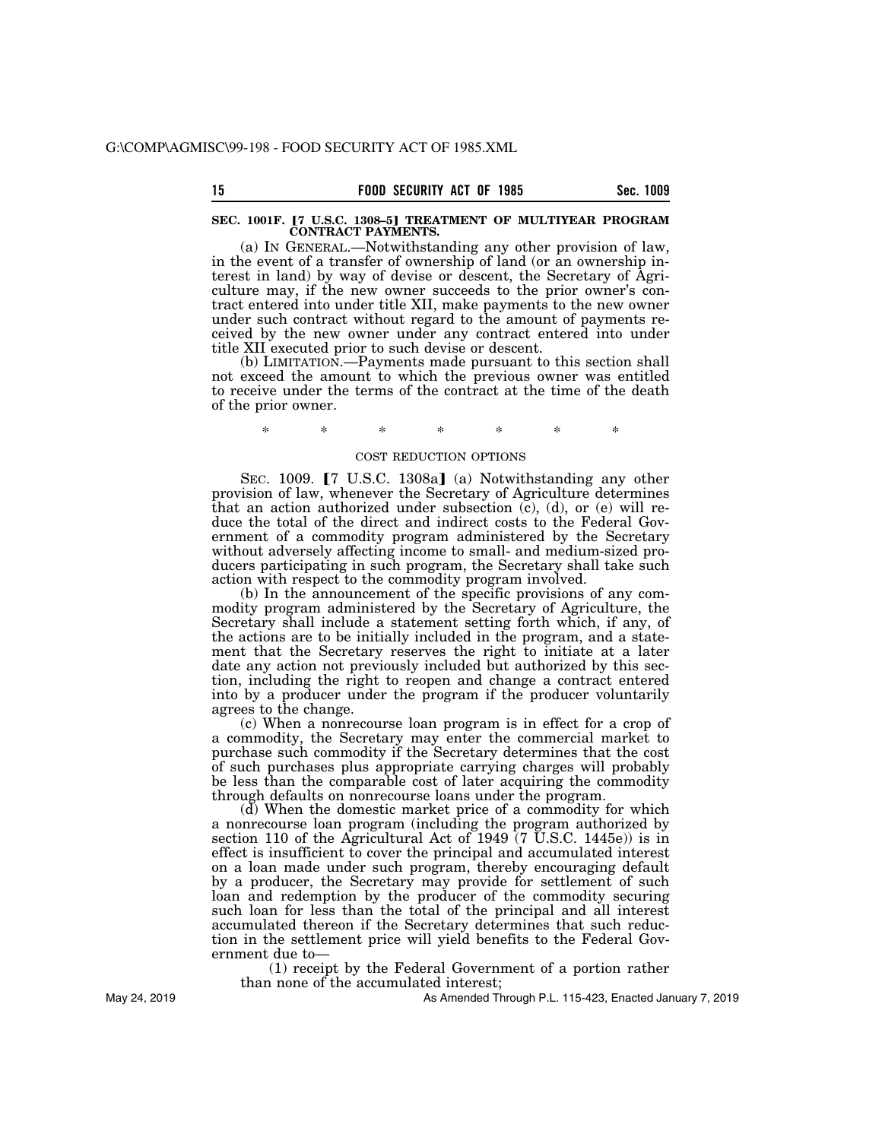### SEC. 1001F. [7 U.S.C. 1308-5] TREATMENT OF MULTIYEAR PROGRAM **CONTRACT PAYMENTS.**

(a) IN GENERAL.—Notwithstanding any other provision of law, in the event of a transfer of ownership of land (or an ownership interest in land) by way of devise or descent, the Secretary of Agriculture may, if the new owner succeeds to the prior owner's contract entered into under title XII, make payments to the new owner under such contract without regard to the amount of payments received by the new owner under any contract entered into under title XII executed prior to such devise or descent.

(b) LIMITATION.—Payments made pursuant to this section shall not exceed the amount to which the previous owner was entitled to receive under the terms of the contract at the time of the death of the prior owner.

# \* \* \* \* \* \* \*

### COST REDUCTION OPTIONS

SEC. 1009.  $\lceil 7 \rceil$  U.S.C. 1308a] (a) Notwithstanding any other provision of law, whenever the Secretary of Agriculture determines that an action authorized under subsection  $(c)$ ,  $(d)$ , or  $(e)$  will reduce the total of the direct and indirect costs to the Federal Government of a commodity program administered by the Secretary without adversely affecting income to small- and medium-sized producers participating in such program, the Secretary shall take such action with respect to the commodity program involved.

(b) In the announcement of the specific provisions of any commodity program administered by the Secretary of Agriculture, the Secretary shall include a statement setting forth which, if any, of the actions are to be initially included in the program, and a statement that the Secretary reserves the right to initiate at a later date any action not previously included but authorized by this section, including the right to reopen and change a contract entered into by a producer under the program if the producer voluntarily agrees to the change.

(c) When a nonrecourse loan program is in effect for a crop of a commodity, the Secretary may enter the commercial market to purchase such commodity if the Secretary determines that the cost of such purchases plus appropriate carrying charges will probably be less than the comparable cost of later acquiring the commodity through defaults on nonrecourse loans under the program.

(d) When the domestic market price of a commodity for which a nonrecourse loan program (including the program authorized by section 110 of the Agricultural Act of 1949 (7 U.S.C. 1445e)) is in effect is insufficient to cover the principal and accumulated interest on a loan made under such program, thereby encouraging default by a producer, the Secretary may provide for settlement of such loan and redemption by the producer of the commodity securing such loan for less than the total of the principal and all interest accumulated thereon if the Secretary determines that such reduction in the settlement price will yield benefits to the Federal Government due to—

(1) receipt by the Federal Government of a portion rather than none of the accumulated interest;

As Amended Through P.L. 115-423, Enacted January 7, 2019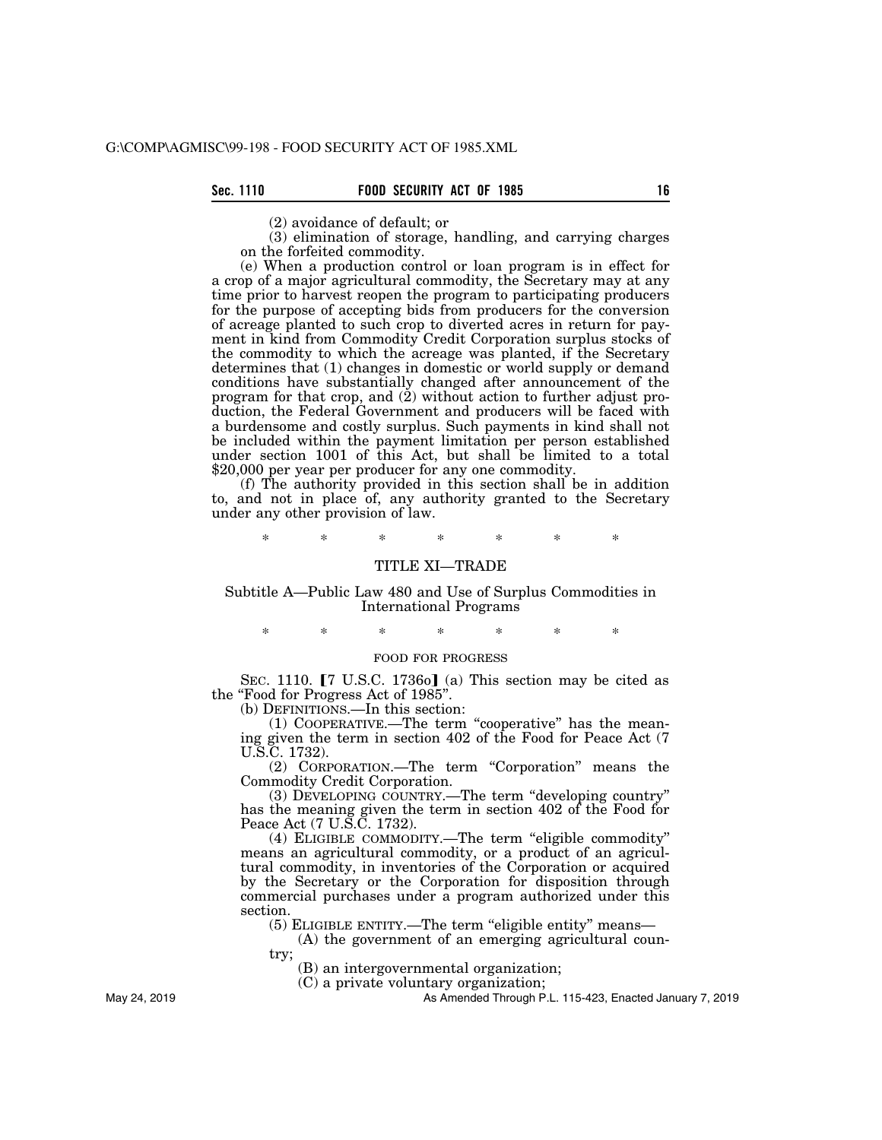(2) avoidance of default; or

(3) elimination of storage, handling, and carrying charges on the forfeited commodity.

(e) When a production control or loan program is in effect for a crop of a major agricultural commodity, the Secretary may at any time prior to harvest reopen the program to participating producers for the purpose of accepting bids from producers for the conversion of acreage planted to such crop to diverted acres in return for payment in kind from Commodity Credit Corporation surplus stocks of the commodity to which the acreage was planted, if the Secretary determines that (1) changes in domestic or world supply or demand conditions have substantially changed after announcement of the program for that crop, and  $(2)$  without action to further adjust production, the Federal Government and producers will be faced with a burdensome and costly surplus. Such payments in kind shall not be included within the payment limitation per person established under section 1001 of this Act, but shall be limited to a total \$20,000 per year per producer for any one commodity.

(f) The authority provided in this section shall be in addition to, and not in place of, any authority granted to the Secretary under any other provision of law.

\* \* \* \* \* \* \*

## TITLE XI—TRADE

Subtitle A—Public Law 480 and Use of Surplus Commodities in International Programs

\* \* \* \* \* \* \*

## FOOD FOR PROGRESS

SEC. 1110.  $[7 \text{ U.S.C. } 1736 \text{o}]$  (a) This section may be cited as the ''Food for Progress Act of 1985''.

(b) DEFINITIONS.—In this section:

(1) COOPERATIVE.—The term ''cooperative'' has the meaning given the term in section 402 of the Food for Peace Act (7 U.S.C. 1732).

(2) CORPORATION.—The term "Corporation" means the Commodity Credit Corporation.

(3) DEVELOPING COUNTRY.—The term ''developing country'' has the meaning given the term in section 402 of the Food for Peace Act (7 U.S.C. 1732).

(4) ELIGIBLE COMMODITY.—The term ''eligible commodity'' means an agricultural commodity, or a product of an agricultural commodity, in inventories of the Corporation or acquired by the Secretary or the Corporation for disposition through commercial purchases under a program authorized under this section.

(5) ELIGIBLE ENTITY.—The term ''eligible entity'' means—

(A) the government of an emerging agricultural country;

(B) an intergovernmental organization;

(C) a private voluntary organization;

As Amended Through P.L. 115-423, Enacted January 7, 2019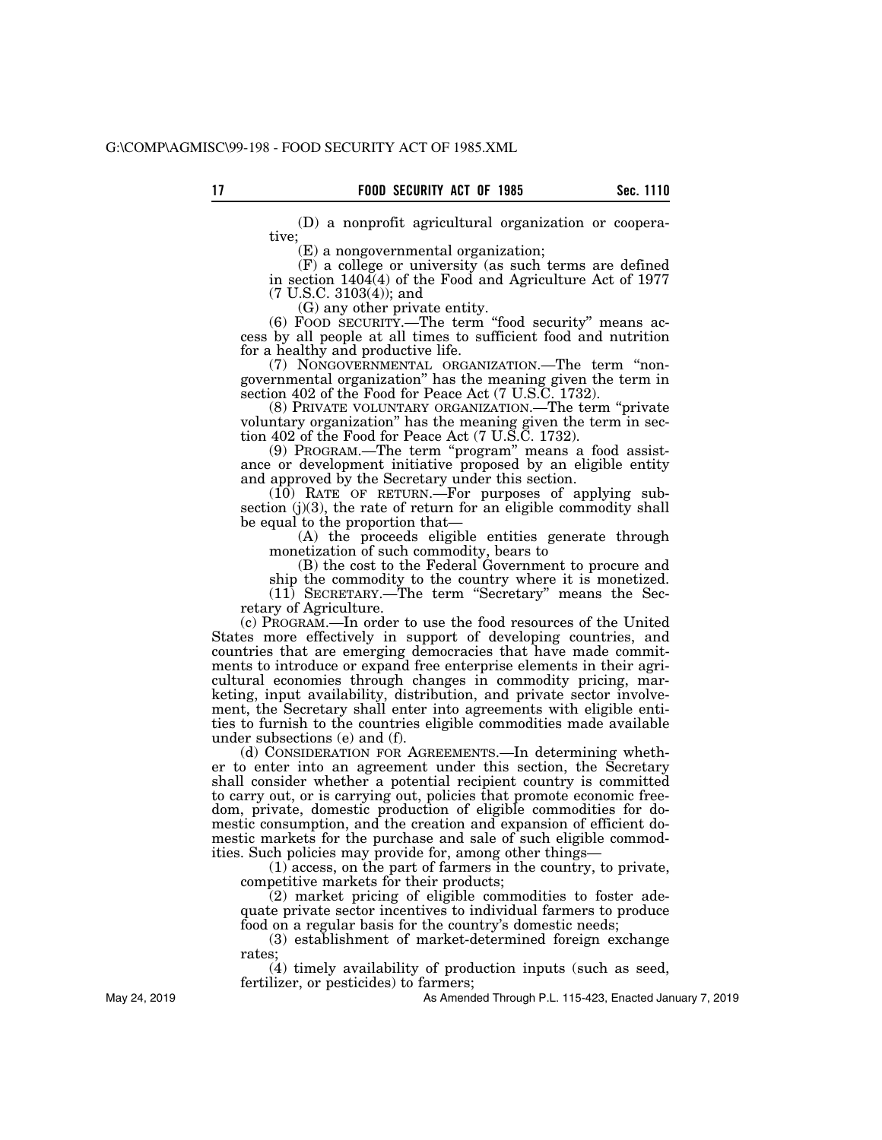(D) a nonprofit agricultural organization or cooperative;

(E) a nongovernmental organization;

(F) a college or university (as such terms are defined in section 1404(4) of the Food and Agriculture Act of 1977 (7 U.S.C. 3103(4)); and

(G) any other private entity.

(6) FOOD SECURITY.—The term ''food security'' means access by all people at all times to sufficient food and nutrition for a healthy and productive life.

(7) NONGOVERNMENTAL ORGANIZATION.—The term ''nongovernmental organization'' has the meaning given the term in section 402 of the Food for Peace Act (7 U.S.C. 1732).

(8) PRIVATE VOLUNTARY ORGANIZATION.—The term ''private voluntary organization'' has the meaning given the term in section 402 of the Food for Peace Act (7 U.S.C. 1732).

(9) PROGRAM.—The term ''program'' means a food assistance or development initiative proposed by an eligible entity and approved by the Secretary under this section.

(10) RATE OF RETURN.—For purposes of applying subsection (j)(3), the rate of return for an eligible commodity shall be equal to the proportion that—

(A) the proceeds eligible entities generate through monetization of such commodity, bears to

(B) the cost to the Federal Government to procure and ship the commodity to the country where it is monetized.

(11) SECRETARY.—The term ''Secretary'' means the Secretary of Agriculture.

(c) PROGRAM.—In order to use the food resources of the United States more effectively in support of developing countries, and countries that are emerging democracies that have made commitments to introduce or expand free enterprise elements in their agricultural economies through changes in commodity pricing, marketing, input availability, distribution, and private sector involvement, the Secretary shall enter into agreements with eligible entities to furnish to the countries eligible commodities made available under subsections (e) and (f).

(d) CONSIDERATION FOR AGREEMENTS.—In determining whether to enter into an agreement under this section, the Secretary shall consider whether a potential recipient country is committed to carry out, or is carrying out, policies that promote economic freedom, private, domestic production of eligible commodities for domestic consumption, and the creation and expansion of efficient domestic markets for the purchase and sale of such eligible commodities. Such policies may provide for, among other things—

(1) access, on the part of farmers in the country, to private, competitive markets for their products;

(2) market pricing of eligible commodities to foster adequate private sector incentives to individual farmers to produce food on a regular basis for the country's domestic needs;

(3) establishment of market-determined foreign exchange rates;

(4) timely availability of production inputs (such as seed, fertilizer, or pesticides) to farmers;

As Amended Through P.L. 115-423, Enacted January 7, 2019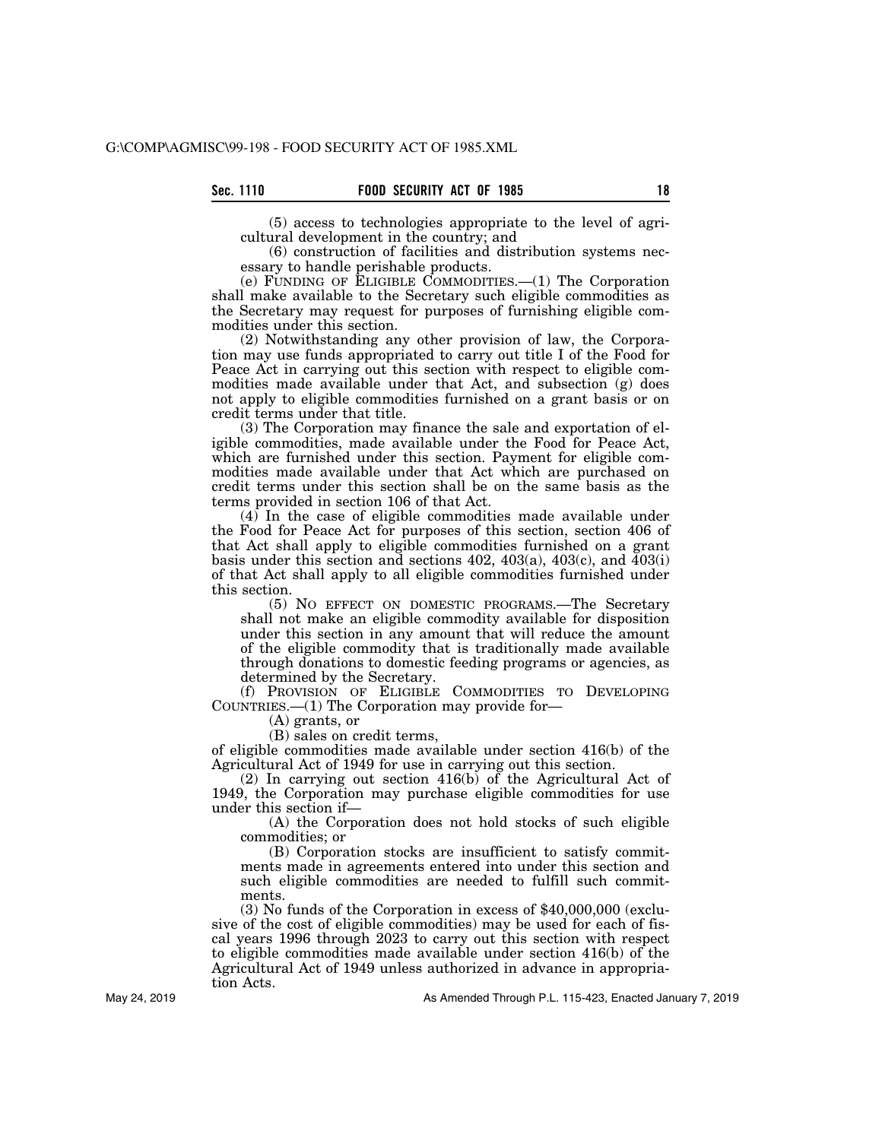(5) access to technologies appropriate to the level of agricultural development in the country; and

(6) construction of facilities and distribution systems necessary to handle perishable products.

(e) FUNDING OF ELIGIBLE COMMODITIES.—(1) The Corporation shall make available to the Secretary such eligible commodities as the Secretary may request for purposes of furnishing eligible commodities under this section.

(2) Notwithstanding any other provision of law, the Corporation may use funds appropriated to carry out title I of the Food for Peace Act in carrying out this section with respect to eligible commodities made available under that Act, and subsection (g) does not apply to eligible commodities furnished on a grant basis or on credit terms under that title.

(3) The Corporation may finance the sale and exportation of eligible commodities, made available under the Food for Peace Act, which are furnished under this section. Payment for eligible commodities made available under that Act which are purchased on credit terms under this section shall be on the same basis as the terms provided in section 106 of that Act.

(4) In the case of eligible commodities made available under the Food for Peace Act for purposes of this section, section 406 of that Act shall apply to eligible commodities furnished on a grant basis under this section and sections 402, 403(a), 403(c), and  $\overline{4}03(i)$ of that Act shall apply to all eligible commodities furnished under this section.

(5) NO EFFECT ON DOMESTIC PROGRAMS.—The Secretary shall not make an eligible commodity available for disposition under this section in any amount that will reduce the amount of the eligible commodity that is traditionally made available through donations to domestic feeding programs or agencies, as determined by the Secretary.

(f) PROVISION OF ELIGIBLE COMMODITIES TO DEVELOPING COUNTRIES.—(1) The Corporation may provide for—

(A) grants, or

(B) sales on credit terms,

of eligible commodities made available under section 416(b) of the Agricultural Act of 1949 for use in carrying out this section.

(2) In carrying out section 416(b) of the Agricultural Act of 1949, the Corporation may purchase eligible commodities for use under this section if—

(A) the Corporation does not hold stocks of such eligible commodities; or

(B) Corporation stocks are insufficient to satisfy commitments made in agreements entered into under this section and such eligible commodities are needed to fulfill such commitments.

(3) No funds of the Corporation in excess of \$40,000,000 (exclusive of the cost of eligible commodities) may be used for each of fiscal years 1996 through 2023 to carry out this section with respect to eligible commodities made available under section 416(b) of the Agricultural Act of 1949 unless authorized in advance in appropriation Acts.

May 24, 2019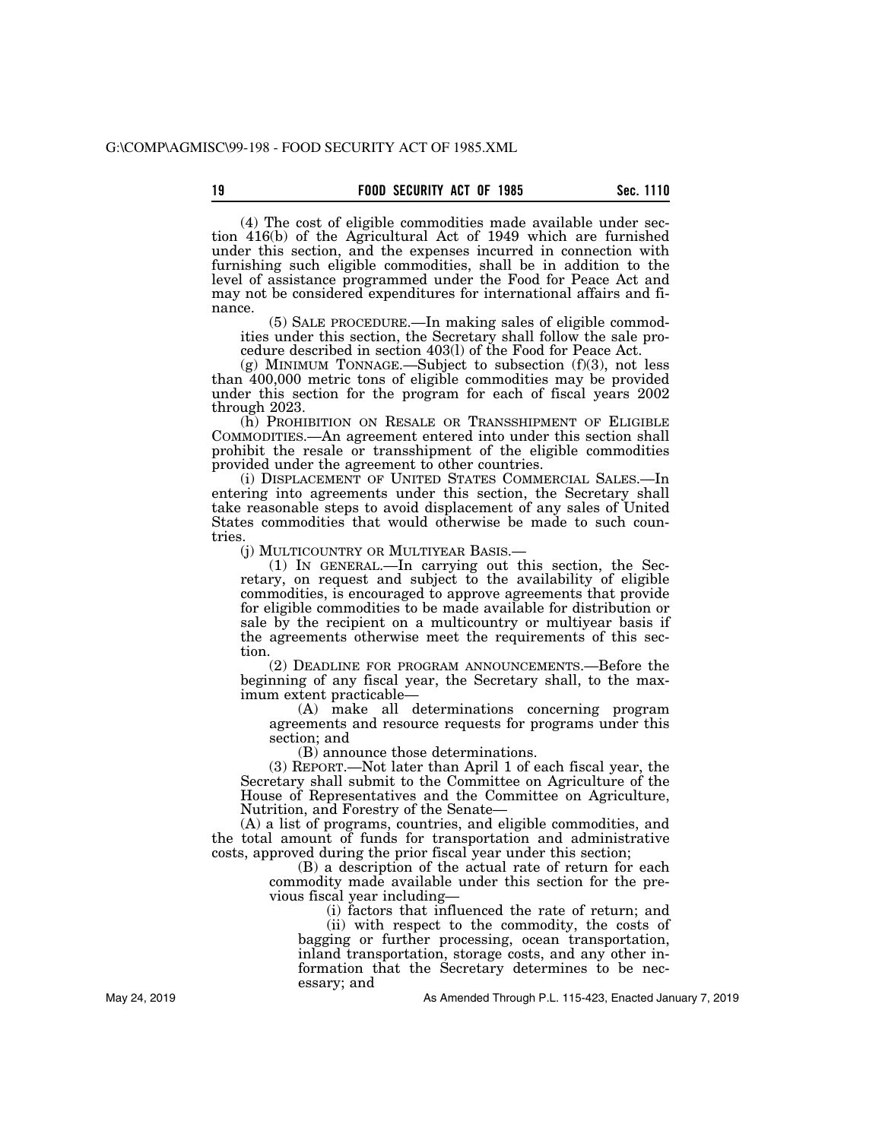(4) The cost of eligible commodities made available under section 416(b) of the Agricultural Act of 1949 which are furnished under this section, and the expenses incurred in connection with furnishing such eligible commodities, shall be in addition to the level of assistance programmed under the Food for Peace Act and may not be considered expenditures for international affairs and finance.

(5) SALE PROCEDURE.—In making sales of eligible commodities under this section, the Secretary shall follow the sale procedure described in section 403(l) of the Food for Peace Act.

(g) MINIMUM TONNAGE.—Subject to subsection (f)(3), not less than 400,000 metric tons of eligible commodities may be provided under this section for the program for each of fiscal years 2002 through 2023.

(h) PROHIBITION ON RESALE OR TRANSSHIPMENT OF ELIGIBLE COMMODITIES.—An agreement entered into under this section shall prohibit the resale or transshipment of the eligible commodities provided under the agreement to other countries.

(i) DISPLACEMENT OF UNITED STATES COMMERCIAL SALES.—In entering into agreements under this section, the Secretary shall take reasonable steps to avoid displacement of any sales of United States commodities that would otherwise be made to such countries.

(j) MULTICOUNTRY OR MULTIYEAR BASIS.— (1) IN GENERAL.—In carrying out this section, the Secretary, on request and subject to the availability of eligible commodities, is encouraged to approve agreements that provide for eligible commodities to be made available for distribution or sale by the recipient on a multicountry or multiyear basis if the agreements otherwise meet the requirements of this section.

(2) DEADLINE FOR PROGRAM ANNOUNCEMENTS.—Before the beginning of any fiscal year, the Secretary shall, to the maximum extent practicable—

(A) make all determinations concerning program agreements and resource requests for programs under this section; and

(B) announce those determinations.

(3) REPORT.—Not later than April 1 of each fiscal year, the Secretary shall submit to the Committee on Agriculture of the House of Representatives and the Committee on Agriculture, Nutrition, and Forestry of the Senate—

(A) a list of programs, countries, and eligible commodities, and the total amount of funds for transportation and administrative costs, approved during the prior fiscal year under this section;

(B) a description of the actual rate of return for each commodity made available under this section for the previous fiscal year including—

> (i) factors that influenced the rate of return; and (ii) with respect to the commodity, the costs of

bagging or further processing, ocean transportation, inland transportation, storage costs, and any other information that the Secretary determines to be necessary; and

As Amended Through P.L. 115-423, Enacted January 7, 2019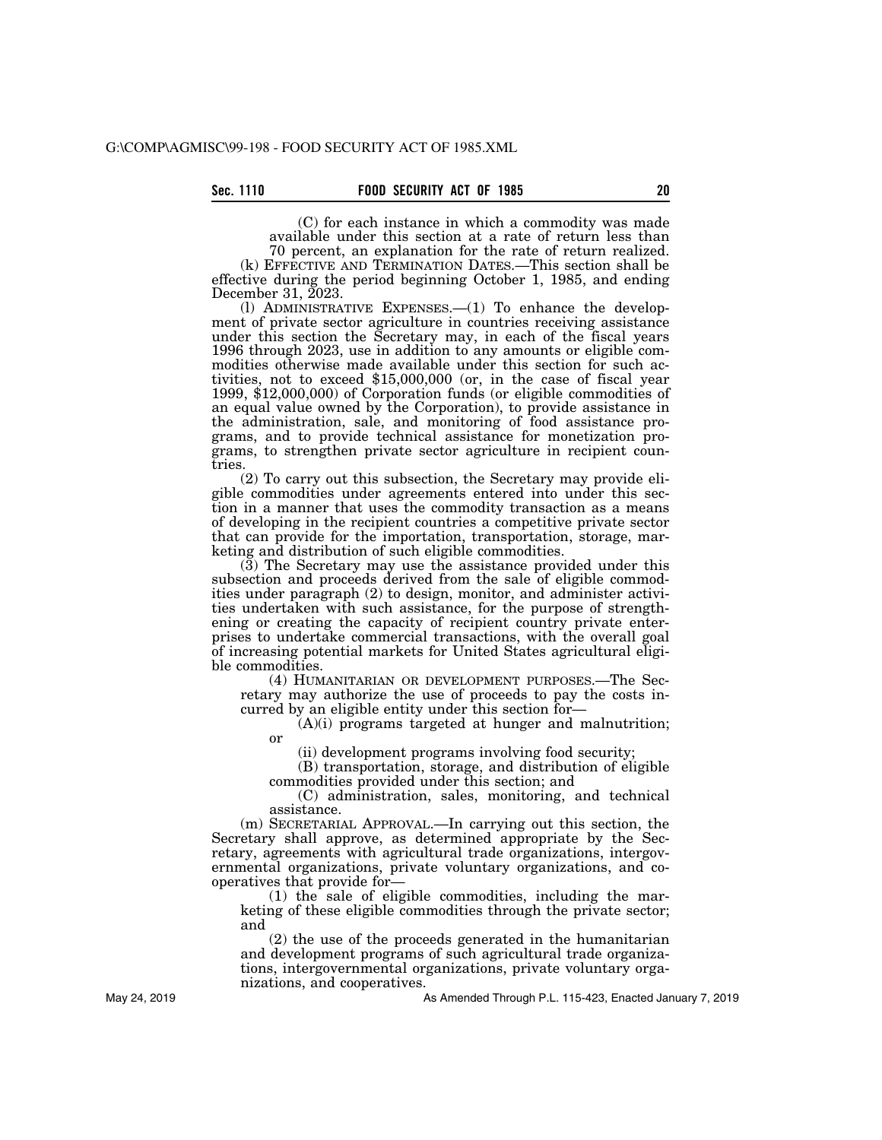(C) for each instance in which a commodity was made available under this section at a rate of return less than 70 percent, an explanation for the rate of return realized.

(k) EFFECTIVE AND TERMINATION DATES.—This section shall be effective during the period beginning October 1, 1985, and ending December 31,  $\tilde{20}$ 23.

(l) ADMINISTRATIVE EXPENSES.—(1) To enhance the development of private sector agriculture in countries receiving assistance under this section the Secretary may, in each of the fiscal years 1996 through 2023, use in addition to any amounts or eligible commodities otherwise made available under this section for such activities, not to exceed \$15,000,000 (or, in the case of fiscal year 1999, \$12,000,000) of Corporation funds (or eligible commodities of an equal value owned by the Corporation), to provide assistance in the administration, sale, and monitoring of food assistance programs, and to provide technical assistance for monetization programs, to strengthen private sector agriculture in recipient countries.

(2) To carry out this subsection, the Secretary may provide eligible commodities under agreements entered into under this section in a manner that uses the commodity transaction as a means of developing in the recipient countries a competitive private sector that can provide for the importation, transportation, storage, marketing and distribution of such eligible commodities.

(3) The Secretary may use the assistance provided under this subsection and proceeds derived from the sale of eligible commodities under paragraph (2) to design, monitor, and administer activities undertaken with such assistance, for the purpose of strengthening or creating the capacity of recipient country private enterprises to undertake commercial transactions, with the overall goal of increasing potential markets for United States agricultural eligible commodities.

(4) HUMANITARIAN OR DEVELOPMENT PURPOSES.—The Secretary may authorize the use of proceeds to pay the costs incurred by an eligible entity under this section for—

(A)(i) programs targeted at hunger and malnutrition; or

(ii) development programs involving food security;

(B) transportation, storage, and distribution of eligible

commodities provided under this section; and

(C) administration, sales, monitoring, and technical assistance.

(m) SECRETARIAL APPROVAL.—In carrying out this section, the Secretary shall approve, as determined appropriate by the Secretary, agreements with agricultural trade organizations, intergovernmental organizations, private voluntary organizations, and cooperatives that provide for—

(1) the sale of eligible commodities, including the marketing of these eligible commodities through the private sector; and

(2) the use of the proceeds generated in the humanitarian and development programs of such agricultural trade organizations, intergovernmental organizations, private voluntary organizations, and cooperatives.

As Amended Through P.L. 115-423, Enacted January 7, 2019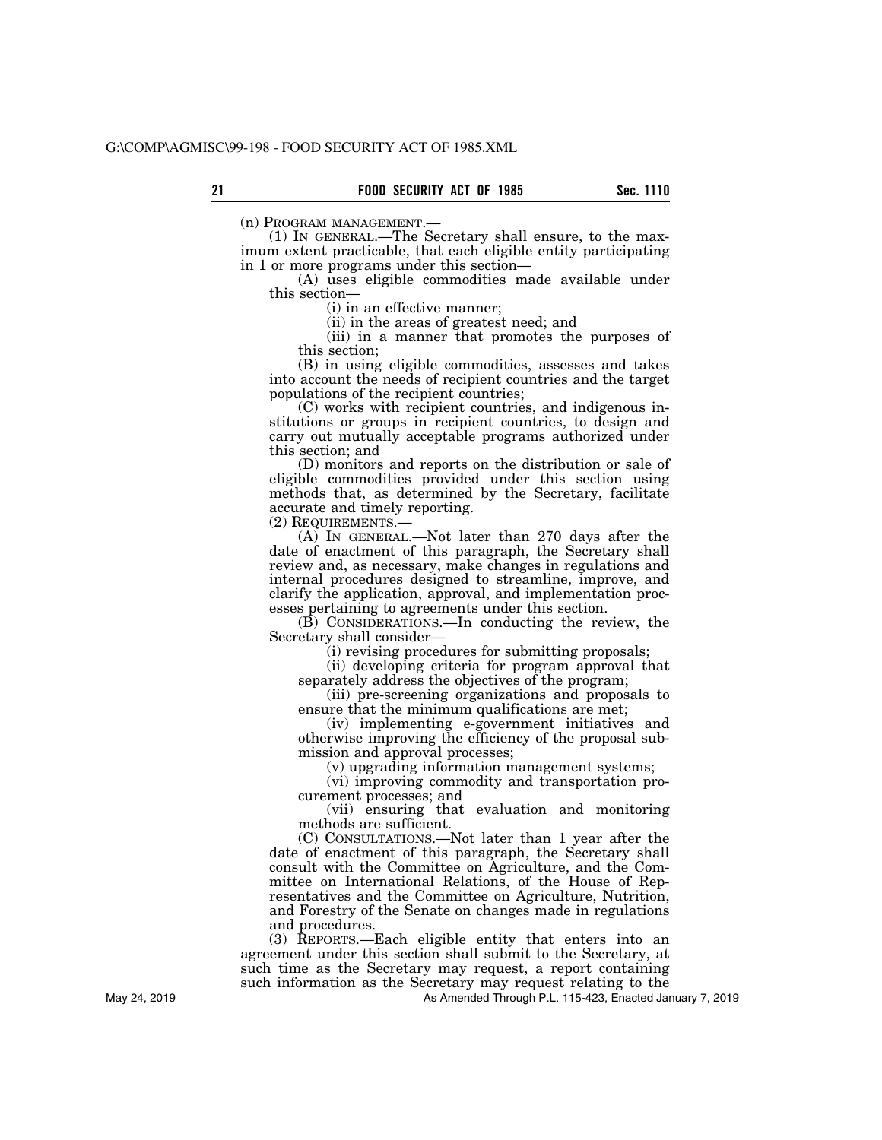(n) PROGRAM MANAGEMENT.— (1) IN GENERAL.—The Secretary shall ensure, to the maximum extent practicable, that each eligible entity participating in 1 or more programs under this section—

(A) uses eligible commodities made available under this section—

(i) in an effective manner;

(ii) in the areas of greatest need; and

(iii) in a manner that promotes the purposes of this section;

(B) in using eligible commodities, assesses and takes into account the needs of recipient countries and the target populations of the recipient countries;

(C) works with recipient countries, and indigenous institutions or groups in recipient countries, to design and carry out mutually acceptable programs authorized under this section; and

(D) monitors and reports on the distribution or sale of eligible commodities provided under this section using methods that, as determined by the Secretary, facilitate accurate and timely reporting.

(2) REQUIREMENTS.— (A) IN GENERAL.—Not later than 270 days after the date of enactment of this paragraph, the Secretary shall review and, as necessary, make changes in regulations and internal procedures designed to streamline, improve, and clarify the application, approval, and implementation processes pertaining to agreements under this section.

(B) CONSIDERATIONS.—In conducting the review, the Secretary shall consider—

(i) revising procedures for submitting proposals;

(ii) developing criteria for program approval that separately address the objectives of the program;

(iii) pre-screening organizations and proposals to ensure that the minimum qualifications are met;

(iv) implementing e-government initiatives and otherwise improving the efficiency of the proposal submission and approval processes;

(v) upgrading information management systems;

(vi) improving commodity and transportation procurement processes; and

(vii) ensuring that evaluation and monitoring methods are sufficient.

(C) CONSULTATIONS.—Not later than 1 year after the date of enactment of this paragraph, the Secretary shall consult with the Committee on Agriculture, and the Committee on International Relations, of the House of Representatives and the Committee on Agriculture, Nutrition, and Forestry of the Senate on changes made in regulations and procedures.

(3) REPORTS.—Each eligible entity that enters into an agreement under this section shall submit to the Secretary, at such time as the Secretary may request, a report containing such information as the Secretary may request relating to the

As Amended Through P.L. 115-423, Enacted January 7, 2019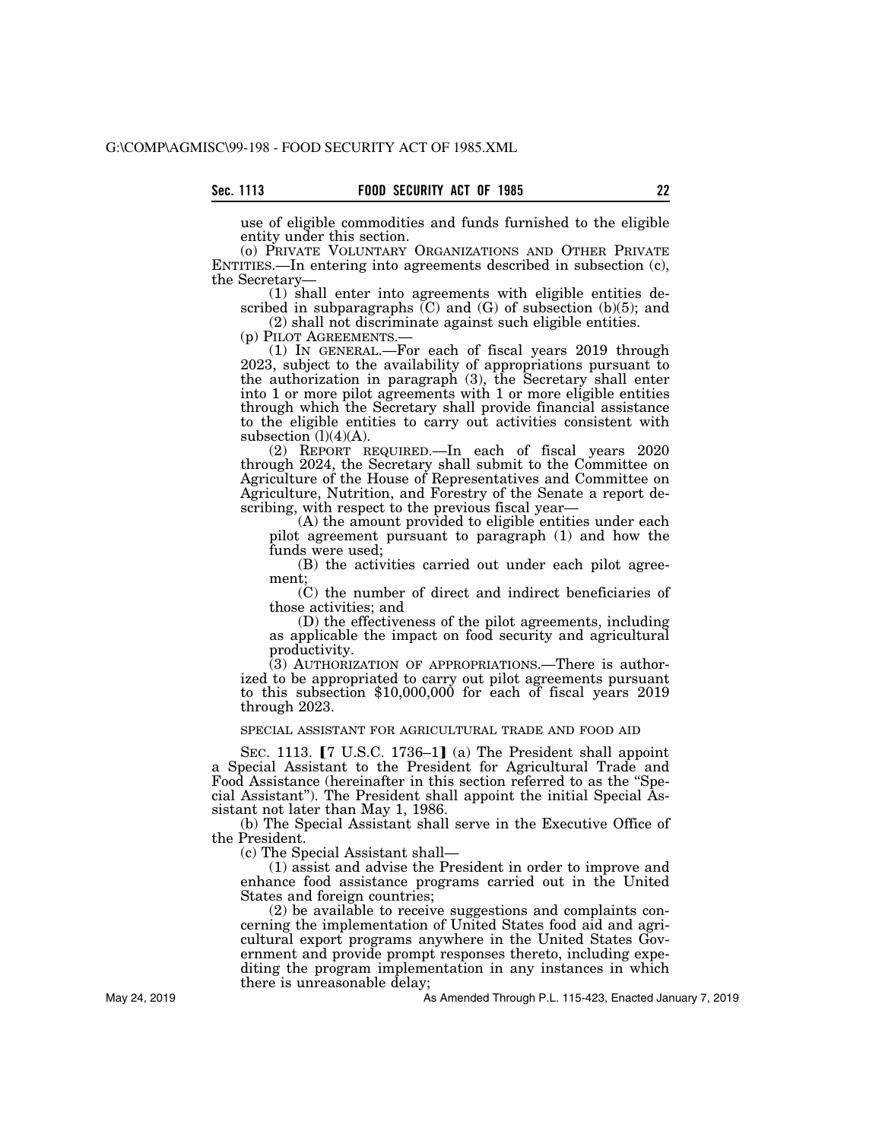use of eligible commodities and funds furnished to the eligible entity under this section.

(o) PRIVATE VOLUNTARY ORGANIZATIONS AND OTHER PRIVATE ENTITIES.—In entering into agreements described in subsection (c), the Secretary—

(1) shall enter into agreements with eligible entities described in subparagraphs  $(C)$  and  $(G)$  of subsection  $(b)(5)$ ; and

(2) shall not discriminate against such eligible entities.

(p) PILOT AGREEMENTS.— (1) IN GENERAL.—For each of fiscal years 2019 through 2023, subject to the availability of appropriations pursuant to the authorization in paragraph (3), the Secretary shall enter into 1 or more pilot agreements with 1 or more eligible entities through which the Secretary shall provide financial assistance to the eligible entities to carry out activities consistent with subsection  $(l)(4)(A)$ .

(2) REPORT REQUIRED.—In each of fiscal years 2020 through 2024, the Secretary shall submit to the Committee on Agriculture of the House of Representatives and Committee on Agriculture, Nutrition, and Forestry of the Senate a report describing, with respect to the previous fiscal year—

(A) the amount provided to eligible entities under each pilot agreement pursuant to paragraph (1) and how the funds were used;

(B) the activities carried out under each pilot agreement;

(C) the number of direct and indirect beneficiaries of those activities; and

(D) the effectiveness of the pilot agreements, including as applicable the impact on food security and agricultural productivity.

(3) AUTHORIZATION OF APPROPRIATIONS.—There is authorized to be appropriated to carry out pilot agreements pursuant to this subsection \$10,000,000 for each of fiscal years 2019 through 2023.

SPECIAL ASSISTANT FOR AGRICULTURAL TRADE AND FOOD AID

SEC. 1113.  $[7 \text{ U.S.C. } 1736-1]$  (a) The President shall appoint a Special Assistant to the President for Agricultural Trade and Food Assistance (hereinafter in this section referred to as the ''Special Assistant''). The President shall appoint the initial Special Assistant not later than May 1, 1986.

(b) The Special Assistant shall serve in the Executive Office of the President.

(c) The Special Assistant shall—

(1) assist and advise the President in order to improve and enhance food assistance programs carried out in the United States and foreign countries;

(2) be available to receive suggestions and complaints concerning the implementation of United States food aid and agricultural export programs anywhere in the United States Government and provide prompt responses thereto, including expediting the program implementation in any instances in which there is unreasonable delay;

As Amended Through P.L. 115-423, Enacted January 7, 2019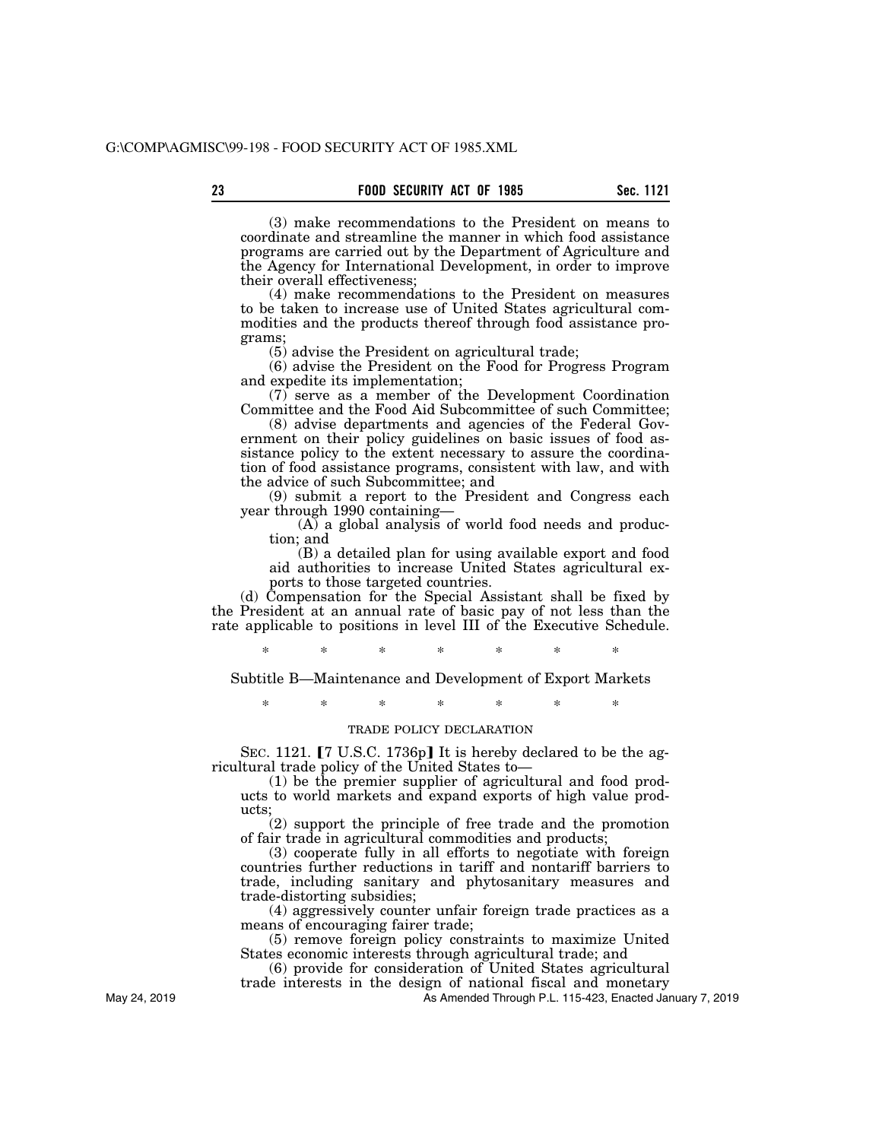(3) make recommendations to the President on means to coordinate and streamline the manner in which food assistance programs are carried out by the Department of Agriculture and the Agency for International Development, in order to improve their overall effectiveness;

(4) make recommendations to the President on measures to be taken to increase use of United States agricultural commodities and the products thereof through food assistance programs;

(5) advise the President on agricultural trade;

(6) advise the President on the Food for Progress Program and expedite its implementation;

(7) serve as a member of the Development Coordination Committee and the Food Aid Subcommittee of such Committee;

(8) advise departments and agencies of the Federal Government on their policy guidelines on basic issues of food assistance policy to the extent necessary to assure the coordination of food assistance programs, consistent with law, and with the advice of such Subcommittee; and

(9) submit a report to the President and Congress each year through 1990 containing—

(A) a global analysis of world food needs and production; and

(B) a detailed plan for using available export and food aid authorities to increase United States agricultural exports to those targeted countries.

(d) Compensation for the Special Assistant shall be fixed by the President at an annual rate of basic pay of not less than the rate applicable to positions in level III of the Executive Schedule.

\* \* \* \* \* \* \*

Subtitle B—Maintenance and Development of Export Markets

\* \* \* \* \* \* \*

# TRADE POLICY DECLARATION

SEC. 1121.  $[7 \text{ U.S.C. } 1736p]$  It is hereby declared to be the agricultural trade policy of the United States to—

(1) be the premier supplier of agricultural and food products to world markets and expand exports of high value products;

(2) support the principle of free trade and the promotion of fair trade in agricultural commodities and products;

(3) cooperate fully in all efforts to negotiate with foreign countries further reductions in tariff and nontariff barriers to trade, including sanitary and phytosanitary measures and trade-distorting subsidies;

(4) aggressively counter unfair foreign trade practices as a means of encouraging fairer trade;

(5) remove foreign policy constraints to maximize United States economic interests through agricultural trade; and

(6) provide for consideration of United States agricultural trade interests in the design of national fiscal and monetary

As Amended Through P.L. 115-423, Enacted January 7, 2019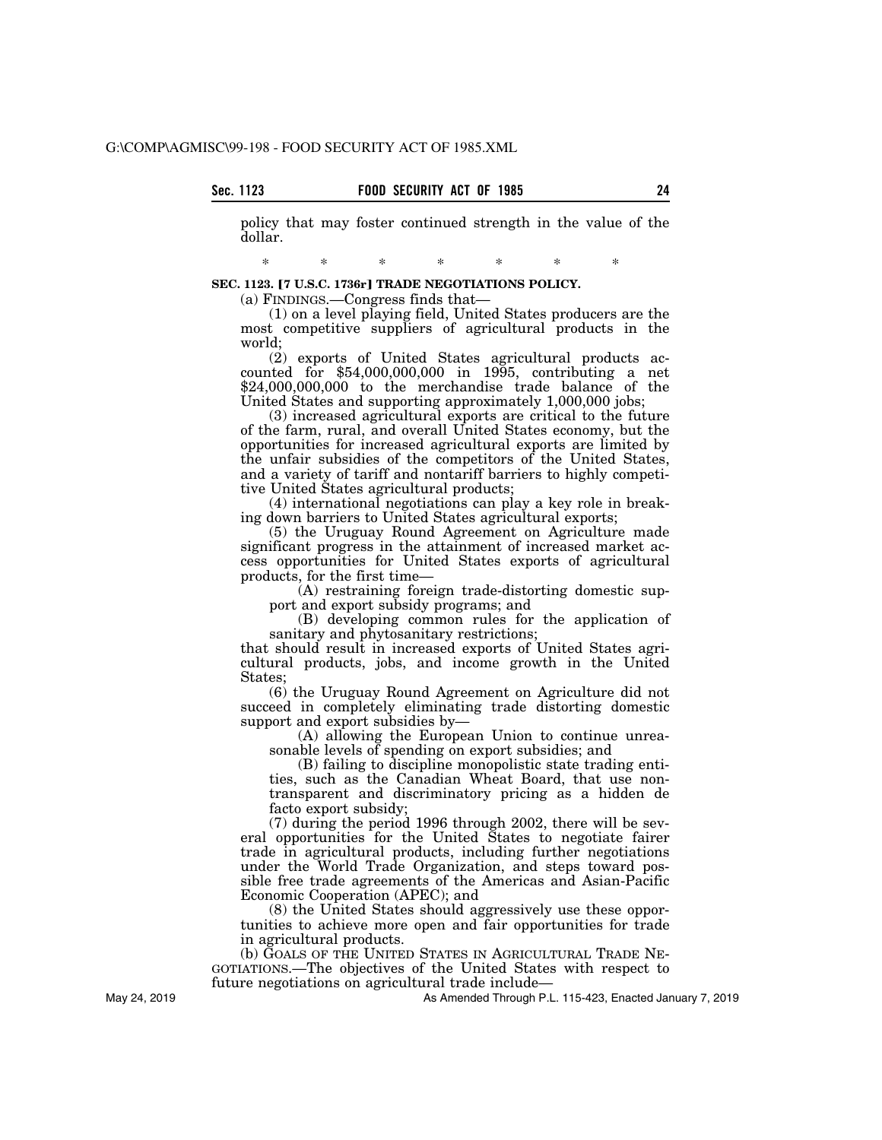policy that may foster continued strength in the value of the dollar.

\* \* \* \* \* \* \*

**SEC. 1123. [7 U.S.C. 1736r] TRADE NEGOTIATIONS POLICY.** 

(a) FINDINGS.—Congress finds that—

(1) on a level playing field, United States producers are the most competitive suppliers of agricultural products in the world;

(2) exports of United States agricultural products accounted for \$54,000,000,000 in 1995, contributing a net \$24,000,000,000 to the merchandise trade balance of the United States and supporting approximately 1,000,000 jobs;

(3) increased agricultural exports are critical to the future of the farm, rural, and overall United States economy, but the opportunities for increased agricultural exports are limited by the unfair subsidies of the competitors of the United States, and a variety of tariff and nontariff barriers to highly competitive United States agricultural products;

(4) international negotiations can play a key role in breaking down barriers to United States agricultural exports;

(5) the Uruguay Round Agreement on Agriculture made significant progress in the attainment of increased market access opportunities for United States exports of agricultural products, for the first time—

(A) restraining foreign trade-distorting domestic support and export subsidy programs; and

(B) developing common rules for the application of sanitary and phytosanitary restrictions;

that should result in increased exports of United States agricultural products, jobs, and income growth in the United States;

(6) the Uruguay Round Agreement on Agriculture did not succeed in completely eliminating trade distorting domestic support and export subsidies by—

(A) allowing the European Union to continue unreasonable levels of spending on export subsidies; and

(B) failing to discipline monopolistic state trading entities, such as the Canadian Wheat Board, that use nontransparent and discriminatory pricing as a hidden de facto export subsidy;

(7) during the period 1996 through 2002, there will be several opportunities for the United States to negotiate fairer trade in agricultural products, including further negotiations under the World Trade Organization, and steps toward possible free trade agreements of the Americas and Asian-Pacific Economic Cooperation (APEC); and

(8) the United States should aggressively use these opportunities to achieve more open and fair opportunities for trade in agricultural products.

(b) GOALS OF THE UNITED STATES IN AGRICULTURAL TRADE NE-GOTIATIONS.—The objectives of the United States with respect to future negotiations on agricultural trade include—

As Amended Through P.L. 115-423, Enacted January 7, 2019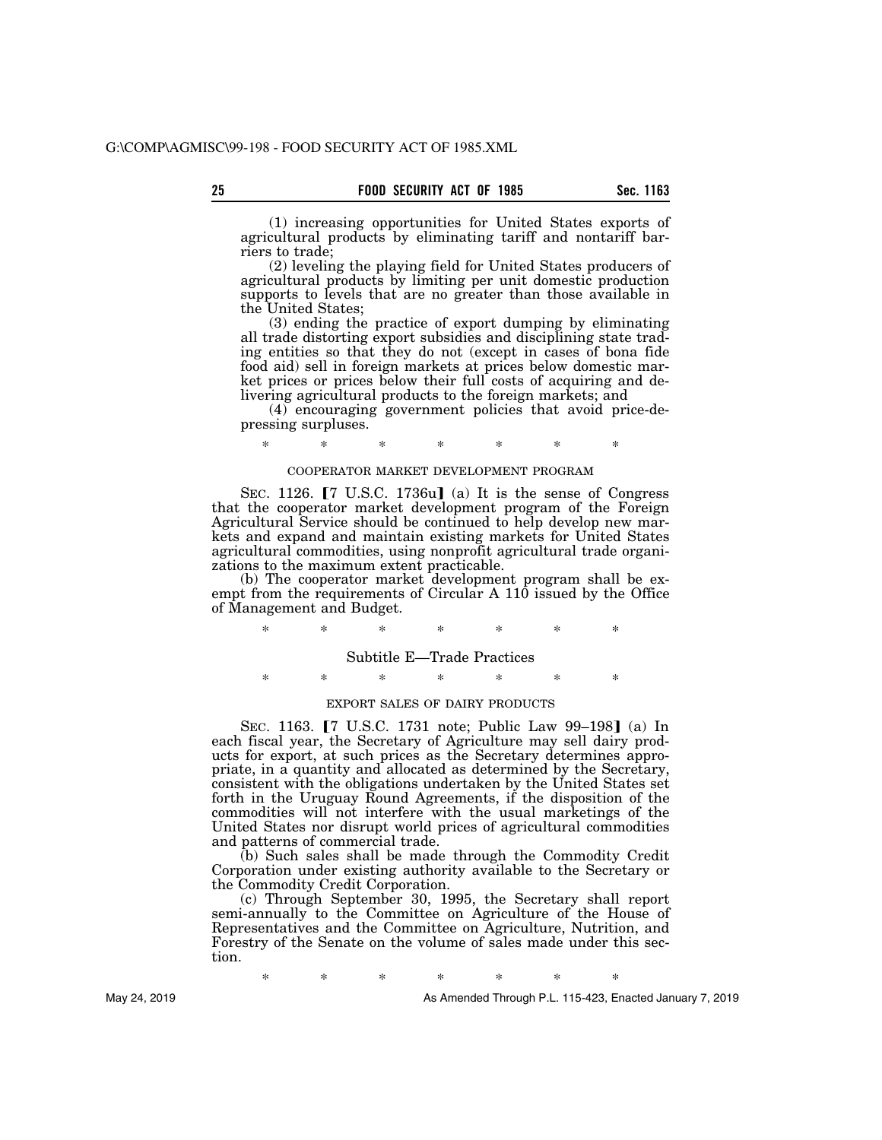(1) increasing opportunities for United States exports of agricultural products by eliminating tariff and nontariff barriers to trade;

(2) leveling the playing field for United States producers of agricultural products by limiting per unit domestic production supports to levels that are no greater than those available in the United States;

(3) ending the practice of export dumping by eliminating all trade distorting export subsidies and disciplining state trading entities so that they do not (except in cases of bona fide food aid) sell in foreign markets at prices below domestic market prices or prices below their full costs of acquiring and delivering agricultural products to the foreign markets; and

(4) encouraging government policies that avoid price-depressing surpluses.

\* \* \* \* \* \* \*

## COOPERATOR MARKET DEVELOPMENT PROGRAM

SEC. 1126.  $\lceil 7 \rceil$  U.S.C. 1736u] (a) It is the sense of Congress that the cooperator market development program of the Foreign Agricultural Service should be continued to help develop new markets and expand and maintain existing markets for United States agricultural commodities, using nonprofit agricultural trade organizations to the maximum extent practicable.

(b) The cooperator market development program shall be exempt from the requirements of Circular A 110 issued by the Office of Management and Budget.

\* \* \* \* \* \* \*

Subtitle E—Trade Practices

\* \* \* \* \* \* \*

## EXPORT SALES OF DAIRY PRODUCTS

SEC. 1163. **[7 U.S.C. 1731 note; Public Law 99–198]** (a) In each fiscal year, the Secretary of Agriculture may sell dairy products for export, at such prices as the Secretary determines appropriate, in a quantity and allocated as determined by the Secretary, consistent with the obligations undertaken by the United States set forth in the Uruguay Round Agreements, if the disposition of the commodities will not interfere with the usual marketings of the United States nor disrupt world prices of agricultural commodities and patterns of commercial trade.

(b) Such sales shall be made through the Commodity Credit Corporation under existing authority available to the Secretary or the Commodity Credit Corporation.

(c) Through September 30, 1995, the Secretary shall report semi-annually to the Committee on Agriculture of the House of Representatives and the Committee on Agriculture, Nutrition, and Forestry of the Senate on the volume of sales made under this section.

\* \* \* \* \* \* \*

As Amended Through P.L. 115-423, Enacted January 7, 2019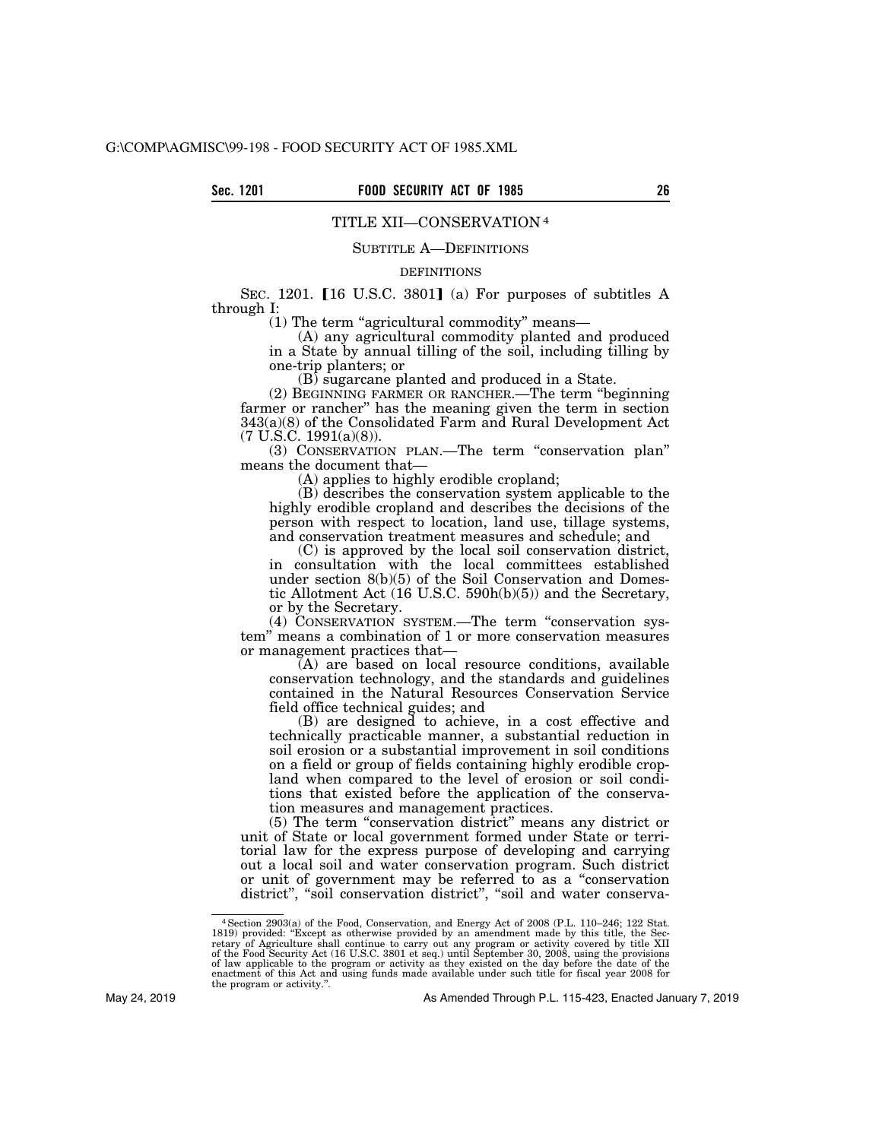# TITLE XII—CONSERVATION 4

## SUBTITLE A—DEFINITIONS

# DEFINITIONS

SEC. 1201.  $[16 \text{ U.S.C. } 3801]$  (a) For purposes of subtitles A through I:

(1) The term ''agricultural commodity'' means—

(A) any agricultural commodity planted and produced in a State by annual tilling of the soil, including tilling by one-trip planters; or

(B) sugarcane planted and produced in a State.

(2) BEGINNING FARMER OR RANCHER.—The term ''beginning farmer or rancher'' has the meaning given the term in section 343(a)(8) of the Consolidated Farm and Rural Development Act (7 U.S.C. 1991(a)(8)).

(3) CONSERVATION PLAN.—The term ''conservation plan'' means the document that—

(A) applies to highly erodible cropland;

(B) describes the conservation system applicable to the highly erodible cropland and describes the decisions of the person with respect to location, land use, tillage systems, and conservation treatment measures and schedule; and

(C) is approved by the local soil conservation district, in consultation with the local committees established under section 8(b)(5) of the Soil Conservation and Domestic Allotment Act (16 U.S.C. 590h(b)(5)) and the Secretary, or by the Secretary.

(4) CONSERVATION SYSTEM.—The term ''conservation system'' means a combination of 1 or more conservation measures or management practices that—

(A) are based on local resource conditions, available conservation technology, and the standards and guidelines contained in the Natural Resources Conservation Service field office technical guides; and

(B) are designed to achieve, in a cost effective and technically practicable manner, a substantial reduction in soil erosion or a substantial improvement in soil conditions on a field or group of fields containing highly erodible cropland when compared to the level of erosion or soil conditions that existed before the application of the conservation measures and management practices.

(5) The term ''conservation district'' means any district or unit of State or local government formed under State or territorial law for the express purpose of developing and carrying out a local soil and water conservation program. Such district or unit of government may be referred to as a ''conservation district", "soil conservation district", "soil and water conserva-

<sup>&</sup>lt;sup>4</sup> Section 2903(a) of the Food, Conservation, and Energy Act of 2008 (P.L. 110–246; 122 Stat. 1819) provided: "Except as otherwise provided by an amendment made by this title, the Secretary of Agriculture shall continue the program or activity.''.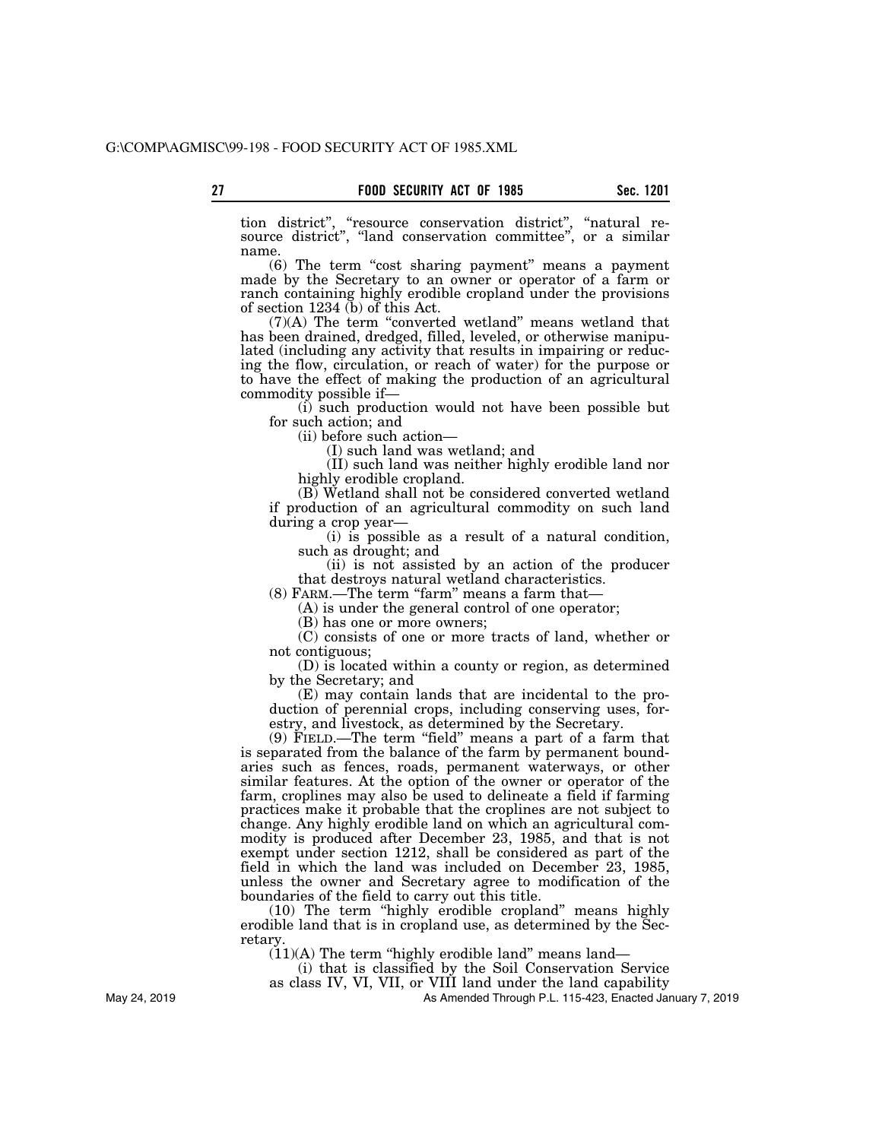tion district'', ''resource conservation district'', ''natural resource district", "land conservation committee", or a similar name.

(6) The term ''cost sharing payment'' means a payment made by the Secretary to an owner or operator of a farm or ranch containing highly erodible cropland under the provisions of section 1234 (b) of this Act.

(7)(A) The term ''converted wetland'' means wetland that has been drained, dredged, filled, leveled, or otherwise manipulated (including any activity that results in impairing or reducing the flow, circulation, or reach of water) for the purpose or to have the effect of making the production of an agricultural commodity possible if—

(i) such production would not have been possible but for such action; and

(ii) before such action—

(I) such land was wetland; and

(II) such land was neither highly erodible land nor highly erodible cropland.

(B) Wetland shall not be considered converted wetland if production of an agricultural commodity on such land during a crop year—

(i) is possible as a result of a natural condition, such as drought; and

(ii) is not assisted by an action of the producer that destroys natural wetland characteristics.

(8) FARM.—The term "farm" means a farm that—

(A) is under the general control of one operator;

(B) has one or more owners;

(C) consists of one or more tracts of land, whether or not contiguous;

(D) is located within a county or region, as determined by the Secretary; and

(E) may contain lands that are incidental to the production of perennial crops, including conserving uses, forestry, and livestock, as determined by the Secretary.

(9) FIELD.—The term ''field'' means a part of a farm that is separated from the balance of the farm by permanent boundaries such as fences, roads, permanent waterways, or other similar features. At the option of the owner or operator of the farm, croplines may also be used to delineate a field if farming practices make it probable that the croplines are not subject to change. Any highly erodible land on which an agricultural commodity is produced after December 23, 1985, and that is not exempt under section 1212, shall be considered as part of the field in which the land was included on December 23, 1985, unless the owner and Secretary agree to modification of the boundaries of the field to carry out this title.

(10) The term ''highly erodible cropland'' means highly erodible land that is in cropland use, as determined by the Secretary.

 $(11)(A)$  The term "highly erodible land" means land—

(i) that is classified by the Soil Conservation Service

as class IV, VI, VII, or VIII land under the land capability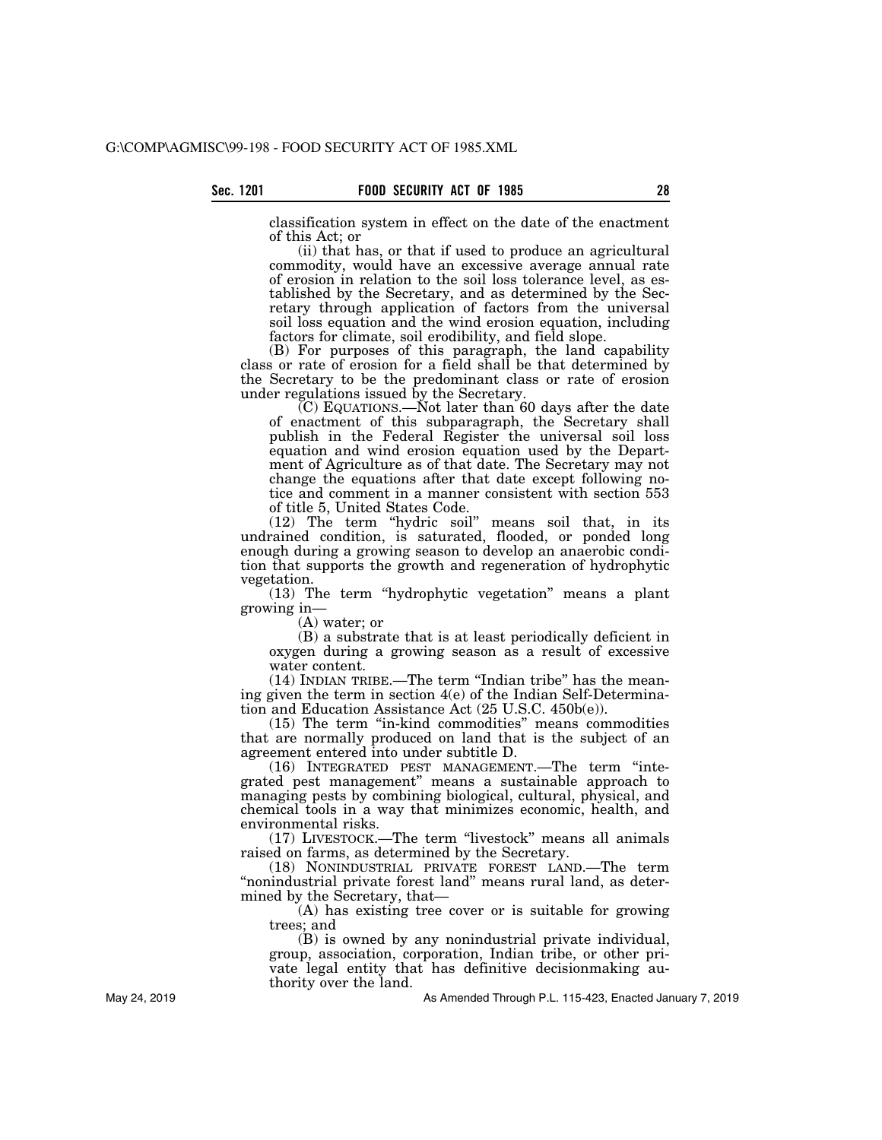classification system in effect on the date of the enactment of this Act; or

(ii) that has, or that if used to produce an agricultural commodity, would have an excessive average annual rate of erosion in relation to the soil loss tolerance level, as established by the Secretary, and as determined by the Secretary through application of factors from the universal soil loss equation and the wind erosion equation, including factors for climate, soil erodibility, and field slope.

(B) For purposes of this paragraph, the land capability class or rate of erosion for a field shall be that determined by the Secretary to be the predominant class or rate of erosion under regulations issued by the Secretary.

 $(C)$  EQUATIONS.—Not later than 60 days after the date of enactment of this subparagraph, the Secretary shall publish in the Federal Register the universal soil loss equation and wind erosion equation used by the Department of Agriculture as of that date. The Secretary may not change the equations after that date except following notice and comment in a manner consistent with section 553 of title 5, United States Code.

(12) The term ''hydric soil'' means soil that, in its undrained condition, is saturated, flooded, or ponded long enough during a growing season to develop an anaerobic condition that supports the growth and regeneration of hydrophytic vegetation.

(13) The term ''hydrophytic vegetation'' means a plant growing in—

(A) water; or

(B) a substrate that is at least periodically deficient in oxygen during a growing season as a result of excessive water content.

(14) INDIAN TRIBE.—The term ''Indian tribe'' has the meaning given the term in section 4(e) of the Indian Self-Determination and Education Assistance Act (25 U.S.C. 450b(e)).

(15) The term ''in-kind commodities'' means commodities that are normally produced on land that is the subject of an agreement entered into under subtitle D.

(16) INTEGRATED PEST MANAGEMENT.—The term ''integrated pest management'' means a sustainable approach to managing pests by combining biological, cultural, physical, and chemical tools in a way that minimizes economic, health, and environmental risks.

(17) LIVESTOCK.—The term ''livestock'' means all animals raised on farms, as determined by the Secretary.

(18) NONINDUSTRIAL PRIVATE FOREST LAND.—The term "nonindustrial private forest land" means rural land, as determined by the Secretary, that—

(A) has existing tree cover or is suitable for growing trees; and

(B) is owned by any nonindustrial private individual, group, association, corporation, Indian tribe, or other private legal entity that has definitive decisionmaking authority over the land.

As Amended Through P.L. 115-423, Enacted January 7, 2019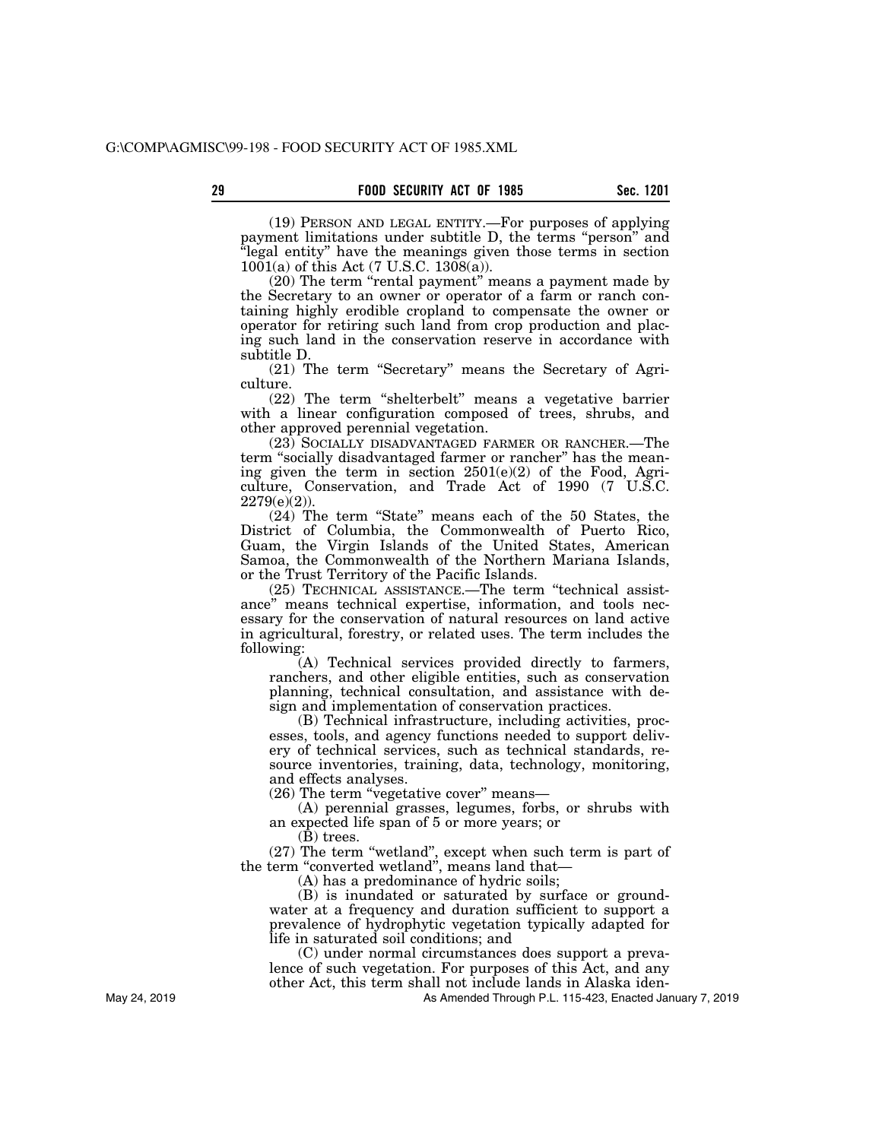(19) PERSON AND LEGAL ENTITY.—For purposes of applying payment limitations under subtitle D, the terms "person" and ''legal entity'' have the meanings given those terms in section  $1001(a)$  of this Act (7 U.S.C.  $1308(a)$ ).

(20) The term "rental payment" means a payment made by the Secretary to an owner or operator of a farm or ranch containing highly erodible cropland to compensate the owner or operator for retiring such land from crop production and placing such land in the conservation reserve in accordance with subtitle D.

(21) The term ''Secretary'' means the Secretary of Agriculture.

(22) The term ''shelterbelt'' means a vegetative barrier with a linear configuration composed of trees, shrubs, and other approved perennial vegetation.

(23) SOCIALLY DISADVANTAGED FARMER OR RANCHER.—The term "socially disadvantaged farmer or rancher" has the meaning given the term in section 2501(e)(2) of the Food, Agriculture, Conservation, and Trade Act of 1990 (7 U.S.C.  $2279(e)(2)$ ).

(24) The term ''State'' means each of the 50 States, the District of Columbia, the Commonwealth of Puerto Rico, Guam, the Virgin Islands of the United States, American Samoa, the Commonwealth of the Northern Mariana Islands, or the Trust Territory of the Pacific Islands.

(25) TECHNICAL ASSISTANCE.—The term ''technical assistance'' means technical expertise, information, and tools necessary for the conservation of natural resources on land active in agricultural, forestry, or related uses. The term includes the following:

(A) Technical services provided directly to farmers, ranchers, and other eligible entities, such as conservation planning, technical consultation, and assistance with design and implementation of conservation practices.

(B) Technical infrastructure, including activities, processes, tools, and agency functions needed to support delivery of technical services, such as technical standards, resource inventories, training, data, technology, monitoring, and effects analyses.

(26) The term ''vegetative cover'' means—

(A) perennial grasses, legumes, forbs, or shrubs with an expected life span of 5 or more years; or

 $(\bar{B})$  trees.

(27) The term ''wetland'', except when such term is part of the term "converted wetland", means land that—

(A) has a predominance of hydric soils;

(B) is inundated or saturated by surface or groundwater at a frequency and duration sufficient to support a prevalence of hydrophytic vegetation typically adapted for life in saturated soil conditions; and

(C) under normal circumstances does support a prevalence of such vegetation. For purposes of this Act, and any other Act, this term shall not include lands in Alaska iden-

As Amended Through P.L. 115-423, Enacted January 7, 2019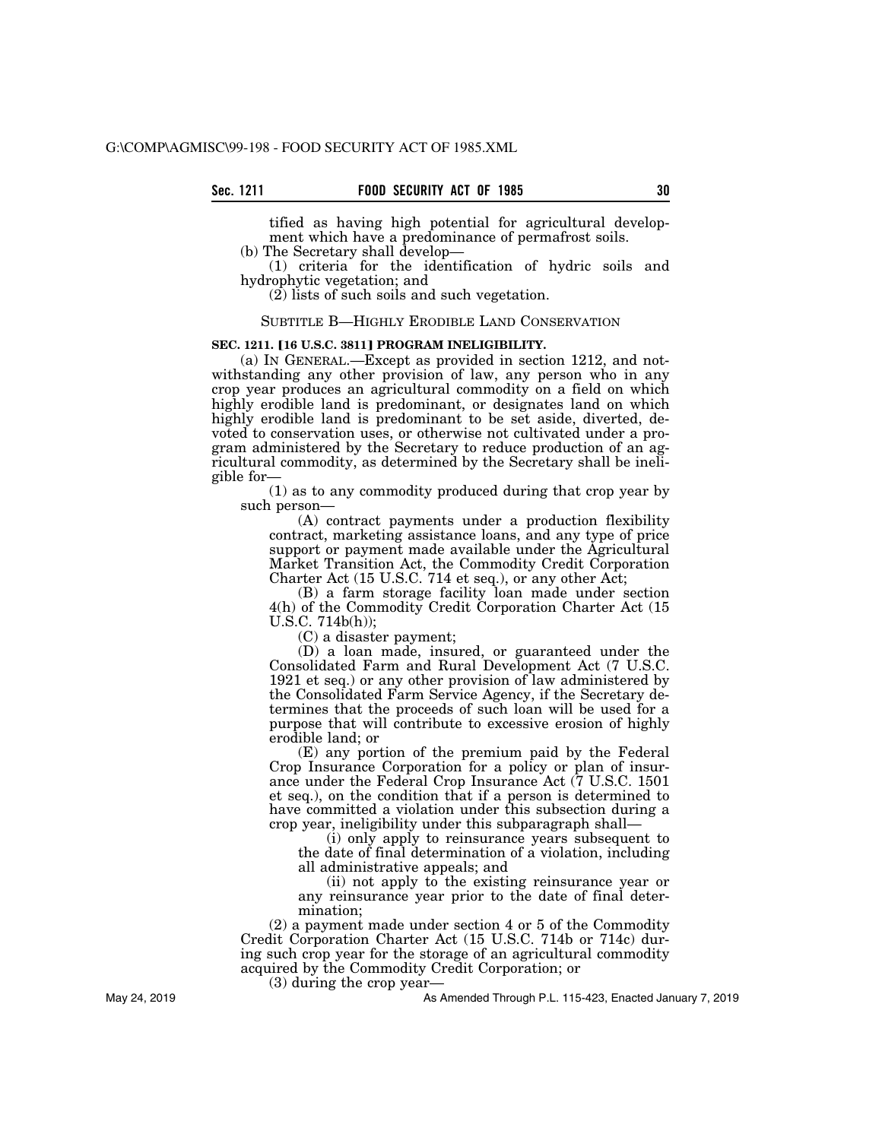tified as having high potential for agricultural development which have a predominance of permafrost soils.

(b) The Secretary shall develop—

(1) criteria for the identification of hydric soils and hydrophytic vegetation; and

(2) lists of such soils and such vegetation.

#### SUBTITLE B—HIGHLY ERODIBLE LAND CONSERVATION

## **SEC. 1211. [16 U.S.C. 3811] PROGRAM INELIGIBILITY.**

(a) IN GENERAL.—Except as provided in section 1212, and notwithstanding any other provision of law, any person who in any crop year produces an agricultural commodity on a field on which highly erodible land is predominant, or designates land on which highly erodible land is predominant to be set aside, diverted, devoted to conservation uses, or otherwise not cultivated under a program administered by the Secretary to reduce production of an agricultural commodity, as determined by the Secretary shall be ineligible for—

(1) as to any commodity produced during that crop year by such person—

(A) contract payments under a production flexibility contract, marketing assistance loans, and any type of price support or payment made available under the Agricultural Market Transition Act, the Commodity Credit Corporation Charter Act (15 U.S.C. 714 et seq.), or any other Act;

(B) a farm storage facility loan made under section 4(h) of the Commodity Credit Corporation Charter Act (15 U.S.C. 714b(h));

(C) a disaster payment;

(D) a loan made, insured, or guaranteed under the Consolidated Farm and Rural Development Act (7 U.S.C. 1921 et seq.) or any other provision of law administered by the Consolidated Farm Service Agency, if the Secretary determines that the proceeds of such loan will be used for a purpose that will contribute to excessive erosion of highly erodible land; or

(E) any portion of the premium paid by the Federal Crop Insurance Corporation for a policy or plan of insurance under the Federal Crop Insurance Act (7 U.S.C. 1501 et seq.), on the condition that if a person is determined to have committed a violation under this subsection during a crop year, ineligibility under this subparagraph shall—

(i) only apply to reinsurance years subsequent to the date of final determination of a violation, including all administrative appeals; and

(ii) not apply to the existing reinsurance year or any reinsurance year prior to the date of final determination;

(2) a payment made under section 4 or 5 of the Commodity Credit Corporation Charter Act (15 U.S.C. 714b or 714c) during such crop year for the storage of an agricultural commodity acquired by the Commodity Credit Corporation; or

(3) during the crop year—

As Amended Through P.L. 115-423, Enacted January 7, 2019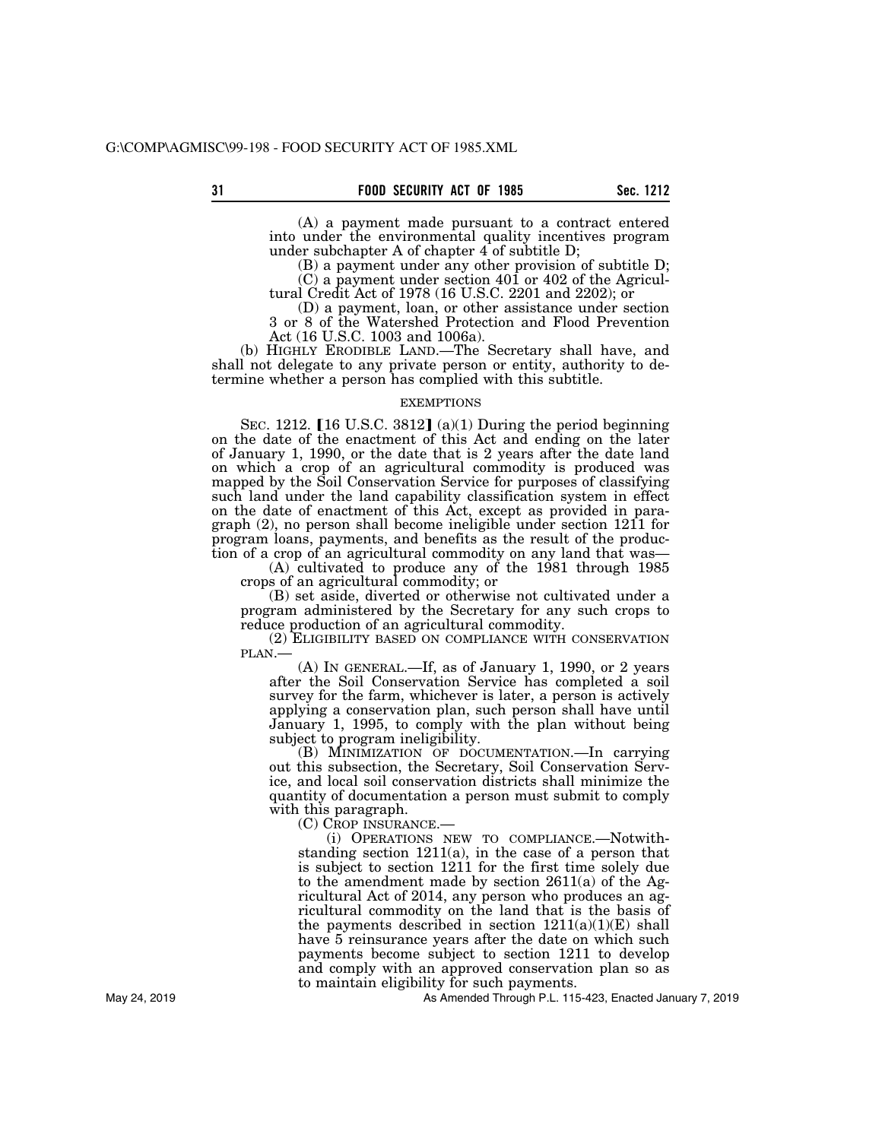(A) a payment made pursuant to a contract entered into under the environmental quality incentives program under subchapter A of chapter 4 of subtitle D;

(B) a payment under any other provision of subtitle D; (C) a payment under section 401 or 402 of the Agricultural Credit Act of 1978 (16 U.S.C. 2201 and 2202); or

(D) a payment, loan, or other assistance under section 3 or 8 of the Watershed Protection and Flood Prevention Act (16 U.S.C. 1003 and 1006a).

(b) HIGHLY ERODIBLE LAND.—The Secretary shall have, and shall not delegate to any private person or entity, authority to determine whether a person has complied with this subtitle.

## EXEMPTIONS

SEC. 1212.  $[16 \text{ U.S.C. } 3812]$  (a)(1) During the period beginning on the date of the enactment of this Act and ending on the later of January 1, 1990, or the date that is 2 years after the date land on which a crop of an agricultural commodity is produced was mapped by the Soil Conservation Service for purposes of classifying such land under the land capability classification system in effect on the date of enactment of this Act, except as provided in paragraph (2), no person shall become ineligible under section 1211 for program loans, payments, and benefits as the result of the production of a crop of an agricultural commodity on any land that was—

(A) cultivated to produce any of the 1981 through 1985 crops of an agricultural commodity; or

(B) set aside, diverted or otherwise not cultivated under a program administered by the Secretary for any such crops to reduce production of an agricultural commodity.

(2) ELIGIBILITY BASED ON COMPLIANCE WITH CONSERVATION PLAN.— (A) IN GENERAL.—If, as of January 1, 1990, or 2 years

after the Soil Conservation Service has completed a soil survey for the farm, whichever is later, a person is actively applying a conservation plan, such person shall have until January 1, 1995, to comply with the plan without being subject to program ineligibility.

(B) MINIMIZATION OF DOCUMENTATION.—In carrying out this subsection, the Secretary, Soil Conservation Service, and local soil conservation districts shall minimize the quantity of documentation a person must submit to comply with this paragraph.

(C) CROP INSURANCE.—

(i) OPERATIONS NEW TO COMPLIANCE.—Notwithstanding section 1211(a), in the case of a person that is subject to section 1211 for the first time solely due to the amendment made by section  $2611(a)$  of the Agricultural Act of 2014, any person who produces an agricultural commodity on the land that is the basis of the payments described in section  $1211(a)(1)(E)$  shall have 5 reinsurance years after the date on which such payments become subject to section 1211 to develop and comply with an approved conservation plan so as to maintain eligibility for such payments.

As Amended Through P.L. 115-423, Enacted January 7, 2019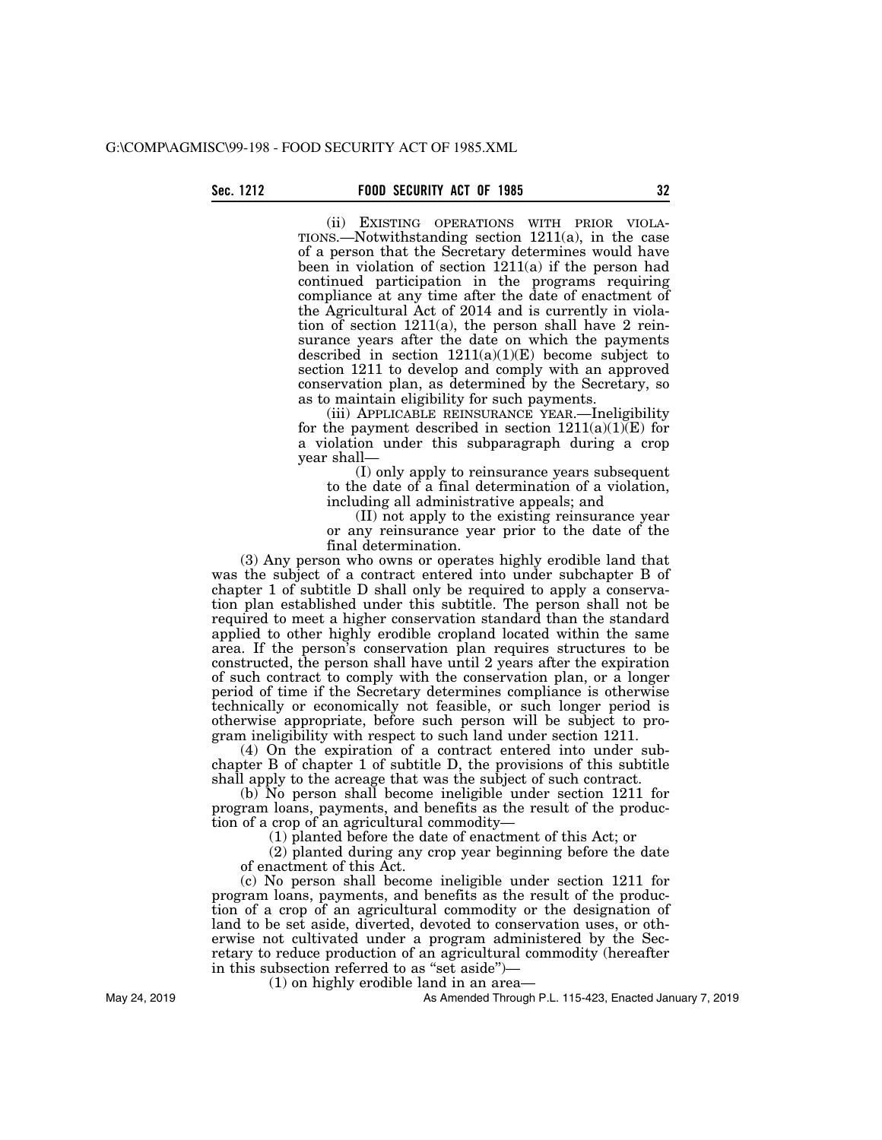(ii) EXISTING OPERATIONS WITH PRIOR VIOLA-TIONS.—Notwithstanding section 1211(a), in the case of a person that the Secretary determines would have been in violation of section 1211(a) if the person had continued participation in the programs requiring compliance at any time after the date of enactment of the Agricultural Act of 2014 and is currently in violation of section  $1211(a)$ , the person shall have 2 reinsurance years after the date on which the payments described in section  $1211(a)(1)(E)$  become subject to section 1211 to develop and comply with an approved conservation plan, as determined by the Secretary, so as to maintain eligibility for such payments.

(iii) APPLICABLE REINSURANCE YEAR.—Ineligibility for the payment described in section  $1211(a)(1)(E)$  for a violation under this subparagraph during a crop year shall—

(I) only apply to reinsurance years subsequent to the date of a final determination of a violation, including all administrative appeals; and

(II) not apply to the existing reinsurance year or any reinsurance year prior to the date of the final determination.

(3) Any person who owns or operates highly erodible land that was the subject of a contract entered into under subchapter B of chapter 1 of subtitle D shall only be required to apply a conservation plan established under this subtitle. The person shall not be required to meet a higher conservation standard than the standard applied to other highly erodible cropland located within the same area. If the person's conservation plan requires structures to be constructed, the person shall have until 2 years after the expiration of such contract to comply with the conservation plan, or a longer period of time if the Secretary determines compliance is otherwise technically or economically not feasible, or such longer period is otherwise appropriate, before such person will be subject to program ineligibility with respect to such land under section 1211.

(4) On the expiration of a contract entered into under subchapter B of chapter 1 of subtitle D, the provisions of this subtitle shall apply to the acreage that was the subject of such contract.

(b) No person shall become ineligible under section 1211 for program loans, payments, and benefits as the result of the production of a crop of an agricultural commodity—

(1) planted before the date of enactment of this Act; or

(2) planted during any crop year beginning before the date of enactment of this Act.

(c) No person shall become ineligible under section 1211 for program loans, payments, and benefits as the result of the production of a crop of an agricultural commodity or the designation of land to be set aside, diverted, devoted to conservation uses, or otherwise not cultivated under a program administered by the Secretary to reduce production of an agricultural commodity (hereafter in this subsection referred to as ''set aside'')—

(1) on highly erodible land in an area—

As Amended Through P.L. 115-423, Enacted January 7, 2019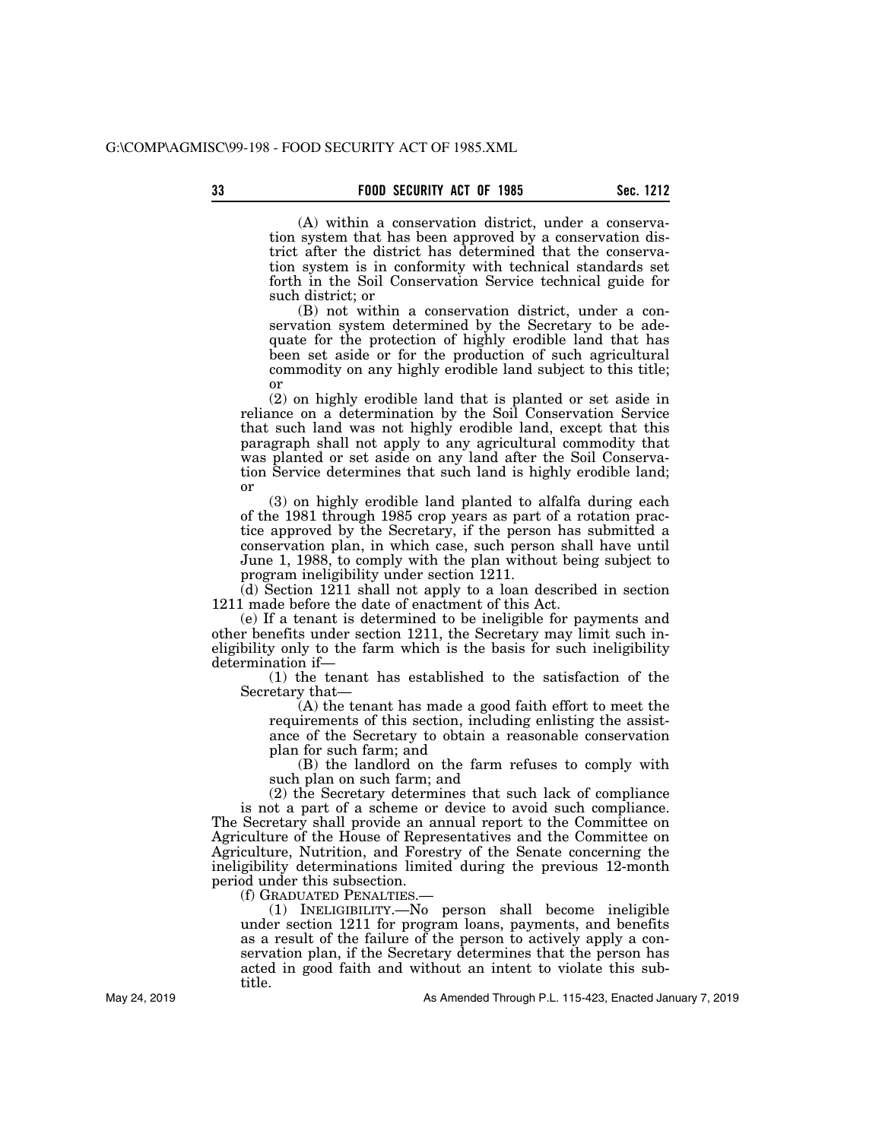(A) within a conservation district, under a conservation system that has been approved by a conservation district after the district has determined that the conservation system is in conformity with technical standards set forth in the Soil Conservation Service technical guide for such district; or

(B) not within a conservation district, under a conservation system determined by the Secretary to be adequate for the protection of highly erodible land that has been set aside or for the production of such agricultural commodity on any highly erodible land subject to this title; or

(2) on highly erodible land that is planted or set aside in reliance on a determination by the Soil Conservation Service that such land was not highly erodible land, except that this paragraph shall not apply to any agricultural commodity that was planted or set aside on any land after the Soil Conservation Service determines that such land is highly erodible land; or

(3) on highly erodible land planted to alfalfa during each of the 1981 through 1985 crop years as part of a rotation practice approved by the Secretary, if the person has submitted a conservation plan, in which case, such person shall have until June 1, 1988, to comply with the plan without being subject to program ineligibility under section 1211.

(d) Section 1211 shall not apply to a loan described in section 1211 made before the date of enactment of this Act.

(e) If a tenant is determined to be ineligible for payments and other benefits under section 1211, the Secretary may limit such ineligibility only to the farm which is the basis for such ineligibility determination if—

(1) the tenant has established to the satisfaction of the Secretary that—

(A) the tenant has made a good faith effort to meet the requirements of this section, including enlisting the assistance of the Secretary to obtain a reasonable conservation plan for such farm; and

(B) the landlord on the farm refuses to comply with such plan on such farm; and

(2) the Secretary determines that such lack of compliance is not a part of a scheme or device to avoid such compliance. The Secretary shall provide an annual report to the Committee on Agriculture of the House of Representatives and the Committee on Agriculture, Nutrition, and Forestry of the Senate concerning the ineligibility determinations limited during the previous 12-month period under this subsection.

(f) GRADUATED PENALTIES.—

(1) INELIGIBILITY.—No person shall become ineligible under section 1211 for program loans, payments, and benefits as a result of the failure of the person to actively apply a conservation plan, if the Secretary determines that the person has acted in good faith and without an intent to violate this subtitle.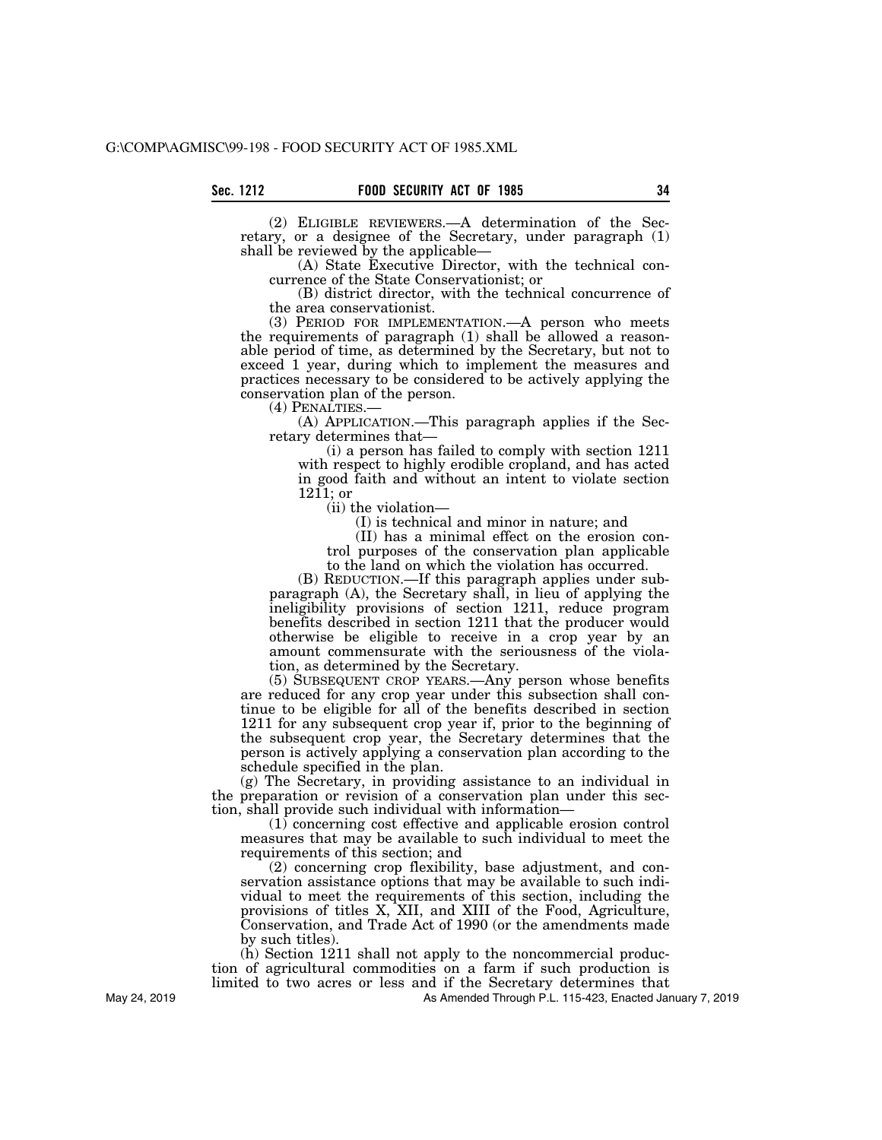(2) ELIGIBLE REVIEWERS.—A determination of the Secretary, or a designee of the Secretary, under paragraph (1) shall be reviewed by the applicable—

(A) State Executive Director, with the technical concurrence of the State Conservationist; or

(B) district director, with the technical concurrence of the area conservationist.

(3) PERIOD FOR IMPLEMENTATION.—A person who meets the requirements of paragraph (1) shall be allowed a reasonable period of time, as determined by the Secretary, but not to exceed 1 year, during which to implement the measures and practices necessary to be considered to be actively applying the conservation plan of the person.<br>(4) PENALTIES.—

 $(A)$  APPLICATION.—This paragraph applies if the Secretary determines that—

(i) a person has failed to comply with section 1211 with respect to highly erodible cropland, and has acted in good faith and without an intent to violate section  $1211$ ; or

(ii) the violation—

(I) is technical and minor in nature; and

(II) has a minimal effect on the erosion control purposes of the conservation plan applicable to the land on which the violation has occurred.

(B) REDUCTION.—If this paragraph applies under subparagraph (A), the Secretary shall, in lieu of applying the ineligibility provisions of section 1211, reduce program benefits described in section 1211 that the producer would otherwise be eligible to receive in a crop year by an amount commensurate with the seriousness of the violation, as determined by the Secretary.

(5) SUBSEQUENT CROP YEARS.—Any person whose benefits are reduced for any crop year under this subsection shall continue to be eligible for all of the benefits described in section 1211 for any subsequent crop year if, prior to the beginning of the subsequent crop year, the Secretary determines that the person is actively applying a conservation plan according to the schedule specified in the plan.

(g) The Secretary, in providing assistance to an individual in the preparation or revision of a conservation plan under this section, shall provide such individual with information—

(1) concerning cost effective and applicable erosion control measures that may be available to such individual to meet the requirements of this section; and

(2) concerning crop flexibility, base adjustment, and conservation assistance options that may be available to such individual to meet the requirements of this section, including the provisions of titles X, XII, and XIII of the Food, Agriculture, Conservation, and Trade Act of 1990 (or the amendments made by such titles).

(h) Section 1211 shall not apply to the noncommercial production of agricultural commodities on a farm if such production is limited to two acres or less and if the Secretary determines that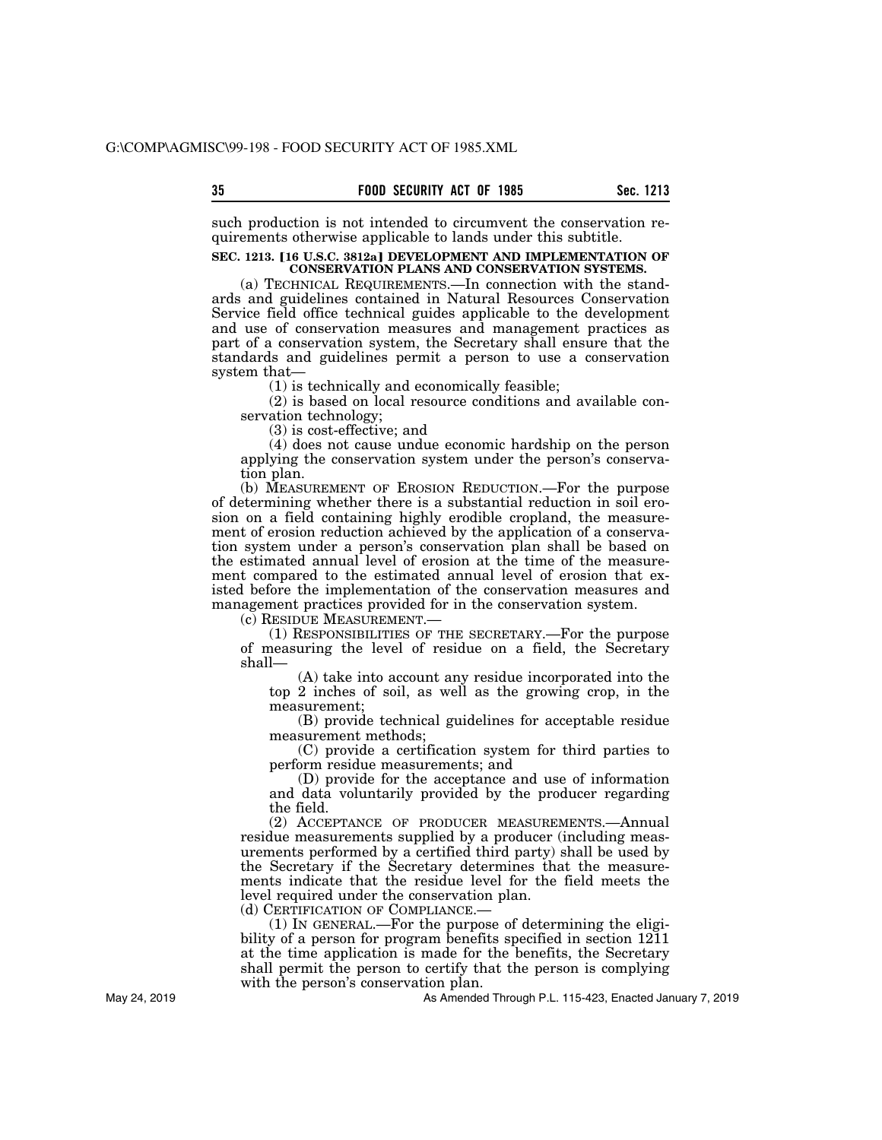such production is not intended to circumvent the conservation requirements otherwise applicable to lands under this subtitle.

## **SEC. 1213. [16 U.S.C. 3812a] DEVELOPMENT AND IMPLEMENTATION OF CONSERVATION PLANS AND CONSERVATION SYSTEMS.**

(a) TECHNICAL REQUIREMENTS.—In connection with the standards and guidelines contained in Natural Resources Conservation Service field office technical guides applicable to the development and use of conservation measures and management practices as part of a conservation system, the Secretary shall ensure that the standards and guidelines permit a person to use a conservation system that—

(1) is technically and economically feasible;

(2) is based on local resource conditions and available conservation technology;

(3) is cost-effective; and

(4) does not cause undue economic hardship on the person applying the conservation system under the person's conservation plan.

(b) MEASUREMENT OF EROSION REDUCTION.—For the purpose of determining whether there is a substantial reduction in soil erosion on a field containing highly erodible cropland, the measurement of erosion reduction achieved by the application of a conservation system under a person's conservation plan shall be based on the estimated annual level of erosion at the time of the measurement compared to the estimated annual level of erosion that existed before the implementation of the conservation measures and management practices provided for in the conservation system.

(c) RESIDUE MEASUREMENT.—

(1) RESPONSIBILITIES OF THE SECRETARY.—For the purpose of measuring the level of residue on a field, the Secretary shall—

(A) take into account any residue incorporated into the top 2 inches of soil, as well as the growing crop, in the measurement;

(B) provide technical guidelines for acceptable residue measurement methods;

(C) provide a certification system for third parties to perform residue measurements; and

(D) provide for the acceptance and use of information and data voluntarily provided by the producer regarding the field.

(2) ACCEPTANCE OF PRODUCER MEASUREMENTS.—Annual residue measurements supplied by a producer (including measurements performed by a certified third party) shall be used by the Secretary if the Secretary determines that the measurements indicate that the residue level for the field meets the level required under the conservation plan.

(d) CERTIFICATION OF COMPLIANCE.—

(1) IN GENERAL.—For the purpose of determining the eligibility of a person for program benefits specified in section 1211 at the time application is made for the benefits, the Secretary shall permit the person to certify that the person is complying with the person's conservation plan.

As Amended Through P.L. 115-423, Enacted January 7, 2019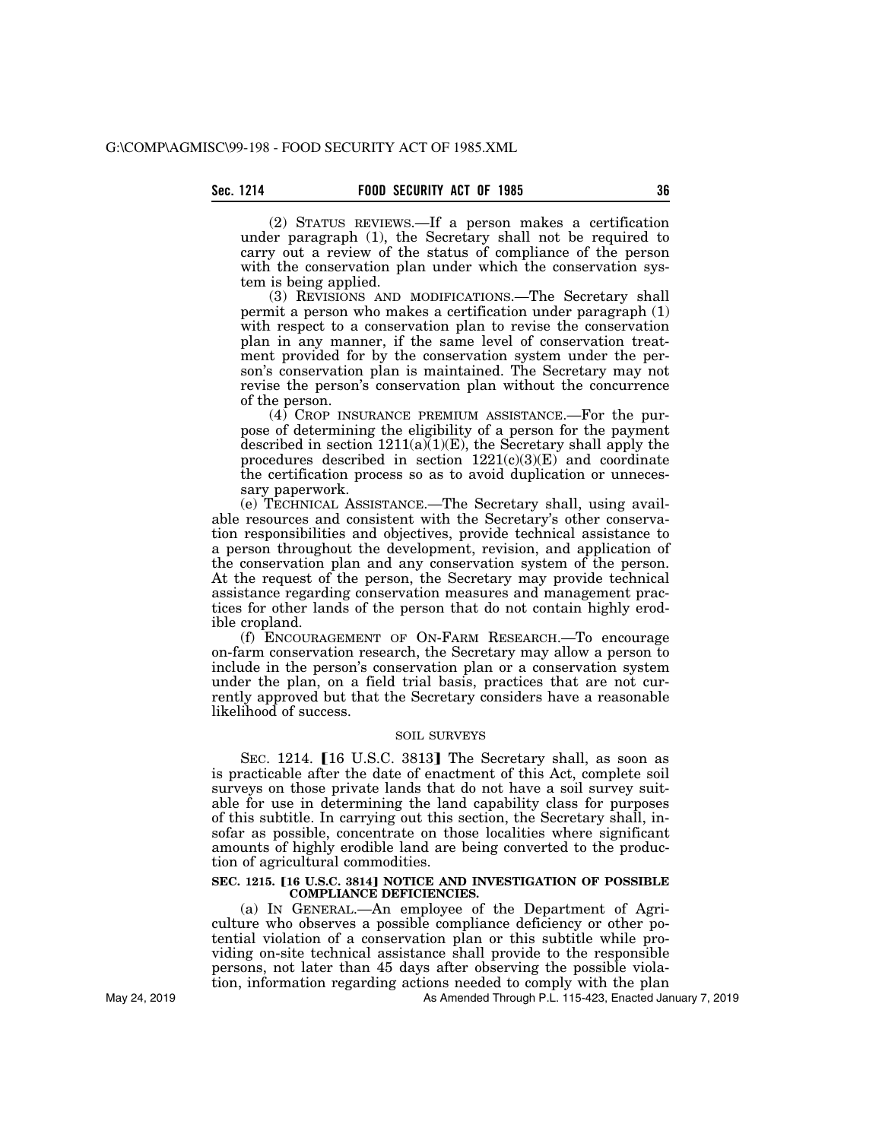(2) STATUS REVIEWS.—If a person makes a certification under paragraph (1), the Secretary shall not be required to carry out a review of the status of compliance of the person with the conservation plan under which the conservation system is being applied.

(3) REVISIONS AND MODIFICATIONS.—The Secretary shall permit a person who makes a certification under paragraph (1) with respect to a conservation plan to revise the conservation plan in any manner, if the same level of conservation treatment provided for by the conservation system under the person's conservation plan is maintained. The Secretary may not revise the person's conservation plan without the concurrence of the person.

(4) CROP INSURANCE PREMIUM ASSISTANCE.—For the purpose of determining the eligibility of a person for the payment described in section  $1211(a)(1)(E)$ , the Secretary shall apply the procedures described in section  $1221(c)(3)(E)$  and coordinate the certification process so as to avoid duplication or unnecessary paperwork.

(e) TECHNICAL ASSISTANCE.—The Secretary shall, using available resources and consistent with the Secretary's other conservation responsibilities and objectives, provide technical assistance to a person throughout the development, revision, and application of the conservation plan and any conservation system of the person. At the request of the person, the Secretary may provide technical assistance regarding conservation measures and management practices for other lands of the person that do not contain highly erodible cropland.

(f) ENCOURAGEMENT OF ON-FARM RESEARCH.—To encourage on-farm conservation research, the Secretary may allow a person to include in the person's conservation plan or a conservation system under the plan, on a field trial basis, practices that are not currently approved but that the Secretary considers have a reasonable likelihood of success.

### SOIL SURVEYS

SEC. 1214. [16 U.S.C. 3813] The Secretary shall, as soon as is practicable after the date of enactment of this Act, complete soil surveys on those private lands that do not have a soil survey suitable for use in determining the land capability class for purposes of this subtitle. In carrying out this section, the Secretary shall, insofar as possible, concentrate on those localities where significant amounts of highly erodible land are being converted to the production of agricultural commodities.

#### **SEC. 1215. [16 U.S.C. 3814] NOTICE AND INVESTIGATION OF POSSIBLE COMPLIANCE DEFICIENCIES.**

(a) IN GENERAL.—An employee of the Department of Agriculture who observes a possible compliance deficiency or other potential violation of a conservation plan or this subtitle while providing on-site technical assistance shall provide to the responsible persons, not later than 45 days after observing the possible violation, information regarding actions needed to comply with the plan

As Amended Through P.L. 115-423, Enacted January 7, 2019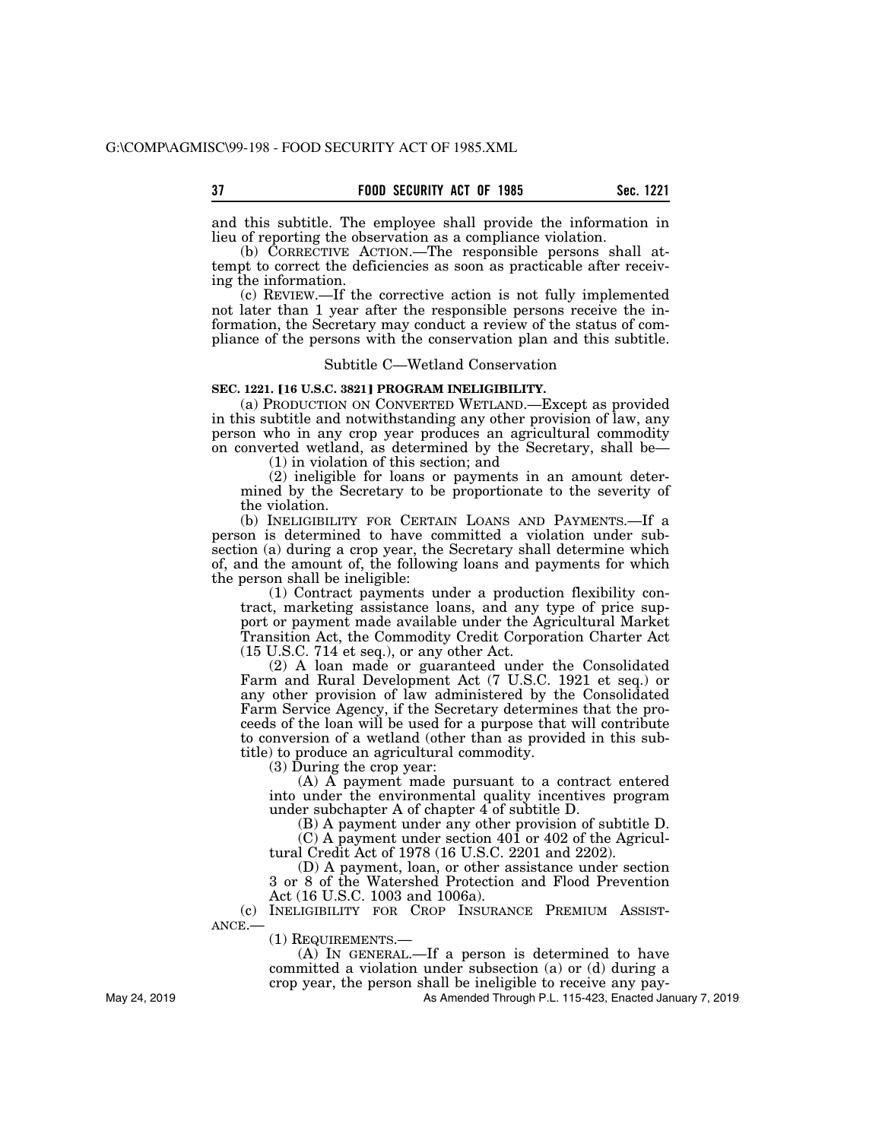and this subtitle. The employee shall provide the information in lieu of reporting the observation as a compliance violation.

(b) CORRECTIVE ACTION.—The responsible persons shall attempt to correct the deficiencies as soon as practicable after receiving the information.

(c) REVIEW.—If the corrective action is not fully implemented not later than 1 year after the responsible persons receive the information, the Secretary may conduct a review of the status of compliance of the persons with the conservation plan and this subtitle.

# Subtitle C—Wetland Conservation

# **SEC. 1221. [16 U.S.C. 3821] PROGRAM INELIGIBILITY.**

(a) PRODUCTION ON CONVERTED WETLAND.—Except as provided in this subtitle and notwithstanding any other provision of law, any person who in any crop year produces an agricultural commodity on converted wetland, as determined by the Secretary, shall be—

(1) in violation of this section; and

(2) ineligible for loans or payments in an amount determined by the Secretary to be proportionate to the severity of the violation.

(b) INELIGIBILITY FOR CERTAIN LOANS AND PAYMENTS.—If a person is determined to have committed a violation under subsection (a) during a crop year, the Secretary shall determine which of, and the amount of, the following loans and payments for which the person shall be ineligible:

(1) Contract payments under a production flexibility contract, marketing assistance loans, and any type of price support or payment made available under the Agricultural Market Transition Act, the Commodity Credit Corporation Charter Act (15 U.S.C. 714 et seq.), or any other Act.

(2) A loan made or guaranteed under the Consolidated Farm and Rural Development Act (7 U.S.C. 1921 et seq.) or any other provision of law administered by the Consolidated Farm Service Agency, if the Secretary determines that the proceeds of the loan will be used for a purpose that will contribute to conversion of a wetland (other than as provided in this subtitle) to produce an agricultural commodity.

(3) During the crop year:

(A) A payment made pursuant to a contract entered into under the environmental quality incentives program under subchapter A of chapter 4 of subtitle D.

(B) A payment under any other provision of subtitle D.

(C) A payment under section 401 or 402 of the Agricultural Credit Act of 1978 (16 U.S.C. 2201 and 2202).

(D) A payment, loan, or other assistance under section 3 or 8 of the Watershed Protection and Flood Prevention Act (16 U.S.C. 1003 and 1006a).

(c) INELIGIBILITY FOR CROP INSURANCE PREMIUM ASSIST-ANCE.—

(1) REQUIREMENTS.—

(A) IN GENERAL.—If a person is determined to have committed a violation under subsection (a) or (d) during a crop year, the person shall be ineligible to receive any pay-

As Amended Through P.L. 115-423, Enacted January 7, 2019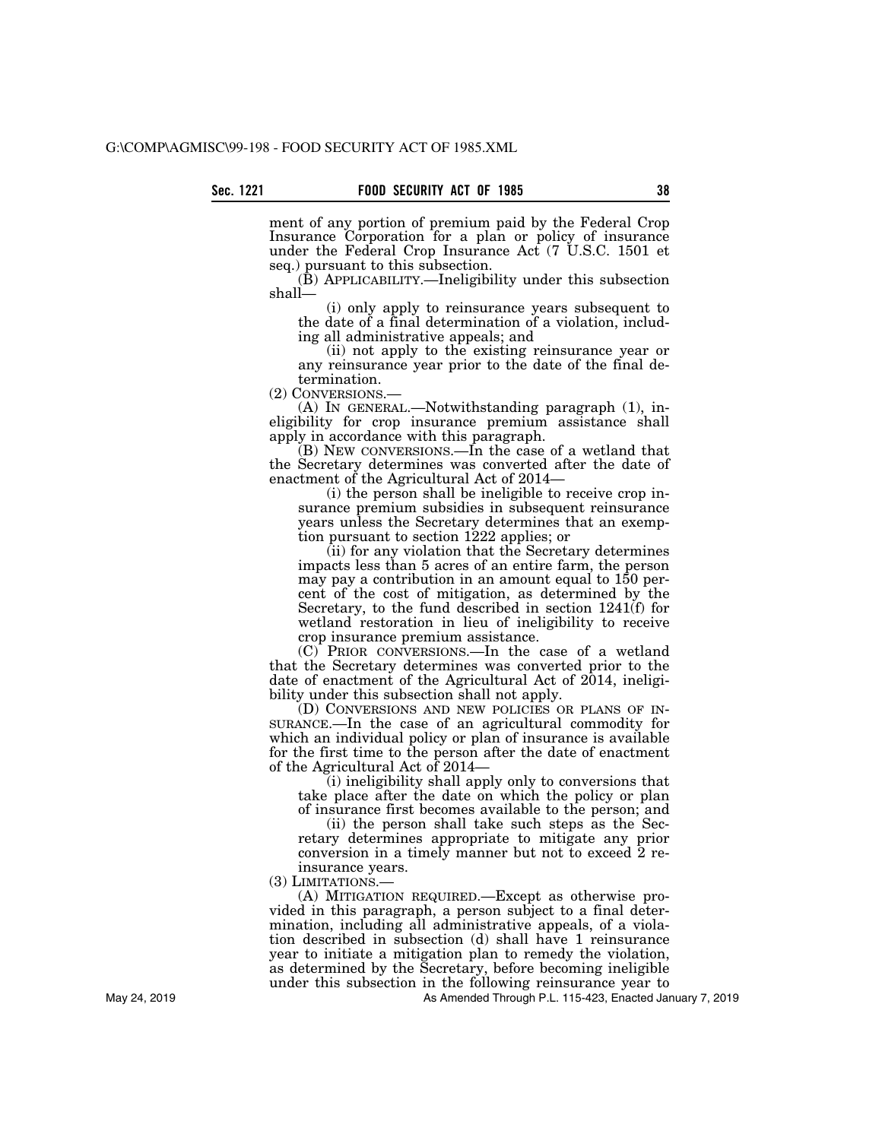ment of any portion of premium paid by the Federal Crop Insurance Corporation for a plan or policy of insurance under the Federal Crop Insurance Act (7 U.S.C. 1501 et seq.) pursuant to this subsection.

 $(\dot{B})$  APPLICABILITY.—Ineligibility under this subsection shall—

(i) only apply to reinsurance years subsequent to the date of a final determination of a violation, including all administrative appeals; and

(ii) not apply to the existing reinsurance year or any reinsurance year prior to the date of the final determination.<br>(2) CONVERSIONS.

 $(A)$  In GENERAL.—Notwithstanding paragraph  $(1)$ , ineligibility for crop insurance premium assistance shall apply in accordance with this paragraph.

(B) NEW CONVERSIONS.—In the case of a wetland that the Secretary determines was converted after the date of enactment of the Agricultural Act of 2014—

(i) the person shall be ineligible to receive crop insurance premium subsidies in subsequent reinsurance years unless the Secretary determines that an exemption pursuant to section 1222 applies; or

(ii) for any violation that the Secretary determines impacts less than 5 acres of an entire farm, the person may pay a contribution in an amount equal to 150 percent of the cost of mitigation, as determined by the Secretary, to the fund described in section 1241(f) for wetland restoration in lieu of ineligibility to receive crop insurance premium assistance.

(C) PRIOR CONVERSIONS.—In the case of a wetland that the Secretary determines was converted prior to the date of enactment of the Agricultural Act of 2014, ineligibility under this subsection shall not apply.

(D) CONVERSIONS AND NEW POLICIES OR PLANS OF IN-SURANCE.—In the case of an agricultural commodity for which an individual policy or plan of insurance is available for the first time to the person after the date of enactment of the Agricultural Act of 2014—

(i) ineligibility shall apply only to conversions that take place after the date on which the policy or plan of insurance first becomes available to the person; and

(ii) the person shall take such steps as the Secretary determines appropriate to mitigate any prior conversion in a timely manner but not to exceed 2 reinsurance years.

(3) LIMITATIONS.—

(A) MITIGATION REQUIRED.—Except as otherwise provided in this paragraph, a person subject to a final determination, including all administrative appeals, of a violation described in subsection (d) shall have 1 reinsurance year to initiate a mitigation plan to remedy the violation, as determined by the Secretary, before becoming ineligible under this subsection in the following reinsurance year to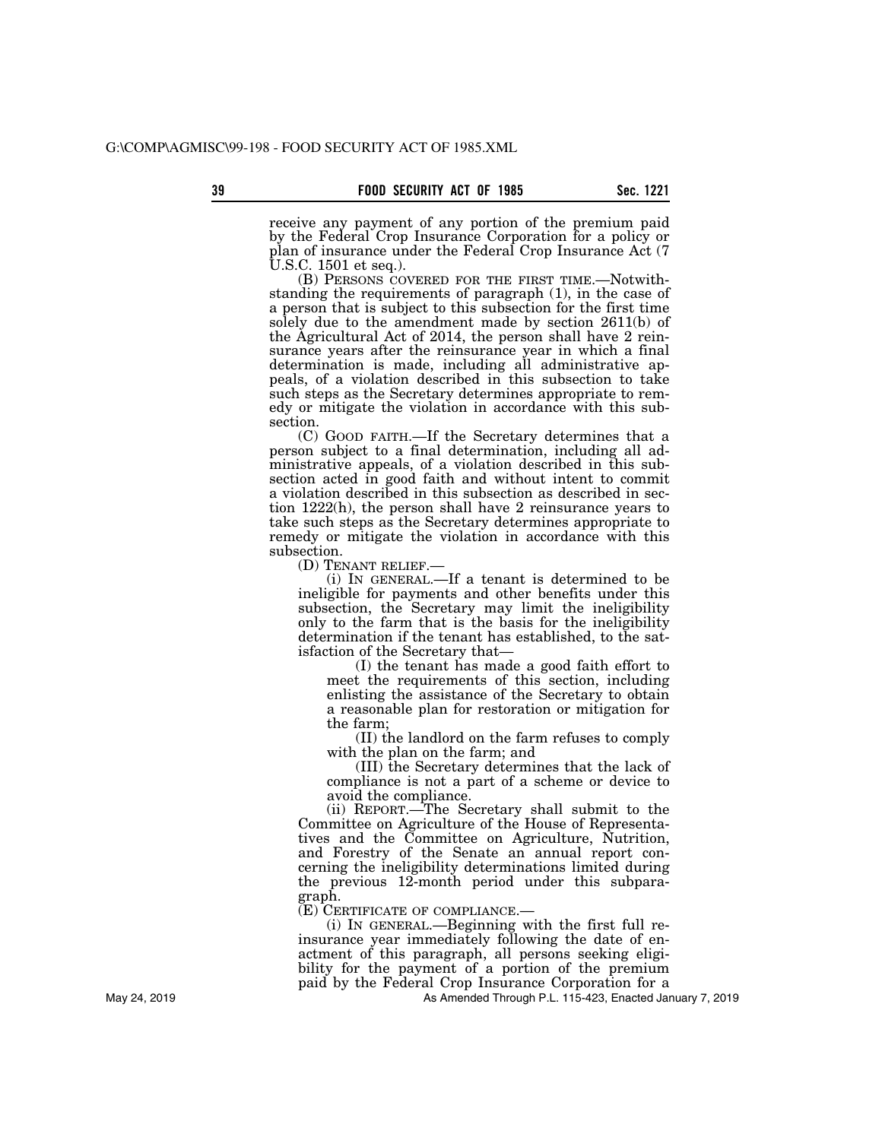receive any payment of any portion of the premium paid by the Federal Crop Insurance Corporation for a policy or plan of insurance under the Federal Crop Insurance Act (7 U.S.C. 1501 et seq.).

(B) PERSONS COVERED FOR THE FIRST TIME.—Notwithstanding the requirements of paragraph (1), in the case of a person that is subject to this subsection for the first time solely due to the amendment made by section 2611(b) of the Agricultural Act of 2014, the person shall have 2 reinsurance years after the reinsurance year in which a final determination is made, including all administrative appeals, of a violation described in this subsection to take such steps as the Secretary determines appropriate to remedy or mitigate the violation in accordance with this subsection.

(C) GOOD FAITH.—If the Secretary determines that a person subject to a final determination, including all administrative appeals, of a violation described in this subsection acted in good faith and without intent to commit a violation described in this subsection as described in section 1222(h), the person shall have 2 reinsurance years to take such steps as the Secretary determines appropriate to remedy or mitigate the violation in accordance with this subsection.

(D) TENANT RELIEF.— (i) IN GENERAL.—If a tenant is determined to be ineligible for payments and other benefits under this subsection, the Secretary may limit the ineligibility only to the farm that is the basis for the ineligibility determination if the tenant has established, to the satisfaction of the Secretary that—

(I) the tenant has made a good faith effort to meet the requirements of this section, including enlisting the assistance of the Secretary to obtain a reasonable plan for restoration or mitigation for the farm;

(II) the landlord on the farm refuses to comply with the plan on the farm; and

(III) the Secretary determines that the lack of compliance is not a part of a scheme or device to avoid the compliance.

(ii) REPORT.—The Secretary shall submit to the Committee on Agriculture of the House of Representatives and the Committee on Agriculture, Nutrition, and Forestry of the Senate an annual report concerning the ineligibility determinations limited during the previous 12-month period under this subparagraph.

(E) CERTIFICATE OF COMPLIANCE.—

(i) IN GENERAL.—Beginning with the first full reinsurance year immediately following the date of enactment of this paragraph, all persons seeking eligibility for the payment of a portion of the premium paid by the Federal Crop Insurance Corporation for a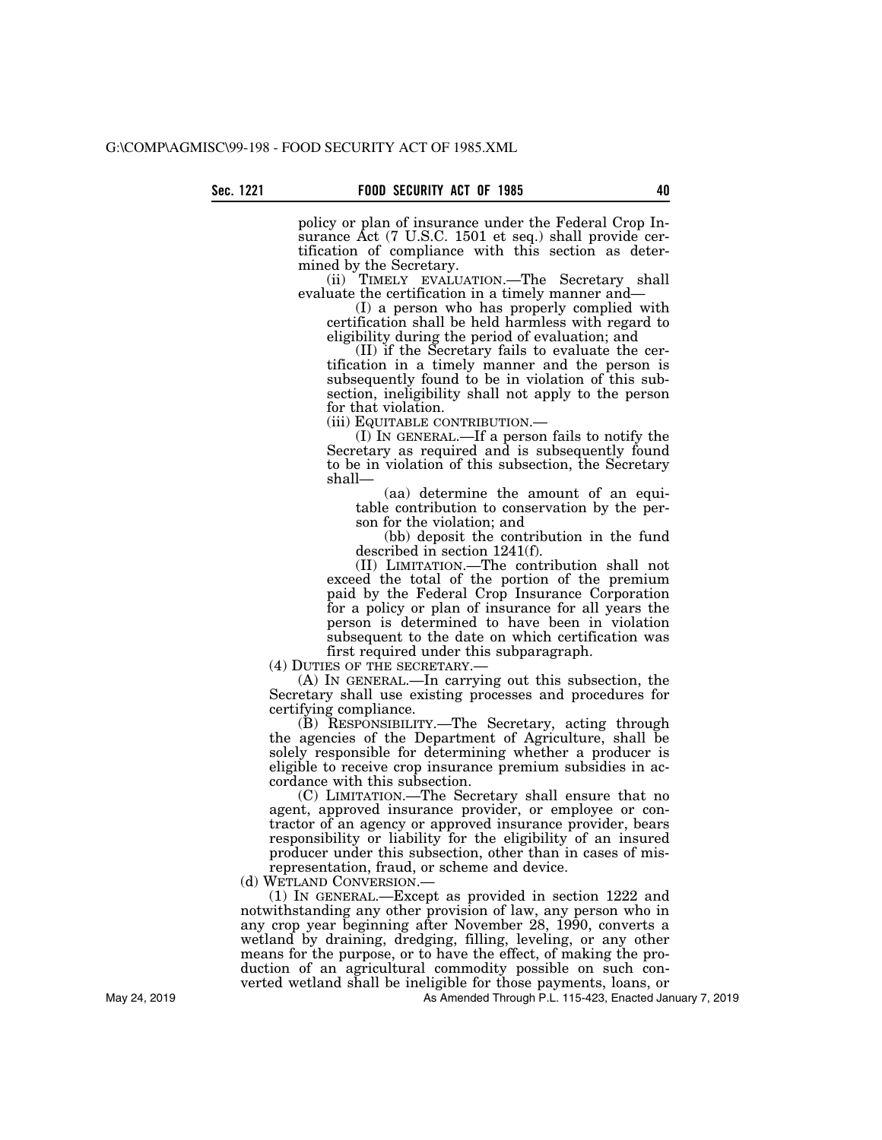policy or plan of insurance under the Federal Crop Insurance Act (7 U.S.C. 1501 et seq.) shall provide certification of compliance with this section as determined by the Secretary.

(ii) TIMELY EVALUATION.—The Secretary shall evaluate the certification in a timely manner and—

(I) a person who has properly complied with certification shall be held harmless with regard to eligibility during the period of evaluation; and

(II) if the Secretary fails to evaluate the certification in a timely manner and the person is subsequently found to be in violation of this subsection, ineligibility shall not apply to the person for that violation.<br>(iii) EQUITABLE CONTRIBUTION.—

(I) IN GENERAL.—If a person fails to notify the Secretary as required and is subsequently found to be in violation of this subsection, the Secretary shall—

(aa) determine the amount of an equitable contribution to conservation by the person for the violation; and

(bb) deposit the contribution in the fund described in section 1241(f).

(II) LIMITATION.—The contribution shall not exceed the total of the portion of the premium paid by the Federal Crop Insurance Corporation for a policy or plan of insurance for all years the person is determined to have been in violation subsequent to the date on which certification was first required under this subparagraph.

(4) DUTIES OF THE SECRETARY.—

(A) IN GENERAL.—In carrying out this subsection, the Secretary shall use existing processes and procedures for certifying compliance.

(B) RESPONSIBILITY.—The Secretary, acting through the agencies of the Department of Agriculture, shall be solely responsible for determining whether a producer is eligible to receive crop insurance premium subsidies in accordance with this subsection.

(C) LIMITATION.—The Secretary shall ensure that no agent, approved insurance provider, or employee or contractor of an agency or approved insurance provider, bears responsibility or liability for the eligibility of an insured producer under this subsection, other than in cases of misrepresentation, fraud, or scheme and device.

(d) WETLAND CONVERSION.—

(1) IN GENERAL.—Except as provided in section 1222 and notwithstanding any other provision of law, any person who in any crop year beginning after November 28, 1990, converts a wetland by draining, dredging, filling, leveling, or any other means for the purpose, or to have the effect, of making the production of an agricultural commodity possible on such converted wetland shall be ineligible for those payments, loans, or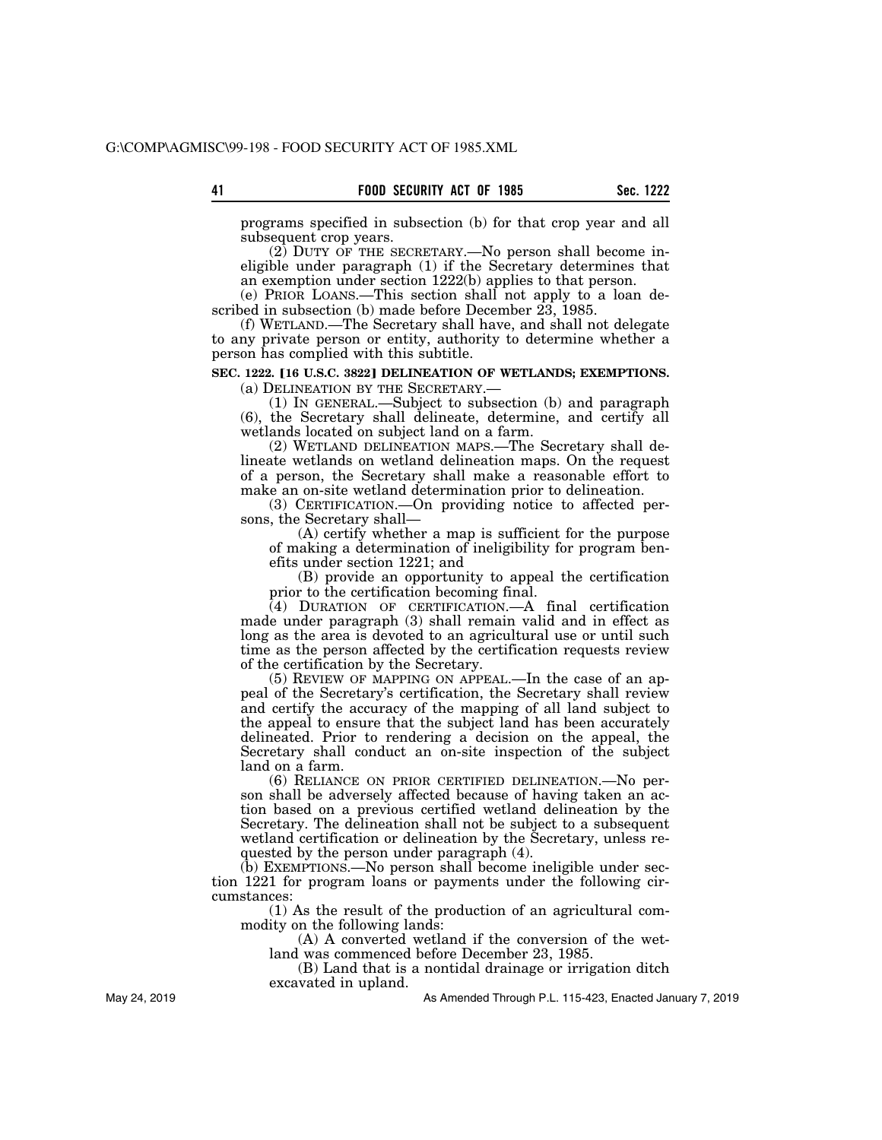programs specified in subsection (b) for that crop year and all subsequent crop years.

(2) DUTY OF THE SECRETARY.—No person shall become ineligible under paragraph (1) if the Secretary determines that an exemption under section 1222(b) applies to that person.

(e) PRIOR LOANS.—This section shall not apply to a loan described in subsection (b) made before December  $23, 1985$ .

(f) WETLAND.—The Secretary shall have, and shall not delegate to any private person or entity, authority to determine whether a person has complied with this subtitle.

# **SEC. 1222. [16 U.S.C. 3822] DELINEATION OF WETLANDS; EXEMPTIONS.**

(a) DELINEATION BY THE SECRETARY.—

(1) IN GENERAL.—Subject to subsection (b) and paragraph (6), the Secretary shall delineate, determine, and certify all wetlands located on subject land on a farm.

(2) WETLAND DELINEATION MAPS.—The Secretary shall delineate wetlands on wetland delineation maps. On the request of a person, the Secretary shall make a reasonable effort to make an on-site wetland determination prior to delineation.

(3) CERTIFICATION.—On providing notice to affected persons, the Secretary shall—

(A) certify whether a map is sufficient for the purpose of making a determination of ineligibility for program benefits under section 1221; and

(B) provide an opportunity to appeal the certification prior to the certification becoming final.

(4) DURATION OF CERTIFICATION.—A final certification made under paragraph (3) shall remain valid and in effect as long as the area is devoted to an agricultural use or until such time as the person affected by the certification requests review of the certification by the Secretary.

(5) REVIEW OF MAPPING ON APPEAL.—In the case of an appeal of the Secretary's certification, the Secretary shall review and certify the accuracy of the mapping of all land subject to the appeal to ensure that the subject land has been accurately delineated. Prior to rendering a decision on the appeal, the Secretary shall conduct an on-site inspection of the subject land on a farm.

(6) RELIANCE ON PRIOR CERTIFIED DELINEATION.—No person shall be adversely affected because of having taken an action based on a previous certified wetland delineation by the Secretary. The delineation shall not be subject to a subsequent wetland certification or delineation by the Secretary, unless requested by the person under paragraph (4).

(b) EXEMPTIONS.—No person shall become ineligible under section 1221 for program loans or payments under the following circumstances:

(1) As the result of the production of an agricultural commodity on the following lands:

(A) A converted wetland if the conversion of the wetland was commenced before December 23, 1985.

(B) Land that is a nontidal drainage or irrigation ditch excavated in upland.

As Amended Through P.L. 115-423, Enacted January 7, 2019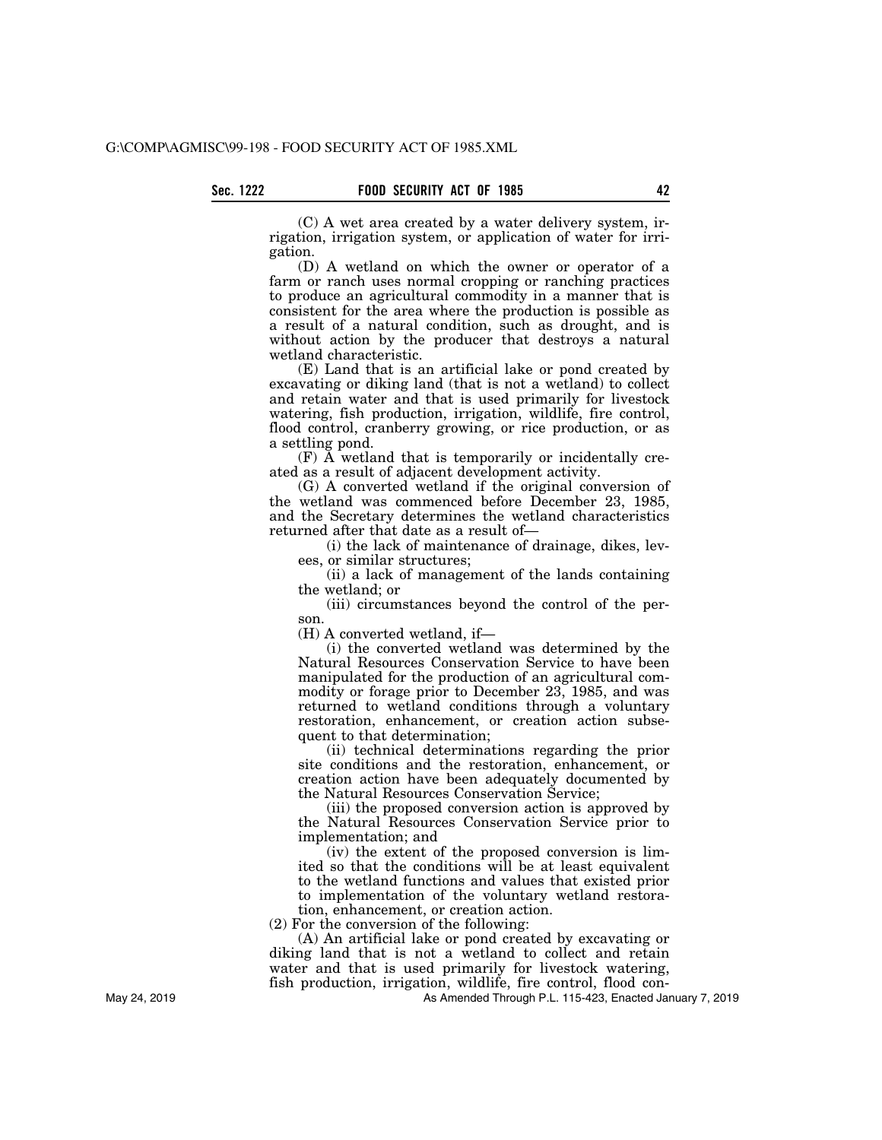(C) A wet area created by a water delivery system, irrigation, irrigation system, or application of water for irrigation.

(D) A wetland on which the owner or operator of a farm or ranch uses normal cropping or ranching practices to produce an agricultural commodity in a manner that is consistent for the area where the production is possible as a result of a natural condition, such as drought, and is without action by the producer that destroys a natural wetland characteristic.

(E) Land that is an artificial lake or pond created by excavating or diking land (that is not a wetland) to collect and retain water and that is used primarily for livestock watering, fish production, irrigation, wildlife, fire control, flood control, cranberry growing, or rice production, or as a settling pond.

(F) A wetland that is temporarily or incidentally created as a result of adjacent development activity.

(G) A converted wetland if the original conversion of the wetland was commenced before December 23, 1985, and the Secretary determines the wetland characteristics returned after that date as a result of—

(i) the lack of maintenance of drainage, dikes, levees, or similar structures;

(ii) a lack of management of the lands containing the wetland; or

(iii) circumstances beyond the control of the person.

(H) A converted wetland, if—

(i) the converted wetland was determined by the Natural Resources Conservation Service to have been manipulated for the production of an agricultural commodity or forage prior to December 23, 1985, and was returned to wetland conditions through a voluntary restoration, enhancement, or creation action subsequent to that determination;

(ii) technical determinations regarding the prior site conditions and the restoration, enhancement, or creation action have been adequately documented by the Natural Resources Conservation Service;

(iii) the proposed conversion action is approved by the Natural Resources Conservation Service prior to implementation; and

(iv) the extent of the proposed conversion is limited so that the conditions will be at least equivalent to the wetland functions and values that existed prior to implementation of the voluntary wetland restoration, enhancement, or creation action.

(2) For the conversion of the following:

(A) An artificial lake or pond created by excavating or diking land that is not a wetland to collect and retain water and that is used primarily for livestock watering, fish production, irrigation, wildlife, fire control, flood con-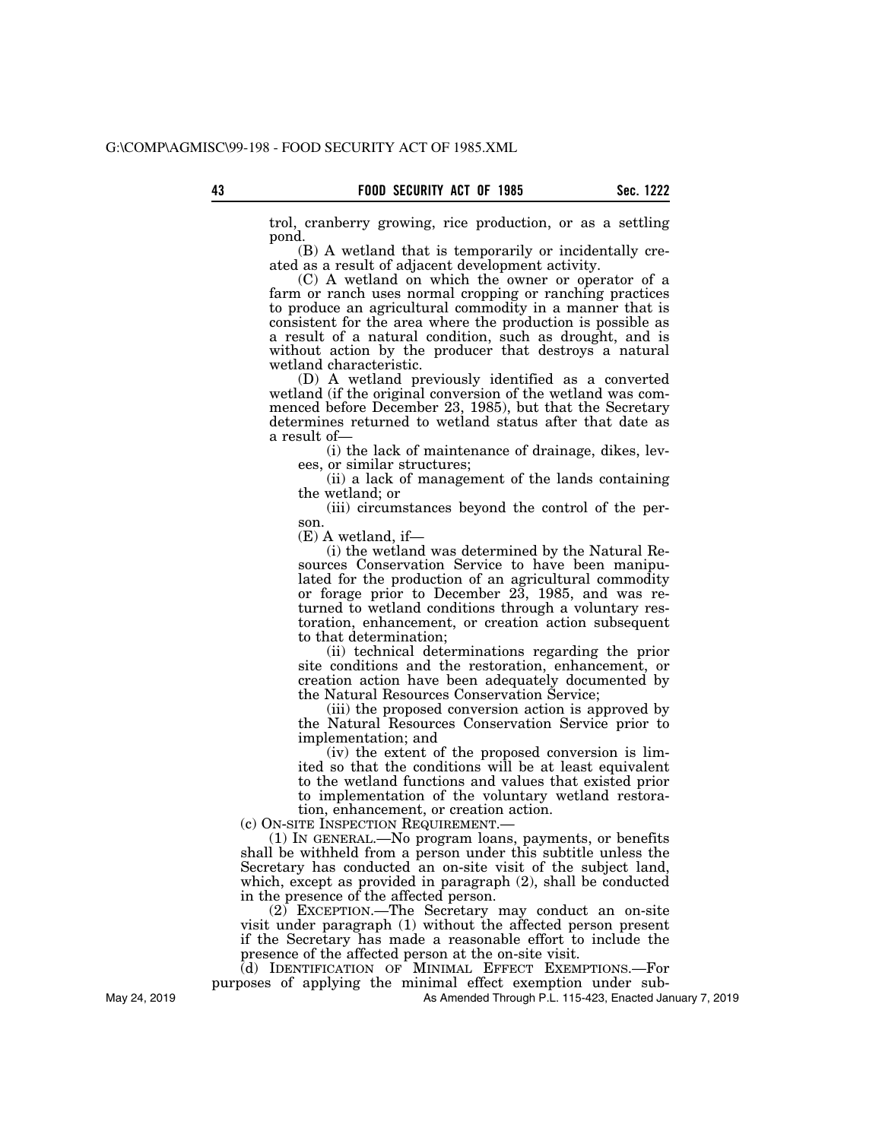trol, cranberry growing, rice production, or as a settling pond.

(B) A wetland that is temporarily or incidentally created as a result of adjacent development activity.

(C) A wetland on which the owner or operator of a farm or ranch uses normal cropping or ranching practices to produce an agricultural commodity in a manner that is consistent for the area where the production is possible as a result of a natural condition, such as drought, and is without action by the producer that destroys a natural wetland characteristic.

(D) A wetland previously identified as a converted wetland (if the original conversion of the wetland was commenced before December 23, 1985), but that the Secretary determines returned to wetland status after that date as a result of—

(i) the lack of maintenance of drainage, dikes, levees, or similar structures;

(ii) a lack of management of the lands containing the wetland; or

(iii) circumstances beyond the control of the person.

(E) A wetland, if—

(i) the wetland was determined by the Natural Resources Conservation Service to have been manipulated for the production of an agricultural commodity or forage prior to December 23, 1985, and was returned to wetland conditions through a voluntary restoration, enhancement, or creation action subsequent to that determination;

(ii) technical determinations regarding the prior site conditions and the restoration, enhancement, or creation action have been adequately documented by the Natural Resources Conservation Service;

(iii) the proposed conversion action is approved by the Natural Resources Conservation Service prior to implementation; and

(iv) the extent of the proposed conversion is limited so that the conditions will be at least equivalent to the wetland functions and values that existed prior to implementation of the voluntary wetland restoration, enhancement, or creation action.

(c) ON-SITE INSPECTION REQUIREMENT.—

(1) IN GENERAL.—No program loans, payments, or benefits shall be withheld from a person under this subtitle unless the Secretary has conducted an on-site visit of the subject land, which, except as provided in paragraph (2), shall be conducted in the presence of the affected person.

(2) EXCEPTION.—The Secretary may conduct an on-site visit under paragraph (1) without the affected person present if the Secretary has made a reasonable effort to include the presence of the affected person at the on-site visit.

(d) IDENTIFICATION OF MINIMAL EFFECT EXEMPTIONS.—For purposes of applying the minimal effect exemption under sub-

As Amended Through P.L. 115-423, Enacted January 7, 2019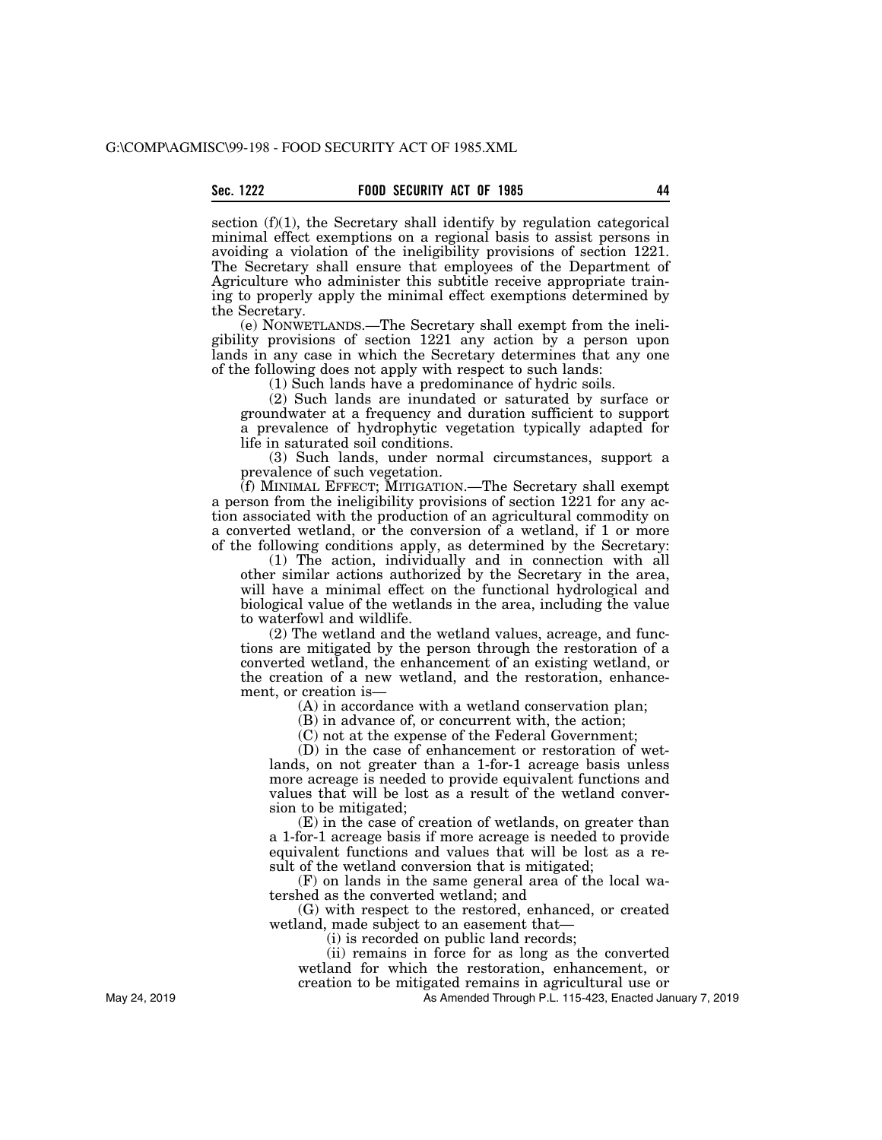section (f)(1), the Secretary shall identify by regulation categorical minimal effect exemptions on a regional basis to assist persons in avoiding a violation of the ineligibility provisions of section 1221. The Secretary shall ensure that employees of the Department of Agriculture who administer this subtitle receive appropriate training to properly apply the minimal effect exemptions determined by the Secretary.

(e) NONWETLANDS.—The Secretary shall exempt from the ineligibility provisions of section 1221 any action by a person upon lands in any case in which the Secretary determines that any one of the following does not apply with respect to such lands:

(1) Such lands have a predominance of hydric soils.

(2) Such lands are inundated or saturated by surface or groundwater at a frequency and duration sufficient to support a prevalence of hydrophytic vegetation typically adapted for life in saturated soil conditions.

(3) Such lands, under normal circumstances, support a prevalence of such vegetation.

(f) MINIMAL EFFECT; MITIGATION.—The Secretary shall exempt a person from the ineligibility provisions of section 1221 for any action associated with the production of an agricultural commodity on a converted wetland, or the conversion of a wetland, if 1 or more of the following conditions apply, as determined by the Secretary:

(1) The action, individually and in connection with all other similar actions authorized by the Secretary in the area, will have a minimal effect on the functional hydrological and biological value of the wetlands in the area, including the value to waterfowl and wildlife.

(2) The wetland and the wetland values, acreage, and functions are mitigated by the person through the restoration of a converted wetland, the enhancement of an existing wetland, or the creation of a new wetland, and the restoration, enhancement, or creation is—

(A) in accordance with a wetland conservation plan;

(B) in advance of, or concurrent with, the action;

(C) not at the expense of the Federal Government;

(D) in the case of enhancement or restoration of wetlands, on not greater than a 1-for-1 acreage basis unless more acreage is needed to provide equivalent functions and values that will be lost as a result of the wetland conversion to be mitigated;

(E) in the case of creation of wetlands, on greater than a 1-for-1 acreage basis if more acreage is needed to provide equivalent functions and values that will be lost as a result of the wetland conversion that is mitigated;

(F) on lands in the same general area of the local watershed as the converted wetland; and

(G) with respect to the restored, enhanced, or created wetland, made subject to an easement that—

(i) is recorded on public land records;

(ii) remains in force for as long as the converted wetland for which the restoration, enhancement, or creation to be mitigated remains in agricultural use or

As Amended Through P.L. 115-423, Enacted January 7, 2019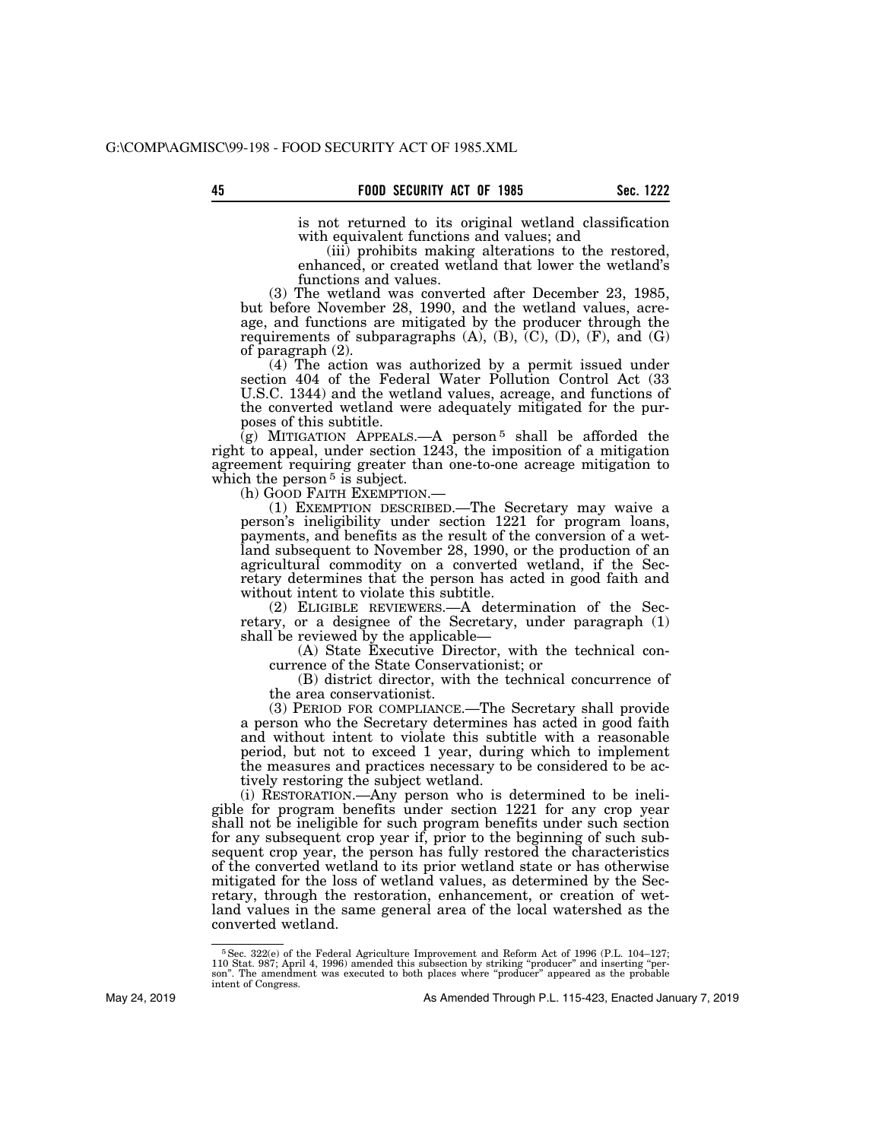is not returned to its original wetland classification with equivalent functions and values; and

(iii) prohibits making alterations to the restored, enhanced, or created wetland that lower the wetland's functions and values.

(3) The wetland was converted after December 23, 1985, but before November 28, 1990, and the wetland values, acreage, and functions are mitigated by the producer through the requirements of subparagraphs  $(A)$ ,  $(B)$ ,  $(C)$ ,  $(D)$ ,  $(F)$ , and  $(G)$ of paragraph (2).

(4) The action was authorized by a permit issued under section 404 of the Federal Water Pollution Control Act (33 U.S.C. 1344) and the wetland values, acreage, and functions of the converted wetland were adequately mitigated for the purposes of this subtitle.

 $(q)$  MITIGATION APPEALS.—A person<sup>5</sup> shall be afforded the right to appeal, under section 1243, the imposition of a mitigation agreement requiring greater than one-to-one acreage mitigation to which the person  $5$  is subject.<br>(h) GOOD FAITH EXEMPTION.—

 $(1)$  EXEMPTION DESCRIBED.—The Secretary may waive a person's ineligibility under section 1221 for program loans, payments, and benefits as the result of the conversion of a wetland subsequent to November 28, 1990, or the production of an agricultural commodity on a converted wetland, if the Secretary determines that the person has acted in good faith and without intent to violate this subtitle.

(2) ELIGIBLE REVIEWERS.—A determination of the Secretary, or a designee of the Secretary, under paragraph (1) shall be reviewed by the applicable—

(A) State Executive Director, with the technical concurrence of the State Conservationist; or

(B) district director, with the technical concurrence of the area conservationist.

(3) PERIOD FOR COMPLIANCE.—The Secretary shall provide a person who the Secretary determines has acted in good faith and without intent to violate this subtitle with a reasonable period, but not to exceed 1 year, during which to implement the measures and practices necessary to be considered to be actively restoring the subject wetland.

(i) RESTORATION.—Any person who is determined to be ineligible for program benefits under section 1221 for any crop year shall not be ineligible for such program benefits under such section for any subsequent crop year if, prior to the beginning of such subsequent crop year, the person has fully restored the characteristics of the converted wetland to its prior wetland state or has otherwise mitigated for the loss of wetland values, as determined by the Secretary, through the restoration, enhancement, or creation of wetland values in the same general area of the local watershed as the converted wetland.

<sup>5</sup>Sec. 322(e) of the Federal Agriculture Improvement and Reform Act of 1996 (P.L. 104–127; 110 Stat. 987; April 4, 1996) amended this subsection by striking ''producer'' and inserting ''per-son''. The amendment was executed to both places where ''producer'' appeared as the probable intent of Congress.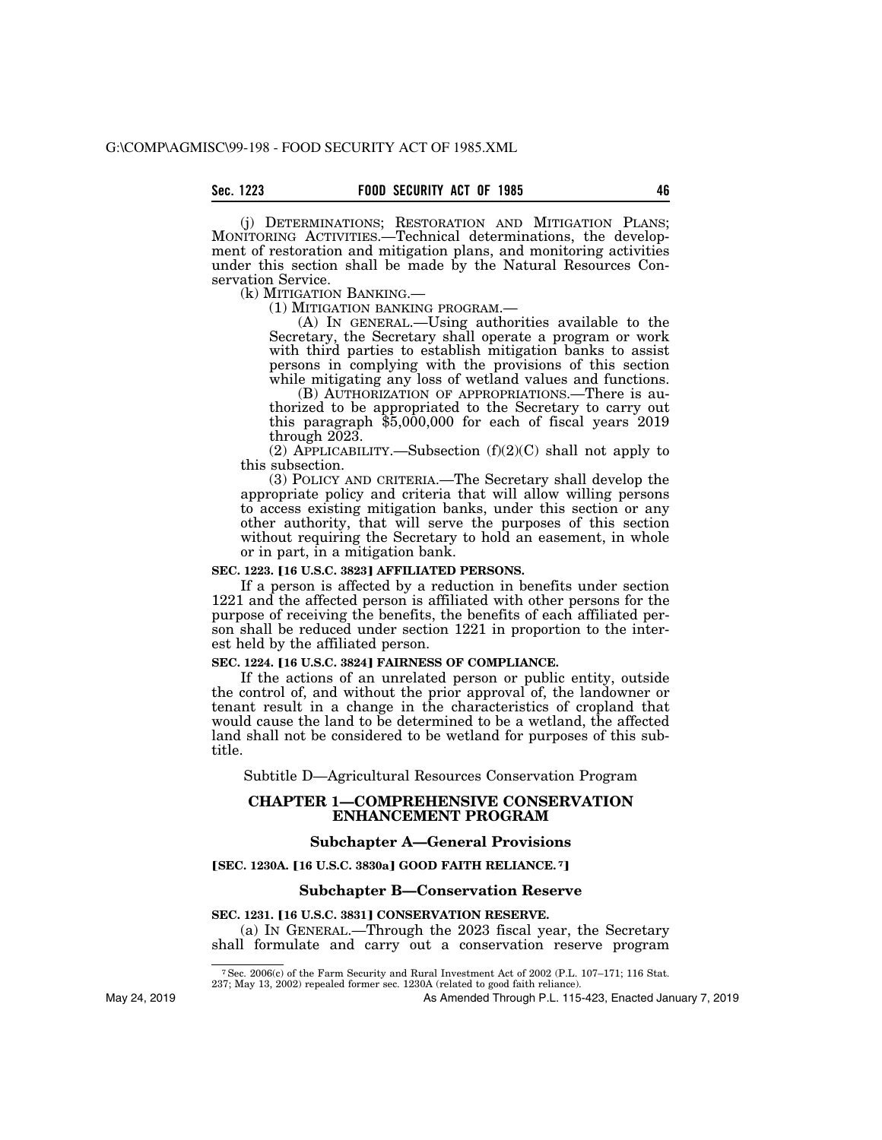(j) DETERMINATIONS; RESTORATION AND MITIGATION PLANS; MONITORING ACTIVITIES.—Technical determinations, the development of restoration and mitigation plans, and monitoring activities under this section shall be made by the Natural Resources Conservation Service.<br>(k) MITIGATION BANKING.

(1) MITIGATION BANKING PROGRAM.—<br>(A) IN GENERAL.—Using authorities available to the Secretary, the Secretary shall operate a program or work with third parties to establish mitigation banks to assist persons in complying with the provisions of this section while mitigating any loss of wetland values and functions.

(B) AUTHORIZATION OF APPROPRIATIONS.—There is authorized to be appropriated to the Secretary to carry out this paragraph  $$5,000,000$  for each of fiscal years  $2019$ through 2023.

(2) APPLICABILITY.—Subsection  $(f)(2)(C)$  shall not apply to this subsection.

(3) POLICY AND CRITERIA.—The Secretary shall develop the appropriate policy and criteria that will allow willing persons to access existing mitigation banks, under this section or any other authority, that will serve the purposes of this section without requiring the Secretary to hold an easement, in whole or in part, in a mitigation bank.

# **SEC. 1223. [16 U.S.C. 3823] AFFILIATED PERSONS.**

If a person is affected by a reduction in benefits under section 1221 and the affected person is affiliated with other persons for the purpose of receiving the benefits, the benefits of each affiliated person shall be reduced under section 1221 in proportion to the interest held by the affiliated person.

# **SEC. 1224. [16 U.S.C. 3824] FAIRNESS OF COMPLIANCE.**

If the actions of an unrelated person or public entity, outside the control of, and without the prior approval of, the landowner or tenant result in a change in the characteristics of cropland that would cause the land to be determined to be a wetland, the affected land shall not be considered to be wetland for purposes of this subtitle.

Subtitle D—Agricultural Resources Conservation Program

# **CHAPTER 1—COMPREHENSIVE CONSERVATION ENHANCEMENT PROGRAM**

#### **Subchapter A—General Provisions**

#### ø**SEC. 1230A.** ø**16 U.S.C. 3830a**¿ **GOOD FAITH RELIANCE. <sup>7</sup>**¿

#### **Subchapter B—Conservation Reserve**

#### **SEC. 1231. [16 U.S.C. 3831] CONSERVATION RESERVE.**

(a) IN GENERAL.—Through the 2023 fiscal year, the Secretary shall formulate and carry out a conservation reserve program

As Amended Through P.L. 115-423, Enacted January 7, 2019

<sup>7</sup>Sec. 2006(c) of the Farm Security and Rural Investment Act of 2002 (P.L. 107–171; 116 Stat.

<sup>237;</sup> May 13, 2002) repealed former sec. 1230A (related to good faith reliance).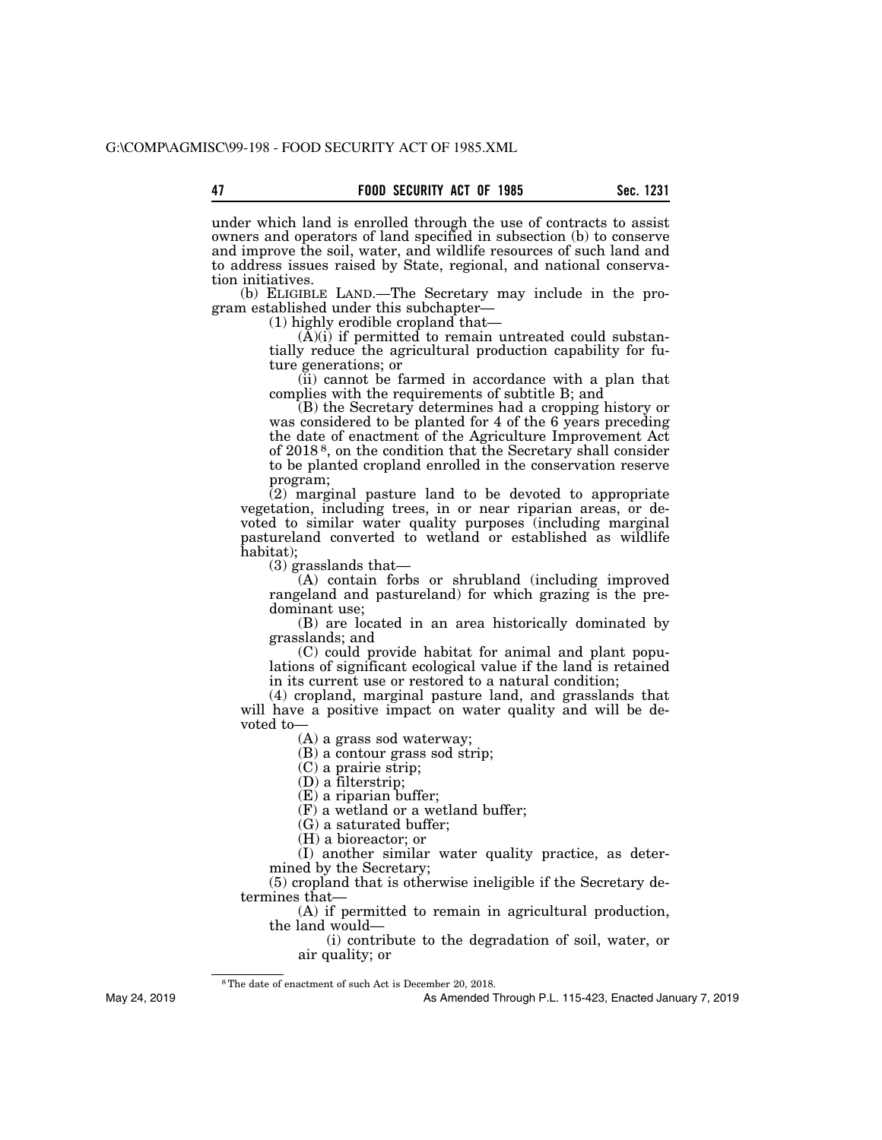under which land is enrolled through the use of contracts to assist owners and operators of land specified in subsection (b) to conserve and improve the soil, water, and wildlife resources of such land and to address issues raised by State, regional, and national conservation initiatives.

(b) ELIGIBLE LAND.—The Secretary may include in the program established under this subchapter—

(1) highly erodible cropland that—

(A)(i) if permitted to remain untreated could substantially reduce the agricultural production capability for future generations; or

(ii) cannot be farmed in accordance with a plan that complies with the requirements of subtitle B; and

(B) the Secretary determines had a cropping history or was considered to be planted for 4 of the 6 years preceding the date of enactment of the Agriculture Improvement Act of 2018 8, on the condition that the Secretary shall consider to be planted cropland enrolled in the conservation reserve program;

(2) marginal pasture land to be devoted to appropriate vegetation, including trees, in or near riparian areas, or devoted to similar water quality purposes (including marginal pastureland converted to wetland or established as wildlife habitat);

(3) grasslands that—

(A) contain forbs or shrubland (including improved rangeland and pastureland) for which grazing is the predominant use;

(B) are located in an area historically dominated by grasslands; and

(C) could provide habitat for animal and plant populations of significant ecological value if the land is retained in its current use or restored to a natural condition;

(4) cropland, marginal pasture land, and grasslands that will have a positive impact on water quality and will be devoted to—

(A) a grass sod waterway;

(B) a contour grass sod strip;

(C) a prairie strip;

(D) a filterstrip;

(E) a riparian buffer;

(F) a wetland or a wetland buffer;

(G) a saturated buffer;

(H) a bioreactor; or

(I) another similar water quality practice, as determined by the Secretary;

(5) cropland that is otherwise ineligible if the Secretary determines that—

(A) if permitted to remain in agricultural production, the land would—

(i) contribute to the degradation of soil, water, or air quality; or

8The date of enactment of such Act is December 20, 2018.

As Amended Through P.L. 115-423, Enacted January 7, 2019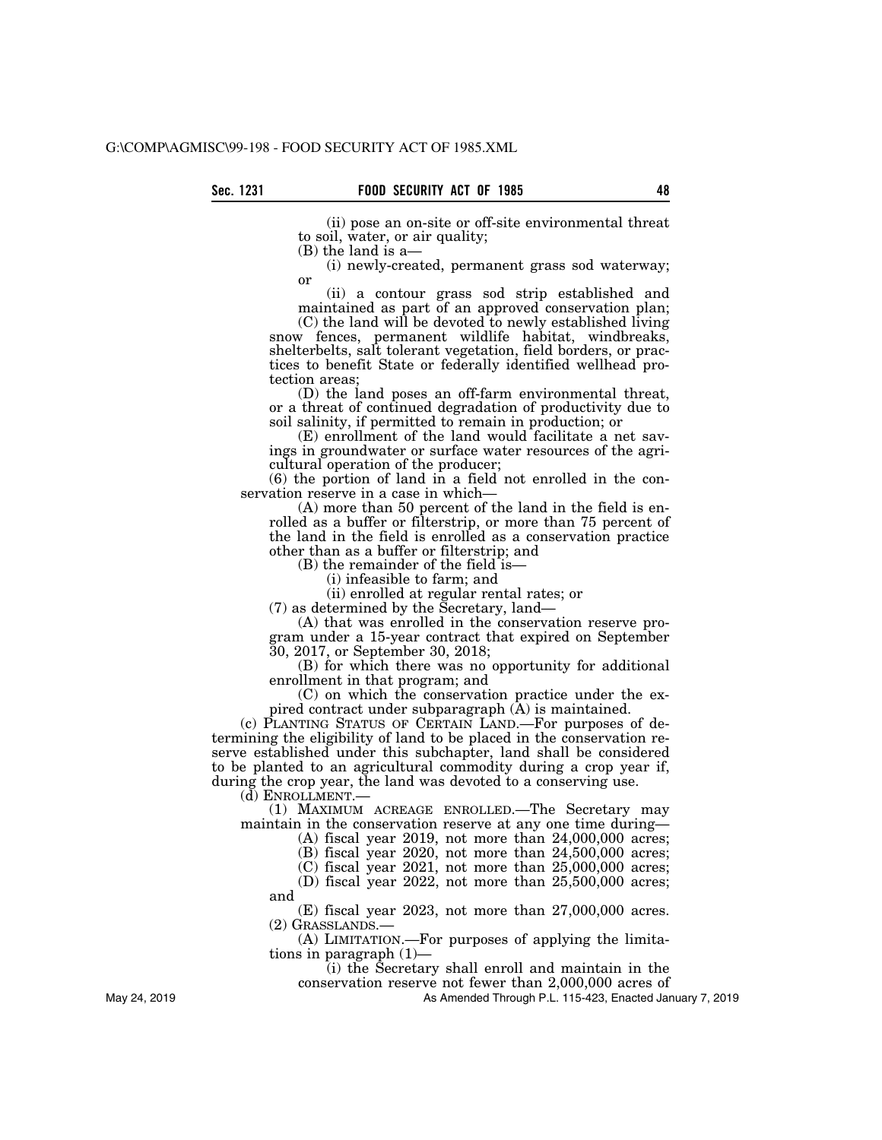(ii) pose an on-site or off-site environmental threat to soil, water, or air quality;

(B) the land is a—

(i) newly-created, permanent grass sod waterway; or

(ii) a contour grass sod strip established and maintained as part of an approved conservation plan;

(C) the land will be devoted to newly established living snow fences, permanent wildlife habitat, windbreaks, shelterbelts, salt tolerant vegetation, field borders, or practices to benefit State or federally identified wellhead protection areas;

(D) the land poses an off-farm environmental threat, or a threat of continued degradation of productivity due to soil salinity, if permitted to remain in production; or

(E) enrollment of the land would facilitate a net savings in groundwater or surface water resources of the agricultural operation of the producer;

(6) the portion of land in a field not enrolled in the conservation reserve in a case in which—

(A) more than 50 percent of the land in the field is enrolled as a buffer or filterstrip, or more than 75 percent of the land in the field is enrolled as a conservation practice other than as a buffer or filterstrip; and

(B) the remainder of the field is—

(i) infeasible to farm; and

(ii) enrolled at regular rental rates; or

(7) as determined by the Secretary, land—

(A) that was enrolled in the conservation reserve program under a 15-year contract that expired on September 30, 2017, or September 30, 2018;

(B) for which there was no opportunity for additional enrollment in that program; and

(C) on which the conservation practice under the expired contract under subparagraph (A) is maintained.

(c) PLANTING STATUS OF CERTAIN LAND.—For purposes of determining the eligibility of land to be placed in the conservation reserve established under this subchapter, land shall be considered to be planted to an agricultural commodity during a crop year if, during the crop year, the land was devoted to a conserving use.

(d) ENROLLMENT.—

and

(1) MAXIMUM ACREAGE ENROLLED.—The Secretary may maintain in the conservation reserve at any one time during—

(A) fiscal year 2019, not more than 24,000,000 acres;

(B) fiscal year 2020, not more than 24,500,000 acres;

(C) fiscal year 2021, not more than 25,000,000 acres;

(D) fiscal year 2022, not more than 25,500,000 acres;

(E) fiscal year 2023, not more than 27,000,000 acres. (2) GRASSLANDS.—

(A) LIMITATION.—For purposes of applying the limitations in paragraph (1)—

(i) the Secretary shall enroll and maintain in the

conservation reserve not fewer than 2,000,000 acres of

As Amended Through P.L. 115-423, Enacted January 7, 2019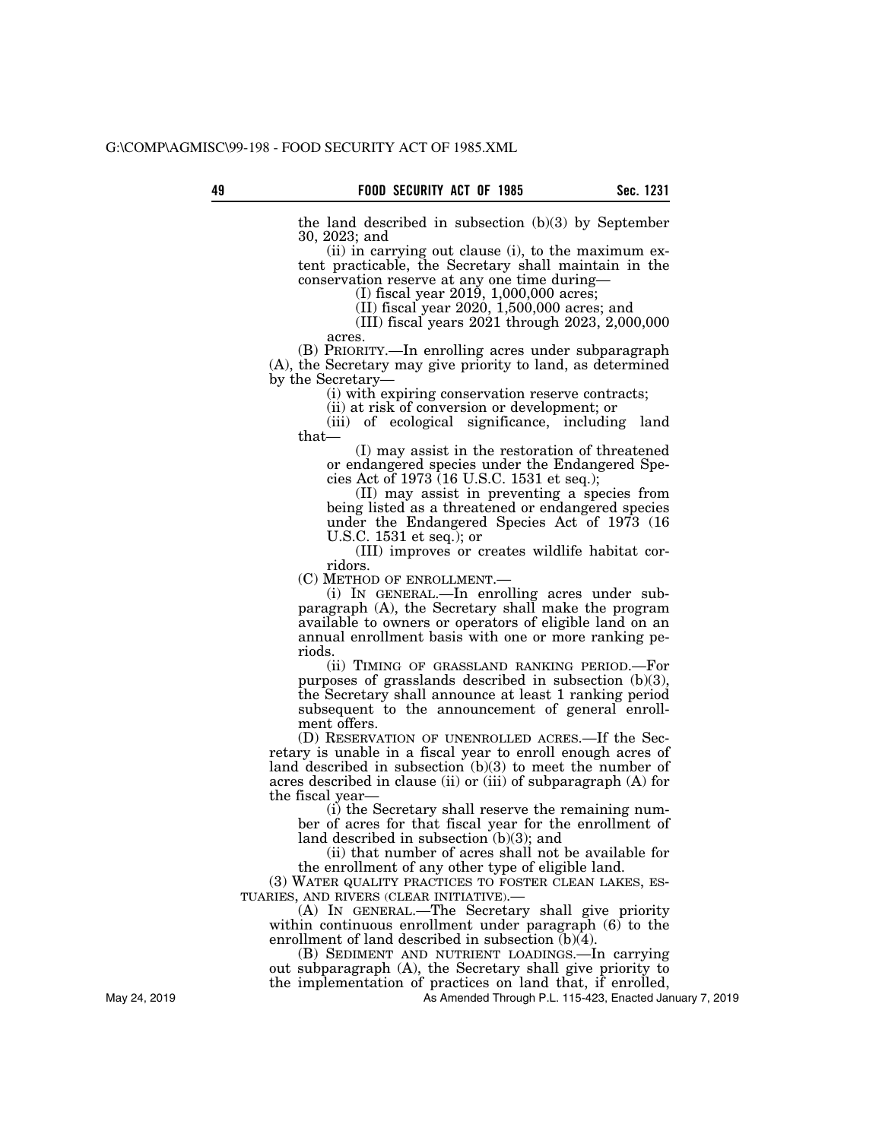the land described in subsection (b)(3) by September 30, 2023; and

(ii) in carrying out clause (i), to the maximum extent practicable, the Secretary shall maintain in the conservation reserve at any one time during—

(I) fiscal year 2019, 1,000,000 acres;

(II) fiscal year 2020, 1,500,000 acres; and

(III) fiscal years 2021 through 2023, 2,000,000 acres.

(B) PRIORITY.—In enrolling acres under subparagraph (A), the Secretary may give priority to land, as determined by the Secretary—

(i) with expiring conservation reserve contracts;

(ii) at risk of conversion or development; or

(iii) of ecological significance, including land that—

(I) may assist in the restoration of threatened or endangered species under the Endangered Species Act of 1973 (16 U.S.C. 1531 et seq.);

(II) may assist in preventing a species from being listed as a threatened or endangered species under the Endangered Species Act of 1973 (16 U.S.C. 1531 et seq.); or

(III) improves or creates wildlife habitat corridors.

(C) METHOD OF ENROLLMENT.—

(i) IN GENERAL.—In enrolling acres under subparagraph (A), the Secretary shall make the program available to owners or operators of eligible land on an annual enrollment basis with one or more ranking periods.

(ii) TIMING OF GRASSLAND RANKING PERIOD.—For purposes of grasslands described in subsection (b)(3), the Secretary shall announce at least 1 ranking period subsequent to the announcement of general enrollment offers.

(D) RESERVATION OF UNENROLLED ACRES.—If the Secretary is unable in a fiscal year to enroll enough acres of land described in subsection (b)(3) to meet the number of acres described in clause (ii) or (iii) of subparagraph (A) for the fiscal year—

(i) the Secretary shall reserve the remaining number of acres for that fiscal year for the enrollment of land described in subsection (b)(3); and

(ii) that number of acres shall not be available for the enrollment of any other type of eligible land.

(3) WATER QUALITY PRACTICES TO FOSTER CLEAN LAKES, ES-TUARIES, AND RIVERS (CLEAR INITIATIVE).—

(A) IN GENERAL.—The Secretary shall give priority within continuous enrollment under paragraph (6) to the enrollment of land described in subsection  $(b)(4)$ .

(B) SEDIMENT AND NUTRIENT LOADINGS.—In carrying out subparagraph (A), the Secretary shall give priority to the implementation of practices on land that, if enrolled,

As Amended Through P.L. 115-423, Enacted January 7, 2019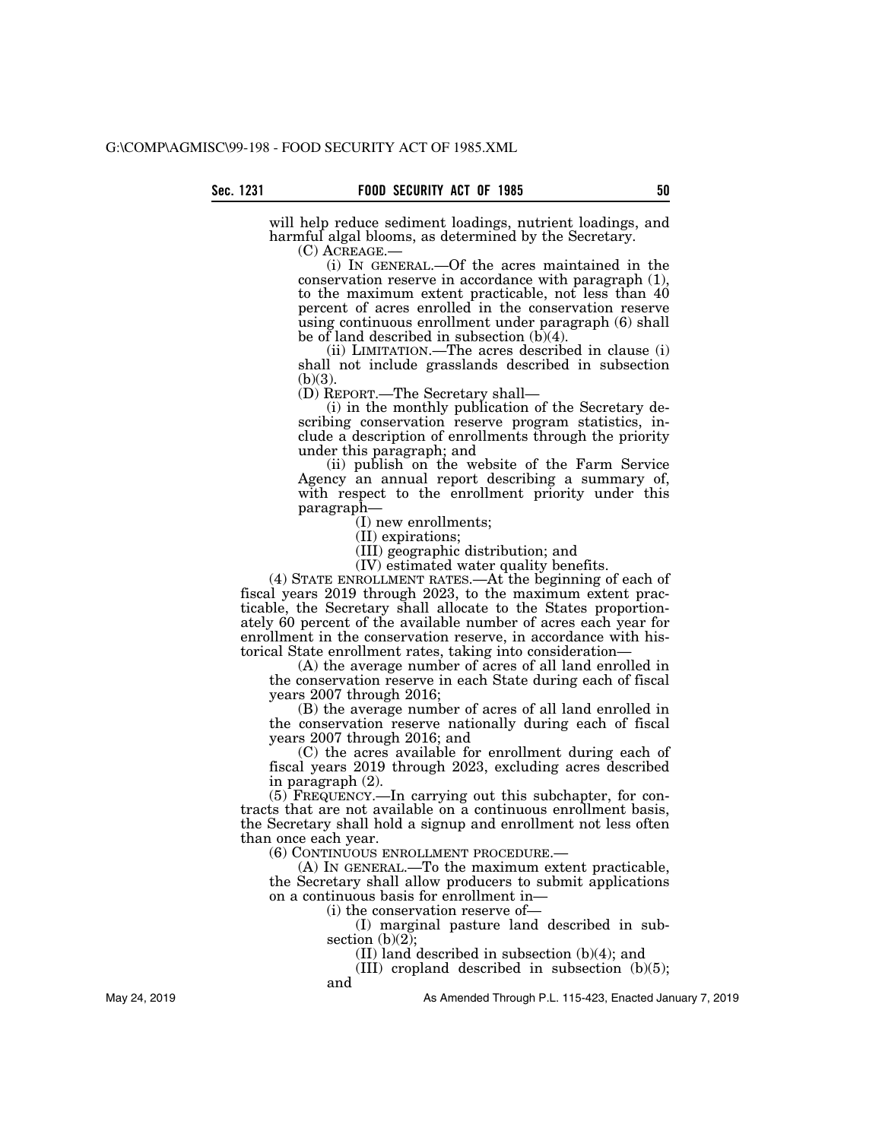will help reduce sediment loadings, nutrient loadings, and harmful algal blooms, as determined by the Secretary.<br>(C)  $ACREAGE$ —

 $(i)$  In GENERAL.—Of the acres maintained in the conservation reserve in accordance with paragraph (1), to the maximum extent practicable, not less than 40 percent of acres enrolled in the conservation reserve using continuous enrollment under paragraph (6) shall be of land described in subsection (b)(4).

(ii) LIMITATION.—The acres described in clause (i) shall not include grasslands described in subsection  $(b)(3)$ .

(D) REPORT.—The Secretary shall—

(i) in the monthly publication of the Secretary describing conservation reserve program statistics, include a description of enrollments through the priority under this paragraph; and

(ii) publish on the website of the Farm Service Agency an annual report describing a summary of, with respect to the enrollment priority under this paragraph—

(I) new enrollments;

(II) expirations;

(III) geographic distribution; and

(IV) estimated water quality benefits.

(4) STATE ENROLLMENT RATES.—At the beginning of each of fiscal years 2019 through 2023, to the maximum extent practicable, the Secretary shall allocate to the States proportionately 60 percent of the available number of acres each year for enrollment in the conservation reserve, in accordance with historical State enrollment rates, taking into consideration—

(A) the average number of acres of all land enrolled in the conservation reserve in each State during each of fiscal years 2007 through 2016;

(B) the average number of acres of all land enrolled in the conservation reserve nationally during each of fiscal years 2007 through 2016; and

(C) the acres available for enrollment during each of fiscal years 2019 through 2023, excluding acres described in paragraph (2).

(5) FREQUENCY.—In carrying out this subchapter, for contracts that are not available on a continuous enrollment basis, the Secretary shall hold a signup and enrollment not less often than once each year.

(6) CONTINUOUS ENROLLMENT PROCEDURE.—

(A) IN GENERAL.—To the maximum extent practicable, the Secretary shall allow producers to submit applications on a continuous basis for enrollment in—

(i) the conservation reserve of—

(I) marginal pasture land described in subsection  $(b)(2)$ ;

(II) land described in subsection (b)(4); and

(III) cropland described in subsection  $(b)(5)$ ;

and

As Amended Through P.L. 115-423, Enacted January 7, 2019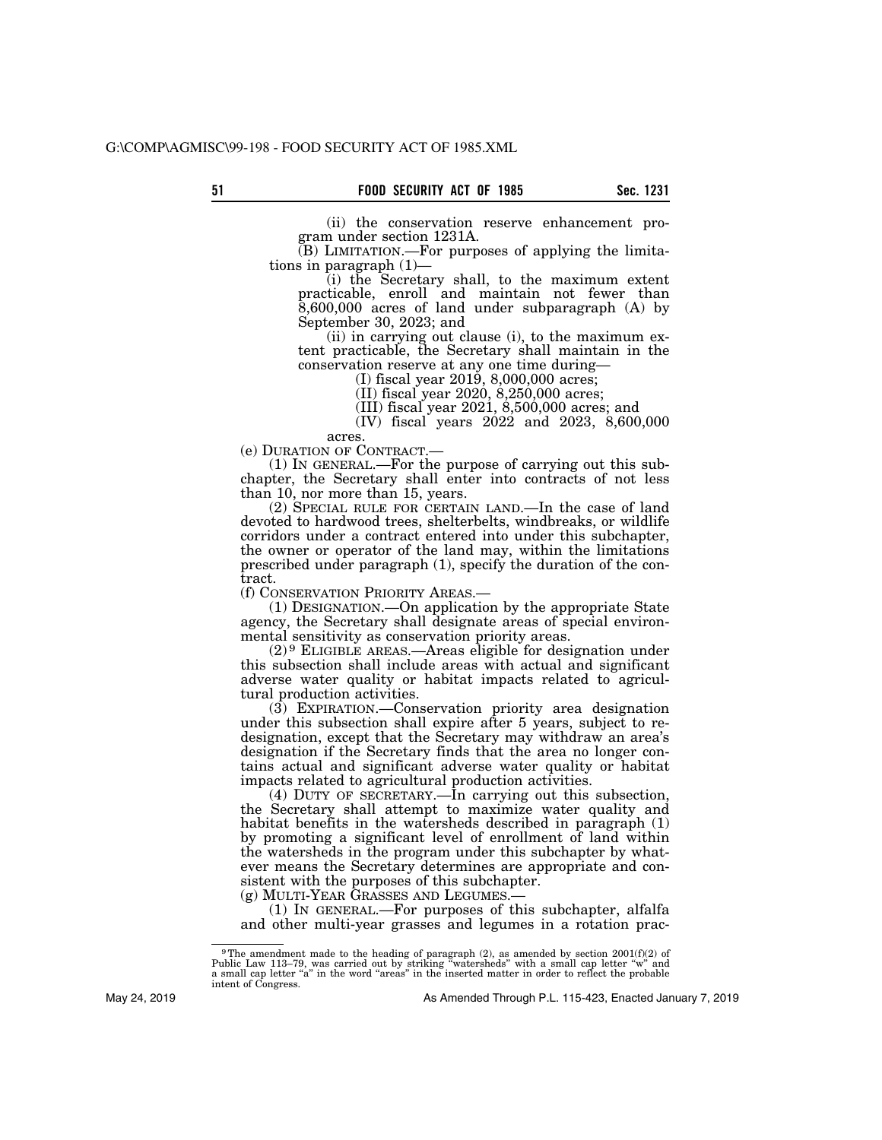(ii) the conservation reserve enhancement program under section 1231A.

(B) LIMITATION.—For purposes of applying the limitations in paragraph (1)—

(i) the Secretary shall, to the maximum extent practicable, enroll and maintain not fewer than 8,600,000 acres of land under subparagraph (A) by September 30, 2023; and

(ii) in carrying out clause (i), to the maximum extent practicable, the Secretary shall maintain in the conservation reserve at any one time during—

(I) fiscal year 2019, 8,000,000 acres;

(II) fiscal year 2020, 8,250,000 acres;

(III) fiscal year 2021, 8,500,000 acres; and

(IV) fiscal years 2022 and 2023, 8,600,000

acres.<br>(e) DURATION OF CONTRACT.—

 $(1)$  In GENERAL.—For the purpose of carrying out this subchapter, the Secretary shall enter into contracts of not less than 10, nor more than 15, years.

(2) SPECIAL RULE FOR CERTAIN LAND.—In the case of land devoted to hardwood trees, shelterbelts, windbreaks, or wildlife corridors under a contract entered into under this subchapter, the owner or operator of the land may, within the limitations prescribed under paragraph (1), specify the duration of the contract.

(f) CONSERVATION PRIORITY AREAS.—

(1) DESIGNATION.—On application by the appropriate State agency, the Secretary shall designate areas of special environmental sensitivity as conservation priority areas.

(2) 9 ELIGIBLE AREAS.—Areas eligible for designation under this subsection shall include areas with actual and significant adverse water quality or habitat impacts related to agricultural production activities.

(3) EXPIRATION.—Conservation priority area designation under this subsection shall expire after 5 years, subject to redesignation, except that the Secretary may withdraw an area's designation if the Secretary finds that the area no longer contains actual and significant adverse water quality or habitat impacts related to agricultural production activities.

(4) DUTY OF SECRETARY.—In carrying out this subsection, the Secretary shall attempt to maximize water quality and habitat benefits in the watersheds described in paragraph  $(1)$ by promoting a significant level of enrollment of land within the watersheds in the program under this subchapter by whatever means the Secretary determines are appropriate and consistent with the purposes of this subchapter.<br>(g) MULTI-YEAR GRASSES AND LEGUMES.—

 $(1)$  In GENERAL.—For purposes of this subchapter, alfalfa and other multi-year grasses and legumes in a rotation prac-

<sup>&</sup>lt;sup>9</sup>The amendment made to the heading of paragraph  $(2)$ , as amended by section  $2001(f)(2)$  of Public Law 113–79, was carried out by striking "watersheds" with a small cap letter "w" and a small cap letter "a" in the word " intent of Congress.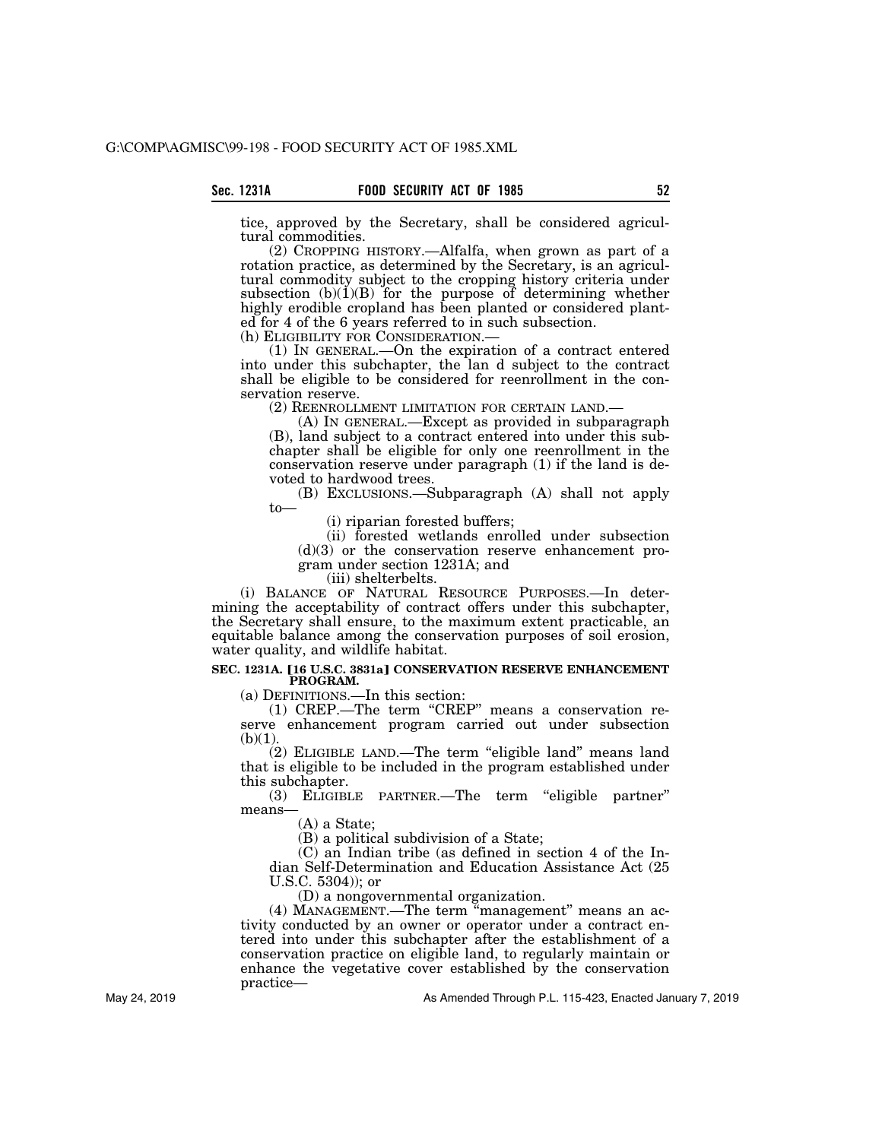tice, approved by the Secretary, shall be considered agricultural commodities.

(2) CROPPING HISTORY.—Alfalfa, when grown as part of a rotation practice, as determined by the Secretary, is an agricultural commodity subject to the cropping history criteria under subsection  $(b)(1)(B)$  for the purpose of determining whether highly erodible cropland has been planted or considered planted for 4 of the 6 years referred to in such subsection.

(h) ELIGIBILITY FOR CONSIDERATION.— (1) IN GENERAL.—On the expiration of a contract entered into under this subchapter, the lan d subject to the contract shall be eligible to be considered for reenrollment in the conservation reserve.<br>
(2) REENROLLMENT LIMITATION FOR CERTAIN LAND.

 $(A)$  In GENERAL.—Except as provided in subparagraph (B), land subject to a contract entered into under this subchapter shall be eligible for only one reenrollment in the conservation reserve under paragraph (1) if the land is devoted to hardwood trees.

(B) EXCLUSIONS.—Subparagraph (A) shall not apply to—

(i) riparian forested buffers;

(ii) forested wetlands enrolled under subsection  $(d)(3)$  or the conservation reserve enhancement program under section 1231A; and

(iii) shelterbelts.

(i) BALANCE OF NATURAL RESOURCE PURPOSES.—In determining the acceptability of contract offers under this subchapter, the Secretary shall ensure, to the maximum extent practicable, an equitable balance among the conservation purposes of soil erosion, water quality, and wildlife habitat.

#### **SEC. 1231A. [16 U.S.C. 3831a] CONSERVATION RESERVE ENHANCEMENT PROGRAM.**

(a) DEFINITIONS.—In this section:

(1) CREP.—The term ''CREP'' means a conservation reserve enhancement program carried out under subsection  $(b)(1)$ .

(2) ELIGIBLE LAND.—The term ''eligible land'' means land that is eligible to be included in the program established under this subchapter.

(3) ELIGIBLE PARTNER.—The term ''eligible partner'' means—

(A) a State;

(B) a political subdivision of a State;

(C) an Indian tribe (as defined in section 4 of the Indian Self-Determination and Education Assistance Act (25 U.S.C. 5304)); or

(D) a nongovernmental organization.

(4) MANAGEMENT.—The term ''management'' means an activity conducted by an owner or operator under a contract entered into under this subchapter after the establishment of a conservation practice on eligible land, to regularly maintain or enhance the vegetative cover established by the conservation practice—

As Amended Through P.L. 115-423, Enacted January 7, 2019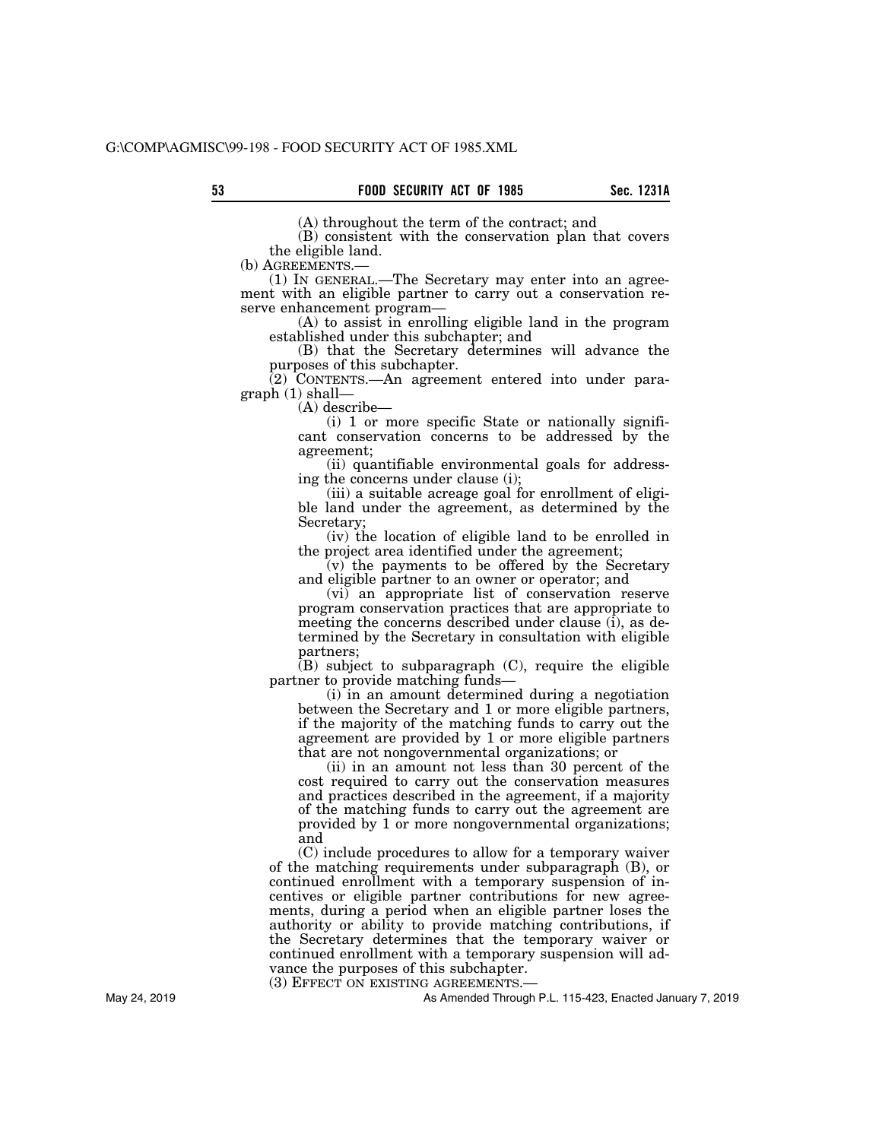(A) throughout the term of the contract; and

(B) consistent with the conservation plan that covers the eligible land.

(b) AGREEMENTS.—<br>(1) IN GENERAL.—The Secretary may enter into an agreement with an eligible partner to carry out a conservation reserve enhancement program—

(A) to assist in enrolling eligible land in the program established under this subchapter; and

(B) that the Secretary determines will advance the purposes of this subchapter.

(2) CONTENTS.—An agreement entered into under paragraph (1) shall—

(A) describe—

(i) 1 or more specific State or nationally significant conservation concerns to be addressed by the agreement;

(ii) quantifiable environmental goals for addressing the concerns under clause (i);

(iii) a suitable acreage goal for enrollment of eligible land under the agreement, as determined by the Secretary;

(iv) the location of eligible land to be enrolled in the project area identified under the agreement;

(v) the payments to be offered by the Secretary and eligible partner to an owner or operator; and

(vi) an appropriate list of conservation reserve program conservation practices that are appropriate to meeting the concerns described under clause (i), as determined by the Secretary in consultation with eligible partners;

 $(B)$  subject to subparagraph  $(C)$ , require the eligible partner to provide matching funds—

(i) in an amount determined during a negotiation between the Secretary and 1 or more eligible partners, if the majority of the matching funds to carry out the agreement are provided by 1 or more eligible partners that are not nongovernmental organizations; or

(ii) in an amount not less than 30 percent of the cost required to carry out the conservation measures and practices described in the agreement, if a majority of the matching funds to carry out the agreement are provided by 1 or more nongovernmental organizations; and

(C) include procedures to allow for a temporary waiver of the matching requirements under subparagraph (B), or continued enrollment with a temporary suspension of incentives or eligible partner contributions for new agreements, during a period when an eligible partner loses the authority or ability to provide matching contributions, if the Secretary determines that the temporary waiver or continued enrollment with a temporary suspension will advance the purposes of this subchapter.

(3) EFFECT ON EXISTING AGREEMENTS.—

As Amended Through P.L. 115-423, Enacted January 7, 2019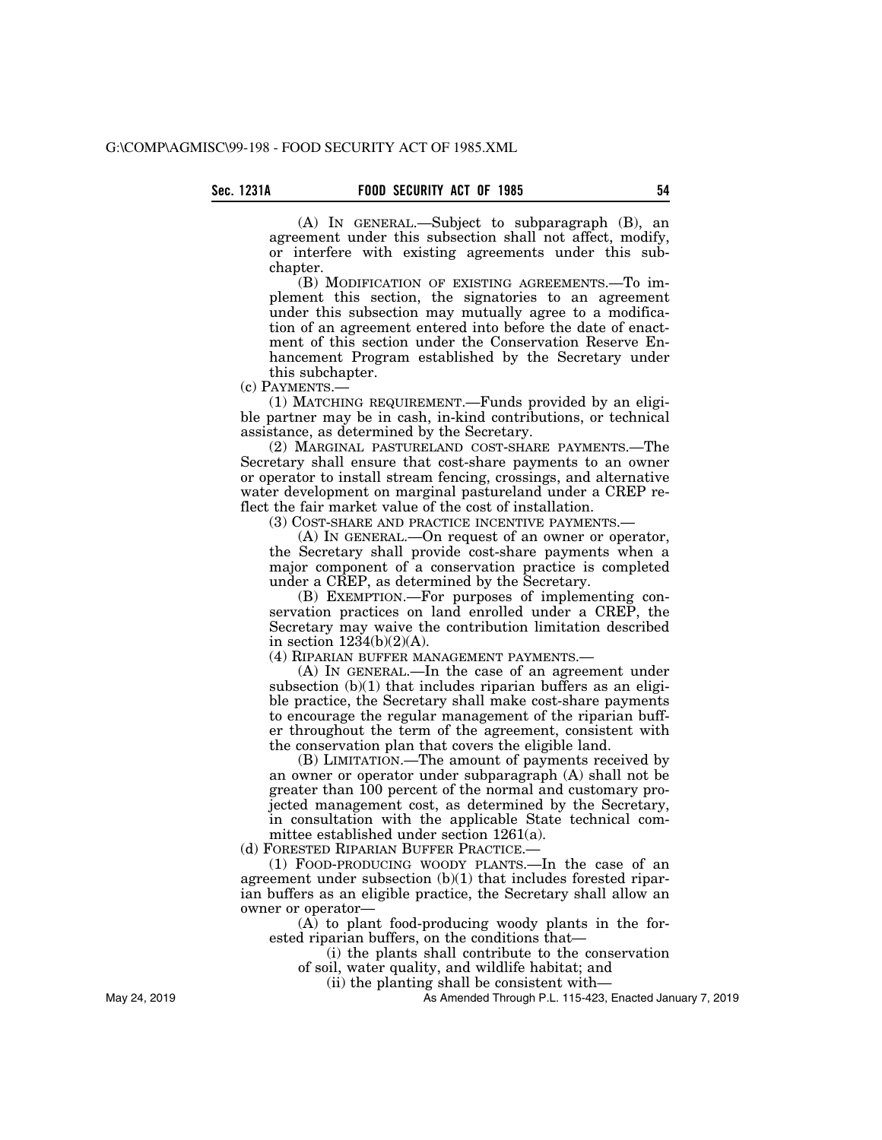(A) IN GENERAL.—Subject to subparagraph (B), an agreement under this subsection shall not affect, modify, or interfere with existing agreements under this subchapter.

(B) MODIFICATION OF EXISTING AGREEMENTS.—To implement this section, the signatories to an agreement under this subsection may mutually agree to a modification of an agreement entered into before the date of enactment of this section under the Conservation Reserve Enhancement Program established by the Secretary under this subchapter.

(c) PAYMENTS.—

(1) MATCHING REQUIREMENT.—Funds provided by an eligible partner may be in cash, in-kind contributions, or technical assistance, as determined by the Secretary.

(2) MARGINAL PASTURELAND COST-SHARE PAYMENTS.—The Secretary shall ensure that cost-share payments to an owner or operator to install stream fencing, crossings, and alternative water development on marginal pastureland under a CREP reflect the fair market value of the cost of installation.

(3) COST-SHARE AND PRACTICE INCENTIVE PAYMENTS.—

(A) IN GENERAL.—On request of an owner or operator, the Secretary shall provide cost-share payments when a major component of a conservation practice is completed under a CREP, as determined by the Secretary.

(B) EXEMPTION.—For purposes of implementing conservation practices on land enrolled under a CREP, the Secretary may waive the contribution limitation described in section  $1234(b)(2)(A)$ .

(4) RIPARIAN BUFFER MANAGEMENT PAYMENTS.—

(A) IN GENERAL.—In the case of an agreement under subsection (b)(1) that includes riparian buffers as an eligible practice, the Secretary shall make cost-share payments to encourage the regular management of the riparian buffer throughout the term of the agreement, consistent with the conservation plan that covers the eligible land.

(B) LIMITATION.—The amount of payments received by an owner or operator under subparagraph (A) shall not be greater than 100 percent of the normal and customary projected management cost, as determined by the Secretary, in consultation with the applicable State technical committee established under section 1261(a).

(d) FORESTED RIPARIAN BUFFER PRACTICE.—

(1) FOOD-PRODUCING WOODY PLANTS.—In the case of an agreement under subsection (b)(1) that includes forested riparian buffers as an eligible practice, the Secretary shall allow an owner or operator—

(A) to plant food-producing woody plants in the forested riparian buffers, on the conditions that—

(i) the plants shall contribute to the conservation

of soil, water quality, and wildlife habitat; and

(ii) the planting shall be consistent with—

As Amended Through P.L. 115-423, Enacted January 7, 2019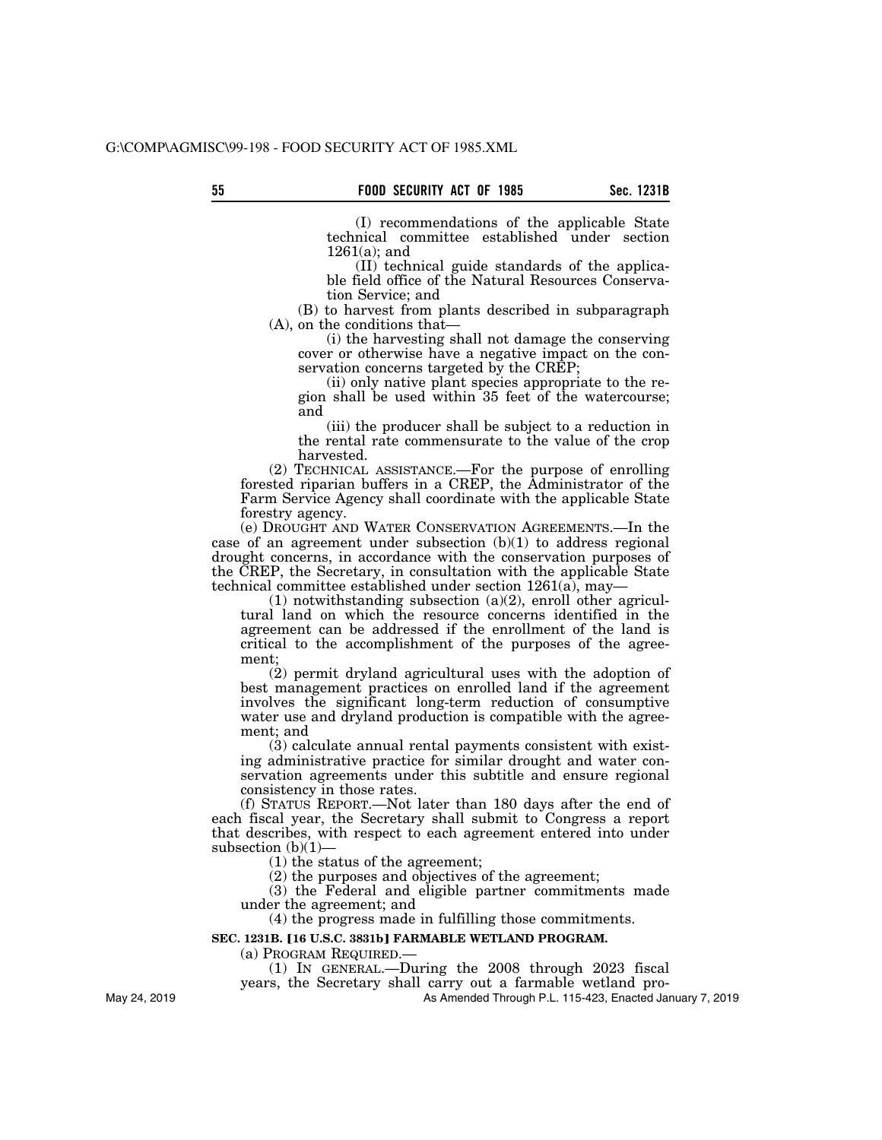(I) recommendations of the applicable State technical committee established under section 1261(a); and

(II) technical guide standards of the applicable field office of the Natural Resources Conservation Service; and

(B) to harvest from plants described in subparagraph (A), on the conditions that—

(i) the harvesting shall not damage the conserving cover or otherwise have a negative impact on the conservation concerns targeted by the CREP;

(ii) only native plant species appropriate to the region shall be used within 35 feet of the watercourse; and

(iii) the producer shall be subject to a reduction in the rental rate commensurate to the value of the crop harvested.

(2) TECHNICAL ASSISTANCE.—For the purpose of enrolling forested riparian buffers in a CREP, the Administrator of the Farm Service Agency shall coordinate with the applicable State forestry agency.

(e) DROUGHT AND WATER CONSERVATION AGREEMENTS.—In the case of an agreement under subsection  $(b)(1)$  to address regional drought concerns, in accordance with the conservation purposes of the CREP, the Secretary, in consultation with the applicable State technical committee established under section 1261(a), may-

 $(1)$  notwithstanding subsection  $(a)(2)$ , enroll other agricultural land on which the resource concerns identified in the agreement can be addressed if the enrollment of the land is critical to the accomplishment of the purposes of the agreement;

(2) permit dryland agricultural uses with the adoption of best management practices on enrolled land if the agreement involves the significant long-term reduction of consumptive water use and dryland production is compatible with the agreement; and

(3) calculate annual rental payments consistent with existing administrative practice for similar drought and water conservation agreements under this subtitle and ensure regional consistency in those rates.

(f) STATUS REPORT.—Not later than 180 days after the end of each fiscal year, the Secretary shall submit to Congress a report that describes, with respect to each agreement entered into under subsection  $(b)(1)$ —

(1) the status of the agreement;

(2) the purposes and objectives of the agreement;

(3) the Federal and eligible partner commitments made under the agreement; and

(4) the progress made in fulfilling those commitments.

# **SEC. 1231B. [16 U.S.C. 3831b] FARMABLE WETLAND PROGRAM.**

(a) PROGRAM REQUIRED.—

(1) IN GENERAL.—During the 2008 through 2023 fiscal

years, the Secretary shall carry out a farmable wetland pro-

As Amended Through P.L. 115-423, Enacted January 7, 2019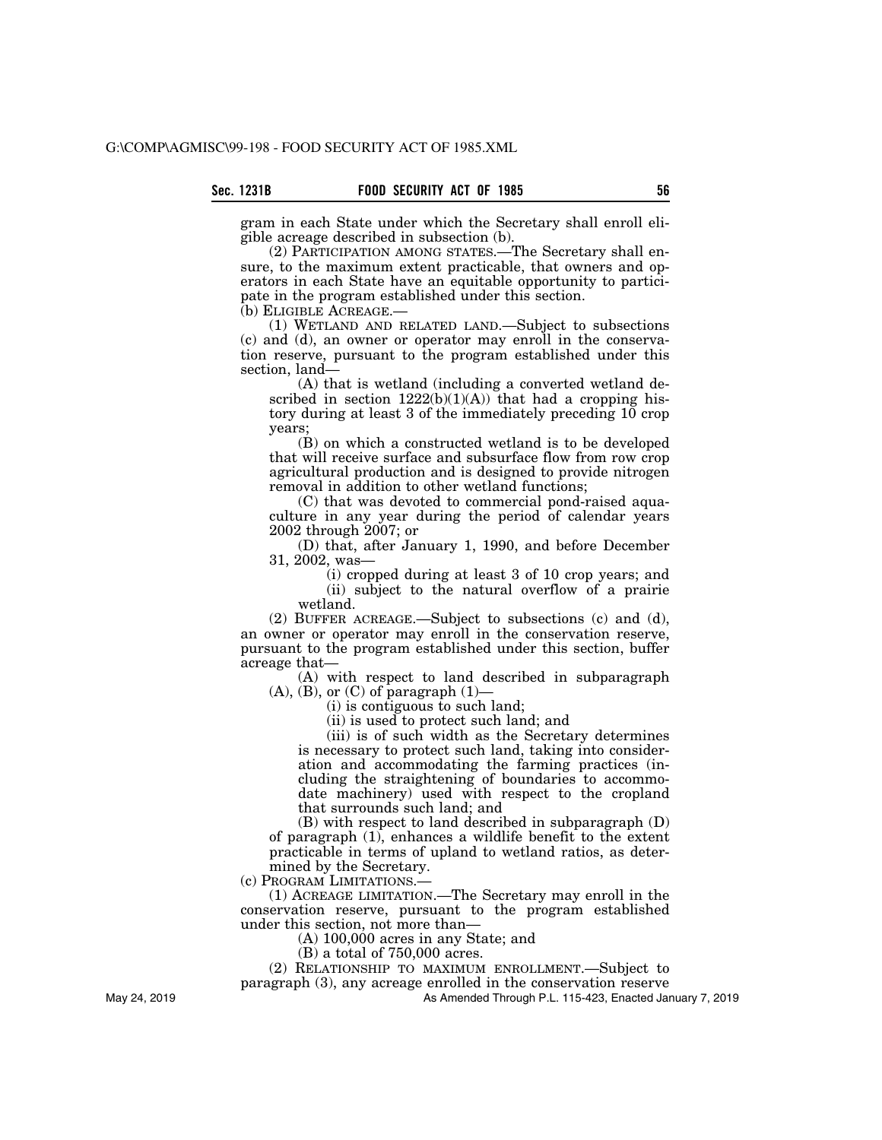gram in each State under which the Secretary shall enroll eligible acreage described in subsection (b).

(2) PARTICIPATION AMONG STATES.—The Secretary shall ensure, to the maximum extent practicable, that owners and operators in each State have an equitable opportunity to participate in the program established under this section.

(b) ELIGIBLE ACREAGE.—

(1) WETLAND AND RELATED LAND.—Subject to subsections (c) and (d), an owner or operator may enroll in the conservation reserve, pursuant to the program established under this section, land—

(A) that is wetland (including a converted wetland described in section  $1222(b)(1)(A)$  that had a cropping history during at least 3 of the immediately preceding 10 crop years;

(B) on which a constructed wetland is to be developed that will receive surface and subsurface flow from row crop agricultural production and is designed to provide nitrogen removal in addition to other wetland functions;

(C) that was devoted to commercial pond-raised aquaculture in any year during the period of calendar years 2002 through 2007; or

(D) that, after January 1, 1990, and before December 31, 2002, was—

(i) cropped during at least 3 of 10 crop years; and (ii) subject to the natural overflow of a prairie wetland.

(2) BUFFER ACREAGE.—Subject to subsections (c) and (d), an owner or operator may enroll in the conservation reserve, pursuant to the program established under this section, buffer acreage that—

(A) with respect to land described in subparagraph  $(A)$ ,  $(B)$ , or  $(C)$  of paragraph  $(1)$ —

(i) is contiguous to such land;

(ii) is used to protect such land; and

(iii) is of such width as the Secretary determines is necessary to protect such land, taking into consideration and accommodating the farming practices (including the straightening of boundaries to accommodate machinery) used with respect to the cropland that surrounds such land; and

(B) with respect to land described in subparagraph (D) of paragraph (1), enhances a wildlife benefit to the extent practicable in terms of upland to wetland ratios, as determined by the Secretary.

(c) PROGRAM LIMITATIONS.—

(1) ACREAGE LIMITATION.—The Secretary may enroll in the conservation reserve, pursuant to the program established under this section, not more than—

(A) 100,000 acres in any State; and

(B) a total of 750,000 acres.

(2) RELATIONSHIP TO MAXIMUM ENROLLMENT.—Subject to

paragraph (3), any acreage enrolled in the conservation reserve

As Amended Through P.L. 115-423, Enacted January 7, 2019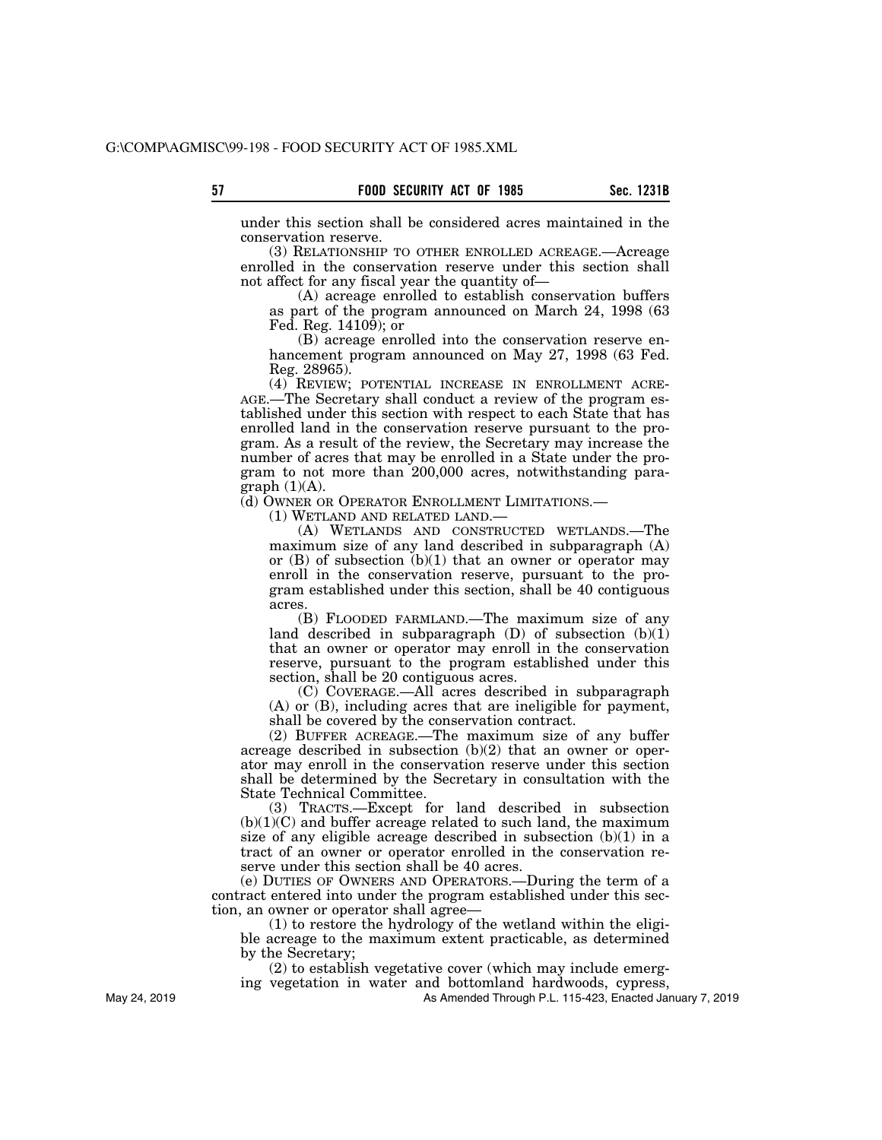under this section shall be considered acres maintained in the conservation reserve.

(3) RELATIONSHIP TO OTHER ENROLLED ACREAGE.—Acreage enrolled in the conservation reserve under this section shall not affect for any fiscal year the quantity of—

(A) acreage enrolled to establish conservation buffers as part of the program announced on March 24, 1998 (63 Fed. Reg. 14109); or

(B) acreage enrolled into the conservation reserve enhancement program announced on May 27, 1998 (63 Fed. Reg. 28965).

(4) REVIEW; POTENTIAL INCREASE IN ENROLLMENT ACRE-AGE.—The Secretary shall conduct a review of the program established under this section with respect to each State that has enrolled land in the conservation reserve pursuant to the program. As a result of the review, the Secretary may increase the number of acres that may be enrolled in a State under the program to not more than 200,000 acres, notwithstanding para $graph (1)(A).$ 

(d) OWNER OR OPERATOR ENROLLMENT LIMITATIONS.—

(1) WETLAND AND RELATED LAND.—

(A) WETLANDS AND CONSTRUCTED WETLANDS.—The maximum size of any land described in subparagraph (A) or  $(B)$  of subsection  $(b)(1)$  that an owner or operator may enroll in the conservation reserve, pursuant to the program established under this section, shall be 40 contiguous acres.

(B) FLOODED FARMLAND.—The maximum size of any land described in subparagraph  $(D)$  of subsection  $(b)(1)$ that an owner or operator may enroll in the conservation reserve, pursuant to the program established under this section, shall be 20 contiguous acres.

(C) COVERAGE.—All acres described in subparagraph (A) or (B), including acres that are ineligible for payment, shall be covered by the conservation contract.

(2) BUFFER ACREAGE.—The maximum size of any buffer acreage described in subsection (b)(2) that an owner or operator may enroll in the conservation reserve under this section shall be determined by the Secretary in consultation with the State Technical Committee.

(3) TRACTS.—Except for land described in subsection  $(b)(1)(C)$  and buffer acreage related to such land, the maximum size of any eligible acreage described in subsection (b)(1) in a tract of an owner or operator enrolled in the conservation reserve under this section shall be 40 acres.

(e) DUTIES OF OWNERS AND OPERATORS.—During the term of a contract entered into under the program established under this section, an owner or operator shall agree—

(1) to restore the hydrology of the wetland within the eligible acreage to the maximum extent practicable, as determined by the Secretary;

(2) to establish vegetative cover (which may include emerg-

ing vegetation in water and bottomland hardwoods, cypress,

As Amended Through P.L. 115-423, Enacted January 7, 2019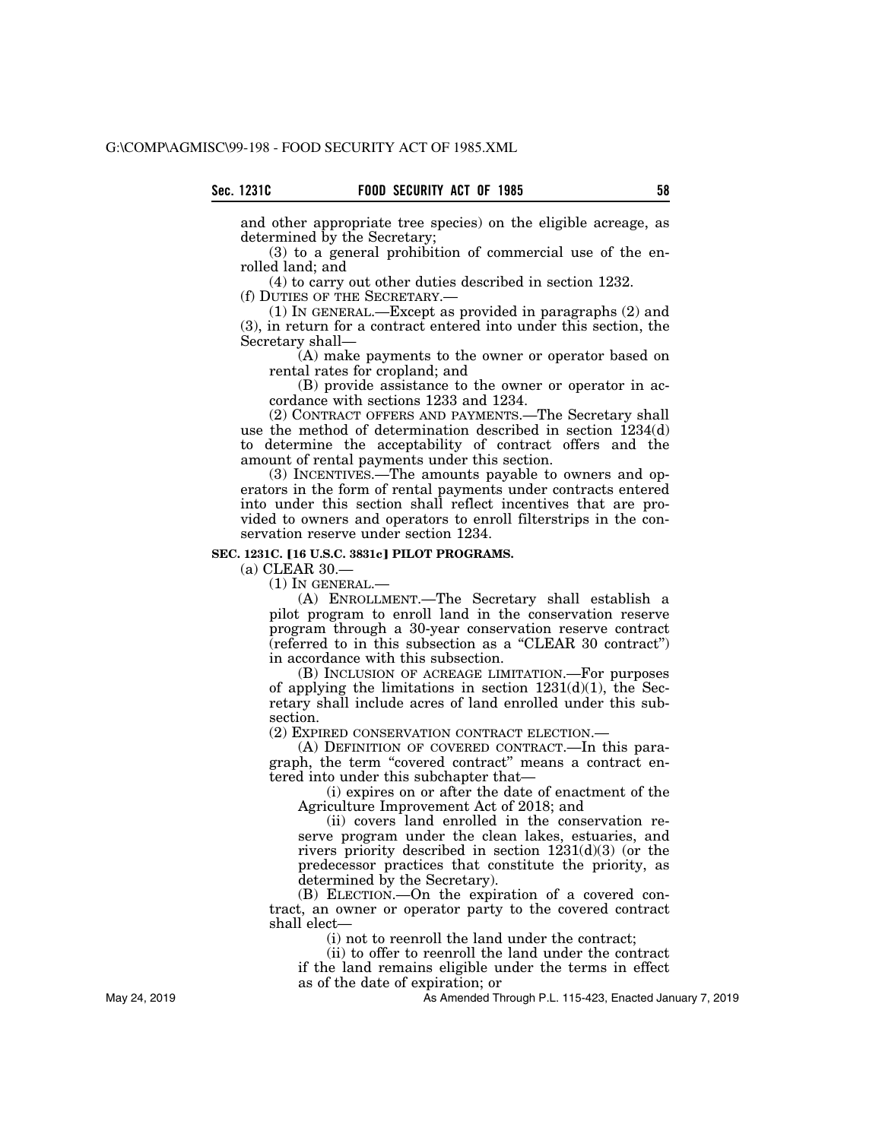and other appropriate tree species) on the eligible acreage, as determined by the Secretary;

(3) to a general prohibition of commercial use of the enrolled land; and

(4) to carry out other duties described in section 1232.

(f) DUTIES OF THE SECRETARY.—

(1) IN GENERAL.—Except as provided in paragraphs (2) and (3), in return for a contract entered into under this section, the Secretary shall—

(A) make payments to the owner or operator based on rental rates for cropland; and

(B) provide assistance to the owner or operator in accordance with sections 1233 and 1234.

(2) CONTRACT OFFERS AND PAYMENTS.—The Secretary shall use the method of determination described in section 1234(d) to determine the acceptability of contract offers and the amount of rental payments under this section.

(3) INCENTIVES.—The amounts payable to owners and operators in the form of rental payments under contracts entered into under this section shall reflect incentives that are provided to owners and operators to enroll filterstrips in the conservation reserve under section 1234.

# **SEC. 1231C. [16 U.S.C. 3831c] PILOT PROGRAMS.**

(a) CLEAR 30.—

(1) IN GENERAL.—

(A) ENROLLMENT.—The Secretary shall establish a pilot program to enroll land in the conservation reserve program through a 30-year conservation reserve contract  $(referred to in this subsection as a "CLEAR 30 contract")$ in accordance with this subsection.

(B) INCLUSION OF ACREAGE LIMITATION.—For purposes of applying the limitations in section  $1231(d)(1)$ , the Secretary shall include acres of land enrolled under this subsection.

(2) EXPIRED CONSERVATION CONTRACT ELECTION.—

(A) DEFINITION OF COVERED CONTRACT.—In this paragraph, the term "covered contract" means a contract entered into under this subchapter that—

(i) expires on or after the date of enactment of the Agriculture Improvement Act of 2018; and

(ii) covers land enrolled in the conservation reserve program under the clean lakes, estuaries, and rivers priority described in section 1231(d)(3) (or the predecessor practices that constitute the priority, as determined by the Secretary).

(B) ELECTION.—On the expiration of a covered contract, an owner or operator party to the covered contract shall elect—

(i) not to reenroll the land under the contract;

(ii) to offer to reenroll the land under the contract if the land remains eligible under the terms in effect as of the date of expiration; or

As Amended Through P.L. 115-423, Enacted January 7, 2019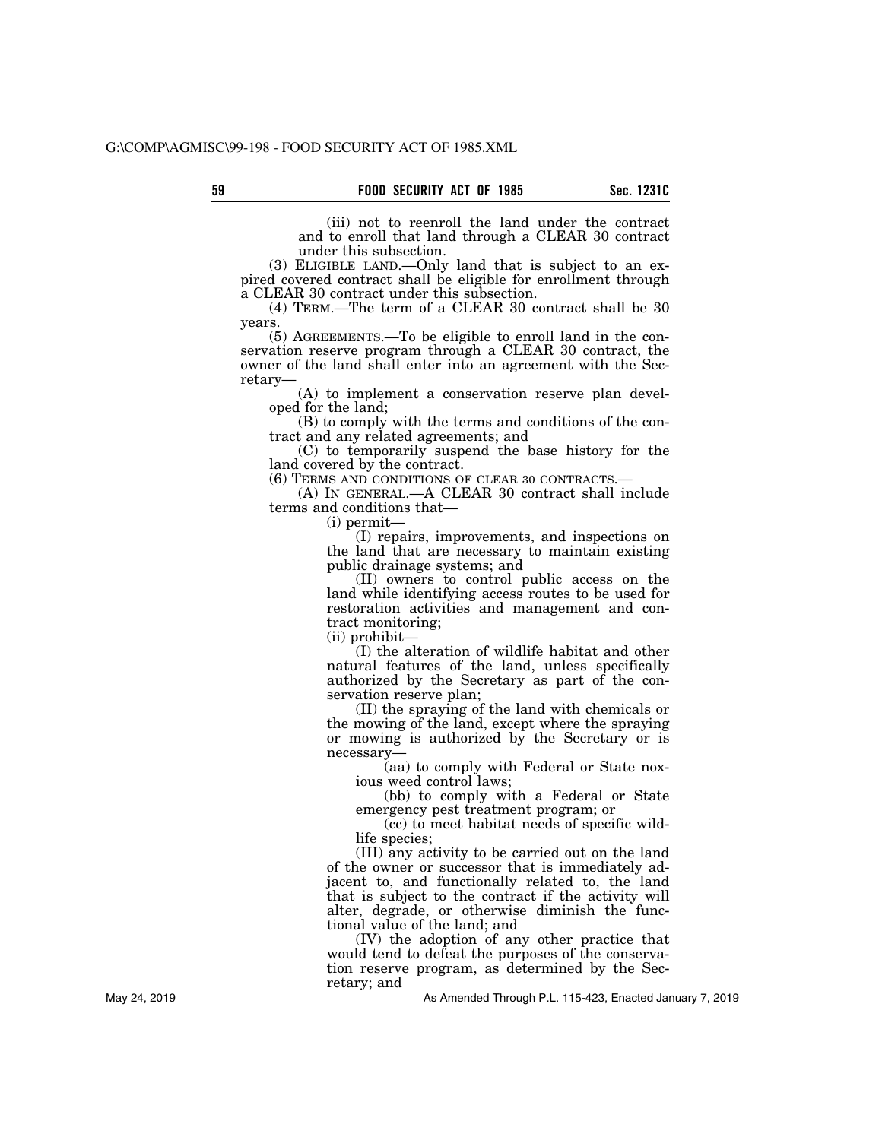(iii) not to reenroll the land under the contract and to enroll that land through a CLEAR 30 contract under this subsection.

(3) ELIGIBLE LAND.—Only land that is subject to an expired covered contract shall be eligible for enrollment through a CLEAR 30 contract under this subsection.

(4) TERM.—The term of a CLEAR 30 contract shall be 30 years.

(5) AGREEMENTS.—To be eligible to enroll land in the conservation reserve program through a CLEAR 30 contract, the owner of the land shall enter into an agreement with the Secretary—

(A) to implement a conservation reserve plan developed for the land;

(B) to comply with the terms and conditions of the contract and any related agreements; and

(C) to temporarily suspend the base history for the land covered by the contract.<br>(6) TERMS AND CONDITIONS OF CLEAR 30 CONTRACTS.

 $(A)$  IN GENERAL.—A CLEAR 30 contract shall include terms and conditions that—

(i) permit—

(I) repairs, improvements, and inspections on the land that are necessary to maintain existing public drainage systems; and

(II) owners to control public access on the land while identifying access routes to be used for restoration activities and management and contract monitoring;

(ii) prohibit—

(I) the alteration of wildlife habitat and other natural features of the land, unless specifically authorized by the Secretary as part of the conservation reserve plan;

(II) the spraying of the land with chemicals or the mowing of the land, except where the spraying or mowing is authorized by the Secretary or is necessary—

(aa) to comply with Federal or State noxious weed control laws;

(bb) to comply with a Federal or State emergency pest treatment program; or

(cc) to meet habitat needs of specific wildlife species;

(III) any activity to be carried out on the land of the owner or successor that is immediately adjacent to, and functionally related to, the land that is subject to the contract if the activity will alter, degrade, or otherwise diminish the functional value of the land; and

(IV) the adoption of any other practice that would tend to defeat the purposes of the conservation reserve program, as determined by the Secretary; and

As Amended Through P.L. 115-423, Enacted January 7, 2019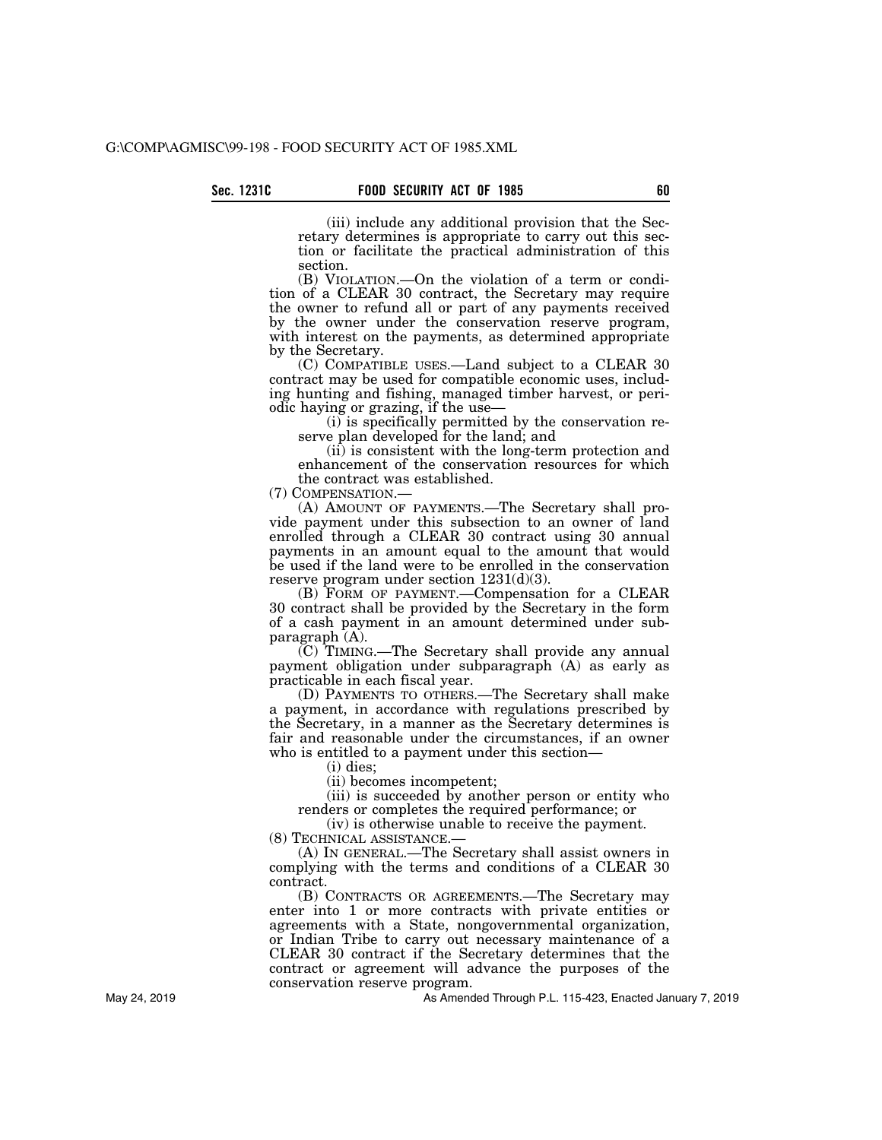(iii) include any additional provision that the Secretary determines is appropriate to carry out this section or facilitate the practical administration of this section.

(B) VIOLATION.—On the violation of a term or condition of a CLEAR 30 contract, the Secretary may require the owner to refund all or part of any payments received by the owner under the conservation reserve program, with interest on the payments, as determined appropriate by the Secretary.

(C) COMPATIBLE USES.—Land subject to a CLEAR 30 contract may be used for compatible economic uses, including hunting and fishing, managed timber harvest, or periodic haying or grazing, if the use—

(i) is specifically permitted by the conservation reserve plan developed for the land; and

(ii) is consistent with the long-term protection and enhancement of the conservation resources for which the contract was established.<br>(7) COMPENSATION.—

(A) AMOUNT OF PAYMENTS.—The Secretary shall provide payment under this subsection to an owner of land enrolled through a CLEAR 30 contract using 30 annual payments in an amount equal to the amount that would be used if the land were to be enrolled in the conservation reserve program under section 1231(d)(3).

(B) FORM OF PAYMENT.—Compensation for a CLEAR 30 contract shall be provided by the Secretary in the form of a cash payment in an amount determined under subparagraph (A).

(C) TIMING.—The Secretary shall provide any annual payment obligation under subparagraph (A) as early as practicable in each fiscal year.

(D) PAYMENTS TO OTHERS.—The Secretary shall make a payment, in accordance with regulations prescribed by the Secretary, in a manner as the Secretary determines is fair and reasonable under the circumstances, if an owner who is entitled to a payment under this section—

(i) dies;

(ii) becomes incompetent;

(iii) is succeeded by another person or entity who renders or completes the required performance; or

(iv) is otherwise unable to receive the payment.

(8) TECHNICAL ASSISTANCE.—

(A) IN GENERAL.—The Secretary shall assist owners in complying with the terms and conditions of a CLEAR 30 contract.

(B) CONTRACTS OR AGREEMENTS.—The Secretary may enter into 1 or more contracts with private entities or agreements with a State, nongovernmental organization, or Indian Tribe to carry out necessary maintenance of a CLEAR 30 contract if the Secretary determines that the contract or agreement will advance the purposes of the conservation reserve program.

As Amended Through P.L. 115-423, Enacted January 7, 2019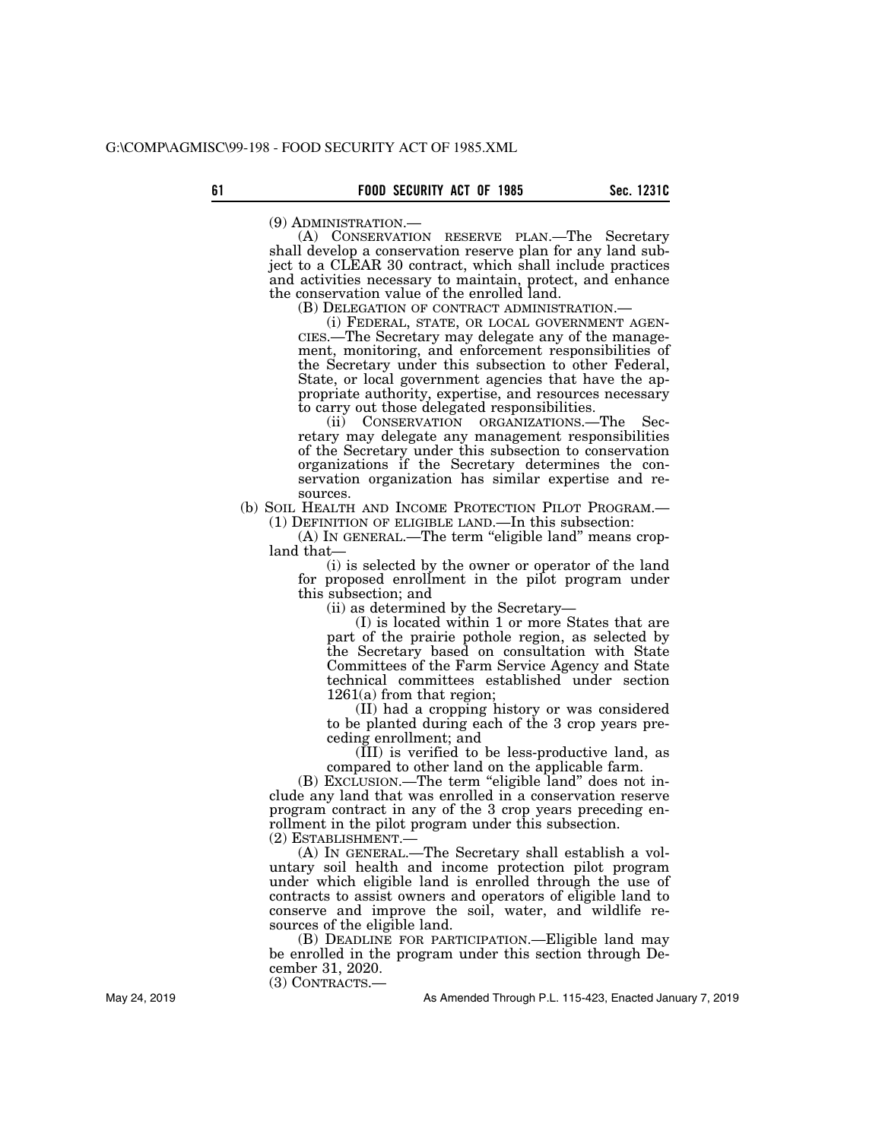(9) ADMINISTRATION.— (A) CONSERVATION RESERVE PLAN.—The Secretary shall develop a conservation reserve plan for any land subject to a CLEAR 30 contract, which shall include practices and activities necessary to maintain, protect, and enhance the conservation value of the enrolled land.<br>(B) DELEGATION OF CONTRACT ADMINISTRATION.—

(i) FEDERAL, STATE, OR LOCAL GOVERNMENT AGEN-CIES.—The Secretary may delegate any of the management, monitoring, and enforcement responsibilities of the Secretary under this subsection to other Federal, State, or local government agencies that have the appropriate authority, expertise, and resources necessary to carry out those delegated responsibilities.

(ii) CONSERVATION ORGANIZATIONS.—The Secretary may delegate any management responsibilities of the Secretary under this subsection to conservation organizations if the Secretary determines the conservation organization has similar expertise and re-

sources.<br>(b) SOIL HEALTH AND INCOME PROTECTION PILOT PROGRAM.—  $(1)$  DEFINITION OF ELIGIBLE LAND.—In this subsection:

(A) IN GENERAL.—The term ''eligible land'' means cropland that—

(i) is selected by the owner or operator of the land for proposed enrollment in the pilot program under this subsection; and

(ii) as determined by the Secretary—

(I) is located within 1 or more States that are part of the prairie pothole region, as selected by the Secretary based on consultation with State Committees of the Farm Service Agency and State technical committees established under section 1261(a) from that region;

(II) had a cropping history or was considered to be planted during each of the 3 crop years preceding enrollment; and

 $(\overline{III})$  is verified to be less-productive land, as compared to other land on the applicable farm.

(B) EXCLUSION.—The term ''eligible land'' does not include any land that was enrolled in a conservation reserve program contract in any of the 3 crop years preceding enrollment in the pilot program under this subsection. (2) ESTABLISHMENT.—

(A) IN GENERAL.—The Secretary shall establish a voluntary soil health and income protection pilot program under which eligible land is enrolled through the use of contracts to assist owners and operators of eligible land to conserve and improve the soil, water, and wildlife resources of the eligible land.

(B) DEADLINE FOR PARTICIPATION.—Eligible land may be enrolled in the program under this section through December 31, 2020.

(3) CONTRACTS.—

As Amended Through P.L. 115-423, Enacted January 7, 2019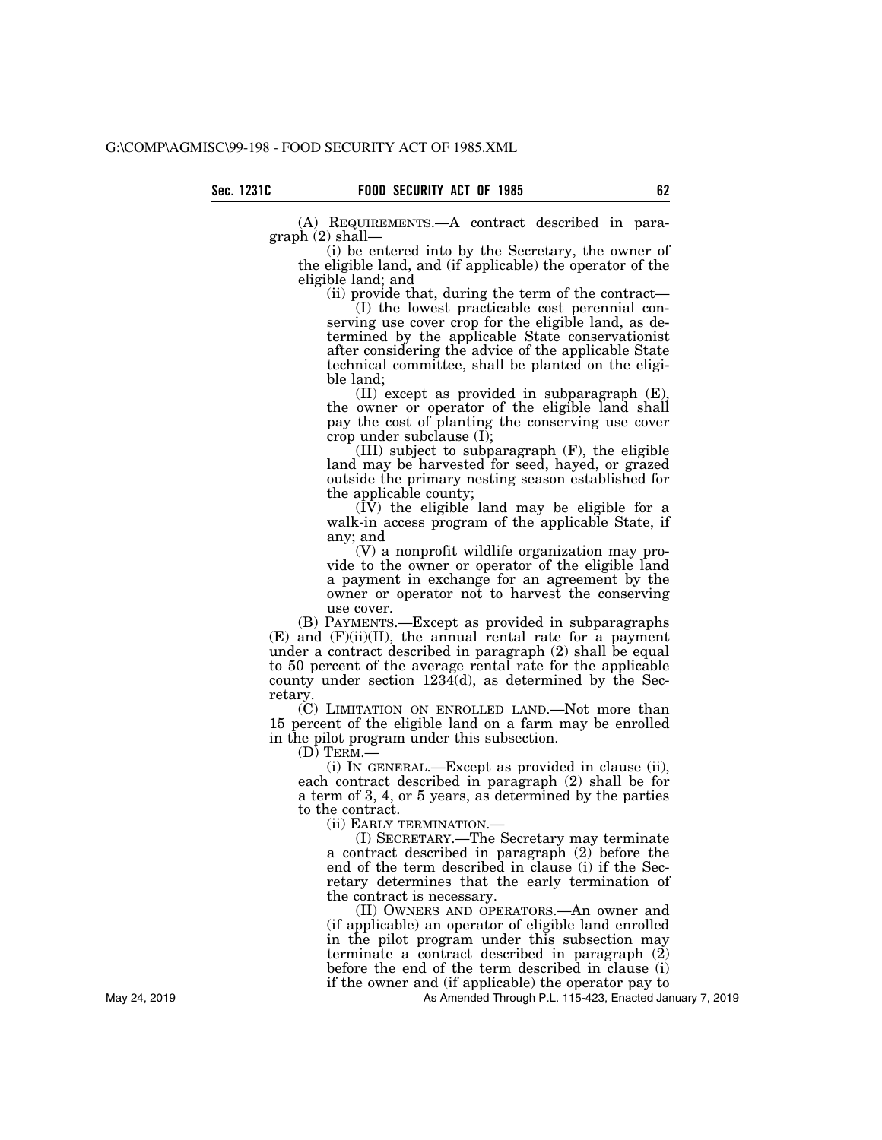(A) REQUIREMENTS.—A contract described in paragraph (2) shall—

(i) be entered into by the Secretary, the owner of the eligible land, and (if applicable) the operator of the eligible land; and

(ii) provide that, during the term of the contract—

(I) the lowest practicable cost perennial conserving use cover crop for the eligible land, as determined by the applicable State conservationist after considering the advice of the applicable State technical committee, shall be planted on the eligible land;

(II) except as provided in subparagraph (E), the owner or operator of the eligible land shall pay the cost of planting the conserving use cover crop under subclause (I);

(III) subject to subparagraph (F), the eligible land may be harvested for seed, hayed, or grazed outside the primary nesting season established for the applicable county;

 $(\dot{IV})$  the eligible land may be eligible for a walk-in access program of the applicable State, if any; and

(V) a nonprofit wildlife organization may provide to the owner or operator of the eligible land a payment in exchange for an agreement by the owner or operator not to harvest the conserving use cover.

(B) PAYMENTS.—Except as provided in subparagraphs  $(E)$  and  $(F)(ii)(II)$ , the annual rental rate for a payment under a contract described in paragraph (2) shall be equal to 50 percent of the average rental rate for the applicable county under section  $123\tilde{4}$ (d), as determined by the Secretary.

(C) LIMITATION ON ENROLLED LAND.—Not more than 15 percent of the eligible land on a farm may be enrolled in the pilot program under this subsection.

(D) TERM.—

(i) IN GENERAL.—Except as provided in clause (ii), each contract described in paragraph (2) shall be for a term of 3, 4, or 5 years, as determined by the parties to the contract.

(ii) EARLY TERMINATION.—

(I) SECRETARY.—The Secretary may terminate a contract described in paragraph (2) before the end of the term described in clause (i) if the Secretary determines that the early termination of the contract is necessary.

(II) OWNERS AND OPERATORS.—An owner and (if applicable) an operator of eligible land enrolled in the pilot program under this subsection may terminate a contract described in paragraph (2) before the end of the term described in clause (i) if the owner and (if applicable) the operator pay to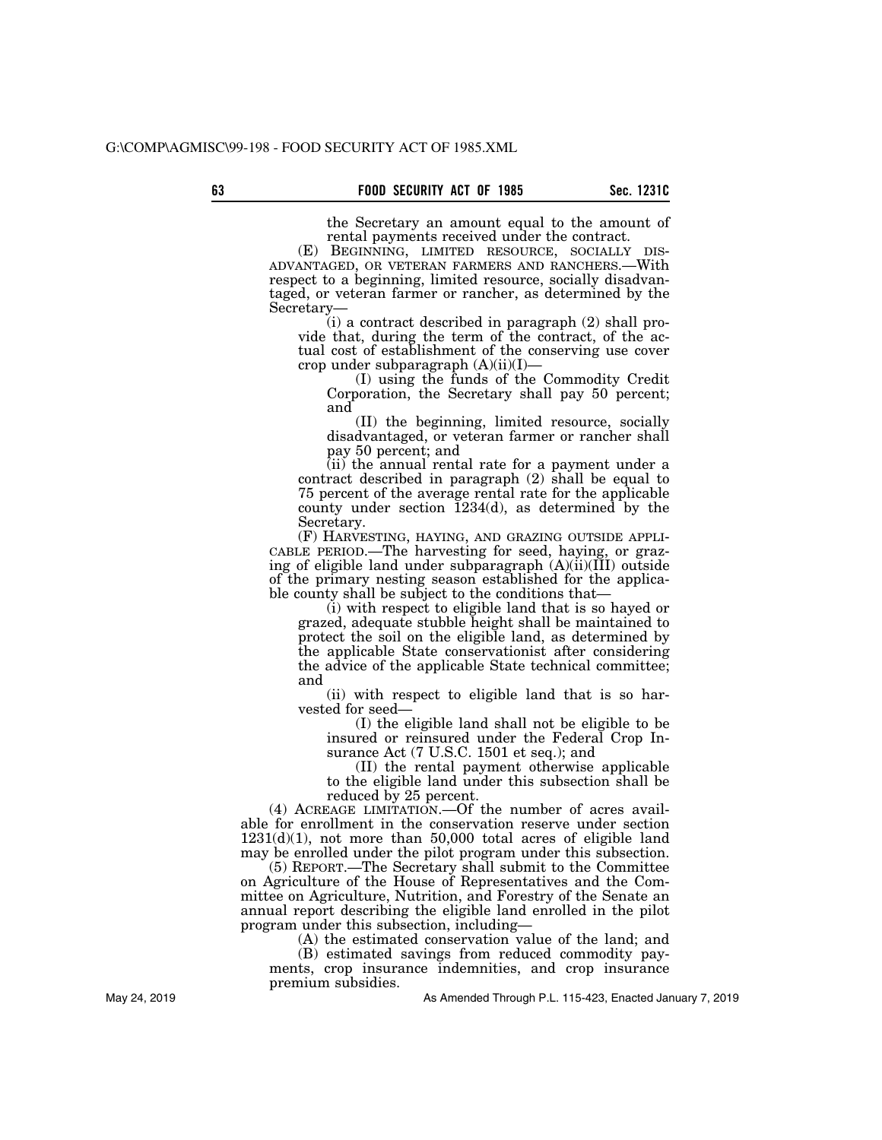the Secretary an amount equal to the amount of rental payments received under the contract.

(E) BEGINNING, LIMITED RESOURCE, SOCIALLY DIS- ADVANTAGED, OR VETERAN FARMERS AND RANCHERS.—With respect to a beginning, limited resource, socially disadvantaged, or veteran farmer or rancher, as determined by the Secretary—

(i) a contract described in paragraph (2) shall provide that, during the term of the contract, of the actual cost of establishment of the conserving use cover crop under subparagraph (A)(ii)(I)—

(I) using the funds of the Commodity Credit Corporation, the Secretary shall pay 50 percent; and

(II) the beginning, limited resource, socially disadvantaged, or veteran farmer or rancher shall pay 50 percent; and

(ii) the annual rental rate for a payment under a contract described in paragraph (2) shall be equal to 75 percent of the average rental rate for the applicable county under section  $1234(d)$ , as determined by the Secretary.<br>(F) HARVESTING, HAYING, AND GRAZING OUTSIDE APPLI-

CABLE PERIOD.—The harvesting for seed, haying, or grazing of eligible land under subparagraph (A)(ii)(III) outside of the primary nesting season established for the applicable county shall be subject to the conditions that—

(i) with respect to eligible land that is so hayed or grazed, adequate stubble height shall be maintained to protect the soil on the eligible land, as determined by the applicable State conservationist after considering the advice of the applicable State technical committee; and

(ii) with respect to eligible land that is so harvested for seed—

(I) the eligible land shall not be eligible to be insured or reinsured under the Federal Crop Insurance Act (7 U.S.C. 1501 et seq.); and

(II) the rental payment otherwise applicable to the eligible land under this subsection shall be reduced by 25 percent.

(4) ACREAGE LIMITATION.—Of the number of acres available for enrollment in the conservation reserve under section  $1231(d)(1)$ , not more than 50,000 total acres of eligible land may be enrolled under the pilot program under this subsection.

(5) REPORT.—The Secretary shall submit to the Committee on Agriculture of the House of Representatives and the Committee on Agriculture, Nutrition, and Forestry of the Senate an annual report describing the eligible land enrolled in the pilot program under this subsection, including—

(A) the estimated conservation value of the land; and

(B) estimated savings from reduced commodity payments, crop insurance indemnities, and crop insurance premium subsidies.

As Amended Through P.L. 115-423, Enacted January 7, 2019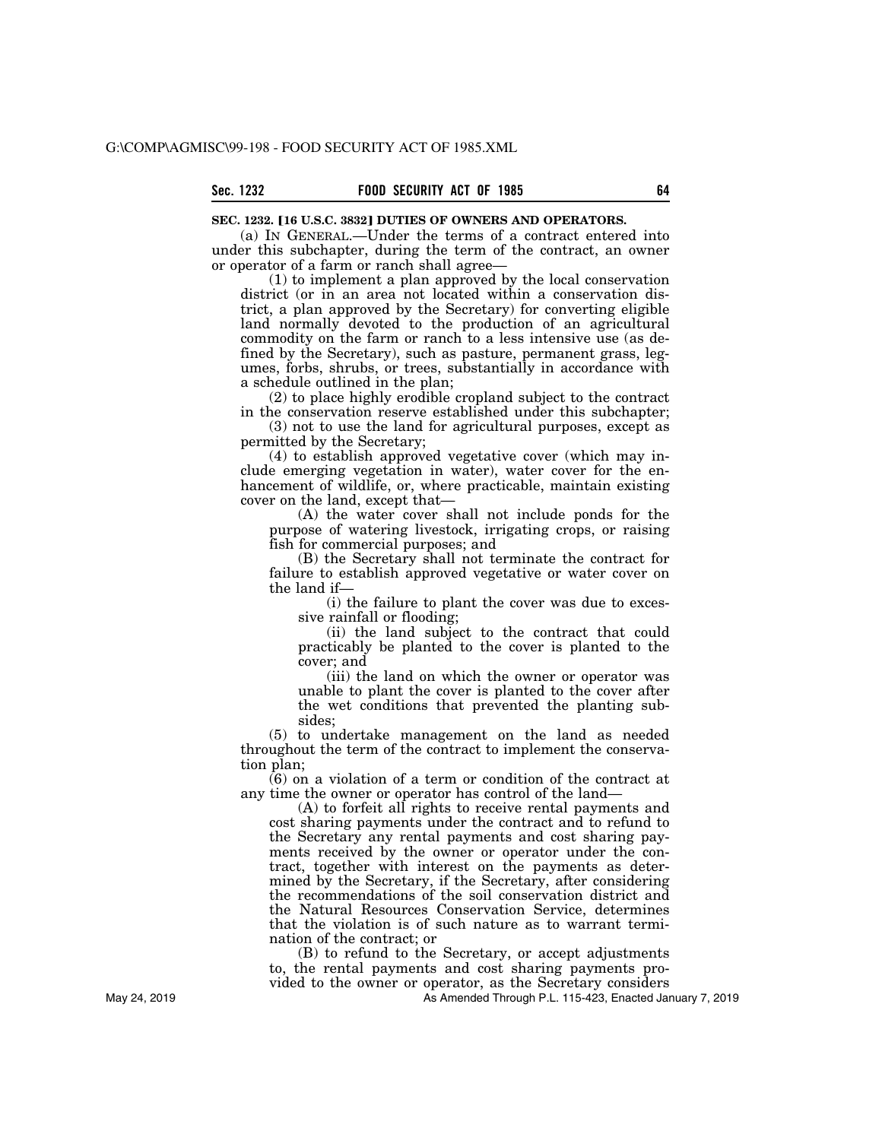### **SEC. 1232. [16 U.S.C. 3832] DUTIES OF OWNERS AND OPERATORS.**

(a) IN GENERAL.—Under the terms of a contract entered into under this subchapter, during the term of the contract, an owner or operator of a farm or ranch shall agree—

(1) to implement a plan approved by the local conservation district (or in an area not located within a conservation district, a plan approved by the Secretary) for converting eligible land normally devoted to the production of an agricultural commodity on the farm or ranch to a less intensive use (as defined by the Secretary), such as pasture, permanent grass, legumes, forbs, shrubs, or trees, substantially in accordance with a schedule outlined in the plan;

(2) to place highly erodible cropland subject to the contract in the conservation reserve established under this subchapter;

(3) not to use the land for agricultural purposes, except as permitted by the Secretary;

(4) to establish approved vegetative cover (which may include emerging vegetation in water), water cover for the enhancement of wildlife, or, where practicable, maintain existing cover on the land, except that—

(A) the water cover shall not include ponds for the purpose of watering livestock, irrigating crops, or raising fish for commercial purposes; and

(B) the Secretary shall not terminate the contract for failure to establish approved vegetative or water cover on the land if—

(i) the failure to plant the cover was due to excessive rainfall or flooding;

(ii) the land subject to the contract that could practicably be planted to the cover is planted to the cover; and

(iii) the land on which the owner or operator was unable to plant the cover is planted to the cover after the wet conditions that prevented the planting subsides;

(5) to undertake management on the land as needed throughout the term of the contract to implement the conservation plan;

 $(6)$  on a violation of a term or condition of the contract at any time the owner or operator has control of the land—

(A) to forfeit all rights to receive rental payments and cost sharing payments under the contract and to refund to the Secretary any rental payments and cost sharing payments received by the owner or operator under the contract, together with interest on the payments as determined by the Secretary, if the Secretary, after considering the recommendations of the soil conservation district and the Natural Resources Conservation Service, determines that the violation is of such nature as to warrant termination of the contract; or

(B) to refund to the Secretary, or accept adjustments to, the rental payments and cost sharing payments provided to the owner or operator, as the Secretary considers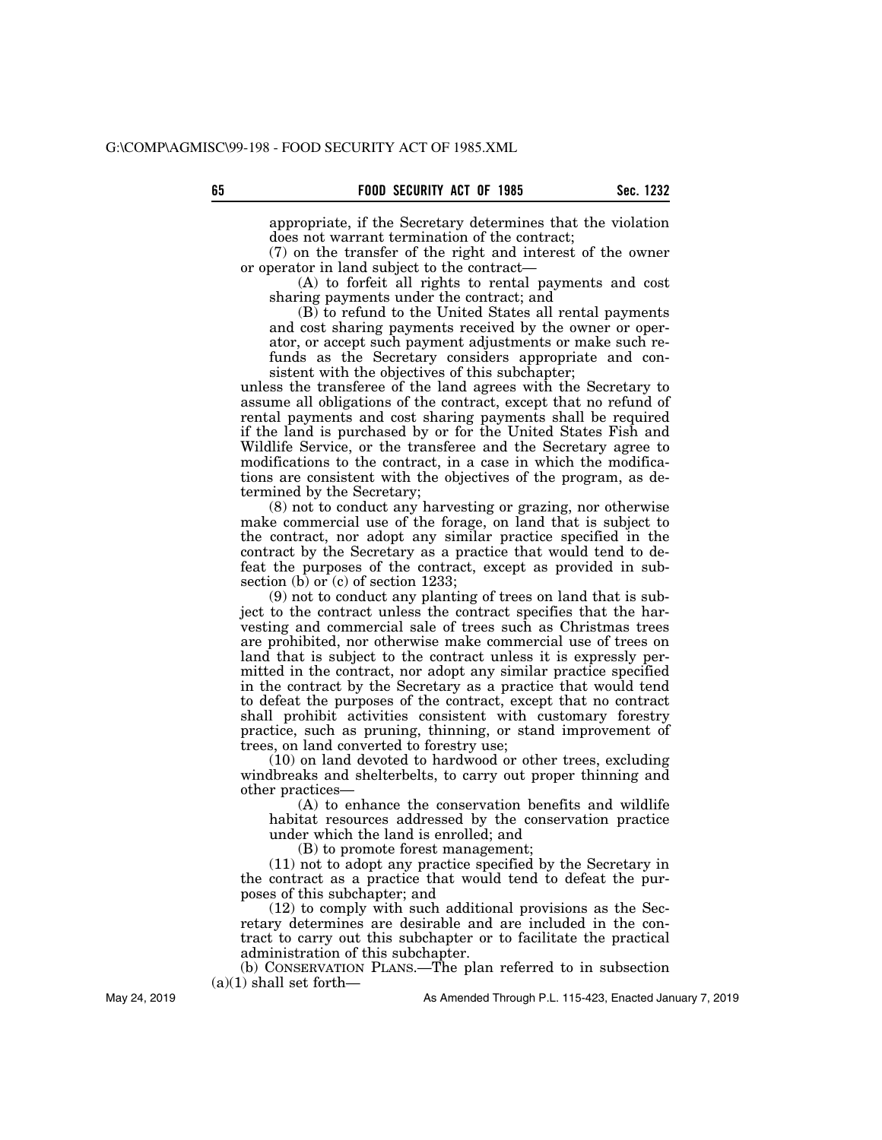appropriate, if the Secretary determines that the violation does not warrant termination of the contract;

(7) on the transfer of the right and interest of the owner or operator in land subject to the contract—

(A) to forfeit all rights to rental payments and cost sharing payments under the contract; and

(B) to refund to the United States all rental payments and cost sharing payments received by the owner or operator, or accept such payment adjustments or make such refunds as the Secretary considers appropriate and consistent with the objectives of this subchapter;

unless the transferee of the land agrees with the Secretary to assume all obligations of the contract, except that no refund of rental payments and cost sharing payments shall be required if the land is purchased by or for the United States Fish and Wildlife Service, or the transferee and the Secretary agree to modifications to the contract, in a case in which the modifications are consistent with the objectives of the program, as determined by the Secretary;

(8) not to conduct any harvesting or grazing, nor otherwise make commercial use of the forage, on land that is subject to the contract, nor adopt any similar practice specified in the contract by the Secretary as a practice that would tend to defeat the purposes of the contract, except as provided in subsection (b) or  $(c)$  of section 1233;

(9) not to conduct any planting of trees on land that is subject to the contract unless the contract specifies that the harvesting and commercial sale of trees such as Christmas trees are prohibited, nor otherwise make commercial use of trees on land that is subject to the contract unless it is expressly permitted in the contract, nor adopt any similar practice specified in the contract by the Secretary as a practice that would tend to defeat the purposes of the contract, except that no contract shall prohibit activities consistent with customary forestry practice, such as pruning, thinning, or stand improvement of trees, on land converted to forestry use;

(10) on land devoted to hardwood or other trees, excluding windbreaks and shelterbelts, to carry out proper thinning and other practices—

(A) to enhance the conservation benefits and wildlife habitat resources addressed by the conservation practice under which the land is enrolled; and

(B) to promote forest management;

(11) not to adopt any practice specified by the Secretary in the contract as a practice that would tend to defeat the purposes of this subchapter; and

(12) to comply with such additional provisions as the Secretary determines are desirable and are included in the contract to carry out this subchapter or to facilitate the practical administration of this subchapter.

(b) CONSERVATION PLANS.—The plan referred to in subsection (a)(1) shall set forth—

As Amended Through P.L. 115-423, Enacted January 7, 2019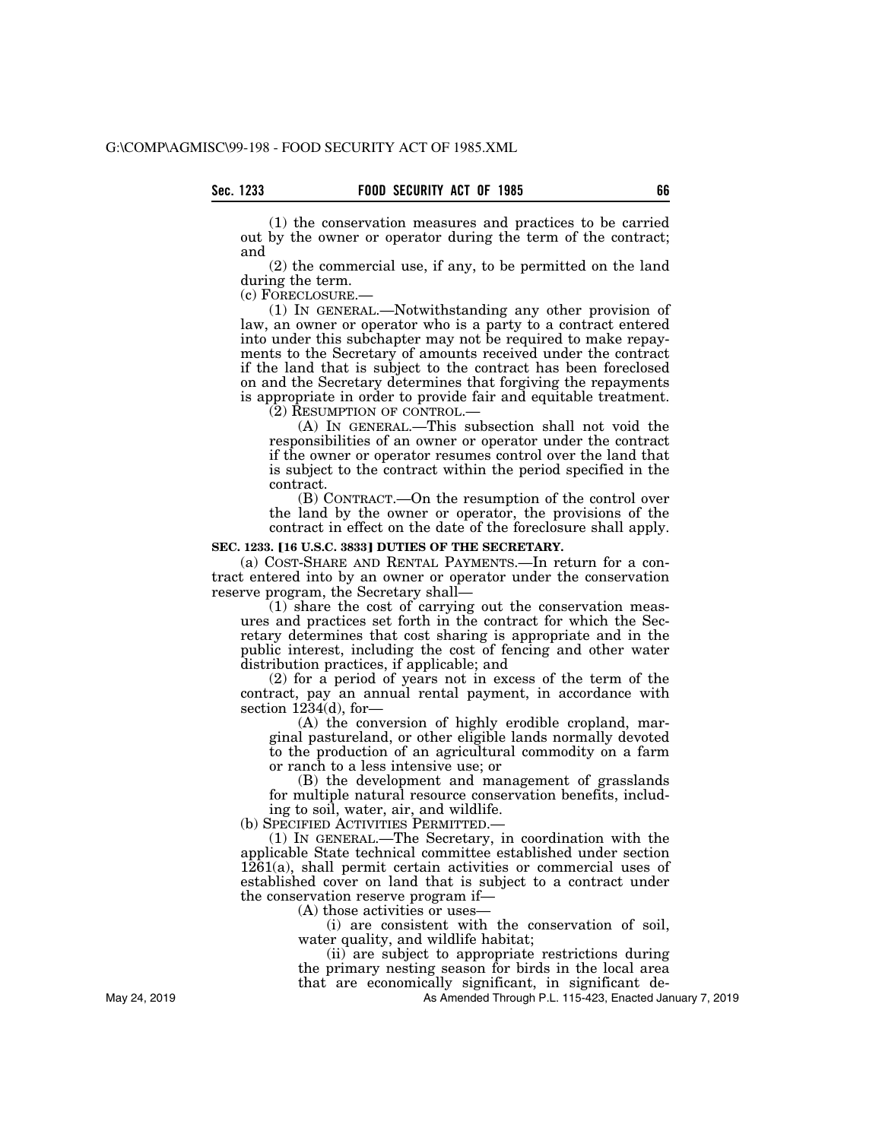(1) the conservation measures and practices to be carried out by the owner or operator during the term of the contract; and

(2) the commercial use, if any, to be permitted on the land during the term.

(c) FORECLOSURE.—

(1) IN GENERAL.—Notwithstanding any other provision of law, an owner or operator who is a party to a contract entered into under this subchapter may not be required to make repayments to the Secretary of amounts received under the contract if the land that is subject to the contract has been foreclosed on and the Secretary determines that forgiving the repayments is appropriate in order to provide fair and equitable treatment.

(2) RESUMPTION OF CONTROL.—

(A) IN GENERAL.—This subsection shall not void the responsibilities of an owner or operator under the contract if the owner or operator resumes control over the land that is subject to the contract within the period specified in the contract.

(B) CONTRACT.—On the resumption of the control over the land by the owner or operator, the provisions of the contract in effect on the date of the foreclosure shall apply.

# **SEC. 1233. [16 U.S.C. 3833] DUTIES OF THE SECRETARY.**

(a) COST-SHARE AND RENTAL PAYMENTS.—In return for a contract entered into by an owner or operator under the conservation reserve program, the Secretary shall—

(1) share the cost of carrying out the conservation measures and practices set forth in the contract for which the Secretary determines that cost sharing is appropriate and in the public interest, including the cost of fencing and other water distribution practices, if applicable; and

(2) for a period of years not in excess of the term of the contract, pay an annual rental payment, in accordance with section 1234(d), for-

(A) the conversion of highly erodible cropland, marginal pastureland, or other eligible lands normally devoted to the production of an agricultural commodity on a farm or ranch to a less intensive use; or

(B) the development and management of grasslands for multiple natural resource conservation benefits, including to soil, water, air, and wildlife.<br>(b) SPECIFIED ACTIVITIES PERMITTED.—

 $(1)$  In GENERAL.—The Secretary, in coordination with the applicable State technical committee established under section  $1261(a)$ , shall permit certain activities or commercial uses of established cover on land that is subject to a contract under the conservation reserve program if—

 $(A)$  those activities or uses-

(i) are consistent with the conservation of soil, water quality, and wildlife habitat;

(ii) are subject to appropriate restrictions during the primary nesting season for birds in the local area that are economically significant, in significant de-

As Amended Through P.L. 115-423, Enacted January 7, 2019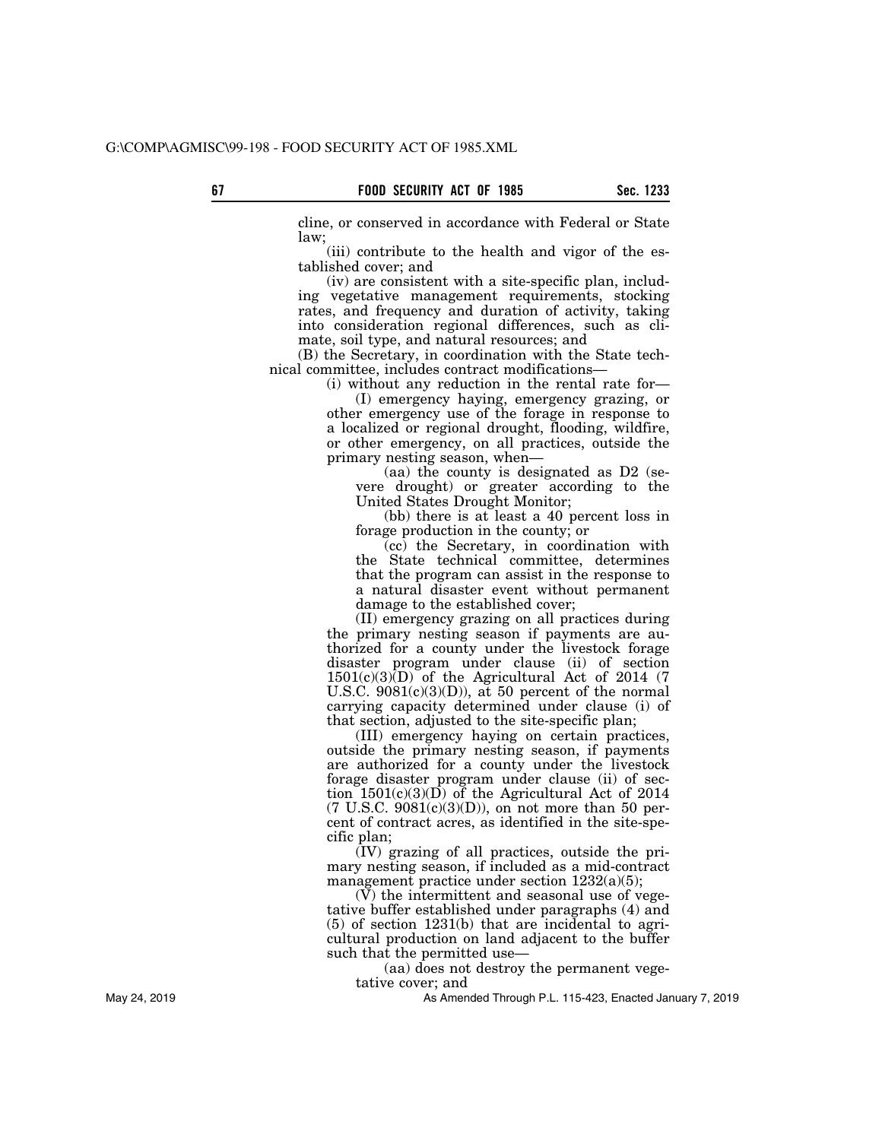cline, or conserved in accordance with Federal or State law;

(iii) contribute to the health and vigor of the established cover; and

(iv) are consistent with a site-specific plan, including vegetative management requirements, stocking rates, and frequency and duration of activity, taking into consideration regional differences, such as climate, soil type, and natural resources; and

(B) the Secretary, in coordination with the State technical committee, includes contract modifications—

(i) without any reduction in the rental rate for—

(I) emergency haying, emergency grazing, or other emergency use of the forage in response to a localized or regional drought, flooding, wildfire, or other emergency, on all practices, outside the primary nesting season, when—

(aa) the county is designated as D2 (severe drought) or greater according to the United States Drought Monitor;

(bb) there is at least a 40 percent loss in forage production in the county; or

(cc) the Secretary, in coordination with the State technical committee, determines that the program can assist in the response to a natural disaster event without permanent damage to the established cover;

(II) emergency grazing on all practices during the primary nesting season if payments are authorized for a county under the livestock forage disaster program under clause (ii) of section  $1501(c)(3)$  of the Agricultural Act of 2014 (7 U.S.C.  $9081(c)(3)(D)$ , at 50 percent of the normal carrying capacity determined under clause (i) of that section, adjusted to the site-specific plan;

(III) emergency haying on certain practices, outside the primary nesting season, if payments are authorized for a county under the livestock forage disaster program under clause (ii) of section 1501(c)(3)(D) of the Agricultural Act of 2014  $(7 \text{ U.S.C. } 9081(c)(3)(D))$ , on not more than 50 percent of contract acres, as identified in the site-specific plan;

(IV) grazing of all practices, outside the primary nesting season, if included as a mid-contract management practice under section 1232(a)(5);

(V) the intermittent and seasonal use of vegetative buffer established under paragraphs (4) and (5) of section 1231(b) that are incidental to agricultural production on land adjacent to the buffer such that the permitted use—

(aa) does not destroy the permanent vegetative cover; and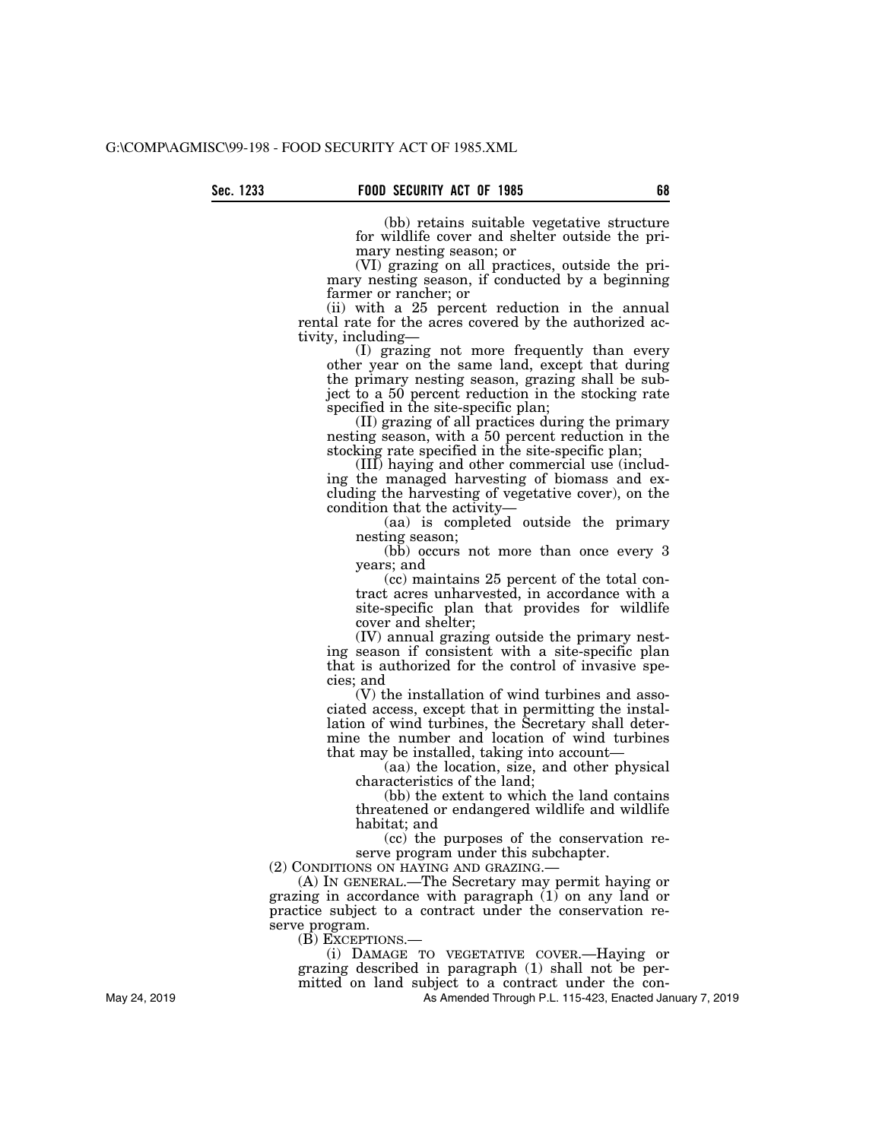(bb) retains suitable vegetative structure for wildlife cover and shelter outside the primary nesting season; or

(VI) grazing on all practices, outside the primary nesting season, if conducted by a beginning farmer or rancher; or

(ii) with a 25 percent reduction in the annual rental rate for the acres covered by the authorized activity, including—

(I) grazing not more frequently than every other year on the same land, except that during the primary nesting season, grazing shall be subject to a 50 percent reduction in the stocking rate specified in the site-specific plan;

(II) grazing of all practices during the primary nesting season, with a 50 percent reduction in the stocking rate specified in the site-specific plan;

(III) haying and other commercial use (including the managed harvesting of biomass and excluding the harvesting of vegetative cover), on the condition that the activity—

(aa) is completed outside the primary nesting season;

(bb) occurs not more than once every 3 years; and

(cc) maintains 25 percent of the total contract acres unharvested, in accordance with a site-specific plan that provides for wildlife cover and shelter;

(IV) annual grazing outside the primary nesting season if consistent with a site-specific plan that is authorized for the control of invasive species; and

(V) the installation of wind turbines and associated access, except that in permitting the installation of wind turbines, the Secretary shall determine the number and location of wind turbines that may be installed, taking into account—

(aa) the location, size, and other physical characteristics of the land;

(bb) the extent to which the land contains threatened or endangered wildlife and wildlife habitat; and

(cc) the purposes of the conservation reserve program under this subchapter.

(2) CONDITIONS ON HAYING AND GRAZING.—

(A) IN GENERAL.—The Secretary may permit haying or grazing in accordance with paragraph (1) on any land or practice subject to a contract under the conservation reserve program.

(B) EXCEPTIONS.—

(i) DAMAGE TO VEGETATIVE COVER.—Haying or grazing described in paragraph (1) shall not be permitted on land subject to a contract under the con-

As Amended Through P.L. 115-423, Enacted January 7, 2019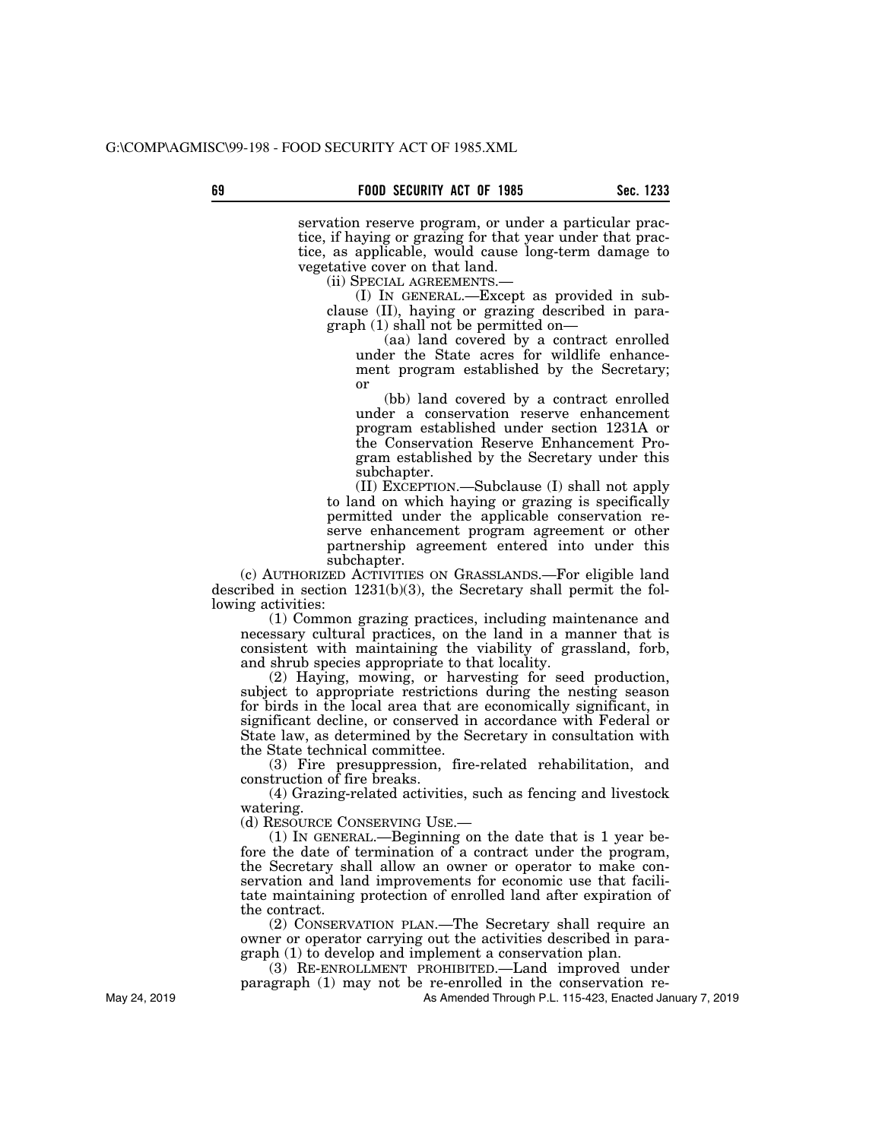servation reserve program, or under a particular practice, if haying or grazing for that year under that practice, as applicable, would cause long-term damage to vegetative cover on that land.

(ii) SPECIAL AGREEMENTS.—

(I) IN GENERAL.—Except as provided in subclause (II), haying or grazing described in paragraph (1) shall not be permitted on—

(aa) land covered by a contract enrolled under the State acres for wildlife enhancement program established by the Secretary; or

(bb) land covered by a contract enrolled under a conservation reserve enhancement program established under section 1231A or the Conservation Reserve Enhancement Program established by the Secretary under this subchapter.

(II) EXCEPTION.—Subclause (I) shall not apply to land on which haying or grazing is specifically permitted under the applicable conservation reserve enhancement program agreement or other partnership agreement entered into under this subchapter.

(c) AUTHORIZED ACTIVITIES ON GRASSLANDS.—For eligible land described in section 1231(b)(3), the Secretary shall permit the following activities:

(1) Common grazing practices, including maintenance and necessary cultural practices, on the land in a manner that is consistent with maintaining the viability of grassland, forb, and shrub species appropriate to that locality.

(2) Haying, mowing, or harvesting for seed production, subject to appropriate restrictions during the nesting season for birds in the local area that are economically significant, in significant decline, or conserved in accordance with Federal or State law, as determined by the Secretary in consultation with the State technical committee.

(3) Fire presuppression, fire-related rehabilitation, and construction of fire breaks.

(4) Grazing-related activities, such as fencing and livestock watering.

(d) RESOURCE CONSERVING USE.—

(1) IN GENERAL.—Beginning on the date that is 1 year before the date of termination of a contract under the program, the Secretary shall allow an owner or operator to make conservation and land improvements for economic use that facilitate maintaining protection of enrolled land after expiration of the contract.

(2) CONSERVATION PLAN.—The Secretary shall require an owner or operator carrying out the activities described in paragraph (1) to develop and implement a conservation plan.

(3) RE-ENROLLMENT PROHIBITED.—Land improved under paragraph (1) may not be re-enrolled in the conservation re-

As Amended Through P.L. 115-423, Enacted January 7, 2019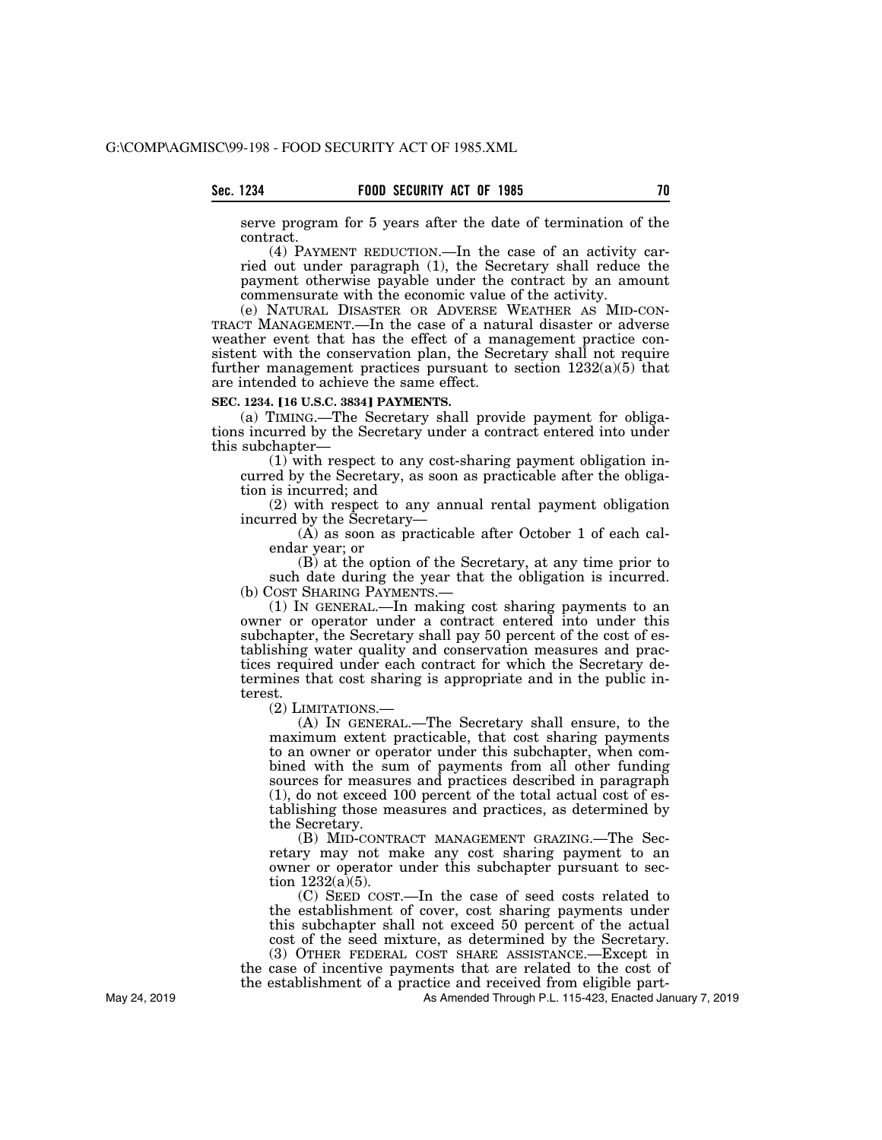serve program for 5 years after the date of termination of the contract.

(4) PAYMENT REDUCTION.—In the case of an activity carried out under paragraph (1), the Secretary shall reduce the payment otherwise payable under the contract by an amount commensurate with the economic value of the activity.

(e) NATURAL DISASTER OR ADVERSE WEATHER AS MID-CON-TRACT MANAGEMENT.—In the case of a natural disaster or adverse weather event that has the effect of a management practice consistent with the conservation plan, the Secretary shall not require further management practices pursuant to section  $1232(a)(5)$  that are intended to achieve the same effect.

# **SEC. 1234. [16 U.S.C. 3834] PAYMENTS.**

(a) TIMING.—The Secretary shall provide payment for obligations incurred by the Secretary under a contract entered into under this subchapter—

(1) with respect to any cost-sharing payment obligation incurred by the Secretary, as soon as practicable after the obligation is incurred; and

(2) with respect to any annual rental payment obligation incurred by the Secretary—

(A) as soon as practicable after October 1 of each calendar year; or

(B) at the option of the Secretary, at any time prior to such date during the year that the obligation is incurred. (b) COST SHARING PAYMENTS.—

(1) IN GENERAL.—In making cost sharing payments to an owner or operator under a contract entered into under this subchapter, the Secretary shall pay 50 percent of the cost of establishing water quality and conservation measures and practices required under each contract for which the Secretary determines that cost sharing is appropriate and in the public interest.

(2) LIMITATIONS.—

(A) IN GENERAL.—The Secretary shall ensure, to the maximum extent practicable, that cost sharing payments to an owner or operator under this subchapter, when combined with the sum of payments from all other funding sources for measures and practices described in paragraph (1), do not exceed 100 percent of the total actual cost of establishing those measures and practices, as determined by the Secretary.

(B) MID-CONTRACT MANAGEMENT GRAZING.—The Secretary may not make any cost sharing payment to an owner or operator under this subchapter pursuant to section  $1232(a)(5)$ .

(C) SEED COST.—In the case of seed costs related to the establishment of cover, cost sharing payments under this subchapter shall not exceed 50 percent of the actual cost of the seed mixture, as determined by the Secretary. (3) OTHER FEDERAL COST SHARE ASSISTANCE.—Except in

the case of incentive payments that are related to the cost of the establishment of a practice and received from eligible part-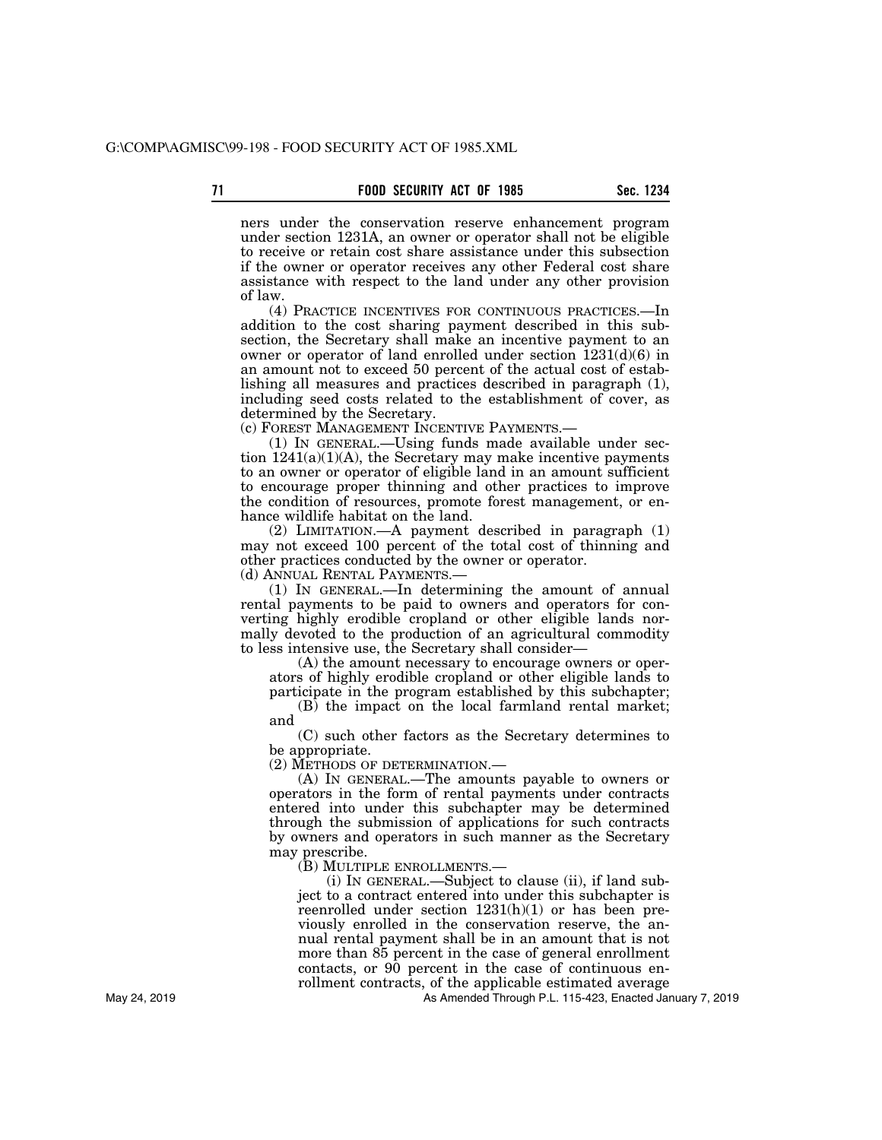ners under the conservation reserve enhancement program under section 1231A, an owner or operator shall not be eligible to receive or retain cost share assistance under this subsection if the owner or operator receives any other Federal cost share assistance with respect to the land under any other provision of law.

(4) PRACTICE INCENTIVES FOR CONTINUOUS PRACTICES.—In addition to the cost sharing payment described in this subsection, the Secretary shall make an incentive payment to an owner or operator of land enrolled under section 1231(d)(6) in an amount not to exceed 50 percent of the actual cost of establishing all measures and practices described in paragraph (1), including seed costs related to the establishment of cover, as determined by the Secretary.

(c) FOREST MANAGEMENT INCENTIVE PAYMENTS.—

(1) IN GENERAL.—Using funds made available under section  $1241(a)(1)(A)$ , the Secretary may make incentive payments to an owner or operator of eligible land in an amount sufficient to encourage proper thinning and other practices to improve the condition of resources, promote forest management, or enhance wildlife habitat on the land.

(2) LIMITATION.—A payment described in paragraph (1) may not exceed 100 percent of the total cost of thinning and other practices conducted by the owner or operator.

(d) ANNUAL RENTAL PAYMENTS.—

(1) IN GENERAL.—In determining the amount of annual rental payments to be paid to owners and operators for converting highly erodible cropland or other eligible lands normally devoted to the production of an agricultural commodity to less intensive use, the Secretary shall consider—

(A) the amount necessary to encourage owners or operators of highly erodible cropland or other eligible lands to participate in the program established by this subchapter;

(B) the impact on the local farmland rental market; and

(C) such other factors as the Secretary determines to be appropriate.

(2) METHODS OF DETERMINATION.—

(A) IN GENERAL.—The amounts payable to owners or operators in the form of rental payments under contracts entered into under this subchapter may be determined through the submission of applications for such contracts by owners and operators in such manner as the Secretary may prescribe.

(B) MULTIPLE ENROLLMENTS.—

(i) IN GENERAL.—Subject to clause (ii), if land subject to a contract entered into under this subchapter is reenrolled under section 1231(h)(1) or has been previously enrolled in the conservation reserve, the annual rental payment shall be in an amount that is not more than 85 percent in the case of general enrollment contacts, or 90 percent in the case of continuous enrollment contracts, of the applicable estimated average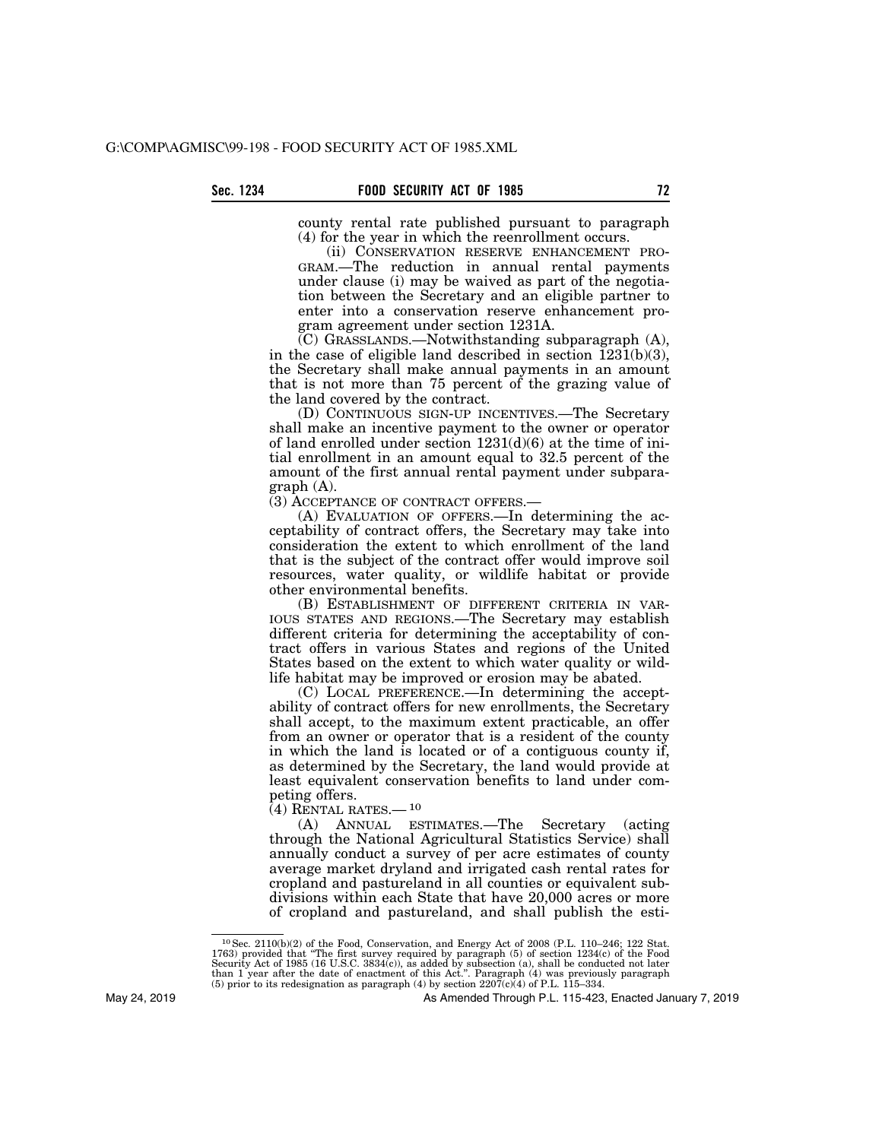county rental rate published pursuant to paragraph (4) for the year in which the reenrollment occurs.

(ii) CONSERVATION RESERVE ENHANCEMENT PRO-GRAM.—The reduction in annual rental payments under clause (i) may be waived as part of the negotiation between the Secretary and an eligible partner to enter into a conservation reserve enhancement program agreement under section 1231A.

 $(C)$  GRASSLANDS.—Notwithstanding subparagraph  $(A)$ , in the case of eligible land described in section  $\overline{1231(b)(3)}$ , the Secretary shall make annual payments in an amount that is not more than 75 percent of the grazing value of the land covered by the contract.

(D) CONTINUOUS SIGN-UP INCENTIVES.—The Secretary shall make an incentive payment to the owner or operator of land enrolled under section  $1231(d)(6)$  at the time of initial enrollment in an amount equal to 32.5 percent of the amount of the first annual rental payment under subparagraph (A).

(3) ACCEPTANCE OF CONTRACT OFFERS.—

(A) EVALUATION OF OFFERS.—In determining the acceptability of contract offers, the Secretary may take into consideration the extent to which enrollment of the land that is the subject of the contract offer would improve soil resources, water quality, or wildlife habitat or provide other environmental benefits.

(B) ESTABLISHMENT OF DIFFERENT CRITERIA IN VAR-IOUS STATES AND REGIONS.—The Secretary may establish different criteria for determining the acceptability of contract offers in various States and regions of the United States based on the extent to which water quality or wildlife habitat may be improved or erosion may be abated.

(C) LOCAL PREFERENCE.—In determining the acceptability of contract offers for new enrollments, the Secretary shall accept, to the maximum extent practicable, an offer from an owner or operator that is a resident of the county in which the land is located or of a contiguous county if, as determined by the Secretary, the land would provide at least equivalent conservation benefits to land under competing offers.

 $(4)$  RENTAL RATES.— $10$ 

(A) ANNUAL ESTIMATES.—The Secretary (acting through the National Agricultural Statistics Service) shall annually conduct a survey of per acre estimates of county average market dryland and irrigated cash rental rates for cropland and pastureland in all counties or equivalent subdivisions within each State that have 20,000 acres or more of cropland and pastureland, and shall publish the esti-

<sup>10</sup>Sec. 2110(b)(2) of the Food, Conservation, and Energy Act of 2008 (P.L. 110–246; 122 Stat. 1763) provided that "The first survey required by paragraph (5) of section 1234(c) of the Food Security Act of 1985 (16 U.S.C. 3834(c)), as added by subsection (a), shall be conducted not later than 1 year after the date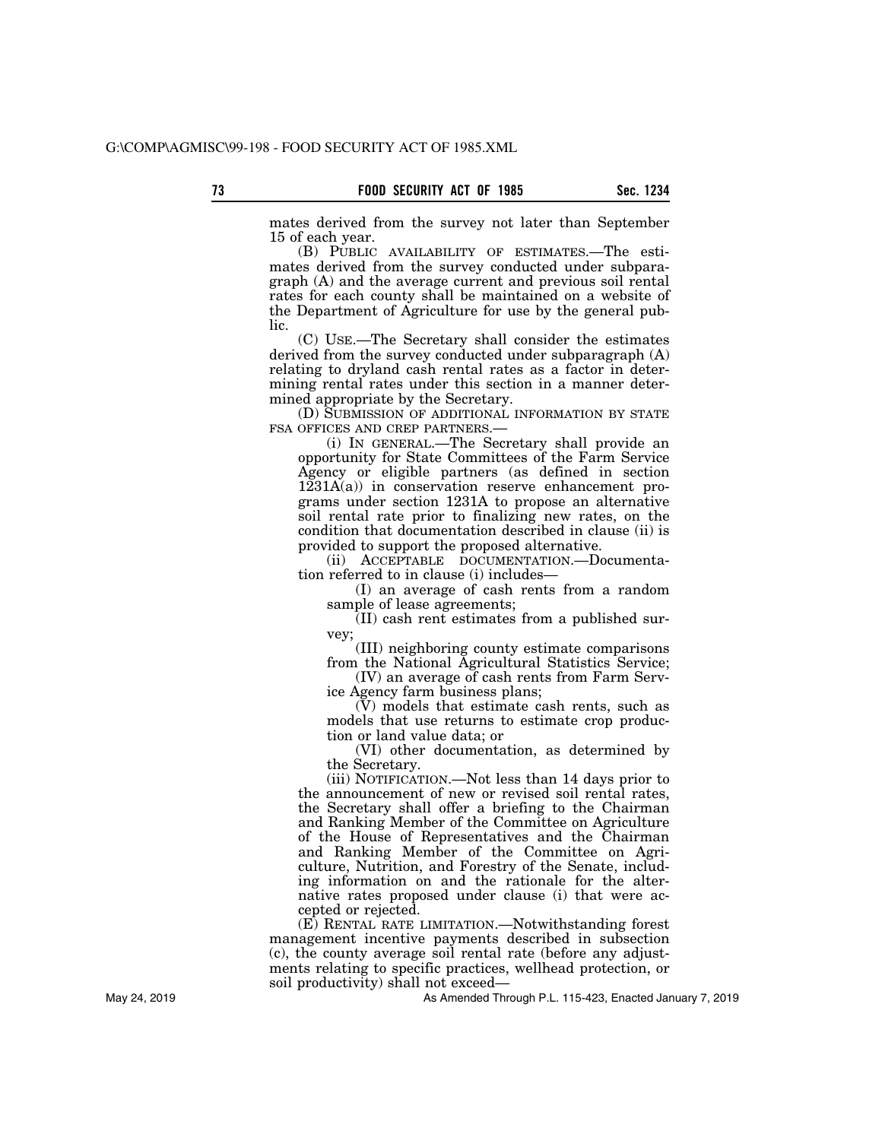mates derived from the survey not later than September 15 of each year.

(B) PUBLIC AVAILABILITY OF ESTIMATES.—The estimates derived from the survey conducted under subparagraph (A) and the average current and previous soil rental rates for each county shall be maintained on a website of the Department of Agriculture for use by the general public.

(C) USE.—The Secretary shall consider the estimates derived from the survey conducted under subparagraph (A) relating to dryland cash rental rates as a factor in determining rental rates under this section in a manner determined appropriate by the Secretary.

(D) SUBMISSION OF ADDITIONAL INFORMATION BY STATE FSA OFFICES AND CREP PARTNERS.—

(i) IN GENERAL.—The Secretary shall provide an opportunity for State Committees of the Farm Service Agency or eligible partners (as defined in section 1231A(a)) in conservation reserve enhancement programs under section 1231A to propose an alternative soil rental rate prior to finalizing new rates, on the condition that documentation described in clause (ii) is provided to support the proposed alternative.

(ii) ACCEPTABLE DOCUMENTATION.—Documentation referred to in clause (i) includes—

(I) an average of cash rents from a random sample of lease agreements;

(II) cash rent estimates from a published survey;

(III) neighboring county estimate comparisons from the National Agricultural Statistics Service;

(IV) an average of cash rents from Farm Service Agency farm business plans;

(V) models that estimate cash rents, such as models that use returns to estimate crop production or land value data; or

(VI) other documentation, as determined by the Secretary.

(iii) NOTIFICATION.—Not less than 14 days prior to the announcement of new or revised soil rental rates, the Secretary shall offer a briefing to the Chairman and Ranking Member of the Committee on Agriculture of the House of Representatives and the Chairman and Ranking Member of the Committee on Agriculture, Nutrition, and Forestry of the Senate, including information on and the rationale for the alternative rates proposed under clause (i) that were accepted or rejected.

(E) RENTAL RATE LIMITATION.—Notwithstanding forest management incentive payments described in subsection (c), the county average soil rental rate (before any adjustments relating to specific practices, wellhead protection, or soil productivity) shall not exceed—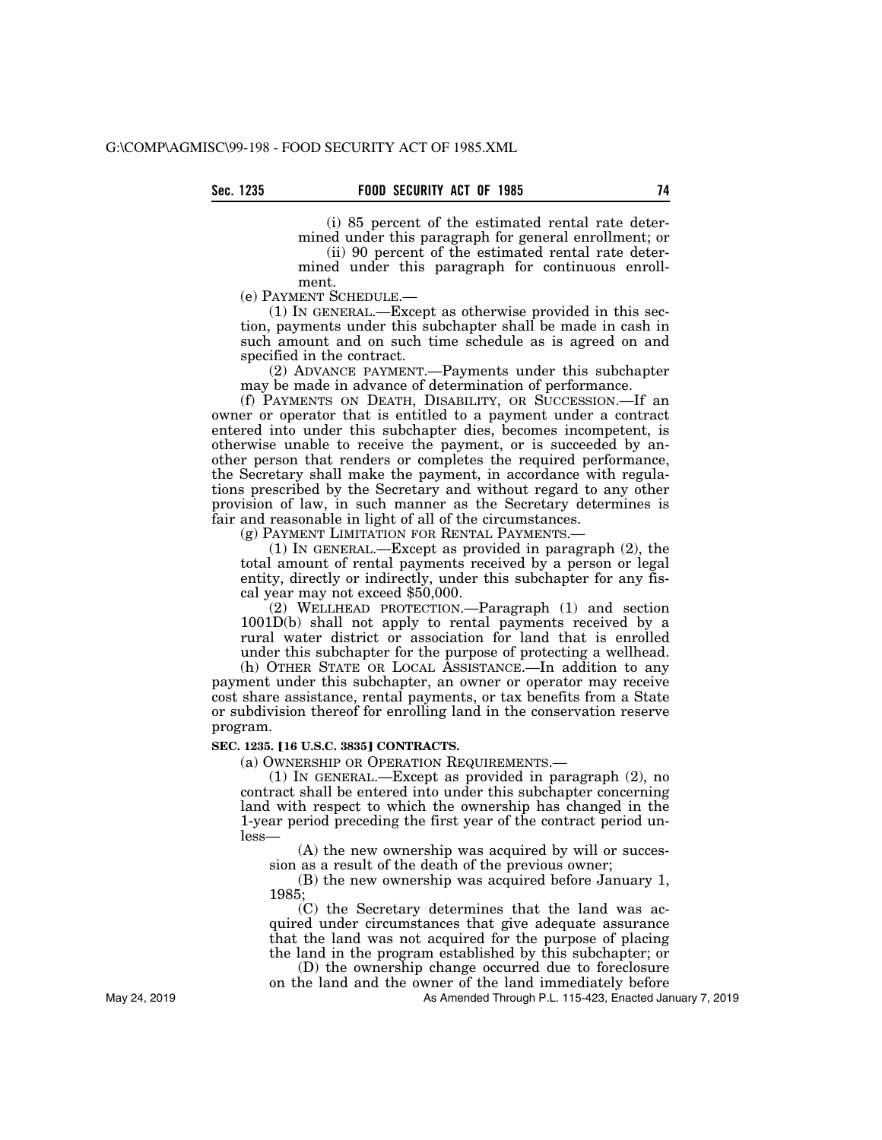(i) 85 percent of the estimated rental rate determined under this paragraph for general enrollment; or

(ii) 90 percent of the estimated rental rate determined under this paragraph for continuous enrollment.

(e) PAYMENT SCHEDULE.—

(1) IN GENERAL.—Except as otherwise provided in this section, payments under this subchapter shall be made in cash in such amount and on such time schedule as is agreed on and specified in the contract.

(2) ADVANCE PAYMENT.—Payments under this subchapter may be made in advance of determination of performance.

(f) PAYMENTS ON DEATH, DISABILITY, OR SUCCESSION.—If an owner or operator that is entitled to a payment under a contract entered into under this subchapter dies, becomes incompetent, is otherwise unable to receive the payment, or is succeeded by another person that renders or completes the required performance, the Secretary shall make the payment, in accordance with regulations prescribed by the Secretary and without regard to any other provision of law, in such manner as the Secretary determines is fair and reasonable in light of all of the circumstances.

(g) PAYMENT LIMITATION FOR RENTAL PAYMENTS.—

(1) IN GENERAL.—Except as provided in paragraph (2), the total amount of rental payments received by a person or legal entity, directly or indirectly, under this subchapter for any fiscal year may not exceed \$50,000.

(2) WELLHEAD PROTECTION.—Paragraph (1) and section 1001D(b) shall not apply to rental payments received by a rural water district or association for land that is enrolled under this subchapter for the purpose of protecting a wellhead.

(h) OTHER STATE OR LOCAL ASSISTANCE.—In addition to any payment under this subchapter, an owner or operator may receive cost share assistance, rental payments, or tax benefits from a State or subdivision thereof for enrolling land in the conservation reserve program.

#### **SEC. 1235. [16 U.S.C. 3835] CONTRACTS.**

(a) OWNERSHIP OR OPERATION REQUIREMENTS.—

(1) IN GENERAL.—Except as provided in paragraph (2), no contract shall be entered into under this subchapter concerning land with respect to which the ownership has changed in the 1-year period preceding the first year of the contract period unless—

(A) the new ownership was acquired by will or succession as a result of the death of the previous owner;

(B) the new ownership was acquired before January 1, 1985;

(C) the Secretary determines that the land was acquired under circumstances that give adequate assurance that the land was not acquired for the purpose of placing the land in the program established by this subchapter; or

(D) the ownership change occurred due to foreclosure on the land and the owner of the land immediately before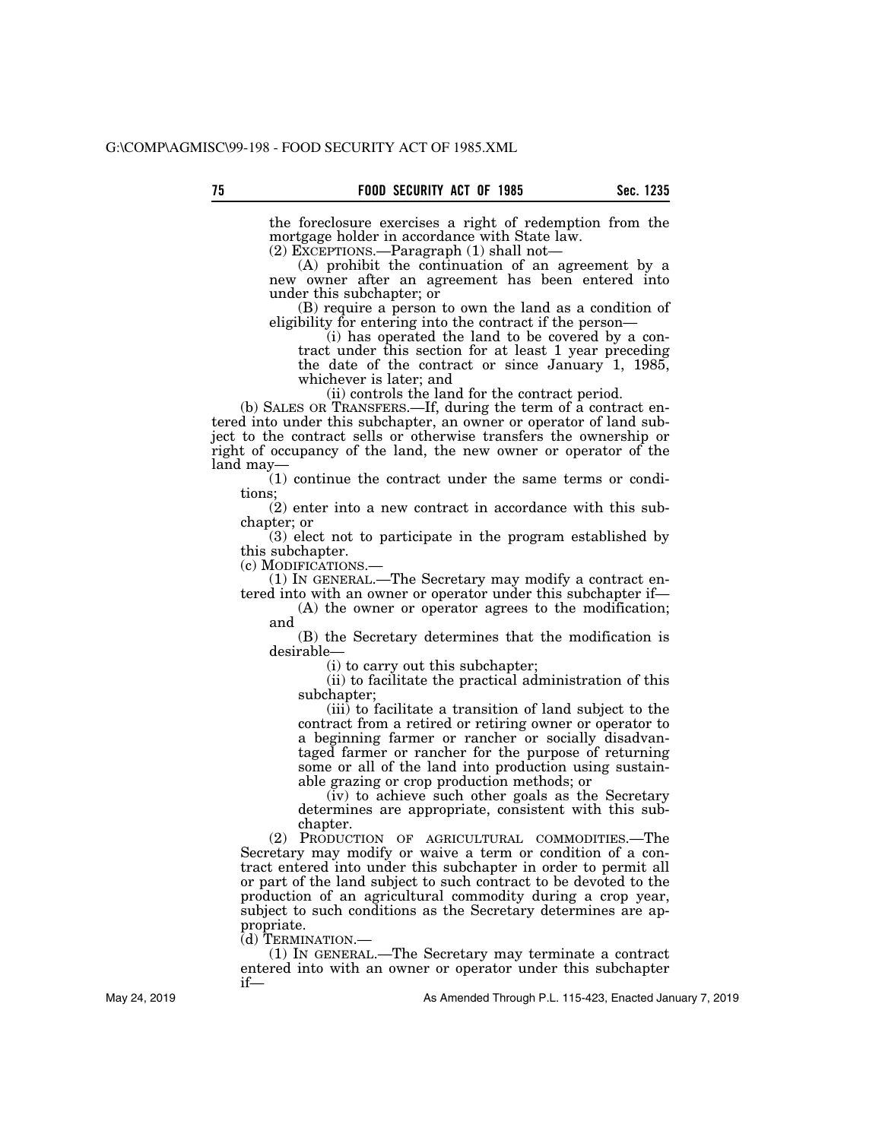the foreclosure exercises a right of redemption from the mortgage holder in accordance with State law.

(2) EXCEPTIONS.—Paragraph (1) shall not—

(A) prohibit the continuation of an agreement by a new owner after an agreement has been entered into under this subchapter; or

(B) require a person to own the land as a condition of eligibility for entering into the contract if the person—

(i) has operated the land to be covered by a contract under this section for at least 1 year preceding the date of the contract or since January 1, 1985, whichever is later; and

(ii) controls the land for the contract period.

(b) SALES OR TRANSFERS.—If, during the term of a contract entered into under this subchapter, an owner or operator of land subject to the contract sells or otherwise transfers the ownership or right of occupancy of the land, the new owner or operator of the land may—

(1) continue the contract under the same terms or conditions;

(2) enter into a new contract in accordance with this subchapter; or

(3) elect not to participate in the program established by this subchapter.

(c) MODIFICATIONS.— (1) IN GENERAL.—The Secretary may modify a contract entered into with an owner or operator under this subchapter if—

(A) the owner or operator agrees to the modification; and

(B) the Secretary determines that the modification is desirable—

(i) to carry out this subchapter;

(ii) to facilitate the practical administration of this subchapter;

(iii) to facilitate a transition of land subject to the contract from a retired or retiring owner or operator to a beginning farmer or rancher or socially disadvantaged farmer or rancher for the purpose of returning some or all of the land into production using sustainable grazing or crop production methods; or

(iv) to achieve such other goals as the Secretary determines are appropriate, consistent with this subchapter.

(2) PRODUCTION OF AGRICULTURAL COMMODITIES.—The Secretary may modify or waive a term or condition of a contract entered into under this subchapter in order to permit all or part of the land subject to such contract to be devoted to the production of an agricultural commodity during a crop year, subject to such conditions as the Secretary determines are appropriate.

(d) TERMINATION.—

(1) IN GENERAL.—The Secretary may terminate a contract entered into with an owner or operator under this subchapter if—

As Amended Through P.L. 115-423, Enacted January 7, 2019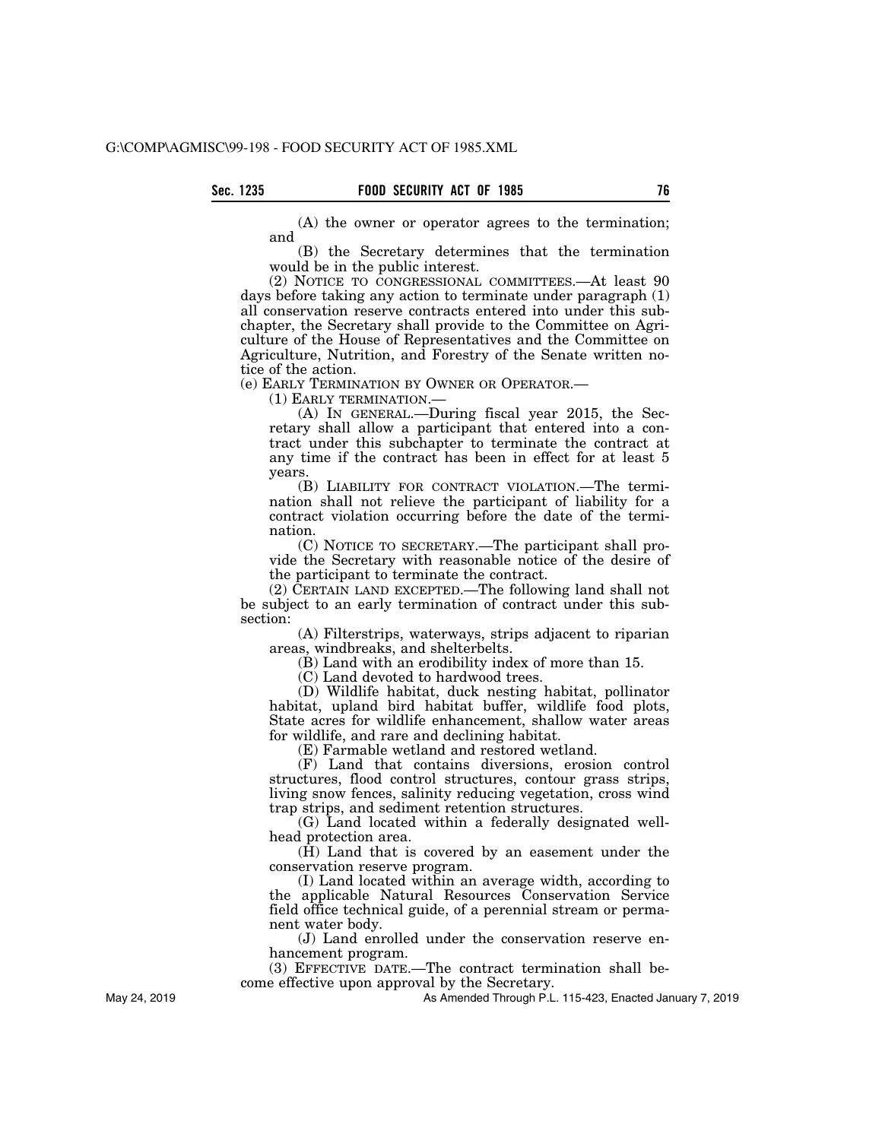(A) the owner or operator agrees to the termination; and

(B) the Secretary determines that the termination would be in the public interest.

(2) NOTICE TO CONGRESSIONAL COMMITTEES.—At least 90 days before taking any action to terminate under paragraph (1) all conservation reserve contracts entered into under this subchapter, the Secretary shall provide to the Committee on Agriculture of the House of Representatives and the Committee on Agriculture, Nutrition, and Forestry of the Senate written notice of the action.

(e) EARLY TERMINATION BY OWNER OR OPERATOR.—

(1) EARLY TERMINATION.—

(A) IN GENERAL.—During fiscal year 2015, the Secretary shall allow a participant that entered into a contract under this subchapter to terminate the contract at any time if the contract has been in effect for at least 5 years.

(B) LIABILITY FOR CONTRACT VIOLATION.—The termination shall not relieve the participant of liability for a contract violation occurring before the date of the termination.

(C) NOTICE TO SECRETARY.—The participant shall provide the Secretary with reasonable notice of the desire of the participant to terminate the contract.

(2) CERTAIN LAND EXCEPTED.—The following land shall not be subject to an early termination of contract under this subsection:

(A) Filterstrips, waterways, strips adjacent to riparian areas, windbreaks, and shelterbelts.

(B) Land with an erodibility index of more than 15.

(C) Land devoted to hardwood trees.

(D) Wildlife habitat, duck nesting habitat, pollinator habitat, upland bird habitat buffer, wildlife food plots, State acres for wildlife enhancement, shallow water areas for wildlife, and rare and declining habitat.

(E) Farmable wetland and restored wetland.

(F) Land that contains diversions, erosion control structures, flood control structures, contour grass strips, living snow fences, salinity reducing vegetation, cross wind trap strips, and sediment retention structures.

(G) Land located within a federally designated wellhead protection area.

 $(\tilde{H})$  Land that is covered by an easement under the conservation reserve program.

(I) Land located within an average width, according to the applicable Natural Resources Conservation Service field office technical guide, of a perennial stream or permanent water body.

(J) Land enrolled under the conservation reserve enhancement program.

(3) EFFECTIVE DATE.—The contract termination shall become effective upon approval by the Secretary.

As Amended Through P.L. 115-423, Enacted January 7, 2019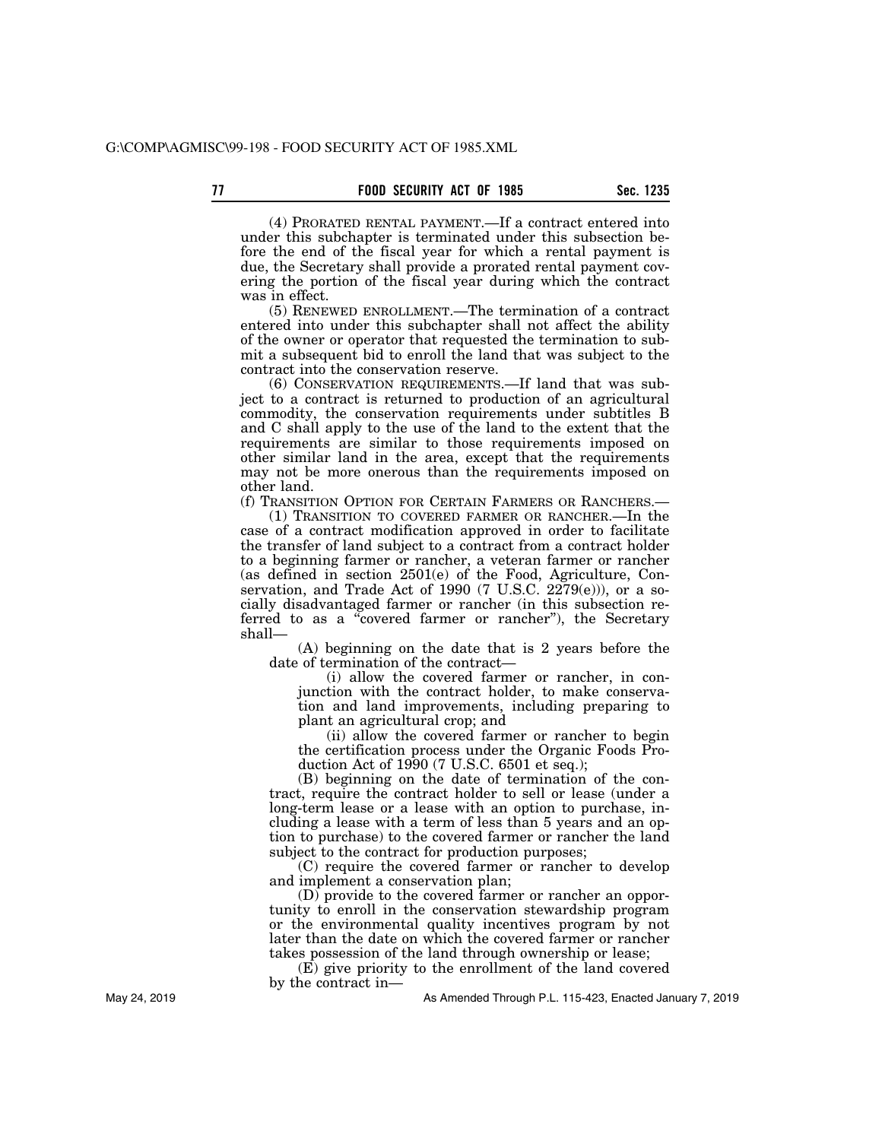(4) PRORATED RENTAL PAYMENT.—If a contract entered into under this subchapter is terminated under this subsection before the end of the fiscal year for which a rental payment is due, the Secretary shall provide a prorated rental payment covering the portion of the fiscal year during which the contract was in effect.

(5) RENEWED ENROLLMENT.—The termination of a contract entered into under this subchapter shall not affect the ability of the owner or operator that requested the termination to submit a subsequent bid to enroll the land that was subject to the contract into the conservation reserve.

(6) CONSERVATION REQUIREMENTS.—If land that was subject to a contract is returned to production of an agricultural commodity, the conservation requirements under subtitles B and C shall apply to the use of the land to the extent that the requirements are similar to those requirements imposed on other similar land in the area, except that the requirements may not be more onerous than the requirements imposed on other land.

(f) TRANSITION OPTION FOR CERTAIN FARMERS OR RANCHERS.—

(1) TRANSITION TO COVERED FARMER OR RANCHER.—In the case of a contract modification approved in order to facilitate the transfer of land subject to a contract from a contract holder to a beginning farmer or rancher, a veteran farmer or rancher (as defined in section 2501(e) of the Food, Agriculture, Conservation, and Trade Act of 1990 (7 U.S.C. 2279(e))), or a socially disadvantaged farmer or rancher (in this subsection referred to as a ''covered farmer or rancher''), the Secretary shall—

(A) beginning on the date that is 2 years before the date of termination of the contract—

(i) allow the covered farmer or rancher, in conjunction with the contract holder, to make conservation and land improvements, including preparing to plant an agricultural crop; and

(ii) allow the covered farmer or rancher to begin the certification process under the Organic Foods Production Act of 1990 (7 U.S.C. 6501 et seq.);

(B) beginning on the date of termination of the contract, require the contract holder to sell or lease (under a long-term lease or a lease with an option to purchase, including a lease with a term of less than 5 years and an option to purchase) to the covered farmer or rancher the land subject to the contract for production purposes;

(C) require the covered farmer or rancher to develop and implement a conservation plan;

(D) provide to the covered farmer or rancher an opportunity to enroll in the conservation stewardship program or the environmental quality incentives program by not later than the date on which the covered farmer or rancher takes possession of the land through ownership or lease;

(E) give priority to the enrollment of the land covered by the contract in—

As Amended Through P.L. 115-423, Enacted January 7, 2019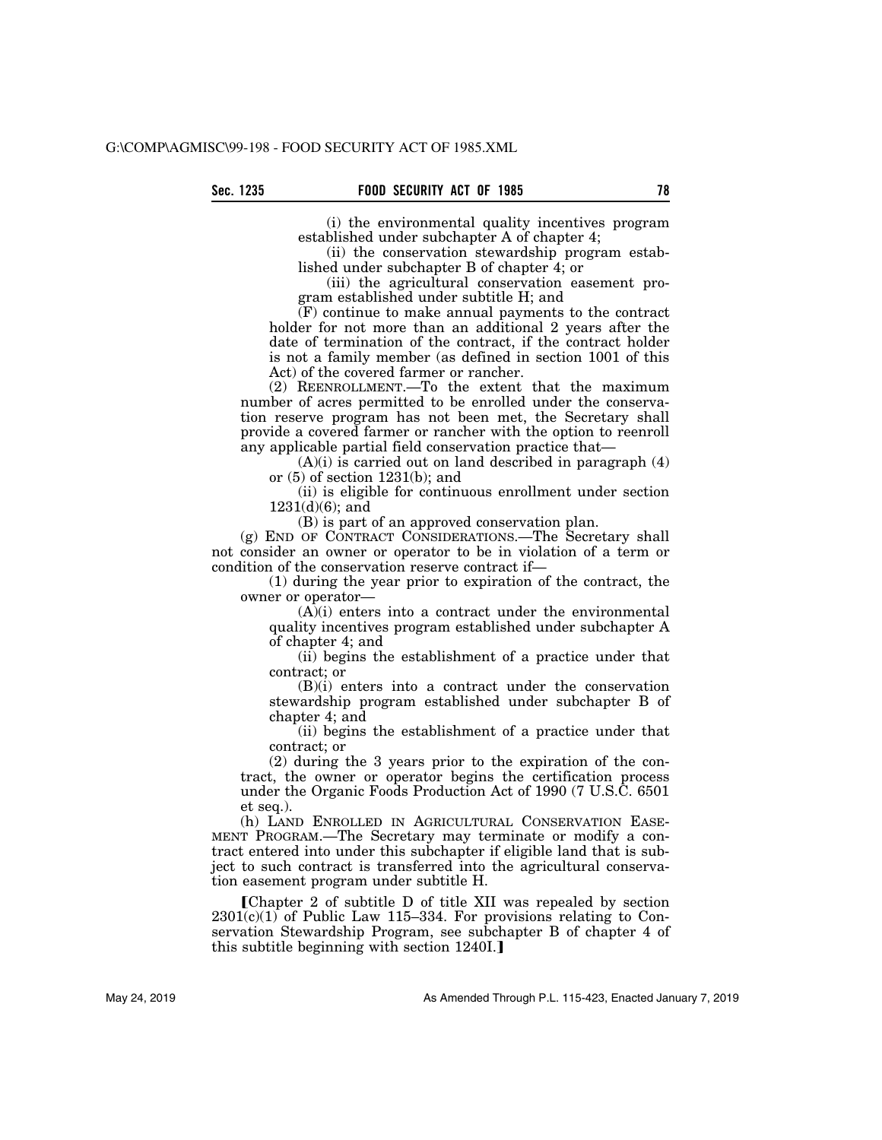(i) the environmental quality incentives program established under subchapter A of chapter 4;

(ii) the conservation stewardship program established under subchapter B of chapter 4; or

(iii) the agricultural conservation easement program established under subtitle H; and

(F) continue to make annual payments to the contract holder for not more than an additional 2 years after the date of termination of the contract, if the contract holder is not a family member (as defined in section 1001 of this Act) of the covered farmer or rancher.

(2) REENROLLMENT.—To the extent that the maximum number of acres permitted to be enrolled under the conservation reserve program has not been met, the Secretary shall provide a covered farmer or rancher with the option to reenroll any applicable partial field conservation practice that—

 $(A)(i)$  is carried out on land described in paragraph  $(4)$ or (5) of section 1231(b); and

(ii) is eligible for continuous enrollment under section 1231(d)(6); and

(B) is part of an approved conservation plan.

(g) END OF CONTRACT CONSIDERATIONS.—The Secretary shall not consider an owner or operator to be in violation of a term or condition of the conservation reserve contract if—

(1) during the year prior to expiration of the contract, the owner or operator—

 $(A)$ (i) enters into a contract under the environmental quality incentives program established under subchapter A of chapter 4; and

(ii) begins the establishment of a practice under that contract; or

(B)(i) enters into a contract under the conservation stewardship program established under subchapter B of chapter 4; and

(ii) begins the establishment of a practice under that contract; or

(2) during the 3 years prior to the expiration of the contract, the owner or operator begins the certification process under the Organic Foods Production Act of 1990 (7 U.S.C. 6501 et seq.).

(h) LAND ENROLLED IN AGRICULTURAL CONSERVATION EASE-MENT PROGRAM.—The Secretary may terminate or modify a contract entered into under this subchapter if eligible land that is subject to such contract is transferred into the agricultural conservation easement program under subtitle H.

øChapter 2 of subtitle D of title XII was repealed by section  $2301(c)(1)$  of Public Law 115–334. For provisions relating to Conservation Stewardship Program, see subchapter B of chapter 4 of this subtitle beginning with section 1240I.]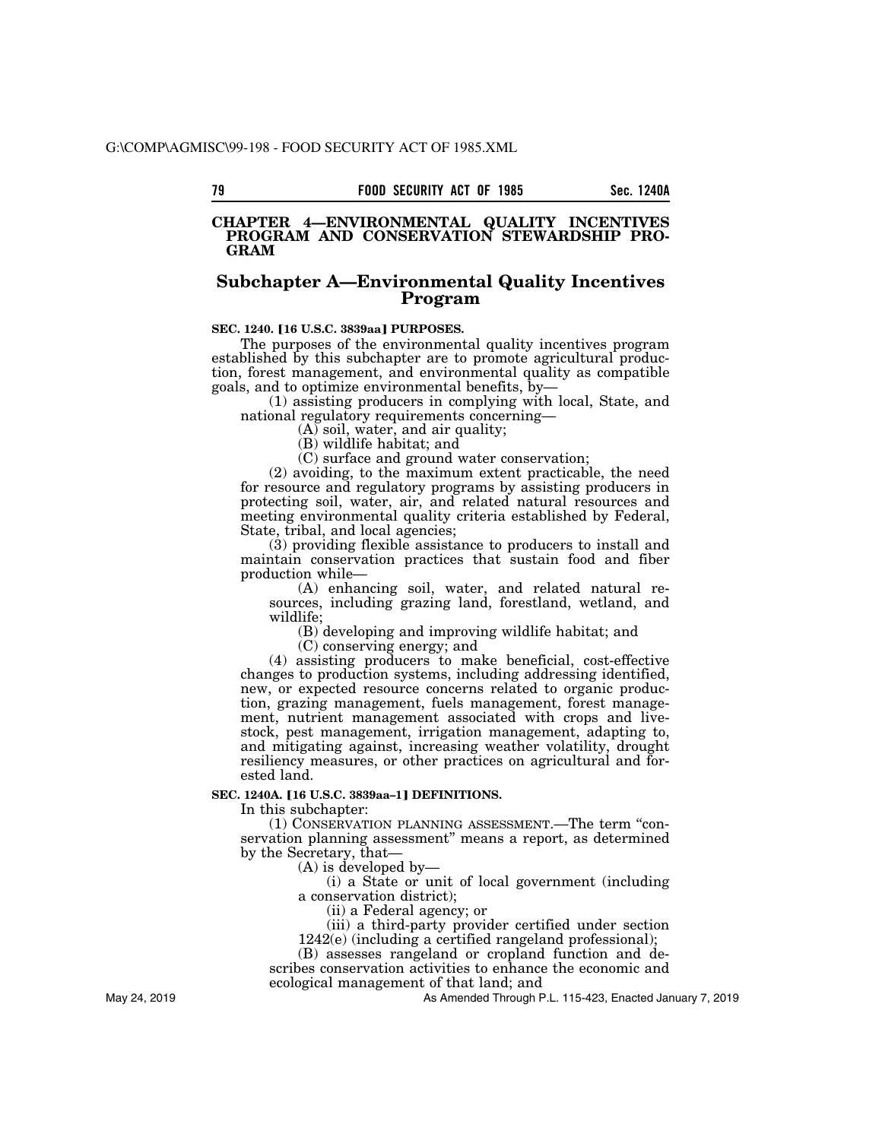### **CHAPTER 4—ENVIRONMENTAL QUALITY INCENTIVES PROGRAM AND CONSERVATION STEWARDSHIP PRO-GRAM**

# **Subchapter A—Environmental Quality Incentives Program**

## **SEC. 1240. [16 U.S.C. 3839aa] PURPOSES.**

The purposes of the environmental quality incentives program established by this subchapter are to promote agricultural production, forest management, and environmental quality as compatible goals, and to optimize environmental benefits, by—

(1) assisting producers in complying with local, State, and national regulatory requirements concerning—

(A) soil, water, and air quality;

(B) wildlife habitat; and

(C) surface and ground water conservation;

(2) avoiding, to the maximum extent practicable, the need for resource and regulatory programs by assisting producers in protecting soil, water, air, and related natural resources and meeting environmental quality criteria established by Federal, State, tribal, and local agencies;

(3) providing flexible assistance to producers to install and maintain conservation practices that sustain food and fiber production while—

(A) enhancing soil, water, and related natural resources, including grazing land, forestland, wetland, and wildlife;

(B) developing and improving wildlife habitat; and

(C) conserving energy; and

(4) assisting producers to make beneficial, cost-effective changes to production systems, including addressing identified, new, or expected resource concerns related to organic production, grazing management, fuels management, forest management, nutrient management associated with crops and livestock, pest management, irrigation management, adapting to, and mitigating against, increasing weather volatility, drought resiliency measures, or other practices on agricultural and forested land.

### **SEC. 1240A. [16 U.S.C. 3839aa-1] DEFINITIONS.**

In this subchapter:

(1) CONSERVATION PLANNING ASSESSMENT.—The term ''conservation planning assessment'' means a report, as determined by the Secretary, that—

(A) is developed by—

(i) a State or unit of local government (including a conservation district);

(ii) a Federal agency; or

(iii) a third-party provider certified under section

1242(e) (including a certified rangeland professional);

(B) assesses rangeland or cropland function and describes conservation activities to enhance the economic and ecological management of that land; and

As Amended Through P.L. 115-423, Enacted January 7, 2019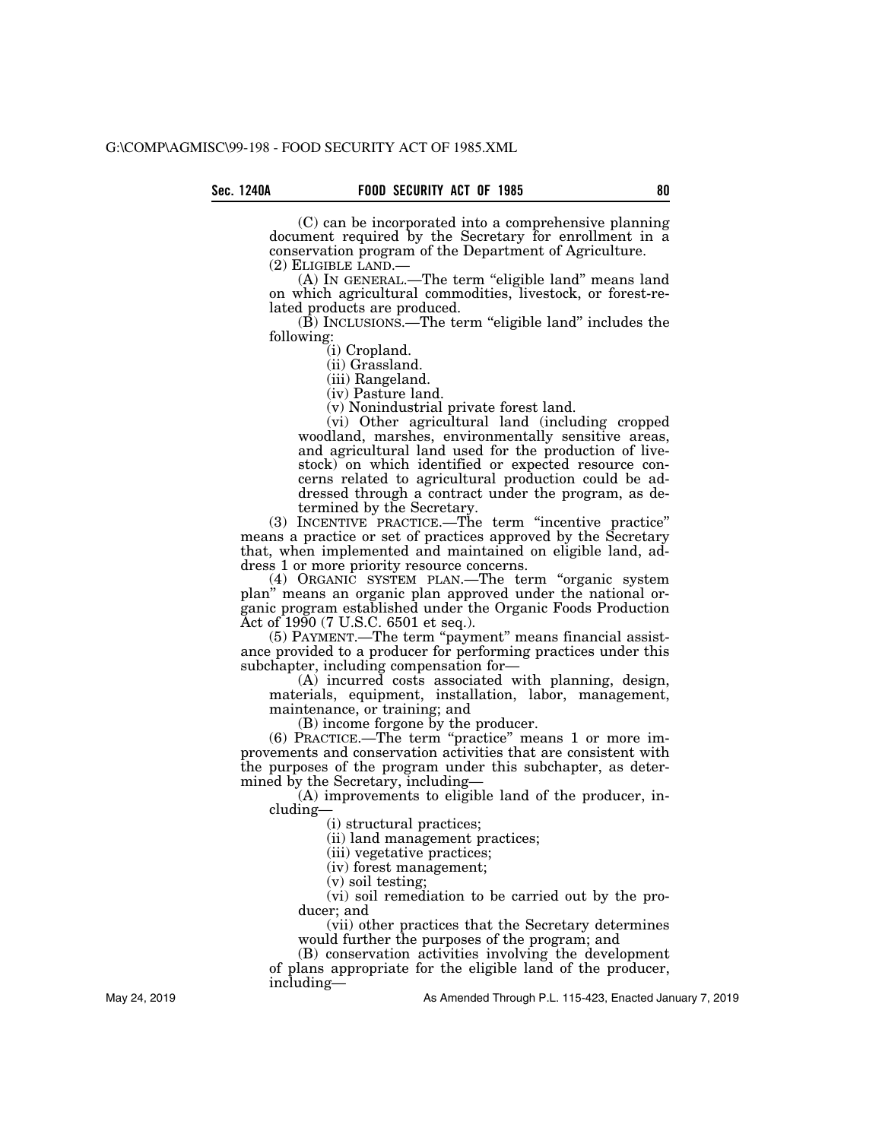(C) can be incorporated into a comprehensive planning document required by the Secretary for enrollment in a conservation program of the Department of Agriculture.

(2) ELIGIBLE LAND.—<br>(A) IN GENERAL.—The term "eligible land" means land on which agricultural commodities, livestock, or forest-related products are produced.

(B) INCLUSIONS.—The term ''eligible land'' includes the following:

(i) Cropland.

(ii) Grassland.

(iii) Rangeland.

(iv) Pasture land.

(v) Nonindustrial private forest land.

(vi) Other agricultural land (including cropped woodland, marshes, environmentally sensitive areas, and agricultural land used for the production of livestock) on which identified or expected resource concerns related to agricultural production could be addressed through a contract under the program, as determined by the Secretary.

(3) INCENTIVE PRACTICE.—The term ''incentive practice'' means a practice or set of practices approved by the Secretary that, when implemented and maintained on eligible land, address 1 or more priority resource concerns.

(4) ORGANIC SYSTEM PLAN.—The term ''organic system plan'' means an organic plan approved under the national organic program established under the Organic Foods Production Act of 1990 (7 U.S.C. 6501 et seq.).

(5) PAYMENT.—The term "payment" means financial assistance provided to a producer for performing practices under this subchapter, including compensation for—

(A) incurred costs associated with planning, design, materials, equipment, installation, labor, management, maintenance, or training; and

(B) income forgone by the producer.

(6) PRACTICE.—The term ''practice'' means 1 or more improvements and conservation activities that are consistent with the purposes of the program under this subchapter, as determined by the Secretary, including—

(A) improvements to eligible land of the producer, including—

(i) structural practices;

(ii) land management practices;

(iii) vegetative practices;

(iv) forest management;

(v) soil testing;

(vi) soil remediation to be carried out by the producer; and

(vii) other practices that the Secretary determines would further the purposes of the program; and

(B) conservation activities involving the development

of plans appropriate for the eligible land of the producer, including—

As Amended Through P.L. 115-423, Enacted January 7, 2019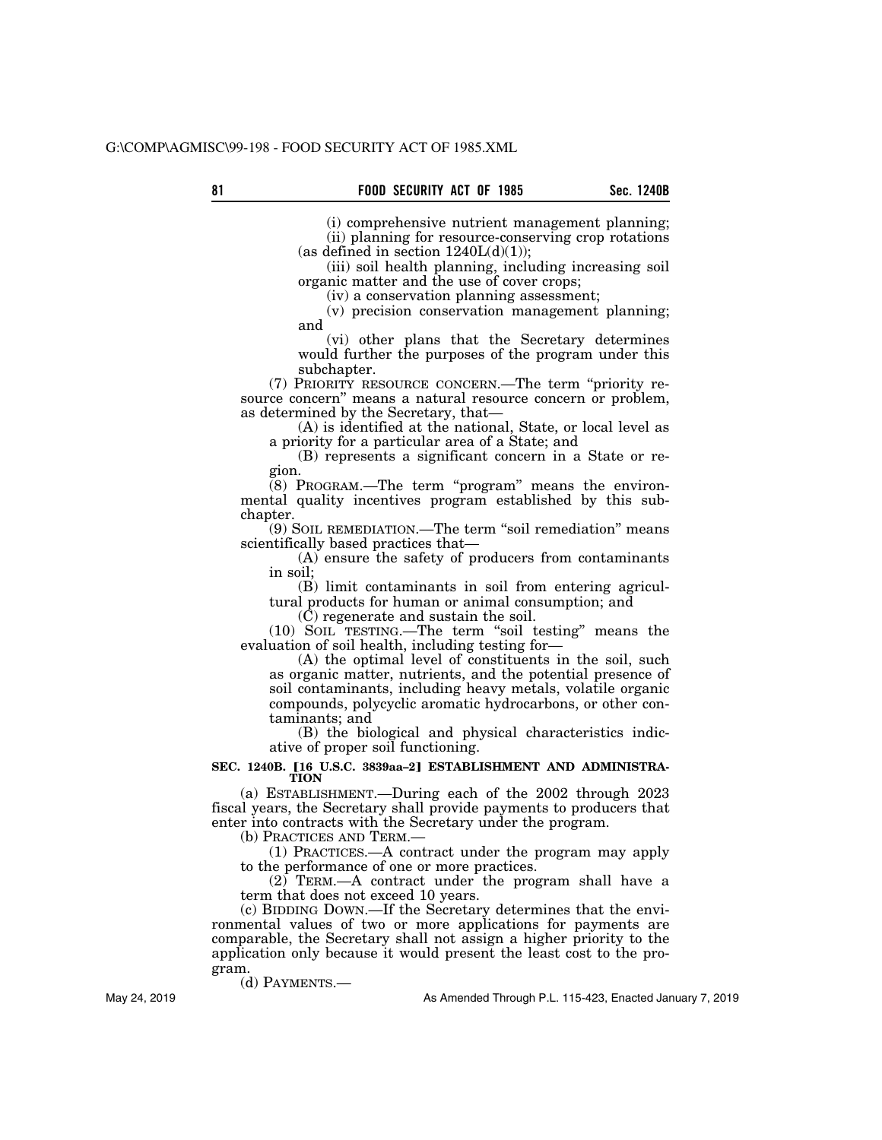(i) comprehensive nutrient management planning; (ii) planning for resource-conserving crop rotations (as defined in section  $1240L(d)(1)$ );

(iii) soil health planning, including increasing soil organic matter and the use of cover crops;

(iv) a conservation planning assessment;

(v) precision conservation management planning; and

(vi) other plans that the Secretary determines would further the purposes of the program under this subchapter.

(7) PRIORITY RESOURCE CONCERN.—The term ''priority resource concern'' means a natural resource concern or problem, as determined by the Secretary, that—

(A) is identified at the national, State, or local level as a priority for a particular area of a State; and

(B) represents a significant concern in a State or region.

 $(8)$  PROGRAM.—The term "program" means the environmental quality incentives program established by this subchapter.

(9) SOIL REMEDIATION.—The term ''soil remediation'' means scientifically based practices that—

(A) ensure the safety of producers from contaminants in soil;

(B) limit contaminants in soil from entering agricultural products for human or animal consumption; and

 $(\tilde{C})$  regenerate and sustain the soil.

(10) SOIL TESTING.—The term ''soil testing'' means the evaluation of soil health, including testing for—

(A) the optimal level of constituents in the soil, such as organic matter, nutrients, and the potential presence of soil contaminants, including heavy metals, volatile organic compounds, polycyclic aromatic hydrocarbons, or other contaminants; and

(B) the biological and physical characteristics indicative of proper soil functioning.

#### SEC. 1240B. [16 U.S.C. 3839aa-2] ESTABLISHMENT AND ADMINISTRA-**TION**

(a) ESTABLISHMENT.—During each of the 2002 through 2023 fiscal years, the Secretary shall provide payments to producers that enter into contracts with the Secretary under the program.

(b) PRACTICES AND TERM.—

(1) PRACTICES.—A contract under the program may apply to the performance of one or more practices.

(2) TERM.—A contract under the program shall have a term that does not exceed 10 years.

(c) BIDDING DOWN.—If the Secretary determines that the environmental values of two or more applications for payments are comparable, the Secretary shall not assign a higher priority to the application only because it would present the least cost to the program.

(d) PAYMENTS.—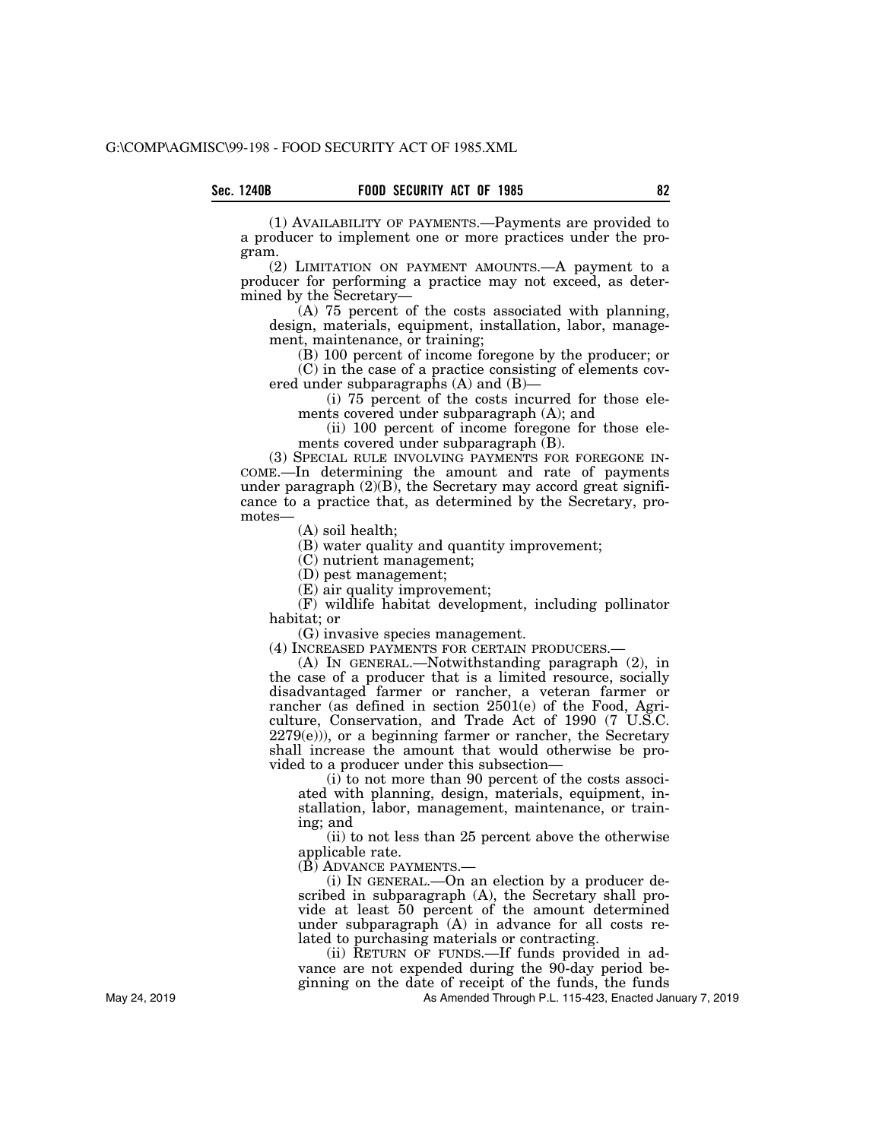(1) AVAILABILITY OF PAYMENTS.—Payments are provided to a producer to implement one or more practices under the program.

(2) LIMITATION ON PAYMENT AMOUNTS.—A payment to a producer for performing a practice may not exceed, as determined by the Secretary—

 $(A)$  75 percent of the costs associated with planning, design, materials, equipment, installation, labor, management, maintenance, or training;

(B) 100 percent of income foregone by the producer; or (C) in the case of a practice consisting of elements covered under subparagraphs (A) and (B)—

(i) 75 percent of the costs incurred for those elements covered under subparagraph (A); and

(ii) 100 percent of income foregone for those elements covered under subparagraph (B).

(3) SPECIAL RULE INVOLVING PAYMENTS FOR FOREGONE IN-COME.—In determining the amount and rate of payments under paragraph  $(2)(B)$ , the Secretary may accord great significance to a practice that, as determined by the Secretary, promotes—

(A) soil health;

(B) water quality and quantity improvement;

(C) nutrient management;

(D) pest management;

(E) air quality improvement;

(F) wildlife habitat development, including pollinator habitat; or

(G) invasive species management.

(4) INCREASED PAYMENTS FOR CERTAIN PRODUCERS.—

(A) IN GENERAL.—Notwithstanding paragraph (2), in the case of a producer that is a limited resource, socially disadvantaged farmer or rancher, a veteran farmer or rancher (as defined in section 2501(e) of the Food, Agriculture, Conservation, and Trade Act of 1990 (7 U.S.C.  $2279(e)$ ), or a beginning farmer or rancher, the Secretary shall increase the amount that would otherwise be provided to a producer under this subsection—

(i) to not more than 90 percent of the costs associated with planning, design, materials, equipment, installation, labor, management, maintenance, or training; and

(ii) to not less than 25 percent above the otherwise applicable rate.

(B) ADVANCE PAYMENTS.—

(i) IN GENERAL.—On an election by a producer described in subparagraph (A), the Secretary shall provide at least 50 percent of the amount determined under subparagraph (A) in advance for all costs related to purchasing materials or contracting.

(ii) RETURN OF FUNDS.—If funds provided in advance are not expended during the 90-day period beginning on the date of receipt of the funds, the funds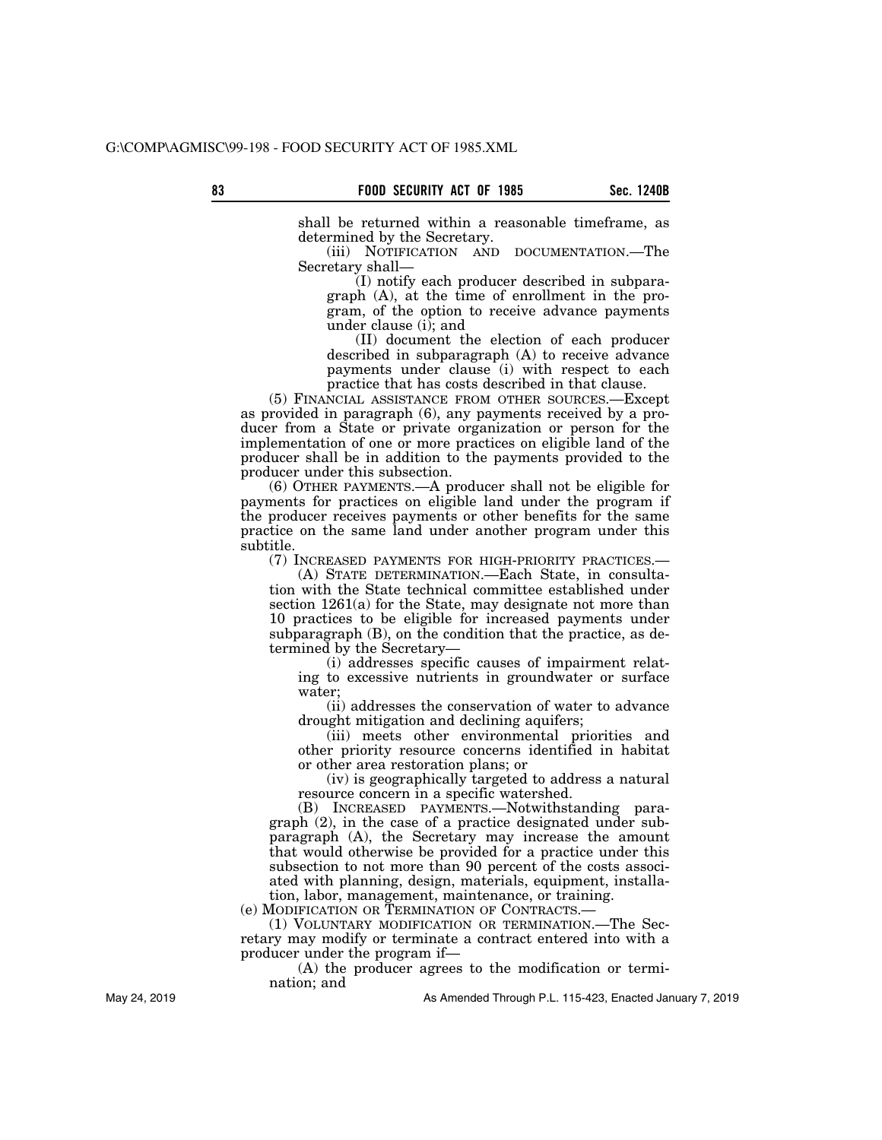shall be returned within a reasonable timeframe, as determined by the Secretary.

(iii) NOTIFICATION AND DOCUMENTATION.—The Secretary shall—

(I) notify each producer described in subparagraph (A), at the time of enrollment in the program, of the option to receive advance payments under clause (i); and

(II) document the election of each producer described in subparagraph (A) to receive advance payments under clause (i) with respect to each practice that has costs described in that clause.

(5) FINANCIAL ASSISTANCE FROM OTHER SOURCES.—Except as provided in paragraph (6), any payments received by a producer from a State or private organization or person for the implementation of one or more practices on eligible land of the producer shall be in addition to the payments provided to the producer under this subsection.

(6) OTHER PAYMENTS.—A producer shall not be eligible for payments for practices on eligible land under the program if the producer receives payments or other benefits for the same practice on the same land under another program under this subtitle.

(7) INCREASED PAYMENTS FOR HIGH-PRIORITY PRACTICES.—

(A) STATE DETERMINATION.—Each State, in consultation with the State technical committee established under section 1261(a) for the State, may designate not more than 10 practices to be eligible for increased payments under subparagraph (B), on the condition that the practice, as determined by the Secretary—

(i) addresses specific causes of impairment relating to excessive nutrients in groundwater or surface water;

(ii) addresses the conservation of water to advance drought mitigation and declining aquifers;

(iii) meets other environmental priorities and other priority resource concerns identified in habitat or other area restoration plans; or

(iv) is geographically targeted to address a natural resource concern in a specific watershed.

(B) INCREASED PAYMENTS.—Notwithstanding paragraph (2), in the case of a practice designated under subparagraph (A), the Secretary may increase the amount that would otherwise be provided for a practice under this subsection to not more than 90 percent of the costs associated with planning, design, materials, equipment, installation, labor, management, maintenance, or training.

(e) MODIFICATION OR TERMINATION OF CONTRACTS.—

(1) VOLUNTARY MODIFICATION OR TERMINATION.—The Secretary may modify or terminate a contract entered into with a producer under the program if—

(A) the producer agrees to the modification or termination; and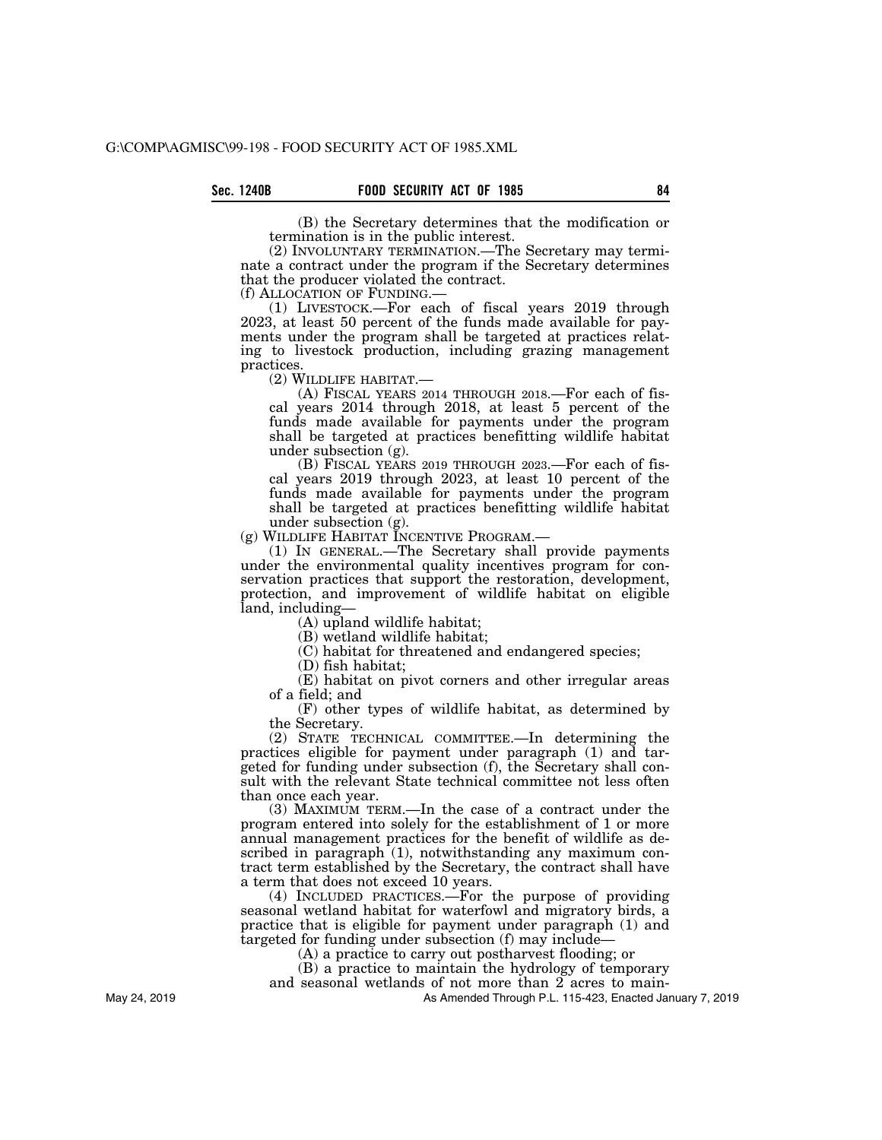(B) the Secretary determines that the modification or termination is in the public interest.

(2) INVOLUNTARY TERMINATION.—The Secretary may terminate a contract under the program if the Secretary determines that the producer violated the contract.<br>(f) ALLOCATION OF FUNDING.

(1) LIVESTOCK.—For each of fiscal years 2019 through 2023, at least 50 percent of the funds made available for payments under the program shall be targeted at practices relating to livestock production, including grazing management practices.<br>(2) WILDLIFE HABITAT.-

(A) FISCAL YEARS 2014 THROUGH 2018.—For each of fiscal years 2014 through 2018, at least 5 percent of the funds made available for payments under the program shall be targeted at practices benefitting wildlife habitat under subsection (g).

(B) FISCAL YEARS 2019 THROUGH 2023.—For each of fiscal years 2019 through 2023, at least 10 percent of the funds made available for payments under the program shall be targeted at practices benefitting wildlife habitat under subsection (g).<br>(g) WILDLIFE HABITAT INCENTIVE PROGRAM.—

 $(1)$  In GENERAL.—The Secretary shall provide payments under the environmental quality incentives program for conservation practices that support the restoration, development, protection, and improvement of wildlife habitat on eligible land, including—

(A) upland wildlife habitat;

(B) wetland wildlife habitat;

(C) habitat for threatened and endangered species;

(D) fish habitat;

(E) habitat on pivot corners and other irregular areas of a field; and

(F) other types of wildlife habitat, as determined by the Secretary.

(2) STATE TECHNICAL COMMITTEE.—In determining the practices eligible for payment under paragraph (1) and targeted for funding under subsection (f), the Secretary shall consult with the relevant State technical committee not less often than once each year.

(3) MAXIMUM TERM.—In the case of a contract under the program entered into solely for the establishment of 1 or more annual management practices for the benefit of wildlife as described in paragraph (1), notwithstanding any maximum contract term established by the Secretary, the contract shall have a term that does not exceed 10 years.

(4) INCLUDED PRACTICES.—For the purpose of providing seasonal wetland habitat for waterfowl and migratory birds, a practice that is eligible for payment under paragraph (1) and targeted for funding under subsection (f) may include—

(A) a practice to carry out postharvest flooding; or

(B) a practice to maintain the hydrology of temporary and seasonal wetlands of not more than 2 acres to main-

As Amended Through P.L. 115-423, Enacted January 7, 2019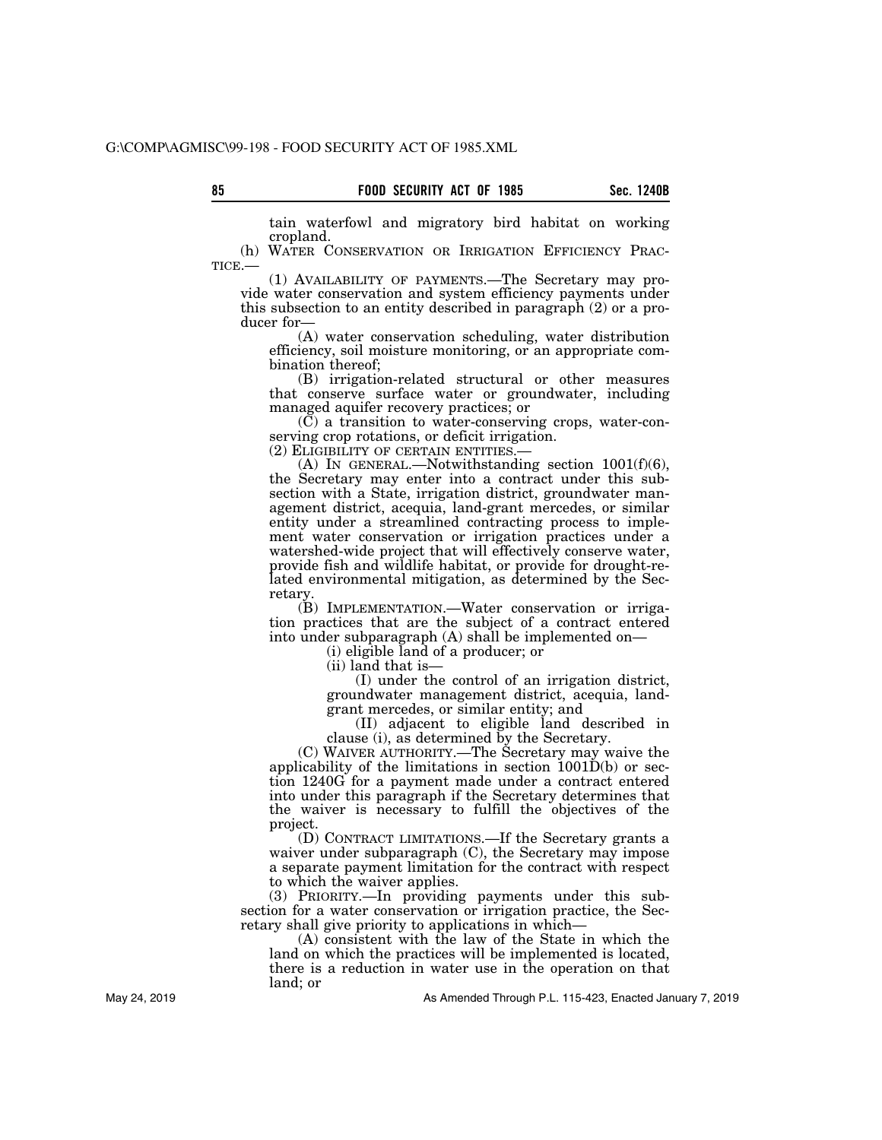tain waterfowl and migratory bird habitat on working cropland.<br>(h) WATER CONSERVATION OR IRRIGATION EFFICIENCY PRAC-

TICE.— (1) AVAILABILITY OF PAYMENTS.—The Secretary may pro-

vide water conservation and system efficiency payments under this subsection to an entity described in paragraph (2) or a producer for—

(A) water conservation scheduling, water distribution efficiency, soil moisture monitoring, or an appropriate combination thereof;

(B) irrigation-related structural or other measures that conserve surface water or groundwater, including managed aquifer recovery practices; or

 $(\tilde{C})$  a transition to water-conserving crops, water-conserving crop rotations, or deficit irrigation.<br>(2) ELIGIBILITY OF CERTAIN ENTITIES.—

(A) IN GENERAL.—Notwithstanding section  $1001(f)(6)$ , the Secretary may enter into a contract under this subsection with a State, irrigation district, groundwater management district, acequia, land-grant mercedes, or similar entity under a streamlined contracting process to implement water conservation or irrigation practices under a watershed-wide project that will effectively conserve water, provide fish and wildlife habitat, or provide for drought-related environmental mitigation, as determined by the Secretary.

(B) IMPLEMENTATION.—Water conservation or irrigation practices that are the subject of a contract entered into under subparagraph (A) shall be implemented on—

(i) eligible land of a producer; or

(ii) land that is—

(I) under the control of an irrigation district, groundwater management district, acequia, landgrant mercedes, or similar entity; and

(II) adjacent to eligible land described in clause (i), as determined by the Secretary.

(C) WAIVER AUTHORITY.—The Secretary may waive the applicability of the limitations in section 1001D(b) or section 1240G for a payment made under a contract entered into under this paragraph if the Secretary determines that the waiver is necessary to fulfill the objectives of the project.

(D) CONTRACT LIMITATIONS.—If the Secretary grants a waiver under subparagraph (C), the Secretary may impose a separate payment limitation for the contract with respect to which the waiver applies.

(3) PRIORITY.—In providing payments under this subsection for a water conservation or irrigation practice, the Secretary shall give priority to applications in which—

(A) consistent with the law of the State in which the land on which the practices will be implemented is located, there is a reduction in water use in the operation on that land; or

As Amended Through P.L. 115-423, Enacted January 7, 2019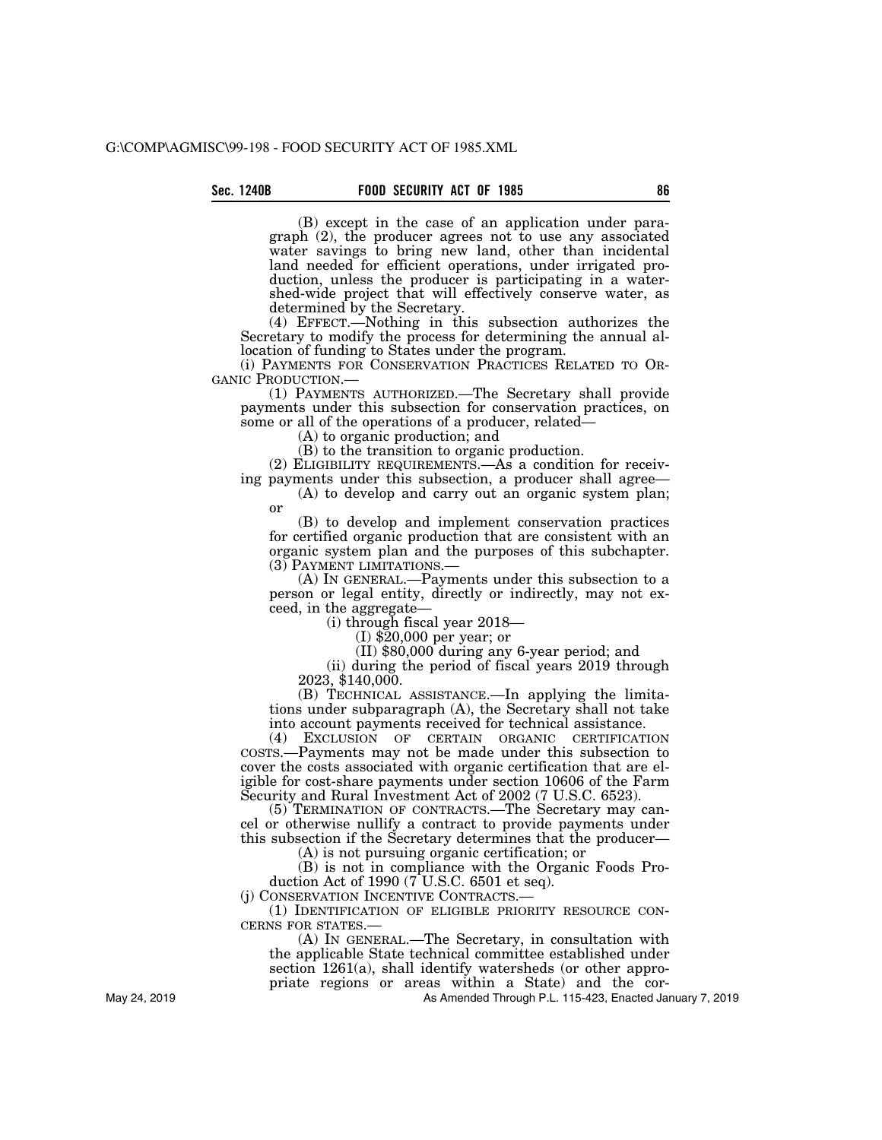(B) except in the case of an application under paragraph (2), the producer agrees not to use any associated water savings to bring new land, other than incidental land needed for efficient operations, under irrigated production, unless the producer is participating in a watershed-wide project that will effectively conserve water, as determined by the Secretary.

(4) EFFECT.—Nothing in this subsection authorizes the Secretary to modify the process for determining the annual allocation of funding to States under the program.

(i) PAYMENTS FOR CONSERVATION PRACTICES RELATED TO OR-

(1) PAYMENTS AUTHORIZED.—The Secretary shall provide payments under this subsection for conservation practices, on some or all of the operations of a producer, related—

(A) to organic production; and

(B) to the transition to organic production.

(2) ELIGIBILITY REQUIREMENTS.—As a condition for receiving payments under this subsection, a producer shall agree—

(A) to develop and carry out an organic system plan; or

(B) to develop and implement conservation practices for certified organic production that are consistent with an organic system plan and the purposes of this subchapter.

(3) PAYMENT LIMITATIONS.— (A) IN GENERAL.—Payments under this subsection to a person or legal entity, directly or indirectly, may not exceed, in the aggregate—

(i) through fiscal year 2018—

(I) \$20,000 per year; or

(II) \$80,000 during any 6-year period; and

(ii) during the period of fiscal years 2019 through 2023, \$140,000.

(B) TECHNICAL ASSISTANCE.—In applying the limitations under subparagraph (A), the Secretary shall not take into account payments received for technical assistance.

(4) EXCLUSION OF CERTAIN ORGANIC CERTIFICATION COSTS.—Payments may not be made under this subsection to cover the costs associated with organic certification that are eligible for cost-share payments under section 10606 of the Farm Security and Rural Investment Act of 2002 (7 U.S.C. 6523).

(5) TERMINATION OF CONTRACTS.—The Secretary may cancel or otherwise nullify a contract to provide payments under this subsection if the Secretary determines that the producer—

(A) is not pursuing organic certification; or

(B) is not in compliance with the Organic Foods Production Act of 1990 (7 U.S.C. 6501 et seq).

(j) CONSERVATION INCENTIVE CONTRACTS.—

(1) IDENTIFICATION OF ELIGIBLE PRIORITY RESOURCE CON-CERNS FOR STATES.—

(A) IN GENERAL.—The Secretary, in consultation with the applicable State technical committee established under section 1261(a), shall identify watersheds (or other appropriate regions or areas within a State) and the cor-

As Amended Through P.L. 115-423, Enacted January 7, 2019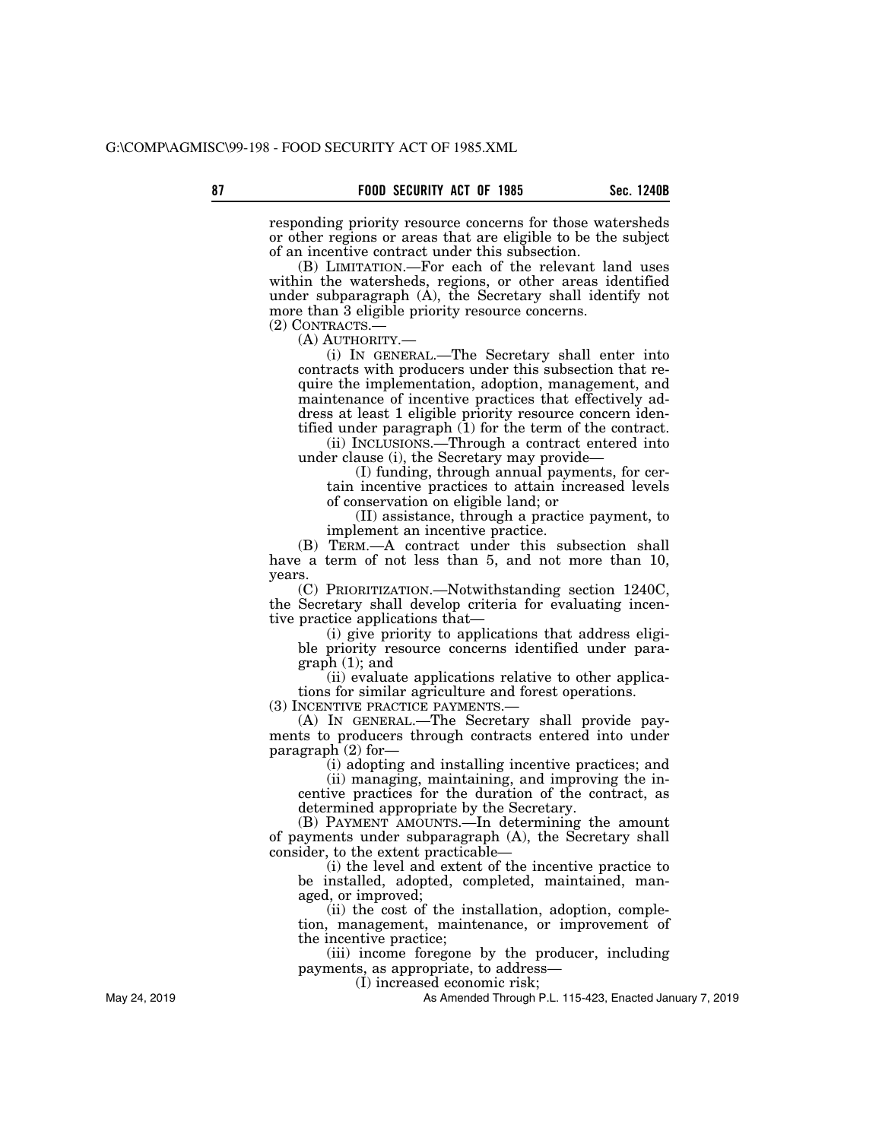responding priority resource concerns for those watersheds or other regions or areas that are eligible to be the subject of an incentive contract under this subsection.

(B) LIMITATION.—For each of the relevant land uses within the watersheds, regions, or other areas identified under subparagraph (A), the Secretary shall identify not more than 3 eligible priority resource concerns.

(2) CONTRACTS.—

(A) AUTHORITY.—

(i) IN GENERAL.—The Secretary shall enter into contracts with producers under this subsection that require the implementation, adoption, management, and maintenance of incentive practices that effectively address at least 1 eligible priority resource concern identified under paragraph (1) for the term of the contract.

(ii) INCLUSIONS.—Through a contract entered into under clause (i), the Secretary may provide—

(I) funding, through annual payments, for certain incentive practices to attain increased levels of conservation on eligible land; or

(II) assistance, through a practice payment, to implement an incentive practice.

(B) TERM.—A contract under this subsection shall have a term of not less than 5, and not more than 10, years.

(C) PRIORITIZATION.—Notwithstanding section 1240C, the Secretary shall develop criteria for evaluating incentive practice applications that—

(i) give priority to applications that address eligible priority resource concerns identified under paragraph (1); and

(ii) evaluate applications relative to other applications for similar agriculture and forest operations.

(3) INCENTIVE PRACTICE PAYMENTS.—

(A) IN GENERAL.—The Secretary shall provide payments to producers through contracts entered into under paragraph (2) for—

(i) adopting and installing incentive practices; and

(ii) managing, maintaining, and improving the incentive practices for the duration of the contract, as determined appropriate by the Secretary.

(B) PAYMENT AMOUNTS.—In determining the amount of payments under subparagraph (A), the Secretary shall consider, to the extent practicable—

(i) the level and extent of the incentive practice to be installed, adopted, completed, maintained, managed, or improved;

(ii) the cost of the installation, adoption, completion, management, maintenance, or improvement of the incentive practice;

(iii) income foregone by the producer, including payments, as appropriate, to address—

(I) increased economic risk;

As Amended Through P.L. 115-423, Enacted January 7, 2019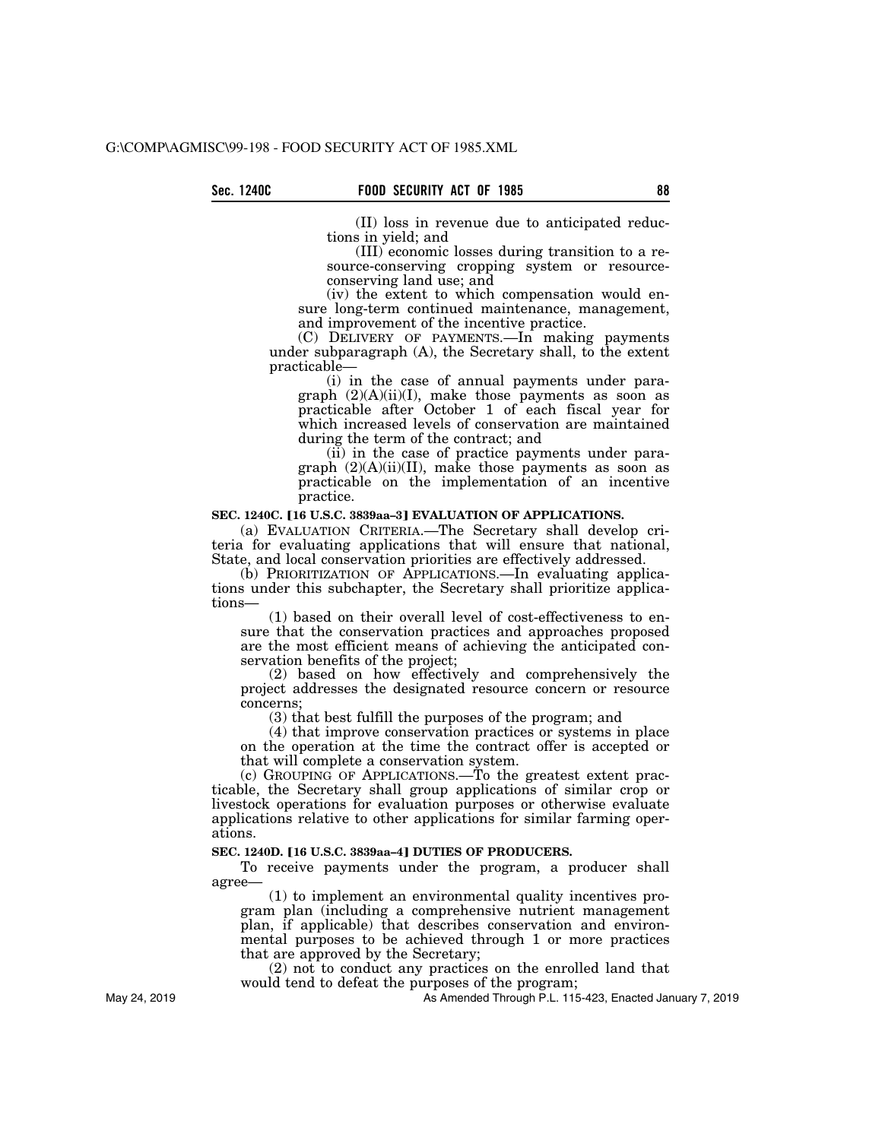(II) loss in revenue due to anticipated reductions in yield; and

(III) economic losses during transition to a resource-conserving cropping system or resourceconserving land use; and

(iv) the extent to which compensation would ensure long-term continued maintenance, management, and improvement of the incentive practice.

(C) DELIVERY OF PAYMENTS.—In making payments under subparagraph (A), the Secretary shall, to the extent practicable—

(i) in the case of annual payments under paragraph (2)(A)(ii)(I), make those payments as soon as practicable after October 1 of each fiscal year for which increased levels of conservation are maintained during the term of the contract; and

(ii) in the case of practice payments under paragraph  $(2)(A)(ii)(II)$ , make those payments as soon as practicable on the implementation of an incentive practice.

#### SEC. 1240C. [16 U.S.C. 3839aa-3] EVALUATION OF APPLICATIONS.

(a) EVALUATION CRITERIA.—The Secretary shall develop criteria for evaluating applications that will ensure that national, State, and local conservation priorities are effectively addressed.

(b) PRIORITIZATION OF APPLICATIONS.—In evaluating applications under this subchapter, the Secretary shall prioritize applications—

(1) based on their overall level of cost-effectiveness to ensure that the conservation practices and approaches proposed are the most efficient means of achieving the anticipated conservation benefits of the project;

(2) based on how effectively and comprehensively the project addresses the designated resource concern or resource concerns;

(3) that best fulfill the purposes of the program; and

(4) that improve conservation practices or systems in place on the operation at the time the contract offer is accepted or that will complete a conservation system.

(c) GROUPING OF APPLICATIONS.—To the greatest extent practicable, the Secretary shall group applications of similar crop or livestock operations for evaluation purposes or otherwise evaluate applications relative to other applications for similar farming operations.

#### **SEC. 1240D. [16 U.S.C. 3839aa-4] DUTIES OF PRODUCERS.**

To receive payments under the program, a producer shall agree—

(1) to implement an environmental quality incentives program plan (including a comprehensive nutrient management plan, if applicable) that describes conservation and environmental purposes to be achieved through 1 or more practices that are approved by the Secretary;

(2) not to conduct any practices on the enrolled land that would tend to defeat the purposes of the program;

As Amended Through P.L. 115-423, Enacted January 7, 2019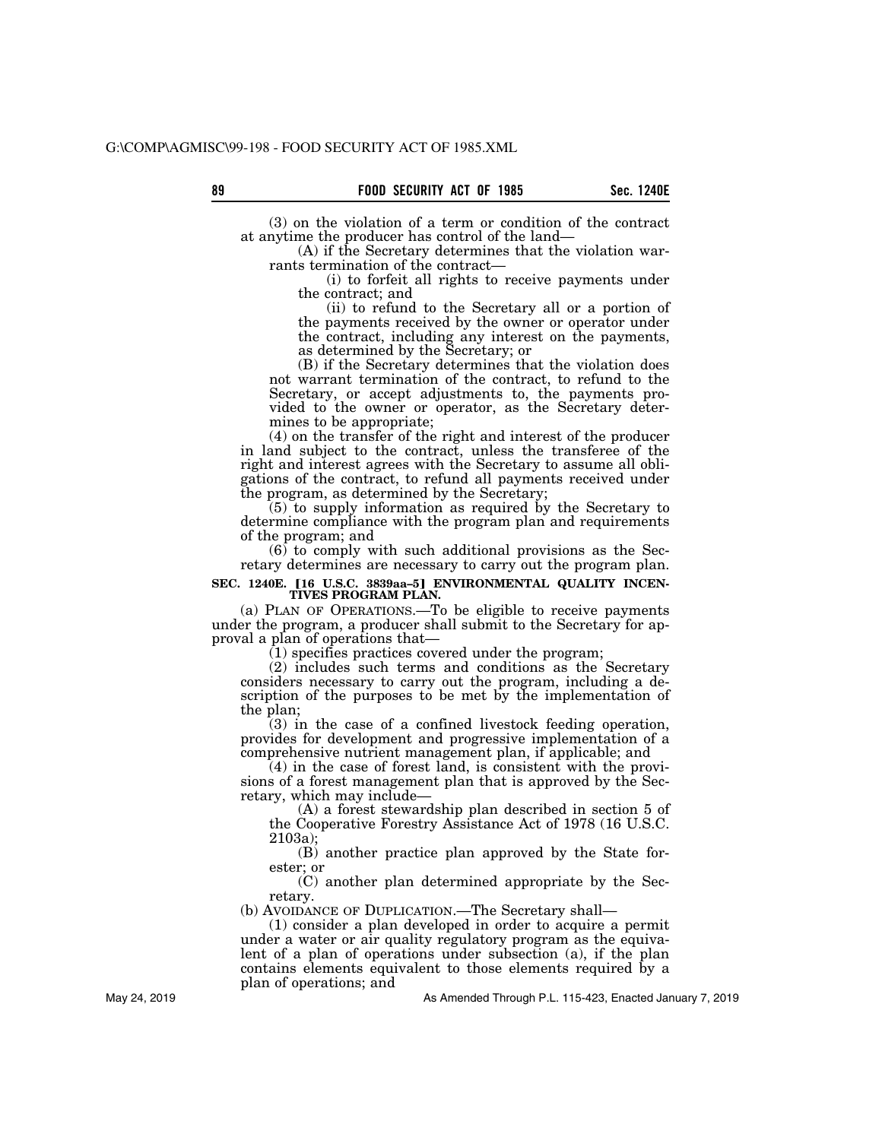(3) on the violation of a term or condition of the contract at anytime the producer has control of the land—

(A) if the Secretary determines that the violation warrants termination of the contract—

(i) to forfeit all rights to receive payments under the contract; and

(ii) to refund to the Secretary all or a portion of the payments received by the owner or operator under the contract, including any interest on the payments, as determined by the Secretary; or

(B) if the Secretary determines that the violation does not warrant termination of the contract, to refund to the Secretary, or accept adjustments to, the payments provided to the owner or operator, as the Secretary determines to be appropriate;

(4) on the transfer of the right and interest of the producer in land subject to the contract, unless the transferee of the right and interest agrees with the Secretary to assume all obligations of the contract, to refund all payments received under the program, as determined by the Secretary;

(5) to supply information as required by the Secretary to determine compliance with the program plan and requirements of the program; and

(6) to comply with such additional provisions as the Secretary determines are necessary to carry out the program plan.

# SEC. 1240E. [16 U.S.C. 3839aa-5] ENVIRONMENTAL QUALITY INCENTIVES PROGRAM PLAN.

(a) PLAN OF OPERATIONS.—To be eligible to receive payments under the program, a producer shall submit to the Secretary for approval a plan of operations that—

(1) specifies practices covered under the program;

(2) includes such terms and conditions as the Secretary considers necessary to carry out the program, including a description of the purposes to be met by the implementation of the plan;

(3) in the case of a confined livestock feeding operation, provides for development and progressive implementation of a comprehensive nutrient management plan, if applicable; and

(4) in the case of forest land, is consistent with the provisions of a forest management plan that is approved by the Secretary, which may include—

(A) a forest stewardship plan described in section 5 of the Cooperative Forestry Assistance Act of 1978 (16 U.S.C. 2103a);

(B) another practice plan approved by the State forester; or

(C) another plan determined appropriate by the Secretary.

(b) AVOIDANCE OF DUPLICATION.—The Secretary shall—

(1) consider a plan developed in order to acquire a permit under a water or air quality regulatory program as the equivalent of a plan of operations under subsection (a), if the plan contains elements equivalent to those elements required by a plan of operations; and

As Amended Through P.L. 115-423, Enacted January 7, 2019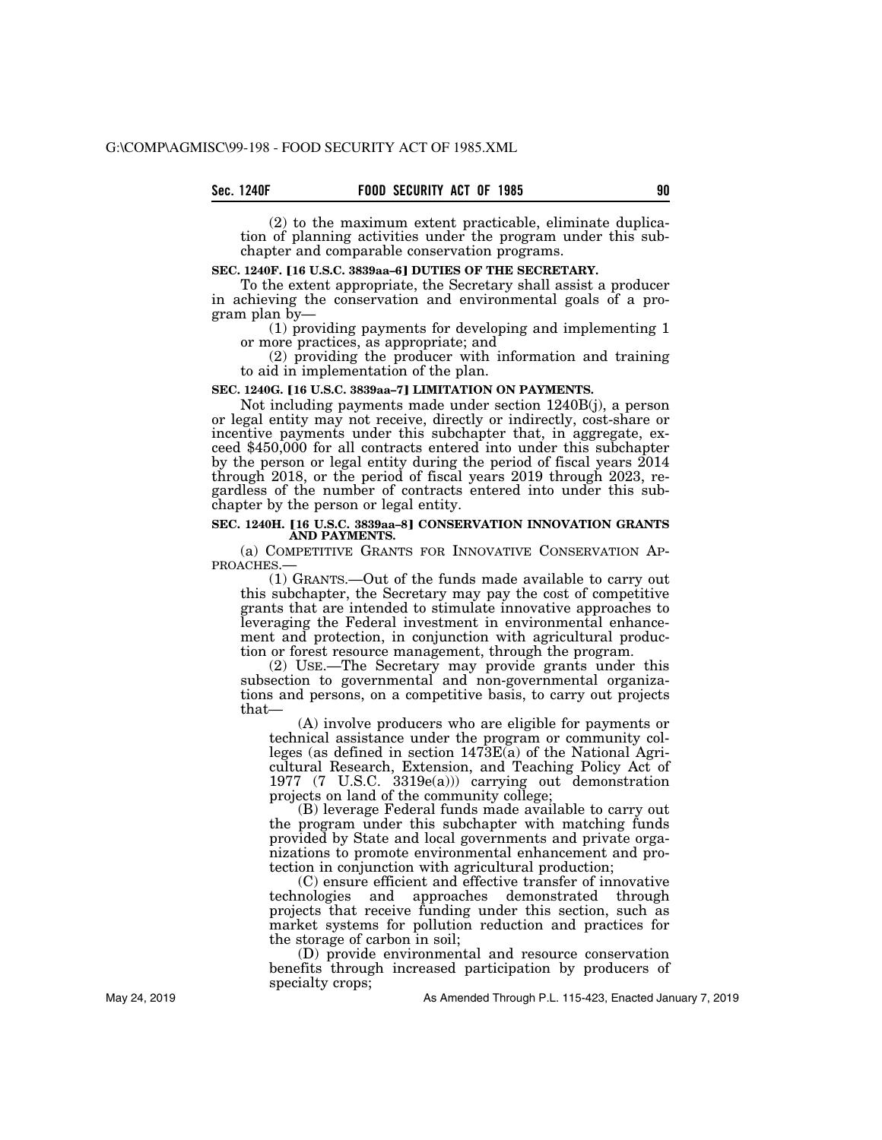(2) to the maximum extent practicable, eliminate duplication of planning activities under the program under this subchapter and comparable conservation programs.

### **SEC. 1240F. [16 U.S.C. 3839aa-6] DUTIES OF THE SECRETARY.**

To the extent appropriate, the Secretary shall assist a producer in achieving the conservation and environmental goals of a program plan by—

(1) providing payments for developing and implementing 1 or more practices, as appropriate; and

(2) providing the producer with information and training to aid in implementation of the plan.

#### SEC. 1240G. [16 U.S.C. 3839aa-7] LIMITATION ON PAYMENTS.

Not including payments made under section 1240B(j), a person or legal entity may not receive, directly or indirectly, cost-share or incentive payments under this subchapter that, in aggregate, exceed \$450,000 for all contracts entered into under this subchapter by the person or legal entity during the period of fiscal years 2014 through 2018, or the period of fiscal years 2019 through 2023, regardless of the number of contracts entered into under this subchapter by the person or legal entity.

#### **SEC. 1240H. [16 U.S.C. 3839aa-8] CONSERVATION INNOVATION GRANTS AND PAYMENTS.**

(a) COMPETITIVE GRANTS FOR INNOVATIVE CONSERVATION AP-PROACHES.—

(1) GRANTS.—Out of the funds made available to carry out this subchapter, the Secretary may pay the cost of competitive grants that are intended to stimulate innovative approaches to leveraging the Federal investment in environmental enhancement and protection, in conjunction with agricultural production or forest resource management, through the program.

(2) USE.—The Secretary may provide grants under this subsection to governmental and non-governmental organizations and persons, on a competitive basis, to carry out projects that—

(A) involve producers who are eligible for payments or technical assistance under the program or community colleges (as defined in section 1473E(a) of the National Agricultural Research, Extension, and Teaching Policy Act of 1977 (7 U.S.C. 3319e(a))) carrying out demonstration projects on land of the community college;

(B) leverage Federal funds made available to carry out the program under this subchapter with matching funds provided by State and local governments and private organizations to promote environmental enhancement and protection in conjunction with agricultural production;

(C) ensure efficient and effective transfer of innovative technologies and approaches demonstrated through projects that receive funding under this section, such as market systems for pollution reduction and practices for the storage of carbon in soil;

(D) provide environmental and resource conservation benefits through increased participation by producers of specialty crops;

As Amended Through P.L. 115-423, Enacted January 7, 2019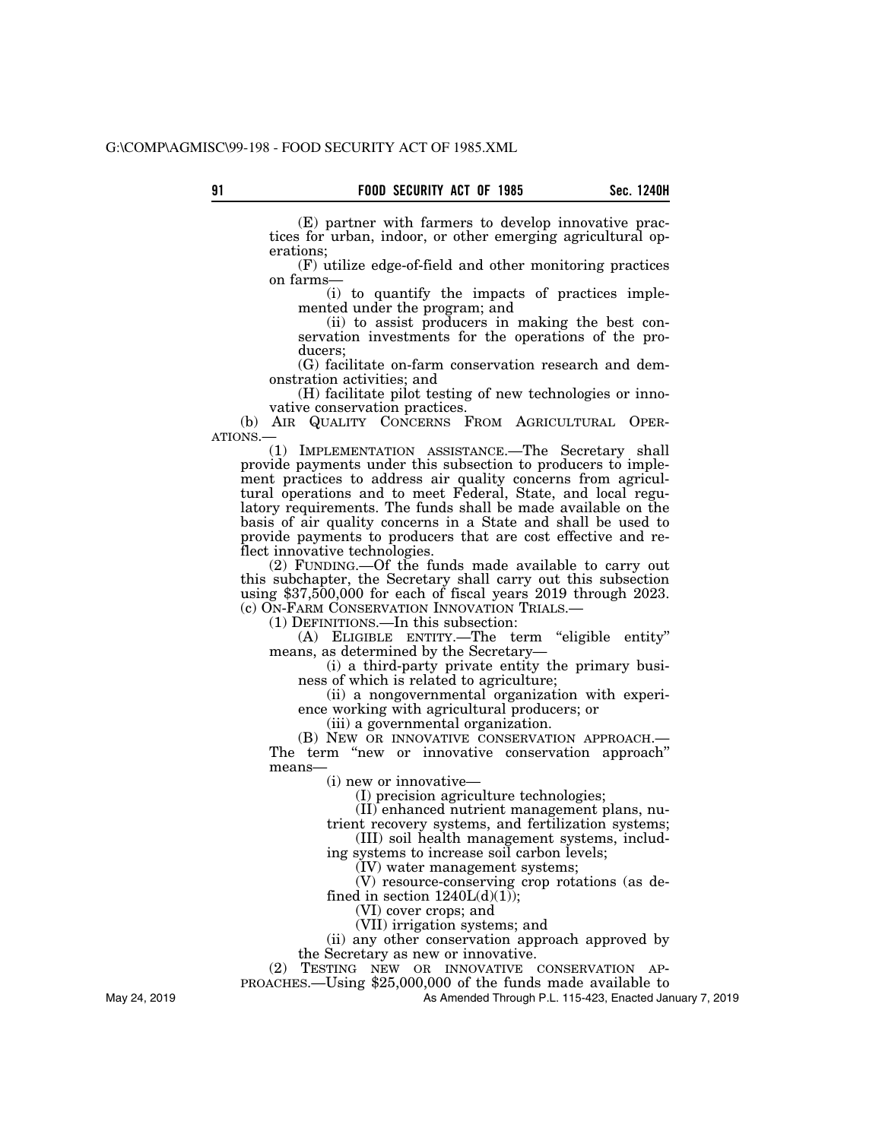(E) partner with farmers to develop innovative practices for urban, indoor, or other emerging agricultural operations;

(F) utilize edge-of-field and other monitoring practices on farms—

(i) to quantify the impacts of practices implemented under the program; and

(ii) to assist producers in making the best conservation investments for the operations of the producers;

(G) facilitate on-farm conservation research and demonstration activities; and

(H) facilitate pilot testing of new technologies or innovative conservation practices.

(b) AIR QUALITY CONCERNS FROM AGRICULTURAL OPER-ATIONS.—

(1) IMPLEMENTATION ASSISTANCE.—The Secretary shall provide payments under this subsection to producers to implement practices to address air quality concerns from agricultural operations and to meet Federal, State, and local regulatory requirements. The funds shall be made available on the basis of air quality concerns in a State and shall be used to provide payments to producers that are cost effective and reflect innovative technologies.

(2) FUNDING.—Of the funds made available to carry out this subchapter, the Secretary shall carry out this subsection using \$37,500,000 for each of fiscal years 2019 through 2023. (c) ON-FARM CONSERVATION INNOVATION TRIALS.— (1) DEFINITIONS.—In this subsection:

(A) ELIGIBLE ENTITY.—The term ''eligible entity'' means, as determined by the Secretary—

(i) a third-party private entity the primary business of which is related to agriculture;

(ii) a nongovernmental organization with experience working with agricultural producers; or

(iii) a governmental organization.

(B) NEW OR INNOVATIVE CONSERVATION APPROACH.— The term "new or innovative conservation approach" means—

(i) new or innovative—

(I) precision agriculture technologies;

(II) enhanced nutrient management plans, nu-

trient recovery systems, and fertilization systems;

(III) soil health management systems, includ-

ing systems to increase soil carbon levels; (IV) water management systems;

(V) resource-conserving crop rotations (as de-

fined in section  $1240L(d)(1)$ ;

(VI) cover crops; and

(VII) irrigation systems; and

(ii) any other conservation approach approved by

the Secretary as new or innovative.

(2) TESTING NEW OR INNOVATIVE CONSERVATION AP-

PROACHES.—Using \$25,000,000 of the funds made available to

As Amended Through P.L. 115-423, Enacted January 7, 2019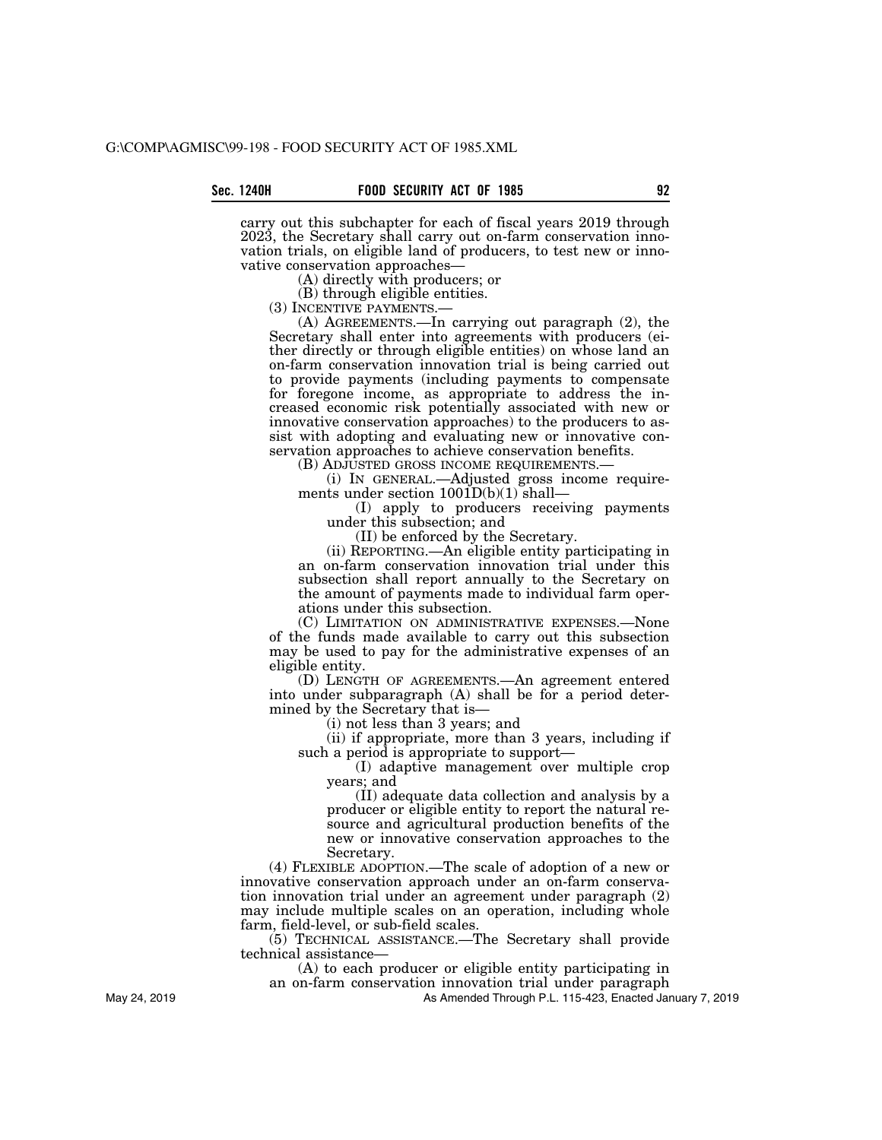carry out this subchapter for each of fiscal years 2019 through 2023, the Secretary shall carry out on-farm conservation innovation trials, on eligible land of producers, to test new or innovative conservation approaches—

(A) directly with producers; or

(B) through eligible entities.<br>(3) INCENTIVE PAYMENTS.—

(A) AGREEMENTS.—In carrying out paragraph  $(2)$ , the Secretary shall enter into agreements with producers (either directly or through eligible entities) on whose land an on-farm conservation innovation trial is being carried out to provide payments (including payments to compensate for foregone income, as appropriate to address the increased economic risk potentially associated with new or innovative conservation approaches) to the producers to assist with adopting and evaluating new or innovative conservation approaches to achieve conservation benefits.

(B) ADJUSTED GROSS INCOME REQUIREMENTS.— (i) IN GENERAL.—Adjusted gross income requirements under section  $1001D(b)(1)$  shall—

(I) apply to producers receiving payments under this subsection; and

(II) be enforced by the Secretary.

(ii) REPORTING.—An eligible entity participating in an on-farm conservation innovation trial under this subsection shall report annually to the Secretary on the amount of payments made to individual farm operations under this subsection.

(C) LIMITATION ON ADMINISTRATIVE EXPENSES.—None of the funds made available to carry out this subsection may be used to pay for the administrative expenses of an eligible entity.

(D) LENGTH OF AGREEMENTS.—An agreement entered into under subparagraph (A) shall be for a period determined by the Secretary that is—

(i) not less than 3 years; and

(ii) if appropriate, more than 3 years, including if such a period is appropriate to support—

(I) adaptive management over multiple crop years; and

(II) adequate data collection and analysis by a producer or eligible entity to report the natural resource and agricultural production benefits of the new or innovative conservation approaches to the Secretary.

(4) FLEXIBLE ADOPTION.—The scale of adoption of a new or innovative conservation approach under an on-farm conservation innovation trial under an agreement under paragraph (2) may include multiple scales on an operation, including whole farm, field-level, or sub-field scales.

(5) TECHNICAL ASSISTANCE.—The Secretary shall provide technical assistance—

(A) to each producer or eligible entity participating in an on-farm conservation innovation trial under paragraph

As Amended Through P.L. 115-423, Enacted January 7, 2019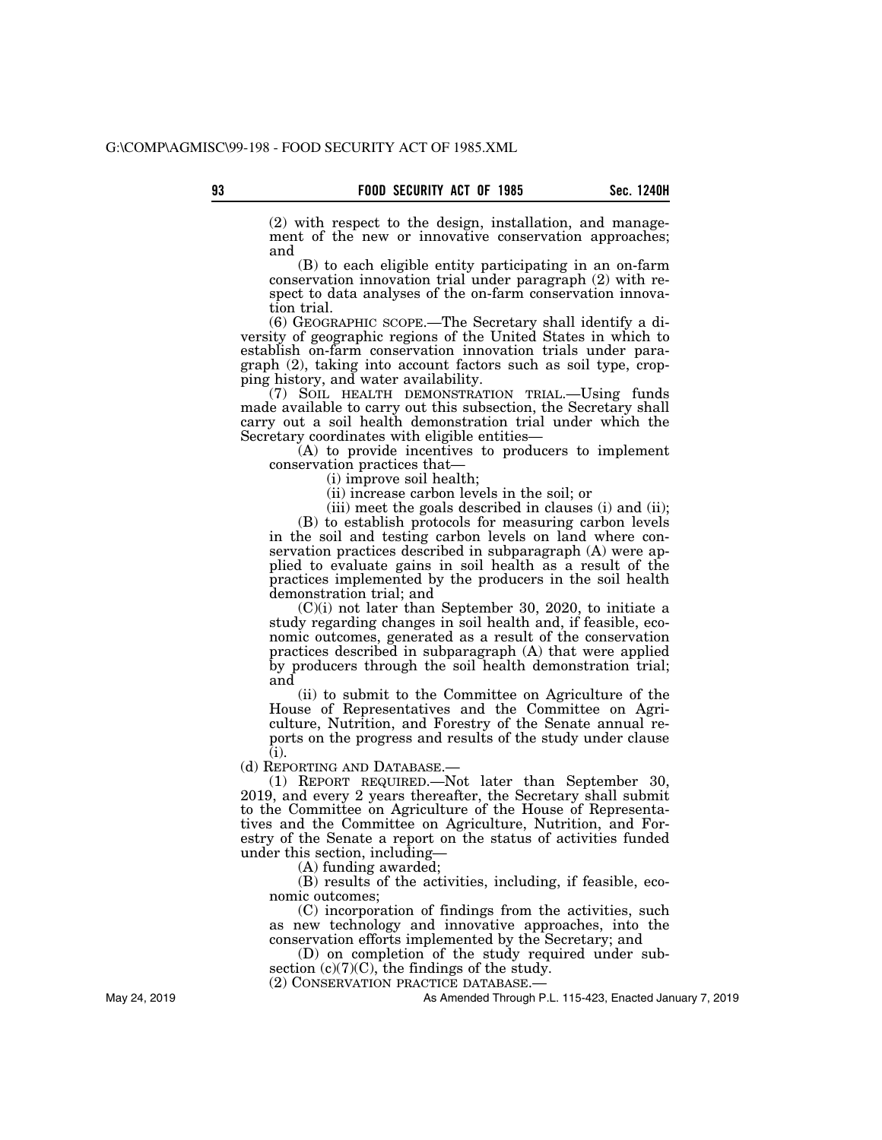(2) with respect to the design, installation, and management of the new or innovative conservation approaches; and

(B) to each eligible entity participating in an on-farm conservation innovation trial under paragraph (2) with respect to data analyses of the on-farm conservation innovation trial.

(6) GEOGRAPHIC SCOPE.—The Secretary shall identify a diversity of geographic regions of the United States in which to establish on-farm conservation innovation trials under paragraph (2), taking into account factors such as soil type, cropping history, and water availability.

(7) SOIL HEALTH DEMONSTRATION TRIAL.—Using funds made available to carry out this subsection, the Secretary shall carry out a soil health demonstration trial under which the Secretary coordinates with eligible entities—

(A) to provide incentives to producers to implement conservation practices that—

(i) improve soil health;

(ii) increase carbon levels in the soil; or

(iii) meet the goals described in clauses (i) and (ii);

(B) to establish protocols for measuring carbon levels in the soil and testing carbon levels on land where conservation practices described in subparagraph (A) were applied to evaluate gains in soil health as a result of the practices implemented by the producers in the soil health demonstration trial; and

(C)(i) not later than September 30, 2020, to initiate a study regarding changes in soil health and, if feasible, economic outcomes, generated as a result of the conservation practices described in subparagraph (A) that were applied by producers through the soil health demonstration trial; and

(ii) to submit to the Committee on Agriculture of the House of Representatives and the Committee on Agriculture, Nutrition, and Forestry of the Senate annual reports on the progress and results of the study under clause (i).

(d) REPORTING AND DATABASE.—

(1) REPORT REQUIRED.—Not later than September 30, 2019, and every 2 years thereafter, the Secretary shall submit to the Committee on Agriculture of the House of Representatives and the Committee on Agriculture, Nutrition, and Forestry of the Senate a report on the status of activities funded under this section, including—

(A) funding awarded;

(B) results of the activities, including, if feasible, economic outcomes;

(C) incorporation of findings from the activities, such as new technology and innovative approaches, into the conservation efforts implemented by the Secretary; and

(D) on completion of the study required under subsection  $(c)(7)(C)$ , the findings of the study.

(2) CONSERVATION PRACTICE DATABASE.—

As Amended Through P.L. 115-423, Enacted January 7, 2019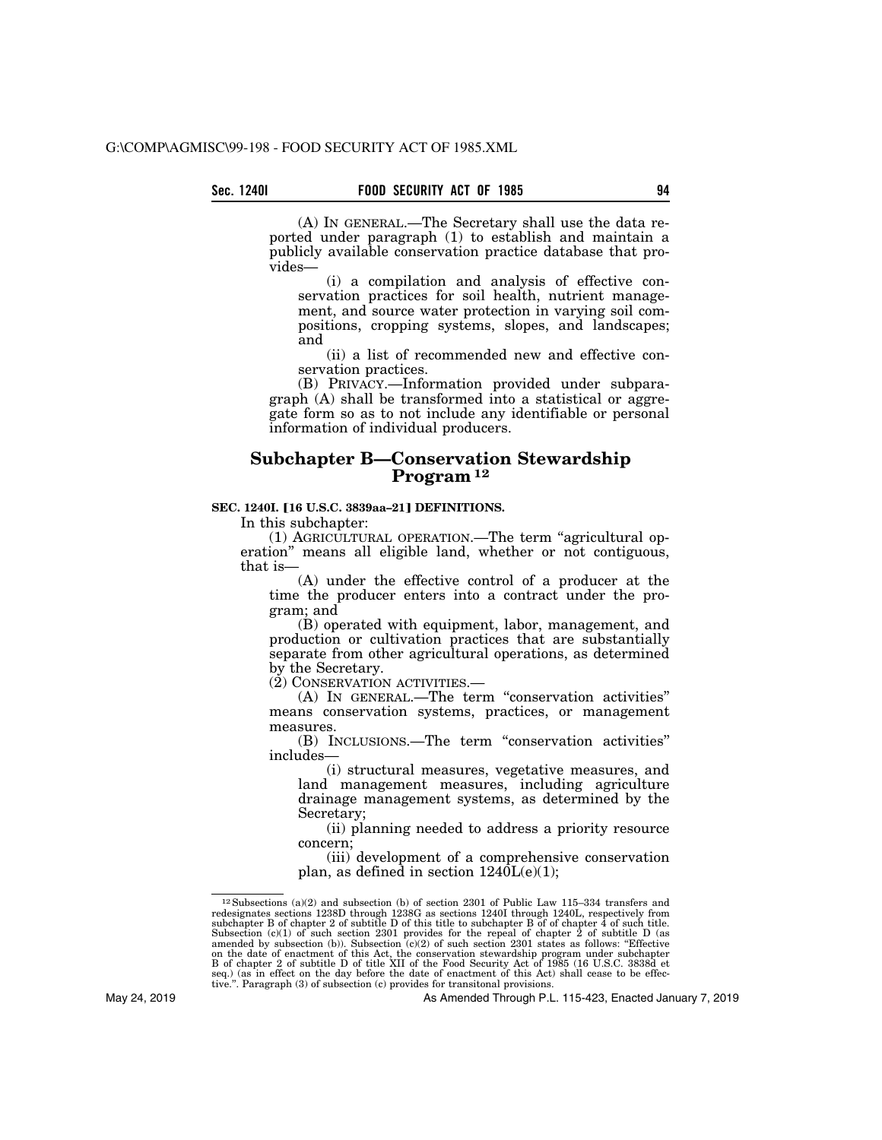(A) IN GENERAL.—The Secretary shall use the data reported under paragraph (1) to establish and maintain a publicly available conservation practice database that provides—

(i) a compilation and analysis of effective conservation practices for soil health, nutrient management, and source water protection in varying soil compositions, cropping systems, slopes, and landscapes; and

(ii) a list of recommended new and effective conservation practices.

(B) PRIVACY.—Information provided under subpara $graph(A)$  shall be transformed into a statistical or aggregate form so as to not include any identifiable or personal information of individual producers.

# **Subchapter B—Conservation Stewardship Program 12**

#### **SEC. 1240I. [16 U.S.C. 3839aa-21] DEFINITIONS.**

In this subchapter:

(1) AGRICULTURAL OPERATION.—The term ''agricultural operation'' means all eligible land, whether or not contiguous, that is-

(A) under the effective control of a producer at the time the producer enters into a contract under the program; and

(B) operated with equipment, labor, management, and production or cultivation practices that are substantially separate from other agricultural operations, as determined by the Secretary.

(2) CONSERVATION ACTIVITIES.—

(A) IN GENERAL.—The term ''conservation activities'' means conservation systems, practices, or management measures.

(B) INCLUSIONS.—The term ''conservation activities'' includes—

(i) structural measures, vegetative measures, and land management measures, including agriculture drainage management systems, as determined by the Secretary;

(ii) planning needed to address a priority resource concern;

(iii) development of a comprehensive conservation plan, as defined in section  $1240L(e)(1)$ ;

<sup>&</sup>lt;sup>12</sup> Subsections (a)(2) and subsection (b) of section 2301 of Public Law 115–334 transfers and redesignates sections 1238D through 1238G as sections 1240I through 1240L, respectively from subchapter B of chapter 2 of subt on the date of enactment of this Act, the conservation stewardship program under subchapter B of chapter 2 of subtitle D of title XII of the Food Security Act of 1985 (16 U.S.C. 3838d et seq.) (as in effect on the day befo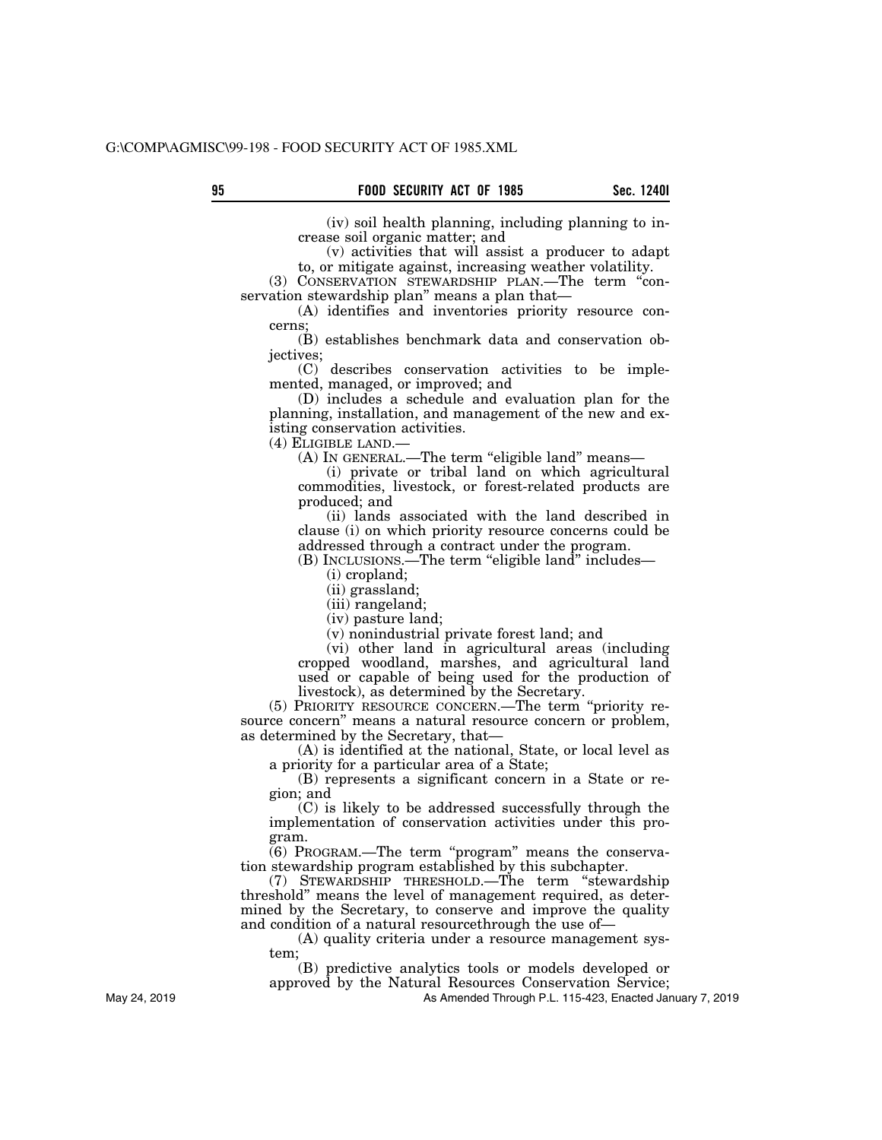(iv) soil health planning, including planning to increase soil organic matter; and

(v) activities that will assist a producer to adapt to, or mitigate against, increasing weather volatility.

(3) CONSERVATION STEWARDSHIP PLAN.—The term ''conservation stewardship plan'' means a plan that—

(A) identifies and inventories priority resource concerns;

(B) establishes benchmark data and conservation objectives;

(C) describes conservation activities to be implemented, managed, or improved; and

(D) includes a schedule and evaluation plan for the planning, installation, and management of the new and existing conservation activities.

(4) ELIGIBLE LAND.—

(A) IN GENERAL.—The term "eligible land" means—

(i) private or tribal land on which agricultural commodities, livestock, or forest-related products are produced; and

(ii) lands associated with the land described in clause (i) on which priority resource concerns could be addressed through a contract under the program.

(B) INCLUSIONS.—The term ''eligible land'' includes—

(i) cropland;

(ii) grassland;

(iii) rangeland;

(iv) pasture land;

(v) nonindustrial private forest land; and

(vi) other land in agricultural areas (including cropped woodland, marshes, and agricultural land used or capable of being used for the production of livestock), as determined by the Secretary.

(5) PRIORITY RESOURCE CONCERN.—The term ''priority resource concern'' means a natural resource concern or problem, as determined by the Secretary, that—

(A) is identified at the national, State, or local level as a priority for a particular area of a State;

(B) represents a significant concern in a State or region; and

(C) is likely to be addressed successfully through the implementation of conservation activities under this program.

 $(6)$  PROGRAM.—The term "program" means the conservation stewardship program established by this subchapter.

(7) STEWARDSHIP THRESHOLD.—The term ''stewardship threshold'' means the level of management required, as determined by the Secretary, to conserve and improve the quality and condition of a natural resourcethrough the use of—

(A) quality criteria under a resource management system;

(B) predictive analytics tools or models developed or

approved by the Natural Resources Conservation Service;

As Amended Through P.L. 115-423, Enacted January 7, 2019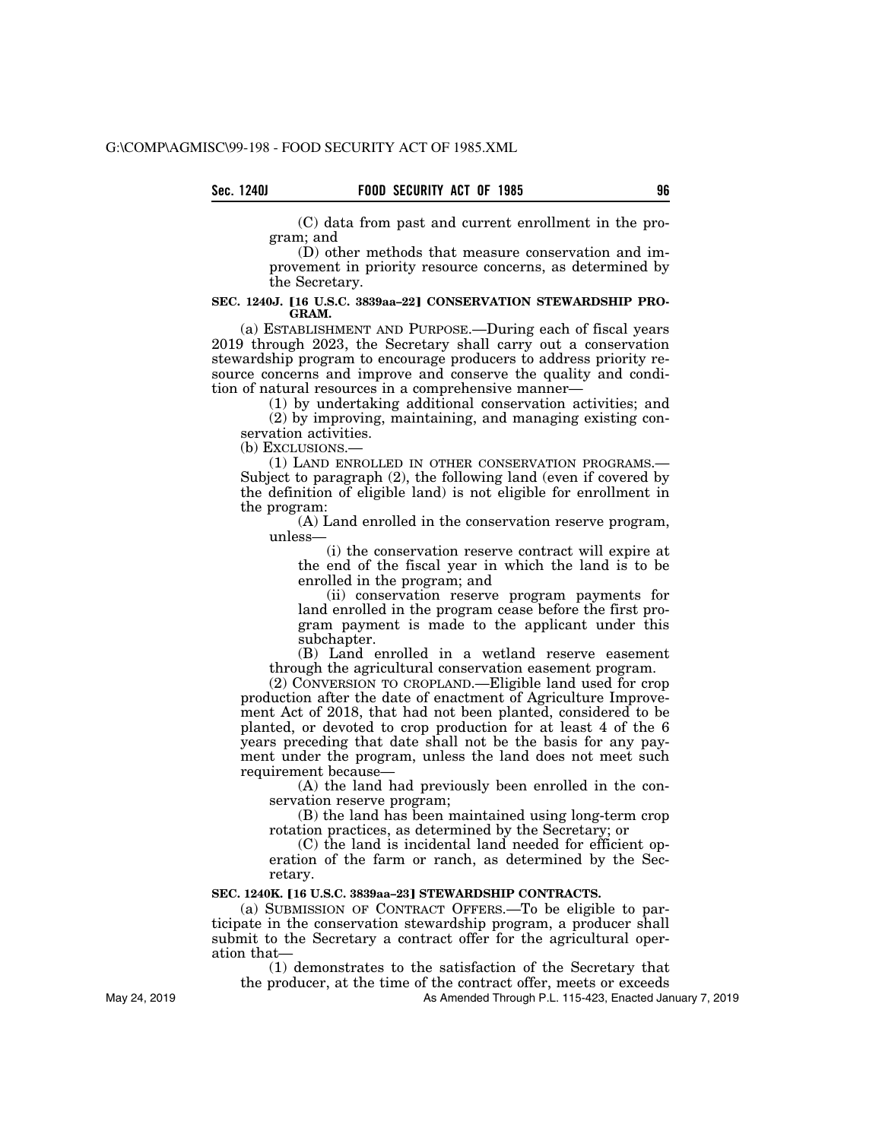(C) data from past and current enrollment in the program; and

(D) other methods that measure conservation and improvement in priority resource concerns, as determined by the Secretary.

#### SEC. 1240J. [16 U.S.C. 3839aa-22] CONSERVATION STEWARDSHIP PRO-**GRAM.**

(a) ESTABLISHMENT AND PURPOSE.—During each of fiscal years 2019 through 2023, the Secretary shall carry out a conservation stewardship program to encourage producers to address priority resource concerns and improve and conserve the quality and condition of natural resources in a comprehensive manner—

(1) by undertaking additional conservation activities; and (2) by improving, maintaining, and managing existing conservation activities.

(b) EXCLUSIONS.—

(1) LAND ENROLLED IN OTHER CONSERVATION PROGRAMS.— Subject to paragraph (2), the following land (even if covered by the definition of eligible land) is not eligible for enrollment in the program:

(A) Land enrolled in the conservation reserve program, unless—

(i) the conservation reserve contract will expire at the end of the fiscal year in which the land is to be enrolled in the program; and

(ii) conservation reserve program payments for land enrolled in the program cease before the first program payment is made to the applicant under this subchapter.

(B) Land enrolled in a wetland reserve easement through the agricultural conservation easement program.

(2) CONVERSION TO CROPLAND.—Eligible land used for crop production after the date of enactment of Agriculture Improvement Act of 2018, that had not been planted, considered to be planted, or devoted to crop production for at least 4 of the 6 years preceding that date shall not be the basis for any payment under the program, unless the land does not meet such requirement because—

(A) the land had previously been enrolled in the conservation reserve program;

(B) the land has been maintained using long-term crop rotation practices, as determined by the Secretary; or

(C) the land is incidental land needed for efficient operation of the farm or ranch, as determined by the Secretary.

#### SEC. 1240K. [16 U.S.C. 3839aa-23] STEWARDSHIP CONTRACTS.

(a) SUBMISSION OF CONTRACT OFFERS.—To be eligible to participate in the conservation stewardship program, a producer shall submit to the Secretary a contract offer for the agricultural operation that—

(1) demonstrates to the satisfaction of the Secretary that the producer, at the time of the contract offer, meets or exceeds

As Amended Through P.L. 115-423, Enacted January 7, 2019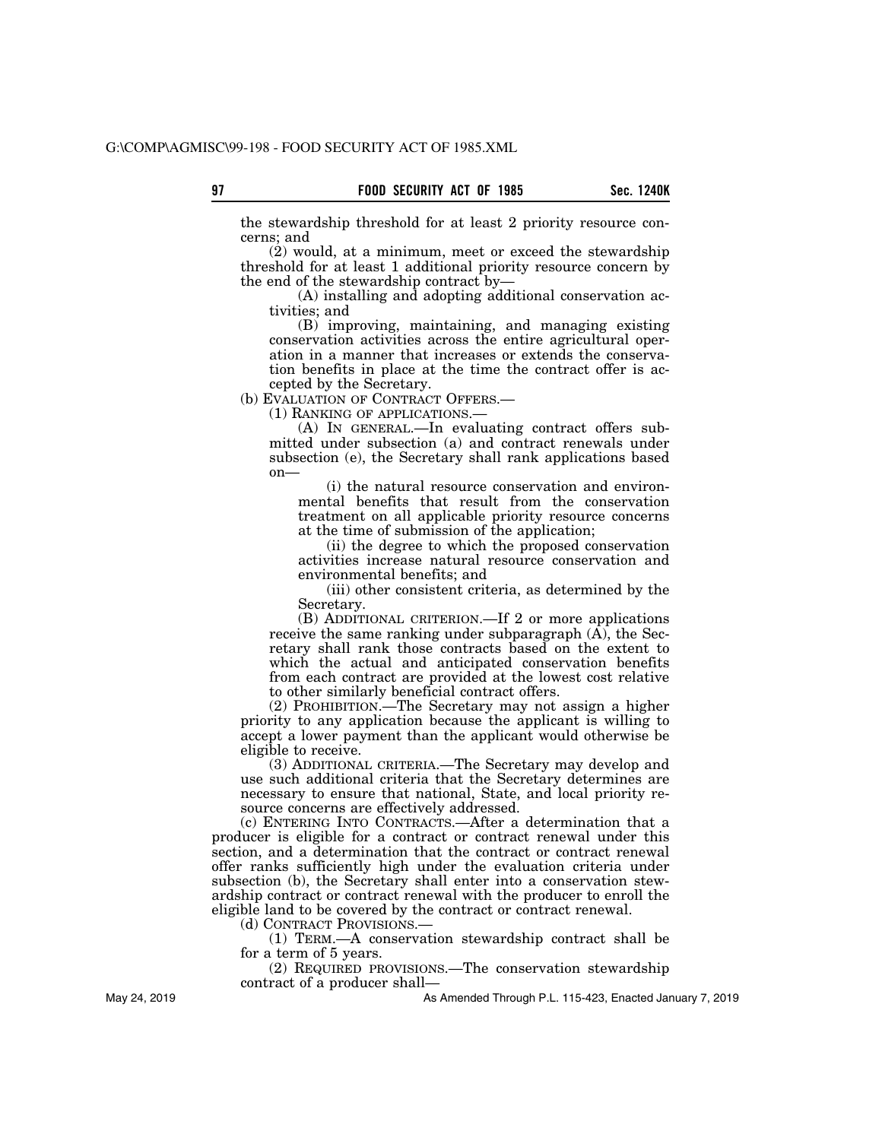the stewardship threshold for at least 2 priority resource concerns; and

(2) would, at a minimum, meet or exceed the stewardship threshold for at least 1 additional priority resource concern by the end of the stewardship contract by—

(A) installing and adopting additional conservation activities; and

(B) improving, maintaining, and managing existing conservation activities across the entire agricultural operation in a manner that increases or extends the conservation benefits in place at the time the contract offer is accepted by the Secretary.

(b) EVALUATION OF CONTRACT OFFERS.—

(1) RANKING OF APPLICATIONS.—

(A) IN GENERAL.—In evaluating contract offers submitted under subsection (a) and contract renewals under subsection (e), the Secretary shall rank applications based on—

(i) the natural resource conservation and environmental benefits that result from the conservation treatment on all applicable priority resource concerns at the time of submission of the application;

(ii) the degree to which the proposed conservation activities increase natural resource conservation and environmental benefits; and

(iii) other consistent criteria, as determined by the Secretary.

(B) ADDITIONAL CRITERION.—If 2 or more applications receive the same ranking under subparagraph (A), the Secretary shall rank those contracts based on the extent to which the actual and anticipated conservation benefits from each contract are provided at the lowest cost relative to other similarly beneficial contract offers.

(2) PROHIBITION.—The Secretary may not assign a higher priority to any application because the applicant is willing to accept a lower payment than the applicant would otherwise be eligible to receive.

(3) ADDITIONAL CRITERIA.—The Secretary may develop and use such additional criteria that the Secretary determines are necessary to ensure that national, State, and local priority resource concerns are effectively addressed.

(c) ENTERING INTO CONTRACTS.—After a determination that a producer is eligible for a contract or contract renewal under this section, and a determination that the contract or contract renewal offer ranks sufficiently high under the evaluation criteria under subsection (b), the Secretary shall enter into a conservation stewardship contract or contract renewal with the producer to enroll the eligible land to be covered by the contract or contract renewal.

(d) CONTRACT PROVISIONS.—

(1) TERM.—A conservation stewardship contract shall be for a term of 5 years.

(2) REQUIRED PROVISIONS.—The conservation stewardship contract of a producer shall—

As Amended Through P.L. 115-423, Enacted January 7, 2019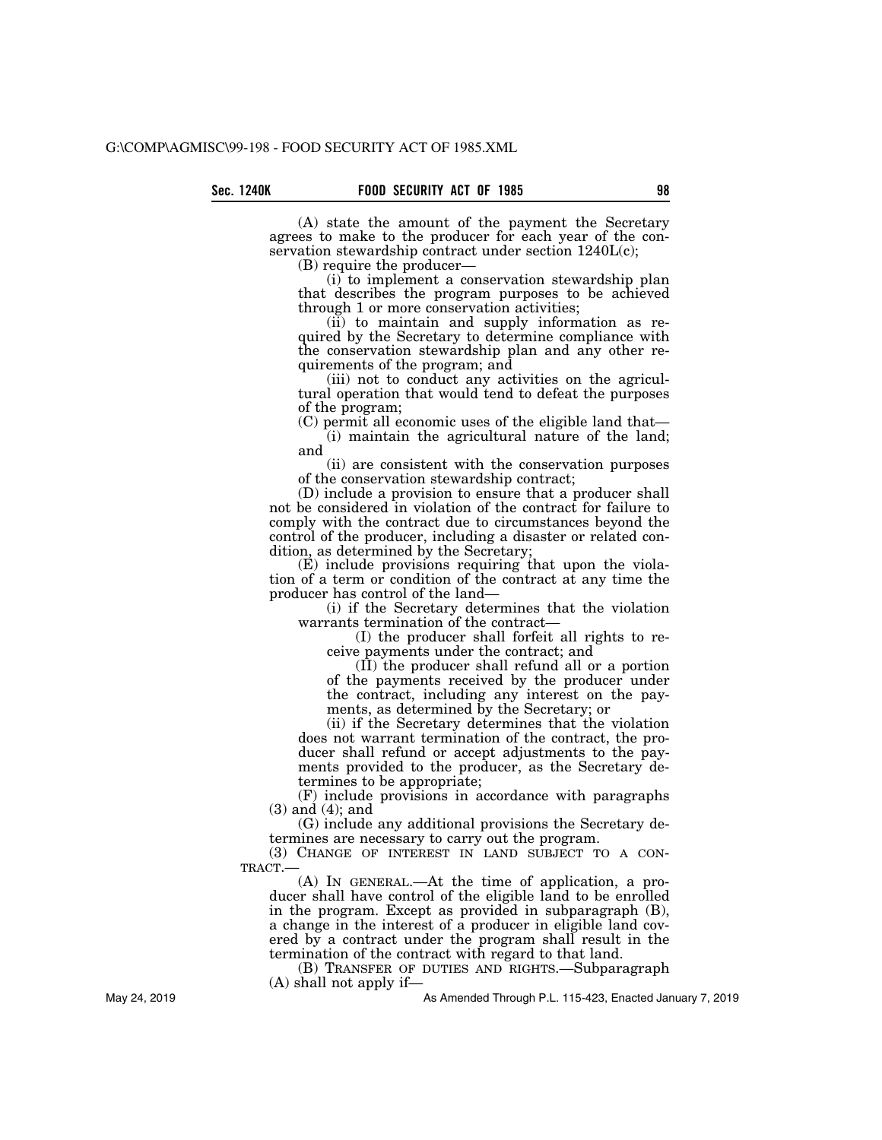(A) state the amount of the payment the Secretary agrees to make to the producer for each year of the conservation stewardship contract under section 1240L(c);

(B) require the producer—

(i) to implement a conservation stewardship plan that describes the program purposes to be achieved through 1 or more conservation activities;

(ii) to maintain and supply information as required by the Secretary to determine compliance with the conservation stewardship plan and any other requirements of the program; and

(iii) not to conduct any activities on the agricultural operation that would tend to defeat the purposes of the program;

(C) permit all economic uses of the eligible land that—

(i) maintain the agricultural nature of the land; and

(ii) are consistent with the conservation purposes of the conservation stewardship contract;

(D) include a provision to ensure that a producer shall not be considered in violation of the contract for failure to comply with the contract due to circumstances beyond the control of the producer, including a disaster or related condition, as determined by the Secretary;

(E) include provisions requiring that upon the violation of a term or condition of the contract at any time the producer has control of the land—

(i) if the Secretary determines that the violation warrants termination of the contract—

(I) the producer shall forfeit all rights to receive payments under the contract; and

 $(\tilde{II})$  the producer shall refund all or a portion of the payments received by the producer under the contract, including any interest on the payments, as determined by the Secretary; or

(ii) if the Secretary determines that the violation does not warrant termination of the contract, the producer shall refund or accept adjustments to the payments provided to the producer, as the Secretary determines to be appropriate;

(F) include provisions in accordance with paragraphs (3) and (4); and

(G) include any additional provisions the Secretary determines are necessary to carry out the program.

(3) CHANGE OF INTEREST IN LAND SUBJECT TO A CON-TRACT.—

(A) IN GENERAL.—At the time of application, a producer shall have control of the eligible land to be enrolled in the program. Except as provided in subparagraph (B), a change in the interest of a producer in eligible land covered by a contract under the program shall result in the termination of the contract with regard to that land.

(B) TRANSFER OF DUTIES AND RIGHTS.—Subparagraph (A) shall not apply if—

As Amended Through P.L. 115-423, Enacted January 7, 2019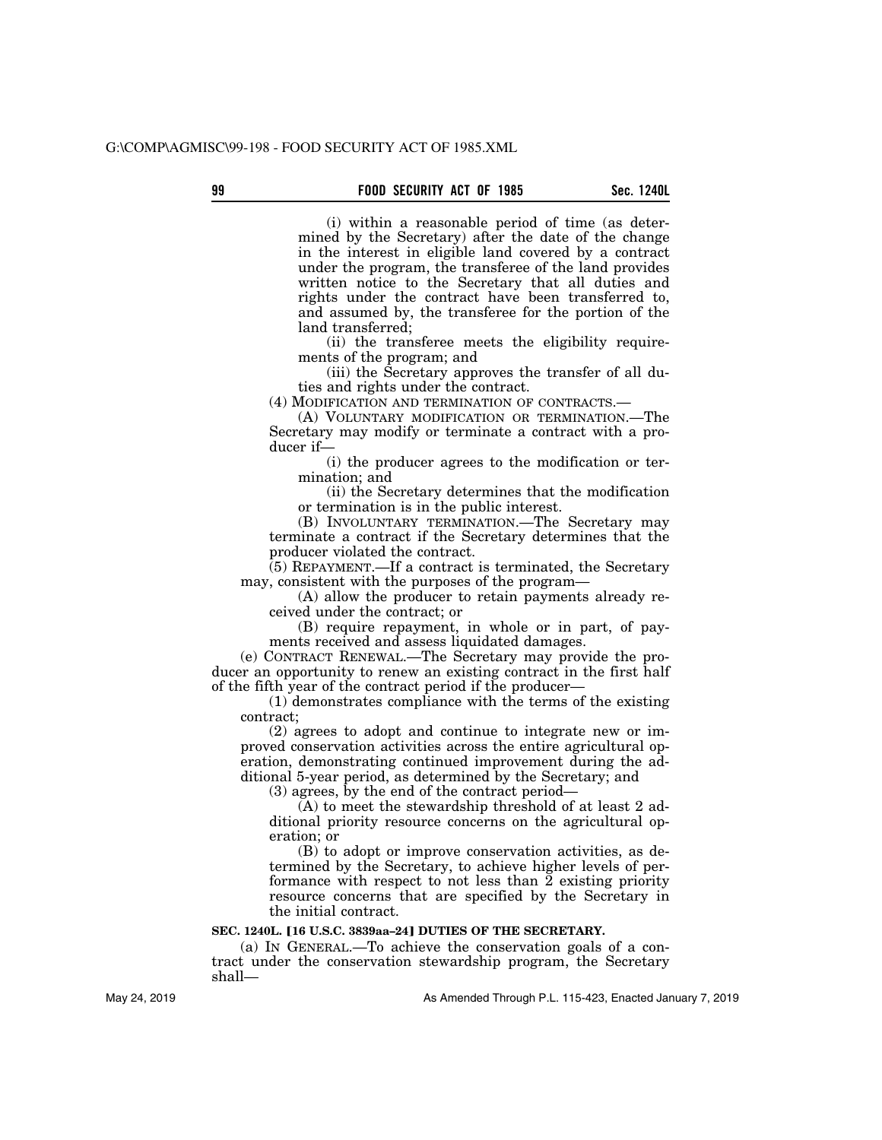### **99 Sec. 1240L FOOD SECURITY ACT OF 1985**

(i) within a reasonable period of time (as determined by the Secretary) after the date of the change in the interest in eligible land covered by a contract under the program, the transferee of the land provides written notice to the Secretary that all duties and rights under the contract have been transferred to, and assumed by, the transferee for the portion of the land transferred;

(ii) the transferee meets the eligibility requirements of the program; and

(iii) the Secretary approves the transfer of all duties and rights under the contract.

(4) MODIFICATION AND TERMINATION OF CONTRACTS.—

(A) VOLUNTARY MODIFICATION OR TERMINATION.—The Secretary may modify or terminate a contract with a producer if—

(i) the producer agrees to the modification or termination; and

(ii) the Secretary determines that the modification or termination is in the public interest.

(B) INVOLUNTARY TERMINATION.—The Secretary may terminate a contract if the Secretary determines that the producer violated the contract.

(5) REPAYMENT.—If a contract is terminated, the Secretary may, consistent with the purposes of the program—

(A) allow the producer to retain payments already received under the contract; or

(B) require repayment, in whole or in part, of payments received and assess liquidated damages.

(e) CONTRACT RENEWAL.—The Secretary may provide the producer an opportunity to renew an existing contract in the first half of the fifth year of the contract period if the producer—

(1) demonstrates compliance with the terms of the existing contract;

(2) agrees to adopt and continue to integrate new or improved conservation activities across the entire agricultural operation, demonstrating continued improvement during the additional 5-year period, as determined by the Secretary; and

(3) agrees, by the end of the contract period—

(A) to meet the stewardship threshold of at least 2 additional priority resource concerns on the agricultural operation; or

(B) to adopt or improve conservation activities, as determined by the Secretary, to achieve higher levels of performance with respect to not less than 2 existing priority resource concerns that are specified by the Secretary in the initial contract.

#### **SEC. 1240L. [16 U.S.C. 3839aa-24] DUTIES OF THE SECRETARY.**

(a) IN GENERAL.—To achieve the conservation goals of a contract under the conservation stewardship program, the Secretary shall—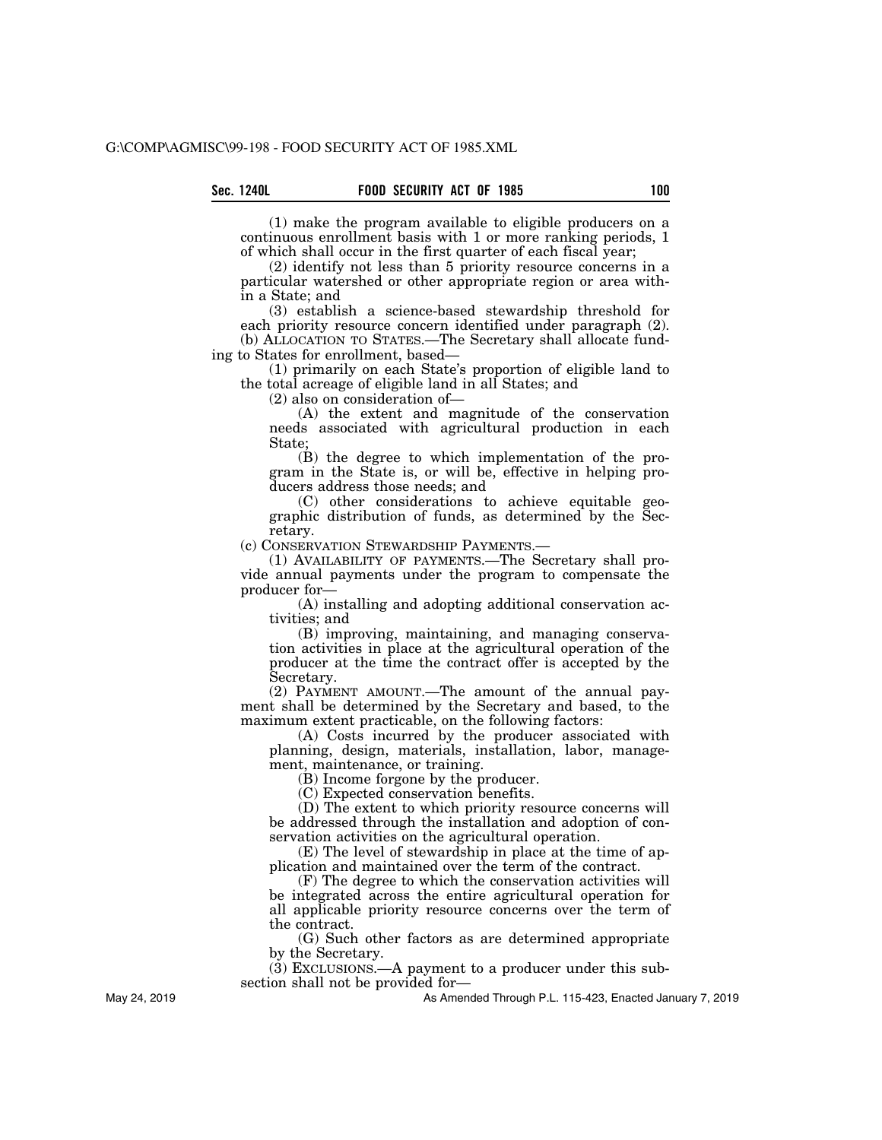(1) make the program available to eligible producers on a continuous enrollment basis with 1 or more ranking periods, 1 of which shall occur in the first quarter of each fiscal year;

(2) identify not less than 5 priority resource concerns in a particular watershed or other appropriate region or area within a State; and

(3) establish a science-based stewardship threshold for each priority resource concern identified under paragraph (2). (b) ALLOCATION TO STATES.—The Secretary shall allocate funding to States for enrollment, based—

(1) primarily on each State's proportion of eligible land to the total acreage of eligible land in all States; and

(2) also on consideration of—

(A) the extent and magnitude of the conservation needs associated with agricultural production in each State;

(B) the degree to which implementation of the program in the State is, or will be, effective in helping producers address those needs; and

(C) other considerations to achieve equitable geographic distribution of funds, as determined by the Secretary.

(c) CONSERVATION STEWARDSHIP PAYMENTS.—

(1) AVAILABILITY OF PAYMENTS.—The Secretary shall provide annual payments under the program to compensate the producer for—

(A) installing and adopting additional conservation activities; and

(B) improving, maintaining, and managing conservation activities in place at the agricultural operation of the producer at the time the contract offer is accepted by the Secretary.

(2) PAYMENT AMOUNT.—The amount of the annual payment shall be determined by the Secretary and based, to the maximum extent practicable, on the following factors:

(A) Costs incurred by the producer associated with planning, design, materials, installation, labor, management, maintenance, or training.

(B) Income forgone by the producer.

(C) Expected conservation benefits.

(D) The extent to which priority resource concerns will be addressed through the installation and adoption of conservation activities on the agricultural operation.

(E) The level of stewardship in place at the time of application and maintained over the term of the contract.

(F) The degree to which the conservation activities will be integrated across the entire agricultural operation for all applicable priority resource concerns over the term of the contract.

(G) Such other factors as are determined appropriate by the Secretary.

(3) EXCLUSIONS.—A payment to a producer under this subsection shall not be provided for—

As Amended Through P.L. 115-423, Enacted January 7, 2019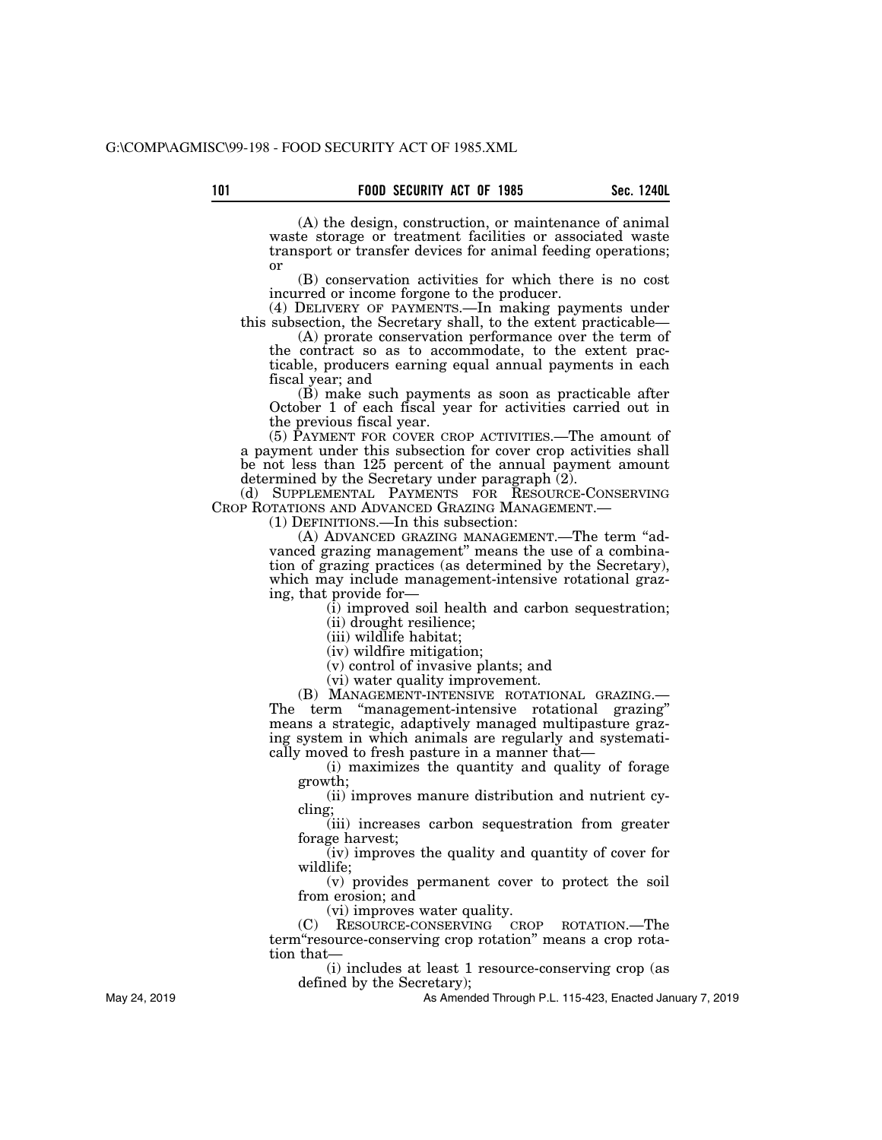(A) the design, construction, or maintenance of animal waste storage or treatment facilities or associated waste transport or transfer devices for animal feeding operations; or

(B) conservation activities for which there is no cost incurred or income forgone to the producer.

(4) DELIVERY OF PAYMENTS.—In making payments under this subsection, the Secretary shall, to the extent practicable—

(A) prorate conservation performance over the term of the contract so as to accommodate, to the extent practicable, producers earning equal annual payments in each fiscal year; and

(B) make such payments as soon as practicable after October 1 of each fiscal year for activities carried out in the previous fiscal year.

(5) PAYMENT FOR COVER CROP ACTIVITIES.—The amount of a payment under this subsection for cover crop activities shall be not less than 125 percent of the annual payment amount determined by the Secretary under paragraph (2).

(d) SUPPLEMENTAL PAYMENTS FOR RESOURCE-CONSERVING CROP ROTATIONS AND ADVANCED GRAZING MANAGEMENT.— (1) DEFINITIONS.—In this subsection:

(A) ADVANCED GRAZING MANAGEMENT.—The term ''advanced grazing management'' means the use of a combination of grazing practices (as determined by the Secretary), which may include management-intensive rotational grazing, that provide for—

(i) improved soil health and carbon sequestration;

(ii) drought resilience;

(iii) wildlife habitat;

(iv) wildfire mitigation;

(v) control of invasive plants; and

(vi) water quality improvement.

(B) MANAGEMENT-INTENSIVE ROTATIONAL GRAZING.— The term "management-intensive rotational grazing" means a strategic, adaptively managed multipasture grazing system in which animals are regularly and systematically moved to fresh pasture in a manner that—

(i) maximizes the quantity and quality of forage growth;

(ii) improves manure distribution and nutrient cycling;

(iii) increases carbon sequestration from greater forage harvest;

(iv) improves the quality and quantity of cover for wildlife;

(v) provides permanent cover to protect the soil from erosion; and

(vi) improves water quality.

(C) RESOURCE-CONSERVING CROP ROTATION.—The term''resource-conserving crop rotation'' means a crop rotation that—

(i) includes at least 1 resource-conserving crop (as defined by the Secretary);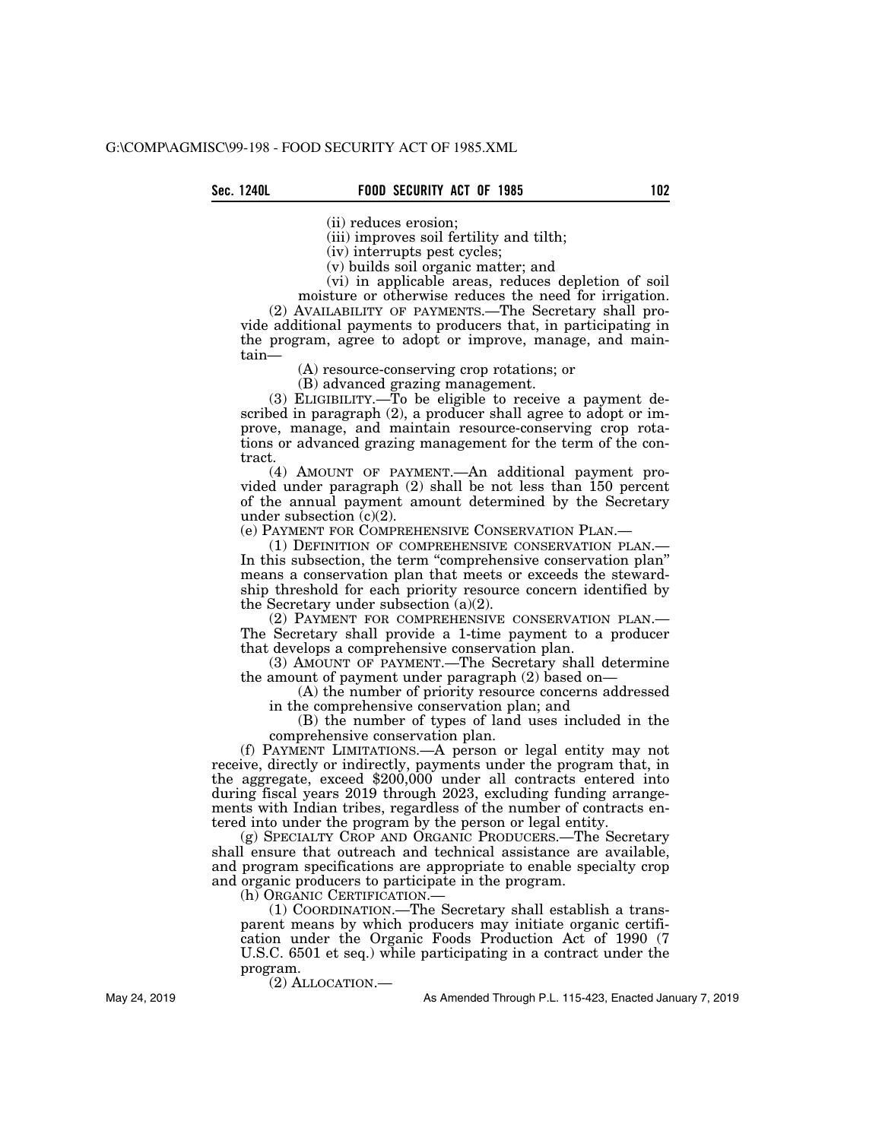(ii) reduces erosion;

(iii) improves soil fertility and tilth;

(iv) interrupts pest cycles;

(v) builds soil organic matter; and

(vi) in applicable areas, reduces depletion of soil moisture or otherwise reduces the need for irrigation.

(2) AVAILABILITY OF PAYMENTS.—The Secretary shall provide additional payments to producers that, in participating in the program, agree to adopt or improve, manage, and maintain—

(A) resource-conserving crop rotations; or

(B) advanced grazing management.

(3) ELIGIBILITY.—To be eligible to receive a payment described in paragraph (2), a producer shall agree to adopt or improve, manage, and maintain resource-conserving crop rotations or advanced grazing management for the term of the contract.

(4) AMOUNT OF PAYMENT.—An additional payment provided under paragraph (2) shall be not less than 150 percent of the annual payment amount determined by the Secretary under subsection  $(c)(2)$ .

(e) PAYMENT FOR COMPREHENSIVE CONSERVATION PLAN.—

(1) DEFINITION OF COMPREHENSIVE CONSERVATION PLAN.— In this subsection, the term ''comprehensive conservation plan'' means a conservation plan that meets or exceeds the stewardship threshold for each priority resource concern identified by the Secretary under subsection (a)(2).

(2) PAYMENT FOR COMPREHENSIVE CONSERVATION PLAN.— The Secretary shall provide a 1-time payment to a producer that develops a comprehensive conservation plan.

(3) AMOUNT OF PAYMENT.—The Secretary shall determine the amount of payment under paragraph (2) based on—

(A) the number of priority resource concerns addressed in the comprehensive conservation plan; and

(B) the number of types of land uses included in the comprehensive conservation plan.

(f) PAYMENT LIMITATIONS.—A person or legal entity may not receive, directly or indirectly, payments under the program that, in the aggregate, exceed \$200,000 under all contracts entered into during fiscal years 2019 through 2023, excluding funding arrangements with Indian tribes, regardless of the number of contracts entered into under the program by the person or legal entity.

(g) SPECIALTY CROP AND ORGANIC PRODUCERS.—The Secretary shall ensure that outreach and technical assistance are available, and program specifications are appropriate to enable specialty crop and organic producers to participate in the program.

(h) ORGANIC CERTIFICATION.—

(1) COORDINATION.—The Secretary shall establish a transparent means by which producers may initiate organic certification under the Organic Foods Production Act of 1990 (7 U.S.C. 6501 et seq.) while participating in a contract under the program.

(2) ALLOCATION.—

As Amended Through P.L. 115-423, Enacted January 7, 2019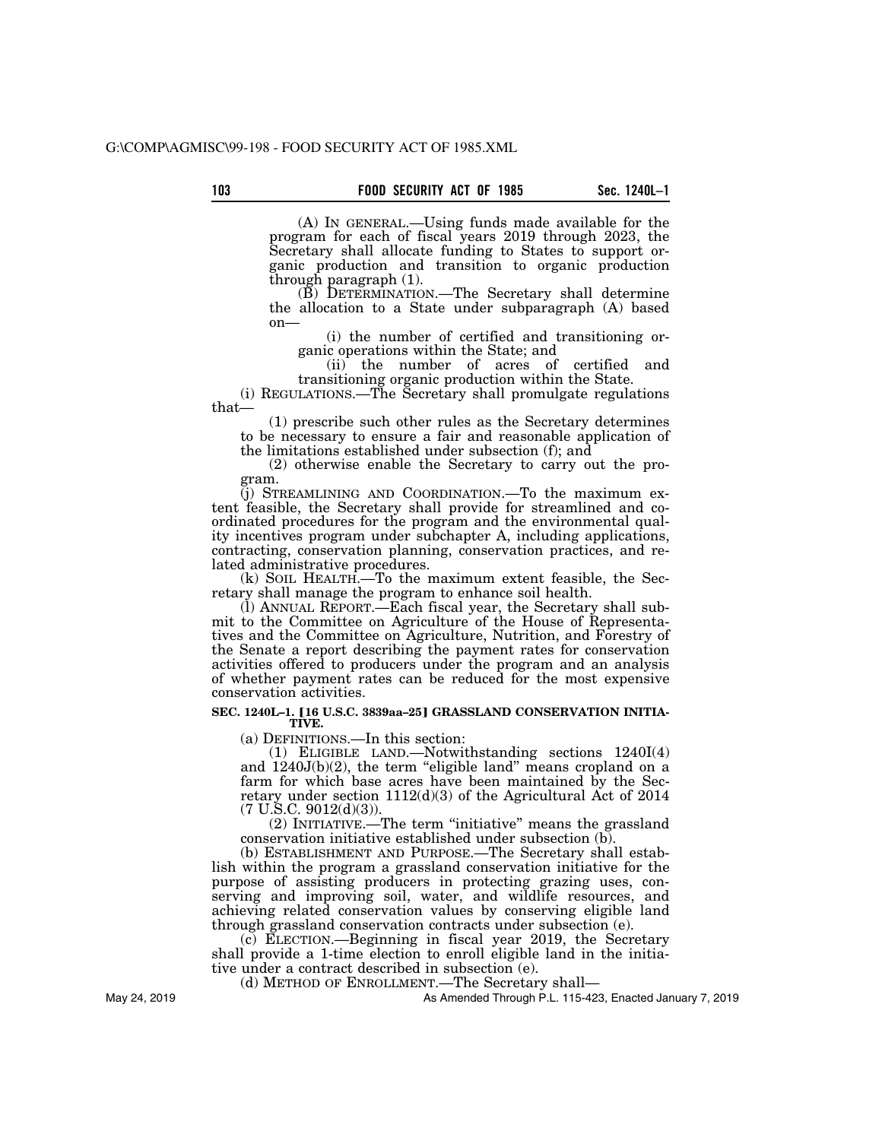(A) IN GENERAL.—Using funds made available for the program for each of fiscal years 2019 through 2023, the Secretary shall allocate funding to States to support organic production and transition to organic production through paragraph (1).

(B) DETERMINATION.—The Secretary shall determine the allocation to a State under subparagraph (A) based on—

(i) the number of certified and transitioning organic operations within the State; and

(ii) the number of acres of certified and transitioning organic production within the State.

(i) REGULATIONS.—The Secretary shall promulgate regulations that—

(1) prescribe such other rules as the Secretary determines to be necessary to ensure a fair and reasonable application of the limitations established under subsection (f); and

(2) otherwise enable the Secretary to carry out the program.

(j) STREAMLINING AND COORDINATION.—To the maximum extent feasible, the Secretary shall provide for streamlined and coordinated procedures for the program and the environmental quality incentives program under subchapter A, including applications, contracting, conservation planning, conservation practices, and related administrative procedures.

(k) SOIL HEALTH.—To the maximum extent feasible, the Secretary shall manage the program to enhance soil health.

(l) ANNUAL REPORT.—Each fiscal year, the Secretary shall submit to the Committee on Agriculture of the House of Representatives and the Committee on Agriculture, Nutrition, and Forestry of the Senate a report describing the payment rates for conservation activities offered to producers under the program and an analysis of whether payment rates can be reduced for the most expensive conservation activities.

#### SEC. 1240L-1. [16 U.S.C. 3839aa-25] GRASSLAND CONSERVATION INITIA-**TIVE.**

(a) DEFINITIONS.—In this section:

(1) ELIGIBLE LAND.—Notwithstanding sections 1240I(4) and 1240J(b)(2), the term "eligible land" means cropland on a farm for which base acres have been maintained by the Secretary under section  $1112(d)(3)$  of the Agricultural Act of 2014  $(7 \text{ U.S.C. } 9012(d)(3)).$ 

(2) INITIATIVE.—The term ''initiative'' means the grassland conservation initiative established under subsection (b).

(b) ESTABLISHMENT AND PURPOSE.—The Secretary shall establish within the program a grassland conservation initiative for the purpose of assisting producers in protecting grazing uses, conserving and improving soil, water, and wildlife resources, and achieving related conservation values by conserving eligible land through grassland conservation contracts under subsection (e).

(c) ELECTION.—Beginning in fiscal year 2019, the Secretary shall provide a 1-time election to enroll eligible land in the initiative under a contract described in subsection (e).

(d) METHOD OF ENROLLMENT.—The Secretary shall—

As Amended Through P.L. 115-423, Enacted January 7, 2019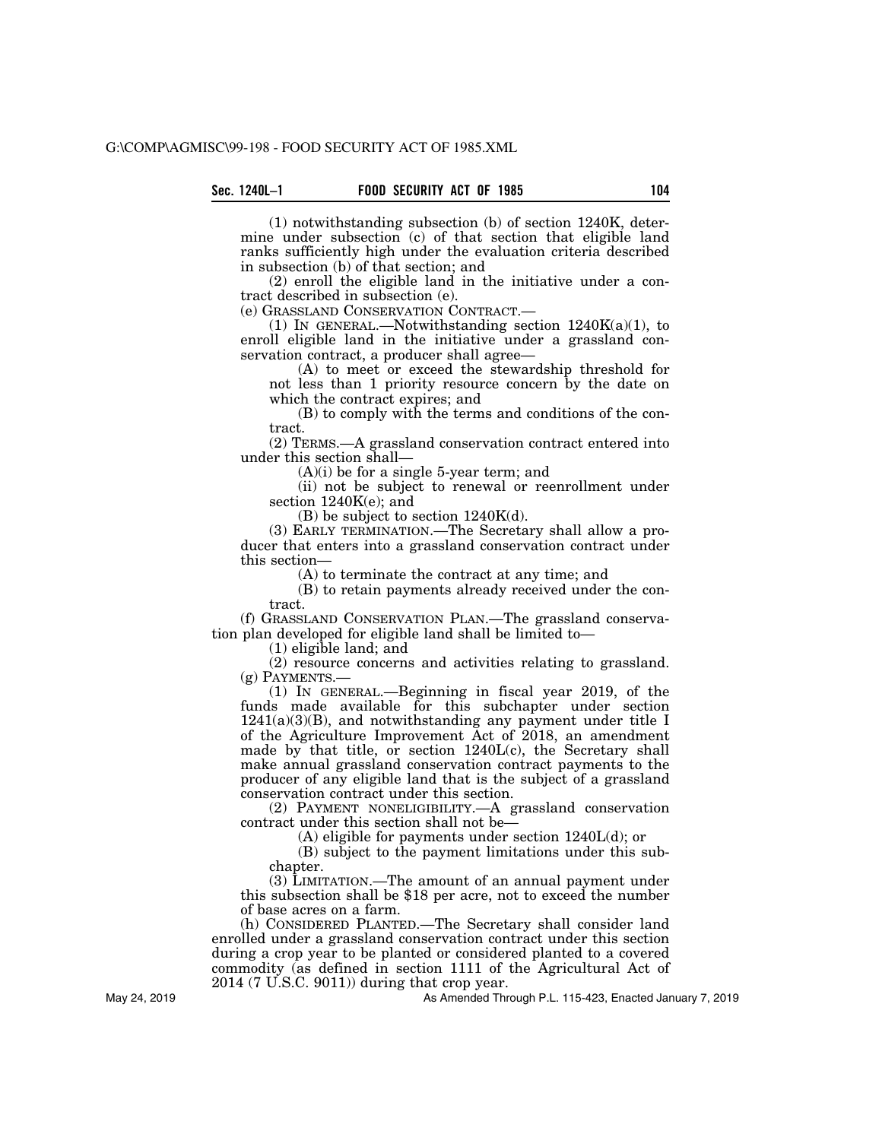(1) notwithstanding subsection (b) of section 1240K, determine under subsection (c) of that section that eligible land ranks sufficiently high under the evaluation criteria described in subsection (b) of that section; and

(2) enroll the eligible land in the initiative under a contract described in subsection (e).

(e) GRASSLAND CONSERVATION CONTRACT.—

(1) IN GENERAL.—Notwithstanding section  $1240K(a)(1)$ , to enroll eligible land in the initiative under a grassland conservation contract, a producer shall agree—

(A) to meet or exceed the stewardship threshold for not less than 1 priority resource concern by the date on which the contract expires; and

(B) to comply with the terms and conditions of the contract.

(2) TERMS.—A grassland conservation contract entered into under this section shall—

(A)(i) be for a single 5-year term; and

(ii) not be subject to renewal or reenrollment under section 1240K(e); and

(B) be subject to section 1240K(d).

(3) EARLY TERMINATION.—The Secretary shall allow a producer that enters into a grassland conservation contract under this section—

(A) to terminate the contract at any time; and

(B) to retain payments already received under the contract.

(f) GRASSLAND CONSERVATION PLAN.—The grassland conservation plan developed for eligible land shall be limited to—

(1) eligible land; and

(2) resource concerns and activities relating to grassland.  $(g)$  PAYMENTS.—

(1) IN GENERAL.—Beginning in fiscal year 2019, of the funds made available for this subchapter under section 1241(a)(3)(B), and notwithstanding any payment under title I of the Agriculture Improvement Act of 2018, an amendment made by that title, or section 1240L(c), the Secretary shall make annual grassland conservation contract payments to the producer of any eligible land that is the subject of a grassland conservation contract under this section.

(2) PAYMENT NONELIGIBILITY.—A grassland conservation contract under this section shall not be—

(A) eligible for payments under section 1240L(d); or

(B) subject to the payment limitations under this subchapter.

(3) LIMITATION.—The amount of an annual payment under this subsection shall be \$18 per acre, not to exceed the number of base acres on a farm.

(h) CONSIDERED PLANTED.—The Secretary shall consider land enrolled under a grassland conservation contract under this section during a crop year to be planted or considered planted to a covered commodity (as defined in section 1111 of the Agricultural Act of 2014 (7 U.S.C. 9011)) during that crop year.

As Amended Through P.L. 115-423, Enacted January 7, 2019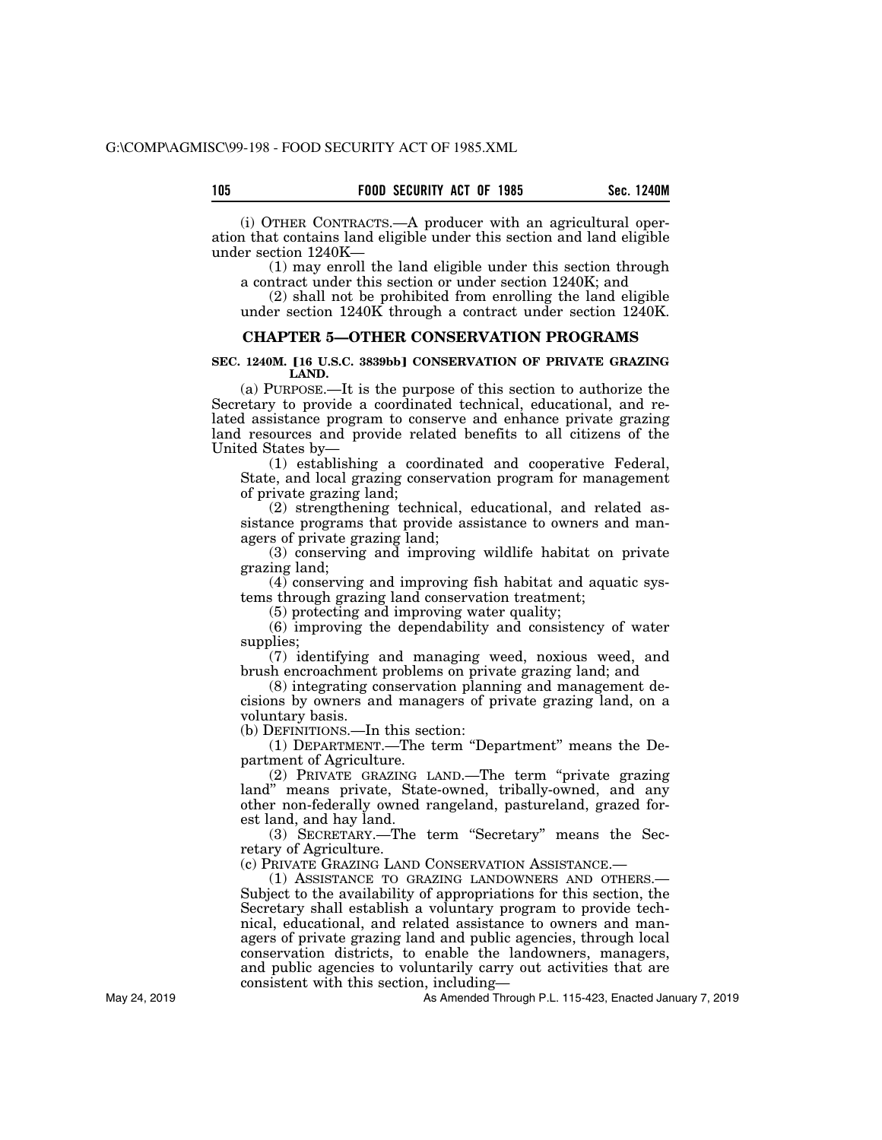(i) OTHER CONTRACTS.—A producer with an agricultural operation that contains land eligible under this section and land eligible under section 1240K—

(1) may enroll the land eligible under this section through a contract under this section or under section 1240K; and

(2) shall not be prohibited from enrolling the land eligible under section 1240K through a contract under section 1240K.

#### **CHAPTER 5—OTHER CONSERVATION PROGRAMS**

#### **SEC. 1240M. [16 U.S.C. 3839bb] CONSERVATION OF PRIVATE GRAZING LAND.**

(a) PURPOSE.—It is the purpose of this section to authorize the Secretary to provide a coordinated technical, educational, and related assistance program to conserve and enhance private grazing land resources and provide related benefits to all citizens of the United States by—

(1) establishing a coordinated and cooperative Federal, State, and local grazing conservation program for management of private grazing land;

(2) strengthening technical, educational, and related assistance programs that provide assistance to owners and managers of private grazing land;

(3) conserving and improving wildlife habitat on private grazing land;

(4) conserving and improving fish habitat and aquatic systems through grazing land conservation treatment;

(5) protecting and improving water quality;

(6) improving the dependability and consistency of water supplies;

(7) identifying and managing weed, noxious weed, and brush encroachment problems on private grazing land; and

(8) integrating conservation planning and management decisions by owners and managers of private grazing land, on a voluntary basis.

(b) DEFINITIONS.—In this section:

(1) DEPARTMENT.—The term "Department" means the Department of Agriculture.

(2) PRIVATE GRAZING LAND.—The term ''private grazing land'' means private, State-owned, tribally-owned, and any other non-federally owned rangeland, pastureland, grazed forest land, and hay land.

(3) SECRETARY.—The term ''Secretary'' means the Secretary of Agriculture.

(c) PRIVATE GRAZING LAND CONSERVATION ASSISTANCE.—

(1) ASSISTANCE TO GRAZING LANDOWNERS AND OTHERS.— Subject to the availability of appropriations for this section, the Secretary shall establish a voluntary program to provide technical, educational, and related assistance to owners and managers of private grazing land and public agencies, through local conservation districts, to enable the landowners, managers, and public agencies to voluntarily carry out activities that are consistent with this section, including—

As Amended Through P.L. 115-423, Enacted January 7, 2019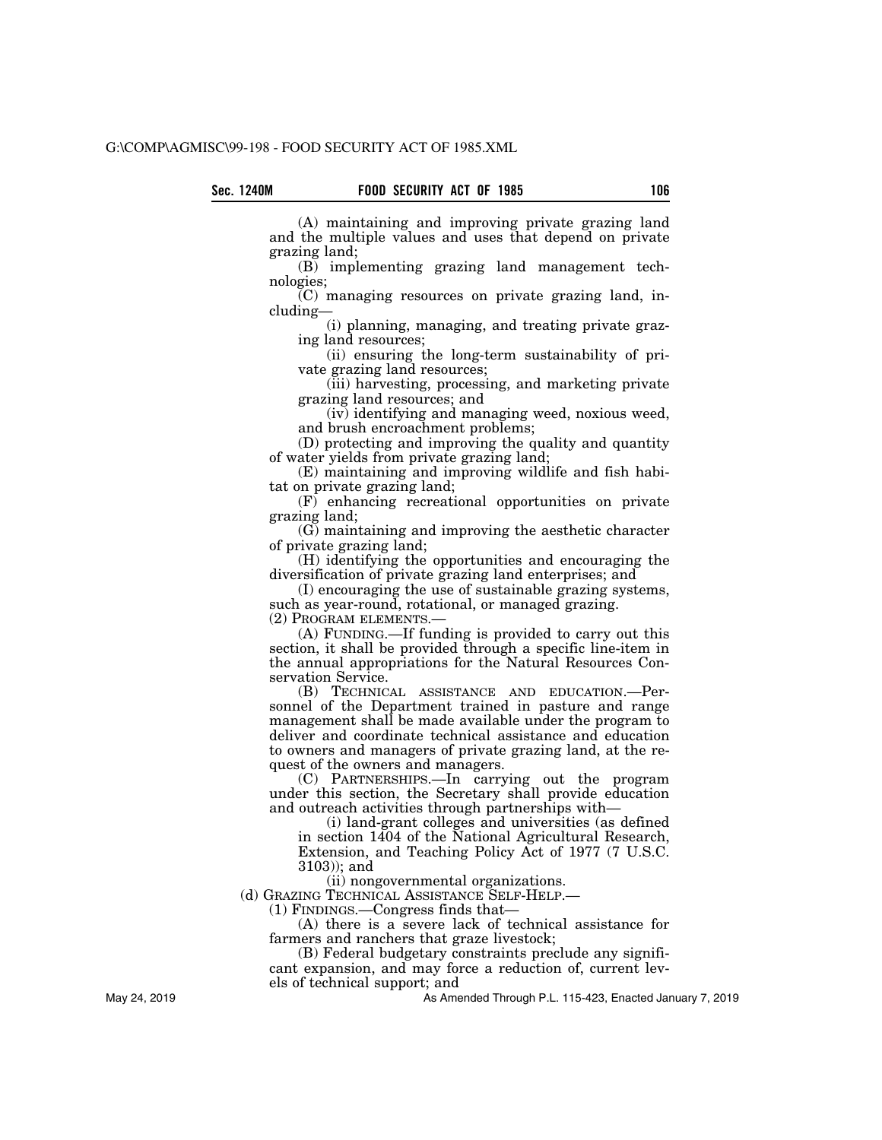(A) maintaining and improving private grazing land and the multiple values and uses that depend on private grazing land;

(B) implementing grazing land management technologies;

(C) managing resources on private grazing land, including—

(i) planning, managing, and treating private grazing land resources;

(ii) ensuring the long-term sustainability of private grazing land resources;

(iii) harvesting, processing, and marketing private grazing land resources; and

(iv) identifying and managing weed, noxious weed, and brush encroachment problems;

(D) protecting and improving the quality and quantity of water yields from private grazing land;

(E) maintaining and improving wildlife and fish habitat on private grazing land;

 $(F)$  enhancing recreational opportunities on private grazing land;

(G) maintaining and improving the aesthetic character of private grazing land;

(H) identifying the opportunities and encouraging the diversification of private grazing land enterprises; and

(I) encouraging the use of sustainable grazing systems, such as year-round, rotational, or managed grazing.

(2) PROGRAM ELEMENTS.—

(A) FUNDING.—If funding is provided to carry out this section, it shall be provided through a specific line-item in the annual appropriations for the Natural Resources Conservation Service.

(B) TECHNICAL ASSISTANCE AND EDUCATION.—Personnel of the Department trained in pasture and range management shall be made available under the program to deliver and coordinate technical assistance and education to owners and managers of private grazing land, at the request of the owners and managers.

(C) PARTNERSHIPS.—In carrying out the program under this section, the Secretary shall provide education and outreach activities through partnerships with—

(i) land-grant colleges and universities (as defined in section 1404 of the National Agricultural Research, Extension, and Teaching Policy Act of 1977 (7 U.S.C. 3103)); and

(ii) nongovernmental organizations.

(d) GRAZING TECHNICAL ASSISTANCE SELF-HELP.—

(1) FINDINGS.—Congress finds that—

(A) there is a severe lack of technical assistance for farmers and ranchers that graze livestock;

(B) Federal budgetary constraints preclude any signifi-

cant expansion, and may force a reduction of, current levels of technical support; and

As Amended Through P.L. 115-423, Enacted January 7, 2019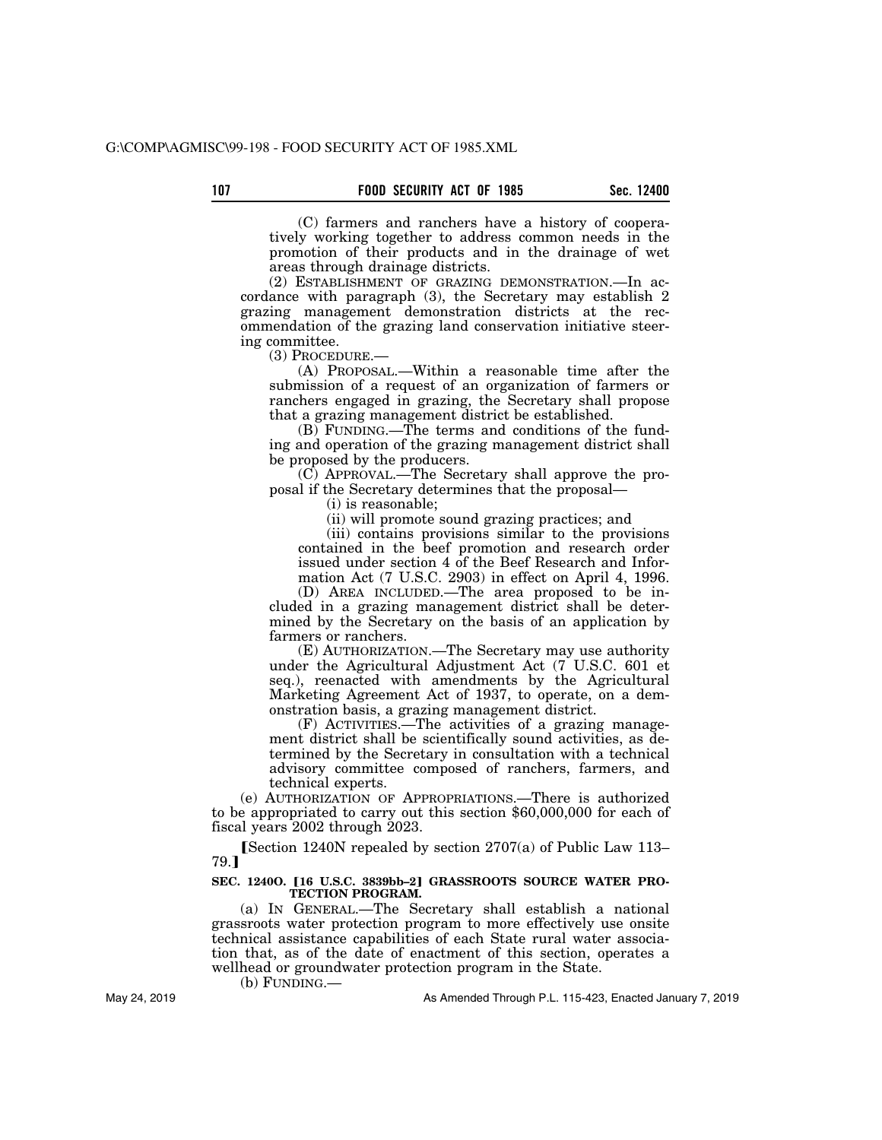(C) farmers and ranchers have a history of cooperatively working together to address common needs in the promotion of their products and in the drainage of wet areas through drainage districts.

(2) ESTABLISHMENT OF GRAZING DEMONSTRATION.—In accordance with paragraph (3), the Secretary may establish 2 grazing management demonstration districts at the recommendation of the grazing land conservation initiative steering committee.

(3) PROCEDURE.—

(A) PROPOSAL.—Within a reasonable time after the submission of a request of an organization of farmers or ranchers engaged in grazing, the Secretary shall propose that a grazing management district be established.

(B) FUNDING.—The terms and conditions of the funding and operation of the grazing management district shall be proposed by the producers.

(C) APPROVAL.—The Secretary shall approve the proposal if the Secretary determines that the proposal—

(i) is reasonable;

(ii) will promote sound grazing practices; and

(iii) contains provisions similar to the provisions contained in the beef promotion and research order issued under section 4 of the Beef Research and Information Act (7 U.S.C. 2903) in effect on April 4, 1996.

(D) AREA INCLUDED.—The area proposed to be included in a grazing management district shall be determined by the Secretary on the basis of an application by farmers or ranchers.

(E) AUTHORIZATION.—The Secretary may use authority under the Agricultural Adjustment Act (7 U.S.C. 601 et seq.), reenacted with amendments by the Agricultural Marketing Agreement Act of 1937, to operate, on a demonstration basis, a grazing management district.

(F) ACTIVITIES.—The activities of a grazing management district shall be scientifically sound activities, as determined by the Secretary in consultation with a technical advisory committee composed of ranchers, farmers, and technical experts.

(e) AUTHORIZATION OF APPROPRIATIONS.—There is authorized to be appropriated to carry out this section \$60,000,000 for each of fiscal years 2002 through 2023.

**[Section 1240N repealed by section 2707(a) of Public Law 113–** 79.<sub>1</sub>

#### SEC. 12400. [16 U.S.C. 3839bb-2] GRASSROOTS SOURCE WATER PRO-**TECTION PROGRAM.**

(a) IN GENERAL.—The Secretary shall establish a national grassroots water protection program to more effectively use onsite technical assistance capabilities of each State rural water association that, as of the date of enactment of this section, operates a wellhead or groundwater protection program in the State.

(b) FUNDING.—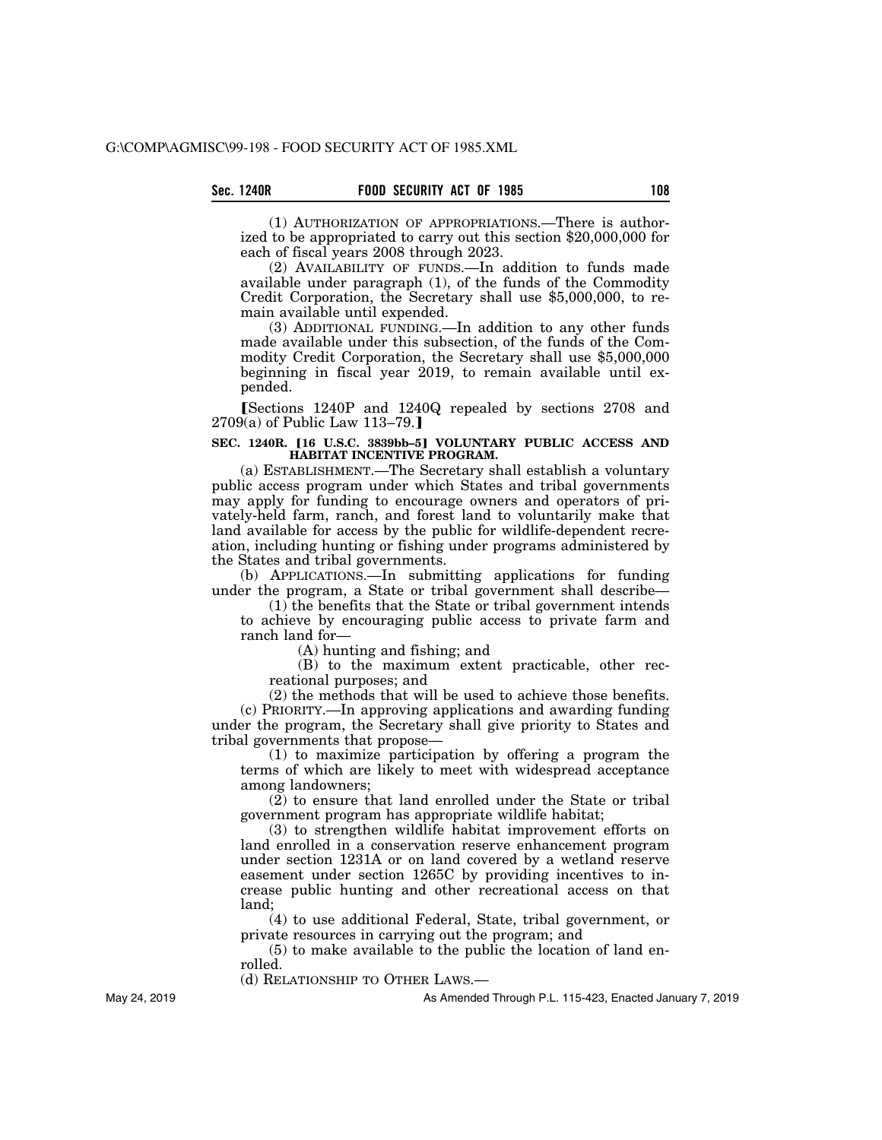(1) AUTHORIZATION OF APPROPRIATIONS.—There is authorized to be appropriated to carry out this section \$20,000,000 for each of fiscal years 2008 through 2023.

(2) AVAILABILITY OF FUNDS.—In addition to funds made available under paragraph (1), of the funds of the Commodity Credit Corporation, the Secretary shall use \$5,000,000, to remain available until expended.

(3) ADDITIONAL FUNDING.—In addition to any other funds made available under this subsection, of the funds of the Commodity Credit Corporation, the Secretary shall use \$5,000,000 beginning in fiscal year 2019, to remain available until expended.

[Sections 1240P and 1240Q repealed by sections 2708 and  $2709(a)$  of Public Law 113-79.]

#### SEC. 1240R. [16 U.S.C. 3839bb-5] VOLUNTARY PUBLIC ACCESS AND **HABITAT INCENTIVE PROGRAM.**

(a) ESTABLISHMENT.—The Secretary shall establish a voluntary public access program under which States and tribal governments may apply for funding to encourage owners and operators of privately-held farm, ranch, and forest land to voluntarily make that land available for access by the public for wildlife-dependent recreation, including hunting or fishing under programs administered by the States and tribal governments.

(b) APPLICATIONS.—In submitting applications for funding under the program, a State or tribal government shall describe-

(1) the benefits that the State or tribal government intends to achieve by encouraging public access to private farm and ranch land for—

(A) hunting and fishing; and

(B) to the maximum extent practicable, other recreational purposes; and

(2) the methods that will be used to achieve those benefits. (c) PRIORITY.—In approving applications and awarding funding under the program, the Secretary shall give priority to States and tribal governments that propose—

(1) to maximize participation by offering a program the terms of which are likely to meet with widespread acceptance among landowners;

(2) to ensure that land enrolled under the State or tribal government program has appropriate wildlife habitat;

(3) to strengthen wildlife habitat improvement efforts on land enrolled in a conservation reserve enhancement program under section 1231A or on land covered by a wetland reserve easement under section 1265C by providing incentives to increase public hunting and other recreational access on that land;

(4) to use additional Federal, State, tribal government, or private resources in carrying out the program; and

(5) to make available to the public the location of land enrolled.

(d) RELATIONSHIP TO OTHER LAWS.—

As Amended Through P.L. 115-423, Enacted January 7, 2019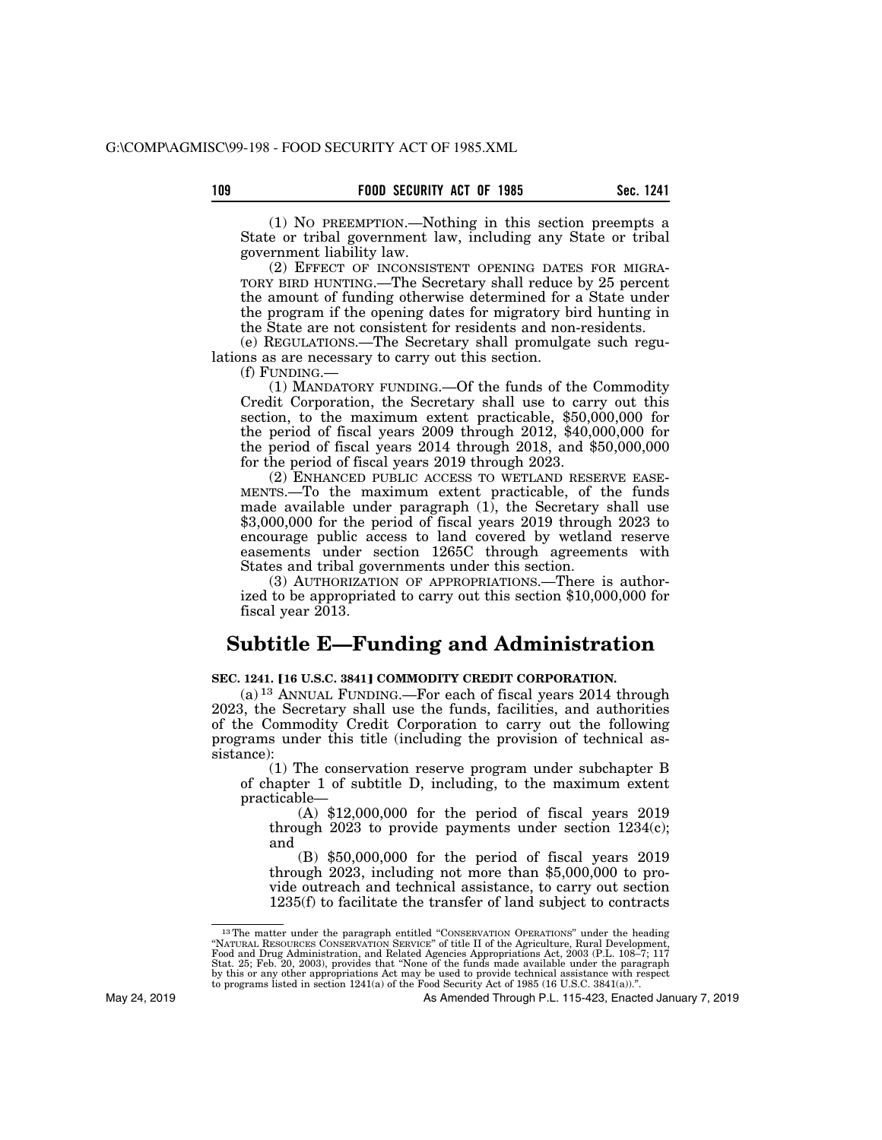(1) NO PREEMPTION.—Nothing in this section preempts a State or tribal government law, including any State or tribal government liability law.

(2) EFFECT OF INCONSISTENT OPENING DATES FOR MIGRA-TORY BIRD HUNTING.—The Secretary shall reduce by 25 percent the amount of funding otherwise determined for a State under the program if the opening dates for migratory bird hunting in the State are not consistent for residents and non-residents.

(e) REGULATIONS.—The Secretary shall promulgate such regulations as are necessary to carry out this section.

(f) FUNDING.—

(1) MANDATORY FUNDING.—Of the funds of the Commodity Credit Corporation, the Secretary shall use to carry out this section, to the maximum extent practicable, \$50,000,000 for the period of fiscal years 2009 through  $2012$ ,  $$40,000,000$  for the period of fiscal years 2014 through 2018, and \$50,000,000 for the period of fiscal years 2019 through 2023.

(2) ENHANCED PUBLIC ACCESS TO WETLAND RESERVE EASE-MENTS.—To the maximum extent practicable, of the funds made available under paragraph (1), the Secretary shall use \$3,000,000 for the period of fiscal years 2019 through 2023 to encourage public access to land covered by wetland reserve easements under section 1265C through agreements with States and tribal governments under this section.

(3) AUTHORIZATION OF APPROPRIATIONS.—There is authorized to be appropriated to carry out this section \$10,000,000 for fiscal year 2013.

# **Subtitle E—Funding and Administration**

# **SEC. 1241. [16 U.S.C. 3841] COMMODITY CREDIT CORPORATION.**

(a) 13 ANNUAL FUNDING.—For each of fiscal years 2014 through 2023, the Secretary shall use the funds, facilities, and authorities of the Commodity Credit Corporation to carry out the following programs under this title (including the provision of technical assistance):

(1) The conservation reserve program under subchapter B of chapter 1 of subtitle D, including, to the maximum extent practicable—

(A) \$12,000,000 for the period of fiscal years 2019 through 2023 to provide payments under section 1234(c); and

(B) \$50,000,000 for the period of fiscal years 2019 through 2023, including not more than \$5,000,000 to provide outreach and technical assistance, to carry out section 1235(f) to facilitate the transfer of land subject to contracts

<sup>&</sup>lt;sup>13</sup>The matter under the paragraph entitled "CONSERVATION OPERATIONS" under the heading "NATURAL RESOURCES CONSERVATION SERVICE" of title II of the Agriculture, Rural Development, Food and Drug Administration, and Related Agencies Appropriations Act, 2003 (P.L. 108–7; 117<br>Stat. 25; Feb. 20, 2003), provides that "None of the funds made available under the paragraph<br>by this or any other appropriation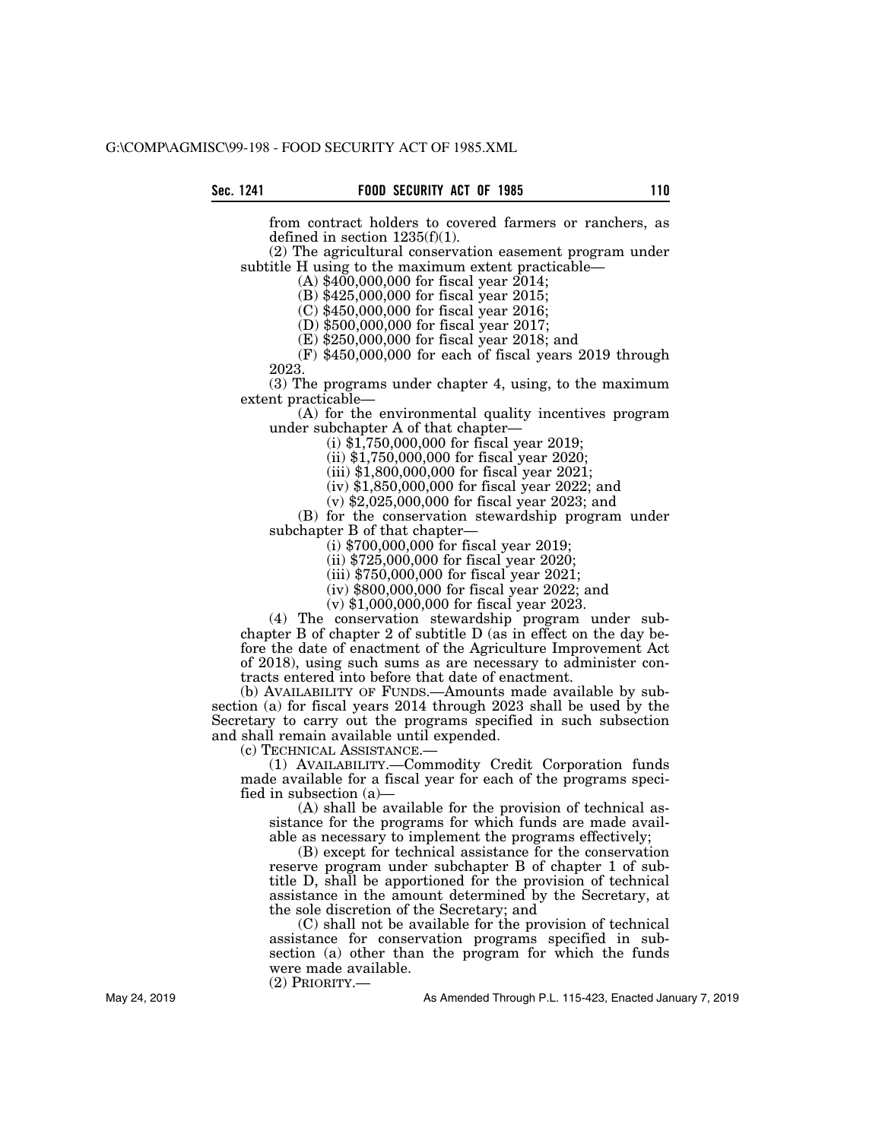from contract holders to covered farmers or ranchers, as defined in section 1235(f)(1).

(2) The agricultural conservation easement program under subtitle H using to the maximum extent practicable—

(A) \$400,000,000 for fiscal year 2014;

(B) \$425,000,000 for fiscal year 2015;

(C) \$450,000,000 for fiscal year 2016;

(D) \$500,000,000 for fiscal year 2017;

(E) \$250,000,000 for fiscal year 2018; and

(F) \$450,000,000 for each of fiscal years 2019 through 2023.

(3) The programs under chapter 4, using, to the maximum extent practicable—

(A) for the environmental quality incentives program under subchapter A of that chapter—

(i) \$1,750,000,000 for fiscal year 2019;

(ii) \$1,750,000,000 for fiscal year 2020;

(iii) \$1,800,000,000 for fiscal year 2021;

(iv) \$1,850,000,000 for fiscal year 2022; and

(v) \$2,025,000,000 for fiscal year 2023; and

(B) for the conservation stewardship program under subchapter B of that chapter—

(i) \$700,000,000 for fiscal year 2019;

(ii) \$725,000,000 for fiscal year 2020;

(iii) \$750,000,000 for fiscal year 2021;

(iv) \$800,000,000 for fiscal year 2022; and

(v) \$1,000,000,000 for fiscal year 2023.

(4) The conservation stewardship program under subchapter B of chapter 2 of subtitle D (as in effect on the day before the date of enactment of the Agriculture Improvement Act of 2018), using such sums as are necessary to administer contracts entered into before that date of enactment.

(b) AVAILABILITY OF FUNDS.—Amounts made available by subsection (a) for fiscal years 2014 through 2023 shall be used by the Secretary to carry out the programs specified in such subsection and shall remain available until expended.

(c) TECHNICAL ASSISTANCE.—

(1) AVAILABILITY.—Commodity Credit Corporation funds made available for a fiscal year for each of the programs specified in subsection (a)—

(A) shall be available for the provision of technical assistance for the programs for which funds are made available as necessary to implement the programs effectively;

(B) except for technical assistance for the conservation reserve program under subchapter B of chapter 1 of subtitle D, shall be apportioned for the provision of technical assistance in the amount determined by the Secretary, at the sole discretion of the Secretary; and

(C) shall not be available for the provision of technical assistance for conservation programs specified in subsection (a) other than the program for which the funds were made available.

(2) PRIORITY.—

As Amended Through P.L. 115-423, Enacted January 7, 2019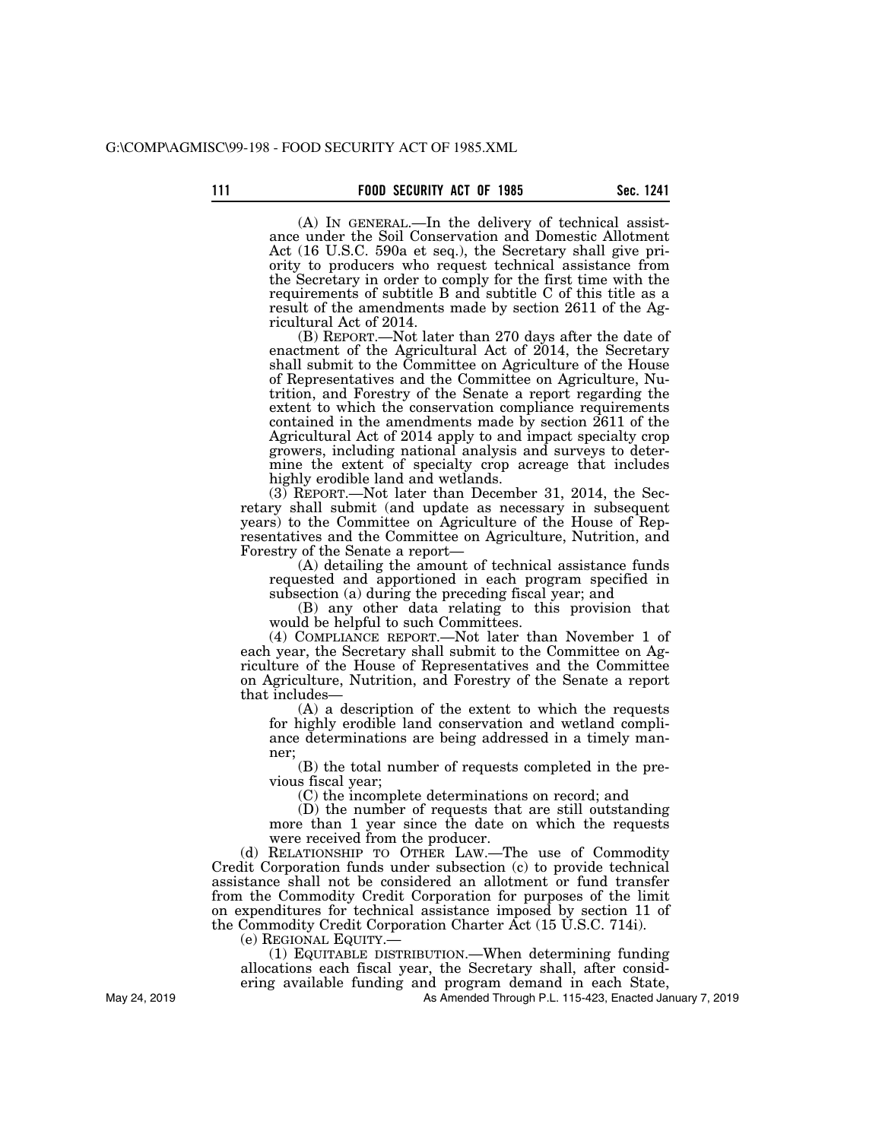(A) IN GENERAL.—In the delivery of technical assistance under the Soil Conservation and Domestic Allotment Act (16 U.S.C. 590a et seq.), the Secretary shall give priority to producers who request technical assistance from the Secretary in order to comply for the first time with the requirements of subtitle B and subtitle C of this title as a result of the amendments made by section 2611 of the Agricultural Act of 2014.

(B) REPORT.—Not later than 270 days after the date of enactment of the Agricultural Act of 2014, the Secretary shall submit to the Committee on Agriculture of the House of Representatives and the Committee on Agriculture, Nutrition, and Forestry of the Senate a report regarding the extent to which the conservation compliance requirements contained in the amendments made by section 2611 of the Agricultural Act of 2014 apply to and impact specialty crop growers, including national analysis and surveys to determine the extent of specialty crop acreage that includes highly erodible land and wetlands.

(3) REPORT.—Not later than December 31, 2014, the Secretary shall submit (and update as necessary in subsequent years) to the Committee on Agriculture of the House of Representatives and the Committee on Agriculture, Nutrition, and Forestry of the Senate a report—

(A) detailing the amount of technical assistance funds requested and apportioned in each program specified in subsection (a) during the preceding fiscal year; and

(B) any other data relating to this provision that would be helpful to such Committees.

(4) COMPLIANCE REPORT.—Not later than November 1 of each year, the Secretary shall submit to the Committee on Agriculture of the House of Representatives and the Committee on Agriculture, Nutrition, and Forestry of the Senate a report that includes—

(A) a description of the extent to which the requests for highly erodible land conservation and wetland compliance determinations are being addressed in a timely manner;

(B) the total number of requests completed in the previous fiscal year;

(C) the incomplete determinations on record; and

(D) the number of requests that are still outstanding more than 1 year since the date on which the requests were received from the producer.

(d) RELATIONSHIP TO OTHER LAW.—The use of Commodity Credit Corporation funds under subsection (c) to provide technical assistance shall not be considered an allotment or fund transfer from the Commodity Credit Corporation for purposes of the limit on expenditures for technical assistance imposed by section 11 of the Commodity Credit Corporation Charter Act (15 U.S.C. 714i).

(e) REGIONAL EQUITY.—

(1) EQUITABLE DISTRIBUTION.—When determining funding allocations each fiscal year, the Secretary shall, after considering available funding and program demand in each State,

As Amended Through P.L. 115-423, Enacted January 7, 2019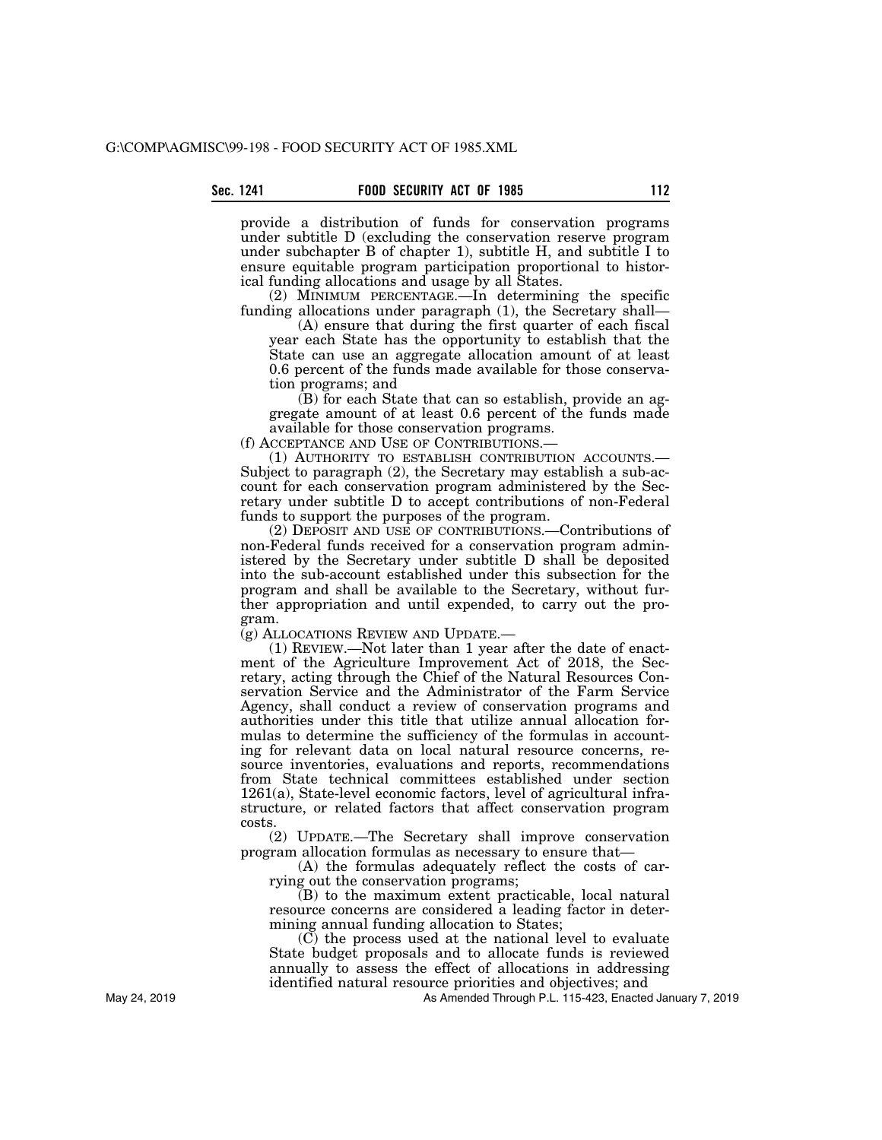provide a distribution of funds for conservation programs under subtitle D (excluding the conservation reserve program under subchapter B of chapter 1), subtitle H, and subtitle I to ensure equitable program participation proportional to historical funding allocations and usage by all States.

(2) MINIMUM PERCENTAGE.—In determining the specific funding allocations under paragraph (1), the Secretary shall—

(A) ensure that during the first quarter of each fiscal year each State has the opportunity to establish that the State can use an aggregate allocation amount of at least 0.6 percent of the funds made available for those conservation programs; and

(B) for each State that can so establish, provide an aggregate amount of at least 0.6 percent of the funds made available for those conservation programs.

(f) ACCEPTANCE AND USE OF CONTRIBUTIONS.—

(1) AUTHORITY TO ESTABLISH CONTRIBUTION ACCOUNTS.— Subject to paragraph (2), the Secretary may establish a sub-account for each conservation program administered by the Secretary under subtitle D to accept contributions of non-Federal funds to support the purposes of the program.

(2) DEPOSIT AND USE OF CONTRIBUTIONS.—Contributions of non-Federal funds received for a conservation program administered by the Secretary under subtitle D shall be deposited into the sub-account established under this subsection for the program and shall be available to the Secretary, without further appropriation and until expended, to carry out the program.

(g) ALLOCATIONS REVIEW AND UPDATE.—

(1) REVIEW.—Not later than 1 year after the date of enactment of the Agriculture Improvement Act of 2018, the Secretary, acting through the Chief of the Natural Resources Conservation Service and the Administrator of the Farm Service Agency, shall conduct a review of conservation programs and authorities under this title that utilize annual allocation formulas to determine the sufficiency of the formulas in accounting for relevant data on local natural resource concerns, resource inventories, evaluations and reports, recommendations from State technical committees established under section 1261(a), State-level economic factors, level of agricultural infrastructure, or related factors that affect conservation program costs.

(2) UPDATE.—The Secretary shall improve conservation program allocation formulas as necessary to ensure that—

(A) the formulas adequately reflect the costs of carrying out the conservation programs;

(B) to the maximum extent practicable, local natural resource concerns are considered a leading factor in determining annual funding allocation to States;

 $(C)$  the process used at the national level to evaluate State budget proposals and to allocate funds is reviewed annually to assess the effect of allocations in addressing identified natural resource priorities and objectives; and

As Amended Through P.L. 115-423, Enacted January 7, 2019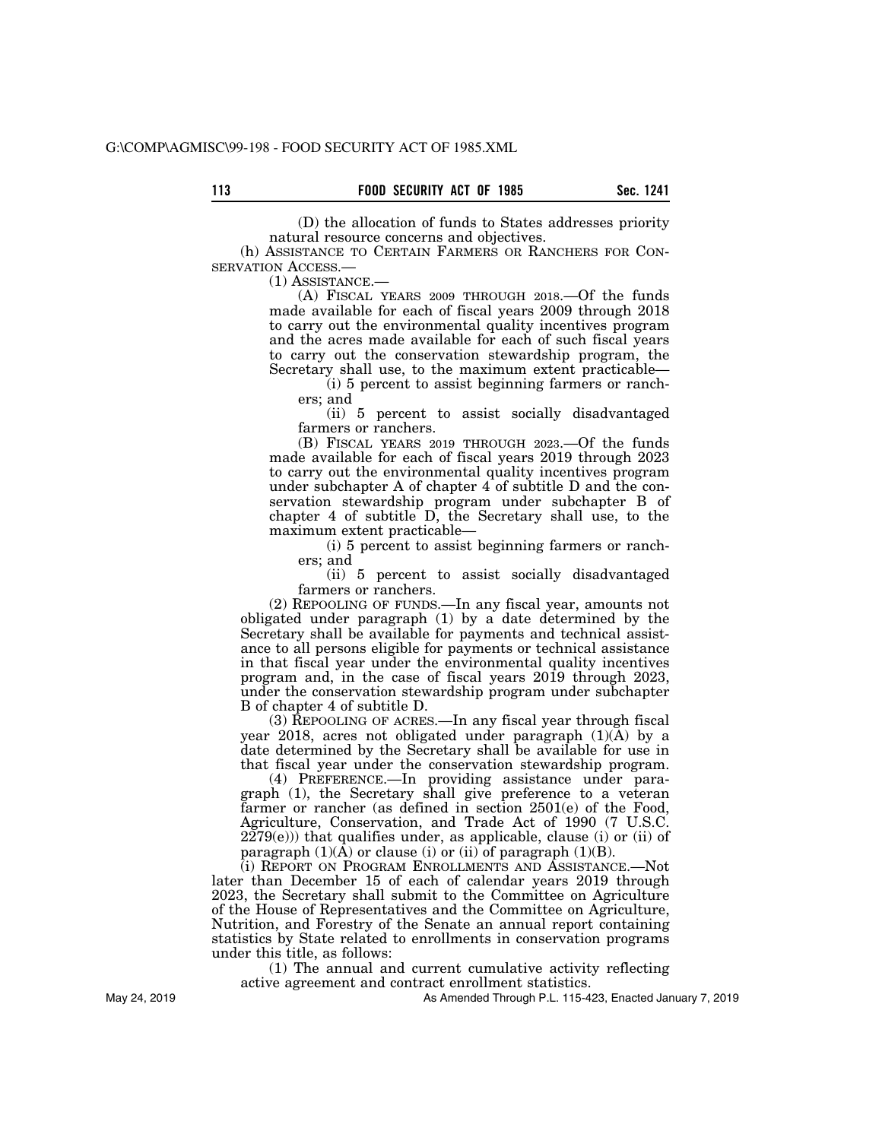(D) the allocation of funds to States addresses priority natural resource concerns and objectives.

(h) ASSISTANCE TO CERTAIN FARMERS OR RANCHERS FOR CON-SERVATION ACCESS.—

(1) ASSISTANCE.—

(A) FISCAL YEARS 2009 THROUGH 2018.—Of the funds made available for each of fiscal years 2009 through 2018 to carry out the environmental quality incentives program and the acres made available for each of such fiscal years to carry out the conservation stewardship program, the Secretary shall use, to the maximum extent practicable—

(i) 5 percent to assist beginning farmers or ranchers; and

(ii) 5 percent to assist socially disadvantaged farmers or ranchers.

(B) FISCAL YEARS 2019 THROUGH 2023.—Of the funds made available for each of fiscal years 2019 through 2023 to carry out the environmental quality incentives program under subchapter A of chapter 4 of subtitle D and the conservation stewardship program under subchapter B of chapter 4 of subtitle D, the Secretary shall use, to the maximum extent practicable—

(i) 5 percent to assist beginning farmers or ranchers; and

(ii) 5 percent to assist socially disadvantaged farmers or ranchers.

(2) REPOOLING OF FUNDS.—In any fiscal year, amounts not obligated under paragraph (1) by a date determined by the Secretary shall be available for payments and technical assistance to all persons eligible for payments or technical assistance in that fiscal year under the environmental quality incentives program and, in the case of fiscal years 2019 through 2023, under the conservation stewardship program under subchapter B of chapter 4 of subtitle D.

(3) REPOOLING OF ACRES.—In any fiscal year through fiscal year 2018, acres not obligated under paragraph (1)(A) by a date determined by the Secretary shall be available for use in that fiscal year under the conservation stewardship program.

(4) PREFERENCE.—In providing assistance under paragraph (1), the Secretary shall give preference to a veteran farmer or rancher (as defined in section 2501(e) of the Food, Agriculture, Conservation, and Trade Act of 1990 (7 U.S.C.  $2279(e)$ )) that qualifies under, as applicable, clause (i) or (ii) of paragraph  $(1)(A)$  or clause  $(i)$  or  $(ii)$  of paragraph  $(1)(B)$ .

(i) REPORT ON PROGRAM ENROLLMENTS AND ASSISTANCE.—Not later than December 15 of each of calendar years 2019 through 2023, the Secretary shall submit to the Committee on Agriculture of the House of Representatives and the Committee on Agriculture, Nutrition, and Forestry of the Senate an annual report containing statistics by State related to enrollments in conservation programs under this title, as follows:

(1) The annual and current cumulative activity reflecting active agreement and contract enrollment statistics.

As Amended Through P.L. 115-423, Enacted January 7, 2019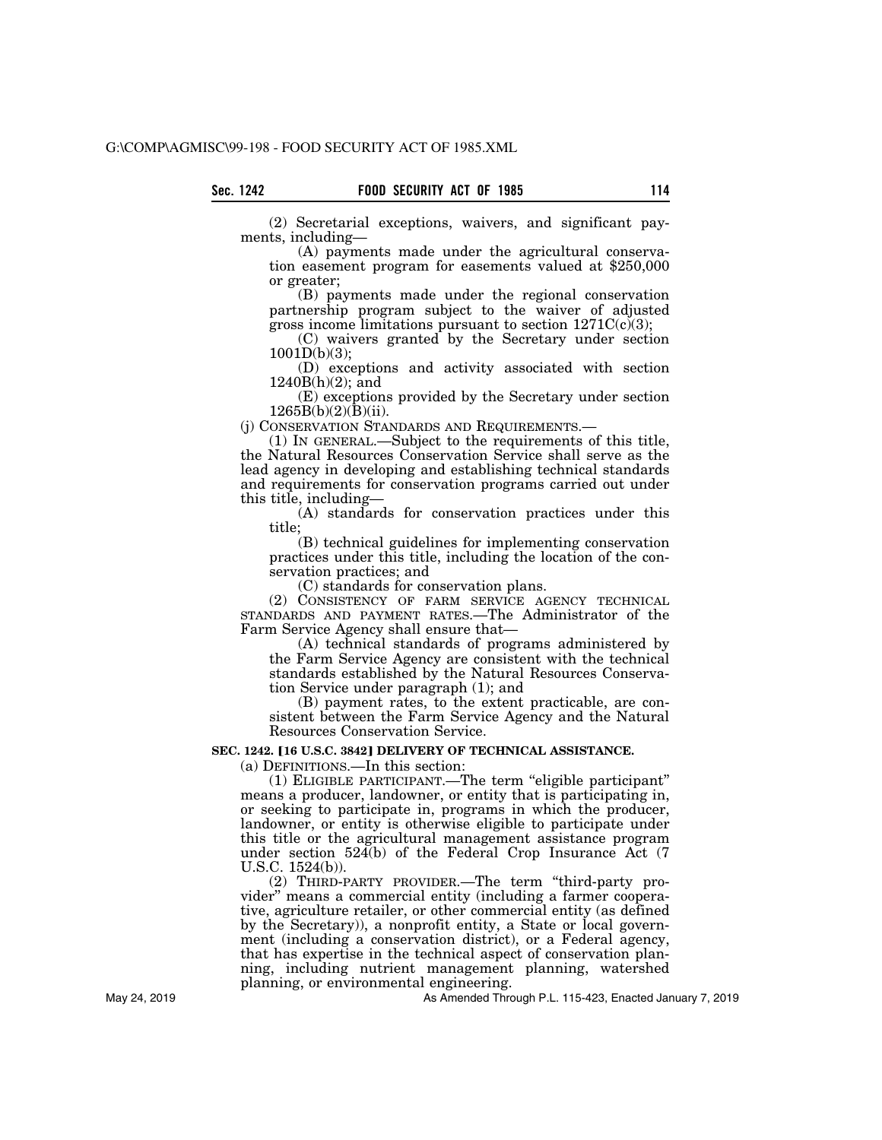(2) Secretarial exceptions, waivers, and significant payments, including—

(A) payments made under the agricultural conservation easement program for easements valued at \$250,000 or greater;

(B) payments made under the regional conservation partnership program subject to the waiver of adjusted gross income limitations pursuant to section  $1271C(c)(3)$ ;

(C) waivers granted by the Secretary under section 1001D(b)(3);

(D) exceptions and activity associated with section  $1240B(h)(2)$ ; and

(E) exceptions provided by the Secretary under section  $1265B(b)(2)(B)(ii)$ .

(j) CONSERVATION STANDARDS AND REQUIREMENTS.—

(1) IN GENERAL.—Subject to the requirements of this title, the Natural Resources Conservation Service shall serve as the lead agency in developing and establishing technical standards and requirements for conservation programs carried out under this title, including—

(A) standards for conservation practices under this title;

(B) technical guidelines for implementing conservation practices under this title, including the location of the conservation practices; and

(C) standards for conservation plans.

(2) CONSISTENCY OF FARM SERVICE AGENCY TECHNICAL STANDARDS AND PAYMENT RATES.—The Administrator of the Farm Service Agency shall ensure that—

(A) technical standards of programs administered by the Farm Service Agency are consistent with the technical standards established by the Natural Resources Conservation Service under paragraph (1); and

(B) payment rates, to the extent practicable, are consistent between the Farm Service Agency and the Natural Resources Conservation Service.

# **SEC. 1242. [16 U.S.C. 3842] DELIVERY OF TECHNICAL ASSISTANCE.**

(a) DEFINITIONS.—In this section:

(1) ELIGIBLE PARTICIPANT.—The term ''eligible participant'' means a producer, landowner, or entity that is participating in, or seeking to participate in, programs in which the producer, landowner, or entity is otherwise eligible to participate under this title or the agricultural management assistance program under section 524(b) of the Federal Crop Insurance Act (7 U.S.C. 1524(b)).

(2) THIRD-PARTY PROVIDER.—The term ''third-party provider'' means a commercial entity (including a farmer cooperative, agriculture retailer, or other commercial entity (as defined by the Secretary)), a nonprofit entity, a State or local government (including a conservation district), or a Federal agency, that has expertise in the technical aspect of conservation planning, including nutrient management planning, watershed planning, or environmental engineering.

As Amended Through P.L. 115-423, Enacted January 7, 2019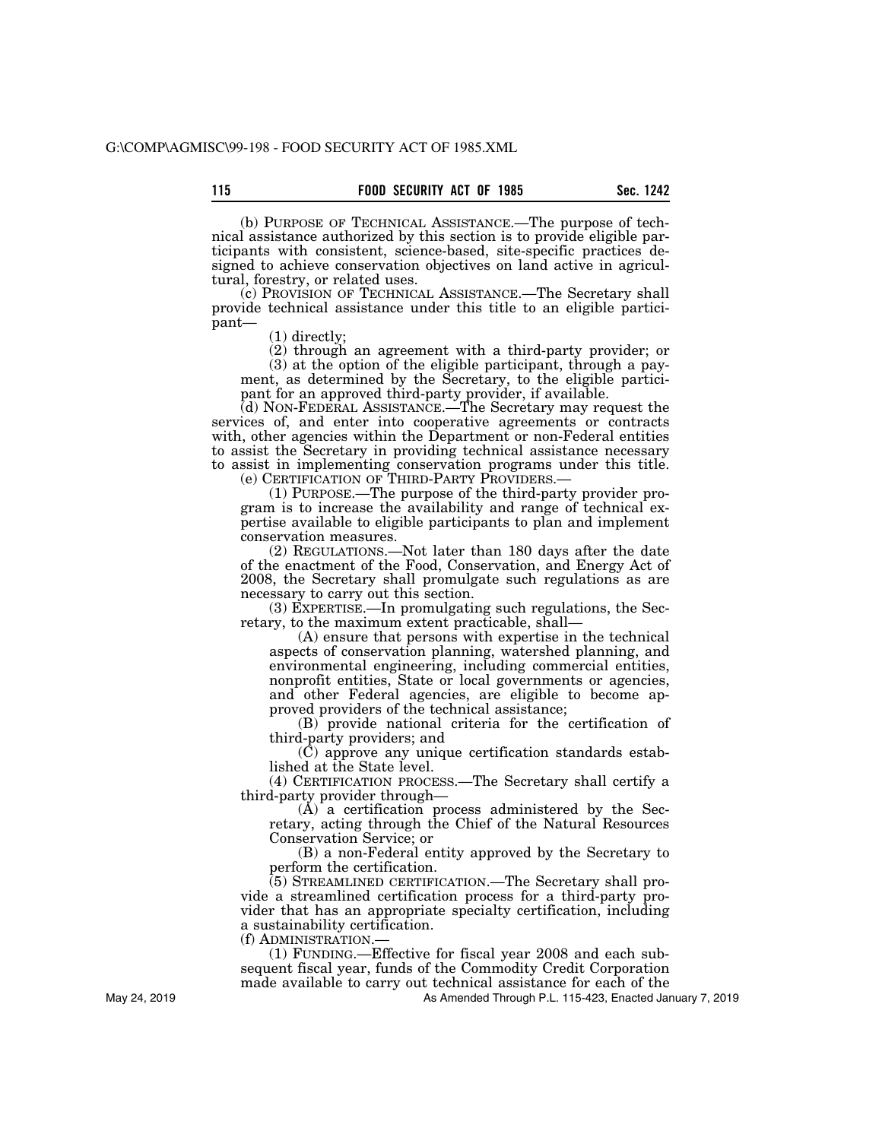(b) PURPOSE OF TECHNICAL ASSISTANCE.—The purpose of technical assistance authorized by this section is to provide eligible participants with consistent, science-based, site-specific practices designed to achieve conservation objectives on land active in agricultural, forestry, or related uses.

(c) PROVISION OF TECHNICAL ASSISTANCE.—The Secretary shall provide technical assistance under this title to an eligible participant—

(1) directly;

(2) through an agreement with a third-party provider; or (3) at the option of the eligible participant, through a payment, as determined by the Secretary, to the eligible participant for an approved third-party provider, if available.

(d) NON-FEDERAL ASSISTANCE.—The Secretary may request the services of, and enter into cooperative agreements or contracts with, other agencies within the Department or non-Federal entities to assist the Secretary in providing technical assistance necessary to assist in implementing conservation programs under this title.

(e) CERTIFICATION OF THIRD-PARTY PROVIDERS.— (1) PURPOSE.—The purpose of the third-party provider program is to increase the availability and range of technical expertise available to eligible participants to plan and implement conservation measures.

(2) REGULATIONS.—Not later than 180 days after the date of the enactment of the Food, Conservation, and Energy Act of 2008, the Secretary shall promulgate such regulations as are necessary to carry out this section.

(3) EXPERTISE.—In promulgating such regulations, the Secretary, to the maximum extent practicable, shall—

(A) ensure that persons with expertise in the technical aspects of conservation planning, watershed planning, and environmental engineering, including commercial entities, nonprofit entities, State or local governments or agencies, and other Federal agencies, are eligible to become approved providers of the technical assistance;

(B) provide national criteria for the certification of third-party providers; and

(C) approve any unique certification standards established at the State level.

(4) CERTIFICATION PROCESS.—The Secretary shall certify a third-party provider through—

(A) a certification process administered by the Secretary, acting through the Chief of the Natural Resources Conservation Service; or

(B) a non-Federal entity approved by the Secretary to perform the certification.

(5) STREAMLINED CERTIFICATION.—The Secretary shall provide a streamlined certification process for a third-party provider that has an appropriate specialty certification, including a sustainability certification.

(f) ADMINISTRATION.—

(1) FUNDING.—Effective for fiscal year 2008 and each subsequent fiscal year, funds of the Commodity Credit Corporation made available to carry out technical assistance for each of the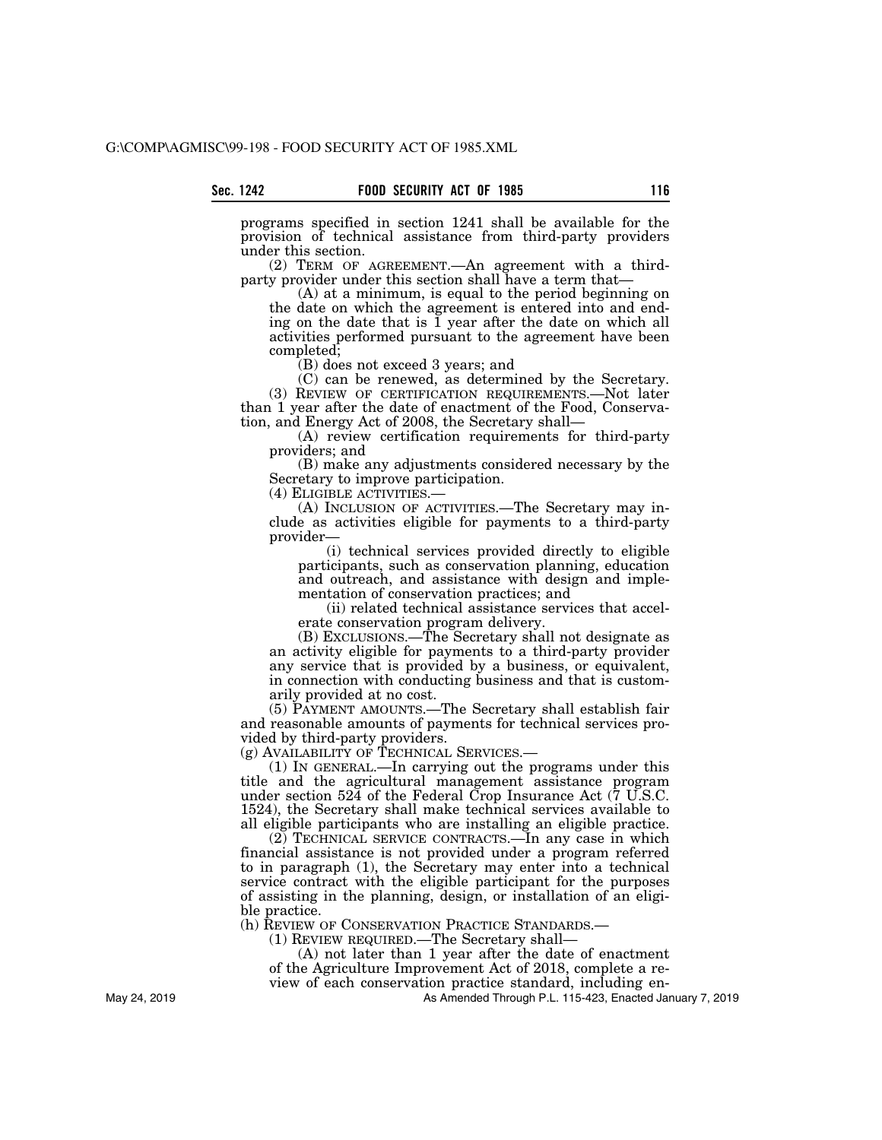programs specified in section 1241 shall be available for the provision of technical assistance from third-party providers under this section.

(2) TERM OF AGREEMENT.—An agreement with a thirdparty provider under this section shall have a term that-

(A) at a minimum, is equal to the period beginning on the date on which the agreement is entered into and ending on the date that is  $\overline{1}$  year after the date on which all activities performed pursuant to the agreement have been completed;

(B) does not exceed 3 years; and

(C) can be renewed, as determined by the Secretary. (3) REVIEW OF CERTIFICATION REQUIREMENTS.—Not later than 1 year after the date of enactment of the Food, Conservation, and Energy Act of 2008, the Secretary shall—

(A) review certification requirements for third-party providers; and

(B) make any adjustments considered necessary by the Secretary to improve participation.<br>(4) ELIGIBLE ACTIVITIES.—

(A) INCLUSION OF ACTIVITIES.— The Secretary may include as activities eligible for payments to a third-party provider—

(i) technical services provided directly to eligible participants, such as conservation planning, education and outreach, and assistance with design and implementation of conservation practices; and

(ii) related technical assistance services that accelerate conservation program delivery.

(B) EXCLUSIONS.—The Secretary shall not designate as an activity eligible for payments to a third-party provider any service that is provided by a business, or equivalent, in connection with conducting business and that is customarily provided at no cost.

(5) PAYMENT AMOUNTS.—The Secretary shall establish fair and reasonable amounts of payments for technical services provided by third-party providers.

(g) AVAILABILITY OF TECHNICAL SERVICES.—

(1) IN GENERAL.—In carrying out the programs under this title and the agricultural management assistance program under section 524 of the Federal Crop Insurance Act (7 U.S.C. 1524), the Secretary shall make technical services available to all eligible participants who are installing an eligible practice.

(2) TECHNICAL SERVICE CONTRACTS.—In any case in which financial assistance is not provided under a program referred to in paragraph (1), the Secretary may enter into a technical service contract with the eligible participant for the purposes of assisting in the planning, design, or installation of an eligible practice.

(h) REVIEW OF CONSERVATION PRACTICE STANDARDS.—

(1) REVIEW REQUIRED.—The Secretary shall—

(A) not later than 1 year after the date of enactment of the Agriculture Improvement Act of 2018, complete a re-

view of each conservation practice standard, including en-

As Amended Through P.L. 115-423, Enacted January 7, 2019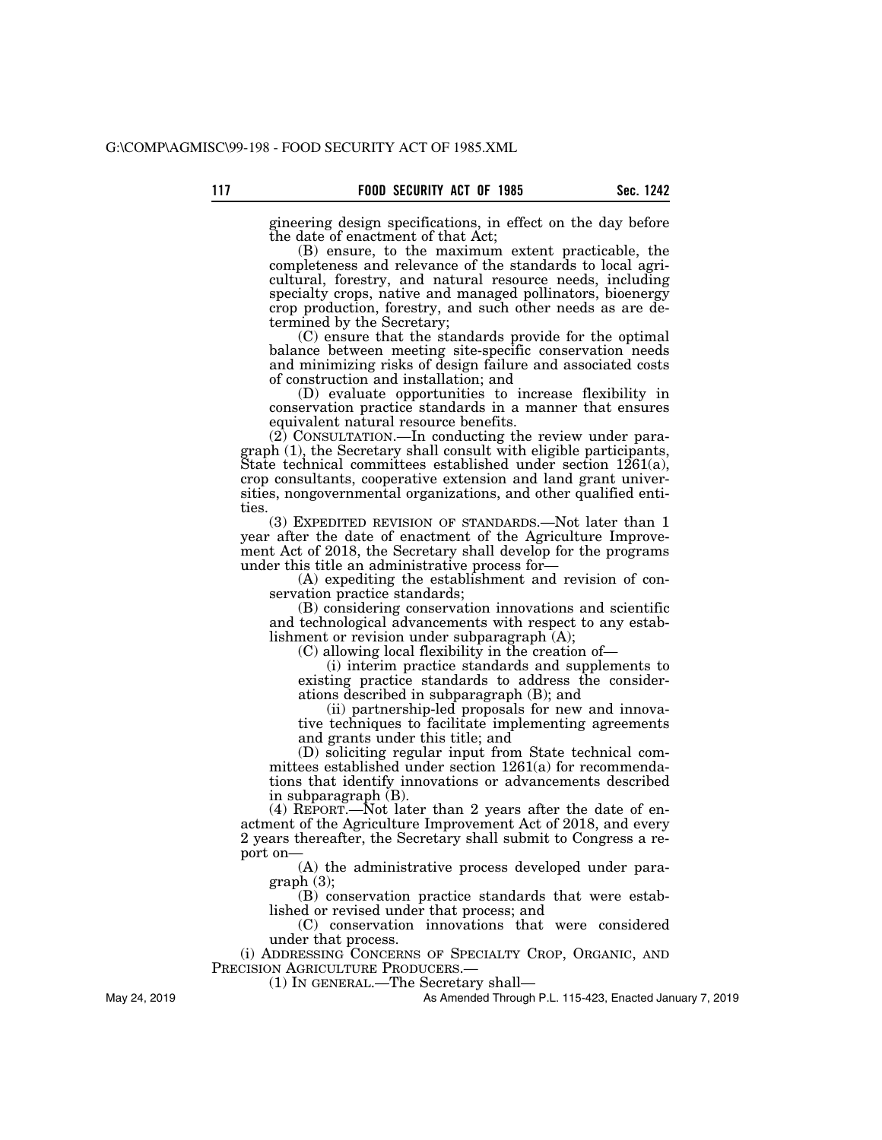gineering design specifications, in effect on the day before the date of enactment of that Act;

(B) ensure, to the maximum extent practicable, the completeness and relevance of the standards to local agricultural, forestry, and natural resource needs, including specialty crops, native and managed pollinators, bioenergy crop production, forestry, and such other needs as are determined by the Secretary;

(C) ensure that the standards provide for the optimal balance between meeting site-specific conservation needs and minimizing risks of design failure and associated costs of construction and installation; and

(D) evaluate opportunities to increase flexibility in conservation practice standards in a manner that ensures equivalent natural resource benefits.

(2) CONSULTATION.—In conducting the review under paragraph (1), the Secretary shall consult with eligible participants, State technical committees established under section 1261(a), crop consultants, cooperative extension and land grant universities, nongovernmental organizations, and other qualified entities.

(3) EXPEDITED REVISION OF STANDARDS.—Not later than 1 year after the date of enactment of the Agriculture Improvement Act of 2018, the Secretary shall develop for the programs under this title an administrative process for—

(A) expediting the establishment and revision of conservation practice standards;

(B) considering conservation innovations and scientific and technological advancements with respect to any establishment or revision under subparagraph (A);

(C) allowing local flexibility in the creation of—

(i) interim practice standards and supplements to existing practice standards to address the considerations described in subparagraph (B); and

(ii) partnership-led proposals for new and innovative techniques to facilitate implementing agreements and grants under this title; and

(D) soliciting regular input from State technical committees established under section 1261(a) for recommendations that identify innovations or advancements described in subparagraph (B).

(4) REPORT.—Not later than 2 years after the date of enactment of the Agriculture Improvement Act of 2018, and every 2 years thereafter, the Secretary shall submit to Congress a report on—

(A) the administrative process developed under paragraph (3);

(B) conservation practice standards that were established or revised under that process; and

(C) conservation innovations that were considered under that process.

(i) ADDRESSING CONCERNS OF SPECIALTY CROP, ORGANIC, AND PRECISION AGRICULTURE PRODUCERS.

(1) IN GENERAL.—The Secretary shall—

As Amended Through P.L. 115-423, Enacted January 7, 2019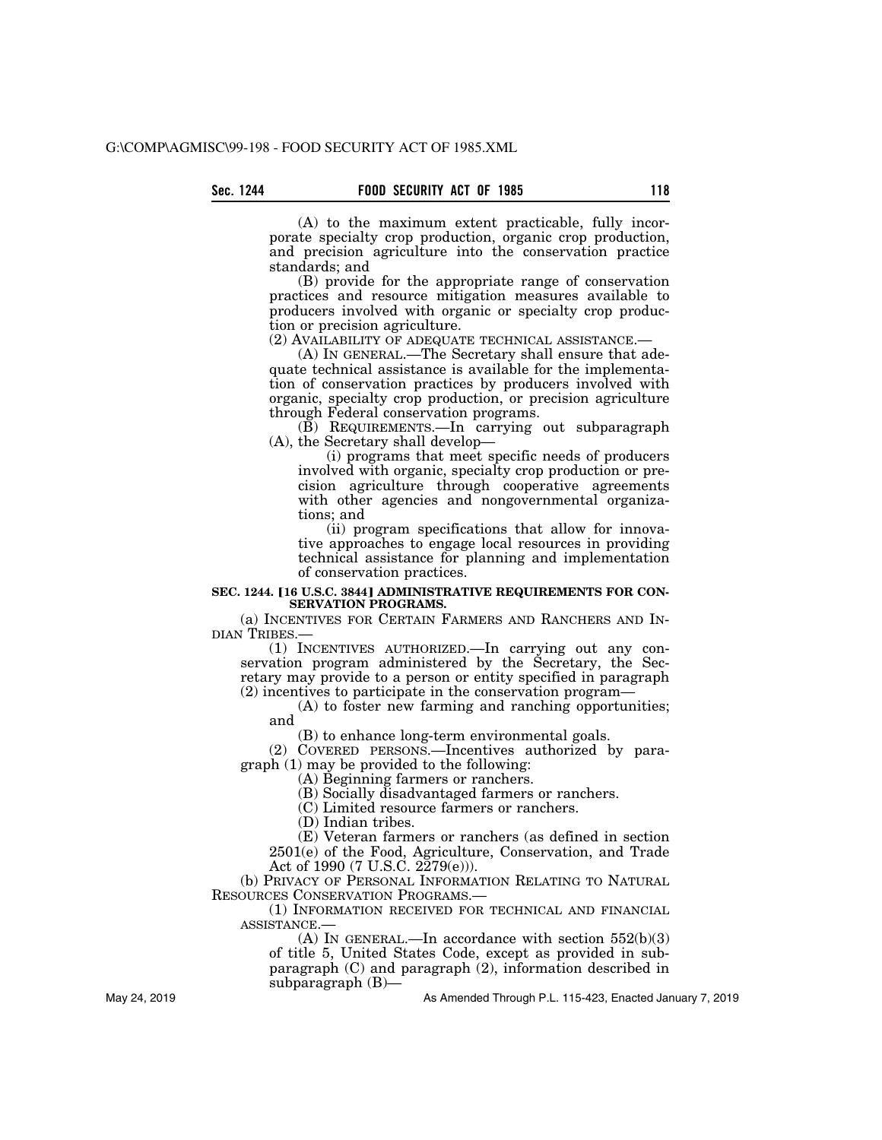(A) to the maximum extent practicable, fully incorporate specialty crop production, organic crop production, and precision agriculture into the conservation practice standards; and

(B) provide for the appropriate range of conservation practices and resource mitigation measures available to producers involved with organic or specialty crop production or precision agriculture.

(2) AVAILABILITY OF ADEQUATE TECHNICAL ASSISTANCE.—

(A) IN GENERAL.—The Secretary shall ensure that adequate technical assistance is available for the implementation of conservation practices by producers involved with organic, specialty crop production, or precision agriculture through Federal conservation programs.

(B) REQUIREMENTS.—In carrying out subparagraph (A), the Secretary shall develop—

(i) programs that meet specific needs of producers involved with organic, specialty crop production or precision agriculture through cooperative agreements with other agencies and nongovernmental organizations; and

(ii) program specifications that allow for innovative approaches to engage local resources in providing technical assistance for planning and implementation of conservation practices.

#### **SEC. 1244. [16 U.S.C. 3844] ADMINISTRATIVE REQUIREMENTS FOR CON-SERVATION PROGRAMS.**

(a) INCENTIVES FOR CERTAIN FARMERS AND RANCHERS AND IN-DIAN TRIBES.—

(1) INCENTIVES AUTHORIZED.—In carrying out any conservation program administered by the Secretary, the Secretary may provide to a person or entity specified in paragraph (2) incentives to participate in the conservation program—

(A) to foster new farming and ranching opportunities; and

(B) to enhance long-term environmental goals.

(2) COVERED PERSONS.—Incentives authorized by paragraph (1) may be provided to the following:

(A) Beginning farmers or ranchers.

(B) Socially disadvantaged farmers or ranchers.

(C) Limited resource farmers or ranchers.

(D) Indian tribes.

(E) Veteran farmers or ranchers (as defined in section 2501(e) of the Food, Agriculture, Conservation, and Trade Act of 1990 (7 U.S.C. 2279(e))).

(b) PRIVACY OF PERSONAL INFORMATION RELATING TO NATURAL RESOURCES CONSERVATION PROGRAMS.—

(1) INFORMATION RECEIVED FOR TECHNICAL AND FINANCIAL ASSISTANCE.—

(A) IN GENERAL.—In accordance with section  $552(b)(3)$ of title 5, United States Code, except as provided in subparagraph (C) and paragraph (2), information described in subparagraph (B)—

As Amended Through P.L. 115-423, Enacted January 7, 2019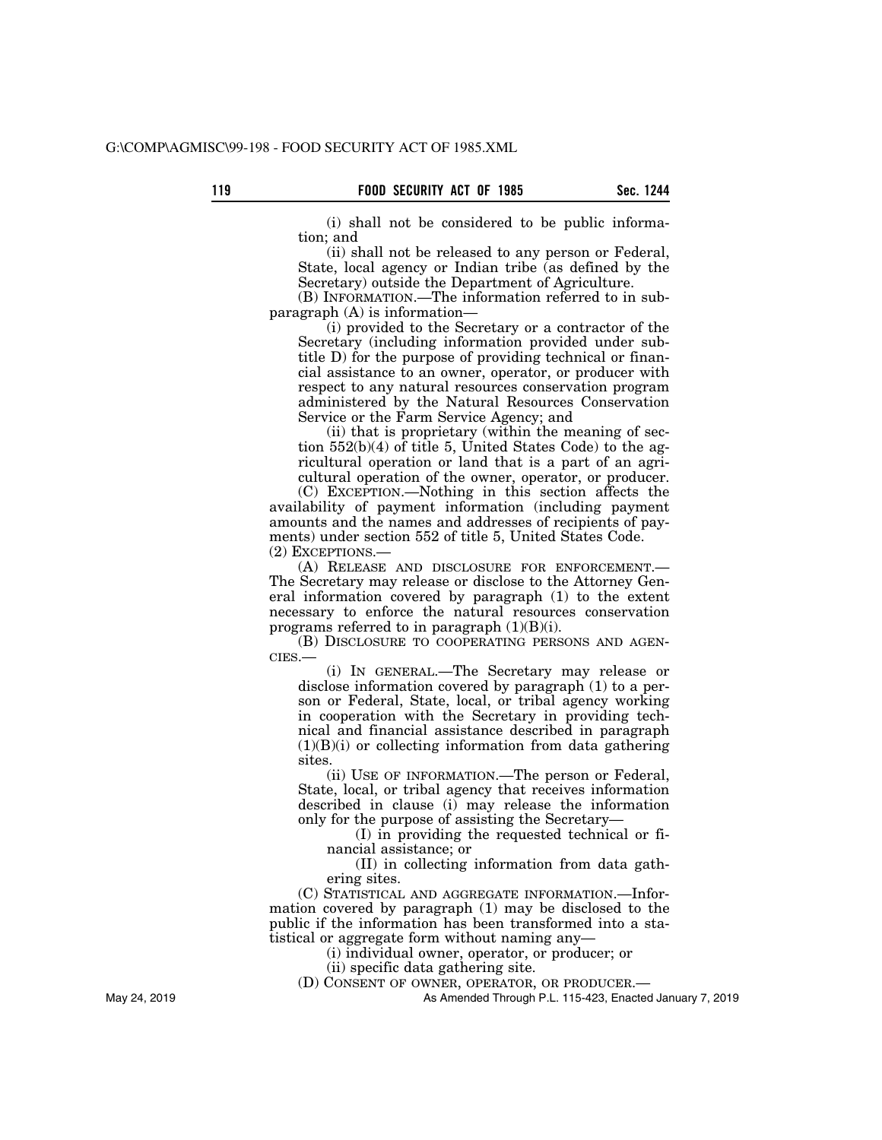(i) shall not be considered to be public information; and

(ii) shall not be released to any person or Federal, State, local agency or Indian tribe (as defined by the Secretary) outside the Department of Agriculture.

(B) INFORMATION.—The information referred to in subparagraph (A) is information—

(i) provided to the Secretary or a contractor of the Secretary (including information provided under subtitle D) for the purpose of providing technical or financial assistance to an owner, operator, or producer with respect to any natural resources conservation program administered by the Natural Resources Conservation Service or the Farm Service Agency; and

(ii) that is proprietary (within the meaning of section 552(b)(4) of title 5, United States Code) to the agricultural operation or land that is a part of an agricultural operation of the owner, operator, or producer.

(C) EXCEPTION.—Nothing in this section affects the availability of payment information (including payment amounts and the names and addresses of recipients of payments) under section 552 of title 5, United States Code. (2) EXCEPTIONS.—

(A) RELEASE AND DISCLOSURE FOR ENFORCEMENT.— The Secretary may release or disclose to the Attorney General information covered by paragraph (1) to the extent necessary to enforce the natural resources conservation programs referred to in paragraph  $(1)(B)(i)$ .

(B) DISCLOSURE TO COOPERATING PERSONS AND AGEN-CIES.—

(i) IN GENERAL.—The Secretary may release or disclose information covered by paragraph (1) to a person or Federal, State, local, or tribal agency working in cooperation with the Secretary in providing technical and financial assistance described in paragraph  $(1)(B)(i)$  or collecting information from data gathering sites.

(ii) USE OF INFORMATION.—The person or Federal, State, local, or tribal agency that receives information described in clause (i) may release the information only for the purpose of assisting the Secretary—

(I) in providing the requested technical or financial assistance; or

(II) in collecting information from data gathering sites.

(C) STATISTICAL AND AGGREGATE INFORMATION.—Information covered by paragraph (1) may be disclosed to the public if the information has been transformed into a statistical or aggregate form without naming any—

(i) individual owner, operator, or producer; or

(ii) specific data gathering site.

(D) CONSENT OF OWNER, OPERATOR, OR PRODUCER.—

As Amended Through P.L. 115-423, Enacted January 7, 2019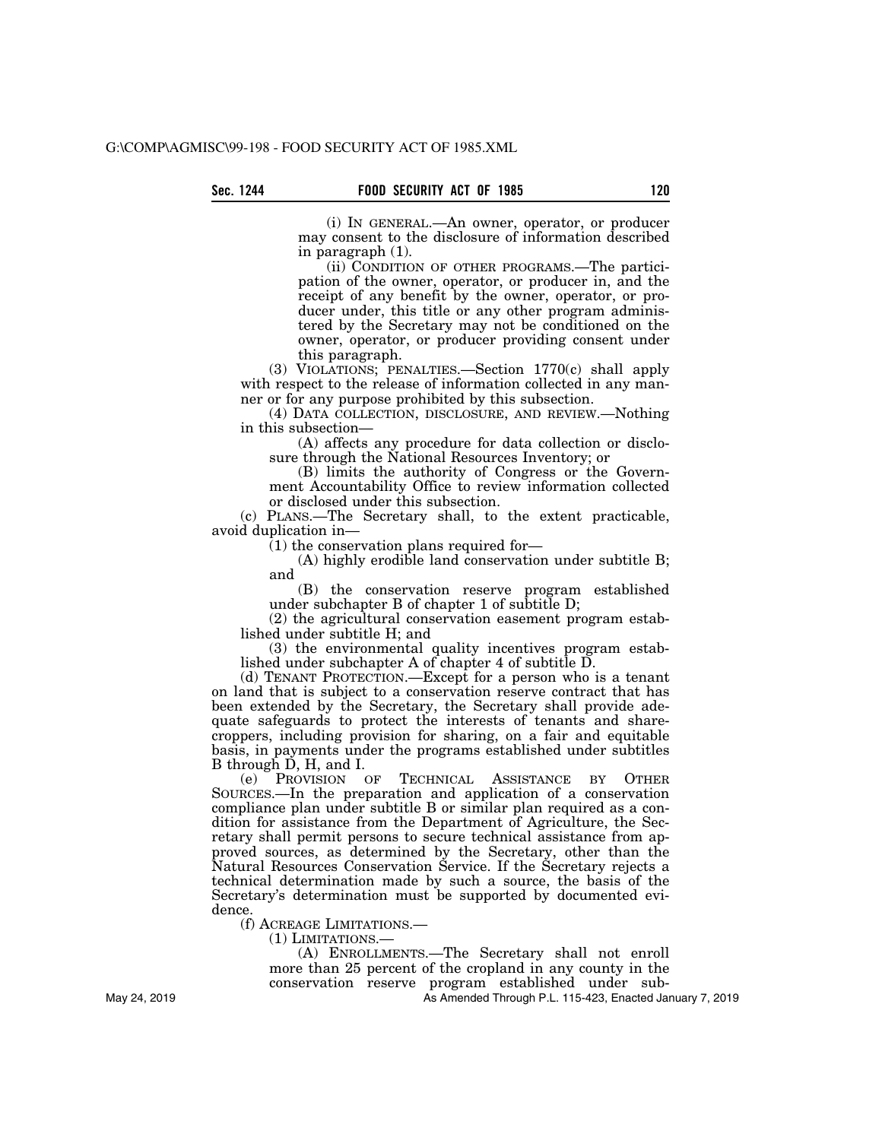(i) IN GENERAL.—An owner, operator, or producer may consent to the disclosure of information described in paragraph (1).

(ii) CONDITION OF OTHER PROGRAMS.—The participation of the owner, operator, or producer in, and the receipt of any benefit by the owner, operator, or producer under, this title or any other program administered by the Secretary may not be conditioned on the owner, operator, or producer providing consent under this paragraph.

(3) VIOLATIONS; PENALTIES.—Section 1770(c) shall apply with respect to the release of information collected in any manner or for any purpose prohibited by this subsection.

(4) DATA COLLECTION, DISCLOSURE, AND REVIEW.—Nothing in this subsection—

(A) affects any procedure for data collection or disclosure through the National Resources Inventory; or

(B) limits the authority of Congress or the Government Accountability Office to review information collected or disclosed under this subsection.

(c) PLANS.—The Secretary shall, to the extent practicable, avoid duplication in—

(1) the conservation plans required for—

(A) highly erodible land conservation under subtitle B; and

(B) the conservation reserve program established under subchapter B of chapter 1 of subtitle D;

(2) the agricultural conservation easement program established under subtitle H; and

(3) the environmental quality incentives program established under subchapter A of chapter 4 of subtitle D.

(d) TENANT PROTECTION.—Except for a person who is a tenant on land that is subject to a conservation reserve contract that has been extended by the Secretary, the Secretary shall provide adequate safeguards to protect the interests of tenants and sharecroppers, including provision for sharing, on a fair and equitable basis, in payments under the programs established under subtitles B through D, H, and I.

(e) PROVISION OF TECHNICAL ASSISTANCE BY OTHER SOURCES.—In the preparation and application of a conservation compliance plan under subtitle B or similar plan required as a condition for assistance from the Department of Agriculture, the Secretary shall permit persons to secure technical assistance from approved sources, as determined by the Secretary, other than the Natural Resources Conservation Service. If the Secretary rejects a technical determination made by such a source, the basis of the Secretary's determination must be supported by documented evidence.

(f) ACREAGE LIMITATIONS.—

(1) LIMITATIONS.—

(A) ENROLLMENTS.—The Secretary shall not enroll more than 25 percent of the cropland in any county in the conservation reserve program established under sub-

As Amended Through P.L. 115-423, Enacted January 7, 2019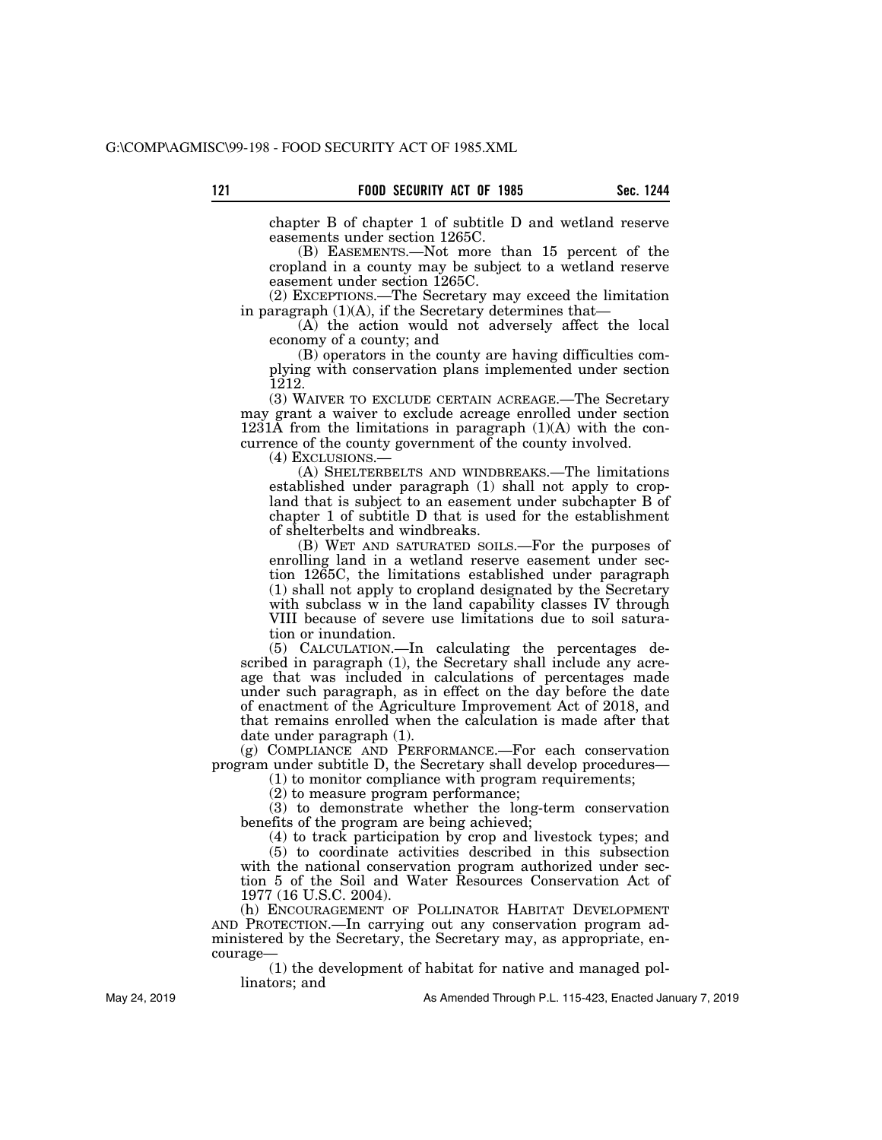chapter B of chapter 1 of subtitle D and wetland reserve easements under section 1265C.

(B) EASEMENTS.—Not more than 15 percent of the cropland in a county may be subject to a wetland reserve easement under section 1265C.

(2) EXCEPTIONS.—The Secretary may exceed the limitation in paragraph  $(1)(A)$ , if the Secretary determines that-

(A) the action would not adversely affect the local economy of a county; and

(B) operators in the county are having difficulties complying with conservation plans implemented under section 1212.

(3) WAIVER TO EXCLUDE CERTAIN ACREAGE.—The Secretary may grant a waiver to exclude acreage enrolled under section 1231A from the limitations in paragraph  $(1)(A)$  with the concurrence of the county government of the county involved.

(4) EXCLUSIONS.—

(A) SHELTERBELTS AND WINDBREAKS.—The limitations established under paragraph (1) shall not apply to cropland that is subject to an easement under subchapter B of chapter 1 of subtitle D that is used for the establishment of shelterbelts and windbreaks.

(B) WET AND SATURATED SOILS.—For the purposes of enrolling land in a wetland reserve easement under section 1265C, the limitations established under paragraph (1) shall not apply to cropland designated by the Secretary with subclass w in the land capability classes IV through VIII because of severe use limitations due to soil saturation or inundation.

(5) CALCULATION.—In calculating the percentages described in paragraph (1), the Secretary shall include any acreage that was included in calculations of percentages made under such paragraph, as in effect on the day before the date of enactment of the Agriculture Improvement Act of 2018, and that remains enrolled when the calculation is made after that date under paragraph (1).

(g) COMPLIANCE AND PERFORMANCE.—For each conservation program under subtitle D, the Secretary shall develop procedures—

(1) to monitor compliance with program requirements;

(2) to measure program performance;

(3) to demonstrate whether the long-term conservation benefits of the program are being achieved;

(4) to track participation by crop and livestock types; and (5) to coordinate activities described in this subsection with the national conservation program authorized under section 5 of the Soil and Water Resources Conservation Act of 1977 (16 U.S.C. 2004).

(h) ENCOURAGEMENT OF POLLINATOR HABITAT DEVELOPMENT AND PROTECTION.—In carrying out any conservation program administered by the Secretary, the Secretary may, as appropriate, encourage—

(1) the development of habitat for native and managed pollinators; and

May 24, 2019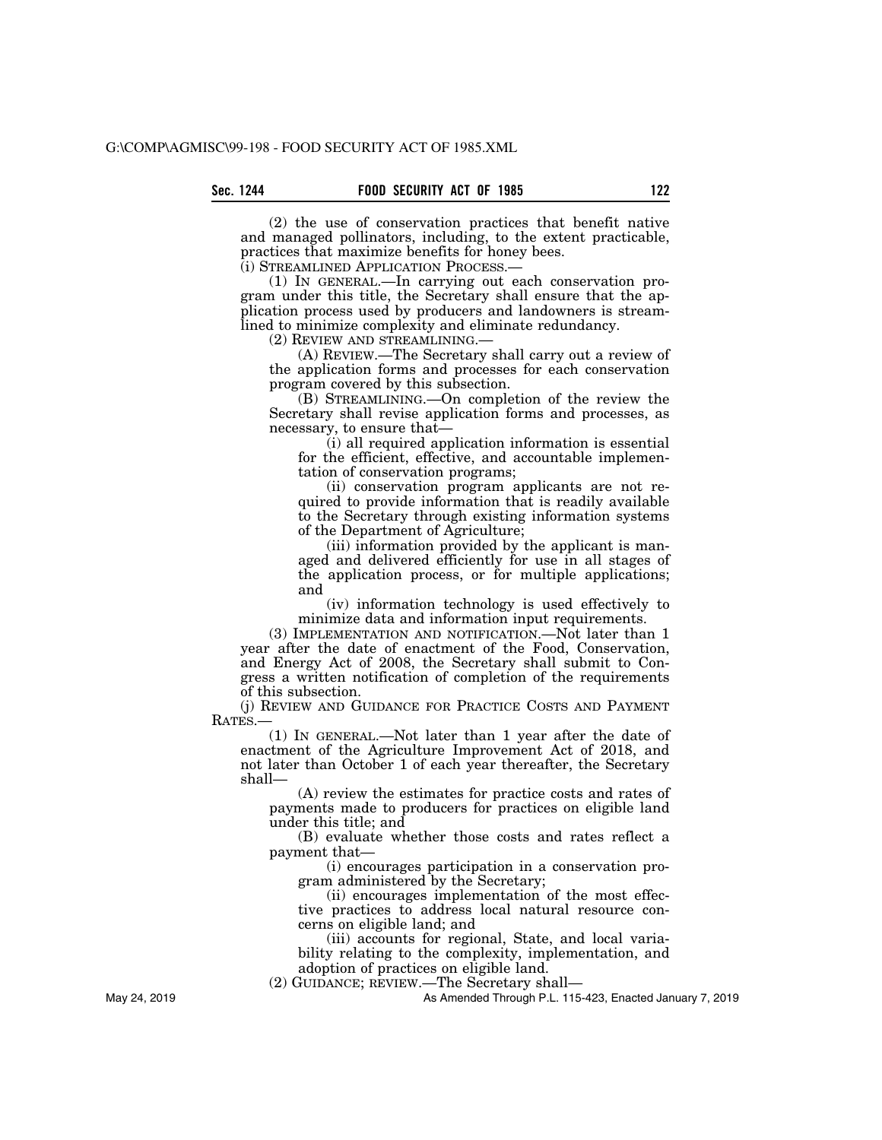(2) the use of conservation practices that benefit native and managed pollinators, including, to the extent practicable, practices that maximize benefits for honey bees.

(i) STREAMLINED APPLICATION PROCESS.—

(1) IN GENERAL.—In carrying out each conservation program under this title, the Secretary shall ensure that the application process used by producers and landowners is streamlined to minimize complexity and eliminate redundancy.

(2) REVIEW AND STREAMLINING.—

(A) REVIEW.—The Secretary shall carry out a review of the application forms and processes for each conservation program covered by this subsection.

(B) STREAMLINING.—On completion of the review the Secretary shall revise application forms and processes, as necessary, to ensure that—

(i) all required application information is essential for the efficient, effective, and accountable implementation of conservation programs;

(ii) conservation program applicants are not required to provide information that is readily available to the Secretary through existing information systems of the Department of Agriculture;

(iii) information provided by the applicant is managed and delivered efficiently for use in all stages of the application process, or for multiple applications; and

(iv) information technology is used effectively to minimize data and information input requirements.

(3) IMPLEMENTATION AND NOTIFICATION.—Not later than 1 year after the date of enactment of the Food, Conservation, and Energy Act of 2008, the Secretary shall submit to Congress a written notification of completion of the requirements of this subsection.

(j) REVIEW AND GUIDANCE FOR PRACTICE COSTS AND PAYMENT RATES.

(1) IN GENERAL.—Not later than 1 year after the date of enactment of the Agriculture Improvement Act of 2018, and not later than October 1 of each year thereafter, the Secretary shall—

(A) review the estimates for practice costs and rates of payments made to producers for practices on eligible land under this title; and

(B) evaluate whether those costs and rates reflect a payment that—

(i) encourages participation in a conservation program administered by the Secretary;

(ii) encourages implementation of the most effective practices to address local natural resource concerns on eligible land; and

(iii) accounts for regional, State, and local variability relating to the complexity, implementation, and adoption of practices on eligible land.

(2) GUIDANCE; REVIEW.—The Secretary shall—

As Amended Through P.L. 115-423, Enacted January 7, 2019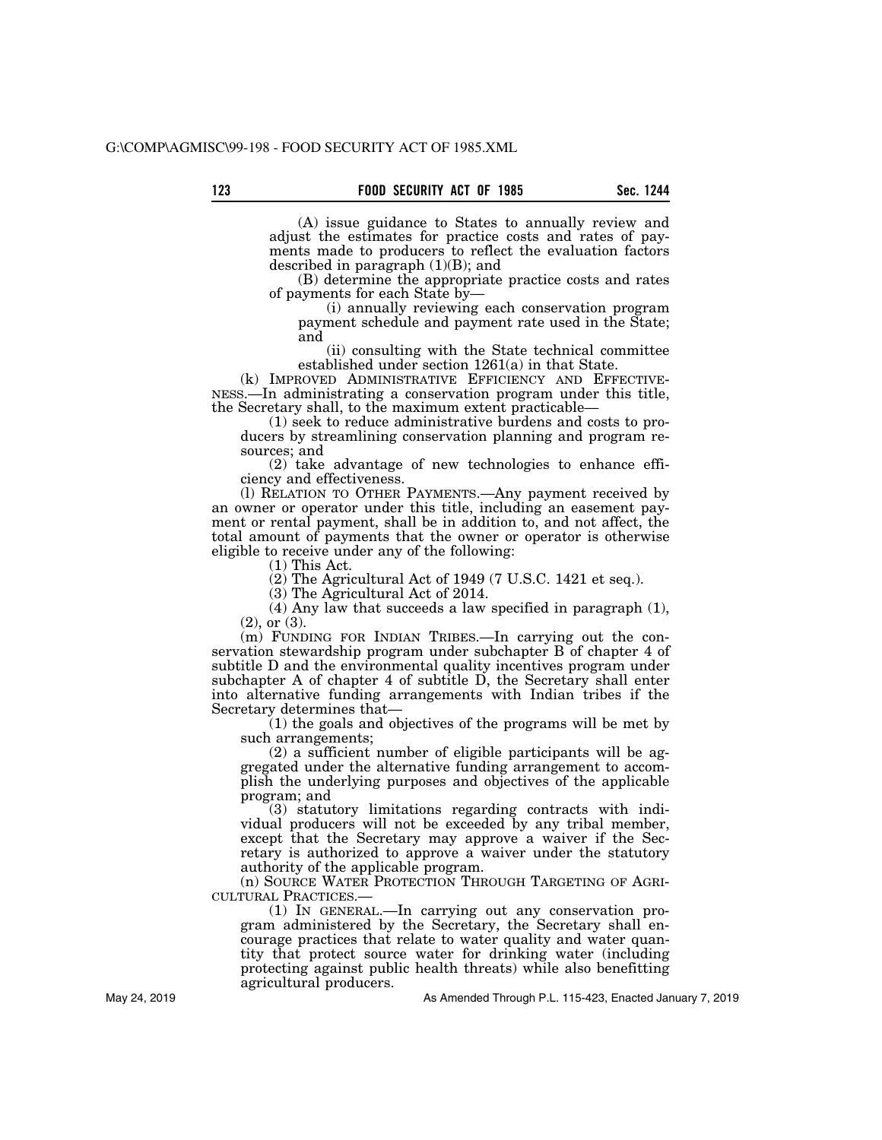(A) issue guidance to States to annually review and adjust the estimates for practice costs and rates of payments made to producers to reflect the evaluation factors described in paragraph  $(1)(B)$ ; and

(B) determine the appropriate practice costs and rates of payments for each State by—

(i) annually reviewing each conservation program payment schedule and payment rate used in the State; and

(ii) consulting with the State technical committee

established under section 1261(a) in that State.<br>(k) IMPROVED ADMINISTRATIVE EFFICIENCY AND EFFECTIVE-NESS.—In administrating a conservation program under this title, the Secretary shall, to the maximum extent practicable—

(1) seek to reduce administrative burdens and costs to producers by streamlining conservation planning and program resources; and

(2) take advantage of new technologies to enhance efficiency and effectiveness.

(l) RELATION TO OTHER PAYMENTS.—Any payment received by an owner or operator under this title, including an easement payment or rental payment, shall be in addition to, and not affect, the total amount of payments that the owner or operator is otherwise eligible to receive under any of the following:

(1) This Act.

(2) The Agricultural Act of 1949 (7 U.S.C. 1421 et seq.).

(3) The Agricultural Act of 2014.

(4) Any law that succeeds a law specified in paragraph (1), (2), or (3).

(m) FUNDING FOR INDIAN TRIBES.—In carrying out the conservation stewardship program under subchapter B of chapter 4 of subtitle D and the environmental quality incentives program under subchapter A of chapter 4 of subtitle D, the Secretary shall enter into alternative funding arrangements with Indian tribes if the Secretary determines that—

(1) the goals and objectives of the programs will be met by such arrangements;

(2) a sufficient number of eligible participants will be aggregated under the alternative funding arrangement to accomplish the underlying purposes and objectives of the applicable program; and

(3) statutory limitations regarding contracts with individual producers will not be exceeded by any tribal member, except that the Secretary may approve a waiver if the Secretary is authorized to approve a waiver under the statutory authority of the applicable program.

(n) SOURCE WATER PROTECTION THROUGH TARGETING OF AGRI-CULTURAL PRACTICES.—

(1) IN GENERAL.—In carrying out any conservation program administered by the Secretary, the Secretary shall encourage practices that relate to water quality and water quantity that protect source water for drinking water (including protecting against public health threats) while also benefitting agricultural producers.

As Amended Through P.L. 115-423, Enacted January 7, 2019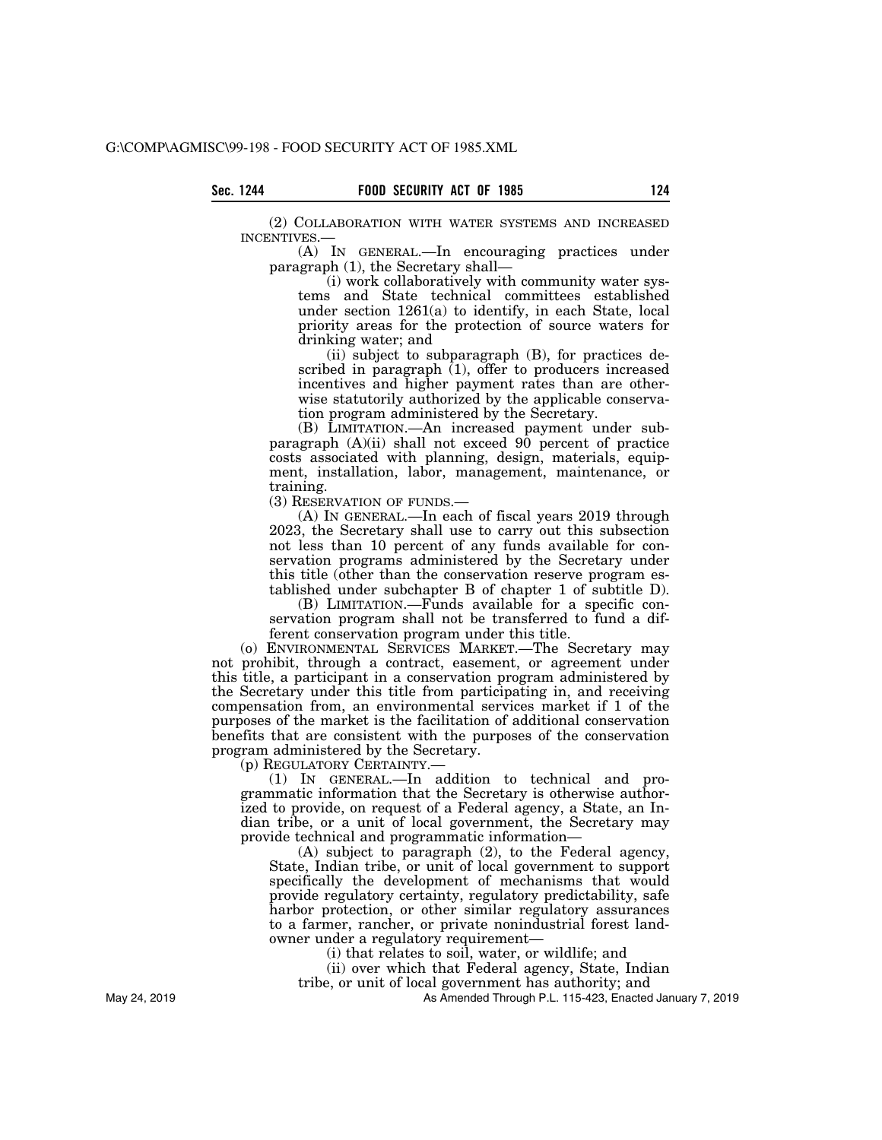(2) COLLABORATION WITH WATER SYSTEMS AND INCREASED INCENTIVES.—

(A) IN GENERAL.—In encouraging practices under paragraph (1), the Secretary shall—

(i) work collaboratively with community water systems and State technical committees established under section 1261(a) to identify, in each State, local priority areas for the protection of source waters for drinking water; and

(ii) subject to subparagraph (B), for practices described in paragraph (1), offer to producers increased incentives and higher payment rates than are otherwise statutorily authorized by the applicable conservation program administered by the Secretary.

(B) LIMITATION.—An increased payment under subparagraph (A)(ii) shall not exceed 90 percent of practice costs associated with planning, design, materials, equipment, installation, labor, management, maintenance, or training.

(3) RESERVATION OF FUNDS.—

(A) IN GENERAL.—In each of fiscal years 2019 through 2023, the Secretary shall use to carry out this subsection not less than 10 percent of any funds available for conservation programs administered by the Secretary under this title (other than the conservation reserve program established under subchapter B of chapter 1 of subtitle D).

(B) LIMITATION.—Funds available for a specific conservation program shall not be transferred to fund a different conservation program under this title.

(o) ENVIRONMENTAL SERVICES MARKET.—The Secretary may not prohibit, through a contract, easement, or agreement under this title, a participant in a conservation program administered by the Secretary under this title from participating in, and receiving compensation from, an environmental services market if 1 of the purposes of the market is the facilitation of additional conservation benefits that are consistent with the purposes of the conservation program administered by the Secretary.

(p) REGULATORY CERTAINTY.—

(1) IN GENERAL.—In addition to technical and programmatic information that the Secretary is otherwise authorized to provide, on request of a Federal agency, a State, an Indian tribe, or a unit of local government, the Secretary may provide technical and programmatic information—

(A) subject to paragraph (2), to the Federal agency, State, Indian tribe, or unit of local government to support specifically the development of mechanisms that would provide regulatory certainty, regulatory predictability, safe harbor protection, or other similar regulatory assurances to a farmer, rancher, or private nonindustrial forest landowner under a regulatory requirement—

(i) that relates to soil, water, or wildlife; and

(ii) over which that Federal agency, State, Indian tribe, or unit of local government has authority; and

As Amended Through P.L. 115-423, Enacted January 7, 2019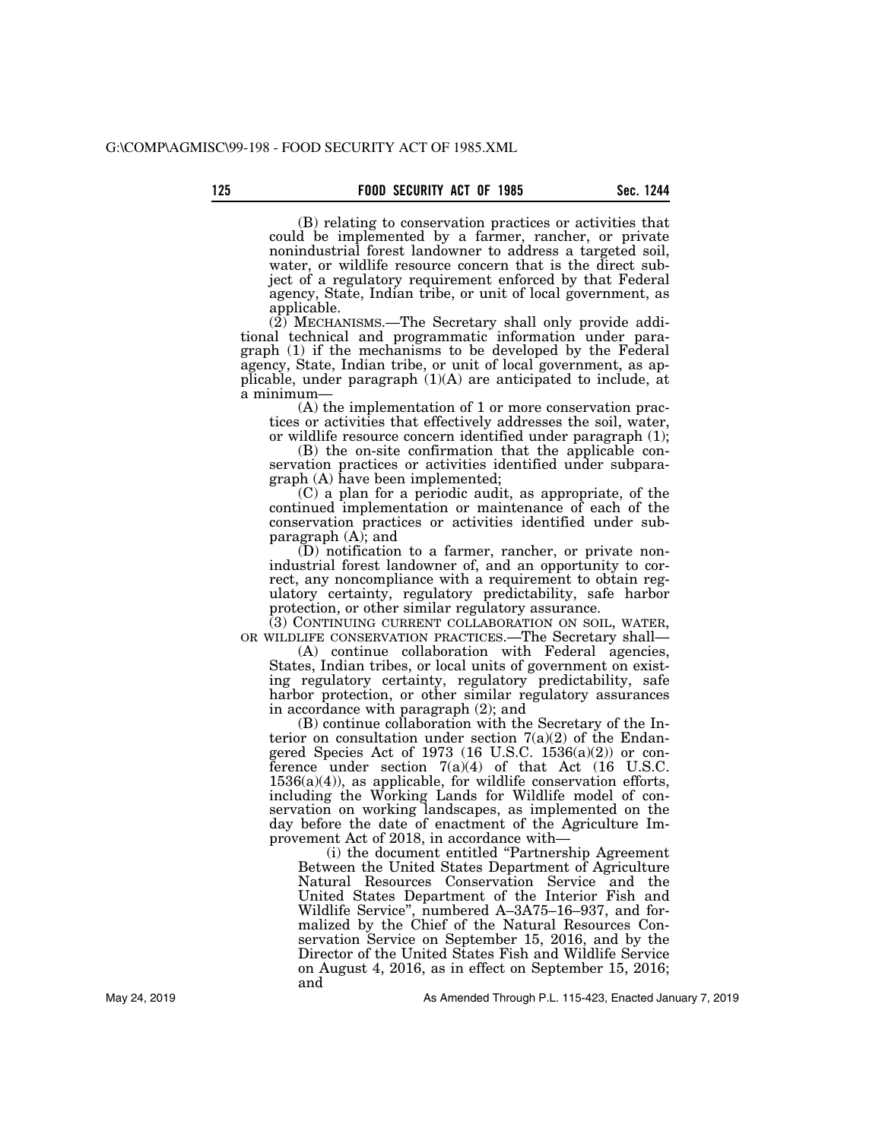(B) relating to conservation practices or activities that could be implemented by a farmer, rancher, or private nonindustrial forest landowner to address a targeted soil, water, or wildlife resource concern that is the direct subject of a regulatory requirement enforced by that Federal agency, State, Indian tribe, or unit of local government, as applicable.

 $(2)$  MECHANISMS.—The Secretary shall only provide additional technical and programmatic information under paragraph (1) if the mechanisms to be developed by the Federal agency, State, Indian tribe, or unit of local government, as applicable, under paragraph (1)(A) are anticipated to include, at a minimum—

(A) the implementation of 1 or more conservation practices or activities that effectively addresses the soil, water, or wildlife resource concern identified under paragraph (1);

(B) the on-site confirmation that the applicable conservation practices or activities identified under subparagraph (A) have been implemented;

(C) a plan for a periodic audit, as appropriate, of the continued implementation or maintenance of each of the conservation practices or activities identified under subparagraph  $(A)$ ; and

(D) notification to a farmer, rancher, or private nonindustrial forest landowner of, and an opportunity to correct, any noncompliance with a requirement to obtain regulatory certainty, regulatory predictability, safe harbor protection, or other similar regulatory assurance.

(3) CONTINUING CURRENT COLLABORATION ON SOIL, WATER, OR WILDLIFE CONSERVATION PRACTICES.—The Secretary shall—

(A) continue collaboration with Federal agencies, States, Indian tribes, or local units of government on existing regulatory certainty, regulatory predictability, safe harbor protection, or other similar regulatory assurances in accordance with paragraph (2); and

(B) continue collaboration with the Secretary of the Interior on consultation under section  $7(a)(2)$  of the Endangered Species Act of 1973 (16 U.S.C.  $1536(a)(2)$ ) or conference under section  $7(a)(4)$  of that Act (16 U.S.C.)  $1536(a)(4)$ , as applicable, for wildlife conservation efforts, including the Working Lands for Wildlife model of conservation on working landscapes, as implemented on the day before the date of enactment of the Agriculture Improvement Act of 2018, in accordance with—

(i) the document entitled ''Partnership Agreement Between the United States Department of Agriculture Natural Resources Conservation Service and the United States Department of the Interior Fish and Wildlife Service'', numbered A–3A75–16–937, and formalized by the Chief of the Natural Resources Conservation Service on September 15, 2016, and by the Director of the United States Fish and Wildlife Service on August 4, 2016, as in effect on September 15, 2016; and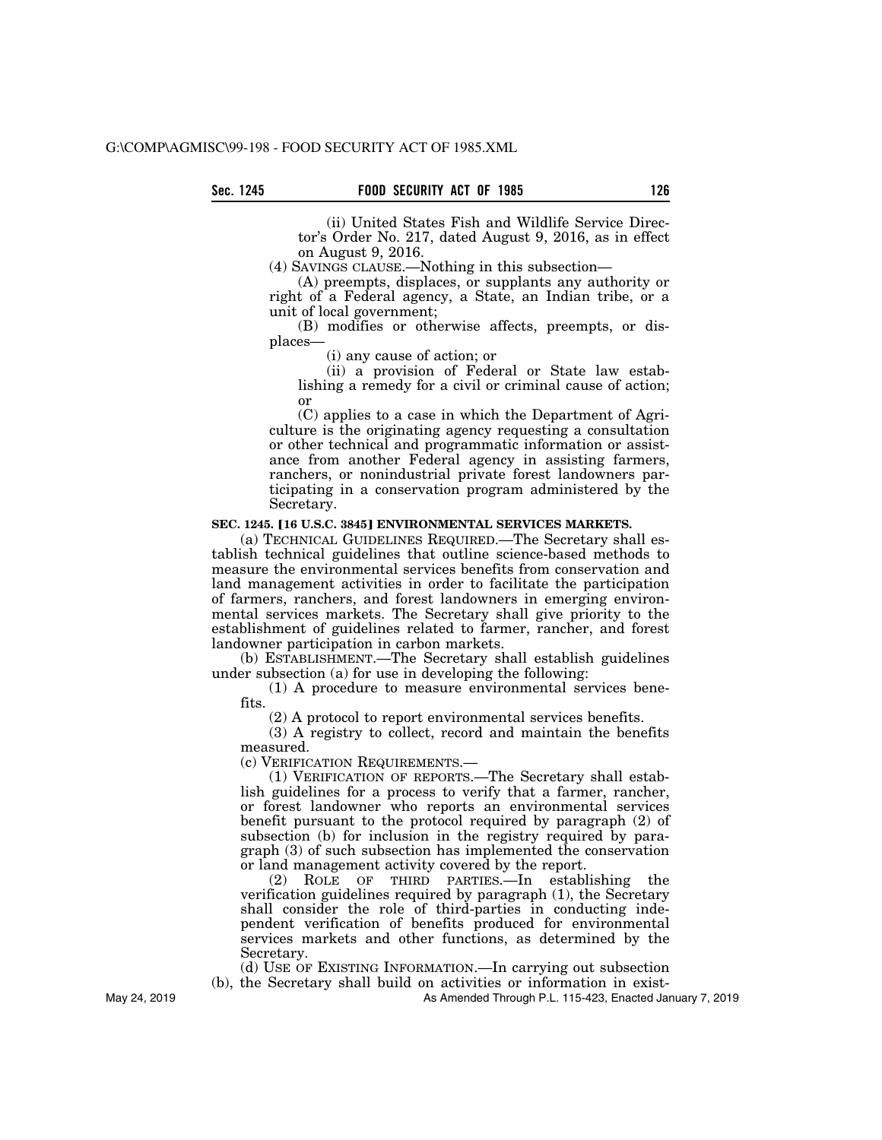(ii) United States Fish and Wildlife Service Director's Order No. 217, dated August 9, 2016, as in effect on August 9, 2016.

(4) SAVINGS CLAUSE.—Nothing in this subsection—

(A) preempts, displaces, or supplants any authority or right of a Federal agency, a State, an Indian tribe, or a unit of local government;

(B) modifies or otherwise affects, preempts, or displaces—

(i) any cause of action; or

(ii) a provision of Federal or State law establishing a remedy for a civil or criminal cause of action; or

(C) applies to a case in which the Department of Agriculture is the originating agency requesting a consultation or other technical and programmatic information or assistance from another Federal agency in assisting farmers, ranchers, or nonindustrial private forest landowners participating in a conservation program administered by the Secretary.

## **SEC. 1245. [16 U.S.C. 3845] ENVIRONMENTAL SERVICES MARKETS.**

(a) TECHNICAL GUIDELINES REQUIRED.—The Secretary shall establish technical guidelines that outline science-based methods to measure the environmental services benefits from conservation and land management activities in order to facilitate the participation of farmers, ranchers, and forest landowners in emerging environmental services markets. The Secretary shall give priority to the establishment of guidelines related to farmer, rancher, and forest landowner participation in carbon markets.

(b) ESTABLISHMENT.—The Secretary shall establish guidelines under subsection (a) for use in developing the following:

(1) A procedure to measure environmental services benefits.

(2) A protocol to report environmental services benefits.

(3) A registry to collect, record and maintain the benefits measured.

(c) VERIFICATION REQUIREMENTS.—

(1) VERIFICATION OF REPORTS.—The Secretary shall establish guidelines for a process to verify that a farmer, rancher, or forest landowner who reports an environmental services benefit pursuant to the protocol required by paragraph (2) of subsection (b) for inclusion in the registry required by paragraph (3) of such subsection has implemented the conservation or land management activity covered by the report.

(2) ROLE OF THIRD PARTIES.—In establishing the verification guidelines required by paragraph (1), the Secretary shall consider the role of third-parties in conducting independent verification of benefits produced for environmental services markets and other functions, as determined by the Secretary.

(d) USE OF EXISTING INFORMATION.—In carrying out subsection (b), the Secretary shall build on activities or information in exist-

As Amended Through P.L. 115-423, Enacted January 7, 2019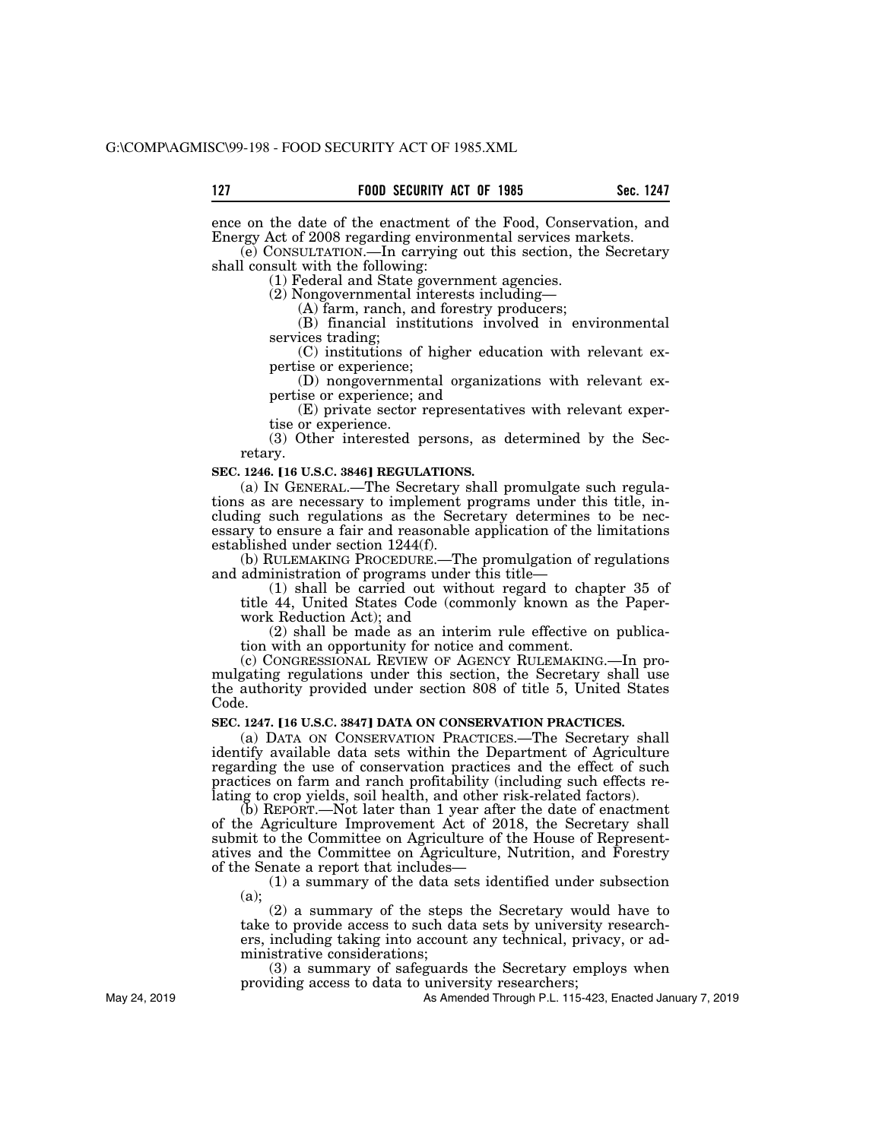ence on the date of the enactment of the Food, Conservation, and Energy Act of 2008 regarding environmental services markets.

(e) CONSULTATION.—In carrying out this section, the Secretary shall consult with the following:

(1) Federal and State government agencies.

(2) Nongovernmental interests including—

(A) farm, ranch, and forestry producers;

(B) financial institutions involved in environmental services trading;

(C) institutions of higher education with relevant expertise or experience;

(D) nongovernmental organizations with relevant expertise or experience; and

(E) private sector representatives with relevant expertise or experience.

(3) Other interested persons, as determined by the Secretary.

#### **SEC. 1246. [16 U.S.C. 3846] REGULATIONS.**

(a) IN GENERAL.—The Secretary shall promulgate such regulations as are necessary to implement programs under this title, including such regulations as the Secretary determines to be necessary to ensure a fair and reasonable application of the limitations established under section 1244(f).

(b) RULEMAKING PROCEDURE.—The promulgation of regulations and administration of programs under this title—

(1) shall be carried out without regard to chapter 35 of title 44, United States Code (commonly known as the Paperwork Reduction Act); and

(2) shall be made as an interim rule effective on publication with an opportunity for notice and comment.

(c) CONGRESSIONAL REVIEW OF AGENCY RULEMAKING.—In promulgating regulations under this section, the Secretary shall use the authority provided under section 808 of title 5, United States Code.

# **SEC. 1247. [16 U.S.C. 3847] DATA ON CONSERVATION PRACTICES.**

(a) DATA ON CONSERVATION PRACTICES.—The Secretary shall identify available data sets within the Department of Agriculture regarding the use of conservation practices and the effect of such practices on farm and ranch profitability (including such effects relating to crop yields, soil health, and other risk-related factors).

(b) REPORT.—Not later than 1 year after the date of enactment of the Agriculture Improvement Act of 2018, the Secretary shall submit to the Committee on Agriculture of the House of Representatives and the Committee on Agriculture, Nutrition, and Forestry of the Senate a report that includes—

(1) a summary of the data sets identified under subsection (a);

(2) a summary of the steps the Secretary would have to take to provide access to such data sets by university researchers, including taking into account any technical, privacy, or administrative considerations;

(3) a summary of safeguards the Secretary employs when providing access to data to university researchers;

As Amended Through P.L. 115-423, Enacted January 7, 2019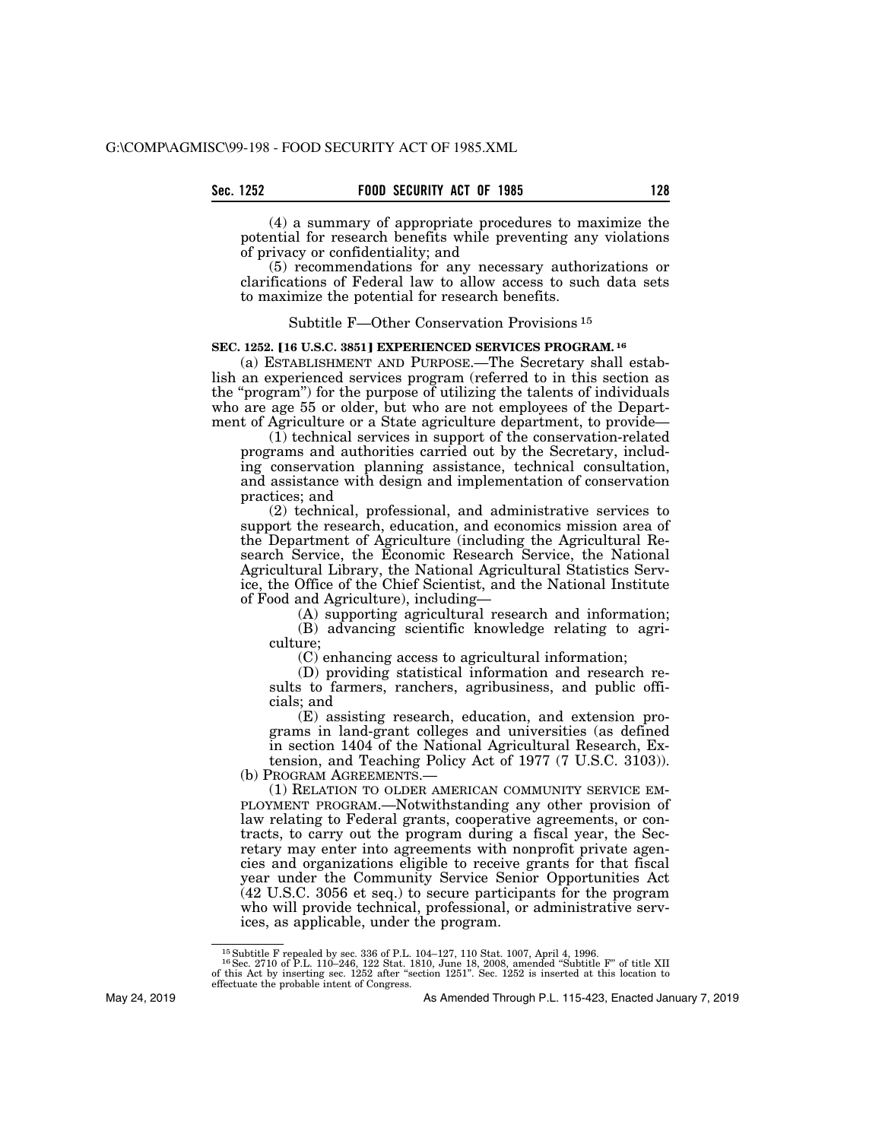(4) a summary of appropriate procedures to maximize the potential for research benefits while preventing any violations of privacy or confidentiality; and

(5) recommendations for any necessary authorizations or clarifications of Federal law to allow access to such data sets to maximize the potential for research benefits.

## Subtitle F—Other Conservation Provisions 15

### **SEC. 1252. [16 U.S.C. 3851] EXPERIENCED SERVICES PROGRAM. <sup>16</sup>**

(a) ESTABLISHMENT AND PURPOSE.—The Secretary shall establish an experienced services program (referred to in this section as the ''program'') for the purpose of utilizing the talents of individuals who are age 55 or older, but who are not employees of the Department of Agriculture or a State agriculture department, to provide—

(1) technical services in support of the conservation-related programs and authorities carried out by the Secretary, including conservation planning assistance, technical consultation, and assistance with design and implementation of conservation practices; and

(2) technical, professional, and administrative services to support the research, education, and economics mission area of the Department of Agriculture (including the Agricultural Research Service, the Economic Research Service, the National Agricultural Library, the National Agricultural Statistics Service, the Office of the Chief Scientist, and the National Institute of Food and Agriculture), including—

(A) supporting agricultural research and information;

(B) advancing scientific knowledge relating to agriculture;

(C) enhancing access to agricultural information;

(D) providing statistical information and research results to farmers, ranchers, agribusiness, and public officials; and

(E) assisting research, education, and extension programs in land-grant colleges and universities (as defined in section 1404 of the National Agricultural Research, Extension, and Teaching Policy Act of 1977 (7 U.S.C. 3103)).

(b) PROGRAM AGREEMENTS.—

(1) RELATION TO OLDER AMERICAN COMMUNITY SERVICE EM-PLOYMENT PROGRAM.—Notwithstanding any other provision of law relating to Federal grants, cooperative agreements, or contracts, to carry out the program during a fiscal year, the Secretary may enter into agreements with nonprofit private agencies and organizations eligible to receive grants for that fiscal year under the Community Service Senior Opportunities Act (42 U.S.C. 3056 et seq.) to secure participants for the program who will provide technical, professional, or administrative services, as applicable, under the program.

 $^{15}$  Subtitle F repealed by sec. 336 of P.L. 104–127, 110 Stat. 1007, April 4, 1996.<br> $^{16}$  Sec. 2710 of P.L. 110–246, 122 Stat. 1810, June 18, 2008, amended "Subtitle F" of title XII of this Act by inserting sec. 1252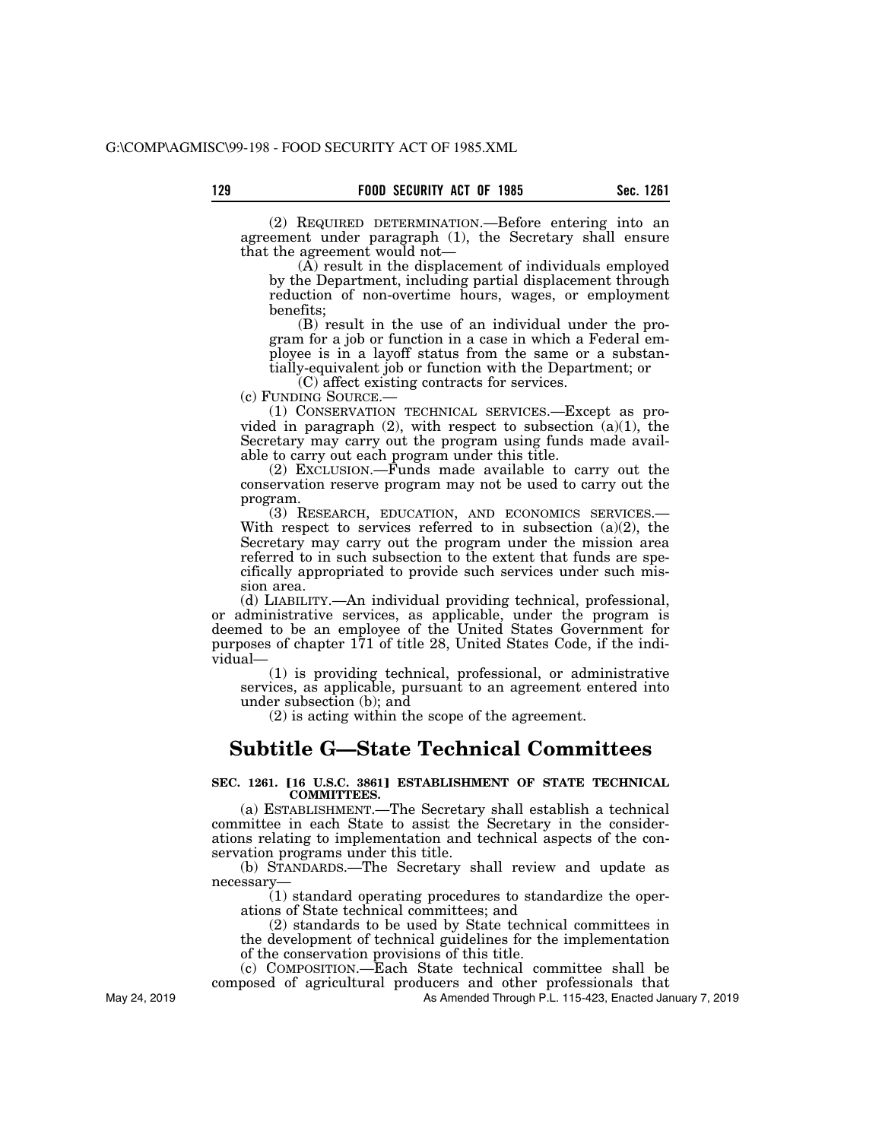(2) REQUIRED DETERMINATION.—Before entering into an agreement under paragraph (1), the Secretary shall ensure that the agreement would not—

(A) result in the displacement of individuals employed by the Department, including partial displacement through reduction of non-overtime hours, wages, or employment benefits;

(B) result in the use of an individual under the program for a job or function in a case in which a Federal employee is in a layoff status from the same or a substantially-equivalent job or function with the Department; or

(C) affect existing contracts for services.

(c) FUNDING SOURCE.—

(1) CONSERVATION TECHNICAL SERVICES.—Except as provided in paragraph  $(2)$ , with respect to subsection  $(a)(1)$ , the Secretary may carry out the program using funds made available to carry out each program under this title.

(2) EXCLUSION.—Funds made available to carry out the conservation reserve program may not be used to carry out the program.

(3) RESEARCH, EDUCATION, AND ECONOMICS SERVICES.— With respect to services referred to in subsection  $(a)(2)$ , the Secretary may carry out the program under the mission area referred to in such subsection to the extent that funds are specifically appropriated to provide such services under such mission area.

(d) LIABILITY.—An individual providing technical, professional, or administrative services, as applicable, under the program is deemed to be an employee of the United States Government for purposes of chapter  $171$  of title 28, United States Code, if the individual—

(1) is providing technical, professional, or administrative services, as applicable, pursuant to an agreement entered into under subsection (b); and

(2) is acting within the scope of the agreement.

# **Subtitle G—State Technical Committees**

### **SEC. 1261. [16 U.S.C. 3861] ESTABLISHMENT OF STATE TECHNICAL COMMITTEES.**

(a) ESTABLISHMENT.—The Secretary shall establish a technical committee in each State to assist the Secretary in the considerations relating to implementation and technical aspects of the conservation programs under this title.

(b) STANDARDS.—The Secretary shall review and update as necessary—

(1) standard operating procedures to standardize the operations of State technical committees; and

(2) standards to be used by State technical committees in the development of technical guidelines for the implementation of the conservation provisions of this title.

(c) COMPOSITION.—Each State technical committee shall be composed of agricultural producers and other professionals that

As Amended Through P.L. 115-423, Enacted January 7, 2019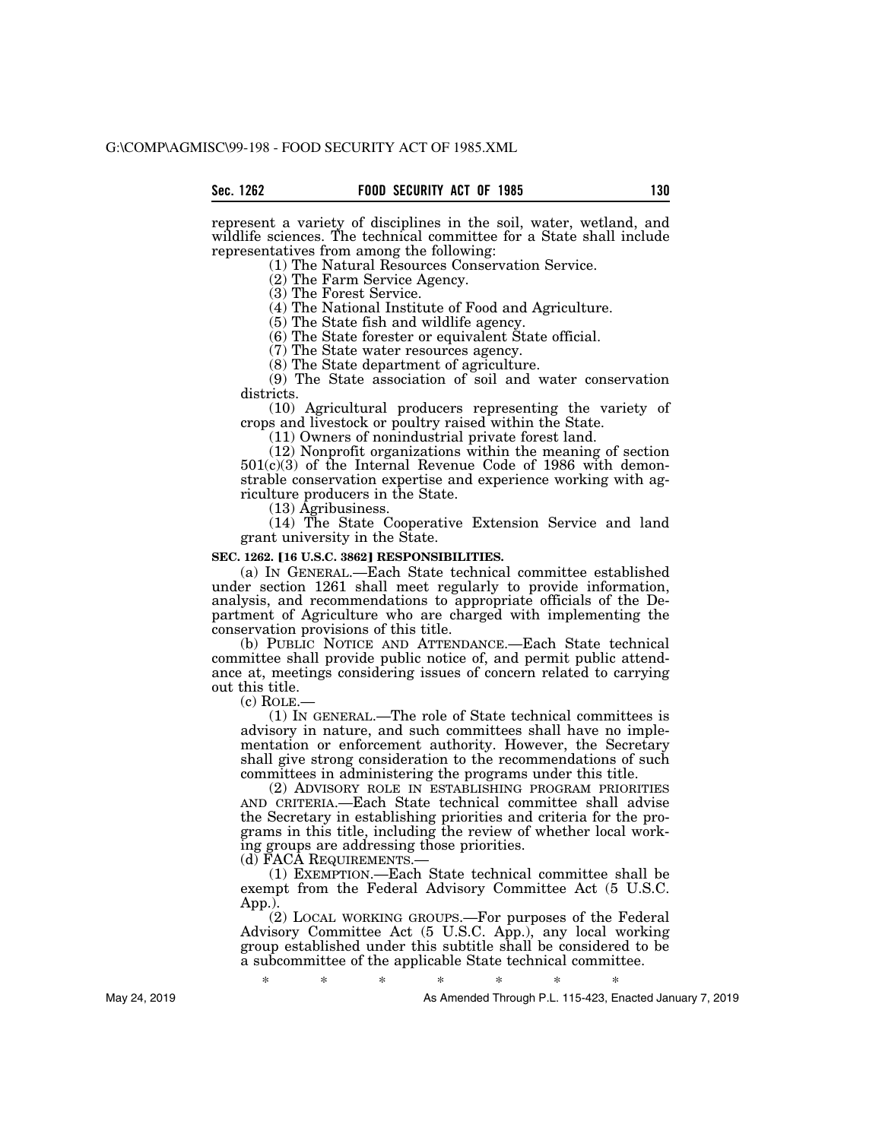represent a variety of disciplines in the soil, water, wetland, and wildlife sciences. The technical committee for a State shall include representatives from among the following:

(1) The Natural Resources Conservation Service.

(2) The Farm Service Agency.

(3) The Forest Service.

(4) The National Institute of Food and Agriculture.

(5) The State fish and wildlife agency.

(6) The State forester or equivalent State official.

(7) The State water resources agency.

(8) The State department of agriculture.

(9) The State association of soil and water conservation districts.

(10) Agricultural producers representing the variety of crops and livestock or poultry raised within the State.

(11) Owners of nonindustrial private forest land.

(12) Nonprofit organizations within the meaning of section 501(c)(3) of the Internal Revenue Code of 1986 with demonstrable conservation expertise and experience working with agriculture producers in the State.

(13) Agribusiness.

(14) The State Cooperative Extension Service and land grant university in the State.

#### **SEC. 1262. [16 U.S.C. 3862] RESPONSIBILITIES.**

(a) IN GENERAL.—Each State technical committee established under section 1261 shall meet regularly to provide information, analysis, and recommendations to appropriate officials of the Department of Agriculture who are charged with implementing the conservation provisions of this title.

(b) PUBLIC NOTICE AND ATTENDANCE.—Each State technical committee shall provide public notice of, and permit public attendance at, meetings considering issues of concern related to carrying out this title.

 $(c)$  ROLE.

(1) IN GENERAL.—The role of State technical committees is advisory in nature, and such committees shall have no implementation or enforcement authority. However, the Secretary shall give strong consideration to the recommendations of such committees in administering the programs under this title.

(2) ADVISORY ROLE IN ESTABLISHING PROGRAM PRIORITIES AND CRITERIA.—Each State technical committee shall advise the Secretary in establishing priorities and criteria for the programs in this title, including the review of whether local working groups are addressing those priorities.

(d) FACA REQUIREMENTS.—

(1) EXEMPTION.—Each State technical committee shall be exempt from the Federal Advisory Committee Act (5 U.S.C. App.).

(2) LOCAL WORKING GROUPS.—For purposes of the Federal Advisory Committee Act (5 U.S.C. App.), any local working group established under this subtitle shall be considered to be a subcommittee of the applicable State technical committee.

May 24, 2019

\* \* \* \* \* \* \* As Amended Through P.L. 115-423, Enacted January 7, 2019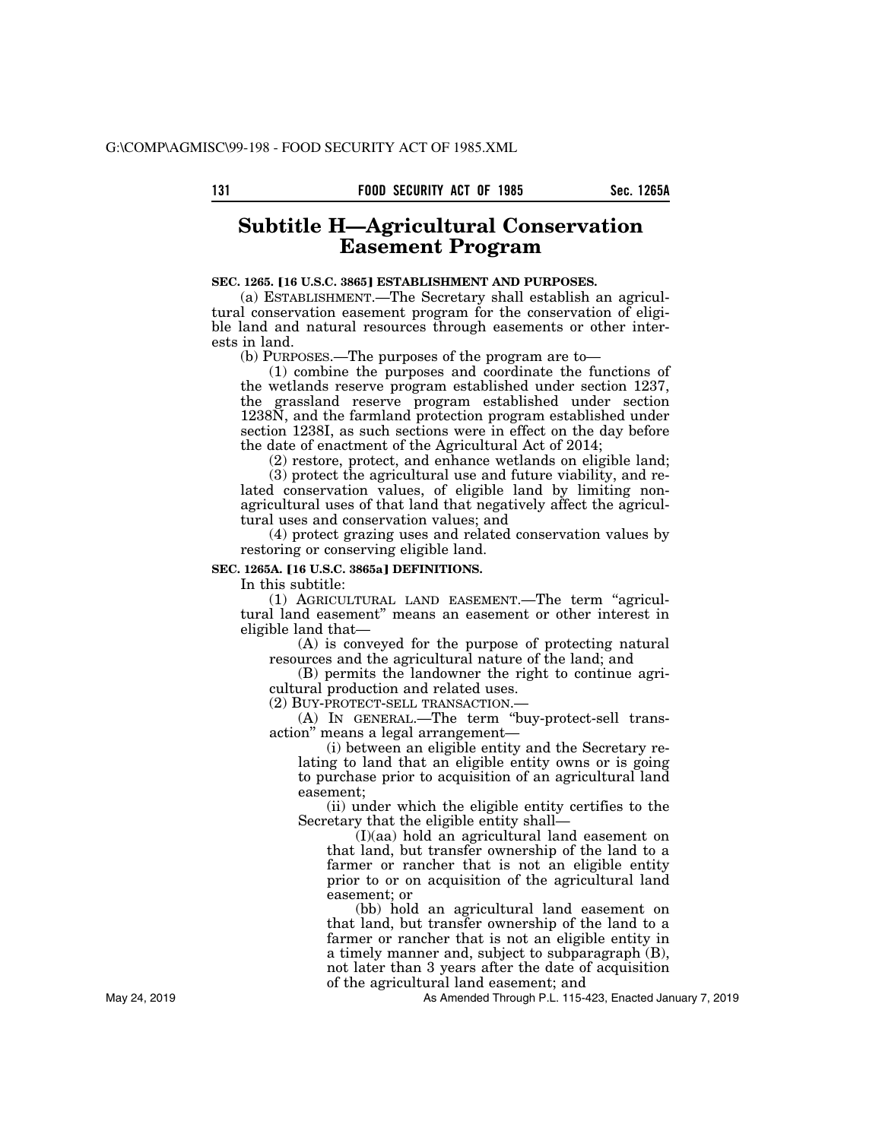# **Subtitle H—Agricultural Conservation Easement Program**

# **SEC. 1265. [16 U.S.C. 3865] ESTABLISHMENT AND PURPOSES.**

(a) ESTABLISHMENT.—The Secretary shall establish an agricultural conservation easement program for the conservation of eligible land and natural resources through easements or other interests in land.

(b) PURPOSES.—The purposes of the program are to—

(1) combine the purposes and coordinate the functions of the wetlands reserve program established under section 1237, the grassland reserve program established under section 1238N, and the farmland protection program established under section 1238I, as such sections were in effect on the day before the date of enactment of the Agricultural Act of 2014;

(2) restore, protect, and enhance wetlands on eligible land;

(3) protect the agricultural use and future viability, and related conservation values, of eligible land by limiting nonagricultural uses of that land that negatively affect the agricultural uses and conservation values; and

(4) protect grazing uses and related conservation values by restoring or conserving eligible land.

**SEC. 1265A. [16 U.S.C. 3865a] DEFINITIONS.** 

In this subtitle:

(1) AGRICULTURAL LAND EASEMENT.—The term ''agricultural land easement'' means an easement or other interest in eligible land that—

(A) is conveyed for the purpose of protecting natural resources and the agricultural nature of the land; and

(B) permits the landowner the right to continue agricultural production and related uses.

(2) BUY-PROTECT-SELL TRANSACTION.—

(A) IN GENERAL.—The term ''buy-protect-sell transaction'' means a legal arrangement—

(i) between an eligible entity and the Secretary relating to land that an eligible entity owns or is going to purchase prior to acquisition of an agricultural land easement;

(ii) under which the eligible entity certifies to the Secretary that the eligible entity shall—

(I)(aa) hold an agricultural land easement on that land, but transfer ownership of the land to a farmer or rancher that is not an eligible entity prior to or on acquisition of the agricultural land easement; or

(bb) hold an agricultural land easement on that land, but transfer ownership of the land to a farmer or rancher that is not an eligible entity in a timely manner and, subject to subparagraph (B), not later than 3 years after the date of acquisition of the agricultural land easement; and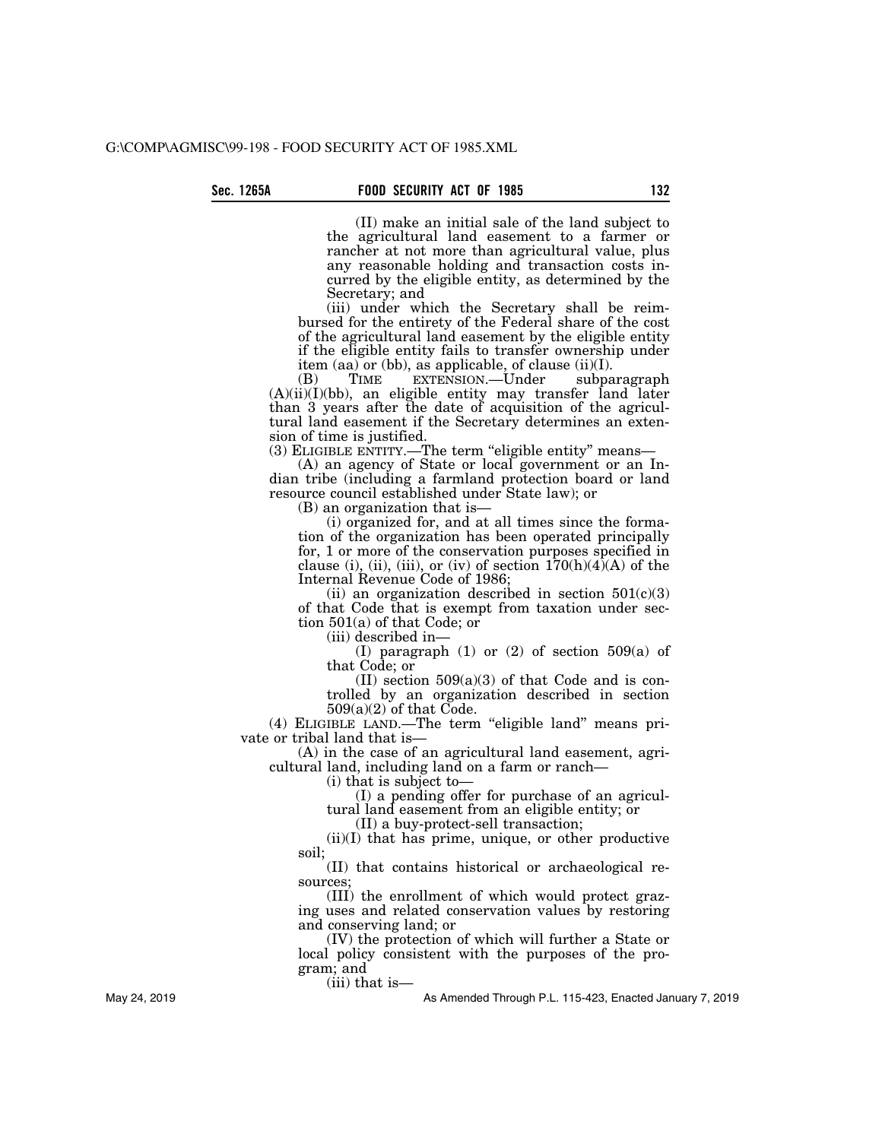(II) make an initial sale of the land subject to the agricultural land easement to a farmer or rancher at not more than agricultural value, plus any reasonable holding and transaction costs incurred by the eligible entity, as determined by the Secretary; and

(iii) under which the Secretary shall be reimbursed for the entirety of the Federal share of the cost of the agricultural land easement by the eligible entity if the eligible entity fails to transfer ownership under item (aa) or (bb), as applicable, of clause  $(ii)(I)$ .<br>(B) TIME EXTENSION.—Under subparagraph

(B) TIME EXTENSION.—Under  $(A)(ii)(I)(bb)$ , an eligible entity may transfer land later than 3 years after the date of acquisition of the agricultural land easement if the Secretary determines an extension of time is justified.

(3) ELIGIBLE ENTITY.—The term ''eligible entity'' means—

(A) an agency of State or local government or an Indian tribe (including a farmland protection board or land resource council established under State law); or

(B) an organization that is—

(i) organized for, and at all times since the formation of the organization has been operated principally for, 1 or more of the conservation purposes specified in clause (i), (ii), (iii), or (iv) of section  $170(h)(4)(A)$  of the Internal Revenue Code of 1986;

(ii) an organization described in section  $501(c)(3)$ of that Code that is exempt from taxation under section 501(a) of that Code; or

(iii) described in—

(I) paragraph (1) or (2) of section 509(a) of that Code; or

(II) section  $509(a)(3)$  of that Code and is controlled by an organization described in section  $509(a)(2)$  of that Code.

(4) ELIGIBLE LAND.—The term ''eligible land'' means private or tribal land that is—

(A) in the case of an agricultural land easement, agricultural land, including land on a farm or ranch—

(i) that is subject to—

(I) a pending offer for purchase of an agricultural land easement from an eligible entity; or

(II) a buy-protect-sell transaction;

 $(ii)(I)$  that has prime, unique, or other productive soil;

(II) that contains historical or archaeological resources;

(III) the enrollment of which would protect grazing uses and related conservation values by restoring and conserving land; or

(IV) the protection of which will further a State or local policy consistent with the purposes of the program; and

(iii) that is—

As Amended Through P.L. 115-423, Enacted January 7, 2019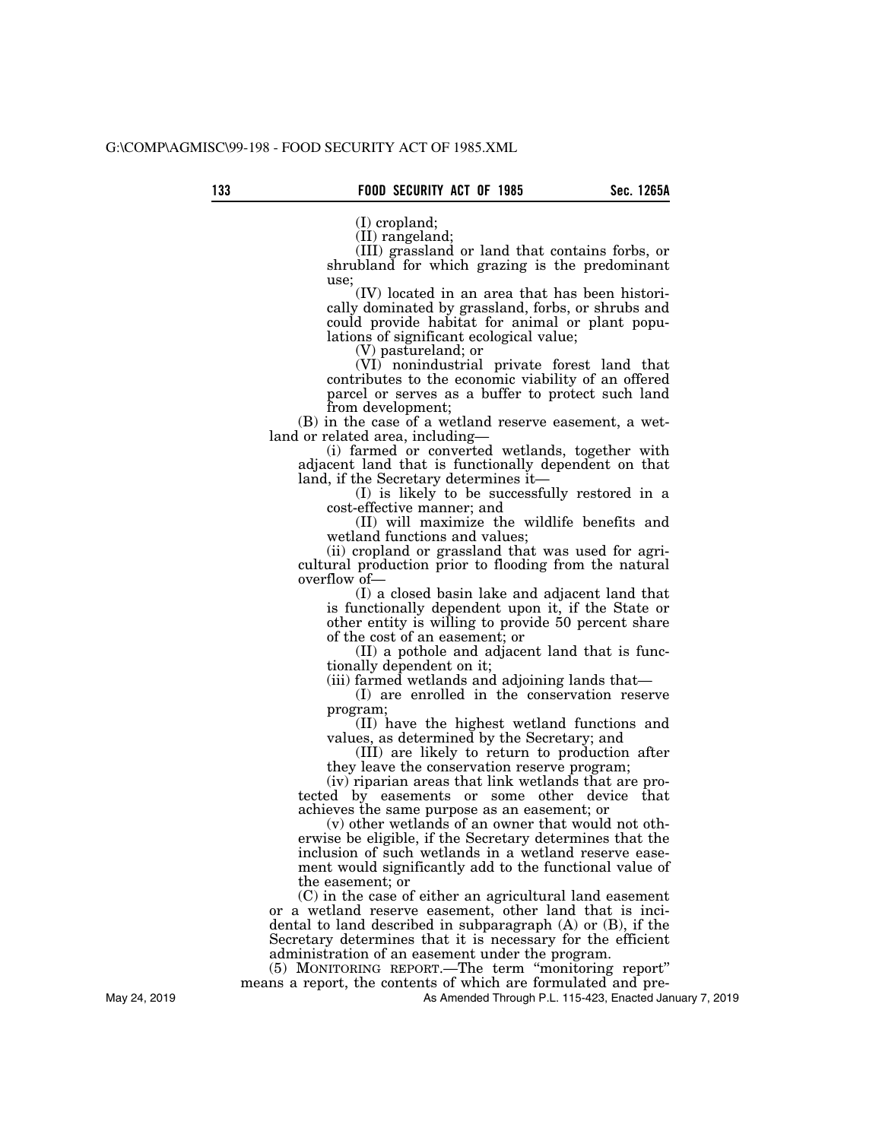(I) cropland;

(II) rangeland;

(III) grassland or land that contains forbs, or shrubland for which grazing is the predominant use;

(IV) located in an area that has been historically dominated by grassland, forbs, or shrubs and could provide habitat for animal or plant populations of significant ecological value;

(V) pastureland; or

(VI) nonindustrial private forest land that contributes to the economic viability of an offered parcel or serves as a buffer to protect such land from development;

(B) in the case of a wetland reserve easement, a wetland or related area, including—

(i) farmed or converted wetlands, together with adjacent land that is functionally dependent on that land, if the Secretary determines it—

(I) is likely to be successfully restored in a cost-effective manner; and

(II) will maximize the wildlife benefits and wetland functions and values;

(ii) cropland or grassland that was used for agricultural production prior to flooding from the natural overflow of—

(I) a closed basin lake and adjacent land that is functionally dependent upon it, if the State or other entity is willing to provide 50 percent share of the cost of an easement; or

(II) a pothole and adjacent land that is functionally dependent on it;

(iii) farmed wetlands and adjoining lands that—

(I) are enrolled in the conservation reserve program;

(II) have the highest wetland functions and values, as determined by the Secretary; and

(III) are likely to return to production after they leave the conservation reserve program;

(iv) riparian areas that link wetlands that are protected by easements or some other device that achieves the same purpose as an easement; or

(v) other wetlands of an owner that would not otherwise be eligible, if the Secretary determines that the inclusion of such wetlands in a wetland reserve easement would significantly add to the functional value of the easement; or

(C) in the case of either an agricultural land easement or a wetland reserve easement, other land that is incidental to land described in subparagraph (A) or (B), if the Secretary determines that it is necessary for the efficient administration of an easement under the program.

(5) MONITORING REPORT.—The term ''monitoring report'' means a report, the contents of which are formulated and pre-

As Amended Through P.L. 115-423, Enacted January 7, 2019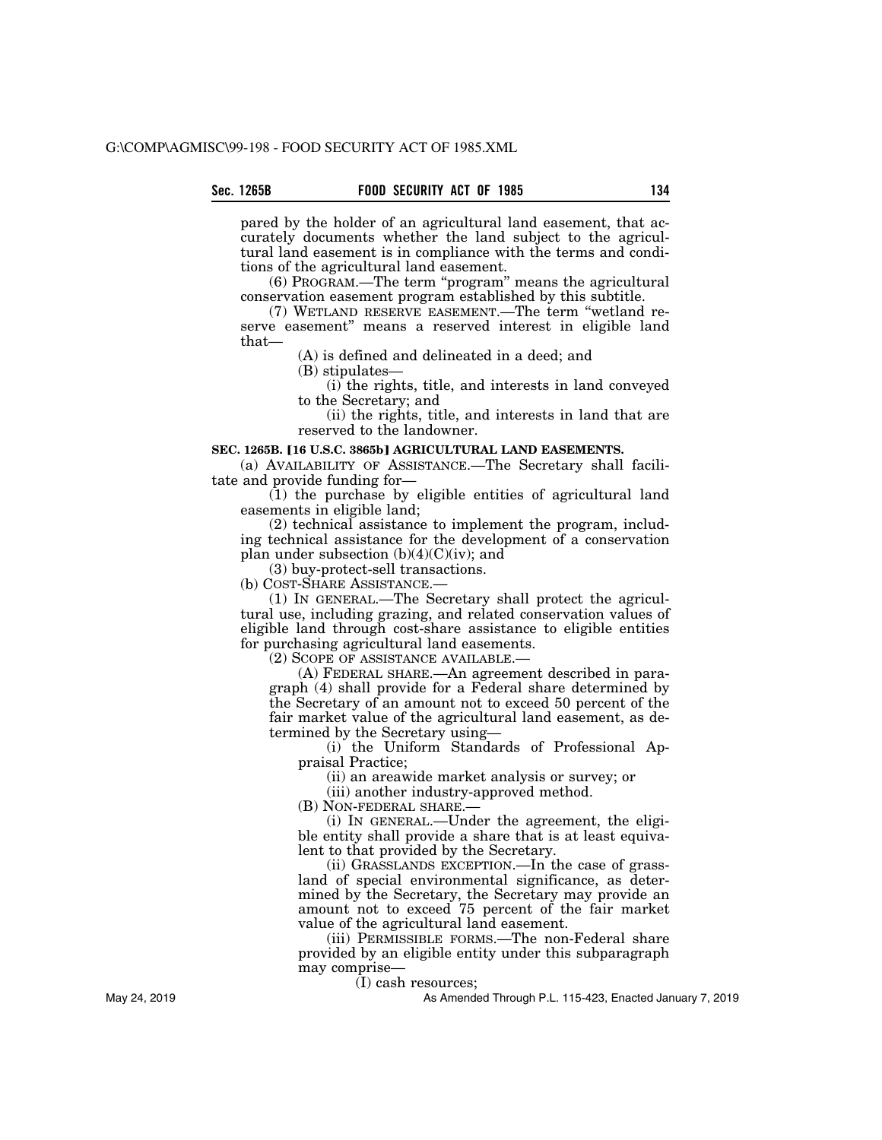pared by the holder of an agricultural land easement, that accurately documents whether the land subject to the agricultural land easement is in compliance with the terms and conditions of the agricultural land easement.

(6) PROGRAM.—The term ''program'' means the agricultural conservation easement program established by this subtitle.

(7) WETLAND RESERVE EASEMENT.—The term ''wetland reserve easement'' means a reserved interest in eligible land that—

(A) is defined and delineated in a deed; and

(B) stipulates—

(i) the rights, title, and interests in land conveyed to the Secretary; and

(ii) the rights, title, and interests in land that are reserved to the landowner.

### SEC. 1265B. [16 U.S.C. 3865b] AGRICULTURAL LAND EASEMENTS.

(a) AVAILABILITY OF ASSISTANCE.—The Secretary shall facilitate and provide funding for—

(1) the purchase by eligible entities of agricultural land easements in eligible land;

(2) technical assistance to implement the program, including technical assistance for the development of a conservation plan under subsection  $(b)(4)(C)(iv)$ ; and

(3) buy-protect-sell transactions.

(b) COST-SHARE ASSISTANCE.—

(1) IN GENERAL.—The Secretary shall protect the agricultural use, including grazing, and related conservation values of eligible land through cost-share assistance to eligible entities for purchasing agricultural land easements.

(2) SCOPE OF ASSISTANCE AVAILABLE.—

(A) FEDERAL SHARE.—An agreement described in paragraph (4) shall provide for a Federal share determined by the Secretary of an amount not to exceed 50 percent of the fair market value of the agricultural land easement, as determined by the Secretary using—

(i) the Uniform Standards of Professional Appraisal Practice;

(ii) an areawide market analysis or survey; or

(iii) another industry-approved method.

(B) NON-FEDERAL SHARE.—

(i) IN GENERAL.—Under the agreement, the eligible entity shall provide a share that is at least equivalent to that provided by the Secretary.

(ii) GRASSLANDS EXCEPTION.—In the case of grassland of special environmental significance, as determined by the Secretary, the Secretary may provide an amount not to exceed 75 percent of the fair market value of the agricultural land easement.

(iii) PERMISSIBLE FORMS.—The non-Federal share provided by an eligible entity under this subparagraph may comprise—

(I) cash resources;

As Amended Through P.L. 115-423, Enacted January 7, 2019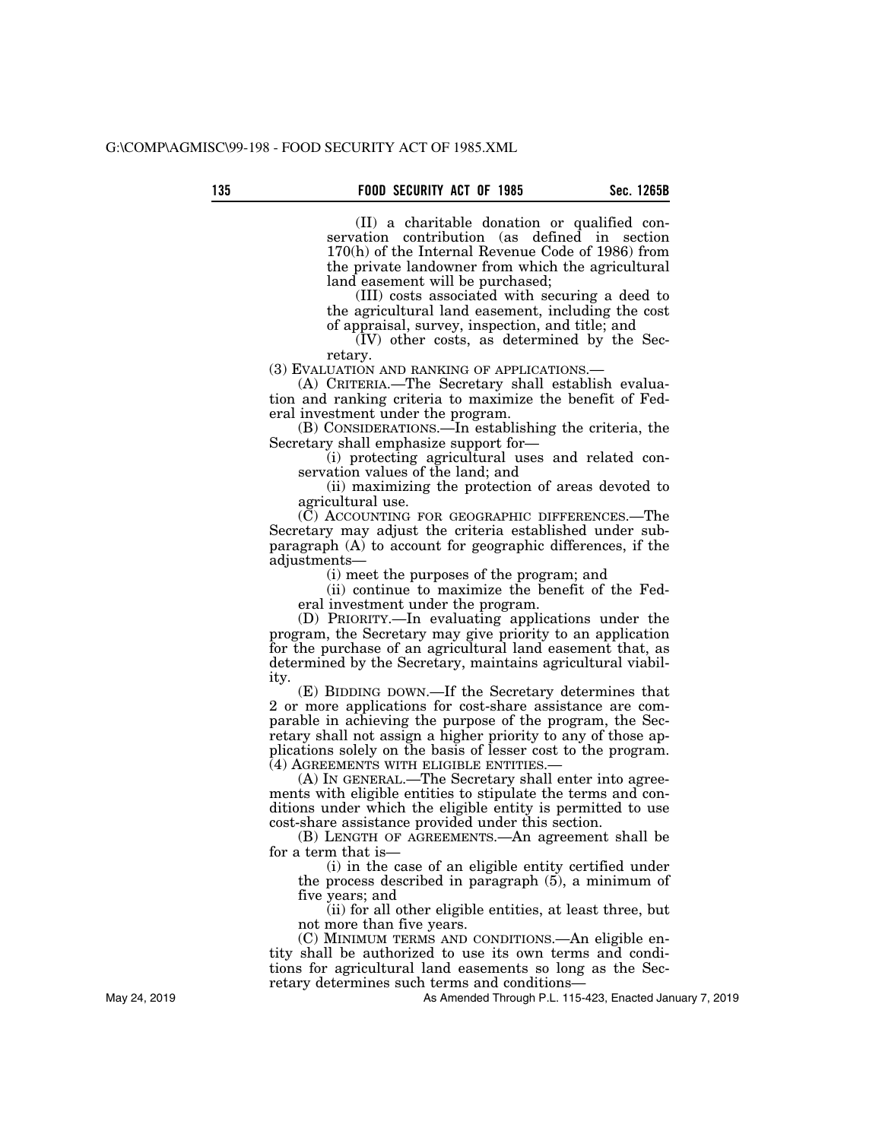(II) a charitable donation or qualified conservation contribution (as defined in section 170(h) of the Internal Revenue Code of 1986) from the private landowner from which the agricultural land easement will be purchased;

(III) costs associated with securing a deed to the agricultural land easement, including the cost of appraisal, survey, inspection, and title; and

(IV) other costs, as determined by the Secretary.

(3) EVALUATION AND RANKING OF APPLICATIONS.—

(A) CRITERIA.—The Secretary shall establish evaluation and ranking criteria to maximize the benefit of Federal investment under the program.

(B) CONSIDERATIONS.—In establishing the criteria, the Secretary shall emphasize support for—

(i) protecting agricultural uses and related conservation values of the land; and

(ii) maximizing the protection of areas devoted to agricultural use.

(C) ACCOUNTING FOR GEOGRAPHIC DIFFERENCES.—The Secretary may adjust the criteria established under subparagraph (A) to account for geographic differences, if the adjustments—

(i) meet the purposes of the program; and

(ii) continue to maximize the benefit of the Federal investment under the program.

(D) PRIORITY.—In evaluating applications under the program, the Secretary may give priority to an application for the purchase of an agricultural land easement that, as determined by the Secretary, maintains agricultural viability.

(E) BIDDING DOWN.—If the Secretary determines that 2 or more applications for cost-share assistance are comparable in achieving the purpose of the program, the Secretary shall not assign a higher priority to any of those applications solely on the basis of lesser cost to the program. (4) AGREEMENTS WITH ELIGIBLE ENTITIES.—

(A) IN GENERAL.—The Secretary shall enter into agreements with eligible entities to stipulate the terms and conditions under which the eligible entity is permitted to use cost-share assistance provided under this section.

(B) LENGTH OF AGREEMENTS.—An agreement shall be for a term that is—

(i) in the case of an eligible entity certified under the process described in paragraph (5), a minimum of five years; and

(ii) for all other eligible entities, at least three, but not more than five years.

(C) MINIMUM TERMS AND CONDITIONS.—An eligible entity shall be authorized to use its own terms and conditions for agricultural land easements so long as the Secretary determines such terms and conditions—

As Amended Through P.L. 115-423, Enacted January 7, 2019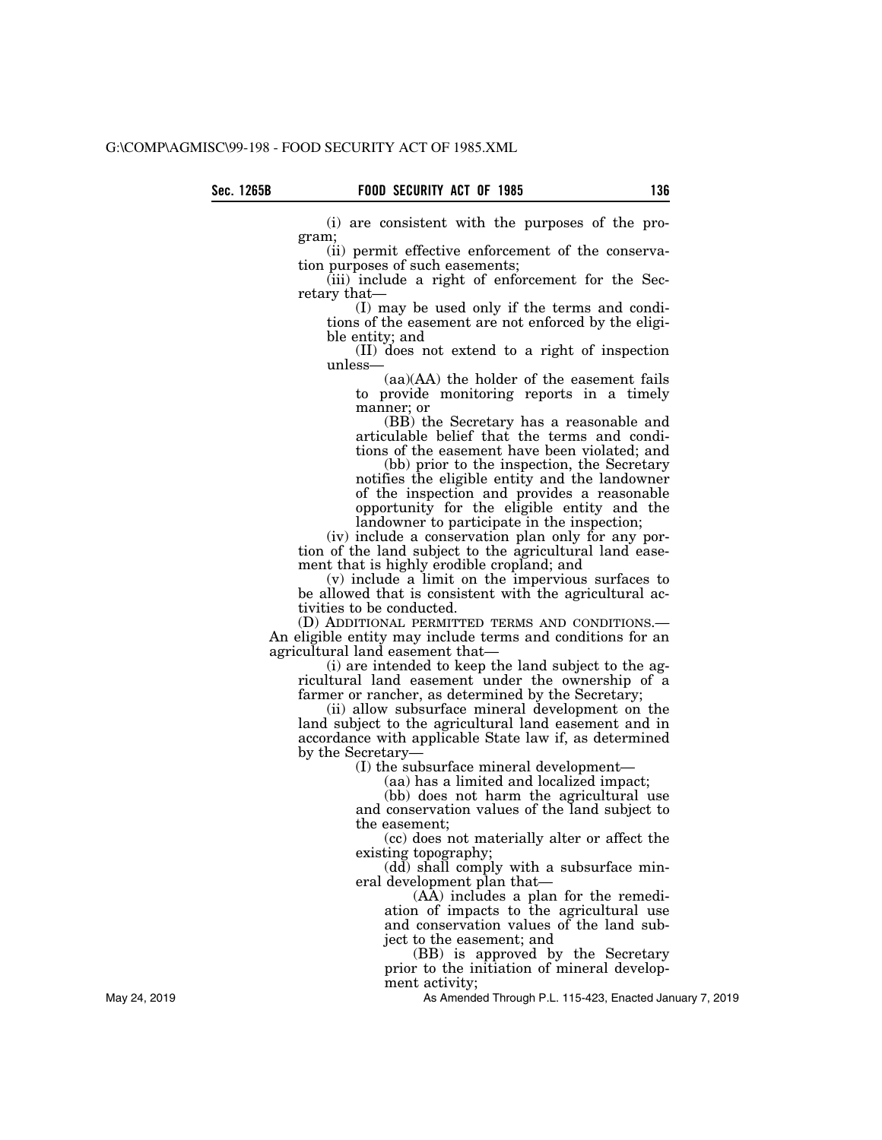(i) are consistent with the purposes of the program;

(ii) permit effective enforcement of the conservation purposes of such easements;

(iii) include a right of enforcement for the Secretary that—

(I) may be used only if the terms and conditions of the easement are not enforced by the eligible entity; and

(II) does not extend to a right of inspection unless—

(aa)(AA) the holder of the easement fails to provide monitoring reports in a timely manner; or

(BB) the Secretary has a reasonable and articulable belief that the terms and conditions of the easement have been violated; and

(bb) prior to the inspection, the Secretary notifies the eligible entity and the landowner of the inspection and provides a reasonable opportunity for the eligible entity and the landowner to participate in the inspection;

(iv) include a conservation plan only for any portion of the land subject to the agricultural land easement that is highly erodible cropland; and

(v) include a limit on the impervious surfaces to be allowed that is consistent with the agricultural activities to be conducted.

(D) ADDITIONAL PERMITTED TERMS AND CONDITIONS.— An eligible entity may include terms and conditions for an agricultural land easement that—

(i) are intended to keep the land subject to the agricultural land easement under the ownership of a farmer or rancher, as determined by the Secretary;

(ii) allow subsurface mineral development on the land subject to the agricultural land easement and in accordance with applicable State law if, as determined by the Secretary—

(I) the subsurface mineral development—

(aa) has a limited and localized impact;

(bb) does not harm the agricultural use and conservation values of the land subject to the easement;

(cc) does not materially alter or affect the existing topography;

(dd) shall comply with a subsurface mineral development plan that—

(AA) includes a plan for the remediation of impacts to the agricultural use and conservation values of the land subject to the easement; and

(BB) is approved by the Secretary prior to the initiation of mineral development activity;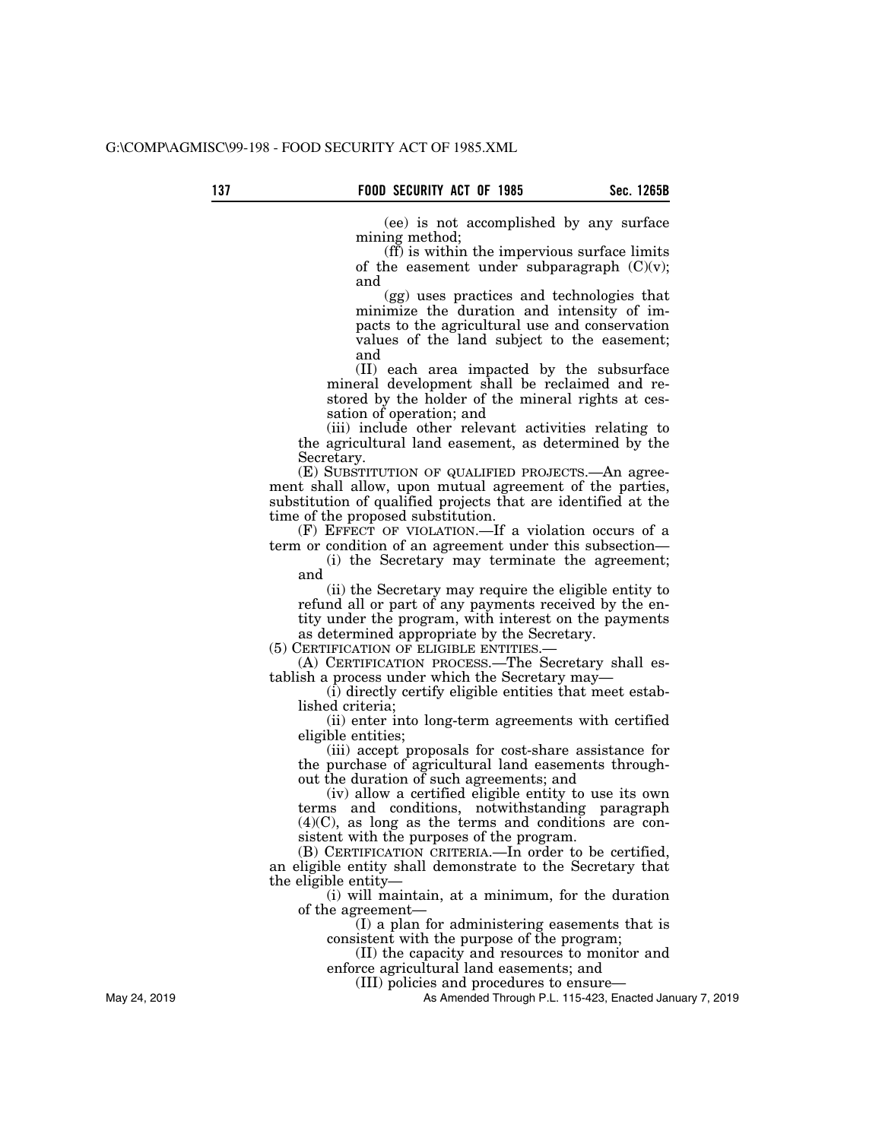(ee) is not accomplished by any surface mining method;

(ff) is within the impervious surface limits of the easement under subparagraph  $(C)(v)$ ; and

(gg) uses practices and technologies that minimize the duration and intensity of impacts to the agricultural use and conservation values of the land subject to the easement; and

(II) each area impacted by the subsurface mineral development shall be reclaimed and restored by the holder of the mineral rights at cessation of operation; and

(iii) include other relevant activities relating to the agricultural land easement, as determined by the Secretary.

(E) SUBSTITUTION OF QUALIFIED PROJECTS.—An agreement shall allow, upon mutual agreement of the parties, substitution of qualified projects that are identified at the time of the proposed substitution.

(F) EFFECT OF VIOLATION.—If a violation occurs of a term or condition of an agreement under this subsection—

(i) the Secretary may terminate the agreement; and

(ii) the Secretary may require the eligible entity to refund all or part of any payments received by the entity under the program, with interest on the payments as determined appropriate by the Secretary.

(5) CERTIFICATION OF ELIGIBLE ENTITIES.—

(A) CERTIFICATION PROCESS.—The Secretary shall establish a process under which the Secretary may—

(i) directly certify eligible entities that meet established criteria;

(ii) enter into long-term agreements with certified eligible entities;

(iii) accept proposals for cost-share assistance for the purchase of agricultural land easements throughout the duration of such agreements; and

(iv) allow a certified eligible entity to use its own terms and conditions, notwithstanding paragraph (4)(C), as long as the terms and conditions are consistent with the purposes of the program.

(B) CERTIFICATION CRITERIA.—In order to be certified, an eligible entity shall demonstrate to the Secretary that the eligible entity—

(i) will maintain, at a minimum, for the duration of the agreement—

(I) a plan for administering easements that is consistent with the purpose of the program;

(II) the capacity and resources to monitor and enforce agricultural land easements; and

(III) policies and procedures to ensure—

As Amended Through P.L. 115-423, Enacted January 7, 2019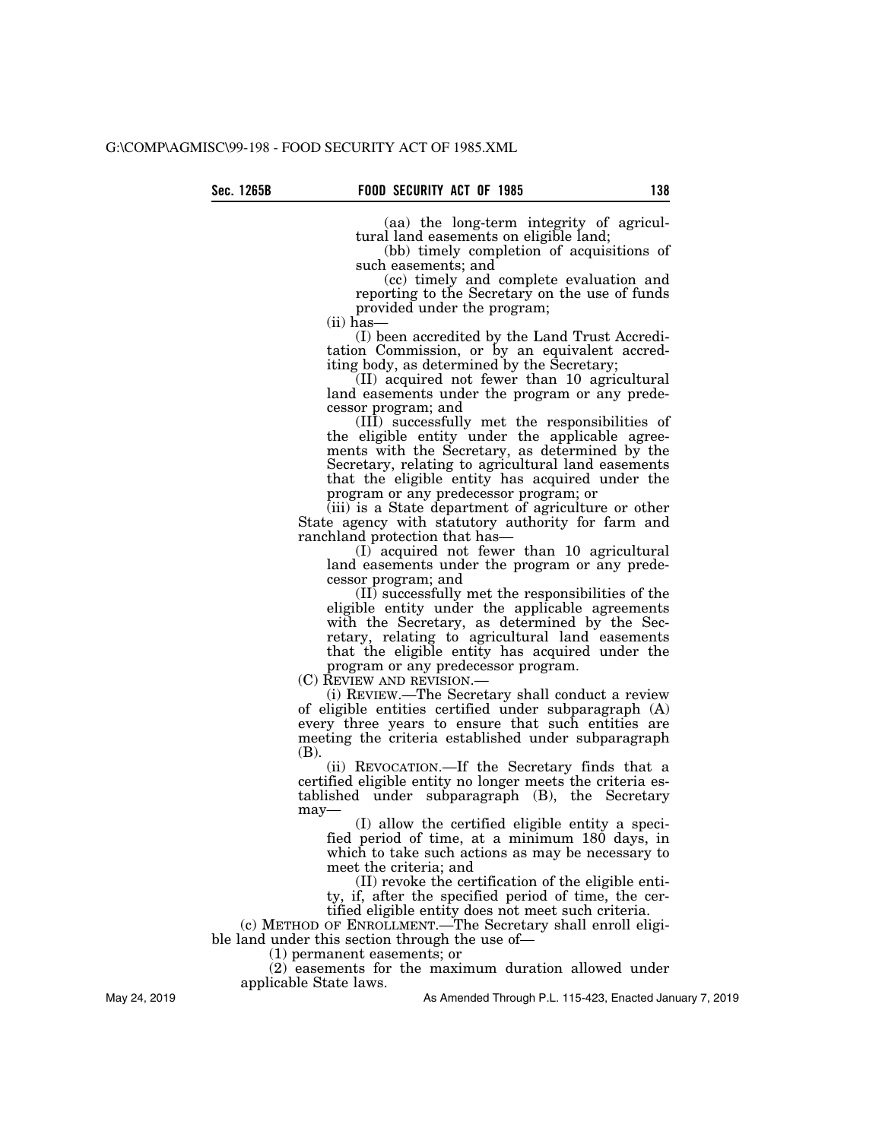(aa) the long-term integrity of agricultural land easements on eligible land;

(bb) timely completion of acquisitions of such easements; and

(cc) timely and complete evaluation and reporting to the Secretary on the use of funds provided under the program;

(ii) has—

(I) been accredited by the Land Trust Accreditation Commission, or by an equivalent accrediting body, as determined by the Secretary;

(II) acquired not fewer than 10 agricultural land easements under the program or any predecessor program; and

(III) successfully met the responsibilities of the eligible entity under the applicable agreements with the Secretary, as determined by the Secretary, relating to agricultural land easements that the eligible entity has acquired under the program or any predecessor program; or

(iii) is a State department of agriculture or other State agency with statutory authority for farm and ranchland protection that has—

(I) acquired not fewer than 10 agricultural land easements under the program or any predecessor program; and

(II) successfully met the responsibilities of the eligible entity under the applicable agreements with the Secretary, as determined by the Secretary, relating to agricultural land easements that the eligible entity has acquired under the program or any predecessor program.

(C) REVIEW AND REVISION.—

(i) REVIEW.—The Secretary shall conduct a review of eligible entities certified under subparagraph (A) every three years to ensure that such entities are meeting the criteria established under subparagraph (B).

(ii) REVOCATION.—If the Secretary finds that a certified eligible entity no longer meets the criteria established under subparagraph (B), the Secretary may—

(I) allow the certified eligible entity a specified period of time, at a minimum 180 days, in which to take such actions as may be necessary to meet the criteria; and

(II) revoke the certification of the eligible entity, if, after the specified period of time, the certified eligible entity does not meet such criteria.

(c) METHOD OF ENROLLMENT.—The Secretary shall enroll eligi-

ble land under this section through the use of— (1) permanent easements; or

(2) easements for the maximum duration allowed under applicable State laws.

As Amended Through P.L. 115-423, Enacted January 7, 2019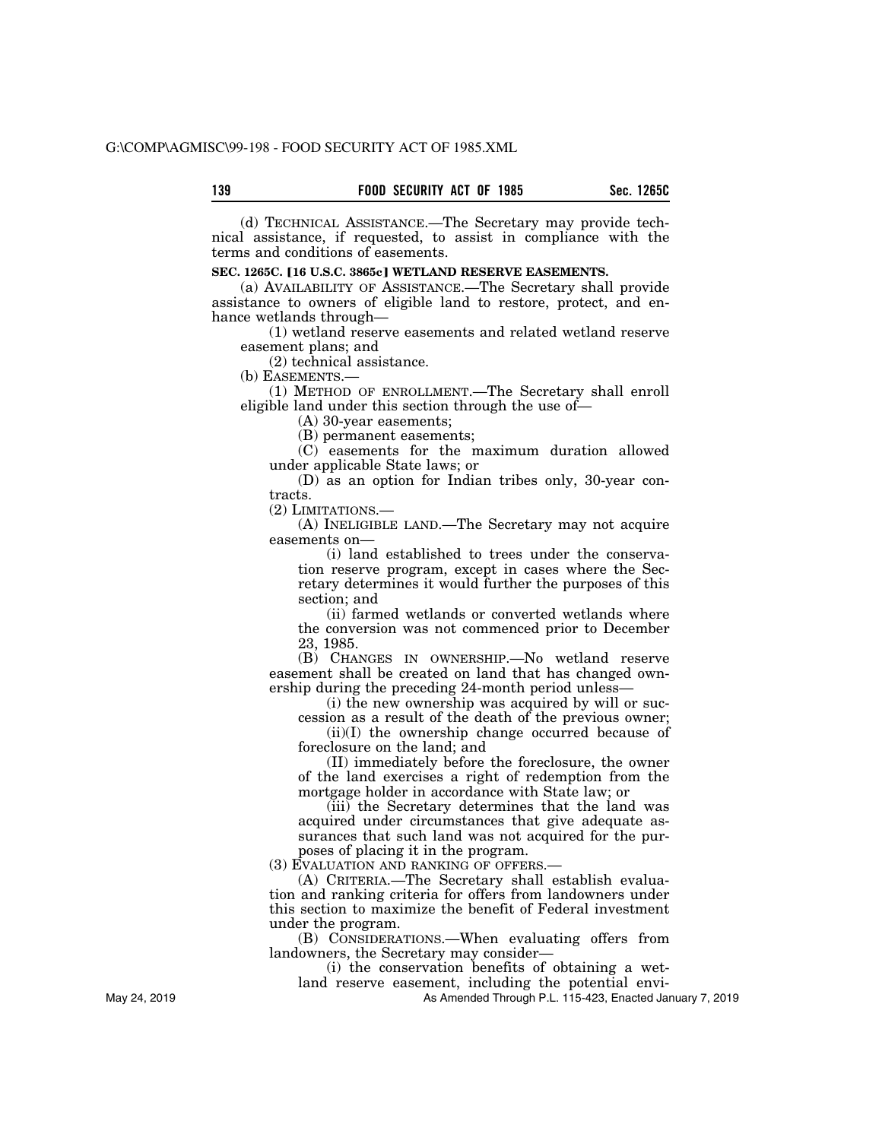(d) TECHNICAL ASSISTANCE.—The Secretary may provide technical assistance, if requested, to assist in compliance with the terms and conditions of easements.

## **SEC. 1265C. [16 U.S.C. 3865c] WETLAND RESERVE EASEMENTS.**

(a) AVAILABILITY OF ASSISTANCE.—The Secretary shall provide assistance to owners of eligible land to restore, protect, and enhance wetlands through—

(1) wetland reserve easements and related wetland reserve easement plans; and

(2) technical assistance.

(b) EASEMENTS.—

(1) METHOD OF ENROLLMENT.—The Secretary shall enroll eligible land under this section through the use of—

(A) 30-year easements;

(B) permanent easements;

(C) easements for the maximum duration allowed under applicable State laws; or

(D) as an option for Indian tribes only, 30-year contracts.

(2) LIMITATIONS.—

(A) INELIGIBLE LAND.—The Secretary may not acquire easements on—

(i) land established to trees under the conservation reserve program, except in cases where the Secretary determines it would further the purposes of this section; and

(ii) farmed wetlands or converted wetlands where the conversion was not commenced prior to December 23, 1985.

(B) CHANGES IN OWNERSHIP.—No wetland reserve easement shall be created on land that has changed ownership during the preceding 24-month period unless—

(i) the new ownership was acquired by will or suc-

cession as a result of the death of the previous owner; (ii)(I) the ownership change occurred because of foreclosure on the land; and

(II) immediately before the foreclosure, the owner of the land exercises a right of redemption from the mortgage holder in accordance with State law; or

(iii) the Secretary determines that the land was acquired under circumstances that give adequate assurances that such land was not acquired for the purposes of placing it in the program.

(3) EVALUATION AND RANKING OF OFFERS.—

(A) CRITERIA.—The Secretary shall establish evaluation and ranking criteria for offers from landowners under this section to maximize the benefit of Federal investment under the program.

(B) CONSIDERATIONS.—When evaluating offers from landowners, the Secretary may consider—

(i) the conservation benefits of obtaining a wet-

land reserve easement, including the potential envi-As Amended Through P.L. 115-423, Enacted January 7, 2019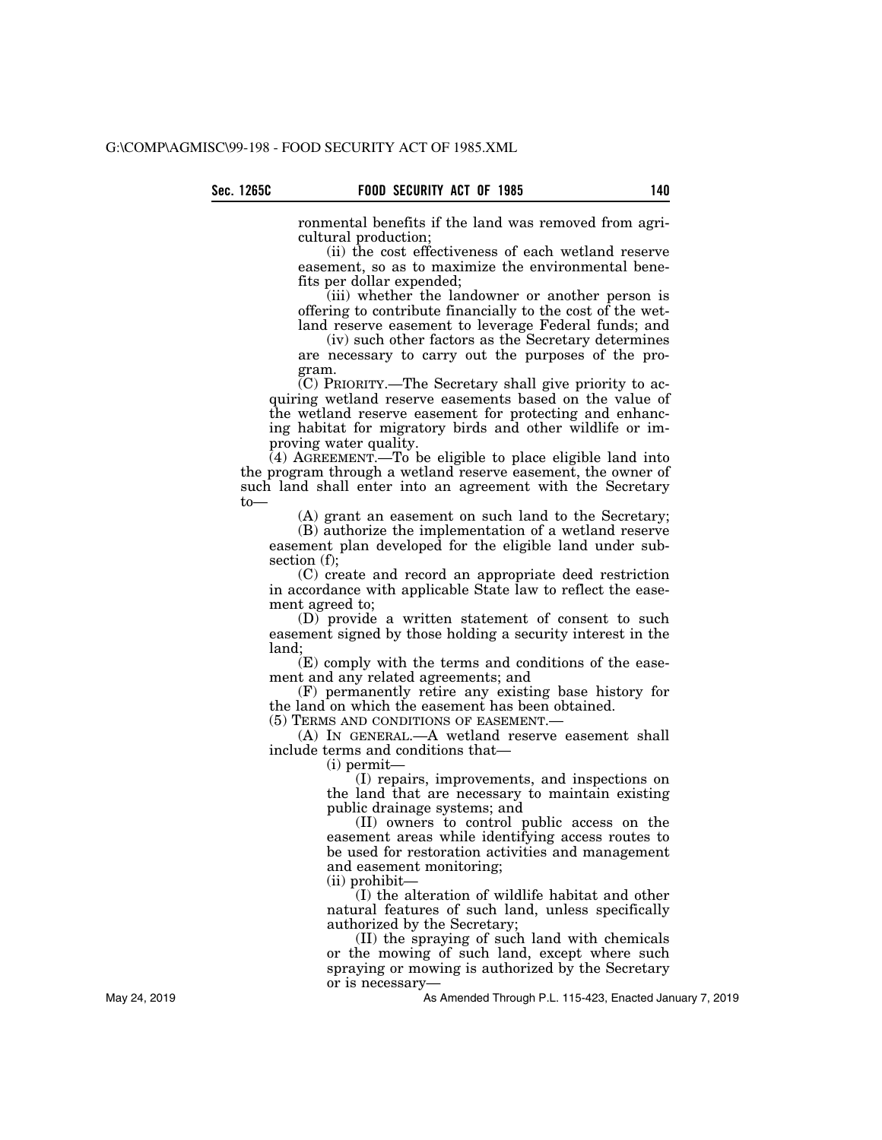ronmental benefits if the land was removed from agricultural production;

(ii) the cost effectiveness of each wetland reserve easement, so as to maximize the environmental benefits per dollar expended;

(iii) whether the landowner or another person is offering to contribute financially to the cost of the wetland reserve easement to leverage Federal funds; and

(iv) such other factors as the Secretary determines are necessary to carry out the purposes of the program.

 $(C)$  PRIORITY.—The Secretary shall give priority to acquiring wetland reserve easements based on the value of the wetland reserve easement for protecting and enhancing habitat for migratory birds and other wildlife or improving water quality.

 $(4)$  AGREEMENT.—To be eligible to place eligible land into the program through a wetland reserve easement, the owner of such land shall enter into an agreement with the Secretary to—

(A) grant an easement on such land to the Secretary;

(B) authorize the implementation of a wetland reserve easement plan developed for the eligible land under subsection (f);

(C) create and record an appropriate deed restriction in accordance with applicable State law to reflect the easement agreed to;

(D) provide a written statement of consent to such easement signed by those holding a security interest in the land;

(E) comply with the terms and conditions of the easement and any related agreements; and

(F) permanently retire any existing base history for the land on which the easement has been obtained. (5) TERMS AND CONDITIONS OF EASEMENT.—

(A) IN GENERAL.—A wetland reserve easement shall include terms and conditions that—

(i) permit—

(I) repairs, improvements, and inspections on the land that are necessary to maintain existing public drainage systems; and

(II) owners to control public access on the easement areas while identifying access routes to be used for restoration activities and management and easement monitoring;

(ii) prohibit—

(I) the alteration of wildlife habitat and other natural features of such land, unless specifically authorized by the Secretary;

(II) the spraying of such land with chemicals or the mowing of such land, except where such spraying or mowing is authorized by the Secretary or is necessary—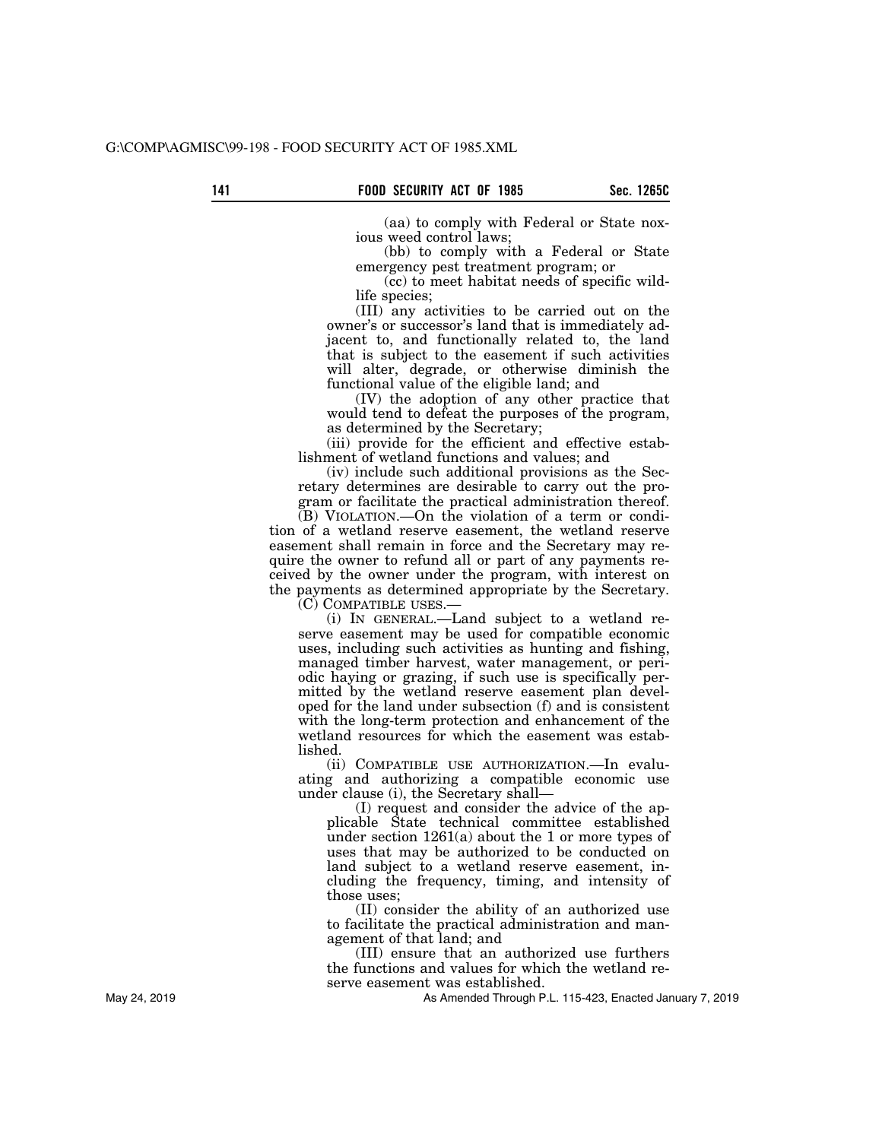(aa) to comply with Federal or State noxious weed control laws;

(bb) to comply with a Federal or State emergency pest treatment program; or

(cc) to meet habitat needs of specific wildlife species;

(III) any activities to be carried out on the owner's or successor's land that is immediately adjacent to, and functionally related to, the land that is subject to the easement if such activities will alter, degrade, or otherwise diminish the functional value of the eligible land; and

(IV) the adoption of any other practice that would tend to defeat the purposes of the program, as determined by the Secretary;

(iii) provide for the efficient and effective establishment of wetland functions and values; and

(iv) include such additional provisions as the Secretary determines are desirable to carry out the program or facilitate the practical administration thereof.

(B) VIOLATION.—On the violation of a term or condition of a wetland reserve easement, the wetland reserve easement shall remain in force and the Secretary may require the owner to refund all or part of any payments received by the owner under the program, with interest on the payments as determined appropriate by the Secretary.

(C) COMPATIBLE USES.—

(i) IN GENERAL.—Land subject to a wetland reserve easement may be used for compatible economic uses, including such activities as hunting and fishing, managed timber harvest, water management, or periodic haying or grazing, if such use is specifically permitted by the wetland reserve easement plan developed for the land under subsection (f) and is consistent with the long-term protection and enhancement of the wetland resources for which the easement was established.

(ii) COMPATIBLE USE AUTHORIZATION.—In evaluating and authorizing a compatible economic use under clause (i), the Secretary shall—

(I) request and consider the advice of the applicable State technical committee established under section 1261(a) about the 1 or more types of uses that may be authorized to be conducted on land subject to a wetland reserve easement, including the frequency, timing, and intensity of those uses;

(II) consider the ability of an authorized use to facilitate the practical administration and management of that land; and

(III) ensure that an authorized use furthers the functions and values for which the wetland reserve easement was established.

As Amended Through P.L. 115-423, Enacted January 7, 2019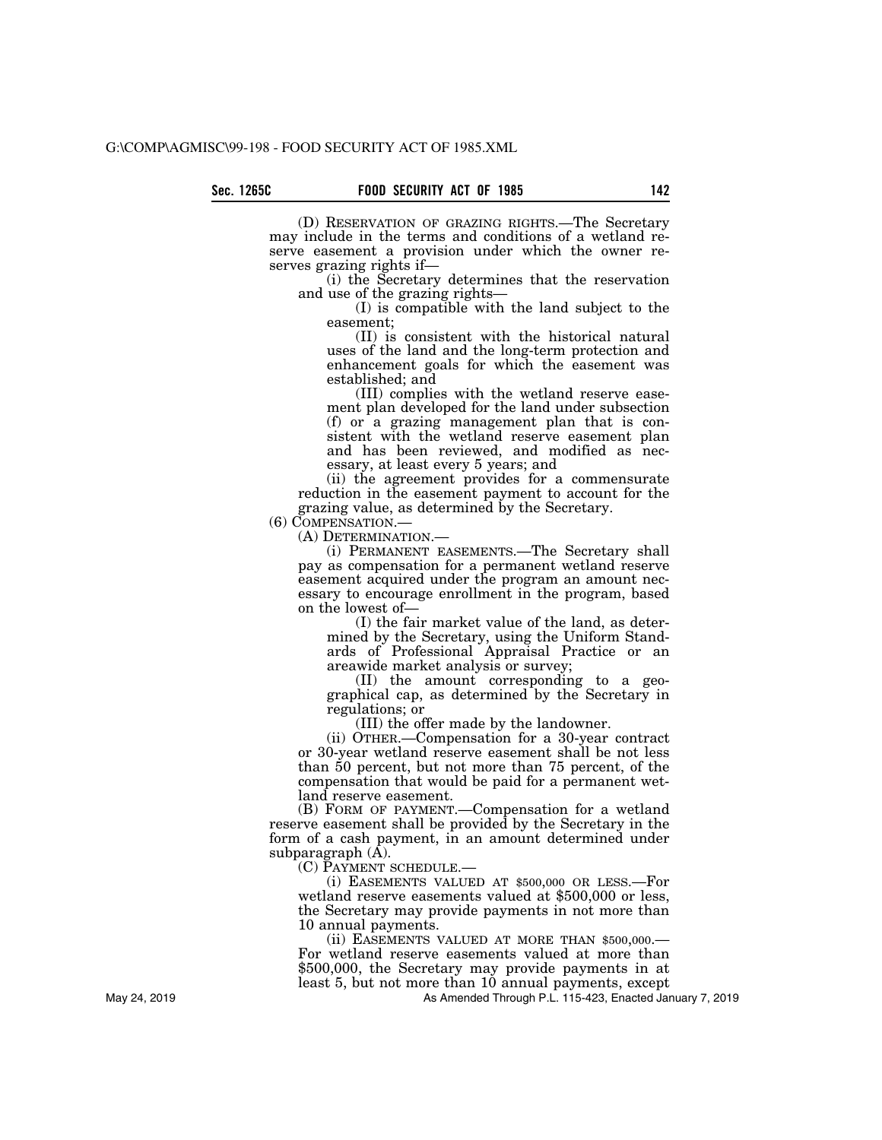(D) RESERVATION OF GRAZING RIGHTS.—The Secretary may include in the terms and conditions of a wetland reserve easement a provision under which the owner reserves grazing rights if—

(i) the Secretary determines that the reservation and use of the grazing rights—

(I) is compatible with the land subject to the easement;

(II) is consistent with the historical natural uses of the land and the long-term protection and enhancement goals for which the easement was established; and

(III) complies with the wetland reserve easement plan developed for the land under subsection  $(f)$  or a grazing management plan that is consistent with the wetland reserve easement plan and has been reviewed, and modified as necessary, at least every 5 years; and

(ii) the agreement provides for a commensurate reduction in the easement payment to account for the grazing value, as determined by the Secretary.

(6) COMPENSATION.— (A) DETERMINATION.— (i) PERMANENT EASEMENTS.—The Secretary shall pay as compensation for a permanent wetland reserve easement acquired under the program an amount necessary to encourage enrollment in the program, based on the lowest of—

> (I) the fair market value of the land, as determined by the Secretary, using the Uniform Standards of Professional Appraisal Practice or an areawide market analysis or survey;

> (II) the amount corresponding to a geographical cap, as determined by the Secretary in regulations; or

(III) the offer made by the landowner.

(ii) OTHER.—Compensation for a 30-year contract or 30-year wetland reserve easement shall be not less than 50 percent, but not more than 75 percent, of the compensation that would be paid for a permanent wetland reserve easement.

(B) FORM OF PAYMENT.—Compensation for a wetland reserve easement shall be provided by the Secretary in the form of a cash payment, in an amount determined under subparagraph (A).

(C) PAYMENT SCHEDULE.—

(i) EASEMENTS VALUED AT \$500,000 OR LESS.—For wetland reserve easements valued at \$500,000 or less, the Secretary may provide payments in not more than 10 annual payments.

(ii) EASEMENTS VALUED AT MORE THAN \$500,000.— For wetland reserve easements valued at more than \$500,000, the Secretary may provide payments in at least 5, but not more than 10 annual payments, except

As Amended Through P.L. 115-423, Enacted January 7, 2019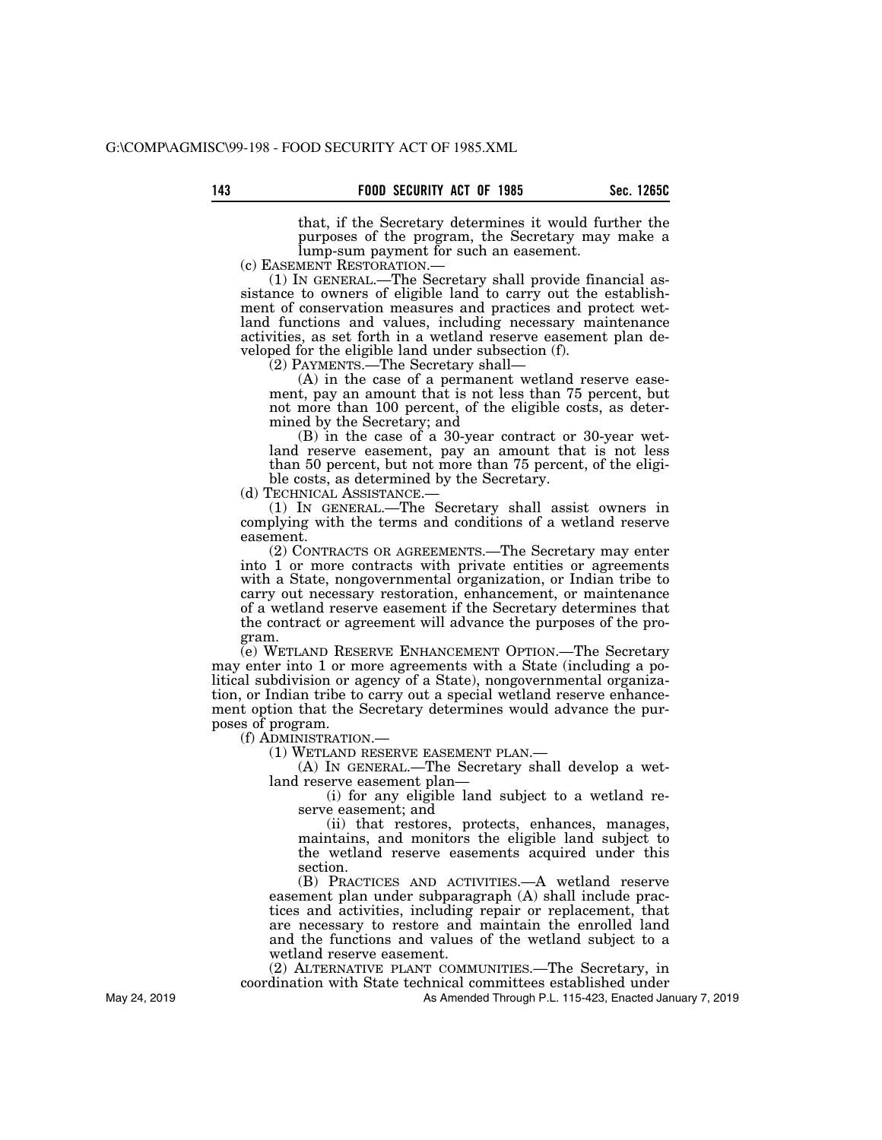that, if the Secretary determines it would further the purposes of the program, the Secretary may make a lump-sum payment for such an easement.

(c) EASEMENT RESTORATION.— (1) IN GENERAL.—The Secretary shall provide financial assistance to owners of eligible land to carry out the establishment of conservation measures and practices and protect wetland functions and values, including necessary maintenance activities, as set forth in a wetland reserve easement plan developed for the eligible land under subsection (f).

(2) PAYMENTS.—The Secretary shall—

(A) in the case of a permanent wetland reserve easement, pay an amount that is not less than 75 percent, but not more than 100 percent, of the eligible costs, as determined by the Secretary; and

(B) in the case of a 30-year contract or 30-year wetland reserve easement, pay an amount that is not less than 50 percent, but not more than 75 percent, of the eligible costs, as determined by the Secretary.<br>(d) TECHNICAL ASSISTANCE.—

 $(1)$  IN GENERAL.—The Secretary shall assist owners in complying with the terms and conditions of a wetland reserve easement.

(2) CONTRACTS OR AGREEMENTS.—The Secretary may enter into 1 or more contracts with private entities or agreements with a State, nongovernmental organization, or Indian tribe to carry out necessary restoration, enhancement, or maintenance of a wetland reserve easement if the Secretary determines that the contract or agreement will advance the purposes of the program.

(e) WETLAND RESERVE ENHANCEMENT OPTION.—The Secretary may enter into 1 or more agreements with a State (including a political subdivision or agency of a State), nongovernmental organization, or Indian tribe to carry out a special wetland reserve enhancement option that the Secretary determines would advance the purposes of program.

(f) ADMINISTRATION.—

(1) WETLAND RESERVE EASEMENT PLAN.—

(A) IN GENERAL.—The Secretary shall develop a wetland reserve easement plan—

(i) for any eligible land subject to a wetland reserve easement; and

(ii) that restores, protects, enhances, manages, maintains, and monitors the eligible land subject to the wetland reserve easements acquired under this section.

(B) PRACTICES AND ACTIVITIES.—A wetland reserve easement plan under subparagraph (A) shall include practices and activities, including repair or replacement, that are necessary to restore and maintain the enrolled land and the functions and values of the wetland subject to a wetland reserve easement.

(2) ALTERNATIVE PLANT COMMUNITIES.—The Secretary, in coordination with State technical committees established under

As Amended Through P.L. 115-423, Enacted January 7, 2019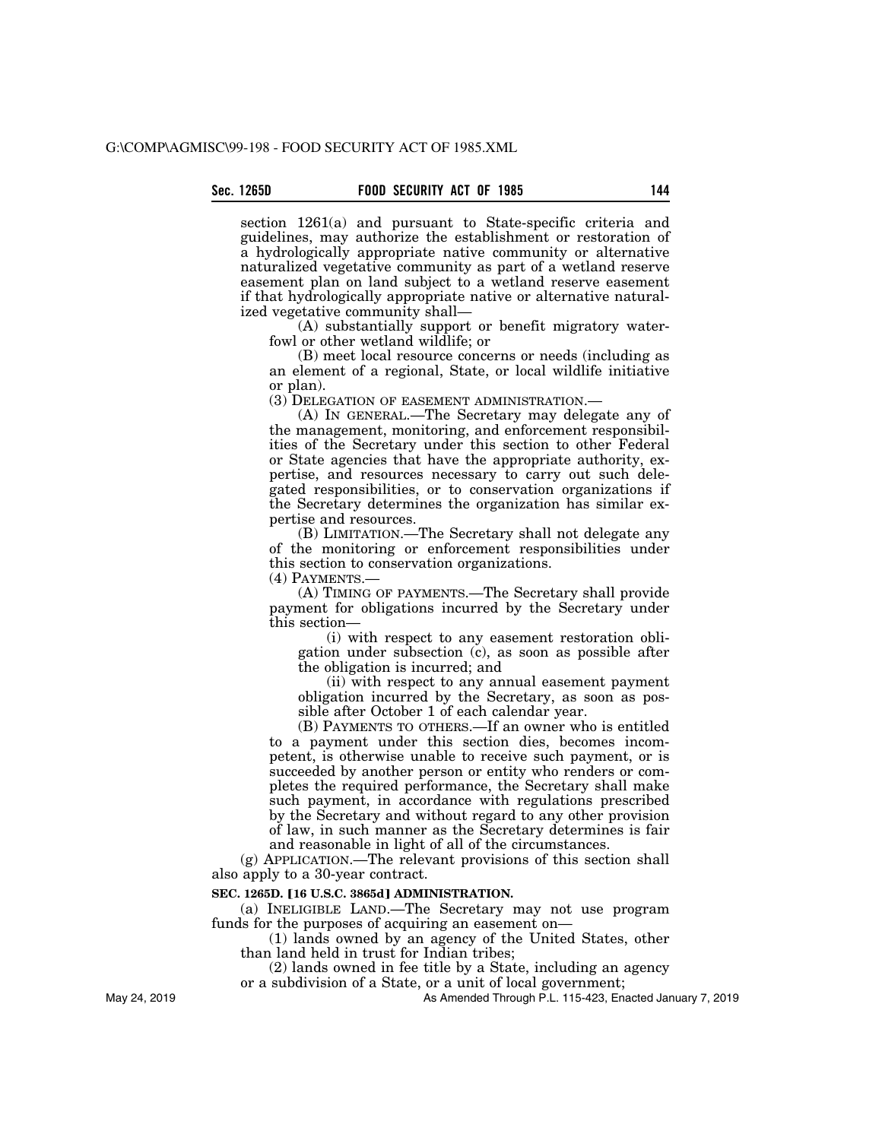# **Sec. 1265D FOOD SECURITY ACT OF 1985 144**

section 1261(a) and pursuant to State-specific criteria and guidelines, may authorize the establishment or restoration of a hydrologically appropriate native community or alternative naturalized vegetative community as part of a wetland reserve easement plan on land subject to a wetland reserve easement if that hydrologically appropriate native or alternative naturalized vegetative community shall—

(A) substantially support or benefit migratory waterfowl or other wetland wildlife; or

(B) meet local resource concerns or needs (including as an element of a regional, State, or local wildlife initiative or plan).

(3) DELEGATION OF EASEMENT ADMINISTRATION.—

(A) IN GENERAL.—The Secretary may delegate any of the management, monitoring, and enforcement responsibilities of the Secretary under this section to other Federal or State agencies that have the appropriate authority, expertise, and resources necessary to carry out such delegated responsibilities, or to conservation organizations if the Secretary determines the organization has similar expertise and resources.

(B) LIMITATION.—The Secretary shall not delegate any of the monitoring or enforcement responsibilities under this section to conservation organizations.

(4) PAYMENTS.—

(A) TIMING OF PAYMENTS.—The Secretary shall provide payment for obligations incurred by the Secretary under this section—

(i) with respect to any easement restoration obligation under subsection (c), as soon as possible after the obligation is incurred; and

(ii) with respect to any annual easement payment obligation incurred by the Secretary, as soon as possible after October 1 of each calendar year.

(B) PAYMENTS TO OTHERS.—If an owner who is entitled to a payment under this section dies, becomes incompetent, is otherwise unable to receive such payment, or is succeeded by another person or entity who renders or completes the required performance, the Secretary shall make such payment, in accordance with regulations prescribed by the Secretary and without regard to any other provision of law, in such manner as the Secretary determines is fair and reasonable in light of all of the circumstances.

(g) APPLICATION.—The relevant provisions of this section shall also apply to a 30-year contract.

#### **SEC. 1265D. [16 U.S.C. 3865d] ADMINISTRATION.**

(a) INELIGIBLE LAND.—The Secretary may not use program funds for the purposes of acquiring an easement on—

(1) lands owned by an agency of the United States, other than land held in trust for Indian tribes;

(2) lands owned in fee title by a State, including an agency or a subdivision of a State, or a unit of local government;

May 24, 2019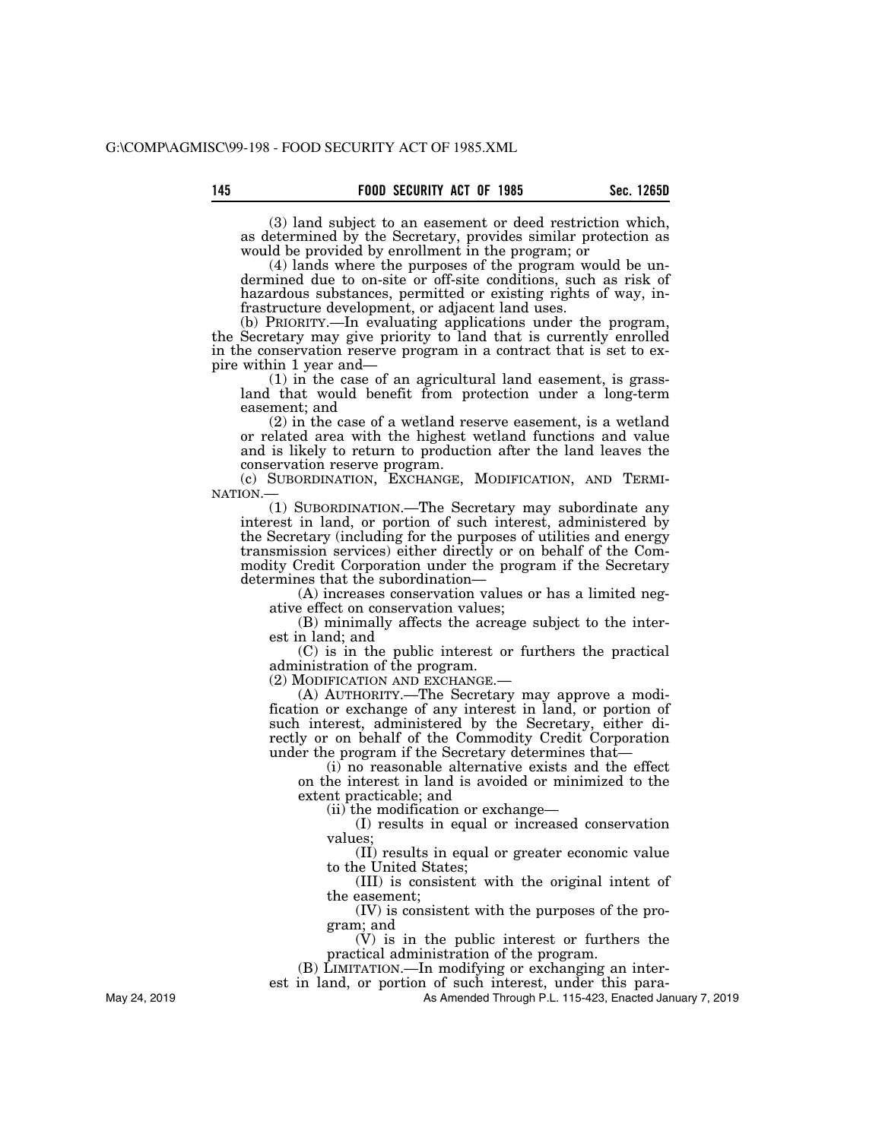(3) land subject to an easement or deed restriction which, as determined by the Secretary, provides similar protection as would be provided by enrollment in the program; or

(4) lands where the purposes of the program would be undermined due to on-site or off-site conditions, such as risk of hazardous substances, permitted or existing rights of way, infrastructure development, or adjacent land uses.

(b) PRIORITY.—In evaluating applications under the program, the Secretary may give priority to land that is currently enrolled in the conservation reserve program in a contract that is set to expire within 1 year and—

(1) in the case of an agricultural land easement, is grassland that would benefit from protection under a long-term easement; and

 $(2)$  in the case of a wetland reserve easement, is a wetland or related area with the highest wetland functions and value and is likely to return to production after the land leaves the conservation reserve program.

(c) SUBORDINATION, EXCHANGE, MODIFICATION, AND TERMINATION.

(1) SUBORDINATION.—The Secretary may subordinate any interest in land, or portion of such interest, administered by the Secretary (including for the purposes of utilities and energy transmission services) either directly or on behalf of the Commodity Credit Corporation under the program if the Secretary determines that the subordination—

(A) increases conservation values or has a limited negative effect on conservation values;

(B) minimally affects the acreage subject to the interest in land; and

(C) is in the public interest or furthers the practical administration of the program.

(2) MODIFICATION AND EXCHANGE.—

(A) AUTHORITY.—The Secretary may approve a modification or exchange of any interest in land, or portion of such interest, administered by the Secretary, either directly or on behalf of the Commodity Credit Corporation under the program if the Secretary determines that—

(i) no reasonable alternative exists and the effect on the interest in land is avoided or minimized to the extent practicable; and

(ii) the modification or exchange—

(I) results in equal or increased conservation values;

(II) results in equal or greater economic value to the United States;

(III) is consistent with the original intent of the easement;

(IV) is consistent with the purposes of the program; and

(V) is in the public interest or furthers the practical administration of the program.

(B) LIMITATION.—In modifying or exchanging an inter-

est in land, or portion of such interest, under this para-

As Amended Through P.L. 115-423, Enacted January 7, 2019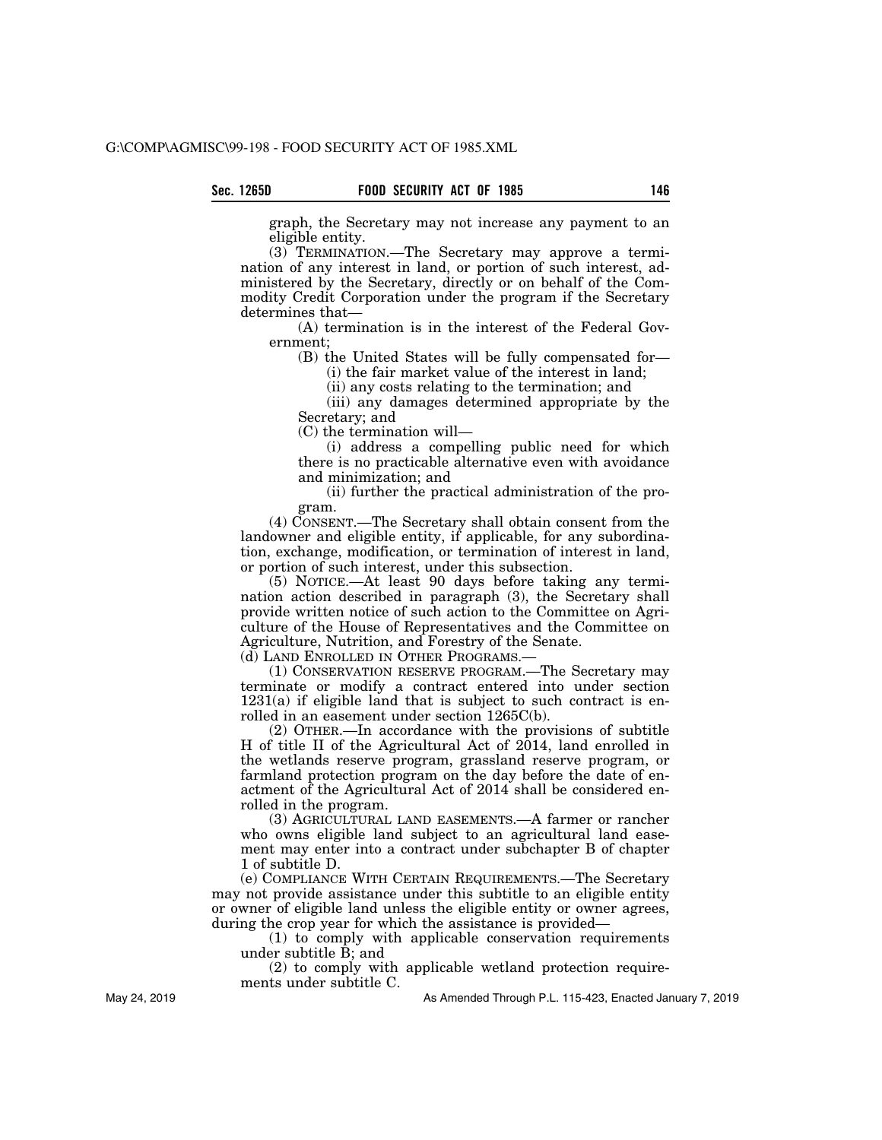graph, the Secretary may not increase any payment to an eligible entity.

(3) TERMINATION.—The Secretary may approve a termination of any interest in land, or portion of such interest, administered by the Secretary, directly or on behalf of the Commodity Credit Corporation under the program if the Secretary determines that—

(A) termination is in the interest of the Federal Government;

(B) the United States will be fully compensated for— (i) the fair market value of the interest in land;

(ii) any costs relating to the termination; and

(iii) any damages determined appropriate by the Secretary; and

(C) the termination will—

(i) address a compelling public need for which there is no practicable alternative even with avoidance and minimization; and

(ii) further the practical administration of the program.

(4) CONSENT.—The Secretary shall obtain consent from the landowner and eligible entity, if applicable, for any subordination, exchange, modification, or termination of interest in land, or portion of such interest, under this subsection.

(5) NOTICE.—At least 90 days before taking any termination action described in paragraph (3), the Secretary shall provide written notice of such action to the Committee on Agriculture of the House of Representatives and the Committee on Agriculture, Nutrition, and Forestry of the Senate.

(d) LAND ENROLLED IN OTHER PROGRAMS.—

(1) CONSERVATION RESERVE PROGRAM.—The Secretary may terminate or modify a contract entered into under section  $1231(a)$  if eligible land that is subject to such contract is enrolled in an easement under section 1265C(b).

(2) OTHER.—In accordance with the provisions of subtitle H of title II of the Agricultural Act of 2014, land enrolled in the wetlands reserve program, grassland reserve program, or farmland protection program on the day before the date of enactment of the Agricultural Act of 2014 shall be considered enrolled in the program.

(3) AGRICULTURAL LAND EASEMENTS.—A farmer or rancher who owns eligible land subject to an agricultural land easement may enter into a contract under subchapter B of chapter 1 of subtitle D.

(e) COMPLIANCE WITH CERTAIN REQUIREMENTS.—The Secretary may not provide assistance under this subtitle to an eligible entity or owner of eligible land unless the eligible entity or owner agrees, during the crop year for which the assistance is provided—

(1) to comply with applicable conservation requirements under subtitle B; and

(2) to comply with applicable wetland protection requirements under subtitle C.

As Amended Through P.L. 115-423, Enacted January 7, 2019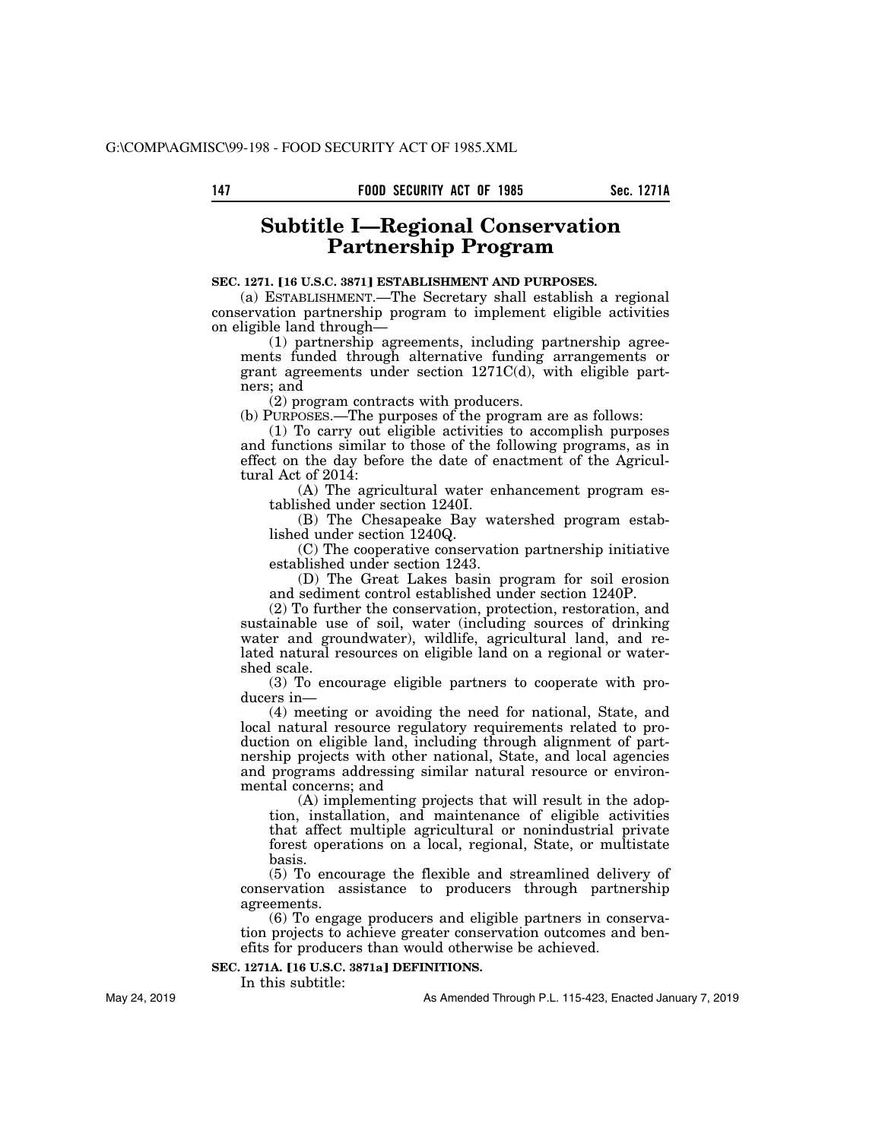# **Subtitle I—Regional Conservation Partnership Program**

## **SEC. 1271. [16 U.S.C. 3871] ESTABLISHMENT AND PURPOSES.**

(a) ESTABLISHMENT.—The Secretary shall establish a regional conservation partnership program to implement eligible activities on eligible land through—

(1) partnership agreements, including partnership agreements funded through alternative funding arrangements or grant agreements under section 1271C(d), with eligible partners; and

(2) program contracts with producers.

(b) PURPOSES.—The purposes of the program are as follows:

(1) To carry out eligible activities to accomplish purposes and functions similar to those of the following programs, as in effect on the day before the date of enactment of the Agricultural Act of 2014:

(A) The agricultural water enhancement program established under section 1240I.

(B) The Chesapeake Bay watershed program established under section 1240Q.

(C) The cooperative conservation partnership initiative established under section 1243.

(D) The Great Lakes basin program for soil erosion and sediment control established under section 1240P.

(2) To further the conservation, protection, restoration, and sustainable use of soil, water (including sources of drinking water and groundwater), wildlife, agricultural land, and related natural resources on eligible land on a regional or watershed scale.

(3) To encourage eligible partners to cooperate with producers in—

(4) meeting or avoiding the need for national, State, and local natural resource regulatory requirements related to production on eligible land, including through alignment of partnership projects with other national, State, and local agencies and programs addressing similar natural resource or environmental concerns; and

(A) implementing projects that will result in the adoption, installation, and maintenance of eligible activities that affect multiple agricultural or nonindustrial private forest operations on a local, regional, State, or multistate basis.

(5) To encourage the flexible and streamlined delivery of conservation assistance to producers through partnership agreements.

(6) To engage producers and eligible partners in conservation projects to achieve greater conservation outcomes and benefits for producers than would otherwise be achieved.

## **SEC. 1271A. [16 U.S.C. 3871a] DEFINITIONS.**

In this subtitle:

As Amended Through P.L. 115-423, Enacted January 7, 2019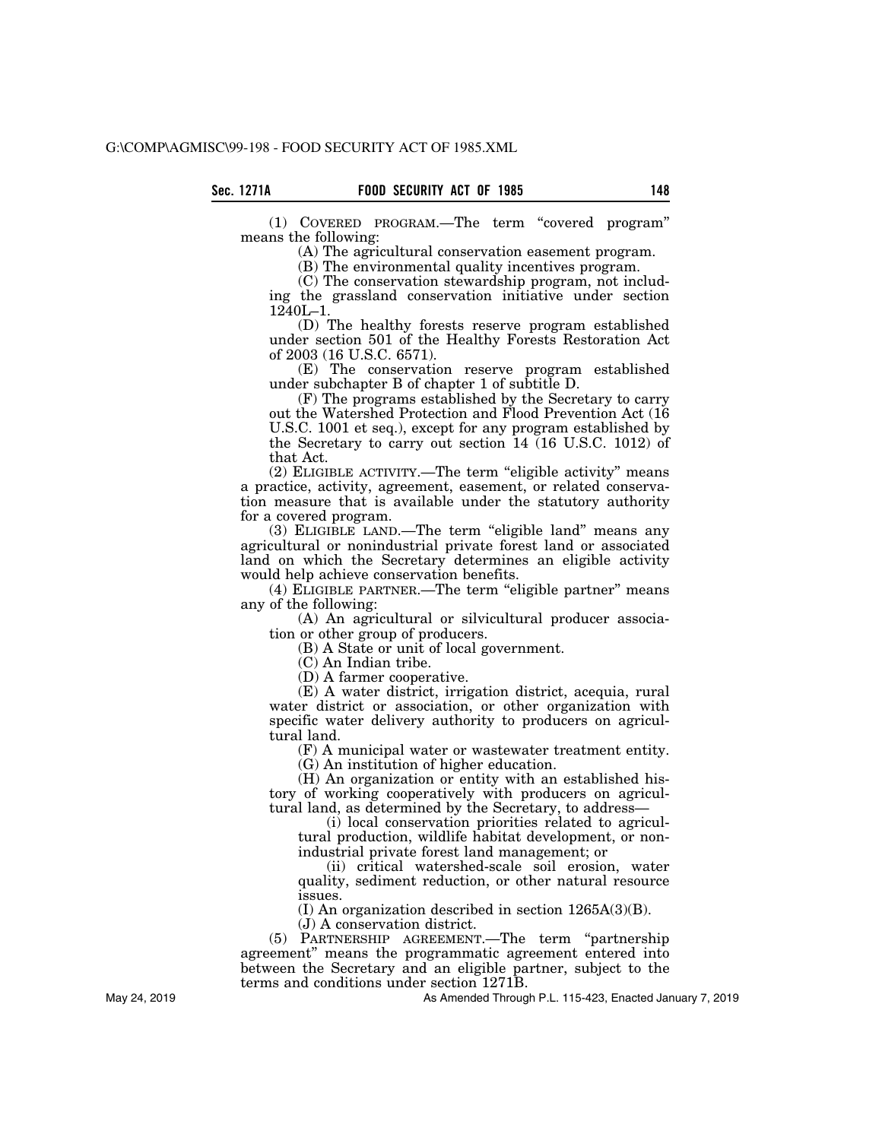(1) COVERED PROGRAM.—The term ''covered program'' means the following:

(A) The agricultural conservation easement program.

(B) The environmental quality incentives program.

(C) The conservation stewardship program, not including the grassland conservation initiative under section 1240L–1.

(D) The healthy forests reserve program established under section 501 of the Healthy Forests Restoration Act of 2003 (16 U.S.C. 6571).

(E) The conservation reserve program established under subchapter B of chapter 1 of subtitle D.

(F) The programs established by the Secretary to carry out the Watershed Protection and Flood Prevention Act (16 U.S.C. 1001 et seq.), except for any program established by the Secretary to carry out section 14 (16 U.S.C. 1012) of that Act.

(2) ELIGIBLE ACTIVITY.—The term ''eligible activity'' means a practice, activity, agreement, easement, or related conservation measure that is available under the statutory authority for a covered program.

(3) ELIGIBLE LAND.—The term ''eligible land'' means any agricultural or nonindustrial private forest land or associated land on which the Secretary determines an eligible activity would help achieve conservation benefits.

(4) ELIGIBLE PARTNER.—The term "eligible partner" means any of the following:

(A) An agricultural or silvicultural producer association or other group of producers.

(B) A State or unit of local government.

(C) An Indian tribe.

(D) A farmer cooperative.

(E) A water district, irrigation district, acequia, rural water district or association, or other organization with specific water delivery authority to producers on agricultural land.

(F) A municipal water or wastewater treatment entity.

(G) An institution of higher education.

(H) An organization or entity with an established history of working cooperatively with producers on agricultural land, as determined by the Secretary, to address—

(i) local conservation priorities related to agricultural production, wildlife habitat development, or nonindustrial private forest land management; or

(ii) critical watershed-scale soil erosion, water quality, sediment reduction, or other natural resource issues.

(I) An organization described in section 1265A(3)(B).

(J) A conservation district.

(5) PARTNERSHIP AGREEMENT.—The term ''partnership agreement'' means the programmatic agreement entered into between the Secretary and an eligible partner, subject to the terms and conditions under section 1271B.

As Amended Through P.L. 115-423, Enacted January 7, 2019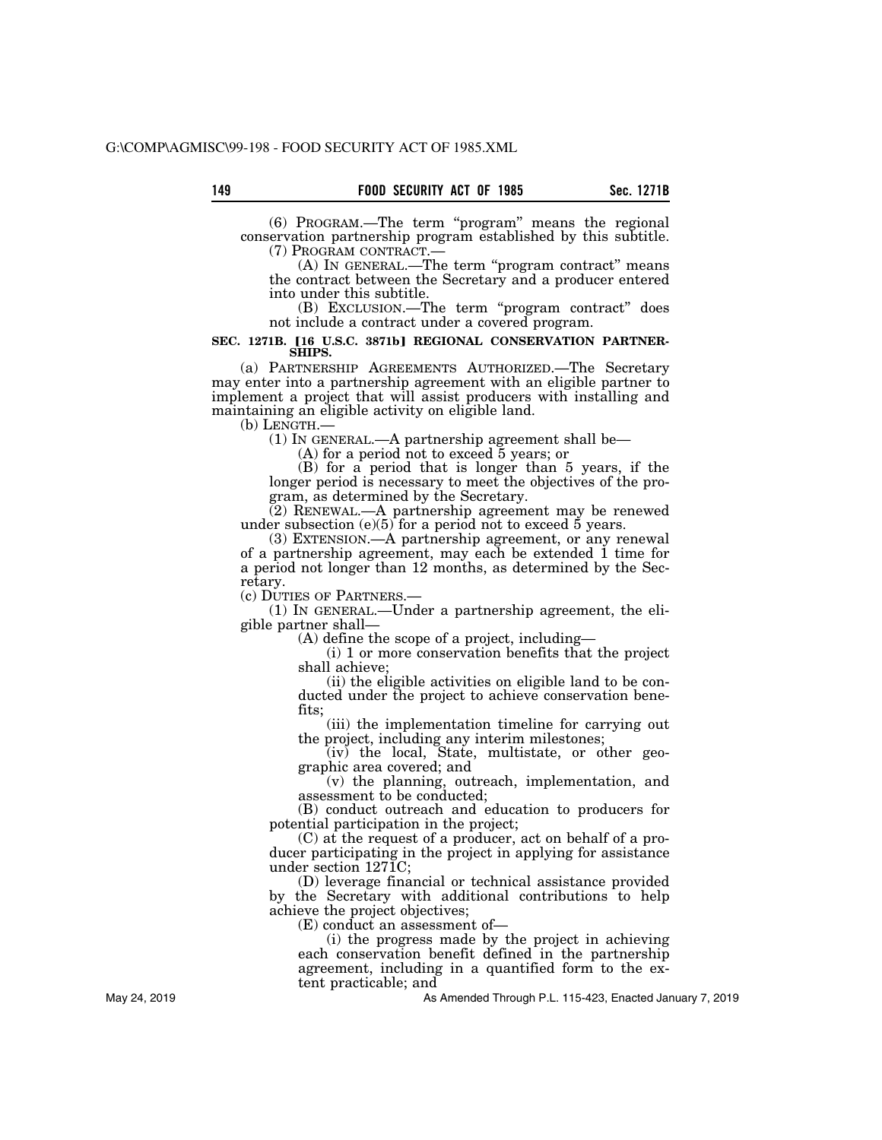(6) PROGRAM.—The term ''program'' means the regional conservation partnership program established by this subtitle.

 $(A)$  In GENERAL.—The term "program contract" means the contract between the Secretary and a producer entered into under this subtitle.

(B) EXCLUSION.—The term ''program contract'' does not include a contract under a covered program.

#### SEC. 1271B. [16 U.S.C. 3871b] REGIONAL CONSERVATION PARTNER-**SHIPS.**

(a) PARTNERSHIP AGREEMENTS AUTHORIZED.—The Secretary may enter into a partnership agreement with an eligible partner to implement a project that will assist producers with installing and maintaining an eligible activity on eligible land.<br>(b) LENGTH.—

 $(1)$  In GENERAL.—A partnership agreement shall be—

(A) for a period not to exceed 5 years; or

(B) for a period that is longer than 5 years, if the longer period is necessary to meet the objectives of the program, as determined by the Secretary.

(2) RENEWAL.—A partnership agreement may be renewed under subsection  $(e)(5)$  for a period not to exceed 5 years.

(3) EXTENSION.—A partnership agreement, or any renewal of a partnership agreement, may each be extended 1 time for a period not longer than 12 months, as determined by the Secretary.<br>(c) DUTIES OF PARTNERS.—

 $(1)$  In GENERAL.—Under a partnership agreement, the eligible partner shall—

(A) define the scope of a project, including—

(i) 1 or more conservation benefits that the project shall achieve;

(ii) the eligible activities on eligible land to be conducted under the project to achieve conservation benefits;

(iii) the implementation timeline for carrying out the project, including any interim milestones;

(iv) the local, State, multistate, or other geographic area covered; and

(v) the planning, outreach, implementation, and assessment to be conducted;

(B) conduct outreach and education to producers for potential participation in the project;

(C) at the request of a producer, act on behalf of a producer participating in the project in applying for assistance under section 1271C;

(D) leverage financial or technical assistance provided by the Secretary with additional contributions to help achieve the project objectives;

(E) conduct an assessment of—

(i) the progress made by the project in achieving each conservation benefit defined in the partnership agreement, including in a quantified form to the extent practicable; and

As Amended Through P.L. 115-423, Enacted January 7, 2019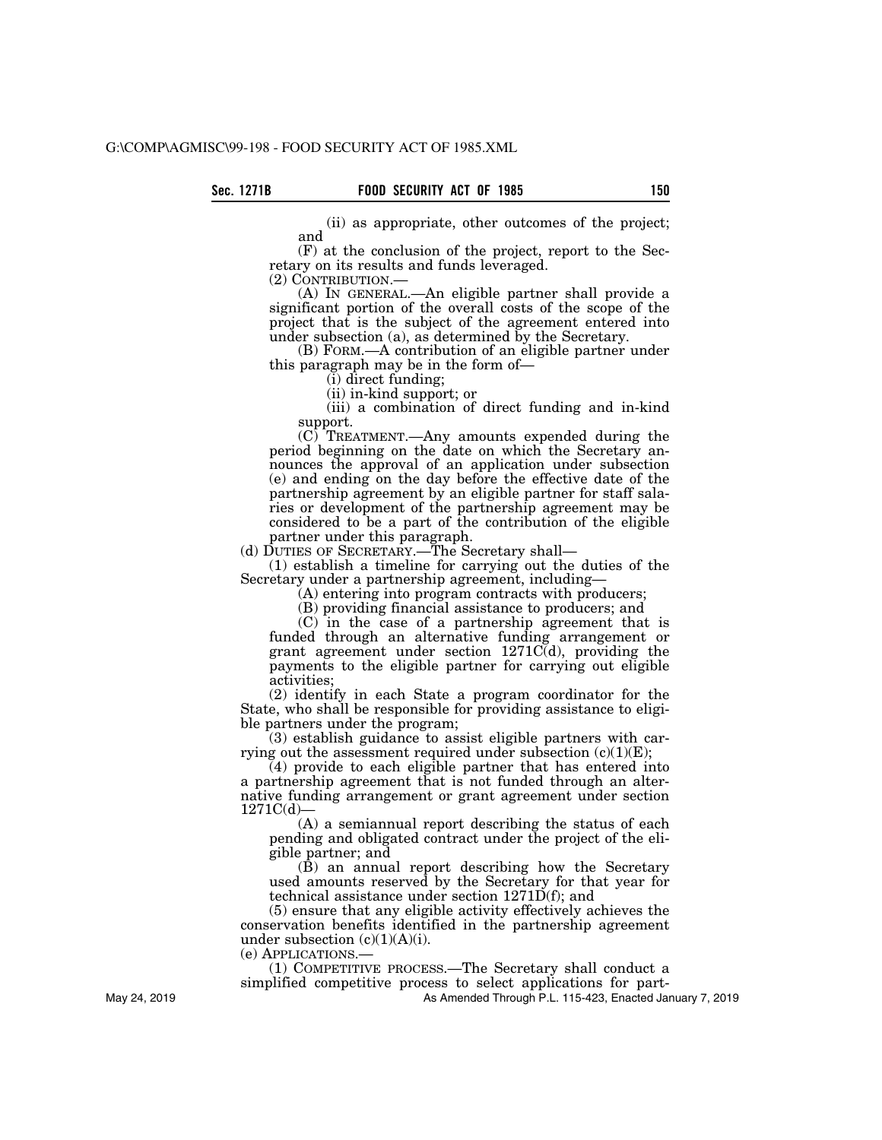(ii) as appropriate, other outcomes of the project; and

(F) at the conclusion of the project, report to the Secretary on its results and funds leveraged.<br>(2) CONTRIBUTION.—

(A) In GENERAL.—An eligible partner shall provide a significant portion of the overall costs of the scope of the project that is the subject of the agreement entered into under subsection (a), as determined by the Secretary.

(B) FORM.—A contribution of an eligible partner under this paragraph may be in the form of—

(i) direct funding;

(ii) in-kind support; or

(iii) a combination of direct funding and in-kind support.

(C) TREATMENT.—Any amounts expended during the period beginning on the date on which the Secretary announces the approval of an application under subsection (e) and ending on the day before the effective date of the partnership agreement by an eligible partner for staff salaries or development of the partnership agreement may be considered to be a part of the contribution of the eligible partner under this paragraph.

(d) DUTIES OF SECRETARY.—The Secretary shall—

(1) establish a timeline for carrying out the duties of the Secretary under a partnership agreement, including—

(A) entering into program contracts with producers;

(B) providing financial assistance to producers; and

(C) in the case of a partnership agreement that is funded through an alternative funding arrangement or grant agreement under section 1271C(d), providing the payments to the eligible partner for carrying out eligible activities;

(2) identify in each State a program coordinator for the State, who shall be responsible for providing assistance to eligible partners under the program;

(3) establish guidance to assist eligible partners with carrying out the assessment required under subsection  $(c)(1)(E)$ ;

(4) provide to each eligible partner that has entered into a partnership agreement that is not funded through an alternative funding arrangement or grant agreement under section 1271C(d)—

(A) a semiannual report describing the status of each pending and obligated contract under the project of the eligible partner; and

(B) an annual report describing how the Secretary used amounts reserved by the Secretary for that year for technical assistance under section 1271D(f); and

(5) ensure that any eligible activity effectively achieves the conservation benefits identified in the partnership agreement under subsection  $(c)(1)(A)(i)$ .

(e) APPLICATIONS.—

(1) COMPETITIVE PROCESS.—The Secretary shall conduct a simplified competitive process to select applications for part-

As Amended Through P.L. 115-423, Enacted January 7, 2019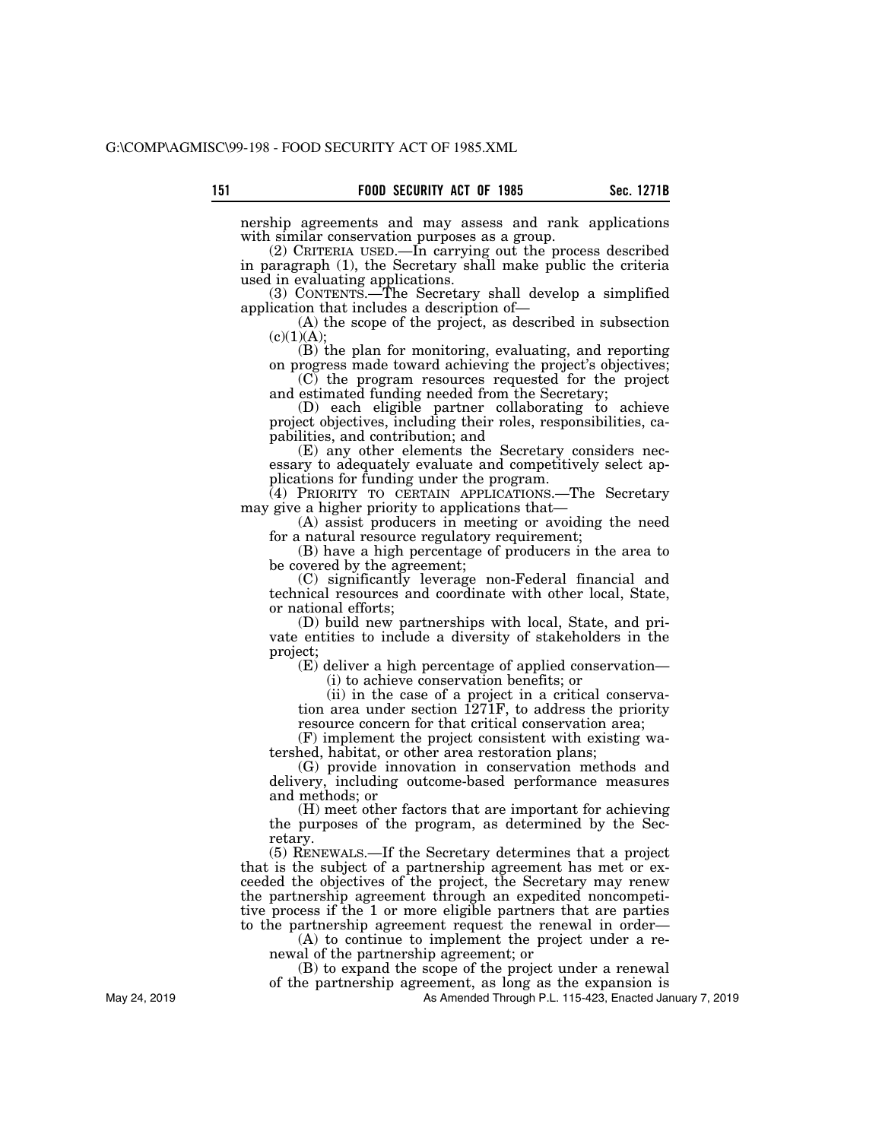nership agreements and may assess and rank applications with similar conservation purposes as a group.

(2) CRITERIA USED.—In carrying out the process described in paragraph (1), the Secretary shall make public the criteria used in evaluating applications.

(3) CONTENTS.—The Secretary shall develop a simplified application that includes a description of—

(A) the scope of the project, as described in subsection  $(c)(1)(A);$ 

(B) the plan for monitoring, evaluating, and reporting on progress made toward achieving the project's objectives;

(C) the program resources requested for the project and estimated funding needed from the Secretary;

(D) each eligible partner collaborating to achieve project objectives, including their roles, responsibilities, capabilities, and contribution; and

(E) any other elements the Secretary considers necessary to adequately evaluate and competitively select applications for funding under the program.

(4) PRIORITY TO CERTAIN APPLICATIONS.—The Secretary may give a higher priority to applications that—

(A) assist producers in meeting or avoiding the need for a natural resource regulatory requirement;

(B) have a high percentage of producers in the area to be covered by the agreement;

(C) significantly leverage non-Federal financial and technical resources and coordinate with other local, State, or national efforts;

(D) build new partnerships with local, State, and private entities to include a diversity of stakeholders in the project;

(E) deliver a high percentage of applied conservation— (i) to achieve conservation benefits; or

(ii) in the case of a project in a critical conservation area under section 1271F, to address the priority resource concern for that critical conservation area;

(F) implement the project consistent with existing watershed, habitat, or other area restoration plans;

(G) provide innovation in conservation methods and delivery, including outcome-based performance measures and methods; or

(H) meet other factors that are important for achieving the purposes of the program, as determined by the Secretary.

(5) RENEWALS.—If the Secretary determines that a project that is the subject of a partnership agreement has met or exceeded the objectives of the project, the Secretary may renew the partnership agreement through an expedited noncompetitive process if the 1 or more eligible partners that are parties to the partnership agreement request the renewal in order—

(A) to continue to implement the project under a renewal of the partnership agreement; or

(B) to expand the scope of the project under a renewal

of the partnership agreement, as long as the expansion is

As Amended Through P.L. 115-423, Enacted January 7, 2019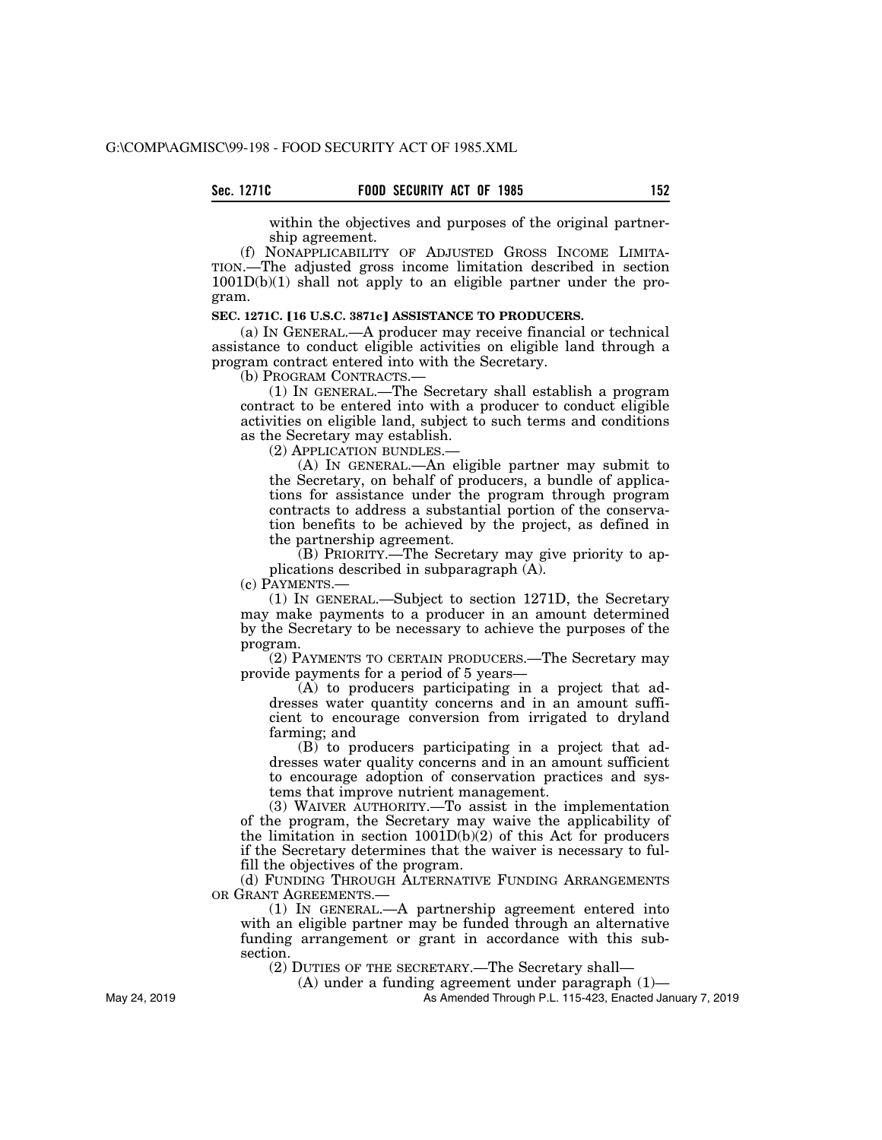## **Sec. 1271C FOOD SECURITY ACT OF 1985 152**

within the objectives and purposes of the original partnership agreement.

(f) NONAPPLICABILITY OF ADJUSTED GROSS INCOME LIMITA-TION.—The adjusted gross income limitation described in section 1001D(b)(1) shall not apply to an eligible partner under the program.

## **SEC. 1271C. [16 U.S.C. 3871c] ASSISTANCE TO PRODUCERS.**

(a) IN GENERAL.—A producer may receive financial or technical assistance to conduct eligible activities on eligible land through a program contract entered into with the Secretary.

(b) PROGRAM CONTRACTS.—

(1) IN GENERAL.—The Secretary shall establish a program contract to be entered into with a producer to conduct eligible activities on eligible land, subject to such terms and conditions as the Secretary may establish.

(2) APPLICATION BUNDLES.—

(A) IN GENERAL.—An eligible partner may submit to the Secretary, on behalf of producers, a bundle of applications for assistance under the program through program contracts to address a substantial portion of the conservation benefits to be achieved by the project, as defined in the partnership agreement.

(B) PRIORITY.—The Secretary may give priority to applications described in subparagraph (A).

(c) PAYMENTS.—

(1) IN GENERAL.—Subject to section 1271D, the Secretary may make payments to a producer in an amount determined by the Secretary to be necessary to achieve the purposes of the program.

(2) PAYMENTS TO CERTAIN PRODUCERS.—The Secretary may provide payments for a period of 5 years—

(A) to producers participating in a project that addresses water quantity concerns and in an amount sufficient to encourage conversion from irrigated to dryland farming; and

(B) to producers participating in a project that addresses water quality concerns and in an amount sufficient to encourage adoption of conservation practices and systems that improve nutrient management.

(3) WAIVER AUTHORITY.—To assist in the implementation of the program, the Secretary may waive the applicability of the limitation in section  $1001D(b)(2)$  of this Act for producers if the Secretary determines that the waiver is necessary to fulfill the objectives of the program.

(d) FUNDING THROUGH ALTERNATIVE FUNDING ARRANGEMENTS OR GRANT AGREEMENTS.

(1) IN GENERAL.—A partnership agreement entered into with an eligible partner may be funded through an alternative funding arrangement or grant in accordance with this subsection.

(2) DUTIES OF THE SECRETARY.—The Secretary shall—

(A) under a funding agreement under paragraph (1)—

As Amended Through P.L. 115-423, Enacted January 7, 2019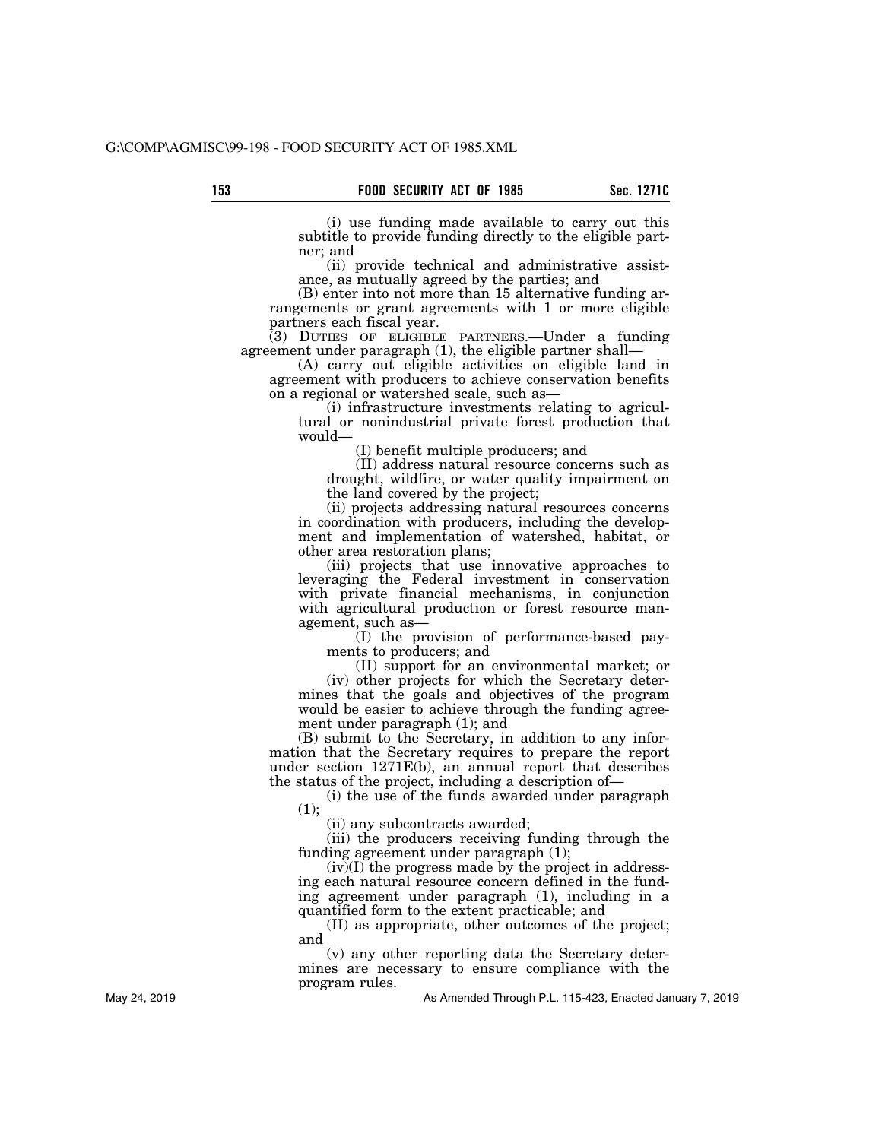(i) use funding made available to carry out this subtitle to provide funding directly to the eligible partner; and

(ii) provide technical and administrative assistance, as mutually agreed by the parties; and

(B) enter into not more than 15 alternative funding arrangements or grant agreements with 1 or more eligible partners each fiscal year.

(3) DUTIES OF ELIGIBLE PARTNERS.—Under a funding agreement under paragraph (1), the eligible partner shall—

(A) carry out eligible activities on eligible land in agreement with producers to achieve conservation benefits on a regional or watershed scale, such as—

(i) infrastructure investments relating to agricultural or nonindustrial private forest production that would—

(I) benefit multiple producers; and

(II) address natural resource concerns such as drought, wildfire, or water quality impairment on the land covered by the project;

(ii) projects addressing natural resources concerns in coordination with producers, including the development and implementation of watershed, habitat, or other area restoration plans;

(iii) projects that use innovative approaches to leveraging the Federal investment in conservation with private financial mechanisms, in conjunction with agricultural production or forest resource management, such as—

(I) the provision of performance-based payments to producers; and

(II) support for an environmental market; or

(iv) other projects for which the Secretary determines that the goals and objectives of the program would be easier to achieve through the funding agreement under paragraph (1); and

(B) submit to the Secretary, in addition to any information that the Secretary requires to prepare the report under section 1271E(b), an annual report that describes the status of the project, including a description of—

(i) the use of the funds awarded under paragraph  $(1);$ 

(ii) any subcontracts awarded;

(iii) the producers receiving funding through the funding agreement under paragraph (1);

 $(iv)(I)$  the progress made by the project in addressing each natural resource concern defined in the funding agreement under paragraph (1), including in a quantified form to the extent practicable; and

(II) as appropriate, other outcomes of the project; and

(v) any other reporting data the Secretary determines are necessary to ensure compliance with the program rules.

As Amended Through P.L. 115-423, Enacted January 7, 2019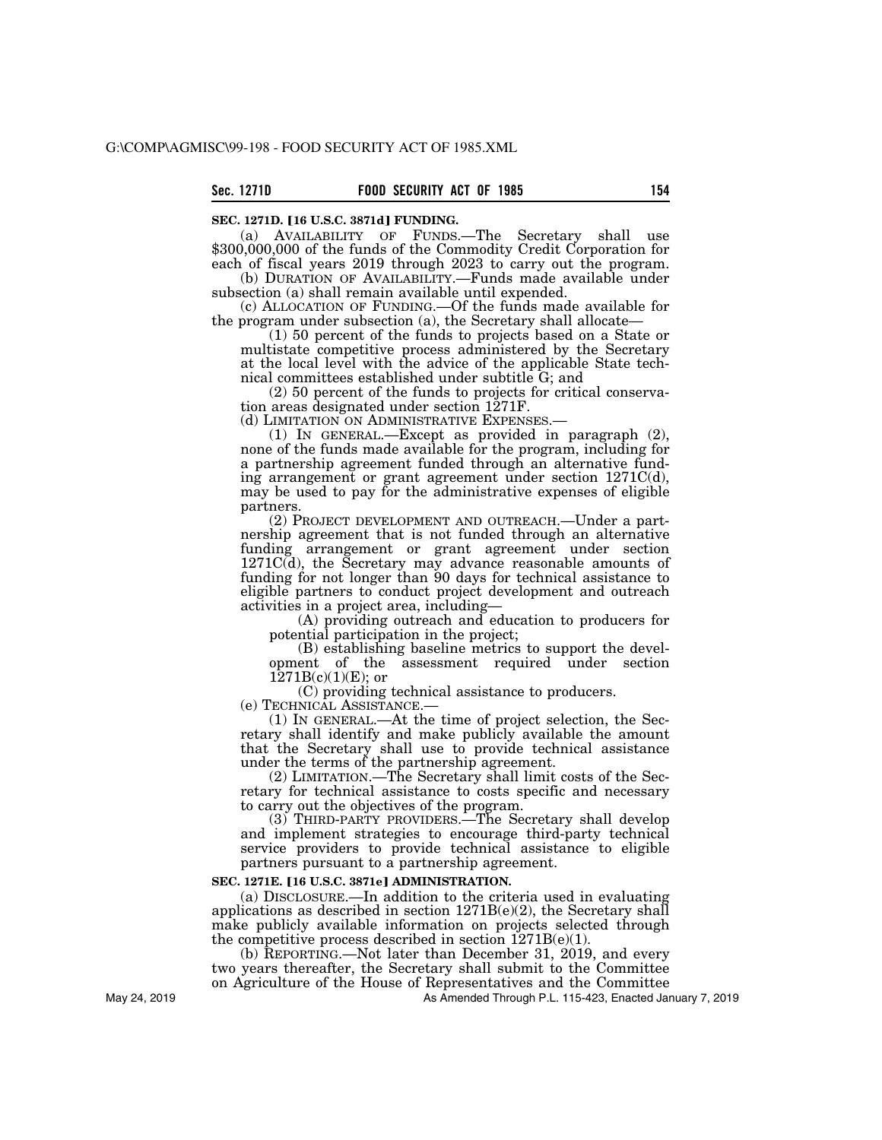### **SEC. 1271D. [16 U.S.C. 3871d] FUNDING.**

(a) AVAILABILITY OF FUNDS.—The Secretary shall use \$300,000,000 of the funds of the Commodity Credit Corporation for each of fiscal years 2019 through 2023 to carry out the program.

(b) DURATION OF AVAILABILITY.—Funds made available under subsection (a) shall remain available until expended.

(c) ALLOCATION OF FUNDING.—Of the funds made available for the program under subsection (a), the Secretary shall allocate—

(1) 50 percent of the funds to projects based on a State or multistate competitive process administered by the Secretary at the local level with the advice of the applicable State technical committees established under subtitle G; and

(2) 50 percent of the funds to projects for critical conservation areas designated under section 1271F.

(d) LIMITATION ON ADMINISTRATIVE EXPENSES.— (1) IN GENERAL.—Except as provided in paragraph (2), none of the funds made available for the program, including for a partnership agreement funded through an alternative funding arrangement or grant agreement under section 1271C(d), may be used to pay for the administrative expenses of eligible partners.

(2) PROJECT DEVELOPMENT AND OUTREACH.—Under a partnership agreement that is not funded through an alternative funding arrangement or grant agreement under section 1271C(d), the Secretary may advance reasonable amounts of funding for not longer than 90 days for technical assistance to eligible partners to conduct project development and outreach activities in a project area, including—

(A) providing outreach and education to producers for potential participation in the project;

(B) establishing baseline metrics to support the development of the assessment required under section  $1271B(c)(1)(E)$ ; or

(C) providing technical assistance to producers.

(e) TECHNICAL ASSISTANCE.— (1) IN GENERAL.—At the time of project selection, the Secretary shall identify and make publicly available the amount that the Secretary shall use to provide technical assistance under the terms of the partnership agreement.

(2) LIMITATION.—The Secretary shall limit costs of the Secretary for technical assistance to costs specific and necessary to carry out the objectives of the program.

(3) THIRD-PARTY PROVIDERS.—The Secretary shall develop and implement strategies to encourage third-party technical service providers to provide technical assistance to eligible partners pursuant to a partnership agreement.

#### **SEC. 1271E. [16 U.S.C. 3871e] ADMINISTRATION.**

(a) DISCLOSURE.—In addition to the criteria used in evaluating applications as described in section  $1271B(e)(2)$ , the Secretary shall make publicly available information on projects selected through the competitive process described in section  $1271B(e)(1)$ .

(b) REPORTING.—Not later than December 31, 2019, and every two years thereafter, the Secretary shall submit to the Committee on Agriculture of the House of Representatives and the Committee

As Amended Through P.L. 115-423, Enacted January 7, 2019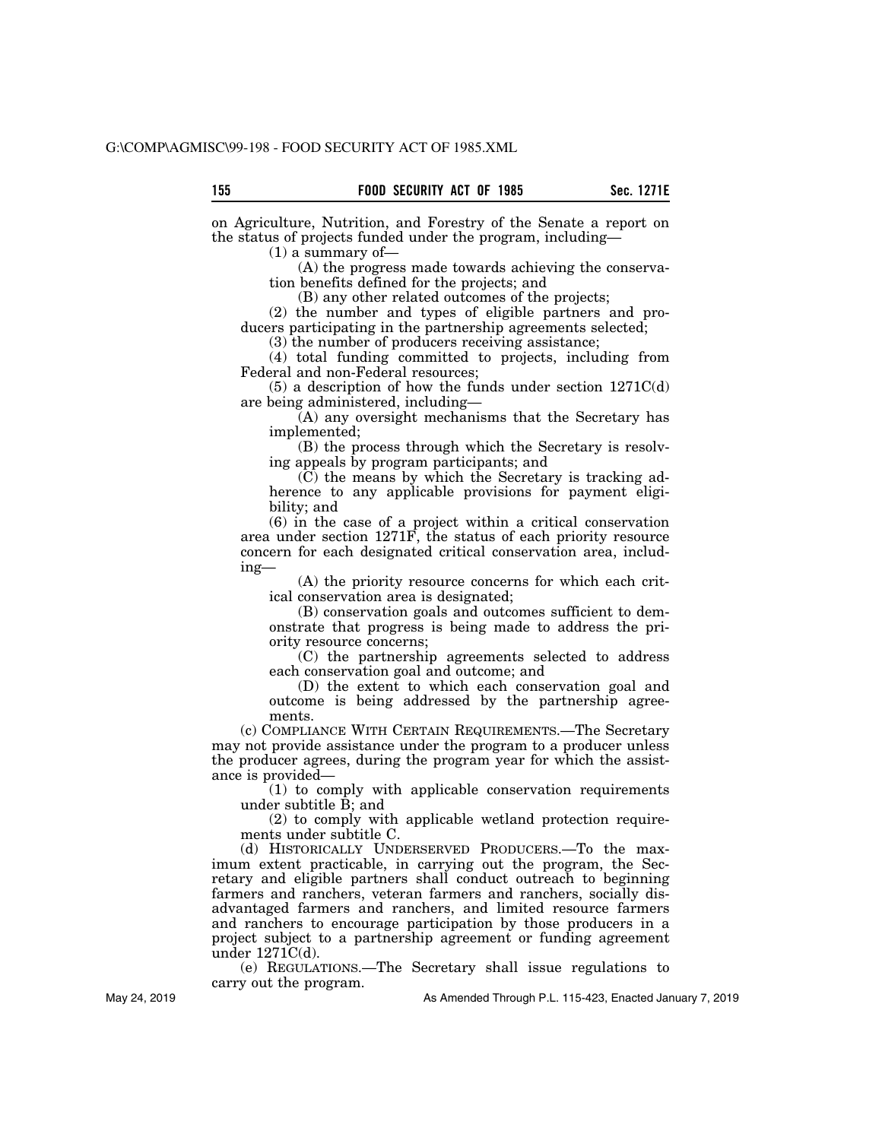on Agriculture, Nutrition, and Forestry of the Senate a report on the status of projects funded under the program, including—

 $(1)$  a summary of-

(A) the progress made towards achieving the conservation benefits defined for the projects; and

(B) any other related outcomes of the projects;

(2) the number and types of eligible partners and producers participating in the partnership agreements selected;

(3) the number of producers receiving assistance;

(4) total funding committed to projects, including from Federal and non-Federal resources;

 $(5)$  a description of how the funds under section  $1271C(d)$ are being administered, including—

(A) any oversight mechanisms that the Secretary has implemented;

(B) the process through which the Secretary is resolving appeals by program participants; and

(C) the means by which the Secretary is tracking adherence to any applicable provisions for payment eligibility; and

(6) in the case of a project within a critical conservation area under section 1271F, the status of each priority resource concern for each designated critical conservation area, including—

(A) the priority resource concerns for which each critical conservation area is designated;

(B) conservation goals and outcomes sufficient to demonstrate that progress is being made to address the priority resource concerns;

(C) the partnership agreements selected to address each conservation goal and outcome; and

(D) the extent to which each conservation goal and outcome is being addressed by the partnership agreements.

(c) COMPLIANCE WITH CERTAIN REQUIREMENTS.—The Secretary may not provide assistance under the program to a producer unless the producer agrees, during the program year for which the assistance is provided—

(1) to comply with applicable conservation requirements under subtitle B; and

(2) to comply with applicable wetland protection requirements under subtitle C.

(d) HISTORICALLY UNDERSERVED PRODUCERS.—To the maximum extent practicable, in carrying out the program, the Secretary and eligible partners shall conduct outreach to beginning farmers and ranchers, veteran farmers and ranchers, socially disadvantaged farmers and ranchers, and limited resource farmers and ranchers to encourage participation by those producers in a project subject to a partnership agreement or funding agreement under 1271C(d).

(e) REGULATIONS.—The Secretary shall issue regulations to carry out the program.

As Amended Through P.L. 115-423, Enacted January 7, 2019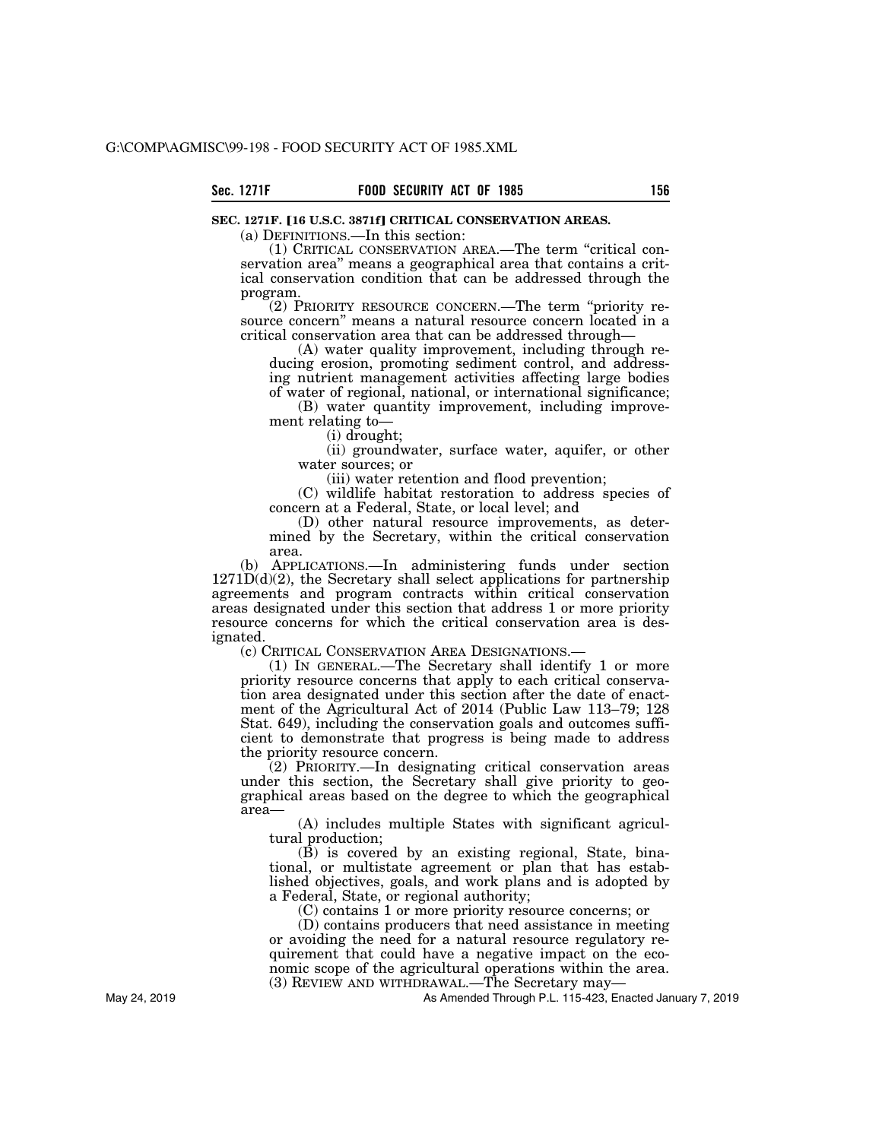## **SEC. 1271F. [16 U.S.C. 3871f] CRITICAL CONSERVATION AREAS.**

(a) DEFINITIONS.—In this section:

(1) CRITICAL CONSERVATION AREA.—The term ''critical conservation area'' means a geographical area that contains a critical conservation condition that can be addressed through the program.

(2) PRIORITY RESOURCE CONCERN.—The term ''priority resource concern'' means a natural resource concern located in a critical conservation area that can be addressed through—

(A) water quality improvement, including through reducing erosion, promoting sediment control, and addressing nutrient management activities affecting large bodies of water of regional, national, or international significance;

(B) water quantity improvement, including improvement relating to—

(i) drought;

(ii) groundwater, surface water, aquifer, or other water sources; or

(iii) water retention and flood prevention;

(C) wildlife habitat restoration to address species of concern at a Federal, State, or local level; and

(D) other natural resource improvements, as determined by the Secretary, within the critical conservation area.

(b) APPLICATIONS.—In administering funds under section  $1271D(d)(2)$ , the Secretary shall select applications for partnership agreements and program contracts within critical conservation areas designated under this section that address 1 or more priority resource concerns for which the critical conservation area is designated.<br>c) CRITICAL CONSERVATION AREA DESIGNATIONS.

(1) IN GENERAL.—The Secretary shall identify 1 or more priority resource concerns that apply to each critical conservation area designated under this section after the date of enactment of the Agricultural Act of 2014 (Public Law 113–79; 128 Stat. 649), including the conservation goals and outcomes sufficient to demonstrate that progress is being made to address the priority resource concern.

(2) PRIORITY.—In designating critical conservation areas under this section, the Secretary shall give priority to geographical areas based on the degree to which the geographical area—

(A) includes multiple States with significant agricultural production;

(B) is covered by an existing regional, State, binational, or multistate agreement or plan that has established objectives, goals, and work plans and is adopted by a Federal, State, or regional authority;

(C) contains 1 or more priority resource concerns; or

(D) contains producers that need assistance in meeting or avoiding the need for a natural resource regulatory requirement that could have a negative impact on the economic scope of the agricultural operations within the area. (3) REVIEW AND WITHDRAWAL.—The Secretary may—

As Amended Through P.L. 115-423, Enacted January 7, 2019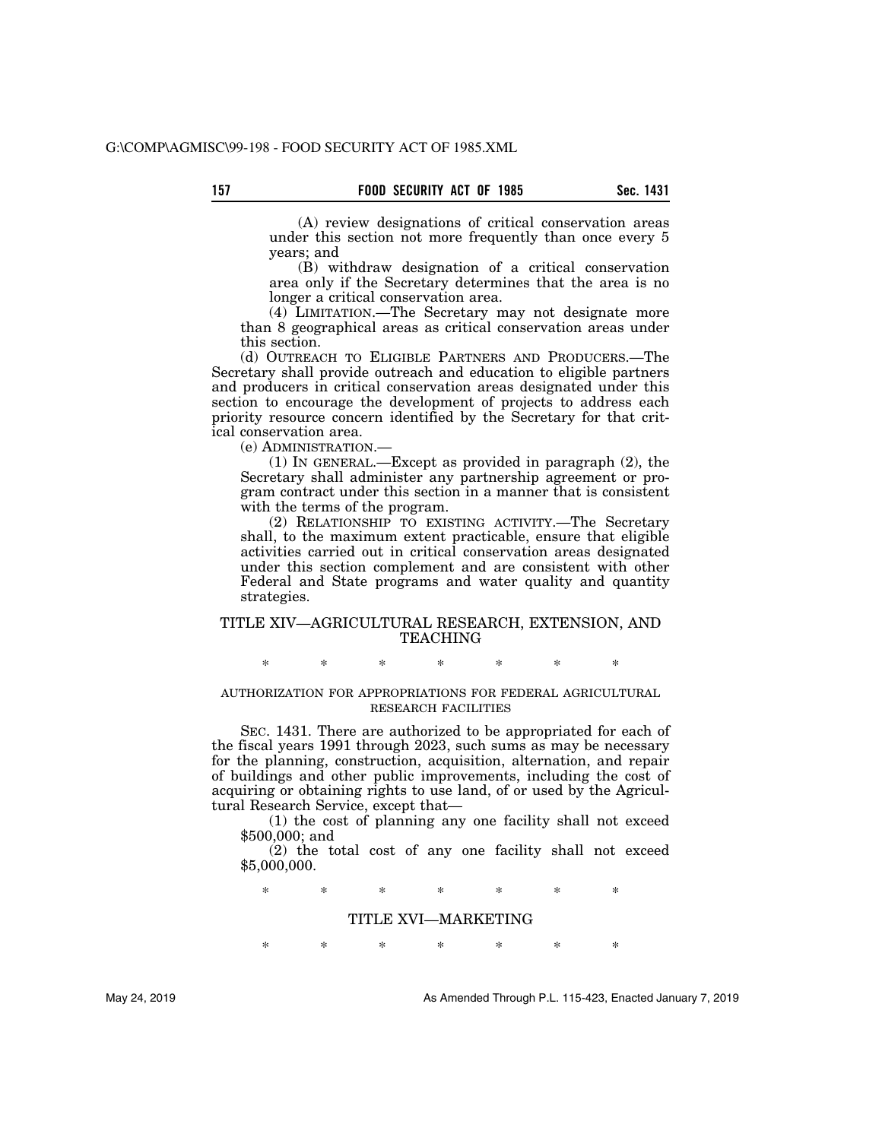(A) review designations of critical conservation areas under this section not more frequently than once every 5 years; and

(B) withdraw designation of a critical conservation area only if the Secretary determines that the area is no longer a critical conservation area.

(4) LIMITATION.—The Secretary may not designate more than 8 geographical areas as critical conservation areas under this section.

(d) OUTREACH TO ELIGIBLE PARTNERS AND PRODUCERS.—The Secretary shall provide outreach and education to eligible partners and producers in critical conservation areas designated under this section to encourage the development of projects to address each priority resource concern identified by the Secretary for that critical conservation area.

(e) ADMINISTRATION.—

(1) IN GENERAL.—Except as provided in paragraph (2), the Secretary shall administer any partnership agreement or program contract under this section in a manner that is consistent with the terms of the program.

(2) RELATIONSHIP TO EXISTING ACTIVITY.—The Secretary shall, to the maximum extent practicable, ensure that eligible activities carried out in critical conservation areas designated under this section complement and are consistent with other Federal and State programs and water quality and quantity strategies.

## TITLE XIV—AGRICULTURAL RESEARCH, EXTENSION, AND TEACHING

\* \* \* \* \* \* \*

## AUTHORIZATION FOR APPROPRIATIONS FOR FEDERAL AGRICULTURAL RESEARCH FACILITIES

SEC. 1431. There are authorized to be appropriated for each of the fiscal years 1991 through 2023, such sums as may be necessary for the planning, construction, acquisition, alternation, and repair of buildings and other public improvements, including the cost of acquiring or obtaining rights to use land, of or used by the Agricultural Research Service, except that—

(1) the cost of planning any one facility shall not exceed \$500,000; and

(2) the total cost of any one facility shall not exceed \$5,000,000.

\* \* \* \* \* \* \*

## TITLE XVI—MARKETING

\* \* \* \* \* \* \*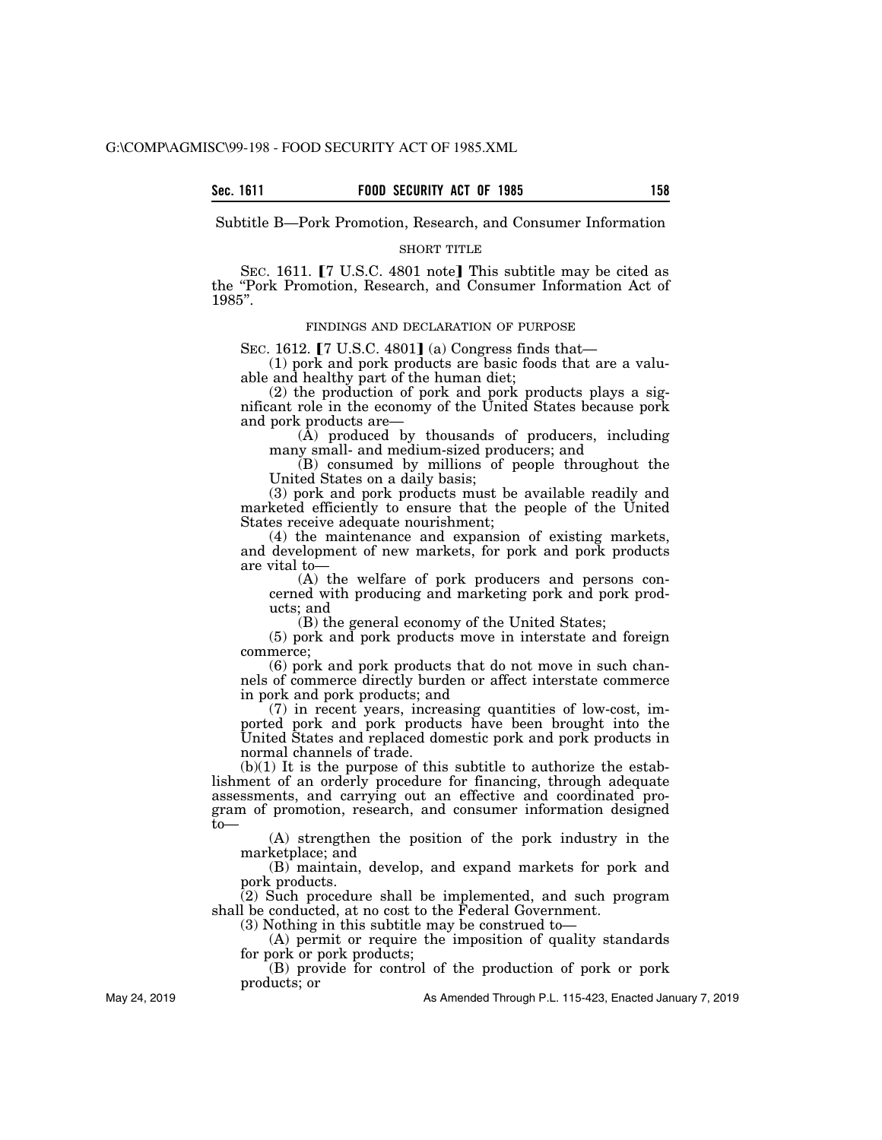Subtitle B—Pork Promotion, Research, and Consumer Information

#### SHORT TITLE

SEC. 1611.  $[7 \text{ U.S.C. } 4801 \text{ note}]$  This subtitle may be cited as the ''Pork Promotion, Research, and Consumer Information Act of 1985''.

## FINDINGS AND DECLARATION OF PURPOSE

SEC. 1612.  $[7 \text{ U.S.C. } 4801]$  (a) Congress finds that—

(1) pork and pork products are basic foods that are a valuable and healthy part of the human diet;

(2) the production of pork and pork products plays a significant role in the economy of the United States because pork and pork products are—

(A) produced by thousands of producers, including many small- and medium-sized producers; and

(B) consumed by millions of people throughout the United States on a daily basis;

(3) pork and pork products must be available readily and marketed efficiently to ensure that the people of the United States receive adequate nourishment;

(4) the maintenance and expansion of existing markets, and development of new markets, for pork and pork products are vital to—

(A) the welfare of pork producers and persons concerned with producing and marketing pork and pork products; and

(B) the general economy of the United States;

(5) pork and pork products move in interstate and foreign commerce;

(6) pork and pork products that do not move in such channels of commerce directly burden or affect interstate commerce in pork and pork products; and

(7) in recent years, increasing quantities of low-cost, imported pork and pork products have been brought into the United States and replaced domestic pork and pork products in normal channels of trade.

 $(b)(1)$  It is the purpose of this subtitle to authorize the establishment of an orderly procedure for financing, through adequate assessments, and carrying out an effective and coordinated program of promotion, research, and consumer information designed to—

(A) strengthen the position of the pork industry in the marketplace; and

(B) maintain, develop, and expand markets for pork and pork products.

(2) Such procedure shall be implemented, and such program shall be conducted, at no cost to the Federal Government.

(3) Nothing in this subtitle may be construed to—

(A) permit or require the imposition of quality standards for pork or pork products;

(B) provide for control of the production of pork or pork products; or

May 24, 2019

As Amended Through P.L. 115-423, Enacted January 7, 2019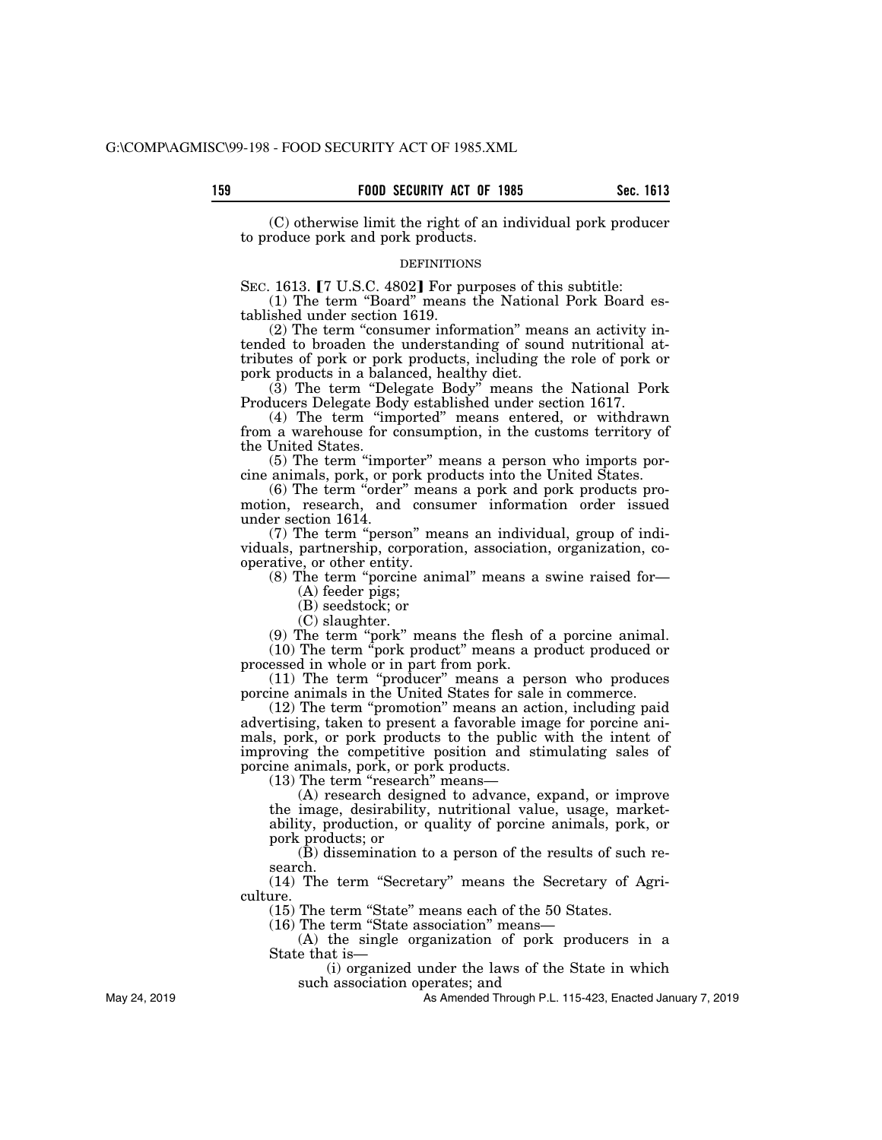(C) otherwise limit the right of an individual pork producer to produce pork and pork products.

#### DEFINITIONS

SEC. 1613. [7 U.S.C. 4802] For purposes of this subtitle:

(1) The term ''Board'' means the National Pork Board established under section 1619.

(2) The term "consumer information" means an activity intended to broaden the understanding of sound nutritional attributes of pork or pork products, including the role of pork or pork products in a balanced, healthy diet.

 $(3)$  The term "Delegate Body" means the National Pork Producers Delegate Body established under section 1617.

(4) The term ''imported'' means entered, or withdrawn from a warehouse for consumption, in the customs territory of the United States.

(5) The term ''importer'' means a person who imports porcine animals, pork, or pork products into the United States.

(6) The term ''order'' means a pork and pork products promotion, research, and consumer information order issued under section 1614.

(7) The term ''person'' means an individual, group of individuals, partnership, corporation, association, organization, cooperative, or other entity.

(8) The term "porcine animal" means a swine raised for-

(A) feeder pigs;

(B) seedstock; or

(C) slaughter.

(9) The term ''pork'' means the flesh of a porcine animal. (10) The term ''pork product'' means a product produced or processed in whole or in part from pork.

(11) The term ''producer'' means a person who produces porcine animals in the United States for sale in commerce.

(12) The term ''promotion'' means an action, including paid advertising, taken to present a favorable image for porcine animals, pork, or pork products to the public with the intent of improving the competitive position and stimulating sales of porcine animals, pork, or pork products.

(13) The term "research" means-

(A) research designed to advance, expand, or improve the image, desirability, nutritional value, usage, marketability, production, or quality of porcine animals, pork, or pork products; or

(B) dissemination to a person of the results of such research.

(14) The term ''Secretary'' means the Secretary of Agriculture.

(15) The term ''State'' means each of the 50 States.

(16) The term ''State association'' means—

(A) the single organization of pork producers in a State that is—

(i) organized under the laws of the State in which such association operates; and

As Amended Through P.L. 115-423, Enacted January 7, 2019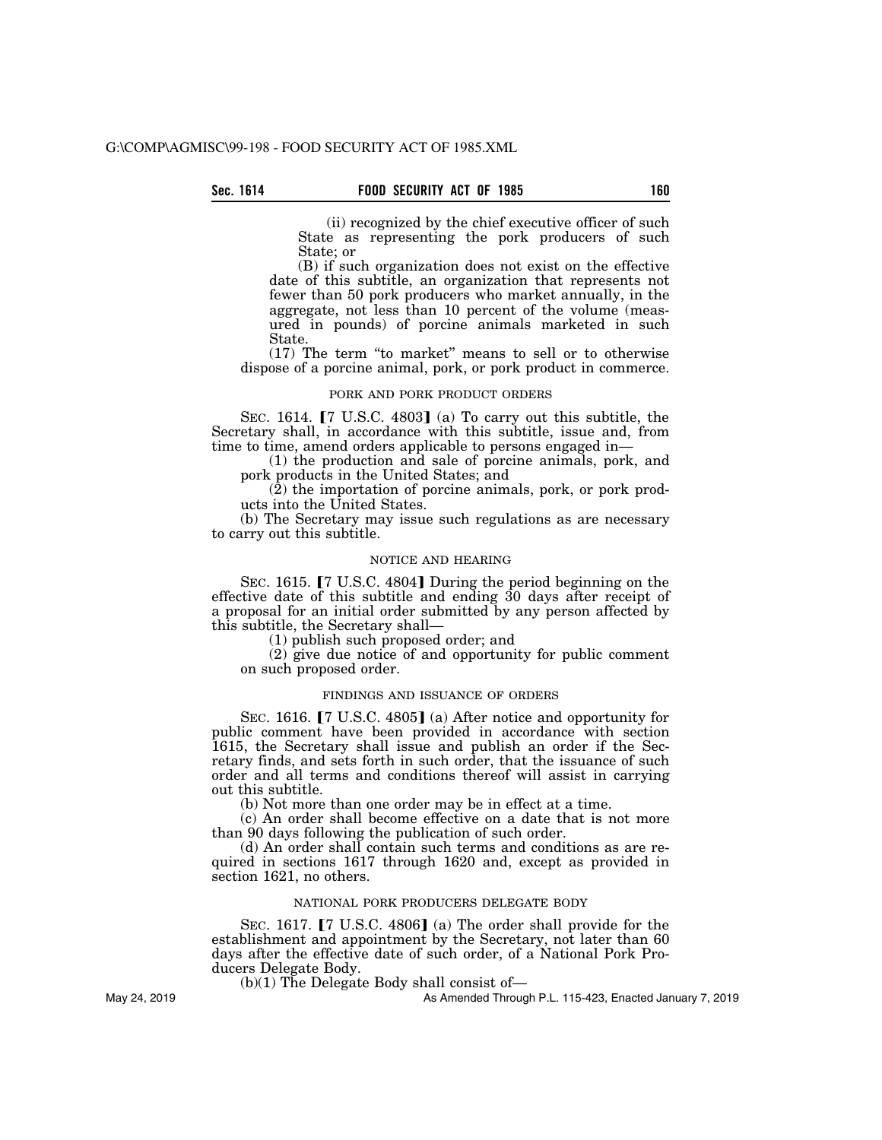(ii) recognized by the chief executive officer of such State as representing the pork producers of such State; or

(B) if such organization does not exist on the effective date of this subtitle, an organization that represents not fewer than 50 pork producers who market annually, in the aggregate, not less than 10 percent of the volume (measured in pounds) of porcine animals marketed in such State.

(17) The term ''to market'' means to sell or to otherwise dispose of a porcine animal, pork, or pork product in commerce.

### PORK AND PORK PRODUCT ORDERS

SEC. 1614.  $[7 \text{ U.S.C. } 4803]$  (a) To carry out this subtitle, the Secretary shall, in accordance with this subtitle, issue and, from time to time, amend orders applicable to persons engaged in—

(1) the production and sale of porcine animals, pork, and pork products in the United States; and

 $(2)$  the importation of porcine animals, pork, or pork products into the United States.

(b) The Secretary may issue such regulations as are necessary to carry out this subtitle.

## NOTICE AND HEARING

SEC. 1615. [7 U.S.C. 4804] During the period beginning on the effective date of this subtitle and ending 30 days after receipt of a proposal for an initial order submitted by any person affected by this subtitle, the Secretary shall—

(1) publish such proposed order; and

(2) give due notice of and opportunity for public comment on such proposed order.

### FINDINGS AND ISSUANCE OF ORDERS

SEC. 1616.  $\lceil 7 \rceil$  U.S.C. 4805] (a) After notice and opportunity for public comment have been provided in accordance with section 1615, the Secretary shall issue and publish an order if the Secretary finds, and sets forth in such order, that the issuance of such order and all terms and conditions thereof will assist in carrying out this subtitle.

(b) Not more than one order may be in effect at a time.

(c) An order shall become effective on a date that is not more than 90 days following the publication of such order.

(d) An order shall contain such terms and conditions as are required in sections 1617 through 1620 and, except as provided in section 1621, no others.

## NATIONAL PORK PRODUCERS DELEGATE BODY

SEC. 1617.  $[7 \text{ U.S.C. } 4806]$  (a) The order shall provide for the establishment and appointment by the Secretary, not later than 60 days after the effective date of such order, of a National Pork Producers Delegate Body.

(b)(1) The Delegate Body shall consist of—

As Amended Through P.L. 115-423, Enacted January 7, 2019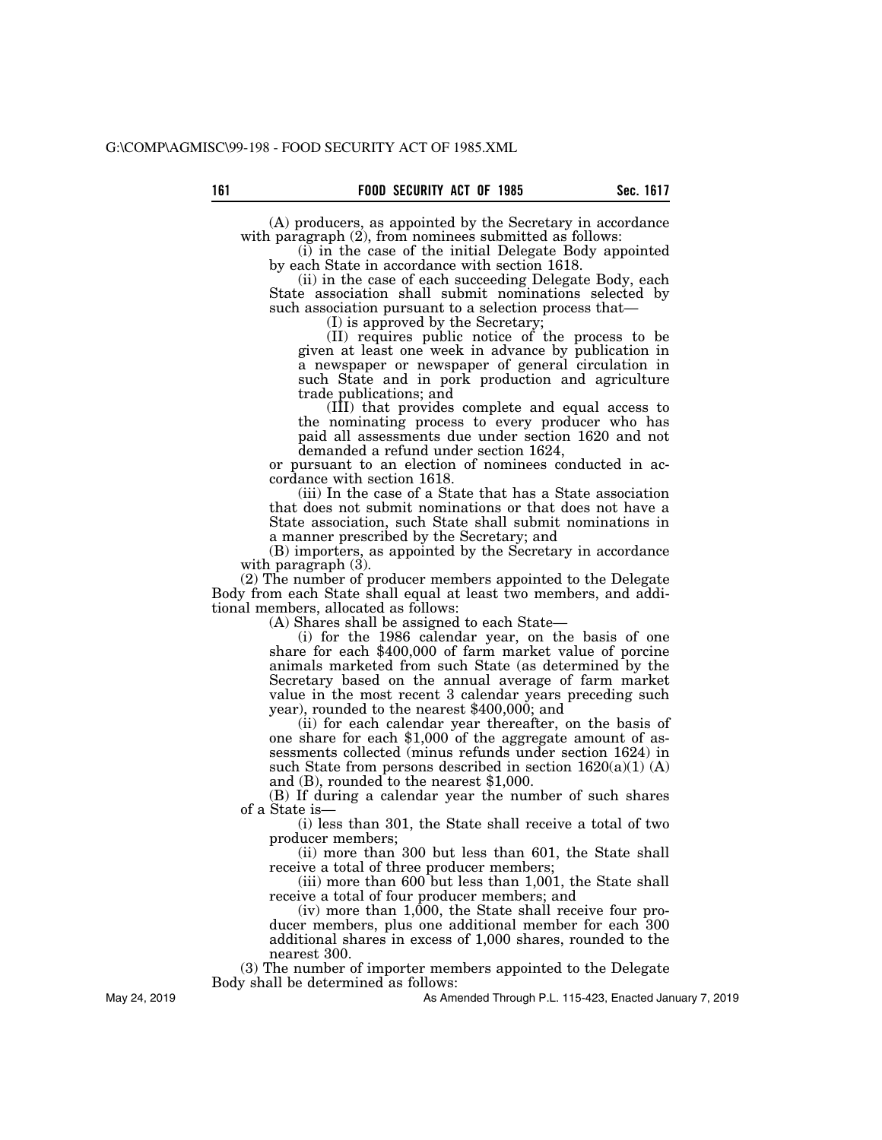(A) producers, as appointed by the Secretary in accordance with paragraph  $(2)$ , from nominees submitted as follows:

(i) in the case of the initial Delegate Body appointed by each State in accordance with section 1618.

(ii) in the case of each succeeding Delegate Body, each State association shall submit nominations selected by such association pursuant to a selection process that—

(I) is approved by the Secretary;

(II) requires public notice of the process to be given at least one week in advance by publication in a newspaper or newspaper of general circulation in such State and in pork production and agriculture trade publications; and

(III) that provides complete and equal access to the nominating process to every producer who has paid all assessments due under section 1620 and not demanded a refund under section 1624,

or pursuant to an election of nominees conducted in accordance with section 1618.

(iii) In the case of a State that has a State association that does not submit nominations or that does not have a State association, such State shall submit nominations in a manner prescribed by the Secretary; and

(B) importers, as appointed by the Secretary in accordance with paragraph (3).

(2) The number of producer members appointed to the Delegate Body from each State shall equal at least two members, and additional members, allocated as follows:

(A) Shares shall be assigned to each State—

(i) for the 1986 calendar year, on the basis of one share for each \$400,000 of farm market value of porcine animals marketed from such State (as determined by the Secretary based on the annual average of farm market value in the most recent 3 calendar years preceding such year), rounded to the nearest \$400,000; and

one share for each \$1,000 of the aggregate amount of assessments collected (minus refunds under section 1624) in such State from persons described in section  $1620(a)(1) (A)$ and (B), rounded to the nearest \$1,000.

(B) If during a calendar year the number of such shares of a State is—

(i) less than 301, the State shall receive a total of two producer members;

(ii) more than 300 but less than 601, the State shall receive a total of three producer members;

(iii) more than 600 but less than 1,001, the State shall receive a total of four producer members; and

 $(iv)$  more than 1,000, the State shall receive four producer members, plus one additional member for each 300 additional shares in excess of 1,000 shares, rounded to the nearest 300.

(3) The number of importer members appointed to the Delegate Body shall be determined as follows:

As Amended Through P.L. 115-423, Enacted January 7, 2019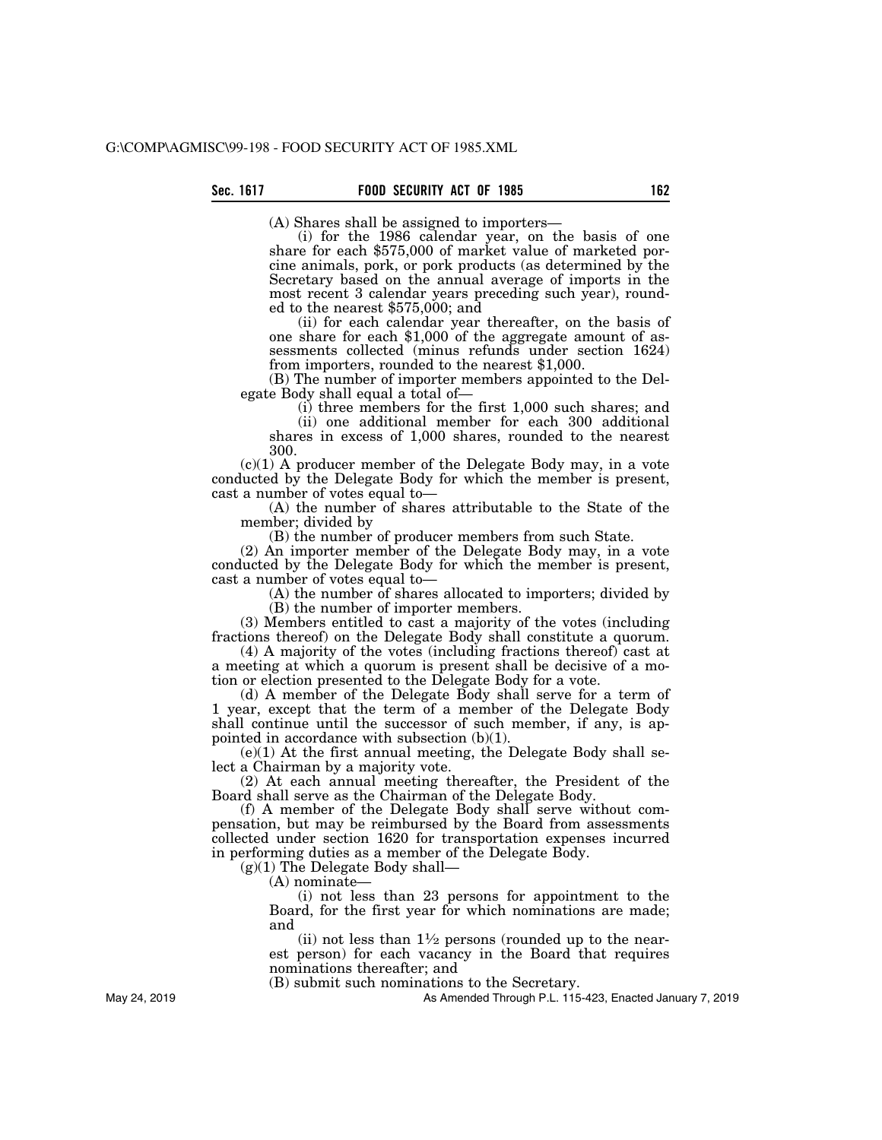(A) Shares shall be assigned to importers—

(i) for the 1986 calendar year, on the basis of one share for each \$575,000 of market value of marketed porcine animals, pork, or pork products (as determined by the Secretary based on the annual average of imports in the most recent 3 calendar years preceding such year), rounded to the nearest \$575,000; and<br>(ii) for each calendar year thereafter, on the basis of

one share for each  $$1,000$  of the aggregate amount of assessments collected (minus refunds under section 1624) from importers, rounded to the nearest \$1,000.

(B) The number of importer members appointed to the Delegate Body shall equal a total of—

(i) three members for the first 1,000 such shares; and

(ii) one additional member for each 300 additional shares in excess of 1,000 shares, rounded to the nearest 300.

 $(c)(1)$  A producer member of the Delegate Body may, in a vote conducted by the Delegate Body for which the member is present, cast a number of votes equal to—

(A) the number of shares attributable to the State of the member; divided by

(B) the number of producer members from such State.

(2) An importer member of the Delegate Body may, in a vote conducted by the Delegate Body for which the member is present, cast a number of votes equal to—

(A) the number of shares allocated to importers; divided by (B) the number of importer members.

(3) Members entitled to cast a majority of the votes (including fractions thereof) on the Delegate Body shall constitute a quorum.

(4) A majority of the votes (including fractions thereof) cast at a meeting at which a quorum is present shall be decisive of a motion or election presented to the Delegate Body for a vote.

(d) A member of the Delegate Body shall serve for a term of 1 year, except that the term of a member of the Delegate Body shall continue until the successor of such member, if any, is appointed in accordance with subsection (b)(1).

(e)(1) At the first annual meeting, the Delegate Body shall select a Chairman by a majority vote.

(2) At each annual meeting thereafter, the President of the Board shall serve as the Chairman of the Delegate Body.

(f) A member of the Delegate Body shall serve without compensation, but may be reimbursed by the Board from assessments collected under section 1620 for transportation expenses incurred in performing duties as a member of the Delegate Body.

 $(g)(1)$  The Delegate Body shall—

(A) nominate—

(i) not less than 23 persons for appointment to the Board, for the first year for which nominations are made; and

(ii) not less than  $1\frac{1}{2}$  persons (rounded up to the nearest person) for each vacancy in the Board that requires nominations thereafter; and

(B) submit such nominations to the Secretary.

As Amended Through P.L. 115-423, Enacted January 7, 2019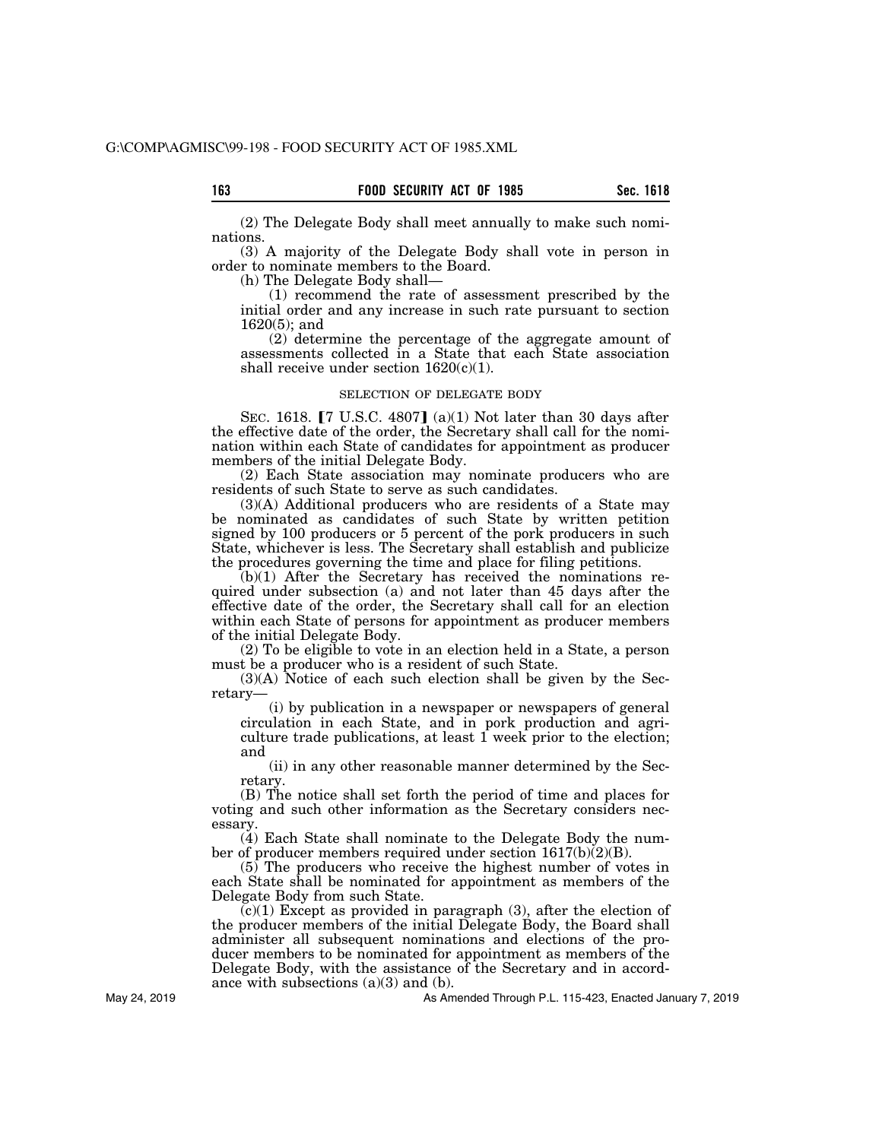(2) The Delegate Body shall meet annually to make such nominations.

(3) A majority of the Delegate Body shall vote in person in order to nominate members to the Board.

(h) The Delegate Body shall—

(1) recommend the rate of assessment prescribed by the initial order and any increase in such rate pursuant to section 1620(5); and

(2) determine the percentage of the aggregate amount of assessments collected in a State that each State association shall receive under section  $1620(c)(1)$ .

#### SELECTION OF DELEGATE BODY

SEC. 1618.  $\lceil 7 \text{ U.S.C. } 4807 \rceil$  (a)(1) Not later than 30 days after the effective date of the order, the Secretary shall call for the nomination within each State of candidates for appointment as producer members of the initial Delegate Body.

(2) Each State association may nominate producers who are residents of such State to serve as such candidates.

(3)(A) Additional producers who are residents of a State may be nominated as candidates of such State by written petition signed by 100 producers or 5 percent of the pork producers in such State, whichever is less. The Secretary shall establish and publicize the procedures governing the time and place for filing petitions.

(b)(1) After the Secretary has received the nominations required under subsection (a) and not later than 45 days after the effective date of the order, the Secretary shall call for an election within each State of persons for appointment as producer members of the initial Delegate Body.

(2) To be eligible to vote in an election held in a State, a person must be a producer who is a resident of such State.

(3)(A) Notice of each such election shall be given by the Secretary—

(i) by publication in a newspaper or newspapers of general circulation in each State, and in pork production and agriculture trade publications, at least  $\overline{1}$  week prior to the election; and

(ii) in any other reasonable manner determined by the Secretary.

(B) The notice shall set forth the period of time and places for voting and such other information as the Secretary considers necessary.

(4) Each State shall nominate to the Delegate Body the number of producer members required under section 1617(b)(2)(B).

 $(5)$  The producers who receive the highest number of votes in each State shall be nominated for appointment as members of the Delegate Body from such State.

 $(c)(1)$  Except as provided in paragraph  $(3)$ , after the election of the producer members of the initial Delegate Body, the Board shall administer all subsequent nominations and elections of the producer members to be nominated for appointment as members of the Delegate Body, with the assistance of the Secretary and in accordance with subsections  $(a)(3)$  and  $(b)$ .

As Amended Through P.L. 115-423, Enacted January 7, 2019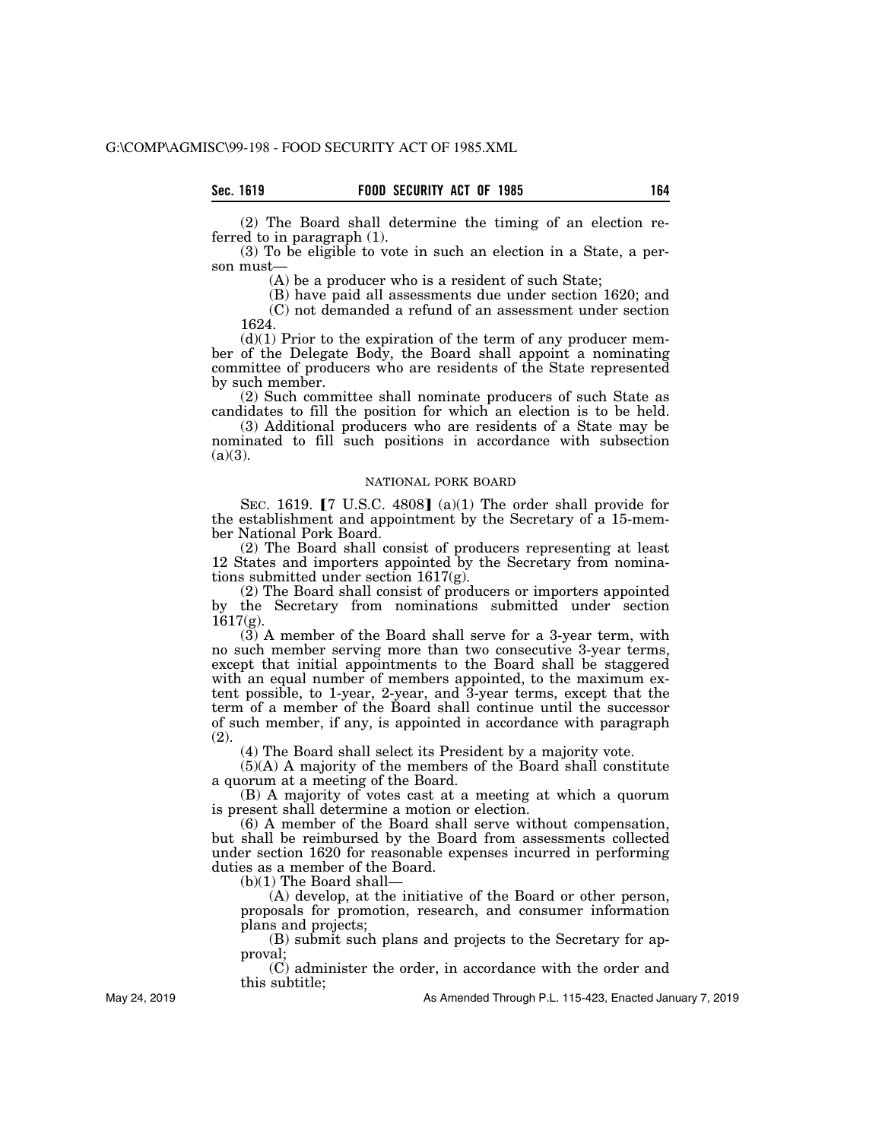(2) The Board shall determine the timing of an election referred to in paragraph (1).

(3) To be eligible to vote in such an election in a State, a person must—

(A) be a producer who is a resident of such State;

(B) have paid all assessments due under section 1620; and (C) not demanded a refund of an assessment under section 1624.

 $(d)(1)$  Prior to the expiration of the term of any producer member of the Delegate Body, the Board shall appoint a nominating committee of producers who are residents of the State represented by such member.

(2) Such committee shall nominate producers of such State as candidates to fill the position for which an election is to be held.

(3) Additional producers who are residents of a State may be nominated to fill such positions in accordance with subsection  $(a)(3)$ .

## NATIONAL PORK BOARD

SEC. 1619.  $[7 \text{ U.S.C. } 4808]$  (a)(1) The order shall provide for the establishment and appointment by the Secretary of a 15-member National Pork Board.

(2) The Board shall consist of producers representing at least 12 States and importers appointed by the Secretary from nominations submitted under section 1617(g).

(2) The Board shall consist of producers or importers appointed by the Secretary from nominations submitted under section  $1617(g)$ .

(3) A member of the Board shall serve for a 3-year term, with no such member serving more than two consecutive 3-year terms, except that initial appointments to the Board shall be staggered with an equal number of members appointed, to the maximum extent possible, to 1-year, 2-year, and 3-year terms, except that the term of a member of the Board shall continue until the successor of such member, if any, is appointed in accordance with paragraph (2).

(4) The Board shall select its President by a majority vote.

(5)(A) A majority of the members of the Board shall constitute a quorum at a meeting of the Board.

(B) A majority of votes cast at a meeting at which a quorum is present shall determine a motion or election.

(6) A member of the Board shall serve without compensation, but shall be reimbursed by the Board from assessments collected under section 1620 for reasonable expenses incurred in performing duties as a member of the Board.

 $(b)(1)$  The Board shall-

(A) develop, at the initiative of the Board or other person, proposals for promotion, research, and consumer information plans and projects;

(B) submit such plans and projects to the Secretary for approval;

(C) administer the order, in accordance with the order and this subtitle;

As Amended Through P.L. 115-423, Enacted January 7, 2019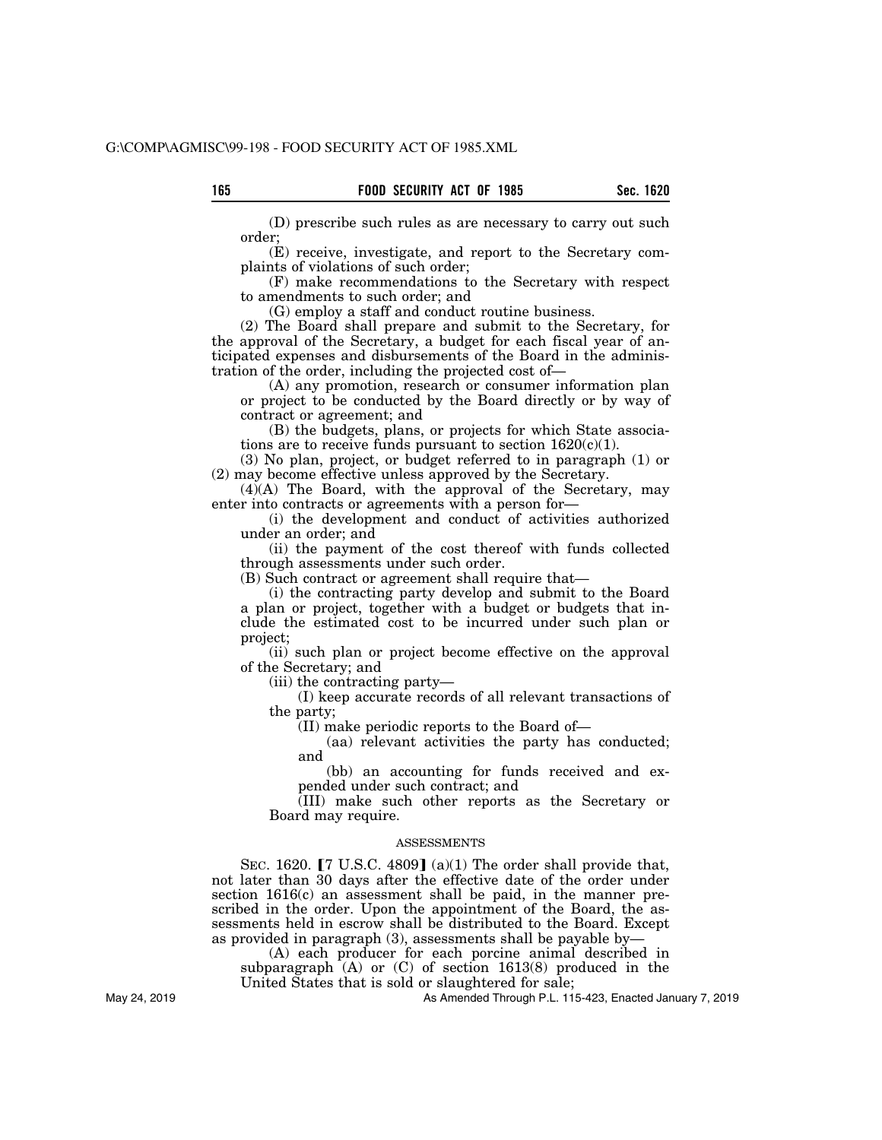(D) prescribe such rules as are necessary to carry out such order;

(E) receive, investigate, and report to the Secretary complaints of violations of such order;

(F) make recommendations to the Secretary with respect to amendments to such order; and

(G) employ a staff and conduct routine business.

(2) The Board shall prepare and submit to the Secretary, for the approval of the Secretary, a budget for each fiscal year of anticipated expenses and disbursements of the Board in the administration of the order, including the projected cost of—

(A) any promotion, research or consumer information plan or project to be conducted by the Board directly or by way of contract or agreement; and

(B) the budgets, plans, or projects for which State associations are to receive funds pursuant to section 1620(c)(1).

(3) No plan, project, or budget referred to in paragraph (1) or (2) may become effective unless approved by the Secretary.

(4)(A) The Board, with the approval of the Secretary, may enter into contracts or agreements with a person for—

(i) the development and conduct of activities authorized under an order; and

(ii) the payment of the cost thereof with funds collected through assessments under such order.

(B) Such contract or agreement shall require that—

(i) the contracting party develop and submit to the Board a plan or project, together with a budget or budgets that include the estimated cost to be incurred under such plan or project;

(ii) such plan or project become effective on the approval of the Secretary; and

(iii) the contracting party—

(I) keep accurate records of all relevant transactions of the party;

(II) make periodic reports to the Board of—

(aa) relevant activities the party has conducted; and

(bb) an accounting for funds received and expended under such contract; and

(III) make such other reports as the Secretary or Board may require.

### ASSESSMENTS

SEC. 1620.  $\lceil 7 \text{ U.S.C. } 4809 \rceil$  (a)(1) The order shall provide that, not later than 30 days after the effective date of the order under section 1616(c) an assessment shall be paid, in the manner prescribed in the order. Upon the appointment of the Board, the assessments held in escrow shall be distributed to the Board. Except as provided in paragraph (3), assessments shall be payable by—

(A) each producer for each porcine animal described in subparagraph  $(A)$  or  $(C)$  of section 1613(8) produced in the

United States that is sold or slaughtered for sale;

As Amended Through P.L. 115-423, Enacted January 7, 2019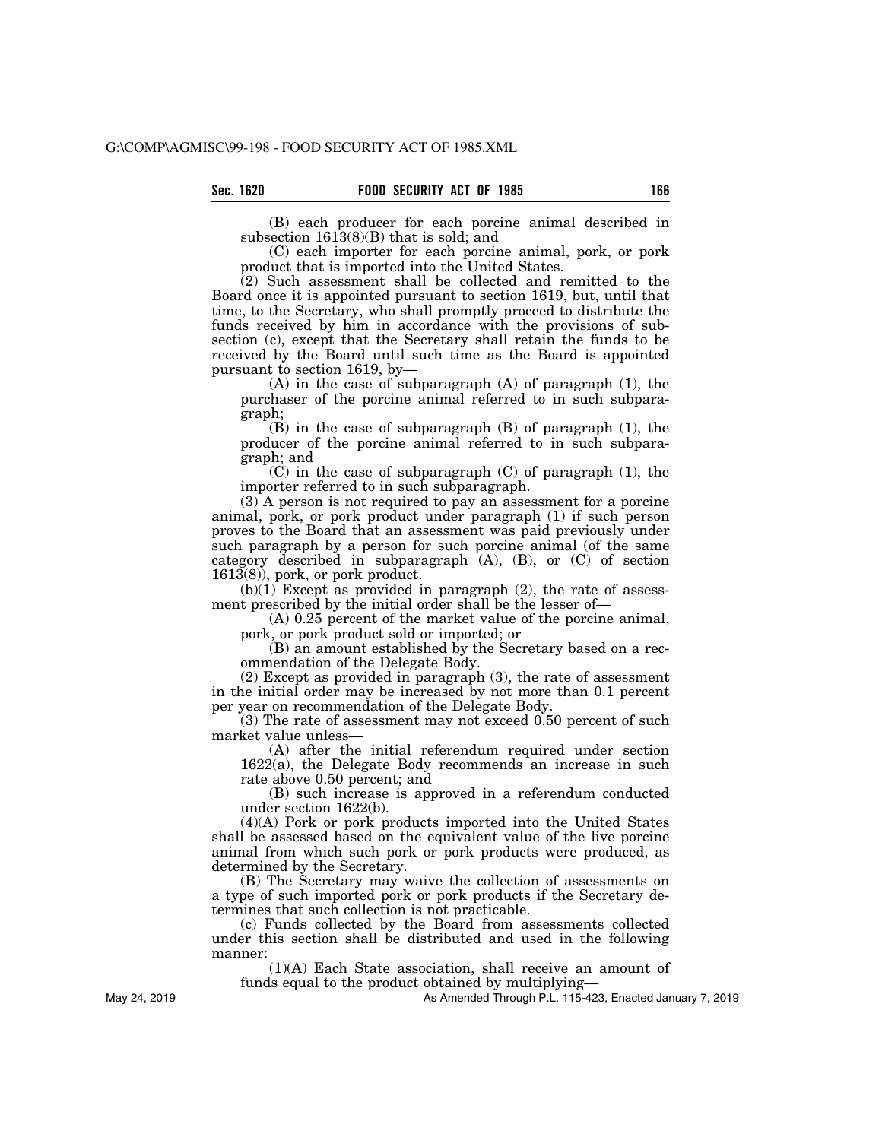(B) each producer for each porcine animal described in subsection 1613(8)(B) that is sold; and

(C) each importer for each porcine animal, pork, or pork product that is imported into the United States.

(2) Such assessment shall be collected and remitted to the Board once it is appointed pursuant to section 1619, but, until that time, to the Secretary, who shall promptly proceed to distribute the funds received by him in accordance with the provisions of subsection (c), except that the Secretary shall retain the funds to be received by the Board until such time as the Board is appointed pursuant to section 1619, by—

(A) in the case of subparagraph (A) of paragraph (1), the purchaser of the porcine animal referred to in such subparagraph;

(B) in the case of subparagraph (B) of paragraph (1), the producer of the porcine animal referred to in such subparagraph; and

(C) in the case of subparagraph (C) of paragraph (1), the importer referred to in such subparagraph.

(3) A person is not required to pay an assessment for a porcine animal, pork, or pork product under paragraph (1) if such person proves to the Board that an assessment was paid previously under such paragraph by a person for such porcine animal (of the same category described in subparagraph (A), (B), or (C) of section  $1613(8)$ , pork, or pork product.

 $(b)(1)$  Except as provided in paragraph  $(2)$ , the rate of assessment prescribed by the initial order shall be the lesser of—

(A) 0.25 percent of the market value of the porcine animal, pork, or pork product sold or imported; or

(B) an amount established by the Secretary based on a recommendation of the Delegate Body.

(2) Except as provided in paragraph (3), the rate of assessment in the initial order may be increased by not more than 0.1 percent per year on recommendation of the Delegate Body.

(3) The rate of assessment may not exceed 0.50 percent of such market value unless—

(A) after the initial referendum required under section 1622(a), the Delegate Body recommends an increase in such rate above 0.50 percent; and

(B) such increase is approved in a referendum conducted under section 1622(b).

(4)(A) Pork or pork products imported into the United States shall be assessed based on the equivalent value of the live porcine animal from which such pork or pork products were produced, as determined by the Secretary.

(B) The Secretary may waive the collection of assessments on a type of such imported pork or pork products if the Secretary determines that such collection is not practicable.

(c) Funds collected by the Board from assessments collected under this section shall be distributed and used in the following manner:

(1)(A) Each State association, shall receive an amount of funds equal to the product obtained by multiplying—

As Amended Through P.L. 115-423, Enacted January 7, 2019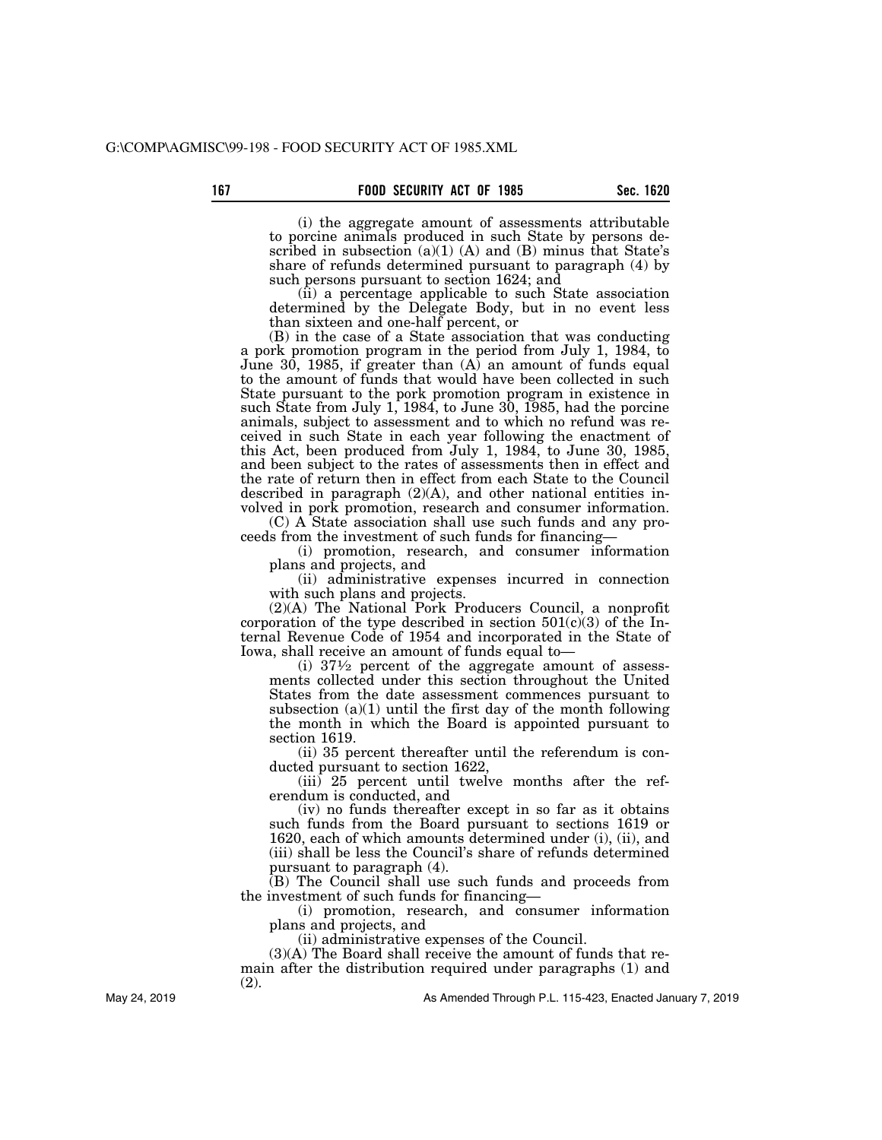(i) the aggregate amount of assessments attributable to porcine animals produced in such State by persons described in subsection  $(a)(1)$   $(A)$  and  $(B)$  minus that State's share of refunds determined pursuant to paragraph (4) by such persons pursuant to section 1624; and

(ii) a percentage applicable to such State association determined by the Delegate Body, but in no event less than sixteen and one-half percent, or

(B) in the case of a State association that was conducting a pork promotion program in the period from July 1, 1984, to June 30, 1985, if greater than (A) an amount of funds equal to the amount of funds that would have been collected in such State pursuant to the pork promotion program in existence in such State from July 1,  $1984$ , to June 30, 1985, had the porcine animals, subject to assessment and to which no refund was received in such State in each year following the enactment of this Act, been produced from July 1, 1984, to June 30, 1985, and been subject to the rates of assessments then in effect and the rate of return then in effect from each State to the Council described in paragraph (2)(A), and other national entities involved in pork promotion, research and consumer information.

(C) A State association shall use such funds and any proceeds from the investment of such funds for financing—

(i) promotion, research, and consumer information plans and projects, and

(ii) administrative expenses incurred in connection with such plans and projects.

(2)(A) The National Pork Producers Council, a nonprofit corporation of the type described in section  $501(c)(3)$  of the Internal Revenue Code of 1954 and incorporated in the State of Iowa, shall receive an amount of funds equal to—

(i)  $37\frac{1}{2}$  percent of the aggregate amount of assessments collected under this section throughout the United States from the date assessment commences pursuant to subsection  $(a)(1)$  until the first day of the month following the month in which the Board is appointed pursuant to section 1619.

(ii) 35 percent thereafter until the referendum is conducted pursuant to section 1622,

(iii) 25 percent until twelve months after the referendum is conducted, and

(iv) no funds thereafter except in so far as it obtains such funds from the Board pursuant to sections 1619 or 1620, each of which amounts determined under (i), (ii), and (iii) shall be less the Council's share of refunds determined pursuant to paragraph (4).

(B) The Council shall use such funds and proceeds from the investment of such funds for financing—

(i) promotion, research, and consumer information plans and projects, and

(ii) administrative expenses of the Council.

(3)(A) The Board shall receive the amount of funds that remain after the distribution required under paragraphs (1) and (2).

As Amended Through P.L. 115-423, Enacted January 7, 2019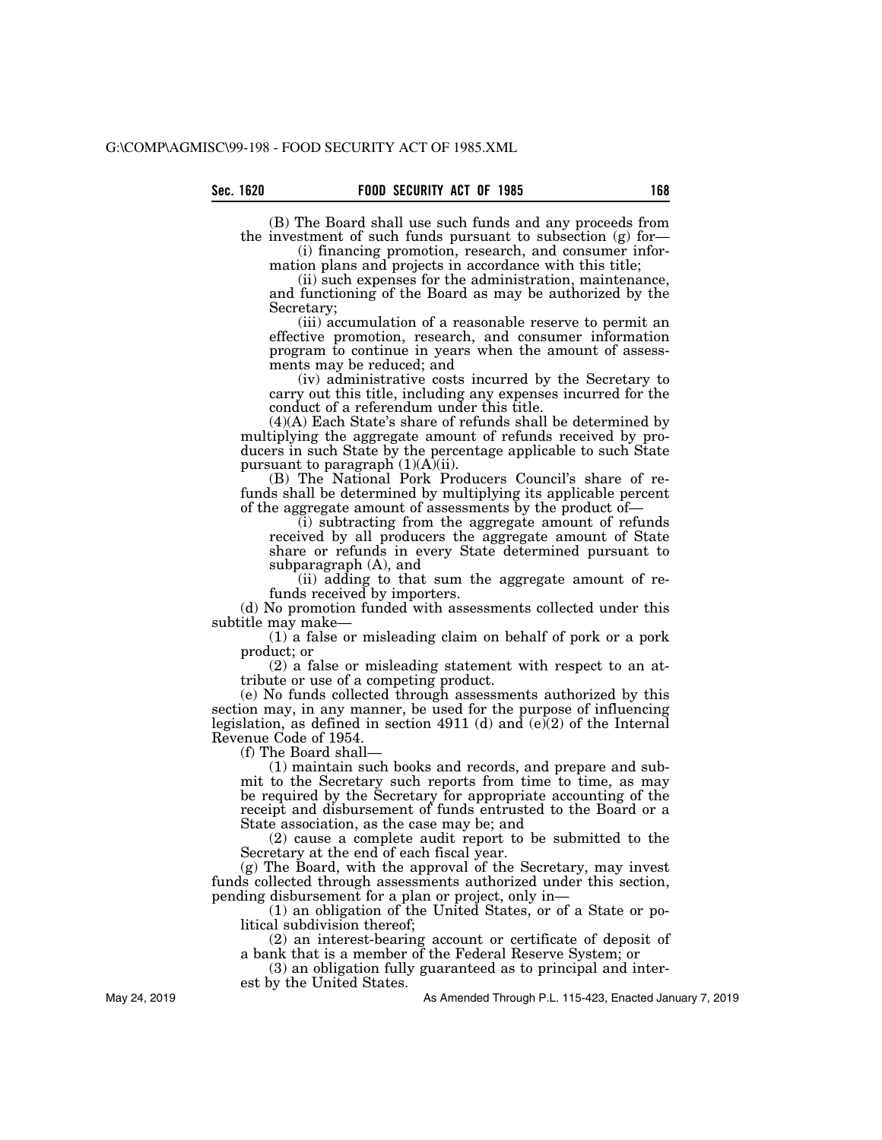(B) The Board shall use such funds and any proceeds from the investment of such funds pursuant to subsection (g) for— (i) financing promotion, research, and consumer infor-

mation plans and projects in accordance with this title;

(ii) such expenses for the administration, maintenance, and functioning of the Board as may be authorized by the Secretary;

(iii) accumulation of a reasonable reserve to permit an effective promotion, research, and consumer information program to continue in years when the amount of assessments may be reduced; and

(iv) administrative costs incurred by the Secretary to carry out this title, including any expenses incurred for the conduct of a referendum under this title.

(4)(A) Each State's share of refunds shall be determined by multiplying the aggregate amount of refunds received by producers in such State by the percentage applicable to such State pursuant to paragraph (1)(A)(ii).

(B) The National Pork Producers Council's share of refunds shall be determined by multiplying its applicable percent of the aggregate amount of assessments by the product of—

(i) subtracting from the aggregate amount of refunds received by all producers the aggregate amount of State share or refunds in every State determined pursuant to subparagraph (A), and

(ii) adding to that sum the aggregate amount of refunds received by importers.

(d) No promotion funded with assessments collected under this subtitle may make—

(1) a false or misleading claim on behalf of pork or a pork product; or

(2) a false or misleading statement with respect to an attribute or use of a competing product.

(e) No funds collected through assessments authorized by this section may, in any manner, be used for the purpose of influencing legislation, as defined in section 4911 (d) and (e)(2) of the Internal Revenue Code of 1954.

(f) The Board shall—

(1) maintain such books and records, and prepare and submit to the Secretary such reports from time to time, as may be required by the Secretary for appropriate accounting of the receipt and disbursement of funds entrusted to the Board or a State association, as the case may be; and

(2) cause a complete audit report to be submitted to the Secretary at the end of each fiscal year.

(g) The Board, with the approval of the Secretary, may invest funds collected through assessments authorized under this section, pending disbursement for a plan or project, only in—

(1) an obligation of the United States, or of a State or political subdivision thereof;

(2) an interest-bearing account or certificate of deposit of a bank that is a member of the Federal Reserve System; or

(3) an obligation fully guaranteed as to principal and interest by the United States.

As Amended Through P.L. 115-423, Enacted January 7, 2019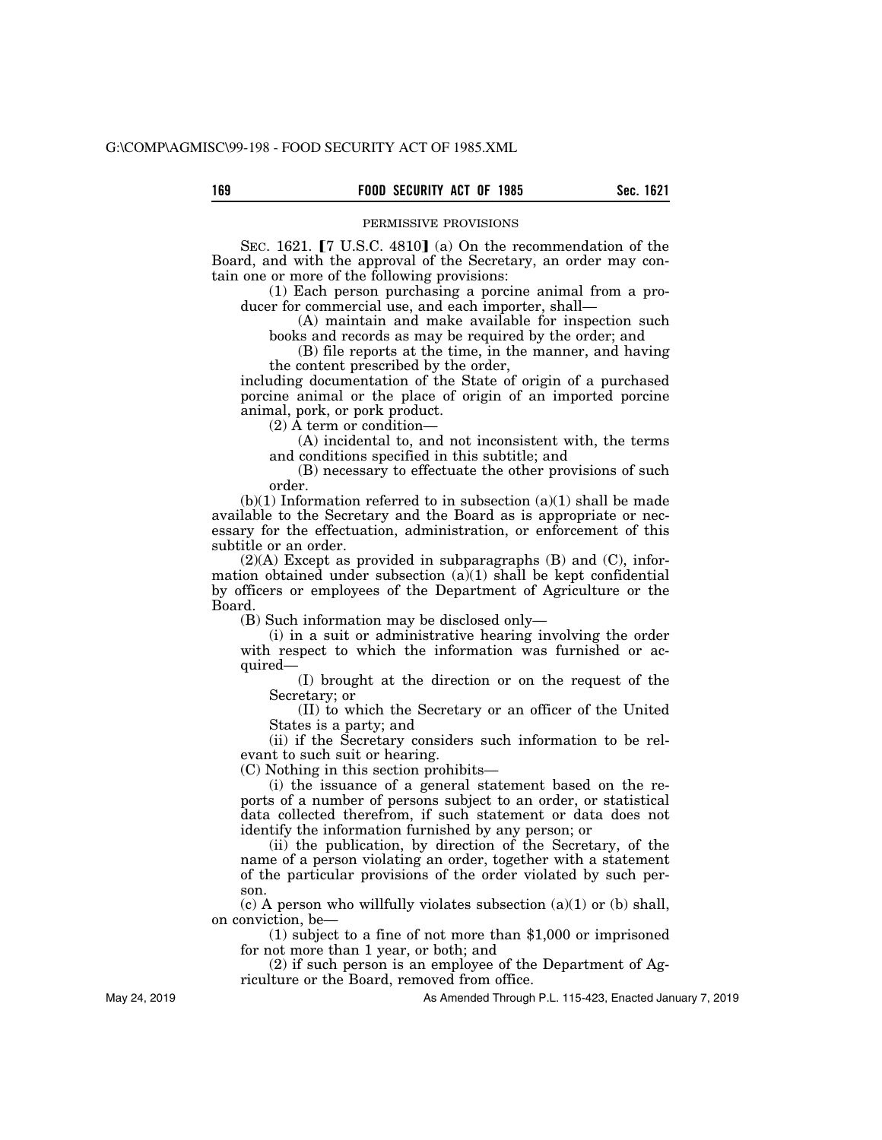#### PERMISSIVE PROVISIONS

SEC. 1621.  $[7 \text{ U.S.C. } 4810]$  (a) On the recommendation of the Board, and with the approval of the Secretary, an order may contain one or more of the following provisions:

(1) Each person purchasing a porcine animal from a producer for commercial use, and each importer, shall—

(A) maintain and make available for inspection such books and records as may be required by the order; and

(B) file reports at the time, in the manner, and having the content prescribed by the order,

including documentation of the State of origin of a purchased porcine animal or the place of origin of an imported porcine animal, pork, or pork product.

 $(2)$  Å term or condition—

(A) incidental to, and not inconsistent with, the terms and conditions specified in this subtitle; and

(B) necessary to effectuate the other provisions of such order.

 $(b)(1)$  Information referred to in subsection  $(a)(1)$  shall be made available to the Secretary and the Board as is appropriate or necessary for the effectuation, administration, or enforcement of this subtitle or an order.

(2)(A) Except as provided in subparagraphs (B) and (C), information obtained under subsection  $(a)(1)$  shall be kept confidential by officers or employees of the Department of Agriculture or the Board.

(B) Such information may be disclosed only—

(i) in a suit or administrative hearing involving the order with respect to which the information was furnished or acquired—

(I) brought at the direction or on the request of the Secretary; or

(II) to which the Secretary or an officer of the United States is a party; and

(ii) if the Secretary considers such information to be relevant to such suit or hearing.

(C) Nothing in this section prohibits—

(i) the issuance of a general statement based on the reports of a number of persons subject to an order, or statistical data collected therefrom, if such statement or data does not identify the information furnished by any person; or

(ii) the publication, by direction of the Secretary, of the name of a person violating an order, together with a statement of the particular provisions of the order violated by such person.

 $(c)$  A person who willfully violates subsection  $(a)(1)$  or  $(b)$  shall, on conviction, be—

(1) subject to a fine of not more than \$1,000 or imprisoned for not more than 1 year, or both; and

(2) if such person is an employee of the Department of Agriculture or the Board, removed from office.

As Amended Through P.L. 115-423, Enacted January 7, 2019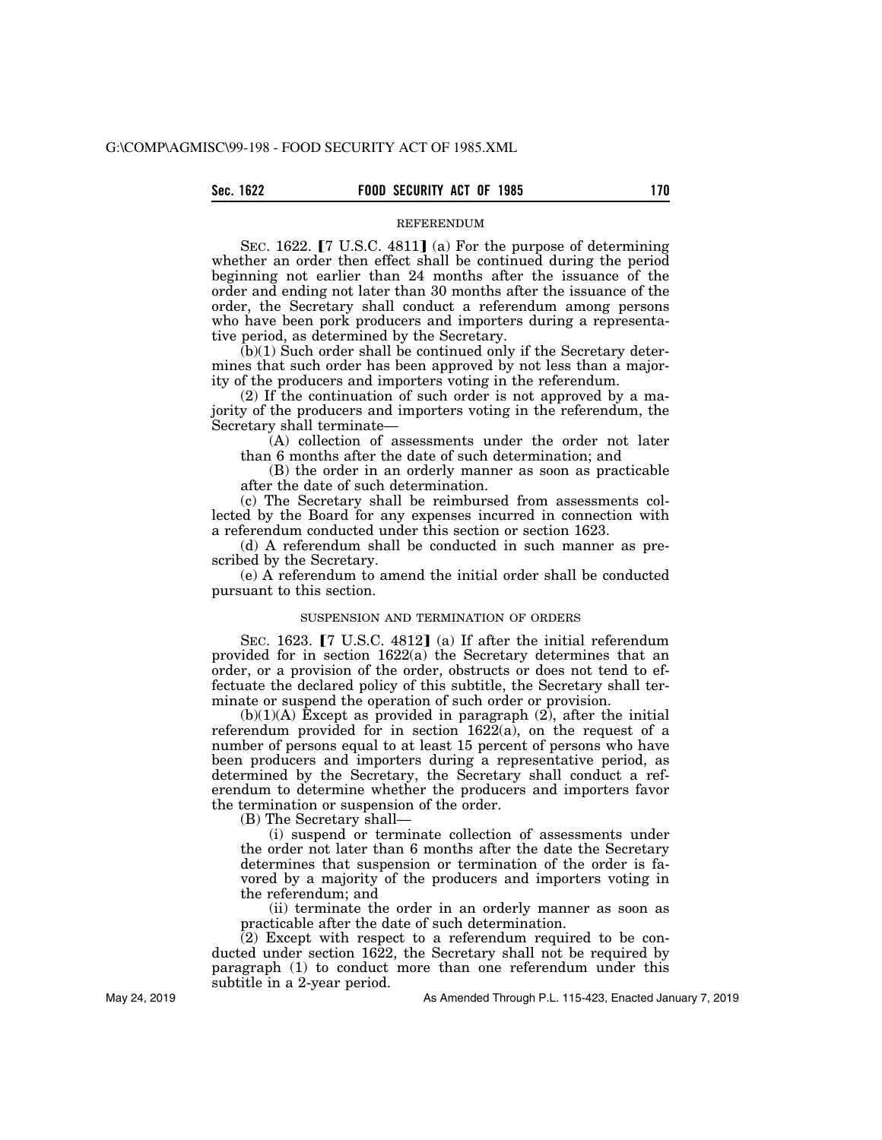**Sec. 1622 FOOD SECURITY ACT OF 1985 170**

REFERENDUM

SEC. 1622.  $[7 \text{ U.S.C. } 4811]$  (a) For the purpose of determining whether an order then effect shall be continued during the period beginning not earlier than 24 months after the issuance of the order and ending not later than 30 months after the issuance of the order, the Secretary shall conduct a referendum among persons who have been pork producers and importers during a representative period, as determined by the Secretary.

 $(b)(1)$  Such order shall be continued only if the Secretary determines that such order has been approved by not less than a majority of the producers and importers voting in the referendum.

(2) If the continuation of such order is not approved by a majority of the producers and importers voting in the referendum, the Secretary shall terminate—

(A) collection of assessments under the order not later than 6 months after the date of such determination; and

(B) the order in an orderly manner as soon as practicable after the date of such determination.

(c) The Secretary shall be reimbursed from assessments collected by the Board for any expenses incurred in connection with a referendum conducted under this section or section 1623.

(d) A referendum shall be conducted in such manner as prescribed by the Secretary.

(e) A referendum to amend the initial order shall be conducted pursuant to this section.

#### SUSPENSION AND TERMINATION OF ORDERS

SEC. 1623.  $[7 \text{ U.S.C. } 4812]$  (a) If after the initial referendum provided for in section 1622(a) the Secretary determines that an order, or a provision of the order, obstructs or does not tend to effectuate the declared policy of this subtitle, the Secretary shall terminate or suspend the operation of such order or provision.

 $(b)(1)(A)$  Except as provided in paragraph  $(2)$ , after the initial referendum provided for in section 1622(a), on the request of a number of persons equal to at least 15 percent of persons who have been producers and importers during a representative period, as determined by the Secretary, the Secretary shall conduct a referendum to determine whether the producers and importers favor the termination or suspension of the order.

(B) The Secretary shall—

(i) suspend or terminate collection of assessments under the order not later than 6 months after the date the Secretary determines that suspension or termination of the order is favored by a majority of the producers and importers voting in the referendum; and

(ii) terminate the order in an orderly manner as soon as practicable after the date of such determination.

(2) Except with respect to a referendum required to be conducted under section 1622, the Secretary shall not be required by paragraph (1) to conduct more than one referendum under this subtitle in a 2-year period.

As Amended Through P.L. 115-423, Enacted January 7, 2019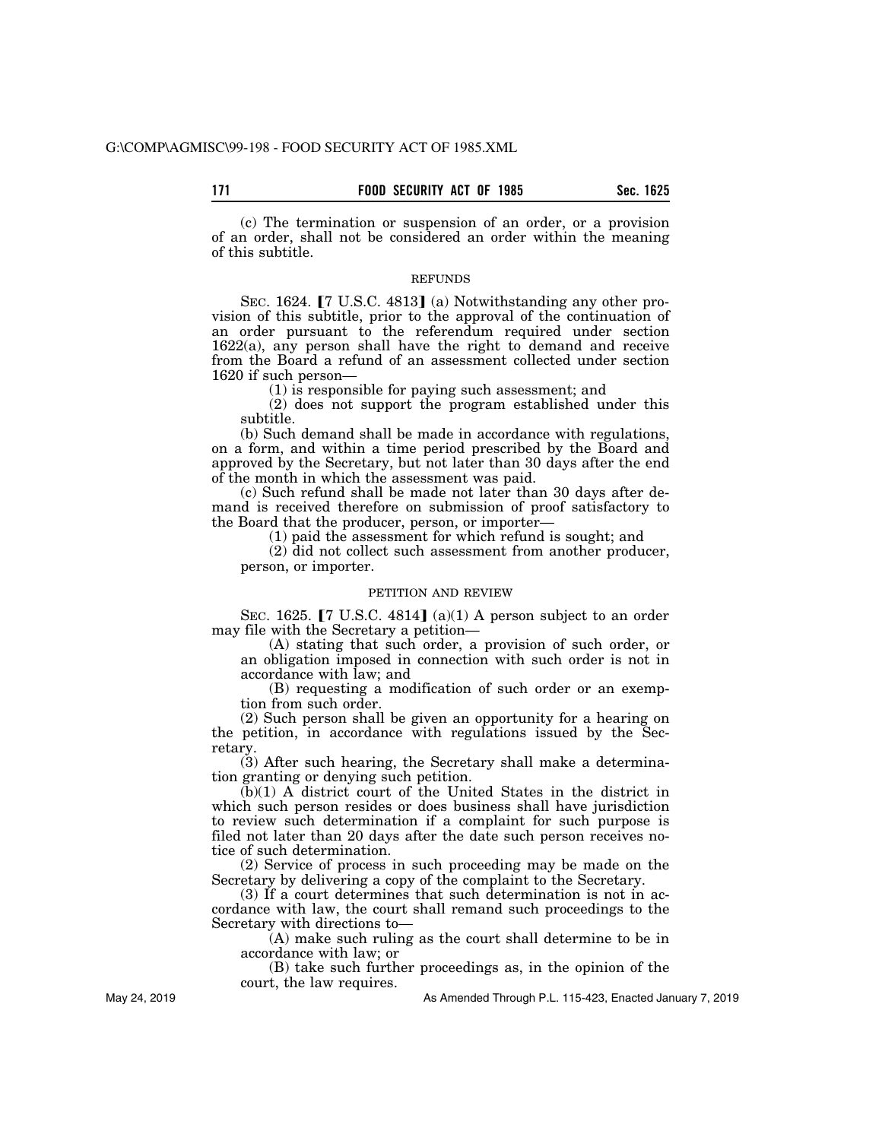(c) The termination or suspension of an order, or a provision of an order, shall not be considered an order within the meaning of this subtitle.

### REFUNDS

SEC. 1624.  $[7 \text{ U.S.C. } 4813]$  (a) Notwithstanding any other provision of this subtitle, prior to the approval of the continuation of an order pursuant to the referendum required under section 1622(a), any person shall have the right to demand and receive from the Board a refund of an assessment collected under section 1620 if such person—

(1) is responsible for paying such assessment; and

(2) does not support the program established under this subtitle.

(b) Such demand shall be made in accordance with regulations, on a form, and within a time period prescribed by the Board and approved by the Secretary, but not later than 30 days after the end of the month in which the assessment was paid.

(c) Such refund shall be made not later than 30 days after demand is received therefore on submission of proof satisfactory to the Board that the producer, person, or importer—

(1) paid the assessment for which refund is sought; and

(2) did not collect such assessment from another producer, person, or importer.

### PETITION AND REVIEW

SEC. 1625.  $[7 \text{ U.S.C. } 4814]$  (a)(1) A person subject to an order may file with the Secretary a petition—

(A) stating that such order, a provision of such order, or an obligation imposed in connection with such order is not in accordance with law; and

(B) requesting a modification of such order or an exemption from such order.

(2) Such person shall be given an opportunity for a hearing on the petition, in accordance with regulations issued by the Secretary.

(3) After such hearing, the Secretary shall make a determination granting or denying such petition.

(b)(1) A district court of the United States in the district in which such person resides or does business shall have jurisdiction to review such determination if a complaint for such purpose is filed not later than 20 days after the date such person receives notice of such determination.

(2) Service of process in such proceeding may be made on the Secretary by delivering a copy of the complaint to the Secretary.

(3) If a court determines that such determination is not in accordance with law, the court shall remand such proceedings to the Secretary with directions to—

(A) make such ruling as the court shall determine to be in accordance with law; or

(B) take such further proceedings as, in the opinion of the court, the law requires.

As Amended Through P.L. 115-423, Enacted January 7, 2019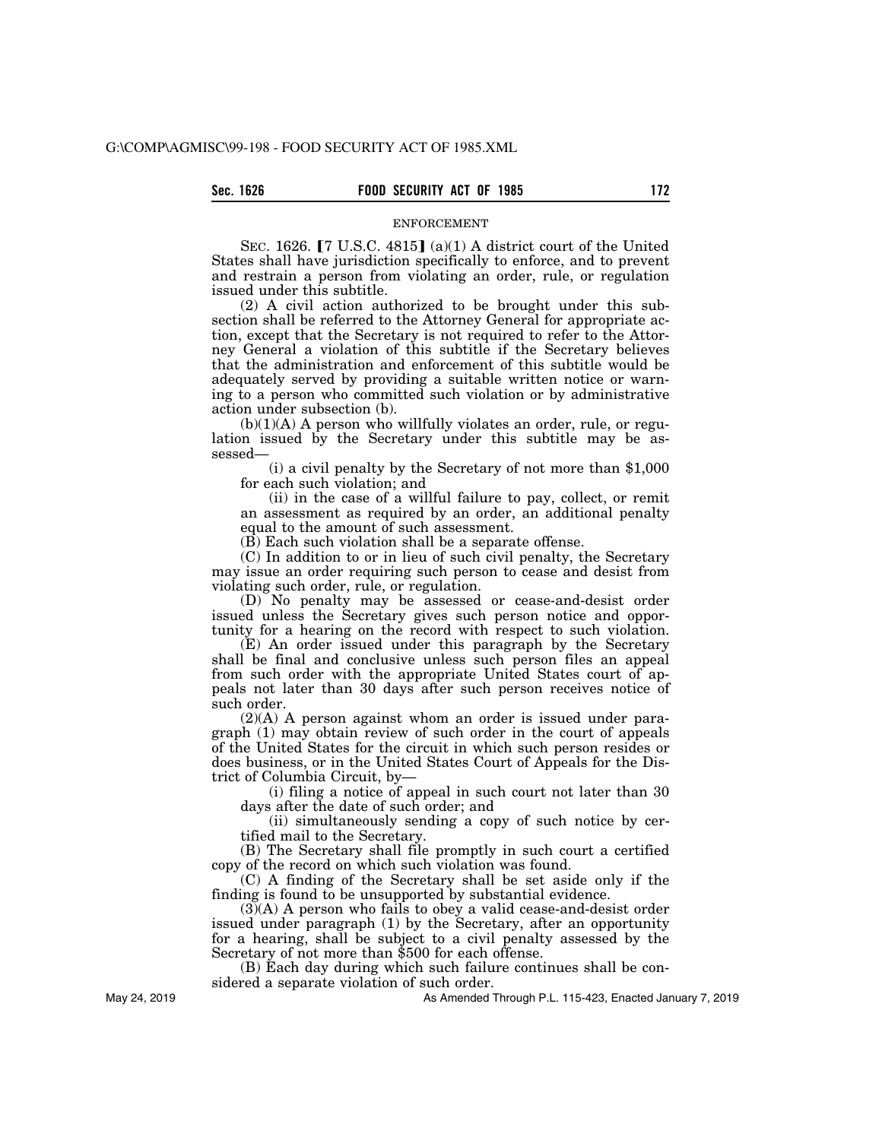## **Sec. 1626 FOOD SECURITY ACT OF 1985 172**

#### ENFORCEMENT

SEC. 1626.  $[7 \text{ U.S.C. } 4815]$  (a)(1) A district court of the United States shall have jurisdiction specifically to enforce, and to prevent and restrain a person from violating an order, rule, or regulation issued under this subtitle.

(2) A civil action authorized to be brought under this subsection shall be referred to the Attorney General for appropriate action, except that the Secretary is not required to refer to the Attorney General a violation of this subtitle if the Secretary believes that the administration and enforcement of this subtitle would be adequately served by providing a suitable written notice or warning to a person who committed such violation or by administrative action under subsection (b).

 $(b)(1)(A)$  A person who willfully violates an order, rule, or regulation issued by the Secretary under this subtitle may be assessed—

(i) a civil penalty by the Secretary of not more than \$1,000 for each such violation; and

(ii) in the case of a willful failure to pay, collect, or remit an assessment as required by an order, an additional penalty equal to the amount of such assessment.

(B) Each such violation shall be a separate offense.

(C) In addition to or in lieu of such civil penalty, the Secretary may issue an order requiring such person to cease and desist from violating such order, rule, or regulation.

(D) No penalty may be assessed or cease-and-desist order issued unless the Secretary gives such person notice and opportunity for a hearing on the record with respect to such violation.

(E) An order issued under this paragraph by the Secretary shall be final and conclusive unless such person files an appeal from such order with the appropriate United States court of appeals not later than 30 days after such person receives notice of such order.

(2)(A) A person against whom an order is issued under paragraph (1) may obtain review of such order in the court of appeals of the United States for the circuit in which such person resides or does business, or in the United States Court of Appeals for the District of Columbia Circuit, by—

(i) filing a notice of appeal in such court not later than 30 days after the date of such order; and

(ii) simultaneously sending a copy of such notice by certified mail to the Secretary.

(B) The Secretary shall file promptly in such court a certified copy of the record on which such violation was found.

(C) A finding of the Secretary shall be set aside only if the finding is found to be unsupported by substantial evidence.

 $(3)$ (A) A person who fails to obey a valid cease-and-desist order issued under paragraph (1) by the Secretary, after an opportunity for a hearing, shall be subject to a civil penalty assessed by the Secretary of not more than \$500 for each offense.

(B) Each day during which such failure continues shall be considered a separate violation of such order.

As Amended Through P.L. 115-423, Enacted January 7, 2019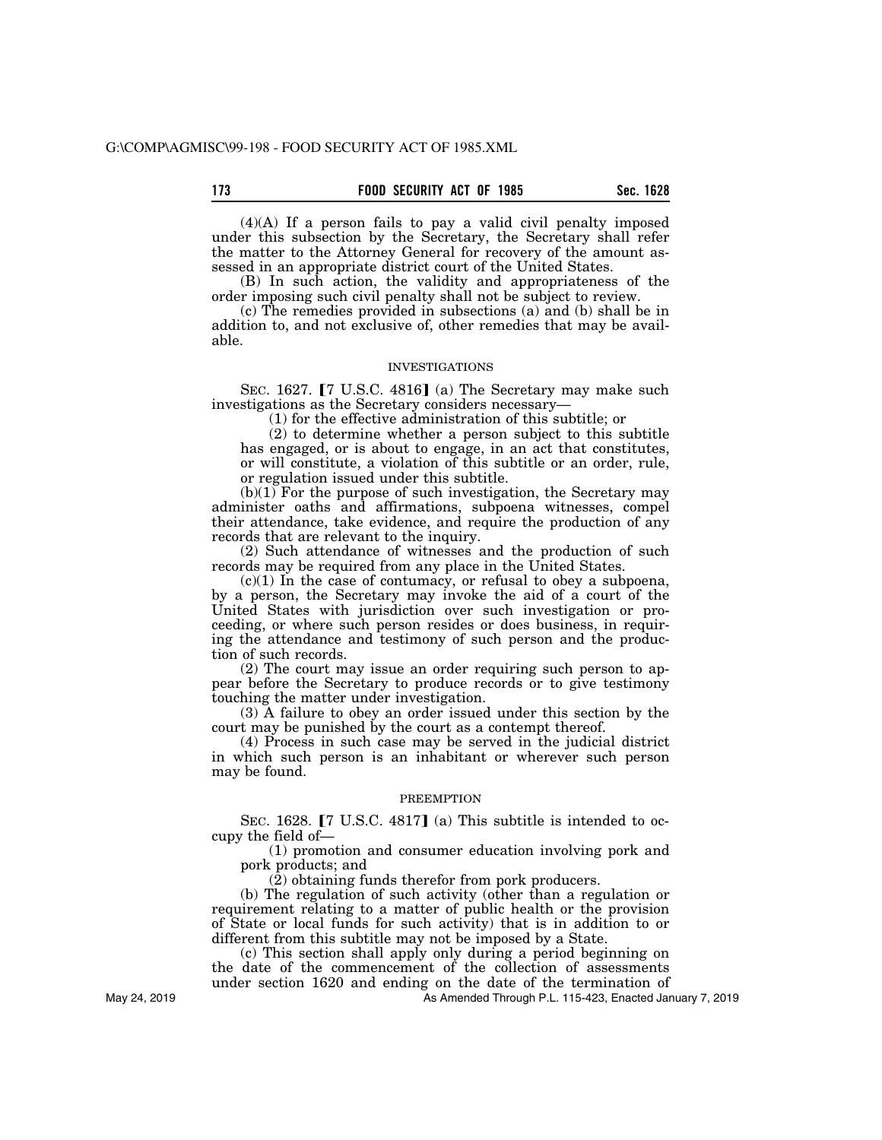(4)(A) If a person fails to pay a valid civil penalty imposed under this subsection by the Secretary, the Secretary shall refer the matter to the Attorney General for recovery of the amount assessed in an appropriate district court of the United States.

(B) In such action, the validity and appropriateness of the order imposing such civil penalty shall not be subject to review.

(c) The remedies provided in subsections (a) and (b) shall be in addition to, and not exclusive of, other remedies that may be available.

#### INVESTIGATIONS

SEC. 1627.  $[7 \text{ U.S.C. } 4816]$  (a) The Secretary may make such investigations as the Secretary considers necessary—

(1) for the effective administration of this subtitle; or

(2) to determine whether a person subject to this subtitle has engaged, or is about to engage, in an act that constitutes, or will constitute, a violation of this subtitle or an order, rule, or regulation issued under this subtitle.

 $(b)(1)$  For the purpose of such investigation, the Secretary may administer oaths and affirmations, subpoena witnesses, compel their attendance, take evidence, and require the production of any records that are relevant to the inquiry.

(2) Such attendance of witnesses and the production of such records may be required from any place in the United States.

 $(c)(1)$  In the case of contumacy, or refusal to obey a subpoena, by a person, the Secretary may invoke the aid of a court of the United States with jurisdiction over such investigation or proceeding, or where such person resides or does business, in requiring the attendance and testimony of such person and the production of such records.

(2) The court may issue an order requiring such person to appear before the Secretary to produce records or to give testimony touching the matter under investigation.

(3) A failure to obey an order issued under this section by the court may be punished by the court as a contempt thereof.

(4) Process in such case may be served in the judicial district in which such person is an inhabitant or wherever such person may be found.

#### **PREEMPTION**

SEC. 1628.  $[7 \text{ U.S.C. } 4817]$  (a) This subtitle is intended to occupy the field of—

(1) promotion and consumer education involving pork and pork products; and

(2) obtaining funds therefor from pork producers.

(b) The regulation of such activity (other than a regulation or requirement relating to a matter of public health or the provision of State or local funds for such activity) that is in addition to or different from this subtitle may not be imposed by a State.

(c) This section shall apply only during a period beginning on the date of the commencement of the collection of assessments under section 1620 and ending on the date of the termination of

As Amended Through P.L. 115-423, Enacted January 7, 2019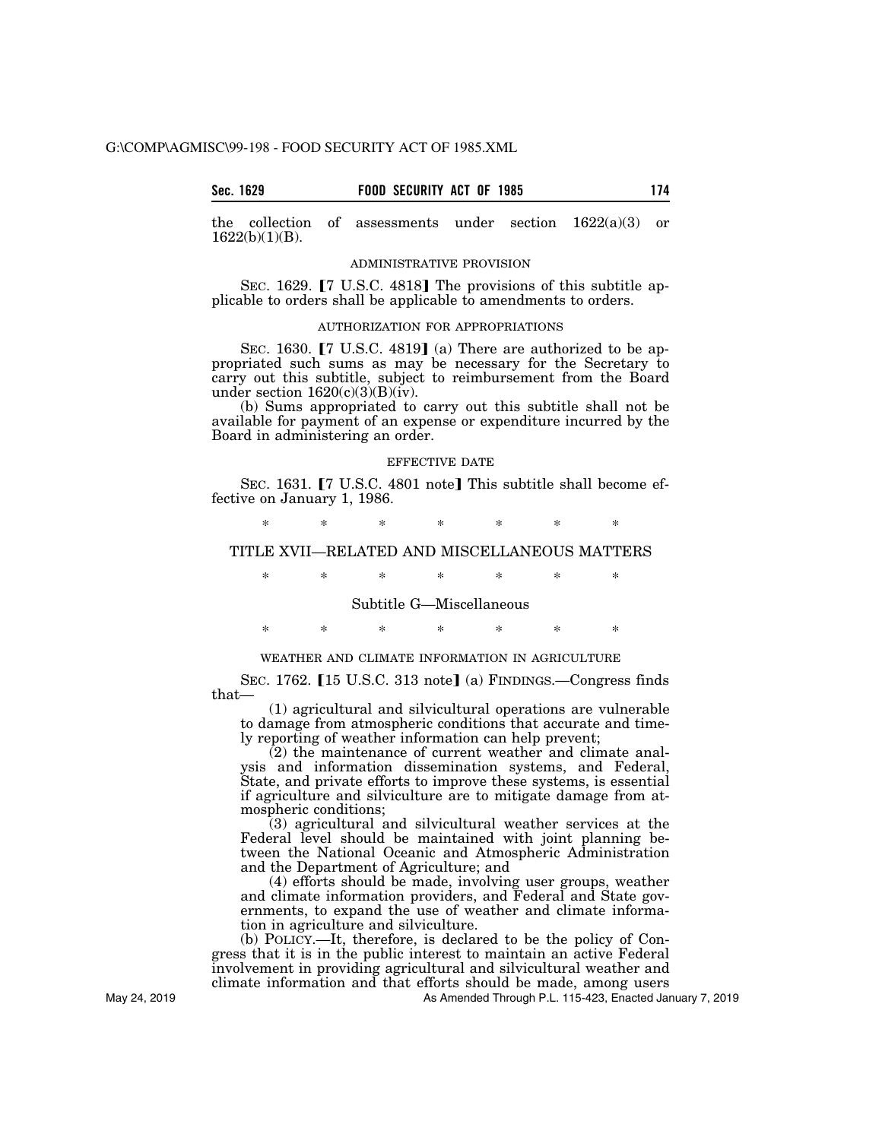the collection of assessments under section  $1622(a)(3)$  or 1622(b)(1)(B).

## ADMINISTRATIVE PROVISION

SEC. 1629.  $[7 \text{ U.S.C. } 4818]$  The provisions of this subtitle applicable to orders shall be applicable to amendments to orders.

## AUTHORIZATION FOR APPROPRIATIONS

SEC. 1630.  $[7 \text{ U.S.C. } 4819]$  (a) There are authorized to be appropriated such sums as may be necessary for the Secretary to carry out this subtitle, subject to reimbursement from the Board under section  $1620(c)(3)(B)(iv)$ .

(b) Sums appropriated to carry out this subtitle shall not be available for payment of an expense or expenditure incurred by the Board in administering an order.

## EFFECTIVE DATE

SEC. 1631. **[7 U.S.C. 4801 note]** This subtitle shall become effective on January 1, 1986.

\* \* \* \* \* \* \*

## TITLE XVII—RELATED AND MISCELLANEOUS MATTERS

\* \* \* \* \* \* \*

## Subtitle G—Miscellaneous

\* \* \* \* \* \* \*

## WEATHER AND CLIMATE INFORMATION IN AGRICULTURE

SEC. 1762. [15 U.S.C. 313 note] (a) FINDINGS.—Congress finds that—

(1) agricultural and silvicultural operations are vulnerable to damage from atmospheric conditions that accurate and timely reporting of weather information can help prevent;

 $(2)$  the maintenance of current weather and climate analysis and information dissemination systems, and Federal, State, and private efforts to improve these systems, is essential if agriculture and silviculture are to mitigate damage from atmospheric conditions;

(3) agricultural and silvicultural weather services at the Federal level should be maintained with joint planning between the National Oceanic and Atmospheric Administration and the Department of Agriculture; and

(4) efforts should be made, involving user groups, weather and climate information providers, and Federal and State governments, to expand the use of weather and climate information in agriculture and silviculture.

(b) POLICY.—It, therefore, is declared to be the policy of Congress that it is in the public interest to maintain an active Federal involvement in providing agricultural and silvicultural weather and climate information and that efforts should be made, among users

As Amended Through P.L. 115-423, Enacted January 7, 2019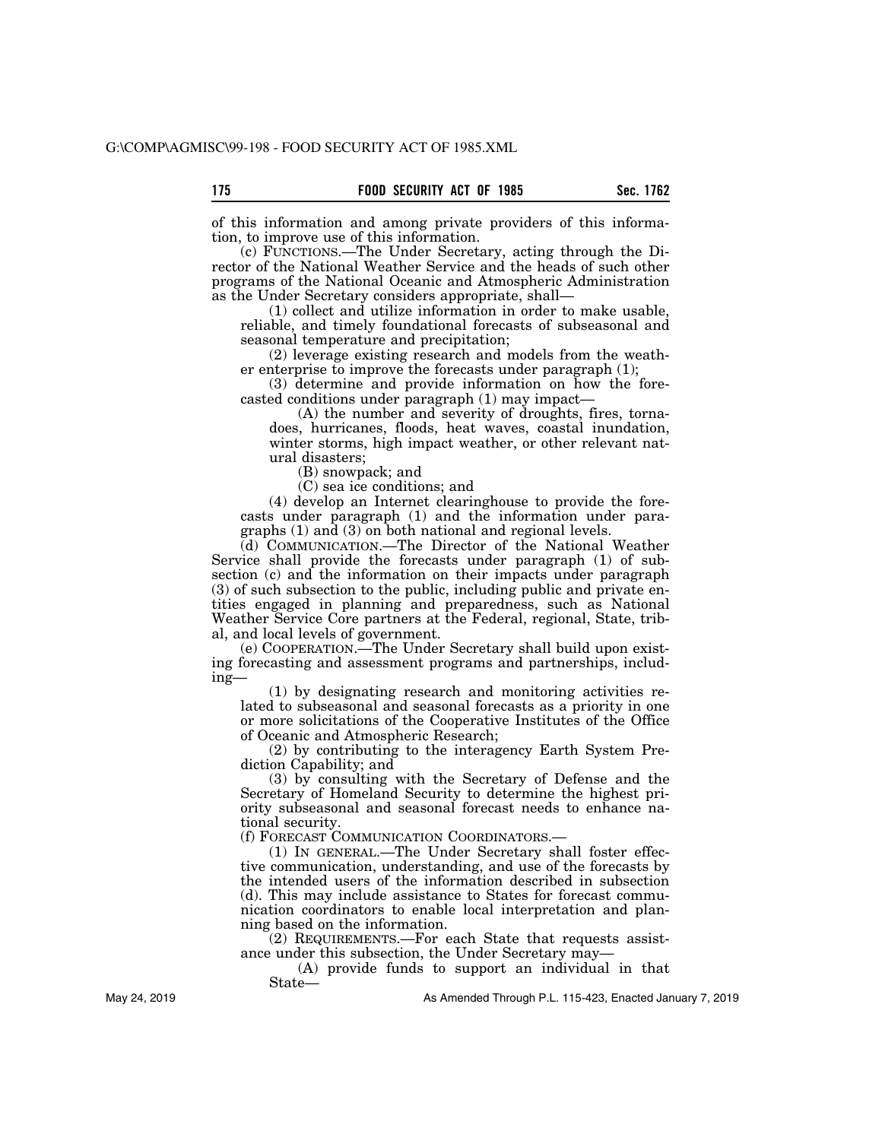of this information and among private providers of this information, to improve use of this information.

(c) FUNCTIONS.—The Under Secretary, acting through the Director of the National Weather Service and the heads of such other programs of the National Oceanic and Atmospheric Administration as the Under Secretary considers appropriate, shall—

(1) collect and utilize information in order to make usable, reliable, and timely foundational forecasts of subseasonal and seasonal temperature and precipitation;

(2) leverage existing research and models from the weather enterprise to improve the forecasts under paragraph (1);

(3) determine and provide information on how the forecasted conditions under paragraph (1) may impact—

(A) the number and severity of droughts, fires, tornadoes, hurricanes, floods, heat waves, coastal inundation, winter storms, high impact weather, or other relevant natural disasters;

(B) snowpack; and

(C) sea ice conditions; and

(4) develop an Internet clearinghouse to provide the forecasts under paragraph (1) and the information under paragraphs (1) and (3) on both national and regional levels.

(d) COMMUNICATION.—The Director of the National Weather Service shall provide the forecasts under paragraph (1) of subsection (c) and the information on their impacts under paragraph (3) of such subsection to the public, including public and private entities engaged in planning and preparedness, such as National Weather Service Core partners at the Federal, regional, State, tribal, and local levels of government.

(e) COOPERATION.—The Under Secretary shall build upon existing forecasting and assessment programs and partnerships, including—

(1) by designating research and monitoring activities related to subseasonal and seasonal forecasts as a priority in one or more solicitations of the Cooperative Institutes of the Office of Oceanic and Atmospheric Research;

(2) by contributing to the interagency Earth System Prediction Capability; and

(3) by consulting with the Secretary of Defense and the Secretary of Homeland Security to determine the highest priority subseasonal and seasonal forecast needs to enhance national security.

(f) FORECAST COMMUNICATION COORDINATORS.—

(1) IN GENERAL.—The Under Secretary shall foster effective communication, understanding, and use of the forecasts by the intended users of the information described in subsection (d). This may include assistance to States for forecast communication coordinators to enable local interpretation and planning based on the information.

(2) REQUIREMENTS.—For each State that requests assistance under this subsection, the Under Secretary may—

(A) provide funds to support an individual in that State—

As Amended Through P.L. 115-423, Enacted January 7, 2019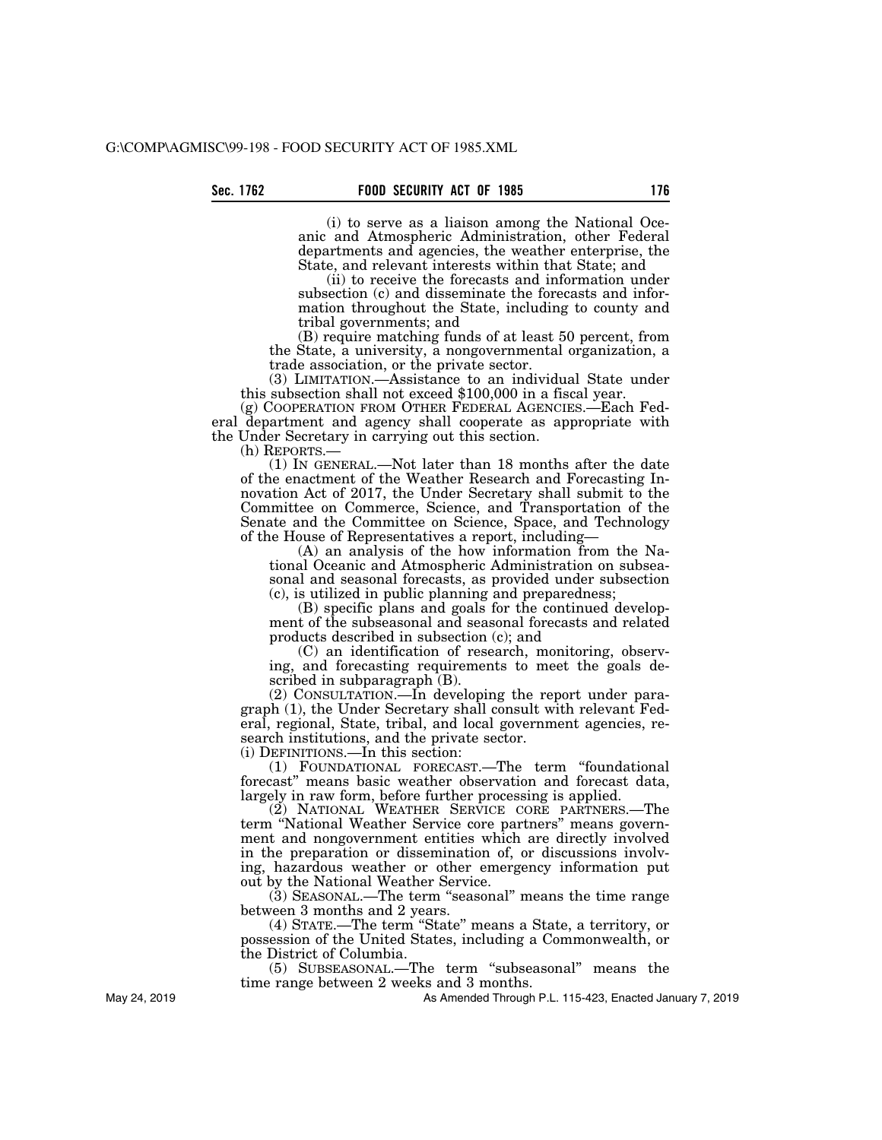(i) to serve as a liaison among the National Oceanic and Atmospheric Administration, other Federal departments and agencies, the weather enterprise, the State, and relevant interests within that State; and

(ii) to receive the forecasts and information under subsection (c) and disseminate the forecasts and information throughout the State, including to county and tribal governments; and

(B) require matching funds of at least 50 percent, from the State, a university, a nongovernmental organization, a trade association, or the private sector.

(3) LIMITATION.—Assistance to an individual State under this subsection shall not exceed \$100,000 in a fiscal year.

(g) COOPERATION FROM OTHER FEDERAL AGENCIES.—Each Federal department and agency shall cooperate as appropriate with the Under Secretary in carrying out this section.

(h) REPORTS.— (1) IN GENERAL.—Not later than 18 months after the date of the enactment of the Weather Research and Forecasting Innovation Act of 2017, the Under Secretary shall submit to the Committee on Commerce, Science, and Transportation of the Senate and the Committee on Science, Space, and Technology of the House of Representatives a report, including—

(A) an analysis of the how information from the National Oceanic and Atmospheric Administration on subseasonal and seasonal forecasts, as provided under subsection (c), is utilized in public planning and preparedness;

(B) specific plans and goals for the continued development of the subseasonal and seasonal forecasts and related products described in subsection (c); and

(C) an identification of research, monitoring, observing, and forecasting requirements to meet the goals described in subparagraph  $(B)$ .

(2) CONSULTATION.—In developing the report under paragraph (1), the Under Secretary shall consult with relevant Federal, regional, State, tribal, and local government agencies, research institutions, and the private sector.

(i) DEFINITIONS.—In this section:

(1) FOUNDATIONAL FORECAST.—The term ''foundational forecast'' means basic weather observation and forecast data, largely in raw form, before further processing is applied.

(2) NATIONAL WEATHER SERVICE CORE PARTNERS.—The term "National Weather Service core partners" means government and nongovernment entities which are directly involved in the preparation or dissemination of, or discussions involving, hazardous weather or other emergency information put out by the National Weather Service.

(3) SEASONAL.—The term ''seasonal'' means the time range between 3 months and 2 years.

(4) STATE.—The term ''State'' means a State, a territory, or possession of the United States, including a Commonwealth, or the District of Columbia.

(5) SUBSEASONAL.—The term ''subseasonal'' means the time range between 2 weeks and 3 months.

As Amended Through P.L. 115-423, Enacted January 7, 2019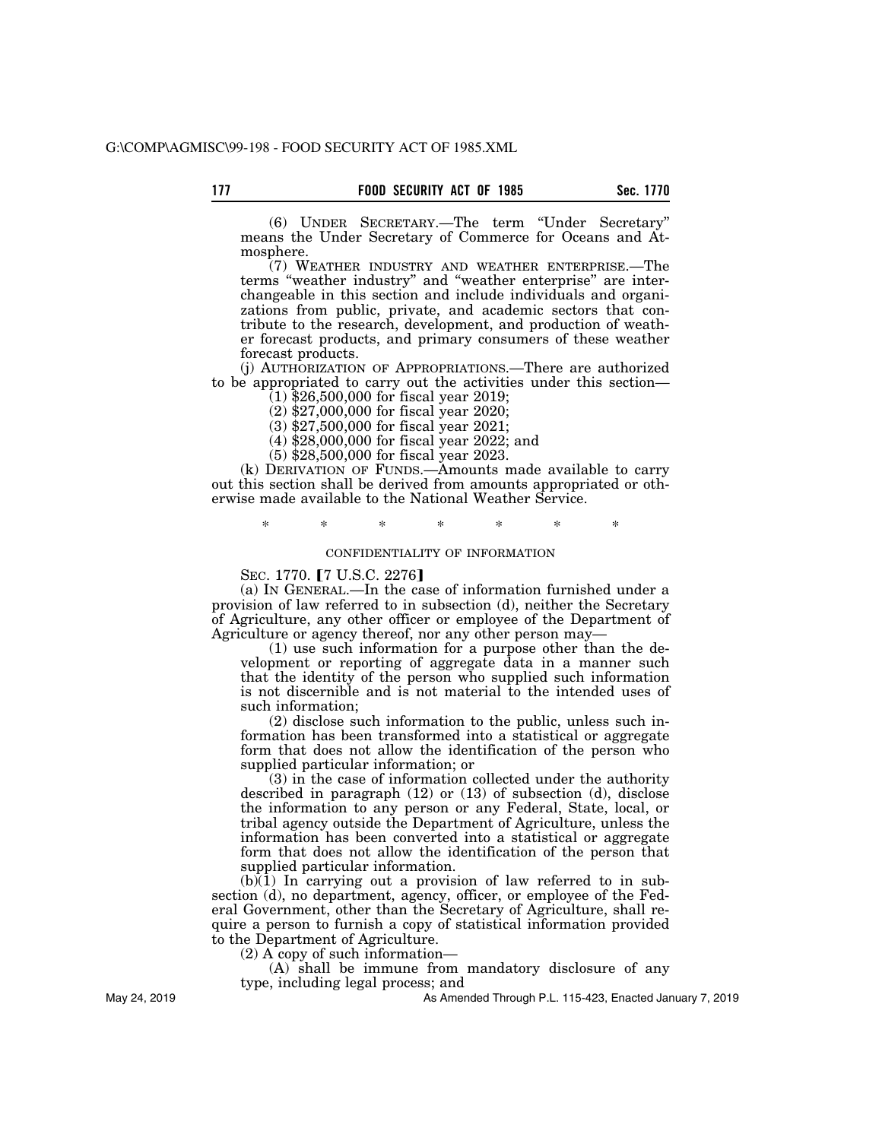(6) UNDER SECRETARY.—The term ''Under Secretary'' means the Under Secretary of Commerce for Oceans and Atmosphere.

(7) WEATHER INDUSTRY AND WEATHER ENTERPRISE.—The terms ''weather industry'' and ''weather enterprise'' are interchangeable in this section and include individuals and organizations from public, private, and academic sectors that contribute to the research, development, and production of weather forecast products, and primary consumers of these weather forecast products.

(j) AUTHORIZATION OF APPROPRIATIONS.—There are authorized to be appropriated to carry out the activities under this section—

 $(1)$  \$26,500,000 for fiscal year 2019;

(2) \$27,000,000 for fiscal year 2020;

(3) \$27,500,000 for fiscal year 2021;

(4) \$28,000,000 for fiscal year 2022; and

(5) \$28,500,000 for fiscal year 2023.

(k) DERIVATION OF FUNDS.—Amounts made available to carry out this section shall be derived from amounts appropriated or otherwise made available to the National Weather Service.

\* \* \* \* \* \* \*

## CONFIDENTIALITY OF INFORMATION

SEC. 1770. **[7 U.S.C. 2276]** 

(a) IN GENERAL.—In the case of information furnished under a provision of law referred to in subsection (d), neither the Secretary of Agriculture, any other officer or employee of the Department of Agriculture or agency thereof, nor any other person may—

(1) use such information for a purpose other than the development or reporting of aggregate data in a manner such that the identity of the person who supplied such information is not discernible and is not material to the intended uses of such information;

(2) disclose such information to the public, unless such information has been transformed into a statistical or aggregate form that does not allow the identification of the person who supplied particular information; or

(3) in the case of information collected under the authority described in paragraph (12) or (13) of subsection (d), disclose the information to any person or any Federal, State, local, or tribal agency outside the Department of Agriculture, unless the information has been converted into a statistical or aggregate form that does not allow the identification of the person that supplied particular information.

 $(b)(1)$  In carrying out a provision of law referred to in subsection (d), no department, agency, officer, or employee of the Federal Government, other than the Secretary of Agriculture, shall require a person to furnish a copy of statistical information provided to the Department of Agriculture.

(2) A copy of such information—

(A) shall be immune from mandatory disclosure of any type, including legal process; and

As Amended Through P.L. 115-423, Enacted January 7, 2019